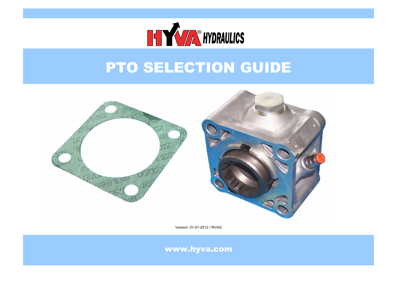

## PTO SELECTION GUIDE



Version: 01-01-2012 / RVAG

www.hyva.com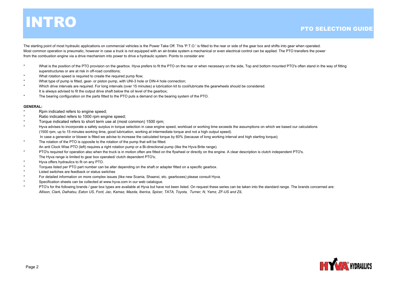## **INTRO**

The starting point of most hydraulic applications on commercial vehicles is the Power Take Off. This 'P.T.O.' is fitted to the rear or side of the gear box and shifts into gear when operated. Most common operation is pneumatic, however in case a truck is not equipped with an air-brake system a mechanical or even electrical control can be applied. The PTO transfers the power from the combustion engine via a drive mechanism into power to drive a hydraulic system. Points to consider are:

- \*What is the position of the PTO provision on the gearbox. Hyva prefers to fit the PTO on the rear or when necessary on the side, Top and bottom mounted PTO's often stand in the way of fitting superstructures or are at risk in off-road conditions;
- \*What rotation speed is required to create the required pump flow:
- \*What type of pump is fitted, gear- or piston pump, with UNI-3 hole or DIN-4 hole connection;
- \*Which drive intervals are required. For long intervals (over 15 minutes) a lubrication kit to cool/lubricate the gearwheels should be considered. It is always advised to fit the output drive shaft below the oil level of the gearbox;
- \*The bearing configuration on the parts fitted to the PTO puts a demand on the bearing system of the PTO.

#### **GENERAL:**

- \*Rpm indicated refers to engine speed;
- \*Ratio indicated refers to 1000 rpm engine speed;
- \*Torque indicated refers to short term use at (most common) 1500 rpm;
- \*Hyva advises to incorporate a safety surplus in torque selection in case engine speed, workload or working time exceeds the assumptions on which we based our calculations (1500 rpm, up to 15 minutes working time, good lubrication, working at intermediate torque and not a high output speed). In case a generator or blower is fitted we advise to increase the calculated torque by 60% (because of long working interval and high starting torque);
- \*An anti Clock Wise PTO (left) requires a right rotation pump or a Bi-directional pump (like the Hyva Brite range). The rotation of the PTO is opposite to the rotation of the pump that will be fitted.
- \*PTO's required for operation also when the truck is in motion often are fitted on the flywheel or directly on the engine. A clear description is clutch independent PTO's. The Hyva range is limited to gear box operated/ clutch dependent PTO's;
- \*Hyva offers hydraulics to fit on any PTO.
- \*Torques listed per PTO part number can be alter depending on the shaft or adapter fitted on a specific gearbox.
- \*Listed switches are feedback or status switches
- \*For detailed information on more complex issues (like new Scania, Shaanxi, etc. gearboxes) please consult Hyva.
- \*Specification sheets can be collected at www.hyva.com in our web catalogue.
- \*PTO's for the following brands / gear box types are available at Hyva but have not been listed. On request these series can be taken into the standard range. The brands concerned are: *Allison, Clark, Daihatsu, Eaton US, Ford, Jac, Kamaz, Mazda, Iberica, Spicer, TATA, Toyota, Turner, N, Yamz, ZF-US and ZIL*

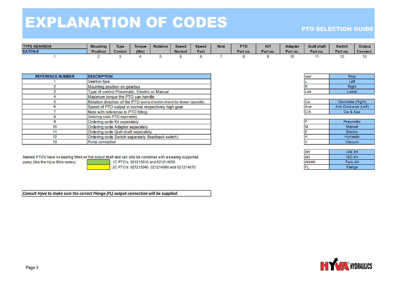## **EXPLANATION OF CODES**

### **PTO SELECTION GUIDE**

| <b>TYPE GEARBOX</b> | <b>Mounting</b> | <b>Type</b> | <b>Torque</b> | <b>Rotation</b> | Speed         | <b>Speed</b> | <b>Note</b> | <b>PTO</b> | <b>KIT</b> | <b>Adapter</b> | <b>Quill shaft</b> | <b>Switch</b> | ⊃utput⊣  |
|---------------------|-----------------|-------------|---------------|-----------------|---------------|--------------|-------------|------------|------------|----------------|--------------------|---------------|----------|
| <b>EATON-E</b>      | <b>Position</b> | Control     | (Nm)          |                 | <b>Normal</b> | Fast         |             | Part no.   | Part no.   | Part no.       | Part no.           | Part no.      | Connect. |
|                     |                 |             |               |                 |               |              |             |            |            |                |                    |               |          |

| <b>REFERENCE NUMBER</b> | <b>DESCRIPTION</b>                                                       |
|-------------------------|--------------------------------------------------------------------------|
|                         | Gearbox type                                                             |
|                         | Mounting position on gearbox                                             |
| 3                       | Type of control Pneumatic, Electric or Manual                            |
|                         | Maximum torque the PTO can handle                                        |
| 5                       | Rotation direction of the PTO (pump direction should be chosen opposite) |
| 6                       | Speed of PTO output in normal respectively high gear                     |
|                         | Note with reference to PTO fitting                                       |
| 8                       | Ordering code PTO seperately                                             |
| 9                       | Ordering code Kit seperately                                             |
| 10                      | Ordering code Adapter seperately                                         |
| 11                      | Ordering code Quill shaft seperately                                     |
| 12                      | Ordering code Switch separately (feedback switch)                        |
| 13                      | Pump connection                                                          |

Marked PTO's have no bearing fitted on the output shaft and can only be combined with a bearing supported

pump (like the Hyva Brite series).

1C PTO's: 021215010 and 021214050 2C PTO's: 021215040, 021214060 and 021214070

Consult Hyva to make sure the correct Flange (FL) output connection will be supplied.

| rear | Rear  |
|------|-------|
|      | Left  |
| R    | Right |
| Low  | Lower |

| ICw  | Clockwise (Right)     |
|------|-----------------------|
| lAcw | Anti Clockwise (Left) |
| IC/A | Cw & Acw              |

| D | Pneumatic     |
|---|---------------|
| M | <b>Manual</b> |
| E | Electric      |
| н | Hydraulic     |
| V | Vacuum        |

| 3H    | UNI 3H        |
|-------|---------------|
| 4H    | <b>ISO 4H</b> |
| 4H/4H | Twin 4H       |
|       | Flange        |

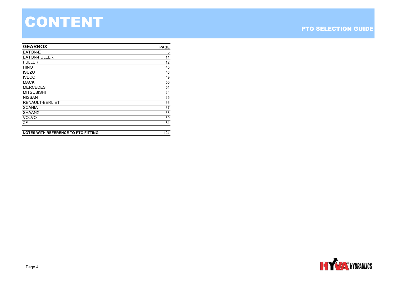# CONTENT

#### PTO SELECTION GUIDE

| <b>GEARBOX</b>      | <b>PAGE</b> |
|---------------------|-------------|
| EATON-E             | 5           |
| <b>EATON-FULLER</b> | 11          |
| <b>FULLER</b>       | 12          |
| <b>HINO</b>         | 45          |
| <b>ISUZU</b>        | 46          |
| <b>IVECO</b>        | 49          |
| <b>MACK</b>         | 50          |
| <b>MERCEDES</b>     | 51          |
| <b>MITSUBISHI</b>   | 64          |
| <b>NISSAN</b>       | 65          |
| RENAULT-BERLIET     | 66          |
| <b>SCANIA</b>       | 67          |
| <b>SHAANXI</b>      | 68          |
| <b>VOLVO</b>        | 69          |
| ZF                  | 81          |
|                     |             |

**NOTES WITH REFERENCE TO PTO FITTING**

124

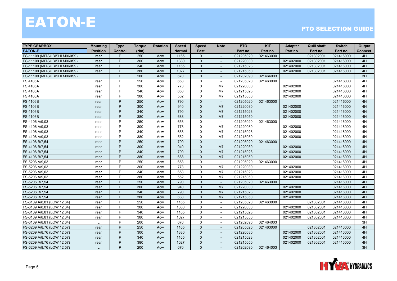| <b>TYPE GEARBOX</b>          | <b>Mounting</b> | <b>Type</b>    | <b>Torque</b> | <b>Rotation</b> | <b>Speed</b>  | <b>Speed</b> | <b>Note</b>              | <b>PTO</b> | <b>KIT</b> | Adapter   | <b>Quill shaft</b> | <b>Switch</b> | Output   |
|------------------------------|-----------------|----------------|---------------|-----------------|---------------|--------------|--------------------------|------------|------------|-----------|--------------------|---------------|----------|
| <b>EATON-E</b>               | <b>Position</b> | <b>Control</b> | (Nm)          |                 | <b>Normal</b> | Fast         |                          | Part no.   | Part no.   | Part no.  | Part no.           | Part no.      | Connect. |
| ES-11109 (MITSUBISHI M060S9) | rear            | P              | 250           | Acw             | 1165          | $\Omega$     | $\sim$                   | 021205020  | 021463000  |           | 021302001          | 021416000     | 4H       |
| ES-11109 (MITSUBISHI M060S9) | rear            | P              | 300           | Acw             | 1380          | $\Omega$     |                          | 021220030  |            | 021402000 | 021302001          | 021416000     | 4H       |
| ES-11109 (MITSUBISHI M060S9) | rear            | P              | 340           | Acw             | 1165          | $\mathbf{0}$ |                          | 021215023  |            | 021402000 | 021302001          | 021416000     | 4H       |
| ES-11109 (MITSUBISHI M060S9) | rear            | P              | 380           | Acw             | 1027          | $\Omega$     | $\overline{a}$           | 021215050  |            | 021402000 | 021302001          | 021416000     | 4H       |
| ES-11109 (MITSUBISHI M060S9) |                 | P              | 200           | Acw             | 670           | $\Omega$     |                          | 021202090  | 021464003  |           |                    |               | 3H       |
| <b>FS 4106A</b>              | rear            | P              | 250           | Acw             | 653           | $\Omega$     | $\sim$                   | 021205020  | 021463000  |           |                    | 021416000     | 4H       |
| <b>FS 4106A</b>              | rear            | P              | 300           | Acw             | 773           | $\Omega$     | M <sub>7</sub>           | 021220030  |            | 021402000 |                    | 021416000     | 4H       |
| <b>FS 4106A</b>              | rear            | P              | 340           | Acw             | 653           | $\Omega$     | M7                       | 021215023  |            | 021402000 |                    | 021416000     | 4H       |
| <b>FS 4106A</b>              | rear            | P              | 380           | Acw             | 552           | $\Omega$     | M7                       | 021215050  |            | 021402000 |                    | 021416000     | 4H       |
| <b>FS 4106B</b>              | rear            | P              | 250           | Acw             | 790           | $\Omega$     | $\sim$                   | 021205020  | 021463000  |           |                    | 021416000     | 4H       |
| <b>FS 4106B</b>              | rear            | P              | 300           | Acw             | 940           | $\Omega$     | M <sub>7</sub>           | 021220030  |            | 021402000 |                    | 021416000     | 4H       |
| <b>FS 4106B</b>              | rear            | P              | 340           | Acw             | 790           | $\Omega$     | M <sub>7</sub>           | 021215023  |            | 021402000 |                    | 021416000     | 4H       |
| <b>FS 4106B</b>              | rear            | P              | 380           | Acw             | 688           | $\Omega$     | M7                       | 021215050  |            | 021402000 |                    | 021416000     | 4H       |
| FS-4106 A/9,03               | rear            | P              | 250           | Acw             | 653           | $\Omega$     |                          | 021205020  | 021463000  |           |                    | 021416000     | 4H       |
| FS-4106 A/9,03               | rear            | P              | 300           | Acw             | 773           | $\Omega$     | M <sub>7</sub>           | 021220030  |            | 021402000 |                    | 021416000     | 4H       |
| FS-4106 A/9,03               | rear            | P              | 340           | Acw             | 653           | $\Omega$     | M <sub>7</sub>           | 021215023  |            | 021402000 |                    | 021416000     | 4H       |
| FS-4106 A/9,03               | rear            | P              | 380           | Acw             | 552           | $\Omega$     | M <sub>7</sub>           | 021215050  |            | 021402000 |                    | 021416000     | 4H       |
| FS-4106 B/7,54               | rear            | P              | 250           | Acw             | 790           | $\Omega$     | $\sim$                   | 021205020  | 021463000  |           |                    | 021416000     | 4H       |
| FS-4106 B/7,54               | rear            | P              | 300           | Acw             | 940           | $\Omega$     | M7                       | 021220030  |            | 021402000 |                    | 021416000     | 4H       |
| FS-4106 B/7,54               | rear            | P              | 340           | Acw             | 790           | $\Omega$     | M <sub>7</sub>           | 021215023  |            | 021402000 |                    | 021416000     | 4H       |
| FS-4106 B/7,54               | rear            | P              | 380           | Acw             | 688           | $\Omega$     | M <sub>7</sub>           | 021215050  |            | 021402000 |                    | 021416000     | 4H       |
| FS-5206 A/9,03               | rear            | P              | 250           | Acw             | 653           | $\Omega$     |                          | 021205020  | 021463000  |           |                    | 021416000     | 4H       |
| FS-5206 A/9,03               | rear            | P              | 300           | Acw             | 773           | $\Omega$     | M <sub>7</sub>           | 021220030  |            | 021402000 |                    | 021416000     | 4H       |
| FS-5206 A/9,03               | rear            | P              | 340           | Acw             | 653           | $\Omega$     | M <sub>7</sub>           | 021215023  |            | 021402000 |                    | 021416000     | 4H       |
| FS-5206 A/9,03               | rear            | P              | 380           | Acw             | 552           | $\Omega$     | M <sub>7</sub>           | 021215050  |            | 021402000 |                    | 021416000     | 4H       |
| FS-5206 B/7,54               | rear            | P              | 250           | Acw             | 790           | $\Omega$     |                          | 021205020  | 021463000  |           |                    | 021416000     | 4H       |
| FS-5206 B/7,54               | rear            | P              | 300           | Acw             | 940           | $\Omega$     | M <sub>7</sub>           | 021220030  |            | 021402000 |                    | 021416000     | 4H       |
| FS-5206 B/7,54               | rear            | P              | 340           | Acw             | 790           | $\Omega$     | M7                       | 021215023  |            | 021402000 |                    | 021416000     | 4H       |
| FS-5206 B/7,54               | rear            | P              | 380           | Acw             | 688           | $\Omega$     | M <sub>7</sub>           | 021215050  |            | 021402000 |                    | 021416000     | 4H       |
| FS-6109 A/8,81 (LOW 12,64)   | rear            | P              | 250           | Acw             | 1165          | $\Omega$     | $\sim$                   | 021205020  | 021463000  |           | 021302001          | 021416000     | 4H       |
| -S-6109 A/8,81 (LOW 12,64)   | rear            | P              | 300           | Acw             | 1380          | $\Omega$     |                          | 021220030  |            | 021402000 | 021302001          | 021416000     | 4H       |
| FS-6109 A/8,81 (LOW 12,64)   | rear            | P              | 340           | Acw             | 1165          | $\Omega$     |                          | 021215023  |            | 021402000 | 021302001          | 021416000     | 4H       |
| FS-6109 A/8,81 (LOW 12,64)   | rear            | P              | 380           | Acw             | 1027          | 0            | $\overline{\phantom{a}}$ | 021215050  |            | 021402000 | 021302001          | 021416000     | 4H       |
| FS-6109 A/8,81 (LOW 12,64)   | L               | P              | 200           | Acw             | 670           | $\mathbf 0$  |                          | 021202090  | 021464003  |           |                    |               | 3H       |
| FS-6209 A/8,76 (LOW 12,57)   | rear            | P              | 250           | Acw             | 1165          | $\Omega$     | $\overline{a}$           | 021205020  | 021463000  |           | 021302001          | 021416000     | 4H       |
| FS-6209 A/8,76 (LOW 12,57)   | rear            | P              | 300           | Acw             | 1380          | $\Omega$     | $\blacksquare$           | 021220030  |            | 021402000 | 021302001          | 021416000     | 4H       |
| FS-6209 A/8,76 (LOW 12,57)   | rear            | P              | 340           | Acw             | 1165          | $\Omega$     |                          | 021215023  |            | 021402000 | 021302001          | 021416000     | 4H       |
| FS-6209 A/8,76 (LOW 12,57)   | rear            | P              | 380           | Acw             | 1027          | $\Omega$     |                          | 021215050  |            | 021402000 | 021302001          | 021416000     | 4H       |
| FS-6209 A/8,76 (LOW 12,57)   |                 | P              | 200           | Acw             | 670           | $\Omega$     | $\sim$                   | 021202090  | 021464003  |           |                    |               | 3H       |

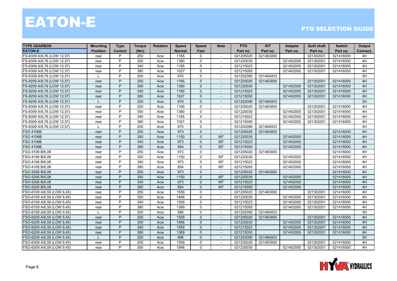| <b>TYPE GEARBOX</b>        | <b>Mounting</b> | <b>Type</b> | <b>Torque</b> | <b>Rotation</b> | <b>Speed</b>  | <b>Speed</b> | <b>Note</b>              | <b>PTO</b> | <b>KIT</b> | <b>Adapter</b> | <b>Quill shaft</b> | <b>Switch</b> | Output   |
|----------------------------|-----------------|-------------|---------------|-----------------|---------------|--------------|--------------------------|------------|------------|----------------|--------------------|---------------|----------|
| <b>EATON-E</b>             | <b>Position</b> | Control     | (Nm)          |                 | <b>Normal</b> | Fast         |                          | Part no.   | Part no.   | Part no.       | Part no.           | Part no.      | Connect. |
| FS-6309 A/8,76 (LOW 12,57) | rear            | P           | 250           | Acw             | 1165          | $\mathbf{0}$ | $\sim$                   | 021205020  | 021463000  |                | 021302001          | 021416000     | 4H       |
| FS-6309 A/8,76 (LOW 12,57) | rear            | P           | 300           | Acw             | 1380          | $\mathbf{0}$ |                          | 021220030  |            | 021402000      | 021302001          | 021416000     | 4H       |
| FS-6309 A/8,76 (LOW 12,57) | rear            | P           | 340           | Acw             | 1165          | $\mathbf 0$  |                          | 021215023  |            | 021402000      | 021302001          | 021416000     | 4H       |
| FS-6309 A/8,76 (LOW 12,57) | rear            | P           | 380           | Acw             | 1027          | $\Omega$     |                          | 021215050  |            | 021402000      | 021302001          | 021416000     | 4H       |
| FS-6309 A/8,76 (LOW 12,57) |                 | P           | 200           | Acw             | 670           | $\Omega$     | $\overline{a}$           | 021202090  | 021464003  |                |                    |               | 3H       |
| FS-8209 A/8,76 (LOW 12,57) | rear            | P           | 250           | Acw             | 1165          | $\Omega$     | $\blacksquare$           | 021205020  | 021463000  |                | 021302001          | 021416000     | 4H       |
| FS-8209 A/8,76 (LOW 12,57) | rear            | P           | 300           | Acw             | 1380          | $\Omega$     | $\blacksquare$           | 021220030  |            | 021402000      | 021302001          | 021416000     | 4H       |
| FS-8209 A/8,76 (LOW 12,57) | rear            | P           | 340           | Acw             | 1165          | $\Omega$     |                          | 021215023  |            | 021402000      | 021302001          | 021416000     | 4H       |
| FS-8209 A/8,76 (LOW 12,57) | rear            | P           | 380           | Acw             | 1027          | $\mathbf{0}$ | $\overline{a}$           | 021215050  |            | 021402000      | 021302001          | 021416000     | 4H       |
| FS-8209 A/8,76 (LOW 12,57) |                 | P           | 200           | Acw             | 670           | $\Omega$     | $\blacksquare$           | 021202090  | 021464003  |                |                    |               | 3H       |
| FS-8309 A/8,76 (LOW 12,57) | rear            | P           | 250           | Acw             | 1165          | $\mathbf 0$  | $\overline{a}$           | 021205020  | 021463000  |                | 021302001          | 021416000     | 4H       |
| FS-8309 A/8,76 (LOW 12,57) | rear            | P           | 300           | Acw             | 1380          | $\mathbf{0}$ | $\sim$                   | 021220030  |            | 021402000      | 021302001          | 021416000     | 4H       |
| FS-8309 A/8,76 (LOW 12,57) | rear            | P           | 340           | Acw             | 1165          | $\mathbf{0}$ | $\overline{\phantom{a}}$ | 021215023  |            | 021402000      | 021302001          | 021416000     | 4H       |
| FS-8309 A/8,76 (LOW 12,57) | rear            | P           | 380           | Acw             | 1027          | $\mathbf{0}$ |                          | 021215050  |            | 021402000      | 021302001          | 021416000     | 4H       |
| FS-8309 A/8,76 (LOW 12,57) |                 | P           | 200           | Acw             | 670           | $\mathbf 0$  |                          | 021202090  | 021464003  |                |                    |               | 3H       |
| <b>FSO 4106B</b>           | rear            | P           | 250           | Acw             | 973           | $\Omega$     |                          | 021205020  | 021463000  |                |                    | 021416000     | 4H       |
| <b>FSO 4106B</b>           | rear            | P           | 300           | Acw             | 1150          | $\Omega$     | M <sub>7</sub>           | 021220030  |            | 021402000      |                    | 021416000     | 4H       |
| <b>FSO 4106B</b>           | rear            | P           | 340           | Acw             | 973           | $\Omega$     | M <sub>7</sub>           | 021215023  |            | 021402000      |                    | 021416000     | 4H       |
| <b>FSO 4106B</b>           | rear            | P           | 380           | Acw             | 854           | $\Omega$     | M <sub>7</sub>           | 021215050  |            | 021402000      |                    | 021416000     | 4H       |
| FSO-4106 B/6,08            | rear            | P           | 250           | Acw             | 973           | $\Omega$     |                          | 021205020  | 021463000  |                |                    | 021416000     | 4H       |
| FSO-4106 B/6,08            | rear            | P           | 300           | Acw             | 1150          | $\mathbf 0$  | M7                       | 021220030  |            | 021402000      |                    | 021416000     | 4H       |
| FSO-4106 B/6,08            | rear            | P           | 340           | Acw             | 973           | $\Omega$     | M <sub>7</sub>           | 021215023  |            | 021402000      |                    | 021416000     | 4H       |
| FSO-4106 B/6,08            | rear            | P           | 380           | Acw             | 854           | $\Omega$     | M <sub>7</sub>           | 021215050  |            | 021402000      |                    | 021416000     | 4H       |
| FSO-5206 B/6,08            | rear            | P           | 250           | Acw             | 973           | $\Omega$     | $\sim$                   | 021205020  | 021463000  |                |                    | 021416000     | 4H       |
| FSO-5206 B/6.08            | rear            | P           | 300           | Acw             | 1150          | $\Omega$     | M <sub>7</sub>           | 021220030  |            | 021402000      |                    | 021416000     | 4H       |
| FSO-5206 B/6,08            | rear            | P           | 340           | Acw             | 973           | $\Omega$     | M <sub>7</sub>           | 021215023  |            | 021402000      |                    | 021416000     | 4H       |
| FSO-5206 B/6,08            | rear            | P           | 380           | Acw             | 854           | $\mathbf{0}$ | M7                       | 021215050  |            | 021402000      |                    | 021416000     | 4H       |
| FSO-6109 A/6,59 (LOW 9,45) | rear            | P           | 250           | Acw             | 1559          | $\Omega$     |                          | 021205020  | 021463000  |                | 021302001          | 021416000     | 4H       |
| FSO-6109 A/6,59 (LOW 9,45) | rear            | P           | 300           | Acw             | 1846          | $\Omega$     | $\overline{a}$           | 021220030  |            | 021402000      | 021302001          | 021416000     | 4H       |
| FSO-6109 A/6,59 (LOW 9,45) | rear            | P           | 340           | Acw             | 1559          | $\mathbf{0}$ | $\sim$                   | 021215023  |            | 021402000      | 021302001          | 021416000     | 4H       |
| FSO-6109 A/6,59 (LOW 9,45) | rear            | P           | 380           | Acw             | 1369          | $\mathbf{0}$ | $\overline{\phantom{a}}$ | 021215050  |            | 021402000      | 021302001          | 021416000     | 4H       |
| FSO-6109 A/6,59 (LOW 9,45) |                 | P           | 200           | Acw             | 896           | $\mathbf 0$  |                          | 021202090  | 021464003  |                |                    |               | 3H       |
| FSO-6209 A/6,59 (LOW 9,45) | rear            | P           | 250           | Acw             | 1559          | $\mathbf{0}$ | $\overline{\phantom{a}}$ | 021205020  | 021463000  |                | 021302001          | 021416000     | 4H       |
| FSO-6209 A/6,59 (LOW 9,45) | rear            | P           | 300           | Acw             | 1846          | $\mathbf{0}$ |                          | 021220030  |            | 021402000      | 021302001          | 021416000     | 4H       |
| FSO-6209 A/6,59 (LOW 9,45) | rear            | P           | 340           | Acw             | 1559          | $\Omega$     | $\overline{a}$           | 021215023  |            | 021402000      | 021302001          | 021416000     | 4H       |
| FSO-6209 A/6,59 (LOW 9,45) | rear            | P           | 380           | Acw             | 1369          | $\Omega$     | $\overline{\phantom{a}}$ | 021215050  |            | 021402000      | 021302001          | 021416000     | 4H       |
| FSO-6209 A/6,59 (LOW 9,45) | $\mathbf{L}$    | P           | 200           | Acw             | 896           | $\Omega$     | $\overline{\phantom{a}}$ | 021202090  | 021464003  |                |                    |               | 3H       |
| FSO-6309 A/6,59 (LOW 9,45) | rear            | P           | 250           | Acw             | 1559          | $\mathbf{0}$ |                          | 021205020  | 021463000  |                | 021302001          | 021416000     | 4H       |
| FSO-6309 A/6,59 (LOW 9,45) | rear            | P           | 300           | Acw             | 1846          | $\mathbf{0}$ | $\overline{\phantom{a}}$ | 021220030  |            | 021402000      | 021302001          | 021416000     | 4H       |

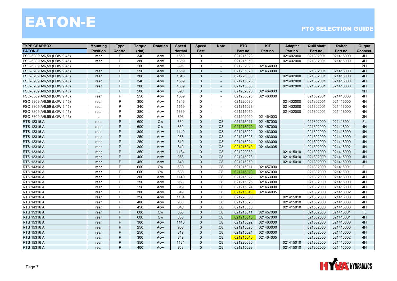| <b>TYPE GEARBOX</b>        | <b>Mounting</b> | <b>Type</b>    | <b>Torque</b> | <b>Rotation</b> | <b>Speed</b>  | <b>Speed</b> | <b>Note</b>              | <b>PTO</b> | <b>KIT</b> | <b>Adapter</b> | <b>Quill shaft</b> | <b>Switch</b> | Output    |
|----------------------------|-----------------|----------------|---------------|-----------------|---------------|--------------|--------------------------|------------|------------|----------------|--------------------|---------------|-----------|
| <b>EATON-E</b>             | <b>Position</b> | <b>Control</b> | (Nm)          |                 | <b>Normal</b> | Fast         |                          | Part no.   | Part no.   | Part no.       | Part no.           | Part no.      | Connect.  |
| FSO-6309 A/6,59 (LOW 9,45) | rear            | P              | 340           | Acw             | 1559          | $\Omega$     | $\sim$                   | 021215023  |            | 021402000      | 021302001          | 021416000     | 4H        |
| FSO-6309 A/6,59 (LOW 9,45) | rear            | P              | 380           | Acw             | 1369          | $\Omega$     |                          | 021215050  |            | 021402000      | 021302001          | 021416000     | 4H        |
| FSO-6309 A/6,59 (LOW 9,45) |                 | P              | 200           | Acw             | 896           | $\Omega$     |                          | 021202090  | 021464003  |                |                    |               | 3H        |
| FSO-8209 A/6,59 (LOW 9,45) | rear            | P              | 250           | Acw             | 1559          | $\Omega$     | $\blacksquare$           | 021205020  | 021463000  |                | 021302001          | 021416000     | 4H        |
| FSO-8209 A/6,59 (LOW 9,45) | rear            | P              | 300           | Acw             | 1846          | $\mathbf{0}$ | $\blacksquare$           | 021220030  |            | 021402000      | 021302001          | 021416000     | 4H        |
| FSO-8209 A/6,59 (LOW 9,45) | rear            | P              | 340           | Acw             | 1559          | $\Omega$     | $\overline{\phantom{a}}$ | 021215023  |            | 021402000      | 021302001          | 021416000     | 4H        |
| FSO-8209 A/6,59 (LOW 9,45) | rear            | P              | 380           | Acw             | 1369          | $\Omega$     | $\blacksquare$           | 021215050  |            | 021402000      | 021302001          | 021416000     | 4H        |
| FSO-8209 A/6,59 (LOW 9,45) |                 | P              | 200           | Acw             | 896           | $\Omega$     |                          | 021202090  | 021464003  |                |                    |               | 3H        |
| FSO-8309 A/6,59 (LOW 9,45) | rear            | P              | 250           | Acw             | 1559          | $\Omega$     |                          | 021205020  | 021463000  |                | 021302001          | 021416000     | 4H        |
| FSO-8309 A/6,59 (LOW 9,45) | rear            | P              | 300           | Acw             | 1846          | $\Omega$     |                          | 021220030  |            | 021402000      | 021302001          | 021416000     | 4H        |
| FSO-8309 A/6,59 (LOW 9,45) | rear            | P              | 340           | Acw             | 1559          | $\mathbf 0$  | $\sim$                   | 021215023  |            | 021402000      | 021302001          | 021416000     | 4H        |
| FSO-8309 A/6,59 (LOW 9,45) | rear            | P              | 380           | Acw             | 1369          | 0            | $\overline{\phantom{a}}$ | 021215050  |            | 021402000      | 021302001          | 021416000     | 4H        |
| FSO-8309 A/6,59 (LOW 9,45) | $\mathsf{L}$    | P              | 200           | Acw             | 896           | $\Omega$     | $\sim$                   | 021202090  | 021464003  |                |                    |               | 3H        |
| <b>RTS 12316 A</b>         | rear            | P              | 600           | <b>Cw</b>       | 630           | $\Omega$     | C <sub>8</sub>           | 021215011  | 021457000  |                | 021302000          | 021416001     | <b>FL</b> |
| <b>RTS 12316 A</b>         | rear            | P              | 600           | <b>Cw</b>       | 630           | $\Omega$     | C <sub>8</sub>           | 021215010  | 021457000  |                | 021302000          | 021416001     | 4H        |
| <b>RTS 12316 A</b>         | rear            | P              | 300           | Acw             | 1140          | $\Omega$     | C <sub>8</sub>           | 021215022  | 021463000  |                | 021302000          | 021416000     | 4H        |
| <b>RTS 12316 A</b>         | rear            | P              | 250           | Acw             | 958           | $\Omega$     | C <sub>8</sub>           | 021215025  | 021463000  |                | 021302000          | 021416000     | 4H        |
| <b>RTS 12316 A</b>         | rear            | P              | 250           | Acw             | 819           | $\Omega$     | C <sub>8</sub>           | 021215024  | 021463000  |                | 021302000          | 021416000     | 4H        |
| RTS 12316 A                | rear            | P              | 300           | Acw             | 849           | $\Omega$     | C <sub>8</sub>           | 021215040  | 021464005  |                | 021302000          | 021416002     | 4H        |
| RTS 12316 A                | rear            | P              | 350           | Acw             | 1134          | $\Omega$     | C <sub>8</sub>           | 021220030  |            | 021415010      | 021302000          | 021416000     | 4H        |
| <b>RTS 12316 A</b>         | rear            | P              | 400           | Acw             | 963           | $\Omega$     | C <sub>8</sub>           | 021215023  |            | 021415010      | 021302000          | 021416000     | 4H        |
| <b>RTS 12316 A</b>         | rear            | P              | 450           | Acw             | 840           | $\Omega$     | C <sub>8</sub>           | 021215050  |            | 021415010      | 021302000          | 021416000     | 4H        |
| RTS 14316 A                | rear            | P              | 600           | <b>Cw</b>       | 630           | $\mathbf{0}$ | C <sub>8</sub>           | 021215011  | 021457000  |                | 021302000          | 021416001     | <b>FL</b> |
| <b>RTS 14316 A</b>         | rear            | P              | 600           | <b>Cw</b>       | 630           | 0            | C <sub>8</sub>           | 021215010  | 021457000  |                | 021302000          | 021416001     | 4H        |
| RTS 14316 A                | rear            | P              | 300           | Acw             | 1140          | $\Omega$     | C <sub>8</sub>           | 021215022  | 021463000  |                | 021302000          | 021416000     | 4H        |
| RTS 14316 A                | rear            | P              | 250           | Acw             | 958           | $\Omega$     | C <sub>8</sub>           | 021215025  | 021463000  |                | 021302000          | 021416000     | 4H        |
| RTS 14316 A                | rear            | P              | 250           | Acw             | 819           | $\Omega$     | C <sub>8</sub>           | 021215024  | 021463000  |                | 021302000          | 021416000     | 4H        |
| RTS 14316 A                | rear            | P              | 300           | Acw             | 849           | $\Omega$     | C <sub>8</sub>           | 021215040  | 021464005  |                | 021302000          | 021416002     | 4H        |
| RTS 14316 A                | rear            | P              | 350           | Acw             | 1134          | $\mathbf{0}$ | C <sub>8</sub>           | 021220030  |            | 021415010      | 021302000          | 021416000     | 4H        |
| <b>RTS 14316 A</b>         | rear            | P              | 400           | Acw             | 963           | $\Omega$     | C <sub>8</sub>           | 021215023  |            | 021415010      | 021302000          | 021416000     | 4H        |
| <b>RTS 14316 A</b>         | rear            | P              | 450           | Acw             | 840           | $\Omega$     | C <sub>8</sub>           | 021215050  |            | 021415010      | 021302000          | 021416000     | 4H        |
| <b>RTS 15316 A</b>         | rear            | P              | 600           | <b>Cw</b>       | 630           | $\Omega$     | C <sub>8</sub>           | 021215011  | 021457000  |                | 021302000          | 021416001     | <b>FL</b> |
| RTS 15316 A                | rear            | P              | 600           | <b>Cw</b>       | 630           | $\mathbf{0}$ | C <sub>8</sub>           | 021215010  | 021457000  |                | 021302000          | 021416001     | 4H        |
| RTS 15316 A                | rear            | P              | 300           | Acw             | 1140          | $\Omega$     | C <sub>8</sub>           | 021215022  | 021463000  |                | 021302000          | 021416000     | 4H        |
| <b>RTS 15316 A</b>         | rear            | P              | 250           | Acw             | 958           | $\Omega$     | C <sub>8</sub>           | 021215025  | 021463000  |                | 021302000          | 021416000     | 4H        |
| <b>RTS 15316 A</b>         | rear            | P              | 250           | Acw             | 819           | $\Omega$     | C <sub>8</sub>           | 021215024  | 021463000  |                | 021302000          | 021416000     | 4H        |
| <b>RTS 15316 A</b>         | rear            | P              | 300           | Acw             | 849           | $\Omega$     | C <sub>8</sub>           | 021215040  | 021464005  |                | 021302000          | 021416002     | 4H        |
| <b>RTS 15316 A</b>         | rear            | P              | 350           | Acw             | 1134          | $\Omega$     | C <sub>8</sub>           | 021220030  |            | 021415010      | 021302000          | 021416000     | 4H        |
| <b>RTS 15316 A</b>         | rear            | P              | 400           | Acw             | 963           | $\Omega$     | C <sub>8</sub>           | 021215023  |            | 021415010      | 021302000          | 021416000     | 4H        |

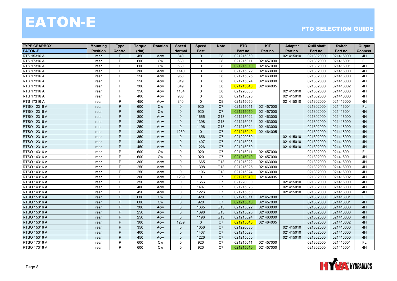| <b>TYPE GEARBOX</b> | <b>Mounting</b> | <b>Type</b>    | <b>Torque</b> | <b>Rotation</b> | <b>Speed</b>  | <b>Speed</b> | <b>Note</b>     | <b>PTO</b> | <b>KIT</b> | <b>Adapter</b> | <b>Quill shaft</b> | <b>Switch</b> | Output    |
|---------------------|-----------------|----------------|---------------|-----------------|---------------|--------------|-----------------|------------|------------|----------------|--------------------|---------------|-----------|
| <b>EATON-E</b>      | <b>Position</b> | <b>Control</b> | (Nm)          |                 | <b>Normal</b> | Fast         |                 | Part no.   | Part no.   | Part no.       | Part no.           | Part no.      | Connect.  |
| RTS 15316 A         | rear            | P              | 450           | Acw             | 840           | $\Omega$     | C <sub>8</sub>  | 021215050  |            | 021415010      | 021302000          | 021416000     | 4H        |
| RTS 17316 A         | rear            | P              | 600           | <b>Cw</b>       | 630           | $\mathbf 0$  | C8              | 021215011  | 021457000  |                | 021302000          | 021416001     | <b>FL</b> |
| RTS 17316 A         | rear            | P              | 600           | Cw              | 630           | $\mathbf 0$  | C8              | 021215010  | 021457000  |                | 021302000          | 021416001     | 4H        |
| RTS 17316 A         | rear            | P              | 300           | Acw             | 1140          | $\Omega$     | C8              | 021215022  | 021463000  |                | 021302000          | 021416000     | 4H        |
| RTS 17316 A         | rear            | P              | 250           | Acw             | 958           | $\Omega$     | C <sub>8</sub>  | 021215025  | 021463000  |                | 021302000          | 021416000     | 4H        |
| RTS 17316 A         | rear            | P              | 250           | Acw             | 819           | $\mathbf{0}$ | C <sub>8</sub>  | 021215024  | 021463000  |                | 021302000          | 021416000     | 4H        |
| RTS 17316 A         | rear            | P              | 300           | Acw             | 849           | $\Omega$     | C <sub>8</sub>  | 021215040  | 021464005  |                | 021302000          | 021416002     | 4H        |
| RTS 17316 A         | rear            | P              | 350           | Acw             | 1134          | $\mathbf 0$  | C8              | 021220030  |            | 021415010      | 021302000          | 021416000     | 4H        |
| RTS 17316 A         | rear            | P              | 400           | Acw             | 963           | $\Omega$     | C <sub>8</sub>  | 021215023  |            | 021415010      | 021302000          | 021416000     | 4H        |
| RTS 17316 A         | rear            | P              | 450           | Acw             | 840           | $\Omega$     | C <sub>8</sub>  | 021215050  |            | 021415010      | 021302000          | 021416000     | 4H        |
| RTSO 12316 A        | rear            | P              | 600           | <b>Cw</b>       | $\mathbf 0$   | 920          | C7              | 021215011  | 021457000  |                | 021302000          | 021416001     | <b>FL</b> |
| RTSO 12316 A        | rear            | P              | 600           | <b>Cw</b>       | $\mathbf 0$   | 920          | C7              | 021215010  | 021457000  |                | 021302000          | 021416001     | 4H        |
| RTSO 12316 A        | rear            | P              | 300           | Acw             | $\Omega$      | 1665         | G13             | 021215022  | 021463000  |                | 021302000          | 021416000     | 4H        |
| RTSO 12316 A        | rear            | P              | 250           | Acw             | $\Omega$      | 1398         | G13             | 021215025  | 021463000  |                | 021302000          | 021416000     | 4H        |
| RTSO 12316 A        | rear            | P              | 250           | Acw             | $\Omega$      | 1196         | G13             | 021215024  | 021463000  |                | 021302000          | 021416000     | 4H        |
| RTSO 12316 A        | rear            | P              | 300           | Acw             | 1239          | $\Omega$     | C7              | 021215040  | 021464005  |                | 021302000          | 021416002     | 4H        |
| RTSO 12316 A        | rear            | P              | 350           | Acw             | $\Omega$      | 1656         | $\overline{C7}$ | 021220030  |            | 021415010      | 021302000          | 021416000     | 4H        |
| RTSO 12316 A        | rear            | P              | 400           | Acw             | $\mathbf 0$   | 1407         | C <sub>7</sub>  | 021215023  |            | 021415010      | 021302000          | 021416000     | 4H        |
| RTSO 12316 A        | rear            | P              | 450           | Acw             | $\Omega$      | 1226         | C7              | 021215050  |            | 021415010      | 021302000          | 021416000     | 4H        |
| RTSO 14316 A        | rear            | P              | 600           | Cw              | $\Omega$      | 920          | C <sub>7</sub>  | 021215011  | 021457000  |                | 021302000          | 021416001     | <b>FL</b> |
| RTSO 14316 A        | rear            | P              | 600           | Cw              | $\mathbf{0}$  | 920          | C7              | 021215010  | 021457000  |                | 021302000          | 021416001     | 4H        |
| RTSO 14316 A        | rear            | P              | 300           | Acw             | $\mathbf 0$   | 1665         | G13             | 021215022  | 021463000  |                | 021302000          | 021416000     | 4H        |
| RTSO 14316 A        | rear            | P              | 250           | Acw             | $\Omega$      | 1398         | G13             | 021215025  | 021463000  |                | 021302000          | 021416000     | 4H        |
| RTSO 14316 A        | rear            | P              | 250           | Acw             | $\Omega$      | 1196         | G13             | 021215024  | 021463000  |                | 021302000          | 021416000     | 4H        |
| RTSO 14316 A        | rear            | P              | 300           | Acw             | 1239          | 0            | $\overline{C7}$ | 021215040  | 021464005  |                | 021302000          | 021416002     | 4H        |
| RTSO 14316 A        | rear            | P              | 350           | Acw             | $\Omega$      | 1656         | C <sub>7</sub>  | 021220030  |            | 021415010      | 021302000          | 021416000     | 4H        |
| RTSO 14316 A        | rear            | P              | 400           | Acw             | $\Omega$      | 1407         | C7              | 021215023  |            | 021415010      | 021302000          | 021416000     | 4H        |
| RTSO 14316 A        | rear            | P              | 450           | Acw             | $\Omega$      | 1226         | C <sub>7</sub>  | 021215050  |            | 021415010      | 021302000          | 021416000     | 4H        |
| <b>RTSO 15316 A</b> | rear            | P              | 600           | <b>Cw</b>       | $\mathbf 0$   | 920          | C7              | 021215011  | 021457000  |                | 021302000          | 021416001     | <b>FL</b> |
| <b>RTSO 15316 A</b> | rear            | P              | 600           | <b>Cw</b>       | $\Omega$      | 920          | C7              | 021215010  | 021457000  |                | 021302000          | 021416001     | 4H        |
| RTSO 15316 A        | rear            | P              | 300           | Acw             | $\Omega$      | 1665         | G13             | 021215022  | 021463000  |                | 021302000          | 021416000     | 4H        |
| <b>RTSO 15316 A</b> | rear            | P              | 250           | Acw             | $\Omega$      | 1398         | G13             | 021215025  | 021463000  |                | 021302000          | 021416000     | 4H        |
| <b>RTSO 15316 A</b> | rear            | P              | 250           | Acw             | $\Omega$      | 1196         | G13             | 021215024  | 021463000  |                | 021302000          | 021416000     | 4H        |
| <b>RTSO 15316 A</b> | rear            | P              | 300           | Acw             | 1239          | $\mathbf{0}$ | C7              | 021215040  | 021464005  |                | 021302000          | 021416002     | 4H        |
| <b>RTSO 15316 A</b> | rear            | P              | 350           | Acw             | $\mathbf 0$   | 1656         | C <sub>7</sub>  | 021220030  |            | 021415010      | 021302000          | 021416000     | 4H        |
| RTSO 15316 A        | rear            | P              | 400           | Acw             | $\Omega$      | 1407         | C7              | 021215023  |            | 021415010      | 021302000          | 021416000     | 4H        |
| RTSO 15316 A        | rear            | P              | 450           | Acw             | $\Omega$      | 1226         | C <sub>7</sub>  | 021215050  |            | 021415010      | 021302000          | 021416000     | 4H        |
| RTSO 17316 A        | rear            | P              | 600           | Cw              | $\Omega$      | 920          | C7              | 021215011  | 021457000  |                | 021302000          | 021416001     | <b>FL</b> |
| RTSO 17316 A        | rear            | P              | 600           | Cw              | $\Omega$      | 920          | C <sub>7</sub>  | 021215010  | 021457000  |                | 021302000          | 021416001     | 4H        |

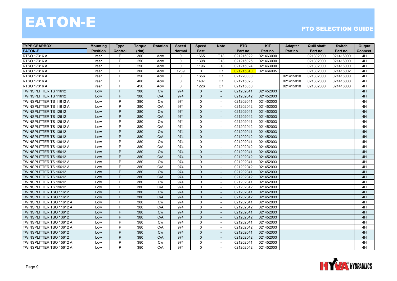| <b>TYPE GEARBOX</b>             | <b>Mounting</b> | <b>Type</b> | <b>Torque</b> | <b>Rotation</b> | <b>Speed</b>  | <b>Speed</b>   | <b>Note</b>              | <b>PTO</b> | <b>KIT</b> | <b>Adapter</b> | <b>Quill shaft</b> | <b>Switch</b> | Output   |
|---------------------------------|-----------------|-------------|---------------|-----------------|---------------|----------------|--------------------------|------------|------------|----------------|--------------------|---------------|----------|
| <b>EATON-E</b>                  | <b>Position</b> | Control     | (Nm)          |                 | <b>Normal</b> | Fast           |                          | Part no.   | Part no.   | Part no.       | Part no.           | Part no.      | Connect. |
| RTSO 17316 A                    | rear            | P           | 300           | Acw             | $\Omega$      | 1665           | G13                      | 021215022  | 021463000  |                | 021302000          | 021416000     | 4H       |
| RTSO 17316 A                    | rear            | P           | 250           | Acw             | $\mathbf 0$   | 1398           | G13                      | 021215025  | 021463000  |                | 021302000          | 021416000     | 4H       |
| RTSO 17316 A                    | rear            | P           | 250           | Acw             | $\mathbf{0}$  | 1196           | G13                      | 021215024  | 021463000  |                | 021302000          | 021416000     | 4H       |
| RTSO 17316 A                    | rear            | P           | 300           | Acw             | 1239          | $\mathbf 0$    | C7                       | 021215040  | 021464005  |                | 021302000          | 021416002     | 4H       |
| RTSO 17316 A                    | rear            | P           | 350           | Acw             | $\Omega$      | 1656           | C7                       | 021220030  |            | 021415010      | 021302000          | 021416000     | 4H       |
| RTSO 17316 A                    | rear            | P           | 400           | Acw             | $\Omega$      | 1407           | C7                       | 021215023  |            | 021415010      | 021302000          | 021416000     | 4H       |
| RTSO 17316 A                    | rear            | P           | 450           | Acw             | $\Omega$      | 1226           | C7                       | 021215050  |            | 021415010      | 021302000          | 021416000     | 4H       |
| TWINSPLITTER TS 11612           | Low             | P           | 380           | Cw              | 974           | 0              |                          | 021202041  | 021452003  |                |                    |               | 4H       |
| TWINSPLITTER TS 11612           | Low             | P           | 380           | C/A             | 974           | $\overline{0}$ |                          | 021202042  | 021452003  |                |                    |               | 4H       |
| TWINSPLITTER TS 11612 A         | Low             | P           | 380           | Cw              | 974           | $\mathbf 0$    | $\sim$                   | 021202041  | 021452003  |                |                    |               | 4H       |
| TWINSPLITTER TS 11612 A         | Low             | P           | 380           | C/A             | 974           | $\mathbf 0$    | $\sim$                   | 021202042  | 021452003  |                |                    |               | 4H       |
| <b>TWINSPLITTER TS 12612</b>    | Low             | P           | 380           | <b>Cw</b>       | 974           | $\Omega$       | $\overline{\phantom{a}}$ | 021202041  | 021452003  |                |                    |               | 4H       |
| TWINSPLITTER TS 12612           | Low             | P           | 380           | C/A             | 974           | $\overline{0}$ | $\overline{\phantom{a}}$ | 021202042  | 021452003  |                |                    |               | 4H       |
| TWINSPLITTER TS 12612 A         | Low             | P           | 380           | Cw              | 974           | $\mathbf 0$    |                          | 021202041  | 021452003  |                |                    |               | 4H       |
| TWINSPLITTER TS 12612 A         | Low             | P           | 380           | C/A             | 974           | $\mathbf 0$    |                          | 021202042  | 021452003  |                |                    |               | 4H       |
| TWINSPLITTER TS 13612           | Low             | P           | 380           | Cw              | 974           | $\Omega$       | $\sim$                   | 021202041  | 021452003  |                |                    |               | 4H       |
| <b>TWINSPLITTER TS 13612</b>    | Low             | P           | 380           | C/A             | 974           | $\Omega$       |                          | 021202042  | 021452003  |                |                    |               | 4H       |
| TWINSPLITTER TS 13612 A         | Low             | P           | 380           | Cw              | 974           | $\mathbf 0$    | $\overline{\phantom{a}}$ | 021202041  | 021452003  |                |                    |               | 4H       |
| TWINSPLITTER TS 13612 A         | Low             | P           | 380           | C/A             | 974           | $\Omega$       | $\overline{\phantom{a}}$ | 021202042  | 021452003  |                |                    |               | 4H       |
| TWINSPLITTER TS 15612           | Low             | P           | 380           | <b>Cw</b>       | 974           | $\mathbf{0}$   |                          | 021202041  | 021452003  |                |                    |               | 4H       |
| TWINSPLITTER TS 15612           | Low             | P           | 380           | C/A             | 974           | $\Omega$       |                          | 021202042  | 021452003  |                |                    |               | 4H       |
| TWINSPLITTER TS 15612 A         | Low             | P           | 380           | <b>Cw</b>       | 974           | $\Omega$       | $\sim$                   | 021202041  | 021452003  |                |                    |               | 4H       |
| TWINSPLITTER TS 15612 A         | Low             | P           | 380           | C/A             | 974           | $\mathbf 0$    | $\sim$                   | 021202042  | 021452003  |                |                    |               | 4H       |
| TWINSPLITTER TS 16612           | Low             | P           | 380           | <b>Cw</b>       | 974           | 0              | $\overline{\phantom{a}}$ | 021202041  | 021452003  |                |                    |               | 4H       |
| <b>TWINSPLITTER TS 16612</b>    | Low             | P           | 380           | C/A             | 974           | $\Omega$       | $\overline{\phantom{a}}$ | 021202042  | 021452003  |                |                    |               | 4H       |
| TWINSPLITTER TS 19612           | Low             | P           | 380           | <b>Cw</b>       | 974           | $\mathbf 0$    |                          | 021202041  | 021452003  |                |                    |               | 4H       |
| TWINSPLITTER TS 19612           | Low             | P           | 380           | C/A             | 974           | $\Omega$       |                          | 021202042  | 021452003  |                |                    |               | 4H       |
| <b>TWINSPLITTER TSO 11612</b>   | Low             | P           | 380           | Cw              | 974           | $\mathbf{0}$   |                          | 021202041  | 021452003  |                |                    |               | 4H       |
| <b>TWINSPLITTER TSO 11612</b>   | Low             | P           | 380           | C/A             | 974           | $\mathbf{0}$   | $\overline{a}$           | 021202042  | 021452003  |                |                    |               | 4H       |
| <b>TWINSPLITTER TSO 11612 A</b> | Low             | P           | 380           | Cw              | 974           | $\mathbf 0$    | $\overline{\phantom{a}}$ | 021202041  | 021452003  |                |                    |               | 4H       |
| TWINSPLITTER TSO 11612 A        | Low             | P           | 380           | C/A             | 974           | 0              | $\overline{\phantom{a}}$ | 021202042  | 021452003  |                |                    |               | 4H       |
| TWINSPLITTER TSO 13612          | Low             | P           | 380           | Cw              | 974           | $\Omega$       |                          | 021202041  | 021452003  |                |                    |               | 4H       |
| TWINSPLITTER TSO 13612          | Low             | P           | 380           | C/A             | 974           | $\mathbf{0}$   | $\sim$                   | 021202042  | 021452003  |                |                    |               | 4H       |
| TWINSPLITTER TSO 13612 A        | Low             | P           | 380           | Cw              | 974           | $\mathbf 0$    |                          | 021202041  | 021452003  |                |                    |               | 4H       |
| TWINSPLITTER TSO 13612 A        | Low             | P           | 380           | C/A             | 974           | $\mathbf 0$    | $\sim$                   | 021202042  | 021452003  |                |                    |               | 4H       |
| <b>TWINSPLITTER TSO 15612</b>   | Low             | P           | 380           | <b>Cw</b>       | 974           | $\overline{0}$ | $\overline{\phantom{a}}$ | 021202041  | 021452003  |                |                    |               | 4H       |
| TWINSPLITTER TSO 15612          | Low             | P           | 380           | C/A             | 974           | $\Omega$       | $\overline{\phantom{a}}$ | 021202042  | 021452003  |                |                    |               | 4H       |
| TWINSPLITTER TSO 15612 A        | Low             | P           | 380           | <b>Cw</b>       | 974           | $\Omega$       |                          | 021202041  | 021452003  |                |                    |               | 4H       |
| TWINSPLITTER TSO 15612 A        | Low             | P           | 380           | C/A             | 974           | 0              | $\sim$                   | 021202042  | 021452003  |                |                    |               | 4H       |

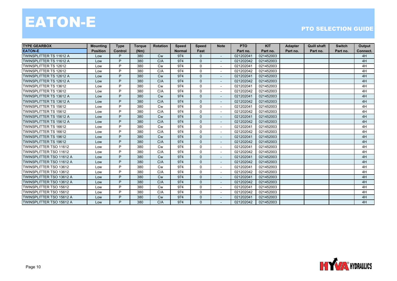| <b>TYPE GEARBOX</b>            | <b>Mounting</b> | <b>Type</b>    | <b>Torque</b> | <b>Rotation</b> | <b>Speed</b>  | <b>Speed</b> | <b>Note</b>              | <b>PTO</b> | <b>KIT</b> | <b>Adapter</b> | <b>Quill shaft</b> | <b>Switch</b> | Output   |
|--------------------------------|-----------------|----------------|---------------|-----------------|---------------|--------------|--------------------------|------------|------------|----------------|--------------------|---------------|----------|
| <b>EATON-E</b>                 | <b>Position</b> | <b>Control</b> | (Nm)          |                 | <b>Normal</b> | Fast         |                          | Part no.   | Part no.   | Part no.       | Part no.           | Part no.      | Connect. |
| TWINSPLITTER TS 11612 A        | Low             | P.             | 380           | <b>Cw</b>       | 974           | 0            |                          | 021202041  | 021452003  |                |                    |               | 4H       |
| TWINSPLITTER TS 11612 A        | Low             | P              | 380           | C/A             | 974           | $\mathbf{0}$ |                          | 021202042  | 021452003  |                |                    |               | 4H       |
| <b>TWINSPLITTER TS 12612</b>   | Low             | P              | 380           | <b>Cw</b>       | 974           | $\mathbf{0}$ | $\overline{\phantom{a}}$ | 021202041  | 021452003  |                |                    |               | 4H       |
| TWINSPLITTER TS 12612          | Low             | P              | 380           | C/A             | 974           | $\mathbf 0$  |                          | 021202042  | 021452003  |                |                    |               | 4H       |
| TWINSPLITTER TS 12612 A        | Low             | P              | 380           | <b>Cw</b>       | 974           | $\mathbf{0}$ |                          | 021202041  | 021452003  |                |                    |               | 4H       |
| TWINSPLITTER TS 12612 A        | Low             | P              | 380           | C/A             | 974           | $\Omega$     | $\sim$                   | 021202042  | 021452003  |                |                    |               | 4H       |
| <b>TWINSPLITTER TS 13612</b>   | Low             | D              | 380           | <b>Cw</b>       | 974           | $\mathbf{0}$ | $\sim$                   | 021202041  | 021452003  |                |                    |               | 4H       |
| <b>TWINSPLITTER TS 13612</b>   | Low             | P              | 380           | C/A             | 974           | $\mathbf 0$  |                          | 021202042  | 021452003  |                |                    |               | 4H       |
| <b>TWINSPLITTER TS 13612 A</b> | Low             | P              | 380           | <b>Cw</b>       | 974           | $\Omega$     | $\sim$                   | 021202041  | 021452003  |                |                    |               | 4H       |
| TWINSPLITTER TS 13612 A        | Low             | P.             | 380           | C/A             | 974           | $\Omega$     |                          | 021202042  | 021452003  |                |                    |               | 4H       |
| TWINSPLITTER TS 15612          | Low             | P              | 380           | <b>Cw</b>       | 974           | $\mathbf 0$  |                          | 021202041  | 021452003  |                |                    |               | 4H       |
| <b>TWINSPLITTER TS 15612</b>   | Low             | P              | 380           | C/A             | 974           | $\Omega$     | $\sim$                   | 021202042  | 021452003  |                |                    |               | 4H       |
| <b>TWINSPLITTER TS 15612 A</b> | Low             | P              | 380           | <b>Cw</b>       | 974           | $\Omega$     | $\sim$                   | 021202041  | 021452003  |                |                    |               | 4H       |
| <b>TWINSPLITTER TS 15612 A</b> | Low             | P              | 380           | C/A             | 974           | $\mathbf{0}$ |                          | 021202042  | 021452003  |                |                    |               | 4H       |
| TWINSPLITTER TS 16612          | Low             | P              | 380           | <b>Cw</b>       | 974           | $\mathbf 0$  | $\sim$                   | 021202041  | 021452003  |                |                    |               | 4H       |
| <b>TWINSPLITTER TS 16612</b>   | Low             | P              | 380           | C/A             | 974           | $\Omega$     | $\sim$                   | 021202042  | 021452003  |                |                    |               | 4H       |
| <b>TWINSPLITTER TS 19612</b>   | Low             | P              | 380           | Cw              | 974           | $\mathbf{0}$ |                          | 021202041  | 021452003  |                |                    |               | 4H       |
| <b>TWINSPLITTER TS 19612</b>   | Low             | P              | 380           | C/A             | 974           | $\Omega$     | $\sim$                   | 021202042  | 021452003  |                |                    |               | 4H       |
| <b>TWINSPLITTER TSO 11612</b>  | Low             | D              | 380           | <b>Cw</b>       | 974           | $\Omega$     | $\sim$                   | 021202041  | 021452003  |                |                    |               | 4H       |
| <b>TWINSPLITTER TSO 11612</b>  | Low             | P              | 380           | C/A             | 974           | 0            |                          | 021202042  | 021452003  |                |                    |               | 4H       |
| TWINSPLITTER TSO 11612 A       | Low             | P.             | 380           | <b>Cw</b>       | 974           | $\Omega$     | $\sim$                   | 021202041  | 021452003  |                |                    |               | 4H       |
| TWINSPLITTER TSO 11612 A       | Low             | P              | 380           | C/A             | 974           | $\Omega$     | $\overline{\phantom{a}}$ | 021202042  | 021452003  |                |                    |               | 4H       |
| <b>TWINSPLITTER TSO 13612</b>  | Low             | P              | 380           | <b>Cw</b>       | 974           | $\mathbf 0$  |                          | 021202041  | 021452003  |                |                    |               | 4H       |
| <b>TWINSPLITTER TSO 13612</b>  | Low             | P              | 380           | C/A             | 974           | $\Omega$     | $\sim$                   | 021202042  | 021452003  |                |                    |               | 4H       |
| TWINSPLITTER TSO 13612 A       | Low             | P              | 380           | <b>Cw</b>       | 974           | $\Omega$     | $\sim$                   | 021202041  | 021452003  |                |                    |               | 4H       |
| TWINSPLITTER TSO 13612 A       | Low             | P              | 380           | C/A             | 974           | $\mathbf{0}$ |                          | 021202042  | 021452003  |                |                    |               | 4H       |
| TWINSPLITTER TSO 15612         | Low             | P              | 380           | <b>Cw</b>       | 974           | $\Omega$     | $\overline{\phantom{a}}$ | 021202041  | 021452003  |                |                    |               | 4H       |
| <b>TWINSPLITTER TSO 15612</b>  | Low             | P              | 380           | C/A             | 974           | $\Omega$     | $\overline{\phantom{a}}$ | 021202042  | 021452003  |                |                    |               | 4H       |
| TWINSPLITTER TSO 15612 A       | Low             | P              | 380           | <b>Cw</b>       | 974           | $\mathbf{0}$ |                          | 021202041  | 021452003  |                |                    |               | 4H       |
| TWINSPLITTER TSO 15612 A       | Low             | P.             | 380           | C/A             | 974           | $\Omega$     |                          | 021202042  | 021452003  |                |                    |               | 4H       |

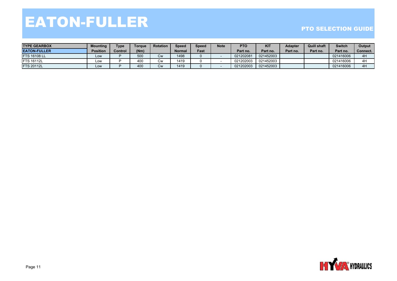## EATON-FULLE R

| <b>TYPE GEARBOX</b>  | Mounting        | <b>Type</b>    | <b>Toraue</b> | <b>Rotation</b> | <b>Speed</b> | Speed | <b>Note</b> | <b>PTO</b> | <b>KIT</b> | <b>Adapter</b> | <b>Quill shaft</b> | <b>Switch</b> | Output   |
|----------------------|-----------------|----------------|---------------|-----------------|--------------|-------|-------------|------------|------------|----------------|--------------------|---------------|----------|
| <b>IEATON-FULLER</b> | <b>Position</b> | <b>Control</b> | $N$ m         |                 | Normal       | Fast  |             | Part no.   | Part no.   | Part no.       | Part no.           | Part no.      | Connect. |
| <b>FTS 16108 LL</b>  | LOW             |                | 500           | <b>Cw</b>       | 1498         |       |             | 021202081  | 021452003  |                |                    | 021416006     | 4H       |
| <b>IFTS 16112L</b>   | Low             |                | 400           | Cw              | 1419         |       |             | 021202003  | 021452003  |                |                    | 021416006     | 4H       |
| <b>FTS 20112L</b>    | LOW             |                | 400           | <b>Cw</b>       | 1419         |       |             | 021202003  | 021452003  |                |                    | 021416006     | 4H       |

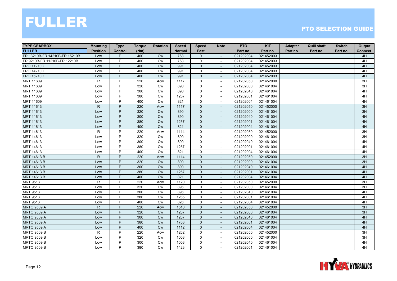| <b>TYPE GEARBOX</b>           | <b>Mounting</b> | <b>Type</b>    | <b>Torque</b> | <b>Rotation</b> | <b>Speed</b>  | <b>Speed</b>   | <b>Note</b>              | <b>PTO</b> | <b>KIT</b> | Adapter  | <b>Quill shaft</b> | <b>Switch</b> | Output   |
|-------------------------------|-----------------|----------------|---------------|-----------------|---------------|----------------|--------------------------|------------|------------|----------|--------------------|---------------|----------|
| <b>FULLER</b>                 | <b>Position</b> | <b>Control</b> | (Nm)          |                 | <b>Normal</b> | Fast           |                          | Part no.   | Part no.   | Part no. | Part no.           | Part no.      | Connect. |
| FR 13210B-FR 14210B-FR 15210B | Low             | P              | 400           | Cw              | 768           | 0              | $\sim$                   | 021202004  | 021452003  |          |                    |               | 4H       |
| FR 9210B-FR 11210B-FR 12210B  | Low             | P              | 400           | <b>Cw</b>       | 768           | $\mathbf 0$    |                          | 021202004  | 021452003  |          |                    |               | 4H       |
| <b>FRO 11210C</b>             | Low             | P              | 400           | Cw              | 991           | $\Omega$       |                          | 021202004  | 021452003  |          |                    |               | 4H       |
| <b>FRO 14210C</b>             | Low             | P              | 400           | Cw              | 991           | $\mathbf 0$    | $\blacksquare$           | 021202004  | 021452003  |          |                    |               | 4H       |
| FRO 15210C                    | Low             | P              | 400           | Cw              | 991           | $\mathbf{0}$   | $\sim$                   | 021202004  | 021452003  |          |                    |               | 4H       |
| MRT 11609                     | $\mathsf{R}$    | P              | 220           | Acw             | 1117          | $\mathbf 0$    | $\overline{\phantom{a}}$ | 021202050  | 021452000  |          |                    |               | 3H       |
| MRT 11609                     | Low             | P              | 320           | Cw              | 890           | 0              | $\blacksquare$           | 021202000  | 021461004  |          |                    |               | 3H       |
| MRT 11609                     | Low             | P              | 300           | Cw              | 890           | $\mathbf 0$    | $\sim$                   | 021202040  | 021461004  |          |                    |               | 4H       |
| MRT 11609                     | Low             | P              | 380           | <b>Cw</b>       | 1257          | $\mathbf 0$    |                          | 021202001  | 021461004  |          |                    |               | 4H       |
| MRT 11609                     | Low             | P              | 400           | Cw              | 821           | $\mathbf 0$    | $\blacksquare$           | 021202004  | 021461004  |          |                    |               | 4H       |
| <b>MRT 11613</b>              | $\mathsf{R}$    | P              | 220           | Acw             | 1117          | $\mathbf{0}$   | $\overline{\phantom{a}}$ | 021202050  | 021452000  |          |                    |               | 3H       |
| <b>MRT 11613</b>              | Low             | P              | 320           | Cw              | 890           | 0              | $\overline{\phantom{a}}$ | 021202000  | 021461004  |          |                    |               | 3H       |
| MRT 11613                     | Low             | P              | 300           | Cw              | 890           | $\mathbf{0}$   | $\overline{\phantom{a}}$ | 021202040  | 021461004  |          |                    |               | 4H       |
| <b>MRT 11613</b>              | Low             | P              | 380           | <b>Cw</b>       | 1257          | $\mathbf{0}$   |                          | 021202001  | 021461004  |          |                    |               | 4H       |
| <b>MRT 11613</b>              | Low             | P              | 400           | <b>Cw</b>       | 821           | $\mathbf{0}$   |                          | 021202004  | 021461004  |          |                    |               | 4H       |
| MRT 14613                     | $\mathsf{R}$    | P              | 220           | Acw             | 1114          | $\Omega$       | $\sim$                   | 021202050  | 021452000  |          |                    |               | 3H       |
| MRT 14613                     | Low             | P              | 320           | <b>Cw</b>       | 890           | $\mathbf 0$    | $\overline{\phantom{a}}$ | 021202000  | 021461004  |          |                    |               | 3H       |
| MRT 14613                     | Low             | P              | 300           | Cw              | 890           | $\mathbf 0$    | $\overline{\phantom{a}}$ | 021202040  | 021461004  |          |                    |               | 4H       |
| MRT 14613                     | Low             | P              | 380           | Cw              | 1257          | 0              | $\blacksquare$           | 021202001  | 021461004  |          |                    |               | 4H       |
| MRT 14613                     | Low             | P              | 400           | Cw              | 821           | $\mathbf 0$    | $\overline{\phantom{a}}$ | 021202004  | 021461004  |          |                    |               | 4H       |
| <b>MRT 14613 B</b>            | $\mathsf{R}$    | P              | 220           | Acw             | 1114          | $\mathbf{0}$   |                          | 021202050  | 021452000  |          |                    |               | 3H       |
| MRT 14613 B                   | Low             | P              | 320           | Cw              | 890           | $\mathbf{0}$   | $\sim$                   | 021202000  | 021461004  |          |                    |               | 3H       |
| MRT 14613 B                   | Low             | P              | 300           | <b>Cw</b>       | 890           | $\mathbf{0}$   | $\sim$                   | 021202040  | 021461004  |          |                    |               | 4H       |
| MRT 14613 B                   | Low             | P              | 380           | <b>Cw</b>       | 1257          | $\overline{0}$ | $\overline{\phantom{a}}$ | 021202001  | 021461004  |          |                    |               | 4H       |
| MRT 14613 B                   | Low             | P              | 400           | Cw              | 821           | $\overline{0}$ | $\overline{\phantom{a}}$ | 021202004  | 021461004  |          |                    |               | 4H       |
| MRT 9513                      | $\mathsf{R}$    | P              | 220           | Acw             | 1120          | 0              |                          | 021202050  | 021452000  |          |                    |               | 3H       |
| <b>MRT 9513</b>               | Low             | P              | 320           | Cw              | 896           | $\mathbf 0$    | $\sim$                   | 021202000  | 021461004  |          |                    |               | 3H       |
| <b>MRT 9513</b>               | Low             | P              | 300           | Cw              | 896           | $\mathbf 0$    | $\sim$                   | 021202040  | 021461004  |          |                    |               | 4H       |
| <b>MRT 9513</b>               | Low             | P              | 380           | <b>Cw</b>       | 1265          | $\mathbf 0$    | $\sim$                   | 021202001  | 021461004  |          |                    |               | 4H       |
| <b>MRT 9513</b>               | Low             | P              | 400           | <b>Cw</b>       | 826           | 0              | $\overline{\phantom{a}}$ | 021202004  | 021461004  |          |                    |               | 4H       |
| <b>MRTO 9509 A</b>            | $\mathsf{R}$    | P              | 220           | Acw             | 1510          | $\overline{0}$ | $\overline{\phantom{a}}$ | 021202050  | 021452000  |          |                    |               | 3H       |
| <b>MRTO 9509 A</b>            | Low             | P              | 320           | <b>Cw</b>       | 1207          | $\mathbf 0$    |                          | 021202000  | 021461004  |          |                    |               | 3H       |
| <b>MRTO 9509 A</b>            | Low             | P              | 300           | Cw              | 1207          | $\mathbf{0}$   | $\blacksquare$           | 021202040  | 021461004  |          |                    |               | 4H       |
| <b>MRTO 9509 A</b>            | Low             | P              | 380           | Cw              | 1703          | $\mathbf{0}$   | $\blacksquare$           | 021202001  | 021461004  |          |                    |               | 4H       |
| <b>MRTO 9509 A</b>            | Low             | P              | 400           | Cw              | 1112          | $\mathbf{0}$   | $\sim$                   | 021202004  | 021461004  |          |                    |               | 4H       |
| <b>MRTO 9509 B</b>            | R               | P              | 220           | Acw             | 1262          | 0              | $\blacksquare$           | 021202050  | 021452000  |          |                    |               | 3H       |
| <b>MRTO 9509 B</b>            | Low             | P              | 320           | Cw              | 1008          | 0              | $\overline{\phantom{a}}$ | 021202000  | 021461004  |          |                    |               | 3H       |
| <b>MRTO 9509 B</b>            | Low             | P              | 300           | <b>Cw</b>       | 1008          | $\mathbf 0$    | $\overline{\phantom{a}}$ | 021202040  | 021461004  |          |                    |               | 4H       |
| <b>MRTO 9509 B</b>            | Low             | P              | 380           | <b>Cw</b>       | 1423          | $\mathbf 0$    | $\sim$                   | 021202001  | 021461004  |          |                    |               | 4H       |

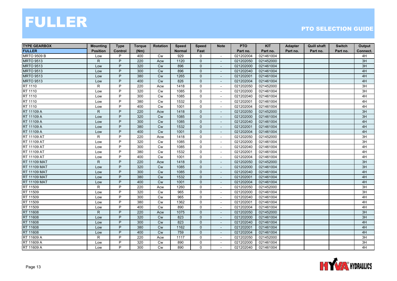| <b>TYPE GEARBOX</b> | <b>Mounting</b> | <b>Type</b>    | <b>Torque</b> | <b>Rotation</b> | <b>Speed</b>  | <b>Speed</b> | <b>Note</b>              | <b>PTO</b> | <b>KIT</b> | Adapter  | <b>Quill shaft</b> | <b>Switch</b> | Output   |
|---------------------|-----------------|----------------|---------------|-----------------|---------------|--------------|--------------------------|------------|------------|----------|--------------------|---------------|----------|
| <b>FULLER</b>       | <b>Position</b> | <b>Control</b> | (Nm)          |                 | <b>Normal</b> | Fast         |                          | Part no.   | Part no.   | Part no. | Part no.           | Part no.      | Connect. |
| <b>MRTO 9509 B</b>  | Low             | P              | 400           | <b>Cw</b>       | 929           | 0            | $\blacksquare$           | 021202004  | 021461004  |          |                    |               | 4H       |
| <b>MRTO 9513</b>    | $\mathsf{R}$    | P              | 220           | Acw             | 1120          | $\mathbf{0}$ |                          | 021202050  | 021452000  |          |                    |               | 3H       |
| <b>MRTO 9513</b>    | Low             | P              | 320           | <b>Cw</b>       | 896           | $\mathbf 0$  |                          | 021202000  | 021461004  |          |                    |               | 3H       |
| <b>MRTO 9513</b>    | Low             | P              | 300           | Cw              | 896           | $\mathbf{0}$ | $\sim$                   | 021202040  | 021461004  |          |                    |               | 4H       |
| <b>MRTO 9513</b>    | Low             | P              | 380           | <b>Cw</b>       | 1265          | $\mathbf{0}$ |                          | 021202001  | 021461004  |          |                    |               | 4H       |
| <b>MRTO 9513</b>    | Low             | P              | 400           | <b>Cw</b>       | 826           | $\mathbf{0}$ | $\overline{\phantom{a}}$ | 021202004  | 021461004  |          |                    |               | 4H       |
| RT 1110             | R               | P              | 220           | Acw             | 1418          | $\mathbf{0}$ | $\blacksquare$           | 021202050  | 021452000  |          |                    |               | 3H       |
| RT 1110             | Low             | P              | 320           | Cw              | 1085          | 0            | $\overline{\phantom{a}}$ | 021202000  | 021461004  |          |                    |               | 3H       |
| RT 1110             | Low             | P              | 300           | Cw              | 1085          | $\mathbf 0$  |                          | 021202040  | 021461004  |          |                    |               | 4H       |
| RT 1110             | Low             | P              | 380           | Cw              | 1532          | $\mathbf 0$  | $\sim$                   | 021202001  | 021461004  |          |                    |               | 4H       |
| RT 1110             | Low             | P              | 400           | <b>Cw</b>       | 1001          | $\mathbf 0$  | $\overline{\phantom{a}}$ | 021202004  | 021461004  |          |                    |               | 4H       |
| RT 11109 A          | $\mathsf{R}$    | P              | 220           | Acw             | 1418          | $\mathbf 0$  | $\overline{\phantom{a}}$ | 021202050  | 021452000  |          |                    |               | 3H       |
| RT 11109 A          | Low             | P              | 320           | Cw              | 1085          | $\mathbf{0}$ | $\overline{\phantom{a}}$ | 021202000  | 021461004  |          |                    |               | 3H       |
| RT 11109 A          | Low             | P              | 300           | Cw              | 1085          | $\mathbf 0$  |                          | 021202040  | 021461004  |          |                    |               | 4H       |
| RT 11109 A          | Low             | P              | 380           | <b>Cw</b>       | 1532          | $\mathbf{0}$ |                          | 021202001  | 021461004  |          |                    |               | 4H       |
| RT 11109 A          | Low             | P              | 400           | Cw              | 1001          | $\mathbf{0}$ | $\sim$                   | 021202004  | 021461004  |          |                    |               | 4H       |
| RT 11109 AT         | $\mathsf{R}$    | P              | 220           | Acw             | 1418          | $\mathbf 0$  | $\overline{\phantom{a}}$ | 021202050  | 021452000  |          |                    |               | 3H       |
| RT 11109 AT         | Low             | P              | 320           | <b>Cw</b>       | 1085          | 0            | $\overline{\phantom{a}}$ | 021202000  | 021461004  |          |                    |               | 3H       |
| RT 11109 AT         | Low             | P              | 300           | Cw              | 1085          | $\mathbf 0$  | $\blacksquare$           | 021202040  | 021461004  |          |                    |               | 4H       |
| RT 11109 AT         | Low             | P              | 380           | Cw              | 1532          | $\mathbf 0$  | ÷.                       | 021202001  | 021461004  |          |                    |               | 4H       |
| RT 11109 AT         | Low             | P              | 400           | <b>Cw</b>       | 1001          | $\mathbf 0$  |                          | 021202004  | 021461004  |          |                    |               | 4H       |
| <b>RT 11109 MAT</b> | R.              | P              | 220           | Acw             | 1418          | $\mathbf{0}$ | $\overline{a}$           | 021202050  | 021452000  |          |                    |               | 3H       |
| <b>RT 11109 MAT</b> | Low             | P              | 320           | Cw              | 1085          | $\mathbf{0}$ | $\blacksquare$           | 021202000  | 021461004  |          |                    |               | 3H       |
| RT 11109 MAT        | Low             | P              | 300           | <b>Cw</b>       | 1085          | $\mathbf 0$  | $\overline{\phantom{a}}$ | 021202040  | 021461004  |          |                    |               | 4H       |
| <b>RT 11109 MAT</b> | Low             | P              | 380           | <b>Cw</b>       | 1532          | $\mathbf{0}$ | $\sim$                   | 021202001  | 021461004  |          |                    |               | 4H       |
| <b>RT 11109 MAT</b> | Low             | P              | 400           | Cw              | 1001          | $\mathbf{0}$ |                          | 021202004  | 021461004  |          |                    |               | 4H       |
| RT 11509            | R               | P              | 220           | Acw             | 1260          | $\mathbf 0$  | $\sim$                   | 021202050  | 021452000  |          |                    |               | 3H       |
| RT 11509            | Low             | P              | 320           | <b>Cw</b>       | 965           | $\mathbf 0$  |                          | 021202000  | 021461004  |          |                    |               | 3H       |
| RT 11509            | Low             | P              | 300           | <b>Cw</b>       | 965           | $\mathbf 0$  | $\overline{\phantom{a}}$ | 021202040  | 021461004  |          |                    |               | 4H       |
| RT 11509            | Low             | P              | 380           | <b>Cw</b>       | 1362          | $\mathbf 0$  | $\overline{\phantom{a}}$ | 021202001  | 021461004  |          |                    |               | 4H       |
| RT 11509            | Low             | P              | 400           | <b>Cw</b>       | 890           | 0            | $\overline{\phantom{a}}$ | 021202004  | 021461004  |          |                    |               | 4H       |
| RT 11608            | $\mathsf{R}$    | P              | 220           | Acw             | 1075          | $\mathbf{0}$ |                          | 021202050  | 021452000  |          |                    |               | 3H       |
| RT 11608            | Low             | P              | 320           | <b>Cw</b>       | 823           | $\mathbf 0$  | $\overline{\phantom{a}}$ | 021202000  | 021461004  |          |                    |               | 3H       |
| RT 11608            | Low             | P              | 300           | Cw              | 823           | $\mathbf 0$  |                          | 021202040  | 021461004  |          |                    |               | 4H       |
| RT 11608            | Low             | P              | 380           | <b>Cw</b>       | 1162          | $\mathbf{0}$ | $\overline{a}$           | 021202001  | 021461004  |          |                    |               | 4H       |
| RT 11608            | Low             | P              | 400           | <b>Cw</b>       | 759           | $\mathbf{0}$ | $\sim$                   | 021202004  | 021461004  |          |                    |               | 4H       |
| RT 11609 A          | $\mathsf{R}$    | P              | 220           | Acw             | 1117          | $\mathbf 0$  | $\overline{\phantom{a}}$ | 021202050  | 021452000  |          |                    |               | 3H       |
| RT 11609 A          | Low             | P              | 320           | <b>Cw</b>       | 890           | $\mathbf{0}$ |                          | 021202000  | 021461004  |          |                    |               | 3H       |
| RT 11609 A          | Low             | P              | 300           | <b>Cw</b>       | 890           | $\mathbf 0$  | $\overline{\phantom{a}}$ | 021202040  | 021461004  |          |                    |               | 4H       |

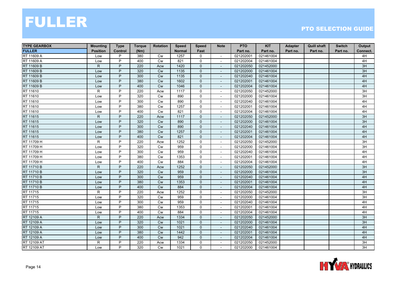| <b>TYPE GEARBOX</b> | <b>Mounting</b> | <b>Type</b>    | <b>Torque</b> | <b>Rotation</b> | <b>Speed</b>  | <b>Speed</b> | <b>Note</b>              | <b>PTO</b> | <b>KIT</b> | Adapter  | <b>Quill shaft</b> | <b>Switch</b> | Output          |
|---------------------|-----------------|----------------|---------------|-----------------|---------------|--------------|--------------------------|------------|------------|----------|--------------------|---------------|-----------------|
| <b>FULLER</b>       | <b>Position</b> | <b>Control</b> | (Nm)          |                 | <b>Normal</b> | Fast         |                          | Part no.   | Part no.   | Part no. | Part no.           | Part no.      | Connect.        |
| RT 11609 A          | Low             | P              | 380           | Cw              | 1257          | $\mathbf 0$  | $\blacksquare$           | 021202001  | 021461004  |          |                    |               | 4H              |
| RT 11609 A          | Low             | P              | 400           | <b>Cw</b>       | 821           | $\mathbf 0$  |                          | 021202004  | 021461004  |          |                    |               | 4H              |
| RT 11609 B          | $\mathsf{R}$    | P              | 220           | Acw             | 1420          | $\mathbf{0}$ |                          | 021202050  | 021452000  |          |                    |               | 3H              |
| RT 11609 B          | Low             | P              | 320           | <b>Cw</b>       | 1135          | $\mathbf{0}$ | $\blacksquare$           | 021202000  | 021461004  |          |                    |               | 3H              |
| RT 11609 B          | Low             | P              | 300           | <b>Cw</b>       | 1135          | $\mathbf 0$  | $\blacksquare$           | 021202040  | 021461004  |          |                    |               | 4H              |
| RT 11609 B          | Low             | P              | 380           | <b>Cw</b>       | 1602          | $\mathbf 0$  | $\overline{\phantom{a}}$ | 021202001  | 021461004  |          |                    |               | 4H              |
| RT 11609 B          | Low             | P              | 400           | Cw              | 1046          | $\mathbf{0}$ | $\sim$                   | 021202004  | 021461004  |          |                    |               | 4H              |
| RT 11610            | $\mathsf{R}$    | P              | 220           | Acw             | 1117          | $\mathbf 0$  |                          | 021202050  | 021452000  |          |                    |               | 3H              |
| RT 11610            | Low             | P              | 320           | Cw              | 890           | $\mathbf 0$  |                          | 021202000  | 021461004  |          |                    |               | 3H              |
| RT 11610            | Low             | P              | 300           | <b>Cw</b>       | 890           | $\mathbf 0$  | $\sim$                   | 021202040  | 021461004  |          |                    |               | 4H              |
| RT 11610            | Low             | P              | 380           | Cw              | 1257          | $\mathbf 0$  | $\overline{\phantom{a}}$ | 021202001  | 021461004  |          |                    |               | 4H              |
| RT 11610            | Low             | P              | 400           | <b>Cw</b>       | 821           | 0            | $\overline{\phantom{a}}$ | 021202004  | 021461004  |          |                    |               | 4H              |
| RT 11615            | $\mathsf{R}$    | P              | 220           | Acw             | 1117          | $\mathbf{0}$ | $\overline{\phantom{a}}$ | 021202050  | 021452000  |          |                    |               | 3H              |
| RT 11615            | Low             | P              | 320           | Cw              | 890           | $\mathbf{0}$ |                          | 021202000  | 021461004  |          |                    |               | 3H              |
| RT 11615            | Low             | P              | 300           | Cw              | 890           | $\mathbf 0$  |                          | 021202040  | 021461004  |          |                    |               | 4H              |
| RT 11615            | Low             | P              | 380           | <b>Cw</b>       | 1257          | $\Omega$     | $\overline{a}$           | 021202001  | 021461004  |          |                    |               | 4H              |
| RT 11615            | Low             | P              | 400           | <b>Cw</b>       | 821           | $\mathbf{0}$ | $\overline{\phantom{a}}$ | 021202004  | 021461004  |          |                    |               | 4H              |
| RT 11709 H          | $\mathsf R$     | P              | 220           | Acw             | 1252          | $\mathbf 0$  | $\overline{\phantom{a}}$ | 021202050  | 021452000  |          |                    |               | 3H              |
| RT 11709 H          | Low             | P              | 320           | Cw              | 959           | $\mathbf 0$  | $\blacksquare$           | 021202000  | 021461004  |          |                    |               | 3H              |
| RT 11709 H          | Low             | P              | 300           | Cw              | 959           | $\mathbf 0$  |                          | 021202040  | 021461004  |          |                    |               | 4H              |
| RT 11709 H          | Low             | P              | 380           | Cw              | 1353          | $\mathbf 0$  | $\sim$                   | 021202001  | 021461004  |          |                    |               | 4H              |
| RT 11709 H          | Low             | P              | 400           | <b>Cw</b>       | 884           | $\mathbf 0$  | $\sim$                   | 021202004  | 021461004  |          |                    |               | 4H              |
| <b>RT 11710 B</b>   | $\mathsf{R}$    | P              | 220           | Acw             | 1252          | $\mathbf{0}$ | $\overline{a}$           | 021202050  | 021452000  |          |                    |               | 3H              |
| RT 11710 B          | Low             | P              | 320           | <b>Cw</b>       | 959           | $\mathbf{0}$ | $\overline{\phantom{a}}$ | 021202000  | 021461004  |          |                    |               | 3H              |
| RT 11710 B          | Low             | P              | 300           | <b>Cw</b>       | 959           | $\mathbf{0}$ | $\blacksquare$           | 021202040  | 021461004  |          |                    |               | 4H              |
| RT 11710 B          | Low             | P              | 380           | <b>Cw</b>       | 1353          | $\mathbf{0}$ |                          | 021202001  | 021461004  |          |                    |               | 4H              |
| RT 11710 B          | Low             | P              | 400           | <b>Cw</b>       | 884           | $\mathbf{0}$ | $\overline{a}$           | 021202004  | 021461004  |          |                    |               | 4H              |
| RT 11715            | $\mathsf{R}$    | P              | 220           | Acw             | 1252          | $\mathbf 0$  | $\sim$                   | 021202050  | 021452000  |          |                    |               | $\overline{3H}$ |
| RT 11715            | Low             | P              | 320           | <b>Cw</b>       | 959           | $\mathbf 0$  | $\sim$                   | 021202000  | 021461004  |          |                    |               | 3H              |
| RT 11715            | Low             | P              | 300           | Cw              | 959           | $\mathbf 0$  | $\overline{\phantom{a}}$ | 021202040  | 021461004  |          |                    |               | 4H              |
| RT 11715            | Low             | P              | 380           | Cw              | 1353          | $\mathbf 0$  | $\overline{\phantom{a}}$ | 021202001  | 021461004  |          |                    |               | 4H              |
| RT 11715            | Low             | P              | 400           | Cw              | 884           | $\mathbf 0$  | $\overline{\phantom{a}}$ | 021202004  | 021461004  |          |                    |               | 4H              |
| RT 12109 A          | $\mathsf{R}$    | P              | 220           | Acw             | 1334          | $\mathbf 0$  | $\sim$                   | 021202050  | 021452000  |          |                    |               | 3H              |
| RT 12109 A          | Low             | P              | 320           | <b>Cw</b>       | 1021          | $\mathbf{0}$ | $\sim$                   | 021202000  | 021461004  |          |                    |               | 3H              |
| RT 12109 A          | Low             | P              | 300           | <b>Cw</b>       | 1021          | $\mathbf{0}$ |                          | 021202040  | 021461004  |          |                    |               | 4H              |
| RT 12109 A          | Low             | P              | 380           | <b>Cw</b>       | 1442          | $\mathbf 0$  | $\blacksquare$           | 021202001  | 021461004  |          |                    |               | 4H              |
| RT 12109 A          | Low             | P              | 400           | <b>Cw</b>       | 942           | $\Omega$     | $\sim$                   | 021202004  | 021461004  |          |                    |               | 4H              |
| RT 12109 AT         | $\mathsf{R}$    | P              | 220           | Acw             | 1334          | $\mathbf 0$  | $\overline{\phantom{a}}$ | 021202050  | 021452000  |          |                    |               | 3H              |
| RT 12109 AT         | Low             | P              | 320           | <b>Cw</b>       | 1021          | 0            | $\sim$                   | 021202000  | 021461004  |          |                    |               | 3H              |

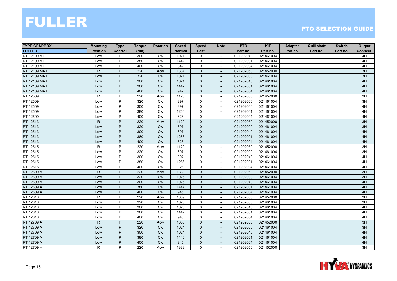| <b>TYPE GEARBOX</b> | <b>Mounting</b> | <b>Type</b>    | <b>Torque</b> | <b>Rotation</b> | <b>Speed</b>  | <b>Speed</b> | <b>Note</b>              | <b>PTO</b> | <b>KIT</b> | Adapter  | <b>Quill shaft</b> | <b>Switch</b> | Output   |
|---------------------|-----------------|----------------|---------------|-----------------|---------------|--------------|--------------------------|------------|------------|----------|--------------------|---------------|----------|
| <b>FULLER</b>       | <b>Position</b> | <b>Control</b> | (Nm)          |                 | <b>Normal</b> | Fast         |                          | Part no.   | Part no.   | Part no. | Part no.           | Part no.      | Connect. |
| RT 12109 AT         | Low             | P              | 300           | Cw              | 1021          | $\mathbf 0$  | $\blacksquare$           | 021202040  | 021461004  |          |                    |               | 4H       |
| RT 12109 AT         | Low             | P              | 380           | <b>Cw</b>       | 1442          | $\mathbf{0}$ |                          | 021202001  | 021461004  |          |                    |               | 4H       |
| RT 12109 AT         | Low             | P              | 400           | <b>Cw</b>       | 942           | $\mathbf 0$  |                          | 021202004  | 021461004  |          |                    |               | 4H       |
| RT 12109 MAT        | $\mathsf{R}$    | P              | 220           | Acw             | 1334          | $\mathbf{0}$ | $\blacksquare$           | 021202050  | 021452000  |          |                    |               | 3H       |
| <b>RT</b> 12109 MAT | Low             | P              | 320           | <b>Cw</b>       | 1021          | $\mathbf{0}$ | $\blacksquare$           | 021202000  | 021461004  |          |                    |               | 3H       |
| <b>RT 12109 MAT</b> | Low             | P              | 300           | <b>Cw</b>       | 1021          | $\mathbf 0$  | $\overline{\phantom{a}}$ | 021202040  | 021461004  |          |                    |               | 4H       |
| <b>RT 12109 MAT</b> | Low             | P              | 380           | Cw              | 1442          | $\mathbf{0}$ | $\blacksquare$           | 021202001  | 021461004  |          |                    |               | 4H       |
| <b>RT 12109 MAT</b> | Low             | P              | 400           | <b>Cw</b>       | 942           | $\mathbf{0}$ |                          | 021202004  | 021461004  |          |                    |               | 4H       |
| RT 12509            | R               | P              | 220           | Acw             | 1120          | $\mathbf 0$  |                          | 021202050  | 021452000  |          |                    |               | 3H       |
| RT 12509            | Low             | P              | 320           | <b>Cw</b>       | 897           | $\Omega$     | $\sim$                   | 021202000  | 021461004  |          |                    |               | 3H       |
| RT 12509            | Low             | P              | 300           | <b>Cw</b>       | 897           | $\mathsf{O}$ | $\overline{\phantom{a}}$ | 021202040  | 021461004  |          |                    |               | 4H       |
| RT 12509            | Low             | P              | 380           | <b>Cw</b>       | 1266          | 0            | $\overline{\phantom{a}}$ | 021202001  | 021461004  |          |                    |               | 4H       |
| RT 12509            | Low             | P              | 400           | Cw              | 826           | $\mathbf 0$  | $\blacksquare$           | 021202004  | 021461004  |          |                    |               | 4H       |
| RT 12513            | $\mathsf{R}$    | P              | 220           | Acw             | 1120          | $\mathbf{0}$ |                          | 021202050  | 021452000  |          |                    |               | 3H       |
| RT 12513            | Low             | P              | 320           | <b>Cw</b>       | 897           | $\mathbf 0$  |                          | 021202000  | 021461004  |          |                    |               | 3H       |
| RT 12513            | Low             | P              | 300           | <b>Cw</b>       | 897           | $\Omega$     | $\overline{a}$           | 021202040  | 021461004  |          |                    |               | 4H       |
| RT 12513            | Low             | P              | 380           | <b>Cw</b>       | 1266          | $\mathbf{0}$ | $\overline{\phantom{a}}$ | 021202001  | 021461004  |          |                    |               | 4H       |
| RT 12513            | Low             | P              | 400           | <b>Cw</b>       | 826           | $\mathbf 0$  | $\overline{\phantom{a}}$ | 021202004  | 021461004  |          |                    |               | 4H       |
| RT 12515            | R               | P              | 220           | Acw             | 1120          | $\mathbf 0$  | $\blacksquare$           | 021202050  | 021452000  |          |                    |               | 3H       |
| RT 12515            | Low             | P              | 320           | <b>Cw</b>       | 897           | $\mathbf 0$  |                          | 021202000  | 021461004  |          |                    |               | 3H       |
| RT 12515            | Low             | P              | 300           | Cw              | 897           | $\mathbf 0$  | $\sim$                   | 021202040  | 021461004  |          |                    |               | 4H       |
| RT 12515            | Low             | P              | 380           | <b>Cw</b>       | 1266          | $\mathbf 0$  | $\overline{\phantom{a}}$ | 021202001  | 021461004  |          |                    |               | 4H       |
| RT 12515            | Low             | P              | 400           | <b>Cw</b>       | 826           | $\mathbf 0$  | ÷                        | 021202004  | 021461004  |          |                    |               | 4H       |
| RT 12609 A          | $\mathsf{R}$    | P              | 220           | Acw             | 1339          | $\mathbf{0}$ | $\overline{\phantom{a}}$ | 021202050  | 021452000  |          |                    |               | 3H       |
| RT 12609 A          | Low             | P              | 320           | <b>Cw</b>       | 1025          | $\mathbf{0}$ | $\blacksquare$           | 021202000  | 021461004  |          |                    |               | 3H       |
| RT 12609 A          | Low             | P              | 300           | <b>Cw</b>       | 1025          | $\mathbf{0}$ |                          | 021202040  | 021461004  |          |                    |               | 4H       |
| RT 12609 A          | Low             | P              | 380           | <b>Cw</b>       | 1447          | $\mathbf{0}$ | $\overline{a}$           | 021202001  | 021461004  |          |                    |               | 4H       |
| RT 12609 A          | Low             | P              | 400           | <b>Cw</b>       | 946           | $\mathbf{0}$ | $\overline{a}$           | 021202004  | 021461004  |          |                    |               | 4H       |
| RT 12610            | R               | P              | 220           | Acw             | 1339          | $\mathbf 0$  | $\sim$                   | 021202050  | 021452000  |          |                    |               | 3H       |
| RT 12610            | Low             | P              | 320           | Cw              | 1025          | $\mathbf 0$  | $\overline{\phantom{a}}$ | 021202000  | 021461004  |          |                    |               | 3H       |
| RT 12610            | Low             | P              | 300           | Cw              | 1025          | $\mathbf 0$  | $\overline{\phantom{a}}$ | 021202040  | 021461004  |          |                    |               | 4H       |
| RT 12610            | Low             | P              | 380           | <b>Cw</b>       | 1447          | $\mathsf{O}$ | $\overline{\phantom{a}}$ | 021202001  | 021461004  |          |                    |               | 4H       |
| RT 12610            | Low             | P              | 400           | Cw              | 946           | $\mathsf{O}$ | $\overline{\phantom{a}}$ | 021202004  | 021461004  |          |                    |               | 4H       |
| RT 12709 A          | $\mathsf{R}$    | P              | 220           | Acw             | 1338          | $\mathbf{0}$ | $\sim$                   | 021202050  | 021452000  |          |                    |               | 3H       |
| <b>RT 12709 A</b>   | Low             | P              | 320           | <b>Cw</b>       | 1024          | $\mathbf{0}$ |                          | 021202000  | 021461004  |          |                    |               | 3H       |
| RT 12709 A          | Low             | P              | 300           | <b>Cw</b>       | 1024          | $\mathbf 0$  | $\blacksquare$           | 021202040  | 021461004  |          |                    |               | 4H       |
| RT 12709 A          | Low             | P              | 380           | <b>Cw</b>       | 1446          | $\Omega$     | $\sim$                   | 021202001  | 021461004  |          |                    |               | 4H       |
| RT 12709 A          | Low             | P              | 400           | <b>Cw</b>       | 945           | $\mathbf{0}$ | $\overline{\phantom{a}}$ | 021202004  | 021461004  |          |                    |               | 4H       |
| RT 12709 H          | R               | P              | 220           | Acw             | 1338          | 0            | $\sim$                   | 021202050  | 021452000  |          |                    |               | 3H       |

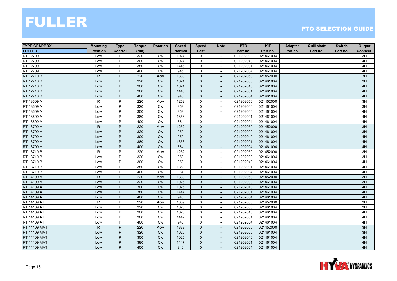| <b>TYPE GEARBOX</b> | <b>Mounting</b> | <b>Type</b>    | <b>Torque</b> | <b>Rotation</b> | <b>Speed</b>  | <b>Speed</b> | <b>Note</b>              | <b>PTO</b> | <b>KIT</b> | Adapter  | <b>Quill shaft</b> | <b>Switch</b> | Output   |
|---------------------|-----------------|----------------|---------------|-----------------|---------------|--------------|--------------------------|------------|------------|----------|--------------------|---------------|----------|
| <b>FULLER</b>       | <b>Position</b> | <b>Control</b> | (Nm)          |                 | <b>Normal</b> | Fast         |                          | Part no.   | Part no.   | Part no. | Part no.           | Part no.      | Connect. |
| RT 12709 H          | Low             | P              | 320           | Cw              | 1024          | 0            | $\overline{\phantom{a}}$ | 021202000  | 021461004  |          |                    |               | 3H       |
| RT 12709 H          | Low             | P              | 300           | <b>Cw</b>       | 1024          | $\Omega$     | $\sim$                   | 021202040  | 021461004  |          |                    |               | 4H       |
| RT 12709 H          | Low             | P              | 380           | <b>Cw</b>       | 1446          | $\mathbf 0$  | $\overline{\phantom{a}}$ | 021202001  | 021461004  |          |                    |               | 4H       |
| RT 12709 H          | Low             | P              | 400           | Cw              | 945           | $\mathsf{O}$ | $\overline{\phantom{a}}$ | 021202004  | 021461004  |          |                    |               | 4H       |
| RT 12710 B          | $\mathsf{R}$    | P              | 220           | Acw             | 1338          | $\mathbf{0}$ | $\blacksquare$           | 021202050  | 021452000  |          |                    |               | 3H       |
| RT 12710 B          | Low             | P              | 320           | <b>Cw</b>       | 1024          | $\mathbf{0}$ | $\sim$                   | 021202000  | 021461004  |          |                    |               | 3H       |
| RT 12710 B          | Low             | P              | 300           | <b>Cw</b>       | 1024          | $\mathbf{0}$ | $\overline{\phantom{a}}$ | 021202040  | 021461004  |          |                    |               | 4H       |
| RT 12710 B          | Low             | P              | 380           | Cw              | 1446          | $\mathbf{0}$ |                          | 021202001  | 021461004  |          |                    |               | 4H       |
| RT 12710 B          | Low             | P              | 400           | <b>Cw</b>       | 945           | $\mathbf{0}$ | $\overline{\phantom{a}}$ | 021202004  | 021461004  |          |                    |               | 4H       |
| RT 13609 A          | $\mathsf{R}$    | P              | 220           | Acw             | 1252          | $\mathbf 0$  | $\overline{\phantom{a}}$ | 021202050  | 021452000  |          |                    |               | 3H       |
| RT 13609 A          | Low             | P              | 320           | <b>Cw</b>       | 959           | $\mathsf{O}$ | $\sim$                   | 021202000  | 021461004  |          |                    |               | 3H       |
| RT 13609 A          | Low             | P              | 300           | <b>Cw</b>       | 959           | $\mathbf 0$  | $\sim$                   | 021202040  | 021461004  |          |                    |               | 4H       |
| RT 13609 A          | Low             | P              | 380           | Cw              | 1353          | $\mathsf{O}$ | $\overline{\phantom{a}}$ | 021202001  | 021461004  |          |                    |               | 4H       |
| RT 13609 A          | Low             | P              | 400           | <b>Cw</b>       | 884           | $\mathbf 0$  | $\mathbf{r}$             | 021202004  | 021461004  |          |                    |               | 4H       |
| RT 13709 H          | $\mathsf{R}$    | P              | 220           | Acw             | 1252          | $\mathbf{0}$ | $\overline{a}$           | 021202050  | 021452000  |          |                    |               | 3H       |
| RT 13709 H          | Low             | P              | 320           | <b>Cw</b>       | 959           | $\mathbf{0}$ |                          | 021202000  | 021461004  |          |                    |               | 3H       |
| RT 13709 H          | Low             | P              | 300           | <b>Cw</b>       | 959           | $\mathbf{0}$ | $\blacksquare$           | 021202040  | 021461004  |          |                    |               | 4H       |
| RT 13709 H          | Low             | P              | 380           | <b>Cw</b>       | 1353          | $\mathbf 0$  | $\overline{\phantom{a}}$ | 021202001  | 021461004  |          |                    |               | 4H       |
| RT 13709 H          | Low             | P              | 400           | Cw              | 884           | $\mathbf 0$  | $\overline{\phantom{a}}$ | 021202004  | 021461004  |          |                    |               | 4H       |
| RT 13710 B          | $\mathsf{R}$    | P              | 220           | Acw             | 1252          | $\mathbf 0$  | $\mathbf{r}$             | 021202050  | 021452000  |          |                    |               | 3H       |
| RT 13710 B          | Low             | P              | 320           | <b>Cw</b>       | 959           | $\mathbf 0$  | $\sim$                   | 021202000  | 021461004  |          |                    |               | 3H       |
| RT 13710 B          | Low             | P              | 300           | <b>Cw</b>       | 959           | $\mathbf 0$  |                          | 021202040  | 021461004  |          |                    |               | 4H       |
| RT 13710 B          | Low             | P              | 380           | <b>Cw</b>       | 1353          | $\mathbf 0$  | $\sim$                   | 021202001  | 021461004  |          |                    |               | 4H       |
| RT 13710 B          | Low             | P              | 400           | <b>Cw</b>       | 884           | $\mathbf 0$  | $\overline{\phantom{a}}$ | 021202004  | 021461004  |          |                    |               | 4H       |
| RT 14109 A          | $\mathsf{R}$    | P              | 220           | Acw             | 1339          | $\mathbf 0$  | $\overline{\phantom{a}}$ | 021202050  | 021452000  |          |                    |               | 3H       |
| RT 14109 A          | Low             | P              | 320           | Cw              | 1025          | $\mathbf{0}$ | $\blacksquare$           | 021202000  | 021461004  |          |                    |               | 3H       |
| RT 14109 A          | Low             | P              | 300           | <b>Cw</b>       | 1025          | $\mathbf{0}$ | $\overline{a}$           | 021202040  | 021461004  |          |                    |               | 4H       |
| RT 14109 A          | Low             | P              | 380           | <b>Cw</b>       | 1447          | $\mathbf{0}$ |                          | 021202001  | 021461004  |          |                    |               | 4H       |
| RT 14109 A          | Low             | P              | 400           | Cw              | 946           | $\mathbf{0}$ | $\overline{a}$           | 021202004  | 021461004  |          |                    |               | 4H       |
| RT 14109 AT         | R               | P              | 220           | Acw             | 1339          | $\mathbf 0$  | $\sim$                   | 021202050  | 021452000  |          |                    |               | 3H       |
| RT 14109 AT         | Low             | P              | 320           | Cw              | 1025          | $\mathsf{O}$ | $\overline{\phantom{a}}$ | 021202000  | 021461004  |          |                    |               | 3H       |
| RT 14109 AT         | Low             | P              | 300           | Cw              | 1025          | $\mathsf{O}$ |                          | 021202040  | 021461004  |          |                    |               | 4H       |
| RT 14109 AT         | Low             | P              | 380           | Cw              | 1447          | $\mathbf 0$  | $\overline{\phantom{a}}$ | 021202001  | 021461004  |          |                    |               | 4H       |
| RT 14109 AT         | Low             | P              | 400           | Cw              | 946           | $\mathsf{O}$ |                          | 021202004  | 021461004  |          |                    |               | 4H       |
| <b>RT 14109 MAT</b> | $\mathsf{R}$    | P              | 220           | Acw             | 1339          | $\mathbf{0}$ | $\sim$                   | 021202050  | 021452000  |          |                    |               | 3H       |
| <b>RT 14109 MAT</b> | Low             | P              | 320           | <b>Cw</b>       | 1025          | $\mathbf{0}$ | $\sim$                   | 021202000  | 021461004  |          |                    |               | 3H       |
| <b>RT 14109 MAT</b> | Low             | P              | 300           | <b>Cw</b>       | 1025          | $\mathbf{0}$ | $\sim$                   | 021202040  | 021461004  |          |                    |               | 4H       |
| <b>RT 14109 MAT</b> | Low             | P              | 380           | <b>Cw</b>       | 1447          | $\mathbf{0}$ |                          | 021202001  | 021461004  |          |                    |               | 4H       |
| RT 14109 MAT        | Low             | P              | 400           | <b>Cw</b>       | 946           | $\mathbf{0}$ | $\overline{\phantom{a}}$ | 021202004  | 021461004  |          |                    |               | 4H       |

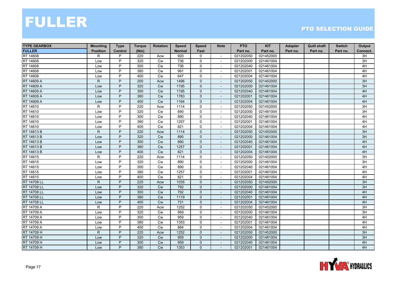| <b>TYPE GEARBOX</b> | <b>Mounting</b> | <b>Type</b>    | <b>Torque</b> | <b>Rotation</b> | <b>Speed</b>  | <b>Speed</b> | <b>Note</b>              | <b>PTO</b> | <b>KIT</b> | <b>Adapter</b> | <b>Quill shaft</b> | <b>Switch</b> | Output   |
|---------------------|-----------------|----------------|---------------|-----------------|---------------|--------------|--------------------------|------------|------------|----------------|--------------------|---------------|----------|
| <b>FULLER</b>       | <b>Position</b> | <b>Control</b> | (Nm)          |                 | <b>Normal</b> | Fast         |                          | Part no.   | Part no.   | Part no.       | Part no.           | Part no.      | Connect. |
| RT 14608            | R               | P              | 220           | Acw             | 920           | 0            | $\sim$                   | 021202050  | 021452000  |                |                    |               | 3H       |
| RT 14608            | Low             | P              | 320           | Cw              | 736           | $\mathbf 0$  | $\overline{\phantom{a}}$ | 021202000  | 021461004  |                |                    |               | 3H       |
| RT 14608            | Low             | P              | 300           | Cw              | 736           | 0            |                          | 021202040  | 021461004  |                |                    |               | 4H       |
| RT 14608            | Low             | P              | 380           | Cw              | 991           | $\mathbf 0$  | $\sim$                   | 021202001  | 021461004  |                |                    |               | 4H       |
| RT 14608            | Low             | P              | 400           | <b>Cw</b>       | 647           | $\mathbf 0$  |                          | 021202004  | 021461004  |                |                    |               | 4H       |
| RT 14609 A          | $\mathsf{R}$    | P              | 200           | Acw             | 1496          | $\mathbf 0$  | $\overline{\phantom{a}}$ | 021202050  | 021452000  |                |                    |               | 3H       |
| RT 14609 A          | Low             | P              | 320           | Cw              | 1195          | $\Omega$     | $\overline{\phantom{a}}$ | 021202000  | 021461004  |                |                    |               | 3H       |
| RT 14609 A          | Low             | P              | 300           | Cw              | 1195          | $\mathbf 0$  |                          | 021202040  | 021461004  |                |                    |               | 4H       |
| RT 14609 A          | Low             | P              | 380           | Cw              | 1783          | $\mathbf 0$  |                          | 021202001  | 021461004  |                |                    |               | 4H       |
| RT 14609 A          | Low             | P              | 400           | Cw              | 1164          | $\mathbf{0}$ | $\mathbf{r}$             | 021202004  | 021461004  |                |                    |               | 4H       |
| RT 14610            | R.              | P              | 220           | Acw             | 1114          | 0            | $\overline{\phantom{a}}$ | 021202050  | 021452000  |                |                    |               | 3H       |
| RT 14610            | Low             | P              | 320           | <b>Cw</b>       | 890           | 0            | $\overline{\phantom{a}}$ | 021202000  | 021461004  |                |                    |               | 3H       |
| RT 14610            | Low             | P              | 300           | <b>Cw</b>       | 890           | $\mathbf 0$  | $\overline{\phantom{a}}$ | 021202040  | 021461004  |                |                    |               | 4H       |
| RT 14610            | Low             | P              | 380           | <b>Cw</b>       | 1257          | 0            |                          | 021202001  | 021461004  |                |                    |               | 4H       |
| RT 14610            | Low             | P              | 400           | Cw              | 821           | $\mathbf 0$  |                          | 021202004  | 021461004  |                |                    |               | 4H       |
| RT 14613 B          | R.              | P              | 220           | Acw             | 1114          | $\mathbf{0}$ | $\sim$                   | 021202050  | 021452000  |                |                    |               | 3H       |
| RT 14613 B          | Low             | P              | 320           | <b>Cw</b>       | 890           | $\mathbf{0}$ |                          | 021202000  | 021461004  |                |                    |               | 3H       |
| RT 14613 B          | Low             | P              | 300           | <b>Cw</b>       | 890           | $\mathbf 0$  | $\overline{\phantom{a}}$ | 021202040  | 021461004  |                |                    |               | 4H       |
| RT 14613 B          | Low             | P              | 380           | Cw              | 1257          | $\mathbf 0$  | $\blacksquare$           | 021202001  | 021461004  |                |                    |               | 4H       |
| RT 14613 B          | Low             | P              | 400           | Cw              | 821           | $\mathbf{0}$ |                          | 021202004  | 021461004  |                |                    |               | 4H       |
| RT 14615            | R               | P              | 220           | Acw             | 1114          | $\mathbf 0$  |                          | 021202050  | 021452000  |                |                    |               | 3H       |
| RT 14615            | Low             | P              | 320           | Cw              | 890           | $\mathbf 0$  | ÷                        | 021202000  | 021461004  |                |                    |               | 3H       |
| RT 14615            | Low             | P              | 300           | <b>Cw</b>       | 890           | $\mathsf{O}$ | ÷.                       | 021202040  | 021461004  |                |                    |               | 4H       |
| RT 14615            | Low             | P              | 380           | <b>Cw</b>       | 1257          | 0            | $\overline{\phantom{a}}$ | 021202001  | 021461004  |                |                    |               | 4H       |
| RT 14615            | Low             | P              | 400           | <b>Cw</b>       | 821           | $\mathbf 0$  | $\overline{\phantom{a}}$ | 021202004  | 021461004  |                |                    |               | 4H       |
| RT 14708 LL         | $\mathsf{R}$    | P              | 220           | Acw             | 1035          | $\mathbf{0}$ |                          | 021202050  | 021452000  |                |                    |               | 3H       |
| RT 14708 LL         | Low             | P              | 320           | <b>Cw</b>       | 792           | $\mathbf{0}$ |                          | 021202000  | 021461004  |                |                    |               | 3H       |
| RT 14708 LL         | Low             | P              | 300           | Cw              | 792           | $\mathbf 0$  | $\overline{\phantom{a}}$ | 021202040  | 021461004  |                |                    |               | 4H       |
| <b>RT 14708 LL</b>  | Low             | P              | 380           | Cw              | 1119          | $\mathbf{0}$ | $\blacksquare$           | 021202001  | 021461004  |                |                    |               | 4H       |
| <b>RT 14708 LL</b>  | Low             | P              | 400           | <b>Cw</b>       | 731           | $\mathbf 0$  | $\overline{\phantom{a}}$ | 021202004  | 021461004  |                |                    |               | 4H       |
| RT 14709 A          | $\mathsf{R}$    | P              | 220           | Acw             | 1252          | 0            | $\overline{\phantom{a}}$ | 021202050  | 021452000  |                |                    |               | 3H       |
| RT 14709 A          | Low             | P              | 320           | Cw              | 959           | $\mathbf 0$  |                          | 021202000  | 021461004  |                |                    |               | 3H       |
| RT 14709 A          | Low             | P              | 300           | Cw              | 959           | 0            | $\overline{\phantom{a}}$ | 021202040  | 021461004  |                |                    |               | 4H       |
| RT 14709 A          | Low             | P              | 380           | Cw              | 1353          | $\mathsf{O}$ |                          | 021202001  | 021461004  |                |                    |               | 4H       |
| RT 14709 A          | Low             | $\overline{P}$ | 400           | <b>Cw</b>       | 884           | $\mathbf 0$  | $\sim$                   | 021202004  | 021461004  |                |                    |               | 4H       |
| RT 14709 H          | $\mathsf{R}$    | P              | 220           | Acw             | 1252          | $\mathbf{0}$ | $\sim$                   | 021202050  | 021452000  |                |                    |               | 3H       |
| RT 14709 H          | Low             | P              | 320           | <b>Cw</b>       | 959           | $\mathbf{0}$ | $\overline{\phantom{a}}$ | 021202000  | 021461004  |                |                    |               | 3H       |
| RT 14709 H          | Low             | P              | 300           | <b>Cw</b>       | 959           | $\Omega$     |                          | 021202040  | 021461004  |                |                    |               | 4H       |
| RT 14709 H          | Low             | P              | 380           | <b>Cw</b>       | 1353          | $\mathbf{0}$ | $\overline{\phantom{a}}$ | 021202001  | 021461004  |                |                    |               | 4H       |

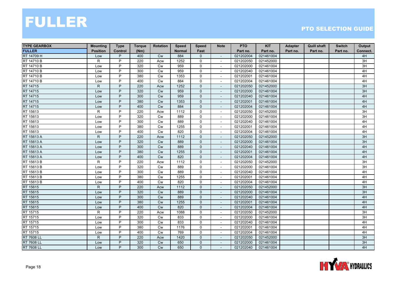| <b>TYPE GEARBOX</b> | <b>Mounting</b> | <b>Type</b>    | <b>Torque</b> | <b>Rotation</b> | <b>Speed</b>  | <b>Speed</b> | <b>Note</b>              | <b>PTO</b> | <b>KIT</b> | <b>Adapter</b> | <b>Quill shaft</b> | <b>Switch</b> | Output   |
|---------------------|-----------------|----------------|---------------|-----------------|---------------|--------------|--------------------------|------------|------------|----------------|--------------------|---------------|----------|
| <b>FULLER</b>       | <b>Position</b> | <b>Control</b> | (Nm)          |                 | <b>Normal</b> | Fast         |                          | Part no.   | Part no.   | Part no.       | Part no.           | Part no.      | Connect. |
| RT 14709 H          | Low             | P              | 400           | <b>Cw</b>       | 884           | $\Omega$     | $\sim$                   | 021202004  | 021461004  |                |                    |               | 4H       |
| RT 14710 B          | R               | P              | 220           | Acw             | 1252          | $\mathbf 0$  | $\overline{\phantom{a}}$ | 021202050  | 021452000  |                |                    |               | 3H       |
| RT 14710 B          | Low             | P              | 320           | <b>Cw</b>       | 959           | $\mathbf 0$  |                          | 021202000  | 021461004  |                |                    |               | 3H       |
| <b>RT 14710 B</b>   | Low             | P              | 300           | Cw              | 959           | $\mathbf 0$  | $\overline{\phantom{a}}$ | 021202040  | 021461004  |                |                    |               | 4H       |
| RT 14710 B          | Low             | P              | 380           | Cw              | 1353          | $\mathbf 0$  |                          | 021202001  | 021461004  |                |                    |               | 4H       |
| RT 14710 B          | Low             | P              | 400           | <b>Cw</b>       | 884           | $\mathbf 0$  | $\overline{\phantom{a}}$ | 021202004  | 021461004  |                |                    |               | 4H       |
| RT 14715            | $\mathsf{R}$    | P              | 220           | Acw             | 1252          | $\Omega$     | $\sim$                   | 021202050  | 021452000  |                |                    |               | 3H       |
| RT 14715            | Low             | P              | 320           | <b>Cw</b>       | 959           | $\mathbf{0}$ |                          | 021202000  | 021461004  |                |                    |               | 3H       |
| RT 14715            | Low             | P              | 300           | <b>Cw</b>       | 959           | $\mathbf 0$  |                          | 021202040  | 021461004  |                |                    |               | 4H       |
| RT 14715            | Low             | P              | 380           | <b>Cw</b>       | 1353          | $\mathbf{0}$ | $\mathbf{r}$             | 021202001  | 021461004  |                |                    |               | 4H       |
| RT 14715            | Low             | P              | 400           | Cw              | 884           | $\mathbf{0}$ | $\overline{\phantom{a}}$ | 021202004  | 021461004  |                |                    |               | 4H       |
| RT 15613            | R               | P              | 220           | Acw             | 1112          | $\mathbf 0$  | $\overline{\phantom{a}}$ | 021202050  | 021452000  |                |                    |               | 3H       |
| RT 15613            | Low             | P              | 320           | Cw              | 889           | $\mathbf 0$  | $\blacksquare$           | 021202000  | 021461004  |                |                    |               | 3H       |
| RT 15613            | Low             | P              | 300           | <b>Cw</b>       | 889           | $\mathbf 0$  |                          | 021202040  | 021461004  |                |                    |               | 4H       |
| RT 15613            | Low             | P              | 380           | Cw              | 1255          | $\mathbf 0$  |                          | 021202001  | 021461004  |                |                    |               | 4H       |
| RT 15613            | Low             | P              | 400           | <b>Cw</b>       | 820           | $\Omega$     | $\sim$                   | 021202004  | 021461004  |                |                    |               | 4H       |
| RT 15613 A          | $\mathsf{R}$    | P              | 220           | Acw             | 1112          | $\mathbf{0}$ |                          | 021202050  | 021452000  |                |                    |               | 3H       |
| RT 15613 A          | Low             | P              | 320           | <b>Cw</b>       | 889           | $\mathbf 0$  | $\overline{\phantom{a}}$ | 021202000  | 021461004  |                |                    |               | 3H       |
| RT 15613 A          | Low             | P              | 300           | <b>Cw</b>       | 889           | $\mathbf{0}$ | $\overline{\phantom{a}}$ | 021202040  | 021461004  |                |                    |               | 4H       |
| RT 15613 A          | Low             | P              | 380           | <b>Cw</b>       | 1255          | $\mathbf{0}$ |                          | 021202001  | 021461004  |                |                    |               | 4H       |
| RT 15613 A          | Low             | P              | 400           | Cw              | 820           | $\mathbf{0}$ |                          | 021202004  | 021461004  |                |                    |               | 4H       |
| RT 15613 B          | $\mathsf{R}$    | P              | 220           | Acw             | 1112          | $\mathbf 0$  | $\sim$                   | 021202050  | 021452000  |                |                    |               | 3H       |
| RT 15613 B          | Low             | P              | 320           | Cw              | 889           | $\mathbf 0$  | $\sim$                   | 021202000  | 021461004  |                |                    |               | 3H       |
| RT 15613 B          | Low             | P              | 300           | <b>Cw</b>       | 889           | $\mathbf 0$  | $\overline{\phantom{a}}$ | 021202040  | 021461004  |                |                    |               | 4H       |
| RT 15613 B          | Low             | P              | 380           | Cw              | 1255          | $\mathbf 0$  | $\overline{\phantom{a}}$ | 021202001  | 021461004  |                |                    |               | 4H       |
| RT 15613 B          | Low             | P              | 400           | Cw              | 820           | $\mathbf 0$  |                          | 021202004  | 021461004  |                |                    |               | 4H       |
| RT 15615            | $\mathsf{R}$    | P              | 220           | Acw             | 1112          | $\mathbf{0}$ |                          | 021202050  | 021452000  |                |                    |               | 3H       |
| RT 15615            | Low             | P              | 320           | <b>Cw</b>       | 889           | $\mathbf{0}$ | $\blacksquare$           | 021202000  | 021461004  |                |                    |               | 3H       |
| RT 15615            | Low             | P              | 300           | <b>Cw</b>       | 889           | $\mathbf{0}$ | $\blacksquare$           | 021202040  | 021461004  |                |                    |               | 4H       |
| RT 15615            | Low             | P              | 380           | <b>Cw</b>       | 1255          | $\mathbf 0$  | $\overline{\phantom{a}}$ | 021202001  | 021461004  |                |                    |               | 4H       |
| RT 15615            | Low             | P              | 400           | Cw              | 820           | $\mathbf{0}$ | $\overline{\phantom{a}}$ | 021202004  | 021461004  |                |                    |               | 4H       |
| RT 15715            | $\mathsf{R}$    | P              | 220           | Acw             | 1088          | $\mathbf 0$  |                          | 021202050  | 021452000  |                |                    |               | 3H       |
| RT 15715            | Low             | P              | 320           | Cw              | 833           | $\mathbf 0$  | $\overline{\phantom{a}}$ | 021202000  | 021461004  |                |                    |               | 3H       |
| RT 15715            | Low             | P              | 300           | Cw              | 833           | $\mathbf 0$  |                          | 021202040  | 021461004  |                |                    |               | 4H       |
| RT 15715            | Low             | P              | 380           | Cw              | 1176          | $\mathbf 0$  | $\sim$                   | 021202001  | 021461004  |                |                    |               | 4H       |
| RT 15715            | Low             | P              | 400           | Cw              | 769           | $\mathbf 0$  | $\overline{\phantom{a}}$ | 021202004  | 021461004  |                |                    |               | 4H       |
| <b>RT 7608 LL</b>   | $\mathsf{R}$    | P              | 220           | Acw             | 1420          | $\mathbf{0}$ | $\overline{\phantom{a}}$ | 021202050  | 021452000  |                |                    |               | 3H       |
| <b>RT 7608 LL</b>   | Low             | P              | 320           | <b>Cw</b>       | 650           | $\Omega$     |                          | 021202000  | 021461004  |                |                    |               | 3H       |
| <b>RT 7608 LL</b>   | Low             | P              | 300           | Cw              | 650           | $\mathbf{0}$ | $\overline{\phantom{a}}$ | 021202040  | 021461004  |                |                    |               | 4H       |

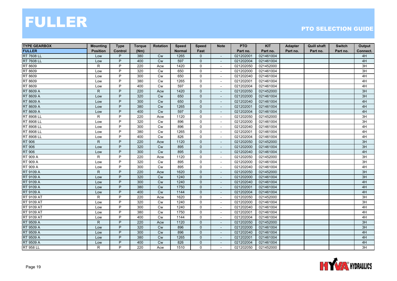| <b>TYPE GEARBOX</b> | <b>Mounting</b> | <b>Type</b>    | <b>Torque</b> | <b>Rotation</b> | <b>Speed</b>  | <b>Speed</b>   | <b>Note</b>              | <b>PTO</b> | <b>KIT</b> | Adapter  | <b>Quill shaft</b> | <b>Switch</b> | Output   |
|---------------------|-----------------|----------------|---------------|-----------------|---------------|----------------|--------------------------|------------|------------|----------|--------------------|---------------|----------|
| <b>FULLER</b>       | <b>Position</b> | Control        | (Nm)          |                 | <b>Normal</b> | Fast           |                          | Part no.   | Part no.   | Part no. | Part no.           | Part no.      | Connect. |
| <b>RT 7608 LL</b>   | Low             | P              | 380           | <b>Cw</b>       | 1265          | 0              | $\overline{\phantom{a}}$ | 021202001  | 021461004  |          |                    |               | 4H       |
| <b>RT 7608 LL</b>   | Low             | P              | 400           | <b>Cw</b>       | 597           | $\mathbf{0}$   |                          | 021202004  | 021461004  |          |                    |               | 4H       |
| RT 8609             | R               | P              | 220           | Acw             | 1420          | $\mathsf{O}$   |                          | 021202050  | 021452000  |          |                    |               | 3H       |
| RT 8609             | Low             | P              | 320           | Cw              | 650           | $\mathbf 0$    | $\sim$                   | 021202000  | 021461004  |          |                    |               | 3H       |
| RT 8609             | Low             | P              | 300           | <b>Cw</b>       | 650           | 0              |                          | 021202040  | 021461004  |          |                    |               | 4H       |
| RT 8609             | Low             | P              | 380           | Cw              | 1265          | 0              | $\overline{\phantom{a}}$ | 021202001  | 021461004  |          |                    |               | 4H       |
| RT 8609             | Low             | P              | 400           | <b>Cw</b>       | 597           | $\Omega$       | $\blacksquare$           | 021202004  | 021461004  |          |                    |               | 4H       |
| RT 8609 A           | $\mathsf{R}$    | P              | 220           | Acw             | 1420          | $\mathbf 0$    |                          | 021202050  | 021452000  |          |                    |               | 3H       |
| RT 8609 A           | Low             | P              | 320           | Cw              | 650           | $\mathbf 0$    |                          | 021202000  | 021461004  |          |                    |               | 3H       |
| RT 8609 A           | Low             | P              | 300           | Cw              | 650           | $\mathbf{0}$   | $\blacksquare$           | 021202040  | 021461004  |          |                    |               | 4H       |
| RT 8609 A           | Low             | P              | 380           | <b>Cw</b>       | 1265          | $\mathbf 0$    | $\overline{\phantom{a}}$ | 021202001  | 021461004  |          |                    |               | 4H       |
| RT 8609 A           | Low             | P              | 400           | <b>Cw</b>       | 597           | $\mathbf{0}$   | $\overline{\phantom{a}}$ | 021202004  | 021461004  |          |                    |               | 4H       |
| <b>RT 8908 LL</b>   | R               | P              | 220           | Acw             | 1120          | $\mathbf 0$    | $\overline{\phantom{a}}$ | 021202050  | 021452000  |          |                    |               | 3H       |
| RT 8908 LL          | Low             | P              | 320           | <b>Cw</b>       | 896           | 0              | $\blacksquare$           | 021202000  | 021461004  |          |                    |               | 3H       |
| RT 8908 LL          | Low             | P              | 300           | Cw              | 896           | 0              |                          | 021202040  | 021461004  |          |                    |               | 4H       |
| RT 8908 LL          | Low             | P              | 380           | Cw              | 1265          | $\mathbf 0$    | $\sim$                   | 021202001  | 021461004  |          |                    |               | 4H       |
| RT 8908 LL          | Low             | P              | 400           | <b>Cw</b>       | 826           | 0              | $\overline{\phantom{a}}$ | 021202004  | 021461004  |          |                    |               | 4H       |
| <b>RT 906</b>       | $\mathsf{R}$    | P              | 220           | Acw             | 1120          | $\mathbf 0$    | $\overline{\phantom{a}}$ | 021202050  | 021452000  |          |                    |               | 3H       |
| <b>RT 906</b>       | Low             | P              | 320           | Cw              | 895           | $\mathbf{0}$   | $\overline{\phantom{a}}$ | 021202000  | 021461004  |          |                    |               | 3H       |
| <b>RT 906</b>       | Low             | P              | 300           | <b>Cw</b>       | 895           | $\mathbf 0$    |                          | 021202040  | 021461004  |          |                    |               | 4H       |
| <b>RT 909 A</b>     | R               | P              | 220           | Acw             | 1120          | 0              | $\overline{\phantom{a}}$ | 021202050  | 021452000  |          |                    |               | 3H       |
| <b>RT 909 A</b>     | Low             | P              | 320           | <b>Cw</b>       | 895           | $\mathbf 0$    | $\sim$                   | 021202000  | 021461004  |          |                    |               | 3H       |
| <b>RT 909 A</b>     | Low             | P              | 300           | Cw              | 895           | $\mathsf{O}$   | $\sim$                   | 021202040  | 021461004  |          |                    |               | 4H       |
| RT 9109 A           | $\mathsf{R}$    | P              | 220           | Acw             | 1620          | 0              | $\overline{\phantom{a}}$ | 021202050  | 021452000  |          |                    |               | 3H       |
| RT 9109 A           | Low             | P              | 320           | Cw              | 1240          | $\overline{0}$ | $\overline{\phantom{a}}$ | 021202000  | 021461004  |          |                    |               | 3H       |
| <b>RT 9109 A</b>    | Low             | P              | 300           | <b>Cw</b>       | 1240          | $\mathbf{0}$   |                          | 021202040  | 021461004  |          |                    |               | 4H       |
| <b>RT 9109 A</b>    | Low             | P              | 380           | <b>Cw</b>       | 1750          | $\mathbf{0}$   |                          | 021202001  | 021461004  |          |                    |               | 4H       |
| RT 9109 A           | Low             | P              | 400           | Cw              | 1144          | $\mathbf 0$    |                          | 021202004  | 021461004  |          |                    |               | 4H       |
| <b>RT 9109 AT</b>   | R               | P              | 220           | Acw             | 1620          | 0              | $\sim$                   | 021202050  | 021452000  |          |                    |               | 3H       |
| RT 9109 AT          | Low             | P              | 320           | <b>Cw</b>       | 1240          | 0              | $\sim$                   | 021202000  | 021461004  |          |                    |               | 3H       |
| <b>RT 9109 AT</b>   | Low             | P              | 300           | Cw              | 1240          | 0              | $\blacksquare$           | 021202040  | 021461004  |          |                    |               | 4H       |
| <b>RT 9109 AT</b>   | Low             | P              | 380           | Cw              | 1750          | $\mathsf{O}$   |                          | 021202001  | 021461004  |          |                    |               | 4H       |
| <b>RT 9109 AT</b>   | Low             | P              | 400           | Cw              | 1144          | 0              | $\overline{\phantom{a}}$ | 021202004  | 021461004  |          |                    |               | 4H       |
| RT 9509 A           | $\mathsf{R}$    | P              | 220           | Acw             | 1120          | $\mathbf 0$    | $\overline{\phantom{a}}$ | 021202050  | 021452000  |          |                    |               | 3H       |
| RT 9509 A           | Low             | $\overline{P}$ | 320           | Cw              | 896           | $\mathbf{0}$   | $\mathbf{r}$             | 021202000  | 021461004  |          |                    |               | 3H       |
| RT 9509 A           | Low             | P              | 300           | <b>Cw</b>       | 896           | $\mathbf{0}$   | $\overline{\phantom{a}}$ | 021202040  | 021461004  |          |                    |               | 4H       |
| RT 9509 A           | Low             | P              | 380           | <b>Cw</b>       | 1265          | $\mathbf{0}$   | $\sim$                   | 021202001  | 021461004  |          |                    |               | 4H       |
| RT 9509 A           | Low             | P              | 400           | <b>Cw</b>       | 826           | $\mathbf{0}$   |                          | 021202004  | 021461004  |          |                    |               | 4H       |
| <b>RT 958 LL</b>    | R               | P              | 220           | Acw             | 1510          | 0              | $\overline{\phantom{a}}$ | 021202050  | 021452000  |          |                    |               | 3H       |

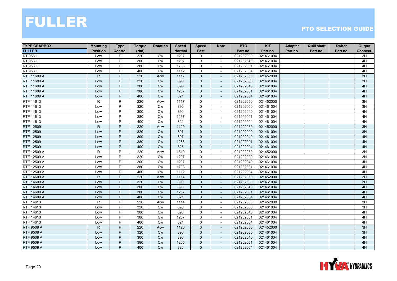| <b>TYPE GEARBOX</b> | <b>Mounting</b> | <b>Type</b> | <b>Torque</b> | <b>Rotation</b> | <b>Speed</b>  | <b>Speed</b>   | <b>Note</b>              | <b>PTO</b> | <b>KIT</b> | Adapter  | <b>Quill shaft</b> | <b>Switch</b> | Output          |
|---------------------|-----------------|-------------|---------------|-----------------|---------------|----------------|--------------------------|------------|------------|----------|--------------------|---------------|-----------------|
| <b>FULLER</b>       | <b>Position</b> | Control     | (Nm)          |                 | <b>Normal</b> | Fast           |                          | Part no.   | Part no.   | Part no. | Part no.           | Part no.      | Connect.        |
| <b>RT 958 LL</b>    | Low             | P           | 320           | Cw              | 1207          | 0              | $\sim$                   | 021202000  | 021461004  |          |                    |               | 3H              |
| <b>RT 958 LL</b>    | Low             | P           | 300           | <b>Cw</b>       | 1207          | $\mathbf 0$    |                          | 021202040  | 021461004  |          |                    |               | 4H              |
| <b>RT 958 LL</b>    | Low             | P           | 380           | Cw              | 1703          | 0              |                          | 021202001  | 021461004  |          |                    |               | 4H              |
| <b>RT 958 LL</b>    | Low             | P           | 400           | Cw              | 1112          | 0              |                          | 021202004  | 021461004  |          |                    |               | 4H              |
| RTF 11609 A         | $\mathsf{R}$    | P           | 220           | Acw             | 1117          | $\mathbf{0}$   | $\sim$                   | 021202050  | 021452000  |          |                    |               | 3H              |
| <b>RTF 11609 A</b>  | Low             | P           | 320           | <b>Cw</b>       | 890           | $\mathbf 0$    | $\overline{\phantom{a}}$ | 021202000  | 021461004  |          |                    |               | 3H              |
| RTF 11609 A         | Low             | P           | 300           | <b>Cw</b>       | 890           | $\mathbf{0}$   | $\sim$                   | 021202040  | 021461004  |          |                    |               | 4H              |
| RTF 11609 A         | Low             | P           | 380           | <b>Cw</b>       | 1257          | $\mathbf{0}$   |                          | 021202001  | 021461004  |          |                    |               | 4H              |
| RTF 11609 A         | Low             | P           | 400           | Cw              | 821           | $\mathbf 0$    |                          | 021202004  | 021461004  |          |                    |               | 4H              |
| RTF 11613           | R               | P           | 220           | Acw             | 1117          | 0              | $\sim$                   | 021202050  | 021452000  |          |                    |               | 3H              |
| RTF 11613           | Low             | P           | 320           | Cw              | 890           | 0              | $\sim$                   | 021202000  | 021461004  |          |                    |               | $\overline{3H}$ |
| RTF 11613           | Low             | P           | 300           | <b>Cw</b>       | 890           | 0              | $\sim$                   | 021202040  | 021461004  |          |                    |               | 4H              |
| RTF 11613           | Low             | P           | 380           | Cw              | 1257          | $\mathbf 0$    | $\overline{\phantom{a}}$ | 021202001  | 021461004  |          |                    |               | 4H              |
| RTF 11613           | Low             | P           | 400           | <b>Cw</b>       | 821           | $\mathbf 0$    | $\blacksquare$           | 021202004  | 021461004  |          |                    |               | 4H              |
| RTF 12509           | ${\sf R}$       | P           | 220           | Acw             | 1120          | $\mathbf 0$    |                          | 021202050  | 021452000  |          |                    |               | 3H              |
| <b>RTF 12509</b>    | Low             | P           | 320           | Cw              | 897           | $\mathbf 0$    | $\sim$                   | 021202000  | 021461004  |          |                    |               | 3H              |
| RTF 12509           | Low             | P           | 300           | <b>Cw</b>       | 897           | $\mathbf{0}$   | $\sim$                   | 021202040  | 021461004  |          |                    |               | 4H              |
| RTF 12509           | Low             | P           | 380           | <b>Cw</b>       | 1266          | 0              | $\overline{\phantom{a}}$ | 021202001  | 021461004  |          |                    |               | 4H              |
| RTF 12509           | Low             | P           | 400           | <b>Cw</b>       | 826           | $\mathbf{0}$   | $\overline{\phantom{a}}$ | 021202004  | 021461004  |          |                    |               | 4H              |
| RTF 12509 A         | $\mathsf{R}$    | P           | 220           | Acw             | 1510          | $\mathbf 0$    | $\sim$                   | 021202050  | 021452000  |          |                    |               | 3H              |
| RTF 12509 A         | Low             | P           | 320           | Cw              | 1207          | 0              | $\sim$                   | 021202000  | 021461004  |          |                    |               | 3H              |
| RTF 12509 A         | Low             | P           | 300           | Cw              | 1207          | 0              | $\sim$                   | 021202040  | 021461004  |          |                    |               | 4H              |
| RTF 12509 A         | Low             | P           | 380           | Cw              | 1703          | $\mathsf{O}$   | $\sim$                   | 021202001  | 021461004  |          |                    |               | 4H              |
| RTF 12509 A         | Low             | P           | 400           | <b>Cw</b>       | 1112          | 0              | $\overline{\phantom{a}}$ | 021202004  | 021461004  |          |                    |               | 4H              |
| RTF 14609 A         | $\mathsf{R}$    | P           | 220           | Acw             | 1114          | $\mathbf{0}$   | $\overline{\phantom{a}}$ | 021202050  | 021452000  |          |                    |               | 3H              |
| RTF 14609 A         | Low             | P           | 320           | <b>Cw</b>       | 890           | $\mathbf{0}$   |                          | 021202000  | 021461004  |          |                    |               | 3H              |
| RTF 14609 A         | Low             | P           | 300           | <b>Cw</b>       | 890           | $\mathbf 0$    | $\overline{\phantom{a}}$ | 021202040  | 021461004  |          |                    |               | 4H              |
| <b>RTF 14609 A</b>  | Low             | P           | 380           | Cw              | 1257          | $\mathbf 0$    |                          | 021202001  | 021461004  |          |                    |               | 4H              |
| RTF 14609 A         | Low             | P           | 400           | Cw              | 821           | $\mathbf{0}$   | $\sim$                   | 021202004  | 021461004  |          |                    |               | 4H              |
| RTF 14613           | R               | P           | 220           | Acw             | 1114          | 0              | $\sim$                   | 021202050  | 021452000  |          |                    |               | 3H              |
| RTF 14613           | Low             | P           | 320           | <b>Cw</b>       | 890           | 0              | $\overline{\phantom{a}}$ | 021202000  | 021461004  |          |                    |               | 3H              |
| RTF 14613           | Low             | P           | 300           | Cw              | 890           | $\mathbf{0}$   |                          | 021202040  | 021461004  |          |                    |               | 4H              |
| RTF 14613           | Low             | P           | 380           | Cw              | 1257          | 0              | $\overline{\phantom{a}}$ | 021202001  | 021461004  |          |                    |               | 4H              |
| RTF 14613           | Low             | P           | 400           | Cw              | 821           | 0              |                          | 021202004  | 021461004  |          |                    |               | 4H              |
| <b>RTF 9509 A</b>   | $\mathsf{R}$    | P           | 220           | Acw             | 1120          | $\mathbf{0}$   | $\sim$                   | 021202050  | 021452000  |          |                    |               | 3H              |
| <b>RTF 9509 A</b>   | Low             | P           | 320           | <b>Cw</b>       | 896           | $\mathbf{0}$   | $\overline{\phantom{a}}$ | 021202000  | 021461004  |          |                    |               | 3H              |
| <b>RTF 9509 A</b>   | Low             | P           | 300           | <b>Cw</b>       | 896           | $\mathbf{0}$   | $\overline{\phantom{a}}$ | 021202040  | 021461004  |          |                    |               | 4H              |
| <b>RTF 9509 A</b>   | Low             | P           | 380           | Cw              | 1265          | $\mathbf{0}$   |                          | 021202001  | 021461004  |          |                    |               | 4H              |
| <b>RTF 9509 A</b>   | Low             | P           | 400           | Cw              | 826           | $\overline{0}$ | $\overline{\phantom{a}}$ | 021202004  | 021461004  |          |                    |               | 4H              |

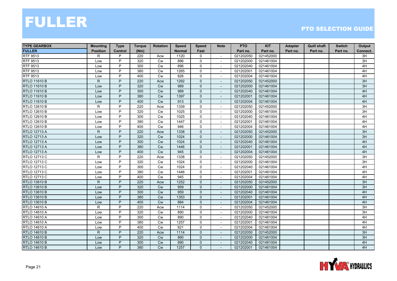| <b>TYPE GEARBOX</b> | <b>Mounting</b> | <b>Type</b>    | <b>Torque</b> | <b>Rotation</b> | <b>Speed</b>  | <b>Speed</b> | <b>Note</b>              | <b>PTO</b> | <b>KIT</b> | Adapter  | <b>Quill shaft</b> | <b>Switch</b> | Output   |
|---------------------|-----------------|----------------|---------------|-----------------|---------------|--------------|--------------------------|------------|------------|----------|--------------------|---------------|----------|
| <b>FULLER</b>       | <b>Position</b> | <b>Control</b> | (Nm)          |                 | <b>Normal</b> | Fast         |                          | Part no.   | Part no.   | Part no. | Part no.           | Part no.      | Connect. |
| RTF 9513            | R               | P              | 220           | Acw             | 1120          | 0            | $\sim$                   | 021202050  | 021452000  |          |                    |               | 3H       |
| RTF 9513            | Low             | P              | 320           | <b>Cw</b>       | 896           | $\mathbf 0$  | $\overline{\phantom{a}}$ | 021202000  | 021461004  |          |                    |               | 3H       |
| RTF 9513            | Low             | P              | 300           | Cw              | 896           | $\mathbf 0$  |                          | 021202040  | 021461004  |          |                    |               | 4H       |
| <b>RTF 9513</b>     | Low             | P              | 380           | Cw              | 1265          | $\mathbf 0$  | $\overline{\phantom{a}}$ | 021202001  | 021461004  |          |                    |               | 4H       |
| RTF 9513            | Low             | P              | 400           | <b>Cw</b>       | 826           | $\mathbf 0$  |                          | 021202004  | 021461004  |          |                    |               | 4H       |
| <b>RTLO 11610 B</b> | $\mathsf{R}$    | P              | 220           | Acw             | 1292          | $\mathbf{0}$ | $\overline{\phantom{a}}$ | 021202050  | 021452000  |          |                    |               | 3H       |
| <b>RTLO 11610 B</b> | Low             | P              | 320           | Cw              | 989           | $\Omega$     | $\overline{\phantom{a}}$ | 021202000  | 021461004  |          |                    |               | 3H       |
| <b>RTLO 11610 B</b> | Low             | P              | 300           | Cw              | 989           | $\mathbf 0$  |                          | 021202040  | 021461004  |          |                    |               | 4H       |
| <b>RTLO 11610 B</b> | Low             | P              | 380           | <b>Cw</b>       | 1397          | $\mathbf 0$  |                          | 021202001  | 021461004  |          |                    |               | 4H       |
| <b>RTLO 11610 B</b> | Low             | P              | 400           | Cw              | 913           | $\mathbf{0}$ | $\sim$                   | 021202004  | 021461004  |          |                    |               | 4H       |
| RTLO 12610 B        | $\mathsf{R}$    | P              | 220           | Acw             | 1339          | $\mathbf 0$  | $\overline{\phantom{a}}$ | 021202050  | 021452000  |          |                    |               | 3H       |
| RTLO 12610 B        | Low             | P              | 320           | <b>Cw</b>       | 1025          | 0            | $\overline{\phantom{a}}$ | 021202000  | 021461004  |          |                    |               | 3H       |
| <b>RTLO 12610 B</b> | Low             | P              | 300           | <b>Cw</b>       | 1025          | $\mathbf 0$  | $\overline{\phantom{a}}$ | 021202040  | 021461004  |          |                    |               | 4H       |
| RTLO 12610 B        | Low             | P              | 380           | <b>Cw</b>       | 1447          | $\mathbf 0$  |                          | 021202001  | 021461004  |          |                    |               | 4H       |
| RTLO 12610 B        | Low             | P              | 400           | Cw              | 946           | $\mathbf 0$  |                          | 021202004  | 021461004  |          |                    |               | 4H       |
| <b>RTLO 12713 A</b> | $\mathsf{R}$    | P              | 220           | Acw             | 1338          | $\mathbf{0}$ | $\sim$                   | 021202050  | 021452000  |          |                    |               | 3H       |
| <b>RTLO 12713 A</b> | Low             | P              | 320           | <b>Cw</b>       | 1024          | $\mathbf{0}$ |                          | 021202000  | 021461004  |          |                    |               | 3H       |
| <b>RTLO 12713 A</b> | Low             | P              | 300           | <b>Cw</b>       | 1024          | $\mathbf 0$  | $\overline{\phantom{a}}$ | 021202040  | 021461004  |          |                    |               | 4H       |
| <b>RTLO 12713 A</b> | Low             | P              | 380           | Cw              | 1446          | $\mathbf{0}$ | $\overline{\phantom{a}}$ | 021202001  | 021461004  |          |                    |               | $4H$     |
| <b>RTLO 12713 A</b> | Low             | P              | 400           | Cw              | 945           | $\mathbf{0}$ |                          | 021202004  | 021461004  |          |                    |               | 4H       |
| RTLO 12713 C        | R               | P              | 220           | Acw             | 1338          | $\mathbf 0$  |                          | 021202050  | 021452000  |          |                    |               | 3H       |
| RTLO 12713 C        | Low             | P              | 320           | <b>Cw</b>       | 1024          | $\mathbf 0$  | $\sim$                   | 021202000  | 021461004  |          |                    |               | 3H       |
| RTLO 12713 C        | Low             | P              | 300           | <b>Cw</b>       | 1024          | $\mathbf 0$  | ÷.                       | 021202040  | 021461004  |          |                    |               | 4H       |
| RTLO 12713 C        | Low             | P              | 380           | <b>Cw</b>       | 1446          | 0            | $\overline{\phantom{a}}$ | 021202001  | 021461004  |          |                    |               | 4H       |
| RTLO 12713 C        | Low             | P              | 400           | <b>Cw</b>       | 945           | $\mathbf 0$  | $\overline{\phantom{a}}$ | 021202004  | 021461004  |          |                    |               | 4H       |
| <b>RTLO 13610 B</b> | $\mathsf{R}$    | P              | 220           | Acw             | 1252          | $\mathbf{0}$ |                          | 021202050  | 021452000  |          |                    |               | 3H       |
| <b>RTLO 13610 B</b> | Low             | P              | 320           | <b>Cw</b>       | 959           | $\mathbf{0}$ |                          | 021202000  | 021461004  |          |                    |               | 3H       |
| <b>RTLO 13610 B</b> | Low             | P              | 300           | Cw              | 959           | $\mathbf{0}$ | $\overline{\phantom{a}}$ | 021202040  | 021461004  |          |                    |               | 4H       |
| <b>RTLO 13610 B</b> | Low             | P              | 380           | Cw              | 1353          | $\mathbf{0}$ | $\blacksquare$           | 021202001  | 021461004  |          |                    |               | 4H       |
| <b>RTLO 13610 B</b> | Low             | P              | 400           | <b>Cw</b>       | 884           | $\mathbf{0}$ | $\overline{\phantom{a}}$ | 021202004  | 021461004  |          |                    |               | 4H       |
| <b>RTLO 14610 A</b> | $\mathsf{R}$    | P              | 220           | Acw             | 1114          | 0            | $\overline{\phantom{a}}$ | 021202050  | 021452000  |          |                    |               | 3H       |
| <b>RTLO 14610 A</b> | Low             | P              | 320           | <b>Cw</b>       | 890           | $\mathbf 0$  |                          | 021202000  | 021461004  |          |                    |               | 3H       |
| <b>RTLO 14610 A</b> | Low             | P              | 300           | Cw              | 890           | 0            | $\overline{\phantom{a}}$ | 021202040  | 021461004  |          |                    |               | 4H       |
| <b>RTLO 14610 A</b> | Low             | P              | 380           | Cw              | 1257          | $\mathbf 0$  |                          | 021202001  | 021461004  |          |                    |               | 4H       |
| <b>RTLO 14610 A</b> | Low             | P              | 400           | Cw              | 821           | $\mathbf 0$  | $\sim$                   | 021202004  | 021461004  |          |                    |               | 4H       |
| <b>RTLO 14610 B</b> | $\mathsf{R}$    | P              | 220           | Acw             | 1114          | $\mathbf{0}$ | $\sim$                   | 021202050  | 021452000  |          |                    |               | 3H       |
| <b>RTLO 14610 B</b> | Low             | P              | 320           | Cw              | 890           | $\mathbf{0}$ | $\sim$                   | 021202000  | 021461004  |          |                    |               | 3H       |
| <b>RTLO 14610 B</b> | Low             | P              | 300           | <b>Cw</b>       | 890           | $\Omega$     |                          | 021202040  | 021461004  |          |                    |               | 4H       |
| <b>RTLO 14610 B</b> | Low             | P              | 380           | <b>Cw</b>       | 1257          | $\mathbf{0}$ | $\overline{\phantom{a}}$ | 021202001  | 021461004  |          |                    |               | 4H       |

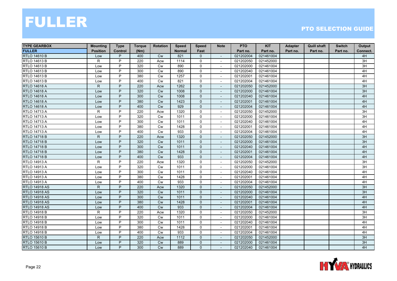| <b>TYPE GEARBOX</b>  | <b>Mounting</b> | <b>Type</b> | <b>Torque</b> | <b>Rotation</b> | <b>Speed</b>  | <b>Speed</b>   | <b>Note</b>              | <b>PTO</b> | <b>KIT</b> | Adapter  | <b>Quill shaft</b> | <b>Switch</b> | Output   |
|----------------------|-----------------|-------------|---------------|-----------------|---------------|----------------|--------------------------|------------|------------|----------|--------------------|---------------|----------|
| <b>FULLER</b>        | <b>Position</b> | Control     | (Nm)          |                 | <b>Normal</b> | Fast           |                          | Part no.   | Part no.   | Part no. | Part no.           | Part no.      | Connect. |
| <b>RTLO 14610 B</b>  | Low             | P           | 400           | <b>Cw</b>       | 821           | $\mathbf{0}$   | $\overline{\phantom{a}}$ | 021202004  | 021461004  |          |                    |               | 4H       |
| RTLO 14613 B         | R               | P           | 220           | Acw             | 1114          | 0              | $\overline{\phantom{a}}$ | 021202050  | 021452000  |          |                    |               | 3H       |
| RTLO 14613 B         | Low             | P           | 320           | <b>Cw</b>       | 890           | $\mathsf{O}$   |                          | 021202000  | 021461004  |          |                    |               | 3H       |
| RTLO 14613 B         | Low             | P           | 300           | Cw              | 890           | $\mathbf 0$    | $\sim$                   | 021202040  | 021461004  |          |                    |               | 4H       |
| RTLO 14613 B         | Low             | P           | 380           | <b>Cw</b>       | 1257          | 0              |                          | 021202001  | 021461004  |          |                    |               | 4H       |
| RTLO 14613 B         | Low             | P           | 400           | <b>Cw</b>       | 821           | 0              | $\overline{\phantom{a}}$ | 021202004  | 021461004  |          |                    |               | 4H       |
| <b>RTLO 14618 A</b>  | $\mathsf{R}$    | P           | 220           | Acw             | 1262          | $\Omega$       | $\overline{\phantom{a}}$ | 021202050  | 021452000  |          |                    |               | 3H       |
| <b>RTLO 14618 A</b>  | Low             | P           | 320           | <b>Cw</b>       | 1008          | $\mathbf 0$    |                          | 021202000  | 021461004  |          |                    |               | 3H       |
| <b>RTLO 14618 A</b>  | Low             | P           | 300           | Cw              | 1008          | $\mathbf 0$    |                          | 021202040  | 021461004  |          |                    |               | 4H       |
| <b>RTLO 14618 A</b>  | Low             | P           | 380           | Cw              | 1423          | $\mathbf{0}$   | $\sim$                   | 021202001  | 021461004  |          |                    |               | 4H       |
| <b>RTLO 14618 A</b>  | Low             | P           | 400           | Cw              | 929           | $\mathbf 0$    | $\overline{\phantom{a}}$ | 021202004  | 021461004  |          |                    |               | 4H       |
| <b>RTLO 14713 A</b>  | R               | P           | 220           | Acw             | 1320          | 0              | $\blacksquare$           | 021202050  | 021452000  |          |                    |               | 3H       |
| <b>RTLO 14713 A</b>  | Low             | P           | 320           | Cw              | 1011          | $\mathbf 0$    | $\overline{\phantom{a}}$ | 021202000  | 021461004  |          |                    |               | 3H       |
| RTLO 14713 A         | Low             | P           | 300           | Cw              | 1011          | 0              | $\sim$                   | 021202040  | 021461004  |          |                    |               | 4H       |
| <b>RTLO 14713 A</b>  | Low             | P           | 380           | Cw              | 1428          | $\mathsf{O}$   |                          | 021202001  | 021461004  |          |                    |               | 4H       |
| <b>RTLO 14713 A</b>  | Low             | P           | 400           | Cw              | 933           | $\mathbf 0$    | $\sim$                   | 021202004  | 021461004  |          |                    |               | 4H       |
| <b>RTLO 14718 B</b>  | $\mathsf{R}$    | P           | 220           | Acw             | 1320          | $\mathbf{0}$   | $\overline{\phantom{a}}$ | 021202050  | 021452000  |          |                    |               | 3H       |
| <b>RTLO 14718 B</b>  | Low             | P           | 320           | <b>Cw</b>       | 1011          | $\mathbf 0$    | $\overline{\phantom{a}}$ | 021202000  | 021461004  |          |                    |               | 3H       |
| <b>RTLO 14718 B</b>  | Low             | P           | 300           | Cw              | 1011          | $\mathbf{0}$   | $\overline{\phantom{a}}$ | 021202040  | 021461004  |          |                    |               | 4H       |
| <b>RTLO 14718 B</b>  | Low             | P           | 380           | <b>Cw</b>       | 1428          | $\mathbf 0$    |                          | 021202001  | 021461004  |          |                    |               | 4H       |
| <b>RTLO 14718 B</b>  | Low             | P           | 400           | Cw              | 933           | $\mathbf{0}$   | $\overline{\phantom{a}}$ | 021202004  | 021461004  |          |                    |               | 4H       |
| <b>RTLO 14913 A</b>  | R               | P           | 220           | Acw             | 1320          | $\mathbf 0$    | $\sim$                   | 021202050  | 021452000  |          |                    |               | 3H       |
| <b>RTLO 14913 A</b>  | Low             | P           | 320           | <b>Cw</b>       | 1011          | $\mathsf{O}$   | $\sim$                   | 021202000  | 021461004  |          |                    |               | 3H       |
| <b>RTLO 14913 A</b>  | Low             | P           | 300           | Cw              | 1011          | $\mathbf 0$    | $\overline{\phantom{a}}$ | 021202040  | 021461004  |          |                    |               | 4H       |
| <b>RTLO 14913 A</b>  | Low             | P           | 380           | Cw              | 1428          | 0              | $\sim$                   | 021202001  | 021461004  |          |                    |               | 4H       |
| <b>RTLO 14913 A</b>  | Low             | P           | 400           | <b>Cw</b>       | 933           | $\mathbf 0$    | $\sim$                   | 021202004  | 021461004  |          |                    |               | 4H       |
| <b>RTLO 14918 AS</b> | $\mathsf{R}$    | P           | 220           | Acw             | 1320          | $\mathbf{0}$   |                          | 021202050  | 021452000  |          |                    |               | 3H       |
| <b>RTLO 14918 AS</b> | Low             | P           | 320           | Cw              | 1011          | $\mathbf 0$    | $\sim$                   | 021202000  | 021461004  |          |                    |               | 3H       |
| <b>RTLO 14918 AS</b> | Low             | P           | 300           | Cw              | 1011          | $\mathbf{0}$   | $\sim$                   | 021202040  | 021461004  |          |                    |               | 4H       |
| <b>RTLO 14918 AS</b> | Low             | P           | 380           | Cw              | 1428          | $\mathbf{0}$   | $\overline{\phantom{a}}$ | 021202001  | 021461004  |          |                    |               | 4H       |
| <b>RTLO 14918 AS</b> | Low             | P           | 400           | <b>Cw</b>       | 933           | $\mathbf{0}$   | $\sim$                   | 021202004  | 021461004  |          |                    |               | 4H       |
| <b>RTLO 14918 B</b>  | $\mathsf{R}$    | P           | 220           | Acw             | 1320          | $\mathbf 0$    |                          | 021202050  | 021452000  |          |                    |               | 3H       |
| <b>RTLO 14918 B</b>  | Low             | P           | 320           | <b>Cw</b>       | 1011          | 0              | $\overline{\phantom{a}}$ | 021202000  | 021461004  |          |                    |               | 3H       |
| <b>RTLO 14918 B</b>  | Low             | P           | 300           | Cw              | 1011          | 0              |                          | 021202040  | 021461004  |          |                    |               | 4H       |
| <b>RTLO 14918 B</b>  | Low             | P           | 380           | Cw              | 1428          | $\mathbf 0$    | $\sim$                   | 021202001  | 021461004  |          |                    |               | 4H       |
| <b>RTLO 14918 B</b>  | Low             | P           | 400           | <b>Cw</b>       | 933           | 0              | $\overline{\phantom{a}}$ | 021202004  | 021461004  |          |                    |               | 4H       |
| <b>RTLO 15610 B</b>  | R.              | P           | 220           | Acw             | 1112          | $\mathbf{0}$   | $\sim$                   | 021202050  | 021452000  |          |                    |               | 3H       |
| <b>RTLO 15610 B</b>  | Low             | P           | 320           | <b>Cw</b>       | 889           | $\mathbf{0}$   |                          | 021202000  | 021461004  |          |                    |               | 3H       |
| <b>RTLO 15610 B</b>  | Low             | P           | 300           | <b>Cw</b>       | 889           | $\overline{0}$ | $\overline{\phantom{a}}$ | 021202040  | 021461004  |          |                    |               | 4H       |

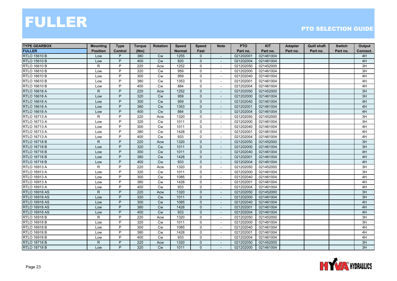| <b>TYPE GEARBOX</b>  | <b>Mounting</b> | <b>Type</b>    | <b>Torque</b> | <b>Rotation</b> | <b>Speed</b>  | <b>Speed</b>   | <b>Note</b>              | <b>PTO</b> | <b>KIT</b> | Adapter  | <b>Quill shaft</b> | <b>Switch</b> | Output   |
|----------------------|-----------------|----------------|---------------|-----------------|---------------|----------------|--------------------------|------------|------------|----------|--------------------|---------------|----------|
| <b>FULLER</b>        | <b>Position</b> | Control        | (Nm)          |                 | <b>Normal</b> | Fast           |                          | Part no.   | Part no.   | Part no. | Part no.           | Part no.      | Connect. |
| <b>RTLO 15610 B</b>  | Low             | P              | 380           | <b>Cw</b>       | 1255          | $\mathbf{0}$   | $\overline{\phantom{a}}$ | 021202001  | 021461004  |          |                    |               | 4H       |
| <b>RTLO 15610 B</b>  | Low             | P              | 400           | <b>Cw</b>       | 820           | $\mathbf{0}$   |                          | 021202004  | 021461004  |          |                    |               | 4H       |
| RTLO 16610 B         | R               | P              | 220           | Acw             | 1252          | $\mathsf{O}$   |                          | 021202050  | 021452000  |          |                    |               | 3H       |
| RTLO 16610 B         | Low             | P              | 320           | Cw              | 959           | $\mathbf 0$    | $\sim$                   | 021202000  | 021461004  |          |                    |               | 3H       |
| RTLO 16610 B         | Low             | P              | 300           | <b>Cw</b>       | 959           | $\mathbf 0$    |                          | 021202040  | 021461004  |          |                    |               | 4H       |
| <b>RTLO 16610 B</b>  | Low             | P              | 380           | Cw              | 1353          | 0              | $\overline{\phantom{a}}$ | 021202001  | 021461004  |          |                    |               | 4H       |
| RTLO 16610 B         | Low             | P              | 400           | <b>Cw</b>       | 884           | $\Omega$       | $\sim$                   | 021202004  | 021461004  |          |                    |               | 4H       |
| <b>RTLO 16618 A</b>  | $\mathsf{R}$    | P              | 220           | Acw             | 1252          | $\mathbf 0$    |                          | 021202050  | 021452000  |          |                    |               | 3H       |
| <b>RTLO 16618 A</b>  | Low             | P              | 320           | Cw              | 959           | $\mathbf 0$    |                          | 021202000  | 021461004  |          |                    |               | 3H       |
| <b>RTLO 16618 A</b>  | Low             | P              | 300           | Cw              | 959           | $\mathbf{0}$   | $\blacksquare$           | 021202040  | 021461004  |          |                    |               | 4H       |
| <b>RTLO 16618 A</b>  | Low             | P              | 380           | <b>Cw</b>       | 1353          | $\mathbf 0$    | $\overline{\phantom{a}}$ | 021202001  | 021461004  |          |                    |               | 4H       |
| <b>RTLO 16618 A</b>  | Low             | P              | 400           | <b>Cw</b>       | 884           | $\mathbf{0}$   | $\overline{\phantom{a}}$ | 021202004  | 021461004  |          |                    |               | 4H       |
| RTLO 16713 A         | R               | P              | 220           | Acw             | 1320          | 0              | $\overline{\phantom{a}}$ | 021202050  | 021452000  |          |                    |               | 3H       |
| RTLO 16713 A         | Low             | P              | 320           | <b>Cw</b>       | 1011          | 0              | $\sim$                   | 021202000  | 021461004  |          |                    |               | 3H       |
| RTLO 16713 A         | Low             | P              | 300           | Cw              | 1011          | $\mathsf{O}$   |                          | 021202040  | 021461004  |          |                    |               | 4H       |
| RTLO 16713 A         | Low             | P              | 380           | Cw              | 1428          | $\mathbf 0$    | $\sim$                   | 021202001  | 021461004  |          |                    |               | 4H       |
| RTLO 16713 A         | Low             | P              | 400           | <b>Cw</b>       | 933           | $\mathbf 0$    | $\overline{\phantom{a}}$ | 021202004  | 021461004  |          |                    |               | 4H       |
| <b>RTLO 16718 B</b>  | $\mathsf{R}$    | P              | 220           | Acw             | 1320          | $\mathbf 0$    | $\overline{\phantom{a}}$ | 021202050  | 021452000  |          |                    |               | 3H       |
| <b>RTLO 16718 B</b>  | Low             | P              | 320           | Cw              | 1011          | $\mathbf{0}$   | $\overline{\phantom{a}}$ | 021202000  | 021461004  |          |                    |               | 3H       |
| <b>RTLO 16718 B</b>  | Low             | P              | 300           | <b>Cw</b>       | 1011          | $\mathbf{0}$   |                          | 021202040  | 021461004  |          |                    |               | 4H       |
| <b>RTLO 16718 B</b>  | Low             | P              | 380           | <b>Cw</b>       | 1428          | $\mathbf{0}$   | $\overline{\phantom{a}}$ | 021202001  | 021461004  |          |                    |               | 4H       |
| <b>RTLO 16718 B</b>  | Low             | P              | 400           | <b>Cw</b>       | 933           | $\mathbf{0}$   | $\sim$                   | 021202004  | 021461004  |          |                    |               | 4H       |
| RTLO 16913 A         | $\mathsf R$     | P              | 220           | Acw             | 1320          | $\mathsf{O}$   | $\sim$                   | 021202050  | 021452000  |          |                    |               | 3H       |
| RTLO 16913 A         | Low             | P              | 320           | Cw              | 1011          | $\mathbf 0$    | $\overline{\phantom{a}}$ | 021202000  | 021461004  |          |                    |               | 3H       |
| RTLO 16913 A         | Low             | P              | 300           | Cw              | 1085          | 0              | $\sim$                   | 021202040  | 021461004  |          |                    |               | 4H       |
| RTLO 16913 A         | Low             | P              | 380           | <b>Cw</b>       | 1428          | $\mathbf 0$    | $\sim$                   | 021202001  | 021461004  |          |                    |               | 4H       |
| RTLO 16913 A         | Low             | P              | 400           | <b>Cw</b>       | 933           | 0              |                          | 021202004  | 021461004  |          |                    |               | 4H       |
| <b>RTLO 16918 AS</b> | $\mathsf{R}$    | P              | 220           | Acw             | 1320          | $\mathbf 0$    | $\sim$                   | 021202050  | 021452000  |          |                    |               | 3H       |
| <b>RTLO 16918 AS</b> | Low             | P              | 320           | Cw              | 1011          | $\mathbf{0}$   | $\sim$                   | 021202000  | 021461004  |          |                    |               | 3H       |
| <b>RTLO 16918 AS</b> | Low             | P              | 300           | Cw              | 1085          | $\mathbf{0}$   | $\overline{\phantom{a}}$ | 021202040  | 021461004  |          |                    |               | 4H       |
| <b>RTLO 16918 AS</b> | Low             | P              | 380           | <b>Cw</b>       | 1428          | $\mathbf{0}$   | $\overline{\phantom{a}}$ | 021202001  | 021461004  |          |                    |               | 4H       |
| <b>RTLO 16918 AS</b> | Low             | P              | 400           | Cw              | 933           | $\mathbf{0}$   |                          | 021202004  | 021461004  |          |                    |               | 4H       |
| <b>RTLO 16918 B</b>  | $\mathsf{R}$    | P              | 220           | Acw             | 1320          | 0              | $\overline{\phantom{a}}$ | 021202050  | 021452000  |          |                    |               | 3H       |
| RTLO 16918 B         | Low             | P              | 320           | Cw              | 1011          | 0              |                          | 021202000  | 021461004  |          |                    |               | 3H       |
| <b>RTLO 16918 B</b>  | Low             | $\overline{P}$ | 300           | Cw              | 1085          | $\mathbf 0$    | $\sim$                   | 021202040  | 021461004  |          |                    |               | 4H       |
| RTLO 16918 B         | Low             | P              | 380           | Cw              | 1428          | 0              | $\overline{\phantom{a}}$ | 021202001  | 021461004  |          |                    |               | 4H       |
| RTLO 16918 B         | Low             | P              | 400           | Cw              | 933           | 0              | $\overline{\phantom{a}}$ | 021202004  | 021461004  |          |                    |               | 4H       |
| <b>RTLO 18718 B</b>  | $\mathsf{R}$    | P              | 220           | Acw             | 1320          | $\mathbf{0}$   |                          | 021202050  | 021452000  |          |                    |               | 3H       |
| <b>RTLO 18718 B</b>  | Low             | P              | 320           | <b>Cw</b>       | 1011          | $\overline{0}$ | $\overline{\phantom{a}}$ | 021202000  | 021461004  |          |                    |               | 3H       |

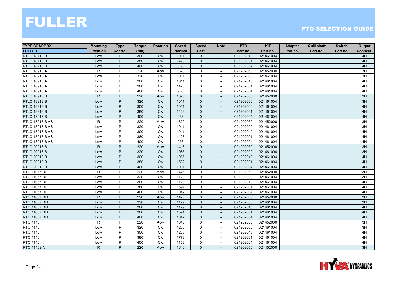| <b>TYPE GEARBOX</b>    | <b>Mounting</b> | <b>Type</b> | <b>Torque</b> | <b>Rotation</b> | <b>Speed</b>  | <b>Speed</b>   | <b>Note</b>              | <b>PTO</b> | <b>KIT</b> | Adapter  | <b>Quill shaft</b> | <b>Switch</b> | Output   |
|------------------------|-----------------|-------------|---------------|-----------------|---------------|----------------|--------------------------|------------|------------|----------|--------------------|---------------|----------|
| <b>FULLER</b>          | <b>Position</b> | Control     | (Nm)          |                 | <b>Normal</b> | Fast           |                          | Part no.   | Part no.   | Part no. | Part no.           | Part no.      | Connect. |
| <b>RTLO 18718 B</b>    | Low             | P           | 300           | <b>Cw</b>       | 1011          | $\Omega$       | $\overline{\phantom{a}}$ | 021202040  | 021461004  |          |                    |               | 4H       |
| <b>RTLO 18718 B</b>    | Low             | P           | 380           | <b>Cw</b>       | 1428          | $\mathbf{0}$   |                          | 021202001  | 021461004  |          |                    |               | 4H       |
| <b>RTLO 18718 B</b>    | Low             | P           | 400           | Cw              | 933           | $\mathbf 0$    |                          | 021202004  | 021461004  |          |                    |               | 4H       |
| <b>RTLO 18913 A</b>    | R               | P           | 220           | Acw             | 1320          | $\mathbf 0$    | $\sim$                   | 021202050  | 021452000  |          |                    |               | 3H       |
| <b>RTLO 18913 A</b>    | Low             | P           | 320           | <b>Cw</b>       | 1011          | $\mathbf 0$    |                          | 021202000  | 021461004  |          |                    |               | 3H       |
| <b>RTLO 18913 A</b>    | Low             | P           | 300           | <b>Cw</b>       | 1011          | 0              | $\overline{\phantom{a}}$ | 021202040  | 021461004  |          |                    |               | 4H       |
| <b>RTLO 18913 A</b>    | Low             | P           | 380           | <b>Cw</b>       | 1428          | $\Omega$       | $\blacksquare$           | 021202001  | 021461004  |          |                    |               | 4H       |
| RTLO 18913 A           | Low             | P           | 400           | <b>Cw</b>       | 933           | 0              |                          | 021202004  | 021461004  |          |                    |               | 4H       |
| <b>RTLO 18918 B</b>    | ${\sf R}$       | P           | 220           | Acw             | 1320          | $\mathbf 0$    |                          | 021202050  | 021452000  |          |                    |               | 3H       |
| <b>RTLO 18918 B</b>    | Low             | P           | 320           | <b>Cw</b>       | 1011          | $\mathbf{0}$   | $\sim$                   | 021202000  | 021461004  |          |                    |               | 3H       |
| <b>RTLO 18918 B</b>    | Low             | P           | 300           | <b>Cw</b>       | 1011          | $\mathbf{0}$   | $\overline{\phantom{a}}$ | 021202040  | 021461004  |          |                    |               | 4H       |
| <b>RTLO 18918 B</b>    | Low             | P           | 380           | <b>Cw</b>       | 1428          | $\mathbf{0}$   | $\overline{\phantom{a}}$ | 021202001  | 021461004  |          |                    |               | 4H       |
| <b>RTLO 18918 B</b>    | Low             | P           | 400           | Cw              | 933           | $\mathbf{0}$   | $\overline{\phantom{a}}$ | 021202004  | 021461004  |          |                    |               | 4H       |
| <b>RTLO 18918 B AS</b> | R               | P           | 220           | Acw             | 1320          | 0              | $\sim$                   | 021202050  | 021452000  |          |                    |               | 3H       |
| <b>RTLO 18918 B AS</b> | Low             | P           | 320           | Cw              | 1011          | $\mathsf{O}$   |                          | 021202000  | 021461004  |          |                    |               | 3H       |
| <b>RTLO 18918 B AS</b> | Low             | P           | 300           | Cw              | 1011          | $\mathbf 0$    | $\sim$                   | 021202040  | 021461004  |          |                    |               | 4H       |
| <b>RTLO 18918 B AS</b> | Low             | P           | 380           | <b>Cw</b>       | 1428          | $\mathbf 0$    | $\overline{\phantom{a}}$ | 021202001  | 021461004  |          |                    |               | 4H       |
| <b>RTLO 18918 B AS</b> | Low             | P           | 400           | <b>Cw</b>       | 933           | 0              | $\sim$                   | 021202004  | 021461004  |          |                    |               | 4H       |
| <b>RTLO 20918 B</b>    | $\mathsf{R}$    | P           | 220           | Acw             | 1418          | $\mathbf{0}$   | $\overline{\phantom{a}}$ | 021202050  | 021452000  |          |                    |               | 3H       |
| <b>RTLO 20918 B</b>    | Low             | P           | 320           | Cw              | 1085          | $\mathbf{0}$   |                          | 021202000  | 021461004  |          |                    |               | 3H       |
| <b>RTLO 20918 B</b>    | Low             | P           | 300           | <b>Cw</b>       | 1085          | $\mathbf{0}$   | $\overline{\phantom{a}}$ | 021202040  | 021461004  |          |                    |               | 4H       |
| <b>RTLO 20918 B</b>    | Low             | P           | 380           | <b>Cw</b>       | 1532          | $\mathbf{0}$   | $\sim$                   | 021202001  | 021461004  |          |                    |               | 4H       |
| <b>RTLO 20918 B</b>    | Low             | P           | 400           | Cw              | 1001          | $\mathbf 0$    | $\sim$                   | 021202004  | 021461004  |          |                    |               | 4H       |
| RTO 11057 DL           | R               | P           | 220           | Acw             | 1475          | $\mathbf 0$    | $\overline{\phantom{a}}$ | 021202050  | 021452000  |          |                    |               | 3H       |
| RTO 11057 DL           | Low             | P           | 320           | <b>Cw</b>       | 1129          | 0              | $\sim$                   | 021202000  | 021461004  |          |                    |               | 3H       |
| RTO 11057 DL           | Low             | P           | 300           | Cw              | 1129          | $\mathbf 0$    | $\sim$                   | 021202040  | 021461004  |          |                    |               | 4H       |
| RTO 11057 DL           | Low             | P           | 380           | <b>Cw</b>       | 1594          | 0              |                          | 021202001  | 021461004  |          |                    |               | 4H       |
| RTO 11057 DL           | Low             | P           | 400           | Cw              | 1042          | 0              |                          | 021202004  | 021461004  |          |                    |               | 4H       |
| <b>RTO 11057 DLL</b>   | $\mathsf{R}$    | P           | 220           | Acw             | 1475          | $\mathbf{0}$   | $\sim$                   | 021202050  | 021452000  |          |                    |               | 3H       |
| <b>RTO 11057 DLL</b>   | Low             | P           | 320           | Cw              | 1129          | $\mathbf{0}$   | $\overline{\phantom{a}}$ | 021202000  | 021461004  |          |                    |               | 3H       |
| <b>RTO 11057 DLL</b>   | Low             | P           | 300           | <b>Cw</b>       | 1129          | $\mathbf{0}$   | $\overline{\phantom{a}}$ | 021202040  | 021461004  |          |                    |               | 4H       |
| <b>RTO 11057 DLL</b>   | Low             | P           | 380           | <b>Cw</b>       | 1594          | $\mathbf{0}$   |                          | 021202001  | 021461004  |          |                    |               | 4H       |
| <b>RTO 11057 DLL</b>   | Low             | P           | 400           | Cw              | 1042          | $\mathbf 0$    | $\overline{\phantom{a}}$ | 021202004  | 021461004  |          |                    |               | 4H       |
| RTO 1110               | R               | P           | 220           | Acw             | 1640          | 0              | $\overline{\phantom{a}}$ | 021202050  | 021452000  |          |                    |               | 3H       |
| <b>RTO 1110</b>        | Low             | P           | 320           | Cw              | 1256          | $\mathbf 0$    | $\sim$                   | 021202000  | 021461004  |          |                    |               | 3H       |
| RTO 1110               | Low             | P           | 300           | <b>Cw</b>       | 1256          | $\mathbf 0$    | $\overline{\phantom{a}}$ | 021202040  | 021461004  |          |                    |               | 4H       |
| RTO 1110               | Low             | P           | 380           | Cw              | 1773          | 0              | $\overline{\phantom{a}}$ | 021202001  | 021461004  |          |                    |               | 4H       |
| RTO 1110               | Low             | P           | 400           | <b>Cw</b>       | 1158          | $\mathbf 0$    |                          | 021202004  | 021461004  |          |                    |               | 4H       |
| RTO 11109 A            | $\mathsf{R}$    | P           | 220           | Acw             | 1640          | $\overline{0}$ | $\overline{\phantom{a}}$ | 021202050  | 021452000  |          |                    |               | 3H       |

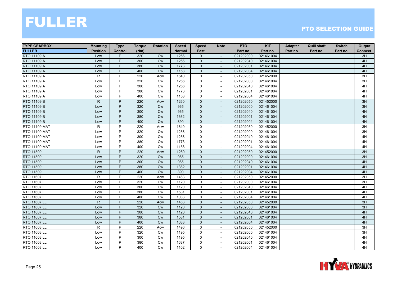| <b>TYPE GEARBOX</b>  | <b>Mounting</b> | <b>Type</b>    | <b>Torque</b> | <b>Rotation</b> | <b>Speed</b>  | <b>Speed</b>        | <b>Note</b>              | <b>PTO</b> | <b>KIT</b> | Adapter  | <b>Quill shaft</b> | <b>Switch</b> | Output   |
|----------------------|-----------------|----------------|---------------|-----------------|---------------|---------------------|--------------------------|------------|------------|----------|--------------------|---------------|----------|
| <b>FULLER</b>        | <b>Position</b> | Control        | (Nm)          |                 | <b>Normal</b> | Fast                |                          | Part no.   | Part no.   | Part no. | Part no.           | Part no.      | Connect. |
| RTO 11109 A          | Low             | P              | 320           | <b>Cw</b>       | 1256          | 0                   | $\overline{\phantom{a}}$ | 021202000  | 021461004  |          |                    |               | 3H       |
| RTO 11109 A          | Low             | P              | 300           | <b>Cw</b>       | 1256          | $\overline{0}$      |                          | 021202040  | 021461004  |          |                    |               | 4H       |
| RTO 11109 A          | Low             | P              | 380           | Cw              | 1773          | $\mathbf 0$         |                          | 021202001  | 021461004  |          |                    |               | 4H       |
| <b>RTO 11109 A</b>   | Low             | $\overline{P}$ | 400           | Cw              | 1158          | $\mathbf{0}$        | $\blacksquare$           | 021202004  | 021461004  |          |                    |               | 4H       |
| RTO 11109 AT         | R.              | P              | 220           | Acw             | 1640          | 0                   |                          | 021202050  | 021452000  |          |                    |               | 3H       |
| RTO 11109 AT         | Low             | P              | 320           | Cw              | 1256          | 0                   | $\overline{\phantom{a}}$ | 021202000  | 021461004  |          |                    |               | 3H       |
| RTO 11109 AT         | Low             | P              | 300           | <b>Cw</b>       | 1256          | $\mathbf 0$         | $\blacksquare$           | 021202040  | 021461004  |          |                    |               | 4H       |
| RTO 11109 AT         | Low             | P              | 380           | <b>Cw</b>       | 1773          | 0                   |                          | 021202001  | 021461004  |          |                    |               | 4H       |
| RTO 11109 AT         | Low             | P              | 400           | Cw              | 1158          | 0                   |                          | 021202004  | 021461004  |          |                    |               | 4H       |
| RTO 11109 B          | $\mathsf{R}$    | P              | 220           | Acw             | 1260          | $\mathbf{0}$        | $\sim$                   | 021202050  | 021452000  |          |                    |               | 3H       |
| RTO 11109 B          | Low             | P              | 320           | <b>Cw</b>       | 965           | 0                   |                          | 021202000  | 021461004  |          |                    |               | 3H       |
| RTO 11109 B          | Low             | P              | 300           | <b>Cw</b>       | 965           | $\overline{0}$      | $\overline{\phantom{a}}$ | 021202040  | 021461004  |          |                    |               | 4H       |
| RTO 11109 B          | Low             | P              | 380           | Cw              | 1362          | $\overline{0}$      | $\overline{\phantom{a}}$ | 021202001  | 021461004  |          |                    |               | 4H       |
| RTO 11109 B          | Low             | P              | 400           | Cw              | 890           | $\mathbf 0$         |                          | 021202004  | 021461004  |          |                    |               | 4H       |
| <b>RTO 11109 MAT</b> | $\mathsf R$     | P              | 220           | Acw             | 1640          | 0                   |                          | 021202050  | 021452000  |          |                    |               | 3H       |
| <b>RTO 11109 MAT</b> | Low             | P              | 320           | Cw              | 1256          | $\mathbf 0$         | $\sim$                   | 021202000  | 021461004  |          |                    |               | 3H       |
| <b>RTO 11109 MAT</b> | Low             | P              | 300           | <b>Cw</b>       | 1256          | $\mathbf 0$         | $\overline{\phantom{a}}$ | 021202040  | 021461004  |          |                    |               | 4H       |
| <b>RTO 11109 MAT</b> | Low             | P              | 380           | <b>Cw</b>       | 1773          | 0                   | $\overline{\phantom{a}}$ | 021202001  | 021461004  |          |                    |               | 4H       |
| <b>RTO 11109 MAT</b> | Low             | P              | 400           | Cw              | 1158          | 0                   | $\overline{\phantom{a}}$ | 021202004  | 021461004  |          |                    |               | 4H       |
| RTO 11509            | $\mathsf{R}$    | P              | 220           | Acw             | 1260          | $\mathbf{0}$        |                          | 021202050  | 021452000  |          |                    |               | 3H       |
| RTO 11509            | Low             | P              | 320           | <b>Cw</b>       | 965           | $\mathbf{0}$        | $\overline{a}$           | 021202000  | 021461004  |          |                    |               | 3H       |
| RTO 11509            | Low             | P              | 300           | Cw              | 965           | $\mathbf{0}$        | $\sim$                   | 021202040  | 021461004  |          |                    |               | 4H       |
| <b>RTO 11509</b>     | Low             | P              | 380           | Cw              | 1362          | $\mathbf 0$         | $\blacksquare$           | 021202001  | 021461004  |          |                    |               | 4H       |
| RTO 11509            | Low             | P              | 400           | Cw              | 890           | 0                   | $\overline{\phantom{a}}$ | 021202004  | 021461004  |          |                    |               | 4H       |
| RTO 11607L           | $\mathsf{R}$    | P              | 220           | Acw             | 1463          | 0                   | $\blacksquare$           | 021202050  | 021452000  |          |                    |               | 3H       |
| RTO 11607L           | Low             | P              | 320           | Cw              | 1120          | $\mathbf 0$         | $\overline{\phantom{a}}$ | 021202000  | 021461004  |          |                    |               | 3H       |
| RTO 11607L           | Low             | P              | 300           | <b>Cw</b>       | 1120          | 0                   |                          | 021202040  | 021461004  |          |                    |               | 4H       |
| RTO 11607L           | Low             | P              | 380           | Cw              | 1581          | 0                   |                          | 021202001  | 021461004  |          |                    |               | 4H       |
| RTO 11607L           | Low             | P              | 400           | Cw              | 1033          | $\mathsf{O}$        | $\sim$                   | 021202004  | 021461004  |          |                    |               | 4H       |
| <b>RTO 11607 LL</b>  | $\mathsf{R}$    | P              | 220           | Acw             | 1463          | 0                   | $\overline{\phantom{a}}$ | 021202050  | 021452000  |          |                    |               | 3H       |
| <b>RTO 11607 LL</b>  | Low             | P              | 320           | Cw              | 1120          | $\mathbf{0}$        | $\overline{\phantom{a}}$ | 021202000  | 021461004  |          |                    |               | 3H       |
| <b>RTO 11607 LL</b>  | Low             | P              | 300           | Cw              | 1120          | $\overline{0}$      |                          | 021202040  | 021461004  |          |                    |               | 4H       |
| RTO 11607 LL         | Low             | P              | 380           | Cw              | 1581          | $\mathbf 0$         | $\overline{\phantom{a}}$ | 021202001  | 021461004  |          |                    |               | 4H       |
| RTO 11607 LL         | Low             | P              | 400           | Cw              | 1033          | $\mathbf 0$         | $\overline{\phantom{a}}$ | 021202004  | 021461004  |          |                    |               | 4H       |
| <b>RTO 11608 LL</b>  | $\mathsf{R}$    | $\overline{P}$ | 220           | Acw             | 1496          | $\mathsf{O}\xspace$ | $\sim$                   | 021202050  | 021452000  |          |                    |               | 3H       |
| RTO 11608 LL         | Low             | P              | 320           | Cw              | 1195          | 0                   | $\blacksquare$           | 021202000  | 021461004  |          |                    |               | 3H       |
| RTO 11608 LL         | Low             | P              | 300           | Cw              | 1195          | 0                   | $\overline{\phantom{a}}$ | 021202040  | 021461004  |          |                    |               | 4H       |
| RTO 11608 LL         | Low             | P              | 380           | <b>Cw</b>       | 1687          | $\mathbf 0$         |                          | 021202001  | 021461004  |          |                    |               | 4H       |
| RTO 11608 LL         | Low             | P              | 400           | <b>Cw</b>       | 1102          | 0                   | $\sim$                   | 021202004  | 021461004  |          |                    |               | 4H       |

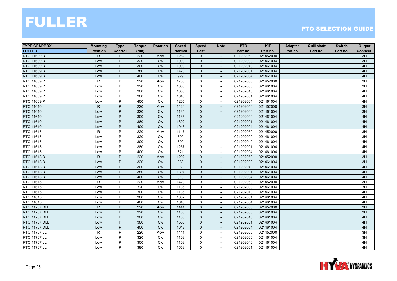| <b>TYPE GEARBOX</b>  | <b>Mounting</b> | <b>Type</b>    | <b>Torque</b> | <b>Rotation</b> | <b>Speed</b>  | <b>Speed</b> | <b>Note</b>              | <b>PTO</b> | <b>KIT</b> | <b>Adapter</b> | <b>Quill shaft</b> | <b>Switch</b> | Output   |
|----------------------|-----------------|----------------|---------------|-----------------|---------------|--------------|--------------------------|------------|------------|----------------|--------------------|---------------|----------|
| <b>FULLER</b>        | <b>Position</b> | <b>Control</b> | (Nm)          |                 | <b>Normal</b> | Fast         |                          | Part no.   | Part no.   | Part no.       | Part no.           | Part no.      | Connect. |
| RTO 11609 B          | R               | P              | 220           | Acw             | 1262          | $\mathbf{0}$ | $\overline{\phantom{a}}$ | 021202050  | 021452000  |                |                    |               | 3H       |
| RTO 11609 B          | Low             | P              | 320           | <b>Cw</b>       | 1008          | $\mathbf{0}$ |                          | 021202000  | 021461004  |                |                    |               | 3H       |
| RTO 11609 B          | Low             | P              | 300           | Cw              | 1008          | $\mathbf 0$  |                          | 021202040  | 021461004  |                |                    |               | 4H       |
| <b>RTO 11609 B</b>   | Low             | $\overline{P}$ | 380           | Cw              | 1423          | $\mathbf{0}$ | $\sim$                   | 021202001  | 021461004  |                |                    |               | 4H       |
| RTO 11609 B          | Low             | P              | 400           | <b>Cw</b>       | 929           | $\mathbf{0}$ |                          | 021202004  | 021461004  |                |                    |               | 4H       |
| RTO 11609 P          | $\mathsf{R}$    | P              | 220           | Acw             | 1705          | 0            | $\overline{\phantom{a}}$ | 021202050  | 021452000  |                |                    |               | 3H       |
| RTO 11609 P          | Low             | P              | 320           | <b>Cw</b>       | 1306          | $\mathbf 0$  | $\overline{\phantom{a}}$ | 021202000  | 021461004  |                |                    |               | 3H       |
| RTO 11609 P          | Low             | P              | 300           | Cw              | 1306          | 0            | $\overline{\phantom{a}}$ | 021202040  | 021461004  |                |                    |               | 4H       |
| RTO 11609 P          | Low             | P              | 380           | Cw              | 1843          | 0            |                          | 021202001  | 021461004  |                |                    |               | 4H       |
| RTO 11609 P          | Low             | P              | 400           | Cw              | 1205          | $\mathbf 0$  | $\sim$                   | 021202004  | 021461004  |                |                    |               | 4H       |
| RTO 11610            | $\mathsf{R}$    | P              | 220           | Acw             | 1420          | $\mathbf 0$  |                          | 021202050  | 021452000  |                |                    |               | 3H       |
| RTO 11610            | Low             | P              | 320           | <b>Cw</b>       | 1135          | 0            | $\overline{\phantom{a}}$ | 021202000  | 021461004  |                |                    |               | 3H       |
| RTO 11610            | Low             | P              | 300           | Cw              | 1135          | $\mathbf{0}$ | $\overline{\phantom{a}}$ | 021202040  | 021461004  |                |                    |               | 4H       |
| RTO 11610            | Low             | P              | 380           | Cw              | 1602          | $\mathbf{0}$ |                          | 021202001  | 021461004  |                |                    |               | 4H       |
| RTO 11610            | Low             | P              | 400           | Cw              | 1046          | $\mathbf{0}$ |                          | 021202004  | 021461004  |                |                    |               | 4H       |
| RTO 11613            | R               | P              | 220           | Acw             | 1117          | $\mathbf 0$  | $\overline{\phantom{a}}$ | 021202050  | 021452000  |                |                    |               | 3H       |
| RTO 11613            | Low             | P              | 320           | <b>Cw</b>       | 890           | $\mathbf 0$  | $\sim$                   | 021202000  | 021461004  |                |                    |               | 3H       |
| RTO 11613            | Low             | P              | 300           | Cw              | 890           | 0            | $\overline{\phantom{a}}$ | 021202040  | 021461004  |                |                    |               | 4H       |
| RTO 11613            | Low             | P              | 380           | Cw              | 1257          | $\mathbf 0$  | $\overline{\phantom{a}}$ | 021202001  | 021461004  |                |                    |               | 4H       |
| RTO 11613            | Low             | P              | 400           | Cw              | 821           | $\mathbf 0$  | $\sim$                   | 021202004  | 021461004  |                |                    |               | 4H       |
| RTO 11613 B          | $\mathsf{R}$    | P              | 220           | Acw             | 1292          | $\mathbf{0}$ |                          | 021202050  | 021452000  |                |                    |               | 3H       |
| RTO 11613 B          | Low             | P              | 320           | Cw              | 989           | $\mathbf{0}$ | $\sim$                   | 021202000  | 021461004  |                |                    |               | 3H       |
| <b>RTO 11613 B</b>   | Low             | P              | 300           | Cw              | 989           | $\mathbf 0$  | $\sim$                   | 021202040  | 021461004  |                |                    |               | 4H       |
| <b>RTO 11613 B</b>   | Low             | P              | 380           | Cw              | 1397          | 0            | $\overline{\phantom{a}}$ | 021202001  | 021461004  |                |                    |               | 4H       |
| RTO 11613 B          | Low             | P              | 400           | <b>Cw</b>       | 913           | $\mathbf{0}$ | $\overline{\phantom{a}}$ | 021202004  | 021461004  |                |                    |               | 4H       |
| RTO 11615            | $\mathsf{R}$    | P              | 220           | Acw             | 1420          | $\mathbf 0$  |                          | 021202050  | 021452000  |                |                    |               | 3H       |
| RTO 11615            | Low             | P              | 320           | <b>Cw</b>       | 1135          | $\mathbf 0$  | $\sim$                   | 021202000  | 021461004  |                |                    |               | 3H       |
| RTO 11615            | Low             | P              | 300           | Cw              | 1135          | 0            | $\overline{\phantom{a}}$ | 021202040  | 021461004  |                |                    |               | 4H       |
| RTO 11615            | Low             | P              | 380           | Cw              | 1602          | 0            | $\sim$                   | 021202001  | 021461004  |                |                    |               | 4H       |
| RTO 11615            | Low             | P              | 400           | Cw              | 1046          | 0            | $\overline{\phantom{a}}$ | 021202004  | 021461004  |                |                    |               | 4H       |
| <b>RTO 11707 DLL</b> | $\mathsf{R}$    | P              | 220           | Acw             | 1441          | $\mathbf{0}$ | $\overline{\phantom{a}}$ | 021202050  | 021452000  |                |                    |               | 3H       |
| <b>RTO 11707 DLL</b> | Low             | P              | 320           | <b>Cw</b>       | 1103          | $\mathbf{0}$ |                          | 021202000  | 021461004  |                |                    |               | 3H       |
| <b>RTO 11707 DLL</b> | Low             | P              | 300           | <b>Cw</b>       | 1103          | $\mathbf 0$  | $\overline{\phantom{a}}$ | 021202040  | 021461004  |                |                    |               | 4H       |
| <b>RTO 11707 DLL</b> | Low             | P              | 380           | Cw              | 1558          | $\mathbf 0$  | $\overline{\phantom{a}}$ | 021202001  | 021461004  |                |                    |               | 4H       |
| <b>RTO 11707 DLL</b> | Low             | P              | 400           | Cw              | 1018          | $\mathbf{0}$ | $\sim$                   | 021202004  | 021461004  |                |                    |               | 4H       |
| <b>RTO 11707 LL</b>  | R               | P              | 220           | Acw             | 1441          | 0            | $\overline{\phantom{a}}$ | 021202050  | 021452000  |                |                    |               | 3H       |
| <b>RTO 11707 LL</b>  | Low             | P              | 320           | Cw              | 1103          | 0            | $\overline{\phantom{a}}$ | 021202000  | 021461004  |                |                    |               | 3H       |
| RTO 11707 LL         | Low             | P              | 300           | <b>Cw</b>       | 1103          | $\mathbf 0$  |                          | 021202040  | 021461004  |                |                    |               | 4H       |
| <b>RTO 11707 LL</b>  | Low             | P              | 380           | Cw              | 1558          | 0            | $\overline{\phantom{a}}$ | 021202001  | 021461004  |                |                    |               | 4H       |

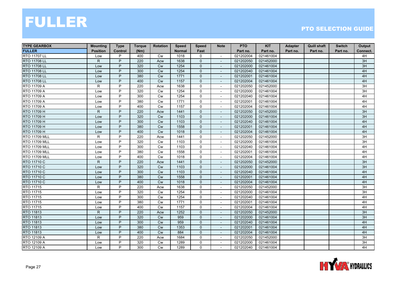| <b>TYPE GEARBOX</b>  | <b>Mounting</b> | <b>Type</b>    | <b>Torque</b> | <b>Rotation</b> | <b>Speed</b>  | <b>Speed</b>   | <b>Note</b>              | <b>PTO</b> | <b>KIT</b> | Adapter  | <b>Quill shaft</b> | <b>Switch</b> | Output   |
|----------------------|-----------------|----------------|---------------|-----------------|---------------|----------------|--------------------------|------------|------------|----------|--------------------|---------------|----------|
| <b>FULLER</b>        | <b>Position</b> | Control        | (Nm)          |                 | <b>Normal</b> | Fast           |                          | Part no.   | Part no.   | Part no. | Part no.           | Part no.      | Connect. |
| RTO 11707 LL         | Low             | P              | 400           | <b>Cw</b>       | 1018          | 0              | $\blacksquare$           | 021202004  | 021461004  |          |                    |               | 4H       |
| RTO 11708 LL         | $\mathsf{R}$    | P              | 220           | Acw             | 1638          | $\overline{0}$ |                          | 021202050  | 021452000  |          |                    |               | 3H       |
| RTO 11708 LL         | Low             | P              | 320           | Cw              | 1254          | $\mathbf 0$    |                          | 021202000  | 021461004  |          |                    |               | 3H       |
| <b>RTO 11708 LL</b>  | Low             | $\overline{P}$ | 300           | Cw              | 1254          | $\mathbf{0}$   | $\blacksquare$           | 021202040  | 021461004  |          |                    |               | 4H       |
| <b>RTO 11708 LL</b>  | Low             | P              | 380           | <b>Cw</b>       | 1771          | $\mathbf{0}$   |                          | 021202001  | 021461004  |          |                    |               | 4H       |
| RTO 11708 LL         | Low             | P              | 400           | Cw              | 1157          | 0              | $\overline{\phantom{a}}$ | 021202004  | 021461004  |          |                    |               | 4H       |
| RTO 11709 A          | R.              | P              | 220           | Acw             | 1638          | 0              | $\blacksquare$           | 021202050  | 021452000  |          |                    |               | 3H       |
| RTO 11709 A          | Low             | P              | 320           | <b>Cw</b>       | 1254          | 0              |                          | 021202000  | 021461004  |          |                    |               | 3H       |
| RTO 11709 A          | Low             | P              | 300           | Cw              | 1254          | 0              |                          | 021202040  | 021461004  |          |                    |               | 4H       |
| RTO 11709 A          | Low             | P              | 380           | Cw              | 1771          | $\mathbf 0$    | $\overline{\phantom{a}}$ | 021202001  | 021461004  |          |                    |               | 4H       |
| RTO 11709 A          | Low             | P              | 400           | <b>Cw</b>       | 1157          | 0              | $\sim$                   | 021202004  | 021461004  |          |                    |               | 4H       |
| RTO 11709 H          | $\mathsf{R}$    | P              | 220           | Acw             | 1441          | $\overline{0}$ | $\overline{\phantom{a}}$ | 021202050  | 021452000  |          |                    |               | 3H       |
| RTO 11709 H          | Low             | P              | 320           | Cw              | 1103          | $\overline{0}$ | $\overline{\phantom{a}}$ | 021202000  | 021461004  |          |                    |               | 3H       |
| RTO 11709 H          | Low             | P              | 300           | Cw              | 1103          | $\mathbf{0}$   |                          | 021202040  | 021461004  |          |                    |               | 4H       |
| RTO 11709 H          | Low             | P              | 380           | Cw              | 1558          | $\mathbf 0$    |                          | 021202001  | 021461004  |          |                    |               | 4H       |
| RTO 11709 H          | Low             | P              | 400           | Cw              | 1018          | $\mathbf{0}$   | $\sim$                   | 021202004  | 021461004  |          |                    |               | 4H       |
| <b>RTO 11709 MLL</b> | $\mathsf{R}$    | P              | 220           | Acw             | 1441          | 0              | $\overline{\phantom{a}}$ | 021202050  | 021452000  |          |                    |               | 3H       |
| <b>RTO 11709 MLL</b> | Low             | P              | 320           | <b>Cw</b>       | 1103          | 0              | $\overline{\phantom{a}}$ | 021202000  | 021461004  |          |                    |               | 3H       |
| <b>RTO 11709 MLL</b> | Low             | P              | 300           | Cw              | 1103          | 0              | $\overline{\phantom{a}}$ | 021202040  | 021461004  |          |                    |               | 4H       |
| <b>RTO 11709 MLL</b> | Low             | P              | 380           | Cw              | 1558          | 0              |                          | 021202001  | 021461004  |          |                    |               | 4H       |
| <b>RTO 11709 MLL</b> | Low             | P              | 400           | <b>Cw</b>       | 1018          | 0              | $\sim$                   | 021202004  | 021461004  |          |                    |               | 4H       |
| RTO 11710 C          | $\mathsf{R}$    | P              | 220           | Acw             | 1441          | $\mathbf{0}$   | $\sim$                   | 021202050  | 021452000  |          |                    |               | 3H       |
| <b>RTO 11710 C</b>   | Low             | P              | 320           | Cw              | 1103          | $\mathbf 0$    | $\blacksquare$           | 021202000  | 021461004  |          |                    |               | 3H       |
| RTO 11710 C          | Low             | P              | 300           | Cw              | 1103          | 0              | $\overline{\phantom{a}}$ | 021202040  | 021461004  |          |                    |               | 4H       |
| RTO 11710 C          | Low             | P              | 380           | Cw              | 1558          | $\overline{0}$ | $\overline{\phantom{a}}$ | 021202001  | 021461004  |          |                    |               | 4H       |
| RTO 11710 C          | Low             | P              | 400           | Cw              | 1018          | $\mathbf{0}$   |                          | 021202004  | 021461004  |          |                    |               | 4H       |
| RTO 11715            | R               | P              | 220           | Acw             | 1638          | 0              |                          | 021202050  | 021452000  |          |                    |               | 3H       |
| RTO 11715            | Low             | P              | 320           | Cw              | 1254          | 0              |                          | 021202000  | 021461004  |          |                    |               | 3H       |
| <b>RTO 11715</b>     | Low             | P              | 300           | Cw              | 1254          | $\mathsf{O}$   | $\sim$                   | 021202040  | 021461004  |          |                    |               | 4H       |
| RTO 11715            | Low             | P              | 380           | Cw              | 1771          | 0              | $\blacksquare$           | 021202001  | 021461004  |          |                    |               | 4H       |
| RTO 11715            | Low             | P              | 400           | Cw              | 1157          | 0              | $\overline{\phantom{a}}$ | 021202004  | 021461004  |          |                    |               | 4H       |
| RTO 11813            | $\mathsf{R}$    | P              | 220           | Acw             | 1252          | $\overline{0}$ |                          | 021202050  | 021452000  |          |                    |               | 3H       |
| RTO 11813            | Low             | P              | 320           | <b>Cw</b>       | 959           | $\mathbf 0$    | $\overline{\phantom{a}}$ | 021202000  | 021461004  |          |                    |               | 3H       |
| RTO 11813            | Low             | P              | 300           | Cw              | 959           | $\mathbf 0$    | $\overline{\phantom{a}}$ | 021202040  | 021461004  |          |                    |               | 4H       |
| RTO 11813            | Low             | $\overline{P}$ | 380           | Cw              | 1353          | $\mathbf{0}$   | $\sim$                   | 021202001  | 021461004  |          |                    |               | 4H       |
| RTO 11813            | Low             | P              | 400           | Cw              | 884           | $\overline{0}$ | $\overline{\phantom{a}}$ | 021202004  | 021461004  |          |                    |               | 4H       |
| RTO 12109 A          | R               | P              | 220           | Acw             | 1684          | 0              | $\overline{\phantom{a}}$ | 021202050  | 021452000  |          |                    |               | 3H       |
| RTO 12109 A          | Low             | P              | 320           | <b>Cw</b>       | 1289          | $\mathbf 0$    |                          | 021202000  | 021461004  |          |                    |               | 3H       |
| RTO 12109 A          | Low             | P              | 300           | <b>Cw</b>       | 1289          | 0              | $\sim$                   | 021202040  | 021461004  |          |                    |               | 4H       |

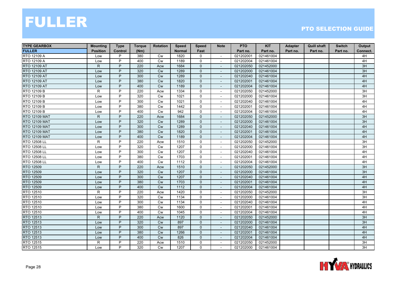| <b>TYPE GEARBOX</b>  | <b>Mounting</b> | <b>Type</b>    | <b>Torque</b> | <b>Rotation</b> | <b>Speed</b>  | <b>Speed</b>   | <b>Note</b>              | <b>PTO</b> | <b>KIT</b> | Adapter  | <b>Quill shaft</b> | <b>Switch</b> | Output   |
|----------------------|-----------------|----------------|---------------|-----------------|---------------|----------------|--------------------------|------------|------------|----------|--------------------|---------------|----------|
| <b>FULLER</b>        | <b>Position</b> | <b>Control</b> | (Nm)          |                 | <b>Normal</b> | Fast           |                          | Part no.   | Part no.   | Part no. | Part no.           | Part no.      | Connect. |
| RTO 12109 A          | Low             | P              | 380           | Cw              | 1820          | 0              | $\sim$                   | 021202001  | 021461004  |          |                    |               | 4H       |
| RTO 12109 A          | Low             | P              | 400           | <b>Cw</b>       | 1189          | $\mathbf 0$    |                          | 021202004  | 021461004  |          |                    |               | 4H       |
| RTO 12109 AT         | $\mathsf{R}$    | P              | 220           | Acw             | 1684          | $\mathbf{0}$   |                          | 021202050  | 021452000  |          |                    |               | 3H       |
| RTO 12109 AT         | Low             | P              | 320           | Cw              | 1289          | $\mathbf 0$    | $\blacksquare$           | 021202000  | 021461004  |          |                    |               | 3H       |
| RTO 12109 AT         | Low             | P              | 300           | Cw              | 1289          | $\mathbf 0$    | $\sim$                   | 021202040  | 021461004  |          |                    |               | 4H       |
| RTO 12109 AT         | Low             | P              | 380           | Cw              | 1820          | 0              | $\overline{\phantom{a}}$ | 021202001  | 021461004  |          |                    |               | 4H       |
| RTO 12109 AT         | Low             | P              | 400           | Cw              | 1189          | 0              | $\blacksquare$           | 021202004  | 021461004  |          |                    |               | 4H       |
| RTO 12109 B          | R               | P              | 220           | Acw             | 1334          | $\mathsf{O}$   | $\overline{\phantom{a}}$ | 021202050  | 021452000  |          |                    |               | 3H       |
| RTO 12109 B          | Low             | P              | 320           | <b>Cw</b>       | 1021          | 0              |                          | 021202000  | 021461004  |          |                    |               | 3H       |
| RTO 12109 B          | Low             | P              | 300           | Cw              | 1021          | $\mathbf 0$    | $\blacksquare$           | 021202040  | 021461004  |          |                    |               | 4H       |
| RTO 12109 B          | Low             | P              | 380           | Cw              | 1442          | 0              | $\overline{\phantom{a}}$ | 021202001  | 021461004  |          |                    |               | 4H       |
| RTO 12109 B          | Low             | P              | 400           | Cw              | 942           | 0              | $\overline{\phantom{a}}$ | 021202004  | 021461004  |          |                    |               | 4H       |
| <b>RTO 12109 MAT</b> | $\mathsf{R}$    | P              | 220           | Acw             | 1684          | $\overline{0}$ | $\overline{\phantom{a}}$ | 021202050  | 021452000  |          |                    |               | 3H       |
| <b>RTO 12109 MAT</b> | Low             | P              | 320           | Cw              | 1289          | $\mathbf{0}$   |                          | 021202000  | 021461004  |          |                    |               | 3H       |
| <b>RTO 12109 MAT</b> | Low             | P              | 300           | <b>Cw</b>       | 1289          | $\overline{0}$ |                          | 021202040  | 021461004  |          |                    |               | 4H       |
| <b>RTO 12109 MAT</b> | Low             | P              | 380           | <b>Cw</b>       | 1820          | $\mathbf{0}$   | $\sim$                   | 021202001  | 021461004  |          |                    |               | 4H       |
| <b>RTO 12109 MAT</b> | Low             | P              | 400           | Cw              | 1189          | $\mathbf{0}$   | $\overline{\phantom{a}}$ | 021202004  | 021461004  |          |                    |               | 4H       |
| RTO 12508 LL         | R               | P              | 220           | Acw             | 1510          | 0              | $\overline{\phantom{a}}$ | 021202050  | 021452000  |          |                    |               | 3H       |
| RTO 12508 LL         | Low             | P              | 320           | Cw              | 1207          | 0              | $\blacksquare$           | 021202000  | 021461004  |          |                    |               | 3H       |
| RTO 12508 LL         | Low             | P              | 300           | Cw              | 1207          | 0              | $\overline{\phantom{a}}$ | 021202040  | 021461004  |          |                    |               | 4H       |
| RTO 12508 LL         | Low             | P              | 380           | Cw              | 1703          | 0              |                          | 021202001  | 021461004  |          |                    |               | 4H       |
| RTO 12508 LL         | Low             | P              | 400           | Cw              | 1112          | $\mathbf 0$    | $\sim$                   | 021202004  | 021461004  |          |                    |               | 4H       |
| RTO 12509            | $\mathsf{R}$    | P              | 220           | Acw             | 1510          | $\mathbf{0}$   | $\sim$                   | 021202050  | 021452000  |          |                    |               | 3H       |
| RTO 12509            | Low             | P              | 320           | Cw              | 1207          | 0              | $\overline{\phantom{a}}$ | 021202000  | 021461004  |          |                    |               | 3H       |
| <b>RTO 12509</b>     | Low             | P              | 300           | Cw              | 1207          | 0              | $\overline{\phantom{a}}$ | 021202040  | 021461004  |          |                    |               | 4H       |
| RTO 12509            | Low             | P              | 380           | <b>Cw</b>       | 1703          | $\mathbf 0$    |                          | 021202001  | 021461004  |          |                    |               | 4H       |
| RTO 12509            | Low             | P              | 400           | Cw              | 1112          | $\mathbf{0}$   | $\blacksquare$           | 021202004  | 021461004  |          |                    |               | 4H       |
| RTO 12510            | R               | P              | 220           | Acw             | 1420          | $\mathbf 0$    | $\blacksquare$           | 021202050  | 021452000  |          |                    |               | 3H       |
| RTO 12510            | Low             | P              | 320           | <b>Cw</b>       | 1134          | $\mathbf 0$    | $\sim$                   | 021202000  | 021461004  |          |                    |               | 3H       |
| RTO 12510            | Low             | P              | 300           | <b>Cw</b>       | 1134          | 0              | $\overline{\phantom{a}}$ | 021202040  | 021461004  |          |                    |               | 4H       |
| RTO 12510            | Low             | P              | 380           | Cw              | 1600          | 0              | $\overline{\phantom{a}}$ | 021202001  | 021461004  |          |                    |               | 4H       |
| RTO 12510            | Low             | P              | 400           | Cw              | 1045          | 0              | $\overline{\phantom{a}}$ | 021202004  | 021461004  |          |                    |               | 4H       |
| RTO 12513            | $\mathsf{R}$    | P              | 220           | Acw             | 1120          | $\mathbf 0$    | $\overline{\phantom{a}}$ | 021202050  | 021452000  |          |                    |               | 3H       |
| RTO 12513            | Low             | P              | 320           | Cw              | 897           | $\mathbf{0}$   | $\blacksquare$           | 021202000  | 021461004  |          |                    |               | 3H       |
| RTO 12513            | Low             | P              | 300           | <b>Cw</b>       | 897           | $\mathbf{0}$   |                          | 021202040  | 021461004  |          |                    |               | 4H       |
| RTO 12513            | Low             | P              | 380           | Cw              | 1266          | 0              | $\blacksquare$           | 021202001  | 021461004  |          |                    |               | 4H       |
| RTO 12513            | Low             | P              | 400           | Cw              | 826           | $\overline{0}$ | $\sim$                   | 021202004  | 021461004  |          |                    |               | 4H       |
| RTO 12515            | R.              | P              | 220           | Acw             | 1510          | 0              | $\overline{\phantom{a}}$ | 021202050  | 021452000  |          |                    |               | 3H       |
| RTO 12515            | Low             | P              | 320           | <b>Cw</b>       | 1207          | 0              | $\sim$                   | 021202000  | 021461004  |          |                    |               | 3H       |

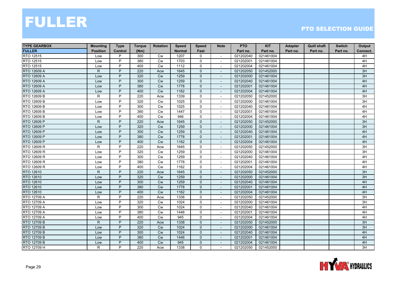| <b>TYPE GEARBOX</b> | <b>Mounting</b> | <b>Type</b> | <b>Torque</b> | <b>Rotation</b> | <b>Speed</b>  | <b>Speed</b>   | <b>Note</b>              | <b>PTO</b> | <b>KIT</b> | Adapter  | <b>Quill shaft</b> | <b>Switch</b> | Output   |
|---------------------|-----------------|-------------|---------------|-----------------|---------------|----------------|--------------------------|------------|------------|----------|--------------------|---------------|----------|
| <b>FULLER</b>       | <b>Position</b> | Control     | (Nm)          |                 | <b>Normal</b> | Fast           |                          | Part no.   | Part no.   | Part no. | Part no.           | Part no.      | Connect. |
| RTO 12515           | Low             | P           | 300           | Cw              | 1207          | 0              | $\overline{\phantom{a}}$ | 021202040  | 021461004  |          |                    |               | 4H       |
| RTO 12515           | Low             | P           | 380           | Cw              | 1703          | $\mathbf 0$    | $\sim$                   | 021202001  | 021461004  |          |                    |               | 4H       |
| RTO 12515           | Low             | P           | 400           | <b>Cw</b>       | 1112          | $\mathbf 0$    | $\overline{\phantom{a}}$ | 021202004  | 021461004  |          |                    |               | 4H       |
| RTO 12609 A         | $\mathsf{R}$    | P           | 220           | Acw             | 1645          | $\mathbf 0$    | $\overline{\phantom{a}}$ | 021202050  | 021452000  |          |                    |               | 3H       |
| RTO 12609 A         | Low             | P           | 320           | <b>Cw</b>       | 1259          | $\mathbf{0}$   | $\blacksquare$           | 021202000  | 021461004  |          |                    |               | 3H       |
| <b>RTO 12609 A</b>  | Low             | P           | 300           | <b>Cw</b>       | 1259          | $\overline{0}$ | $\blacksquare$           | 021202040  | 021461004  |          |                    |               | 4H       |
| RTO 12609 A         | Low             | P           | 380           | Cw              | 1778          | $\overline{0}$ | $\overline{\phantom{a}}$ | 021202001  | 021461004  |          |                    |               | 4H       |
| RTO 12609 A         | Low             | P           | 400           | Cw              | 1162          | $\mathbf{0}$   |                          | 021202004  | 021461004  |          |                    |               | 4H       |
| RTO 12609 B         | R               | P           | 220           | Acw             | 1339          | $\mathbf 0$    | $\overline{\phantom{a}}$ | 021202050  | 021452000  |          |                    |               | 3H       |
| RTO 12609 B         | Low             | P           | 320           | <b>Cw</b>       | 1025          | $\mathbf 0$    | $\overline{\phantom{a}}$ | 021202000  | 021461004  |          |                    |               | 3H       |
| RTO 12609 B         | Low             | P           | 300           | Cw              | 1025          | 0              | $\sim$                   | 021202040  | 021461004  |          |                    |               | 4H       |
| RTO 12609 B         | Low             | P           | 380           | Cw              | 1447          | 0              | $\overline{\phantom{a}}$ | 021202001  | 021461004  |          |                    |               | 4H       |
| RTO 12609 B         | Low             | P           | 400           | Cw              | 946           | 0              | $\overline{\phantom{a}}$ | 021202004  | 021461004  |          |                    |               | 4H       |
| RTO 12609 P         | $\mathsf{R}$    | P           | 220           | Acw             | 1645          | $\mathbf{0}$   |                          | 021202050  | 021452000  |          |                    |               | 3H       |
| RTO 12609 P         | Low             | P           | 320           | Cw              | 1259          | $\mathbf{0}$   | $\sim$                   | 021202000  | 021461004  |          |                    |               | 3H       |
| RTO 12609 P         | Low             | P           | 300           | Cw              | 1259          | $\mathbf{0}$   | $\overline{\phantom{a}}$ | 021202040  | 021461004  |          |                    |               | 4H       |
| RTO 12609 P         | Low             | P           | 380           | <b>Cw</b>       | 1778          | $\mathbf{0}$   | $\blacksquare$           | 021202001  | 021461004  |          |                    |               | 4H       |
| RTO 12609 P         | Low             | P           | 400           | Cw              | 1162          | 0              | $\blacksquare$           | 021202004  | 021461004  |          |                    |               | 4H       |
| RTO 12609 R         | $\mathsf{R}$    | P           | 220           | Acw             | 1645          | 0              | $\overline{\phantom{a}}$ | 021202050  | 021452000  |          |                    |               | 3H       |
| RTO 12609 R         | Low             | P           | 320           | Cw              | 1259          | $\mathsf{O}$   | $\sim$                   | 021202000  | 021461004  |          |                    |               | 3H       |
| RTO 12609 R         | Low             | P           | 300           | Cw              | 1259          | 0              | $\overline{\phantom{a}}$ | 021202040  | 021461004  |          |                    |               | 4H       |
| RTO 12609 R         | Low             | P           | 380           | <b>Cw</b>       | 1778          | 0              |                          | 021202001  | 021461004  |          |                    |               | 4H       |
| RTO 12609 R         | Low             | P           | 400           | <b>Cw</b>       | 1162          | $\mathbf 0$    | $\sim$                   | 021202004  | 021461004  |          |                    |               | 4H       |
| RTO 12610           | $\mathsf{R}$    | P           | 220           | Acw             | 1645          | 0              | $\overline{\phantom{a}}$ | 021202050  | 021452000  |          |                    |               | 3H       |
| RTO 12610           | Low             | P           | 320           | <b>Cw</b>       | 1259          | 0              | $\overline{\phantom{a}}$ | 021202000  | 021461004  |          |                    |               | 3H       |
| RTO 12610           | Low             | P           | 300           | Cw              | 1259          | $\mathbf{0}$   | $\blacksquare$           | 021202040  | 021461004  |          |                    |               | 4H       |
| RTO 12610           | Low             | P           | 380           | Cw              | 1778          | $\mathbf{0}$   | $\blacksquare$           | 021202001  | 021461004  |          |                    |               | 4H       |
| RTO 12610           | Low             | P           | 400           | <b>Cw</b>       | 1162          | $\mathbf{0}$   |                          | 021202004  | 021461004  |          |                    |               | 4H       |
| RTO 12709 A         | R               | P           | 220           | Acw             | 1338          | $\mathbf 0$    | $\sim$                   | 021202050  | 021452000  |          |                    |               | 3H       |
| RTO 12709 A         | Low             | P           | 320           | <b>Cw</b>       | 1024          | 0              | $\sim$                   | 021202000  | 021461004  |          |                    |               | 3H       |
| RTO 12709 A         | Low             | P           | 300           | <b>Cw</b>       | 1024          | 0              | $\overline{\phantom{a}}$ | 021202040  | 021461004  |          |                    |               | 4H       |
| RTO 12709 A         | Low             | P           | 380           | Cw              | 1446          | $\mathsf{O}$   |                          | 021202001  | 021461004  |          |                    |               | 4H       |
| RTO 12709 A         | Low             | P           | 400           | Cw              | 945           | 0              | $\sim$                   | 021202004  | 021461004  |          |                    |               | 4H       |
| RTO 12709 B         | $\mathsf{R}$    | P           | 220           | Acw             | 1338          | $\mathbf 0$    |                          | 021202050  | 021452000  |          |                    |               | 3H       |
| RTO 12709 B         | Low             | P           | 320           | Cw              | 1024          | $\mathbf{0}$   | $\sim$                   | 021202000  | 021461004  |          |                    |               | 3H       |
| RTO 12709 B         | Low             | P           | 300           | Cw              | 1024          | $\overline{0}$ | $\overline{\phantom{a}}$ | 021202040  | 021461004  |          |                    |               | 4H       |
| RTO 12709 B         | Low             | P           | 380           | <b>Cw</b>       | 1446          | 0              | $\overline{\phantom{a}}$ | 021202001  | 021461004  |          |                    |               | 4H       |
| RTO 12709 B         | Low             | P           | 400           | <b>Cw</b>       | 945           | $\mathbf{0}$   |                          | 021202004  | 021461004  |          |                    |               | 4H       |
| RTO 12709 H         | R               | P           | 220           | Acw             | 1338          | 0              | $\sim$                   | 021202050  | 021452000  |          |                    |               | 3H       |

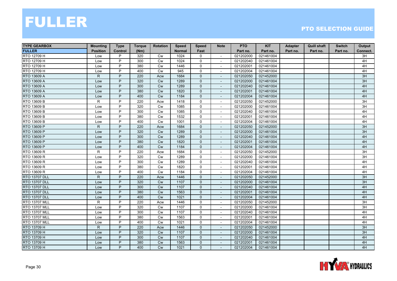| <b>TYPE GEARBOX</b>  | <b>Mounting</b> | <b>Type</b>    | <b>Torque</b> | <b>Rotation</b> | <b>Speed</b>  | <b>Speed</b>   | <b>Note</b>              | <b>PTO</b> | <b>KIT</b> | Adapter  | <b>Quill shaft</b> | <b>Switch</b> | Output          |
|----------------------|-----------------|----------------|---------------|-----------------|---------------|----------------|--------------------------|------------|------------|----------|--------------------|---------------|-----------------|
| <b>FULLER</b>        | <b>Position</b> | <b>Control</b> | (Nm)          |                 | <b>Normal</b> | Fast           |                          | Part no.   | Part no.   | Part no. | Part no.           | Part no.      | Connect.        |
| RTO 12709 H          | Low             | P              | 320           | Cw              | 1024          | 0              | $\sim$                   | 021202000  | 021461004  |          |                    |               | 3H              |
| RTO 12709 H          | Low             | P              | 300           | <b>Cw</b>       | 1024          | $\mathbf 0$    |                          | 021202040  | 021461004  |          |                    |               | 4H              |
| RTO 12709 H          | Low             | P              | 380           | Cw              | 1446          | 0              |                          | 021202001  | 021461004  |          |                    |               | 4H              |
| RTO 12709 H          | Low             | P              | 400           | Cw              | 945           | 0              | $\overline{\phantom{a}}$ | 021202004  | 021461004  |          |                    |               | 4H              |
| RTO 13609 A          | $\mathsf{R}$    | P              | 220           | Acw             | 1684          | $\mathbf{0}$   | $\sim$                   | 021202050  | 021452000  |          |                    |               | 3H              |
| RTO 13609 A          | Low             | P              | 320           | <b>Cw</b>       | 1289          | $\overline{0}$ | $\overline{\phantom{a}}$ | 021202000  | 021461004  |          |                    |               | 3H              |
| RTO 13609 A          | Low             | P              | 300           | Cw              | 1289          | 0              | $\sim$                   | 021202040  | 021461004  |          |                    |               | 4H              |
| RTO 13609 A          | Low             | P              | 380           | Cw              | 1820          | $\mathbf{0}$   |                          | 021202001  | 021461004  |          |                    |               | 4H              |
| RTO 13609 A          | Low             | P              | 400           | Cw              | 1184          | $\mathbf 0$    |                          | 021202004  | 021461004  |          |                    |               | 4H              |
| RTO 13609 B          | $\mathsf{R}$    | P              | 220           | Acw             | 1418          | 0              | $\blacksquare$           | 021202050  | 021452000  |          |                    |               | 3H              |
| RTO 13609 B          | Low             | P              | 320           | Cw              | 1085          | 0              | $\sim$                   | 021202000  | 021461004  |          |                    |               | $\overline{3H}$ |
| RTO 13609 B          | Low             | P              | 300           | Cw              | 1085          | 0              | $\overline{\phantom{a}}$ | 021202040  | 021461004  |          |                    |               | 4H              |
| RTO 13609 B          | Low             | P              | 380           | Cw              | 1532          | 0              | $\overline{\phantom{a}}$ | 021202001  | 021461004  |          |                    |               | 4H              |
| RTO 13609 B          | Low             | P              | 400           | <b>Cw</b>       | 1001          | $\mathbf 0$    |                          | 021202004  | 021461004  |          |                    |               | 4H              |
| RTO 13609 P          | $\mathsf{R}$    | P              | 220           | Acw             | 1684          | 0              |                          | 021202050  | 021452000  |          |                    |               | 3H              |
| RTO 13609 P          | Low             | P              | 320           | Cw              | 1289          | $\mathbf 0$    | $\overline{\phantom{a}}$ | 021202000  | 021461004  |          |                    |               | 3H              |
| RTO 13609 P          | Low             | P              | 300           | <b>Cw</b>       | 1289          | $\mathbf{0}$   | $\blacksquare$           | 021202040  | 021461004  |          |                    |               | 4H              |
| RTO 13609 P          | Low             | P              | 380           | Cw              | 1820          | $\overline{0}$ | $\overline{\phantom{a}}$ | 021202001  | 021461004  |          |                    |               | 4H              |
| RTO 13609 P          | Low             | P              | 400           | Cw              | 1184          | $\mathbf{0}$   | $\overline{\phantom{a}}$ | 021202004  | 021461004  |          |                    |               | 4H              |
| RTO 13609 R          | R.              | P              | 220           | Acw             | 1684          | $\mathbf 0$    | $\blacksquare$           | 021202050  | 021452000  |          |                    |               | 3H              |
| RTO 13609 R          | Low             | P              | 320           | <b>Cw</b>       | 1289          | 0              | $\overline{\phantom{a}}$ | 021202000  | 021461004  |          |                    |               | $\overline{3H}$ |
| RTO 13609 R          | Low             | P              | 300           | Cw              | 1289          | 0              | $\overline{\phantom{a}}$ | 021202040  | 021461004  |          |                    |               | 4H              |
| RTO 13609 R          | Low             | P              | 380           | Cw              | 1820          | $\mathsf{O}$   | $\sim$                   | 021202001  | 021461004  |          |                    |               | 4H              |
| RTO 13609 R          | Low             | P              | 400           | Cw              | 1184          | 0              | $\overline{\phantom{a}}$ | 021202004  | 021461004  |          |                    |               | 4H              |
| <b>RTO 13707 DLL</b> | $\mathsf{R}$    | P              | 220           | Acw             | 1446          | $\overline{0}$ | $\overline{\phantom{a}}$ | 021202050  | 021452000  |          |                    |               | 3H              |
| <b>RTO 13707 DLL</b> | Low             | P              | 320           | Cw              | 1107          | $\mathbf{0}$   |                          | 021202000  | 021461004  |          |                    |               | 3H              |
| <b>RTO 13707 DLL</b> | Low             | P              | 300           | Cw              | 1107          | 0              | $\overline{a}$           | 021202040  | 021461004  |          |                    |               | 4H              |
| <b>RTO 13707 DLL</b> | Low             | P              | 380           | Cw              | 1563          | $\mathbf 0$    |                          | 021202001  | 021461004  |          |                    |               | 4H              |
| <b>RTO 13707 DLL</b> | Low             | P              | 400           | Cw              | 1021          | $\mathbf{0}$   | $\overline{a}$           | 021202004  | 021461004  |          |                    |               | 4H              |
| <b>RTO 13707 MLL</b> | R               | P              | 220           | Acw             | 1446          | 0              | $\sim$                   | 021202050  | 021452000  |          |                    |               | 3H              |
| <b>RTO 13707 MLL</b> | Low             | P              | 320           | Cw              | 1107          | 0              | $\overline{\phantom{a}}$ | 021202000  | 021461004  |          |                    |               | 3H              |
| <b>RTO 13707 MLL</b> | Low             | P              | 300           | Cw              | 1107          | $\mathbf 0$    |                          | 021202040  | 021461004  |          |                    |               | 4H              |
| <b>RTO 13707 MLL</b> | Low             | P              | 380           | Cw              | 1563          | 0              | $\sim$                   | 021202001  | 021461004  |          |                    |               | 4H              |
| <b>RTO 13707 MLL</b> | Low             | P              | 400           | Cw              | 1021          | 0              |                          | 021202004  | 021461004  |          |                    |               | 4H              |
| RTO 13709 H          | $\mathsf{R}$    | P              | 220           | Acw             | 1446          | $\mathbf{0}$   | $\sim$                   | 021202050  | 021452000  |          |                    |               | 3H              |
| RTO 13709 H          | Low             | P              | 320           | Cw              | 1107          | $\overline{0}$ | $\overline{\phantom{a}}$ | 021202000  | 021461004  |          |                    |               | 3H              |
| RTO 13709 H          | Low             | P              | 300           | Cw              | 1107          | 0              | $\overline{\phantom{a}}$ | 021202040  | 021461004  |          |                    |               | 4H              |
| RTO 13709 H          | Low             | P              | 380           | <b>Cw</b>       | 1563          | $\mathbf{0}$   |                          | 021202001  | 021461004  |          |                    |               | 4H              |
| RTO 13709 H          | Low             | P              | 400           | <b>Cw</b>       | 1021          | $\overline{0}$ | $\overline{\phantom{a}}$ | 021202004  | 021461004  |          |                    |               | 4H              |

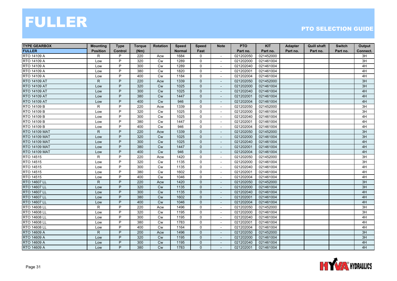| <b>TYPE GEARBOX</b>  | <b>Mounting</b> | <b>Type</b>    | <b>Torque</b> | <b>Rotation</b> | <b>Speed</b>  | <b>Speed</b>   | <b>Note</b>              | <b>PTO</b> | <b>KIT</b> | Adapter  | <b>Quill shaft</b> | <b>Switch</b> | Output          |
|----------------------|-----------------|----------------|---------------|-----------------|---------------|----------------|--------------------------|------------|------------|----------|--------------------|---------------|-----------------|
| <b>FULLER</b>        | <b>Position</b> | <b>Control</b> | (Nm)          |                 | <b>Normal</b> | Fast           |                          | Part no.   | Part no.   | Part no. | Part no.           | Part no.      | Connect.        |
| RTO 14109 A          | R               | P              | 220           | Acw             | 1684          | 0              | $\sim$                   | 021202050  | 021452000  |          |                    |               | 3H              |
| RTO 14109 A          | Low             | P              | 320           | <b>Cw</b>       | 1289          | $\mathbf 0$    |                          | 021202000  | 021461004  |          |                    |               | 3H              |
| RTO 14109 A          | Low             | P              | 300           | Cw              | 1289          | 0              |                          | 021202040  | 021461004  |          |                    |               | 4H              |
| RTO 14109 A          | Low             | P              | 380           | Cw              | 1820          | 0              | $\overline{\phantom{a}}$ | 021202001  | 021461004  |          |                    |               | 4H              |
| RTO 14109 A          | Low             | P              | 400           | Cw              | 1184          | $\mathbf 0$    | $\sim$                   | 021202004  | 021461004  |          |                    |               | 4H              |
| <b>RTO 14109 AT</b>  | $\mathsf{R}$    | P              | 220           | Acw             | 1339          | 0              | $\overline{\phantom{a}}$ | 021202050  | 021452000  |          |                    |               | 3H              |
| RTO 14109 AT         | Low             | P              | 320           | Cw              | 1025          | 0              | $\sim$                   | 021202000  | 021461004  |          |                    |               | 3H              |
| RTO 14109 AT         | Low             | P              | 300           | <b>Cw</b>       | 1025          | $\mathbf{0}$   |                          | 021202040  | 021461004  |          |                    |               | 4H              |
| <b>RTO 14109 AT</b>  | Low             | P              | 380           | Cw              | 1447          | $\mathbf 0$    |                          | 021202001  | 021461004  |          |                    |               | 4H              |
| RTO 14109 AT         | Low             | P              | 400           | Cw              | 946           | $\mathbf 0$    | $\blacksquare$           | 021202004  | 021461004  |          |                    |               | 4H              |
| RTO 14109 B          | $\mathsf{R}$    | P              | 220           | Acw             | 1339          | 0              | $\sim$                   | 021202050  | 021452000  |          |                    |               | 3H              |
| RTO 14109 B          | Low             | P              | 320           | Cw              | 1025          | 0              | $\sim$                   | 021202000  | 021461004  |          |                    |               | 3H              |
| RTO 14109 B          | Low             | P              | 300           | Cw              | 1025          | 0              | $\overline{\phantom{a}}$ | 021202040  | 021461004  |          |                    |               | 4H              |
| RTO 14109 B          | Low             | P              | 380           | <b>Cw</b>       | 1447          | $\mathbf 0$    |                          | 021202001  | 021461004  |          |                    |               | 4H              |
| RTO 14109 B          | Low             | P              | 400           | Cw              | 946           | 0              |                          | 021202004  | 021461004  |          |                    |               | 4H              |
| <b>RTO 14109 MAT</b> | $\mathsf{R}$    | P              | 220           | Acw             | 1339          | 0              | $\blacksquare$           | 021202050  | 021452000  |          |                    |               | 3H              |
| <b>RTO 14109 MAT</b> | Low             | P              | 320           | Cw              | 1025          | $\mathbf{0}$   | $\blacksquare$           | 021202000  | 021461004  |          |                    |               | 3H              |
| <b>RTO 14109 MAT</b> | Low             | P              | 300           | Cw              | 1025          | 0              | $\overline{\phantom{a}}$ | 021202040  | 021461004  |          |                    |               | 4H              |
| <b>RTO 14109 MAT</b> | Low             | P              | 380           | Cw              | 1447          | $\mathbf{0}$   | $\overline{\phantom{a}}$ | 021202001  | 021461004  |          |                    |               | 4H              |
| <b>RTO 14109 MAT</b> | Low             | P              | 400           | <b>Cw</b>       | 946           | $\mathbf{0}$   |                          | 021202004  | 021461004  |          |                    |               | 4H              |
| RTO 14515            | R               | P              | 220           | Acw             | 1420          | 0              | $\blacksquare$           | 021202050  | 021452000  |          |                    |               | 3H              |
| RTO 14515            | Low             | P              | 320           | Cw              | 1135          | 0              | $\overline{\phantom{a}}$ | 021202000  | 021461004  |          |                    |               | $\overline{3H}$ |
| RTO 14515            | Low             | P              | 300           | Cw              | 1135          | $\mathsf{O}$   | $\sim$                   | 021202040  | 021461004  |          |                    |               | 4H              |
| RTO 14515            | Low             | P              | 380           | Cw              | 1602          | 0              | $\overline{\phantom{a}}$ | 021202001  | 021461004  |          |                    |               | 4H              |
| RTO 14515            | Low             | P              | 400           | <b>Cw</b>       | 1046          | 0              | $\overline{\phantom{a}}$ | 021202004  | 021461004  |          |                    |               | 4H              |
| RTO 14607 LL         | $\mathsf{R}$    | P              | 220           | Acw             | 1420          | $\mathbf{0}$   |                          | 021202050  | 021452000  |          |                    |               | 3H              |
| RTO 14607 LL         | Low             | P              | 320           | Cw              | 1135          | 0              | $\overline{a}$           | 021202000  | 021461004  |          |                    |               | 3H              |
| RTO 14607 LL         | Low             | P              | 300           | Cw              | 1135          | $\mathbf 0$    |                          | 021202040  | 021461004  |          |                    |               | 4H              |
| <b>RTO 14607 LL</b>  | Low             | P              | 380           | Cw              | 1602          | $\mathbf{0}$   | $\overline{a}$           | 021202001  | 021461004  |          |                    |               | 4H              |
| RTO 14607 LL         | Low             | P              | 400           | Cw              | 1046          | $\overline{0}$ | $\overline{\phantom{a}}$ | 021202004  | 021461004  |          |                    |               | 4H              |
| RTO 14608 LL         | $\mathsf{R}$    | P              | 220           | Acw             | 1496          | 0              | $\overline{\phantom{a}}$ | 021202050  | 021452000  |          |                    |               | 3H              |
| RTO 14608 LL         | Low             | P              | 320           | Cw              | 1195          | $\mathbf 0$    |                          | 021202000  | 021461004  |          |                    |               | 3H              |
| RTO 14608 LL         | Low             | P              | 300           | Cw              | 1195          | 0              | $\sim$                   | 021202040  | 021461004  |          |                    |               | 4H              |
| RTO 14608 LL         | Low             | P              | 380           | Cw              | 1783          | 0              |                          | 021202001  | 021461004  |          |                    |               | 4H              |
| RTO 14608 LL         | Low             | P              | 400           | Cw              | 1164          | $\mathsf{O}$   | $\sim$                   | 021202004  | 021461004  |          |                    |               | 4H              |
| RTO 14609 A          | $\mathsf{R}$    | P              | 200           | Acw             | 1496          | $\overline{0}$ | $\overline{\phantom{a}}$ | 021202050  | 021452000  |          |                    |               | 3H              |
| RTO 14609 A          | Low             | P              | 320           | Cw              | 1195          | 0              | $\overline{\phantom{a}}$ | 021202000  | 021461004  |          |                    |               | 3H              |
| RTO 14609 A          | Low             | P              | 300           | <b>Cw</b>       | 1195          | $\mathbf{0}$   |                          | 021202040  | 021461004  |          |                    |               | 4H              |
| RTO 14609 A          | Low             | P              | 380           | Cw              | 1783          | $\overline{0}$ | $\overline{\phantom{a}}$ | 021202001  | 021461004  |          |                    |               | 4H              |

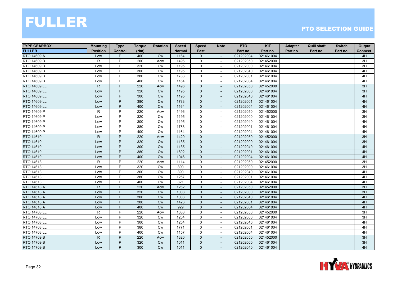| <b>TYPE GEARBOX</b> | <b>Mounting</b> | <b>Type</b>    | <b>Torque</b> | <b>Rotation</b> | <b>Speed</b>  | <b>Speed</b>        | <b>Note</b>              | <b>PTO</b> | <b>KIT</b> | Adapter  | <b>Quill shaft</b> | <b>Switch</b> | Output   |
|---------------------|-----------------|----------------|---------------|-----------------|---------------|---------------------|--------------------------|------------|------------|----------|--------------------|---------------|----------|
| <b>FULLER</b>       | <b>Position</b> | Control        | (Nm)          |                 | <b>Normal</b> | Fast                |                          | Part no.   | Part no.   | Part no. | Part no.           | Part no.      | Connect. |
| RTO 14609 A         | Low             | P              | 400           | <b>Cw</b>       | 1164          | 0                   | $\overline{\phantom{a}}$ | 021202004  | 021461004  |          |                    |               | 4H       |
| RTO 14609 B         | R               | P              | 200           | Acw             | 1496          | 0                   | $\overline{\phantom{a}}$ | 021202050  | 021452000  |          |                    |               | 3H       |
| RTO 14609 B         | Low             | P              | 320           | <b>Cw</b>       | 1195          | 0                   |                          | 021202000  | 021461004  |          |                    |               | 3H       |
| RTO 14609 B         | Low             | P              | 300           | Cw              | 1195          | 0                   | $\sim$                   | 021202040  | 021461004  |          |                    |               | 4H       |
| RTO 14609 B         | Low             | P              | 380           | <b>Cw</b>       | 1783          | 0                   |                          | 021202001  | 021461004  |          |                    |               | 4H       |
| RTO 14609 B         | Low             | P              | 400           | Cw              | 1164          | 0                   | $\overline{\phantom{a}}$ | 021202004  | 021461004  |          |                    |               | 4H       |
| <b>RTO 14609 LL</b> | $\mathsf{R}$    | P              | 220           | Acw             | 1496          | $\overline{0}$      | $\overline{\phantom{a}}$ | 021202050  | 021452000  |          |                    |               | 3H       |
| RTO 14609 LL        | Low             | P              | 320           | <b>Cw</b>       | 1195          | 0                   |                          | 021202000  | 021461004  |          |                    |               | 3H       |
| RTO 14609 LL        | Low             | P              | 300           | Cw              | 1195          | $\mathbf 0$         |                          | 021202040  | 021461004  |          |                    |               | 4H       |
| RTO 14609 LL        | Low             | P              | 380           | <b>Cw</b>       | 1783          | $\mathbf{0}$        | $\sim$                   | 021202001  | 021461004  |          |                    |               | 4H       |
| RTO 14609 LL        | Low             | P              | 400           | Cw              | 1164          | 0                   |                          | 021202004  | 021461004  |          |                    |               | 4H       |
| RTO 14609 P         | R               | P              | 220           | Acw             | 1496          | 0                   | $\overline{\phantom{a}}$ | 021202050  | 021452000  |          |                    |               | 3H       |
| RTO 14609 P         | Low             | P              | 320           | Cw              | 1195          | $\mathbf 0$         | $\blacksquare$           | 021202000  | 021461004  |          |                    |               | 3H       |
| RTO 14609 P         | Low             | P              | 300           | Cw              | 1195          | 0                   | $\overline{\phantom{a}}$ | 021202040  | 021461004  |          |                    |               | 4H       |
| RTO 14609 P         | Low             | P              | 380           | Cw              | 1783          | 0                   |                          | 021202001  | 021461004  |          |                    |               | 4H       |
| RTO 14609 P         | Low             | P              | 400           | Cw              | 1164          | $\mathbf 0$         | $\sim$                   | 021202004  | 021461004  |          |                    |               | 4H       |
| RTO 14610           | $\mathsf{R}$    | P              | 220           | Acw             | 1420          | $\mathbf{0}$        |                          | 021202050  | 021452000  |          |                    |               | 3H       |
| RTO 14610           | Low             | P              | 320           | <b>Cw</b>       | 1135          | 0                   | $\overline{\phantom{a}}$ | 021202000  | 021461004  |          |                    |               | 3H       |
| RTO 14610           | Low             | P              | 300           | Cw              | 1135          | $\mathbf{0}$        | $\overline{\phantom{a}}$ | 021202040  | 021461004  |          |                    |               | 4H       |
| RTO 14610           | Low             | P              | 380           | Cw              | 1602          | $\mathbf{0}$        |                          | 021202001  | 021461004  |          |                    |               | 4H       |
| RTO 14610           | Low             | P              | 400           | Cw              | 1046          | $\mathbf{0}$        | $\overline{a}$           | 021202004  | 021461004  |          |                    |               | 4H       |
| RTO 14613           | $\mathsf{R}$    | P              | 220           | Acw             | 1114          | $\mathbf 0$         | $\sim$                   | 021202050  | 021452000  |          |                    |               | 3H       |
| RTO 14613           | Low             | P              | 320           | <b>Cw</b>       | 890           | 0                   | $\overline{\phantom{a}}$ | 021202000  | 021461004  |          |                    |               | 3H       |
| RTO 14613           | Low             | P              | 300           | Cw              | 890           | 0                   | $\overline{\phantom{a}}$ | 021202040  | 021461004  |          |                    |               | 4H       |
| RTO 14613           | Low             | P              | 380           | Cw              | 1257          | 0                   | $\overline{\phantom{a}}$ | 021202001  | 021461004  |          |                    |               | 4H       |
| RTO 14613           | Low             | P              | 400           | Cw              | 821           | $\mathbf 0$         | $\overline{\phantom{a}}$ | 021202004  | 021461004  |          |                    |               | 4H       |
| RTO 14618 A         | $\mathsf{R}$    | P              | 220           | Acw             | 1262          | $\mathbf{0}$        |                          | 021202050  | 021452000  |          |                    |               | 3H       |
| RTO 14618 A         | Low             | P              | 320           | Cw              | 1008          | $\mathbf 0$         | $\blacksquare$           | 021202000  | 021461004  |          |                    |               | 3H       |
| <b>RTO 14618 A</b>  | Low             | P              | 300           | Cw              | 1008          | $\mathbf{0}$        | $\blacksquare$           | 021202040  | 021461004  |          |                    |               | 4H       |
| <b>RTO 14618 A</b>  | Low             | P              | 380           | Cw              | 1423          | 0                   | $\overline{\phantom{a}}$ | 021202001  | 021461004  |          |                    |               | 4H       |
| RTO 14618 A         | Low             | P              | 400           | Cw              | 929           | 0                   | $\overline{\phantom{a}}$ | 021202004  | 021461004  |          |                    |               | 4H       |
| RTO 14708 LL        | $\mathsf{R}$    | P              | 220           | Acw             | 1638          | $\mathsf{O}$        |                          | 021202050  | 021452000  |          |                    |               | 3H       |
| RTO 14708 LL        | Low             | P              | 320           | Cw              | 1254          | 0                   | $\sim$                   | 021202000  | 021461004  |          |                    |               | 3H       |
| RTO 14708 LL        | Low             | P              | 300           | Cw              | 1254          | 0                   | $\overline{\phantom{a}}$ | 021202040  | 021461004  |          |                    |               | 4H       |
| <b>RTO 14708 LL</b> | Low             | $\overline{P}$ | 380           | Cw              | 1771          | $\mathsf{O}\xspace$ | $\sim$                   | 021202001  | 021461004  |          |                    |               | 4H       |
| RTO 14708 LL        | Low             | P              | 400           | Cw              | 1157          | 0                   | $\blacksquare$           | 021202004  | 021461004  |          |                    |               | 4H       |
| <b>RTO 14709 B</b>  | $\mathsf{R}$    | P              | 220           | Acw             | 1320          | 0                   | $\overline{\phantom{a}}$ | 021202050  | 021452000  |          |                    |               | 3H       |
| <b>RTO 14709 B</b>  | Low             | P              | 320           | Cw              | 1011          | $\mathbf{0}$        |                          | 021202000  | 021461004  |          |                    |               | 3H       |
| RTO 14709 B         | Low             | P              | 300           | <b>Cw</b>       | 1011          | $\overline{0}$      | $\overline{\phantom{a}}$ | 021202040  | 021461004  |          |                    |               | 4H       |

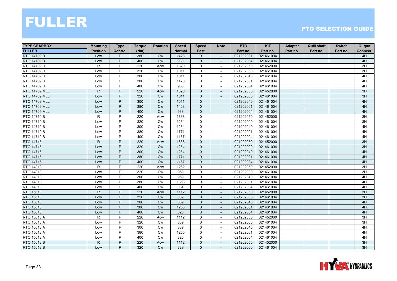| <b>TYPE GEARBOX</b>  | <b>Mounting</b> | <b>Type</b>    | <b>Torque</b> | <b>Rotation</b> | <b>Speed</b>  | <b>Speed</b>        | <b>Note</b>              | <b>PTO</b> | <b>KIT</b> | Adapter  | <b>Quill shaft</b> | <b>Switch</b> | Output   |
|----------------------|-----------------|----------------|---------------|-----------------|---------------|---------------------|--------------------------|------------|------------|----------|--------------------|---------------|----------|
| <b>FULLER</b>        | <b>Position</b> | Control        | (Nm)          |                 | <b>Normal</b> | Fast                |                          | Part no.   | Part no.   | Part no. | Part no.           | Part no.      | Connect. |
| <b>RTO 14709 B</b>   | Low             | P              | 380           | <b>Cw</b>       | 1428          | 0                   | $\overline{\phantom{a}}$ | 021202001  | 021461004  |          |                    |               | 4H       |
| <b>RTO 14709 B</b>   | Low             | P              | 400           | <b>Cw</b>       | 933           | $\overline{0}$      |                          | 021202004  | 021461004  |          |                    |               | 4H       |
| RTO 14709 H          | $\mathsf{R}$    | P              | 220           | Acw             | 1320          | 0                   |                          | 021202050  | 021452000  |          |                    |               | 3H       |
| RTO 14709 H          | Low             | P              | 320           | Cw              | 1011          | $\mathbf 0$         | $\sim$                   | 021202000  | 021461004  |          |                    |               | 3H       |
| RTO 14709 H          | Low             | P              | 300           | <b>Cw</b>       | 1011          | 0                   |                          | 021202040  | 021461004  |          |                    |               | 4H       |
| RTO 14709 H          | Low             | P              | 380           | Cw              | 1428          | 0                   | $\overline{\phantom{a}}$ | 021202001  | 021461004  |          |                    |               | 4H       |
| RTO 14709 H          | Low             | P              | 400           | <b>Cw</b>       | 933           | $\Omega$            | $\blacksquare$           | 021202004  | 021461004  |          |                    |               | 4H       |
| <b>RTO 14709 MLL</b> | $\mathsf{R}$    | P              | 220           | Acw             | 1320          | 0                   |                          | 021202050  | 021452000  |          |                    |               | 3H       |
| <b>RTO 14709 MLL</b> | Low             | P              | 320           | Cw              | 1011          | $\mathbf 0$         |                          | 021202000  | 021461004  |          |                    |               | 3H       |
| <b>RTO 14709 MLL</b> | Low             | P              | 300           | Cw              | 1011          | $\mathbf{0}$        | $\sim$                   | 021202040  | 021461004  |          |                    |               | 4H       |
| <b>RTO 14709 MLL</b> | Low             | P              | 380           | <b>Cw</b>       | 1428          | 0                   |                          | 021202001  | 021461004  |          |                    |               | 4H       |
| <b>RTO 14709 MLL</b> | Low             | P              | 400           | <b>Cw</b>       | 933           | $\overline{0}$      | $\overline{\phantom{a}}$ | 021202004  | 021461004  |          |                    |               | 4H       |
| RTO 14710 B          | $\mathsf{R}$    | P              | 220           | Acw             | 1638          | 0                   | $\blacksquare$           | 021202050  | 021452000  |          |                    |               | 3H       |
| RTO 14710 B          | Low             | P              | 320           | <b>Cw</b>       | 1254          | 0                   | $\overline{\phantom{a}}$ | 021202000  | 021461004  |          |                    |               | 3H       |
| RTO 14710 B          | Low             | P              | 300           | Cw              | 1254          | 0                   |                          | 021202040  | 021461004  |          |                    |               | 4H       |
| RTO 14710 B          | Low             | P              | 380           | Cw              | 1771          | $\mathbf 0$         | $\sim$                   | 021202001  | 021461004  |          |                    |               | 4H       |
| RTO 14710 B          | Low             | P              | 400           | <b>Cw</b>       | 1157          | $\mathbf 0$         | $\overline{\phantom{a}}$ | 021202004  | 021461004  |          |                    |               | 4H       |
| RTO 14715            | $\mathsf{R}$    | P              | 220           | Acw             | 1638          | 0                   | $\overline{\phantom{a}}$ | 021202050  | 021452000  |          |                    |               | 3H       |
| RTO 14715            | Low             | P              | 320           | Cw              | 1254          | $\mathbf{0}$        | $\overline{\phantom{a}}$ | 021202000  | 021461004  |          |                    |               | 3H       |
| RTO 14715            | Low             | P              | 300           | Cw              | 1254          | $\mathbf{0}$        |                          | 021202040  | 021461004  |          |                    |               | 4H       |
| RTO 14715            | Low             | P              | 380           | Cw              | 1771          | $\mathbf{0}$        | $\overline{a}$           | 021202001  | 021461004  |          |                    |               | 4H       |
| RTO 14715            | Low             | P              | 400           | Cw              | 1157          | $\mathbf{0}$        | $\sim$                   | 021202004  | 021461004  |          |                    |               | 4H       |
| RTO 14813            | R               | P              | 220           | Acw             | 1252          | 0                   | $\overline{\phantom{a}}$ | 021202050  | 021452000  |          |                    |               | 3H       |
| RTO 14813            | Low             | P              | 320           | Cw              | 959           | 0                   | $\blacksquare$           | 021202000  | 021461004  |          |                    |               | 3H       |
| RTO 14813            | Low             | P              | 300           | Cw              | 959           | $\mathbf 0$         | $\blacksquare$           | 021202040  | 021461004  |          |                    |               | 4H       |
| RTO 14813            | Low             | P              | 380           | Cw              | 1353          | $\mathbf 0$         | $\overline{\phantom{a}}$ | 021202001  | 021461004  |          |                    |               | 4H       |
| RTO 14813            | Low             | P              | 400           | <b>Cw</b>       | 884           | 0                   |                          | 021202004  | 021461004  |          |                    |               | 4H       |
| RTO 15613            | $\mathsf{R}$    | P              | 220           | Acw             | 1112          | $\mathbf 0$         | $\blacksquare$           | 021202050  | 021452000  |          |                    |               | 3H       |
| RTO 15613            | Low             | P              | 320           | Cw              | 889           | $\mathbf{0}$        | $\blacksquare$           | 021202000  | 021461004  |          |                    |               | 3H       |
| RTO 15613            | Low             | P              | 300           | Cw              | 889           | 0                   | $\overline{\phantom{a}}$ | 021202040  | 021461004  |          |                    |               | 4H       |
| RTO 15613            | Low             | P              | 380           | Cw              | 1255          | 0                   | $\overline{\phantom{a}}$ | 021202001  | 021461004  |          |                    |               | 4H       |
| RTO 15613            | Low             | P              | 400           | Cw              | 820           | $\mathbf{0}$        |                          | 021202004  | 021461004  |          |                    |               | 4H       |
| RTO 15613 A          | R               | P              | 220           | Acw             | 1112          | 0                   | $\sim$                   | 021202050  | 021452000  |          |                    |               | 3H       |
| RTO 15613 A          | Low             | P              | 320           | Cw              | 889           | 0                   | $\overline{\phantom{a}}$ | 021202000  | 021461004  |          |                    |               | 3H       |
| RTO 15613 A          | Low             | $\overline{P}$ | 300           | Cw              | 889           | $\mathsf{O}\xspace$ | $\sim$                   | 021202040  | 021461004  |          |                    |               | 4H       |
| RTO 15613 A          | Low             | P              | 380           | Cw              | 1255          | 0                   | $\blacksquare$           | 021202001  | 021461004  |          |                    |               | 4H       |
| RTO 15613 A          | Low             | P              | 400           | Cw              | 820           | 0                   | $\overline{\phantom{a}}$ | 021202004  | 021461004  |          |                    |               | 4H       |
| RTO 15613 B          | $\mathsf{R}$    | P              | 220           | Acw             | 1112          | $\mathbf{0}$        |                          | 021202050  | 021452000  |          |                    |               | 3H       |
| RTO 15613 B          | Low             | P              | 320           | <b>Cw</b>       | 889           | $\overline{0}$      | $\overline{\phantom{a}}$ | 021202000  | 021461004  |          |                    |               | 3H       |

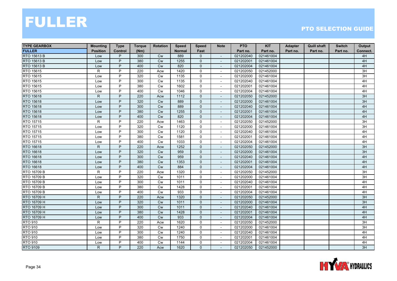| <b>TYPE GEARBOX</b> | <b>Mounting</b> | <b>Type</b>    | <b>Torque</b> | <b>Rotation</b> | <b>Speed</b>  | <b>Speed</b>   | <b>Note</b>              | <b>PTO</b> | <b>KIT</b> | Adapter  | <b>Quill shaft</b> | <b>Switch</b> | Output   |
|---------------------|-----------------|----------------|---------------|-----------------|---------------|----------------|--------------------------|------------|------------|----------|--------------------|---------------|----------|
| <b>FULLER</b>       | <b>Position</b> | <b>Control</b> | (Nm)          |                 | <b>Normal</b> | Fast           |                          | Part no.   | Part no.   | Part no. | Part no.           | Part no.      | Connect. |
| RTO 15613 B         | Low             | P              | 300           | <b>Cw</b>       | 889           | $\mathbf{0}$   | $\overline{\phantom{a}}$ | 021202040  | 021461004  |          |                    |               | 4H       |
| RTO 15613 B         | Low             | P              | 380           | <b>Cw</b>       | 1255          | $\mathbf{0}$   |                          | 021202001  | 021461004  |          |                    |               | 4H       |
| RTO 15613 B         | Low             | P              | 400           | Cw              | 820           | $\mathbf 0$    |                          | 021202004  | 021461004  |          |                    |               | 4H       |
| RTO 15615           | R               | P              | 220           | Acw             | 1420          | $\mathbf 0$    | $\sim$                   | 021202050  | 021452000  |          |                    |               | 3H       |
| RTO 15615           | Low             | P              | 320           | <b>Cw</b>       | 1135          | $\mathbf 0$    |                          | 021202000  | 021461004  |          |                    |               | 3H       |
| RTO 15615           | Low             | P              | 300           | Cw              | 1135          | 0              | $\overline{\phantom{a}}$ | 021202040  | 021461004  |          |                    |               | 4H       |
| RTO 15615           | Low             | P              | 380           | <b>Cw</b>       | 1602          | $\Omega$       | $\blacksquare$           | 021202001  | 021461004  |          |                    |               | 4H       |
| RTO 15615           | Low             | P              | 400           | <b>Cw</b>       | 1046          | 0              |                          | 021202004  | 021461004  |          |                    |               | 4H       |
| RTO 15618           | ${\sf R}$       | P              | 220           | Acw             | 1112          | $\mathbf 0$    |                          | 021202050  | 021452000  |          |                    |               | 3H       |
| RTO 15618           | Low             | P              | 320           | <b>Cw</b>       | 889           | $\mathbf{0}$   | $\sim$                   | 021202000  | 021461004  |          |                    |               | 3H       |
| RTO 15618           | Low             | P              | 300           | <b>Cw</b>       | 889           | $\mathbf 0$    | $\overline{\phantom{a}}$ | 021202040  | 021461004  |          |                    |               | 4H       |
| RTO 15618           | Low             | P              | 380           | <b>Cw</b>       | 1255          | $\mathbf{0}$   | $\overline{\phantom{a}}$ | 021202001  | 021461004  |          |                    |               | 4H       |
| RTO 15618           | Low             | P              | 400           | Cw              | 820           | $\mathbf{0}$   | $\overline{\phantom{a}}$ | 021202004  | 021461004  |          |                    |               | 4H       |
| RTO 15715           | $\mathsf{R}$    | P              | 220           | Acw             | 1463          | 0              | $\blacksquare$           | 021202050  | 021452000  |          |                    |               | 3H       |
| RTO 15715           | Low             | P              | 320           | Cw              | 1120          | $\mathsf{O}$   |                          | 021202000  | 021461004  |          |                    |               | 3H       |
| RTO 15715           | Low             | P              | 300           | Cw              | 1120          | $\mathbf 0$    | $\sim$                   | 021202040  | 021461004  |          |                    |               | 4H       |
| RTO 15715           | Low             | P              | 380           | <b>Cw</b>       | 1581          | $\mathbf 0$    | $\overline{\phantom{a}}$ | 021202001  | 021461004  |          |                    |               | 4H       |
| RTO 15715           | Low             | P              | 400           | <b>Cw</b>       | 1033          | 0              | $\sim$                   | 021202004  | 021461004  |          |                    |               | 4H       |
| RTO 16618           | $\mathsf{R}$    | P              | 220           | Acw             | 1252          | $\mathbf{0}$   | $\overline{\phantom{a}}$ | 021202050  | 021452000  |          |                    |               | 3H       |
| RTO 16618           | Low             | P              | 320           | <b>Cw</b>       | 959           | $\mathbf{0}$   |                          | 021202000  | 021461004  |          |                    |               | 3H       |
| RTO 16618           | Low             | P              | 300           | <b>Cw</b>       | 959           | $\mathbf{0}$   | $\overline{\phantom{a}}$ | 021202040  | 021461004  |          |                    |               | 4H       |
| RTO 16618           | Low             | P              | 380           | <b>Cw</b>       | 1353          | $\mathbf{0}$   | $\overline{a}$           | 021202001  | 021461004  |          |                    |               | 4H       |
| RTO 16618           | Low             | P              | 400           | Cw              | 884           | $\mathbf 0$    | $\sim$                   | 021202004  | 021461004  |          |                    |               | 4H       |
| RTO 16709 B         | R               | P              | 220           | Acw             | 1320          | 0              | $\blacksquare$           | 021202050  | 021452000  |          |                    |               | 3H       |
| RTO 16709 B         | Low             | P              | 320           | <b>Cw</b>       | 1011          | 0              | $\sim$                   | 021202000  | 021461004  |          |                    |               | 3H       |
| RTO 16709 B         | Low             | P              | 300           | Cw              | 1011          | $\mathbf 0$    | $\sim$                   | 021202040  | 021461004  |          |                    |               | 4H       |
| RTO 16709 B         | Low             | P              | 380           | <b>Cw</b>       | 1428          | 0              |                          | 021202001  | 021461004  |          |                    |               | 4H       |
| RTO 16709 B         | Low             | P              | 400           | Cw              | 933           | 0              |                          | 021202004  | 021461004  |          |                    |               | 4H       |
| RTO 16709 H         | $\mathsf{R}$    | P              | 220           | Acw             | 1320          | $\mathbf{0}$   | $\sim$                   | 021202050  | 021452000  |          |                    |               | 3H       |
| RTO 16709 H         | Low             | P              | 320           | Cw              | 1011          | $\mathbf{0}$   | $\overline{\phantom{a}}$ | 021202000  | 021461004  |          |                    |               | 3H       |
| RTO 16709 H         | Low             | P              | 300           | <b>Cw</b>       | 1011          | $\mathbf{0}$   | $\overline{\phantom{a}}$ | 021202040  | 021461004  |          |                    |               | 4H       |
| RTO 16709 H         | Low             | P              | 380           | <b>Cw</b>       | 1428          | $\mathbf{0}$   |                          | 021202001  | 021461004  |          |                    |               | 4H       |
| RTO 16709 H         | Low             | P              | 400           | Cw              | 933           | $\mathbf 0$    | $\overline{\phantom{a}}$ | 021202004  | 021461004  |          |                    |               | 4H       |
| <b>RTO 910</b>      | R               | P              | 220           | Acw             | 1620          | 0              |                          | 021202050  | 021452000  |          |                    |               | 3H       |
| <b>RTO 910</b>      | Low             | $\overline{P}$ | 320           | Cw              | 1240          | $\mathbf{0}$   | $\sim$                   | 021202000  | 021461004  |          |                    |               | 3H       |
| <b>RTO 910</b>      | Low             | P              | 300           | Cw              | 1240          | 0              | $\blacksquare$           | 021202040  | 021461004  |          |                    |               | 4H       |
| <b>RTO 910</b>      | Low             | P              | 380           | Cw              | 1750          | 0              | $\overline{\phantom{a}}$ | 021202001  | 021461004  |          |                    |               | 4H       |
| <b>RTO 910</b>      | Low             | P              | 400           | <b>Cw</b>       | 1144          | $\mathbf 0$    |                          | 021202004  | 021461004  |          |                    |               | 4H       |
| <b>RTO 9109</b>     | $\mathsf{R}$    | P              | 220           | Acw             | 1620          | $\overline{0}$ | $\overline{\phantom{a}}$ | 021202050  | 021452000  |          |                    |               | 3H       |

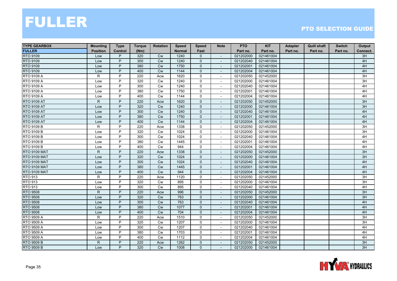| <b>TYPE GEARBOX</b> | <b>Mounting</b> | <b>Type</b> | <b>Torque</b> | <b>Rotation</b> | <b>Speed</b>  | <b>Speed</b> | <b>Note</b>              | <b>PTO</b> | <b>KIT</b> | Adapter  | <b>Quill shaft</b> | <b>Switch</b> | Output   |
|---------------------|-----------------|-------------|---------------|-----------------|---------------|--------------|--------------------------|------------|------------|----------|--------------------|---------------|----------|
| <b>FULLER</b>       | <b>Position</b> | Control     | (Nm)          |                 | <b>Normal</b> | Fast         |                          | Part no.   | Part no.   | Part no. | Part no.           | Part no.      | Connect. |
| RTO 9109            | Low             | P           | 320           | <b>Cw</b>       | 1240          | $\Omega$     | $\overline{\phantom{a}}$ | 021202000  | 021461004  |          |                    |               | 3H       |
| <b>RTO 9109</b>     | Low             | P           | 300           | <b>Cw</b>       | 1240          | $\mathbf{0}$ |                          | 021202040  | 021461004  |          |                    |               | 4H       |
| RTO 9109            | Low             | P           | 380           | <b>Cw</b>       | 1750          | $\mathbf 0$  |                          | 021202001  | 021461004  |          |                    |               | 4H       |
| <b>RTO 9109</b>     | Low             | P           | 400           | Cw              | 1144          | $\mathbf{0}$ | $\sim$                   | 021202004  | 021461004  |          |                    |               | 4H       |
| RTO 9109 A          | R               | P           | 220           | Acw             | 1620          | $\mathbf 0$  | $\overline{\phantom{a}}$ | 021202050  | 021452000  |          |                    |               | 3H       |
| RTO 9109 A          | Low             | P           | 320           | <b>Cw</b>       | 1240          | $\mathbf 0$  | $\overline{\phantom{a}}$ | 021202000  | 021461004  |          |                    |               | 3H       |
| RTO 9109 A          | Low             | P           | 300           | <b>Cw</b>       | 1240          | $\Omega$     | $\sim$                   | 021202040  | 021461004  |          |                    |               | 4H       |
| RTO 9109 A          | Low             | P           | 380           | <b>Cw</b>       | 1750          | 0            |                          | 021202001  | 021461004  |          |                    |               | 4H       |
| RTO 9109 A          | Low             | P           | 400           | Cw              | 1144          | $\mathbf 0$  |                          | 021202004  | 021461004  |          |                    |               | 4H       |
| <b>RTO 9109 AT</b>  | R.              | P           | 220           | Acw             | 1620          | $\mathbf{0}$ | $\overline{a}$           | 021202050  | 021452000  |          |                    |               | 3H       |
| <b>RTO 9109 AT</b>  | Low             | P           | 320           | <b>Cw</b>       | 1240          | $\mathbf 0$  | $\overline{\phantom{a}}$ | 021202000  | 021461004  |          |                    |               | 3H       |
| <b>RTO 9109 AT</b>  | Low             | P           | 300           | <b>Cw</b>       | 1240          | $\mathbf 0$  | $\overline{\phantom{a}}$ | 021202040  | 021461004  |          |                    |               | 4H       |
| <b>RTO 9109 AT</b>  | Low             | P           | 380           | Cw              | 1750          | $\mathbf{0}$ | $\overline{\phantom{a}}$ | 021202001  | 021461004  |          |                    |               | 4H       |
| <b>RTO 9109 AT</b>  | Low             | P           | 400           | Cw              | 1144          | $\mathbf 0$  |                          | 021202004  | 021461004  |          |                    |               | 4H       |
| RTO 9109 B          | $\mathsf{R}$    | P           | 220           | Acw             | 1338          | $\mathbf 0$  |                          | 021202050  | 021452000  |          |                    |               | 3H       |
| RTO 9109 B          | Low             | P           | 320           | <b>Cw</b>       | 1024          | $\mathbf 0$  | $\overline{\phantom{a}}$ | 021202000  | 021461004  |          |                    |               | 3H       |
| RTO 9109 B          | Low             | P           | 300           | <b>Cw</b>       | 1024          | $\mathbf 0$  | $\overline{\phantom{a}}$ | 021202040  | 021461004  |          |                    |               | 4H       |
| RTO 9109 B          | Low             | P           | 380           | <b>Cw</b>       | 1445          | $\mathbf 0$  | $\overline{\phantom{a}}$ | 021202001  | 021461004  |          |                    |               | 4H       |
| RTO 9109 B          | Low             | P           | 400           | Cw              | 944           | $\mathbf 0$  | $\blacksquare$           | 021202004  | 021461004  |          |                    |               | 4H       |
| <b>RTO 9109 MAT</b> | $\mathsf{R}$    | P           | 220           | Acw             | 1338          | $\mathbf{0}$ |                          | 021202050  | 021452000  |          |                    |               | 3H       |
| <b>RTO 9109 MAT</b> | Low             | P           | 320           | <b>Cw</b>       | 1024          | $\mathbf{0}$ |                          | 021202000  | 021461004  |          |                    |               | 3H       |
| <b>RTO 9109 MAT</b> | Low             | P           | 300           | Cw              | 1024          | $\mathbf{0}$ | $\overline{a}$           | 021202040  | 021461004  |          |                    |               | 4H       |
| <b>RTO 9109 MAT</b> | Low             | P           | 380           | Cw              | 1445          | $\mathbf{0}$ | $\blacksquare$           | 021202001  | 021461004  |          |                    |               | 4H       |
| <b>RTO 9109 MAT</b> | Low             | P           | 400           | <b>Cw</b>       | 944           | $\mathbf 0$  | $\overline{\phantom{a}}$ | 021202004  | 021461004  |          |                    |               | 4H       |
| <b>RTO 913</b>      | $\mathsf{R}$    | P           | 220           | Acw             | 1120          | $\mathbf 0$  | $\sim$                   | 021202050  | 021452000  |          |                    |               | 3H       |
| <b>RTO 913</b>      | Low             | P           | 320           | Cw              | 895           | $\mathbf 0$  |                          | 021202000  | 021461004  |          |                    |               | 3H       |
| <b>RTO 913</b>      | Low             | P           | 300           | <b>Cw</b>       | 895           | $\mathbf 0$  | $\sim$                   | 021202040  | 021461004  |          |                    |               | 4H       |
| <b>RTO 9508</b>     | R               | P           | 220           | Acw             | 996           | $\mathbf{0}$ | $\overline{\phantom{a}}$ | 021202050  | 021452000  |          |                    |               | 3H       |
| <b>RTO 9508</b>     | Low             | P           | 320           | Cw              | 763           | $\mathbf{0}$ | $\overline{a}$           | 021202000  | 021461004  |          |                    |               | 3H       |
| <b>RTO 9508</b>     | Low             | P           | 300           | <b>Cw</b>       | 763           | $\mathbf 0$  | $\overline{\phantom{a}}$ | 021202040  | 021461004  |          |                    |               | 4H       |
| <b>RTO 9508</b>     | Low             | P           | 380           | <b>Cw</b>       | 1077          | $\mathbf{0}$ | $\overline{\phantom{a}}$ | 021202001  | 021461004  |          |                    |               | 4H       |
| <b>RTO 9508</b>     | Low             | P           | 400           | Cw              | 704           | $\mathbf{0}$ |                          | 021202004  | 021461004  |          |                    |               | 4H       |
| RTO 9509 A          | $\mathsf{R}$    | P           | 220           | Acw             | 1510          | 0            | $\overline{\phantom{a}}$ | 021202050  | 021452000  |          |                    |               | 3H       |
| RTO 9509 A          | Low             | P           | 320           | Cw              | 1207          | $\mathsf{O}$ |                          | 021202000  | 021461004  |          |                    |               | 3H       |
| <b>RTO 9509 A</b>   | Low             | P           | 300           | Cw              | 1207          | $\mathbf 0$  | $\sim$                   | 021202040  | 021461004  |          |                    |               | 4H       |
| <b>RTO 9509 A</b>   | Low             | P           | 380           | <b>Cw</b>       | 1703          | $\mathbf 0$  | $\overline{\phantom{a}}$ | 021202001  | 021461004  |          |                    |               | 4H       |
| <b>RTO 9509 A</b>   | Low             | P           | 400           | <b>Cw</b>       | 1112          | $\mathbf 0$  | $\overline{\phantom{a}}$ | 021202004  | 021461004  |          |                    |               | 4H       |
| <b>RTO 9509 B</b>   | $\mathsf{R}$    | P           | 220           | Acw             | 1262          | $\Omega$     |                          | 021202050  | 021452000  |          |                    |               | 3H       |
| RTO 9509 B          | Low             | P           | 320           | <b>Cw</b>       | 1008          | $\mathbf{0}$ | $\overline{\phantom{a}}$ | 021202000  | 021461004  |          |                    |               | 3H       |

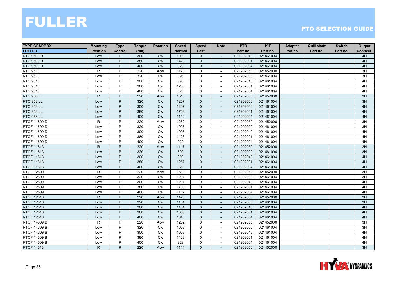| <b>TYPE GEARBOX</b> | <b>Mounting</b> | <b>Type</b>    | <b>Torque</b> | <b>Rotation</b> | <b>Speed</b>  | <b>Speed</b>   | <b>Note</b>              | <b>PTO</b> | <b>KIT</b> | Adapter  | <b>Quill shaft</b> | <b>Switch</b> | Output   |
|---------------------|-----------------|----------------|---------------|-----------------|---------------|----------------|--------------------------|------------|------------|----------|--------------------|---------------|----------|
| <b>FULLER</b>       | <b>Position</b> | <b>Control</b> | (Nm)          |                 | <b>Normal</b> | Fast           |                          | Part no.   | Part no.   | Part no. | Part no.           | Part no.      | Connect. |
| <b>RTO 9509 B</b>   | Low             | P              | 300           | <b>Cw</b>       | 1008          | $\Omega$       | $\overline{\phantom{a}}$ | 021202040  | 021461004  |          |                    |               | 4H       |
| <b>RTO 9509 B</b>   | Low             | P              | 380           | <b>Cw</b>       | 1423          | $\mathbf{0}$   |                          | 021202001  | 021461004  |          |                    |               | 4H       |
| <b>RTO 9509 B</b>   | Low             | P              | 400           | Cw              | 929           | $\mathbf 0$    |                          | 021202004  | 021461004  |          |                    |               | 4H       |
| <b>RTO 9513</b>     | R               | P              | 220           | Acw             | 1120          | $\mathbf 0$    | $\sim$                   | 021202050  | 021452000  |          |                    |               | 3H       |
| RTO 9513            | Low             | P              | 320           | <b>Cw</b>       | 896           | 0              |                          | 021202000  | 021461004  |          |                    |               | 3H       |
| RTO 9513            | Low             | P              | 300           | <b>Cw</b>       | 896           | 0              | $\overline{\phantom{a}}$ | 021202040  | 021461004  |          |                    |               | 4H       |
| RTO 9513            | Low             | P              | 380           | <b>Cw</b>       | 1265          | $\Omega$       | $\sim$                   | 021202001  | 021461004  |          |                    |               | 4H       |
| RTO 9513            | Low             | P              | 400           | <b>Cw</b>       | 826           | 0              |                          | 021202004  | 021461004  |          |                    |               | 4H       |
| <b>RTO 958 LL</b>   | ${\sf R}$       | P              | 220           | Acw             | 1510          | $\mathbf 0$    |                          | 021202050  | 021452000  |          |                    |               | 3H       |
| <b>RTO 958 LL</b>   | Low             | P              | 320           | <b>Cw</b>       | 1207          | $\mathbf{0}$   | $\sim$                   | 021202000  | 021461004  |          |                    |               | 3H       |
| <b>RTO 958 LL</b>   | Low             | P              | 300           | <b>Cw</b>       | 1207          | $\mathbf 0$    | $\overline{\phantom{a}}$ | 021202040  | 021461004  |          |                    |               | 4H       |
| <b>RTO 958 LL</b>   | Low             | P              | 380           | <b>Cw</b>       | 1703          | $\mathbf{0}$   | $\overline{\phantom{a}}$ | 021202001  | 021461004  |          |                    |               | 4H       |
| <b>RTO 958 LL</b>   | Low             | P              | 400           | <b>Cw</b>       | 1112          | $\mathbf{0}$   | $\overline{\phantom{a}}$ | 021202004  | 021461004  |          |                    |               | 4H       |
| RTOF 11609 D        | R               | P              | 220           | Acw             | 1262          | 0              | $\blacksquare$           | 021202050  | 021452000  |          |                    |               | 3H       |
| RTOF 11609 D        | Low             | P              | 320           | Cw              | 1008          | $\mathsf{O}$   |                          | 021202000  | 021461004  |          |                    |               | 3H       |
| RTOF 11609 D        | Low             | P              | 300           | Cw              | 1008          | $\mathbf 0$    | $\sim$                   | 021202040  | 021461004  |          |                    |               | 4H       |
| RTOF 11609 D        | Low             | P              | 380           | <b>Cw</b>       | 1423          | $\mathbf 0$    | $\overline{\phantom{a}}$ | 021202001  | 021461004  |          |                    |               | 4H       |
| RTOF 11609 D        | Low             | P              | 400           | <b>Cw</b>       | 929           | 0              | $\sim$                   | 021202004  | 021461004  |          |                    |               | 4H       |
| RTOF 11613          | $\mathsf{R}$    | P              | 220           | Acw             | 1117          | $\mathbf{0}$   | $\overline{\phantom{a}}$ | 021202050  | 021452000  |          |                    |               | 3H       |
| RTOF 11613          | Low             | P              | 320           | Cw              | 890           | $\mathbf{0}$   |                          | 021202000  | 021461004  |          |                    |               | 3H       |
| <b>RTOF 11613</b>   | Low             | P              | 300           | <b>Cw</b>       | 890           | $\mathbf{0}$   | $\overline{\phantom{a}}$ | 021202040  | 021461004  |          |                    |               | 4H       |
| <b>RTOF 11613</b>   | Low             | P              | 380           | <b>Cw</b>       | 1257          | $\mathbf{0}$   | $\overline{\phantom{a}}$ | 021202001  | 021461004  |          |                    |               | 4H       |
| <b>RTOF 11613</b>   | Low             | P              | 400           | Cw              | 821           | $\mathbf 0$    | $\sim$                   | 021202004  | 021461004  |          |                    |               | 4H       |
| <b>RTOF 12509</b>   | R               | P              | 220           | Acw             | 1510          | $\mathbf 0$    | $\blacksquare$           | 021202050  | 021452000  |          |                    |               | 3H       |
| <b>RTOF 12509</b>   | Low             | P              | 320           | <b>Cw</b>       | 1207          | 0              | $\sim$                   | 021202000  | 021461004  |          |                    |               | 3H       |
| <b>RTOF 12509</b>   | Low             | P              | 300           | Cw              | 1207          | $\mathbf 0$    | $\sim$                   | 021202040  | 021461004  |          |                    |               | 4H       |
| <b>RTOF 12509</b>   | Low             | P              | 380           | <b>Cw</b>       | 1703          | 0              |                          | 021202001  | 021461004  |          |                    |               | 4H       |
| <b>RTOF 12509</b>   | Low             | P              | 400           | Cw              | 1112          | 0              |                          | 021202004  | 021461004  |          |                    |               | 4H       |
| <b>RTOF 12510</b>   | $\mathsf{R}$    | P              | 220           | Acw             | 1420          | $\mathbf{0}$   | $\sim$                   | 021202050  | 021452000  |          |                    |               | 3H       |
| <b>RTOF 12510</b>   | Low             | P              | 320           | Cw              | 1134          | $\mathbf{0}$   | $\overline{\phantom{a}}$ | 021202000  | 021461004  |          |                    |               | 3H       |
| <b>RTOF 12510</b>   | Low             | P              | 300           | <b>Cw</b>       | 1134          | $\mathbf{0}$   | $\overline{\phantom{a}}$ | 021202040  | 021461004  |          |                    |               | 4H       |
| <b>RTOF 12510</b>   | Low             | P              | 380           | Cw              | 1600          | $\mathbf{0}$   |                          | 021202001  | 021461004  |          |                    |               | 4H       |
| <b>RTOF 12510</b>   | Low             | P              | 400           | Cw              | 1045          | $\mathbf 0$    | $\overline{\phantom{a}}$ | 021202004  | 021461004  |          |                    |               | 4H       |
| RTOF 14609 B        | R               | P              | 220           | Acw             | 1262          | 0              | $\blacksquare$           | 021202050  | 021452000  |          |                    |               | 3H       |
| <b>RTOF 14609 B</b> | Low             | $\overline{P}$ | 320           | Cw              | 1008          | $\mathbf 0$    | $\sim$                   | 021202000  | 021461004  |          |                    |               | 3H       |
| <b>RTOF 14609 B</b> | Low             | P              | 300           | <b>Cw</b>       | 1008          | 0              | $\blacksquare$           | 021202040  | 021461004  |          |                    |               | 4H       |
| <b>RTOF 14609 B</b> | Low             | P              | 380           | Cw              | 1423          | 0              | $\overline{\phantom{a}}$ | 021202001  | 021461004  |          |                    |               | 4H       |
| <b>RTOF 14609 B</b> | Low             | P              | 400           | <b>Cw</b>       | 929           | $\mathbf 0$    |                          | 021202004  | 021461004  |          |                    |               | 4H       |
| <b>RTOF 14613</b>   | $\mathsf{R}$    | P              | 220           | Acw             | 1114          | $\overline{0}$ | $\overline{\phantom{a}}$ | 021202050  | 021452000  |          |                    |               | 3H       |

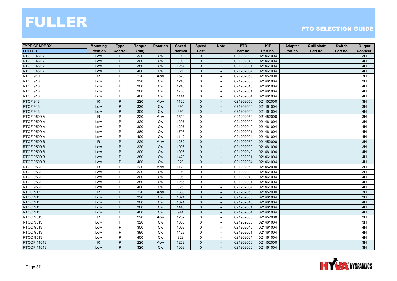| <b>TYPE GEARBOX</b> | <b>Mounting</b> | <b>Type</b> | <b>Torque</b> | <b>Rotation</b> | <b>Speed</b>  | <b>Speed</b>   | <b>Note</b>              | <b>PTO</b> | <b>KIT</b> | Adapter  | <b>Quill shaft</b> | <b>Switch</b> | Output          |
|---------------------|-----------------|-------------|---------------|-----------------|---------------|----------------|--------------------------|------------|------------|----------|--------------------|---------------|-----------------|
| <b>FULLER</b>       | <b>Position</b> | Control     | (Nm)          |                 | <b>Normal</b> | Fast           |                          | Part no.   | Part no.   | Part no. | Part no.           | Part no.      | Connect.        |
| <b>RTOF 14613</b>   | Low             | P           | 320           | Cw              | 890           | 0              | $\overline{\phantom{a}}$ | 021202000  | 021461004  |          |                    |               | 3H              |
| <b>RTOF 14613</b>   | Low             | P           | 300           | <b>Cw</b>       | 890           | $\mathbf{0}$   |                          | 021202040  | 021461004  |          |                    |               | 4H              |
| RTOF 14613          | Low             | P           | 380           | Cw              | 1257          | 0              |                          | 021202001  | 021461004  |          |                    |               | 4H              |
| <b>RTOF 14613</b>   | Low             | P           | 400           | Cw              | 821           | 0              | $\blacksquare$           | 021202004  | 021461004  |          |                    |               | 4H              |
| <b>RTOF 910</b>     | $\mathsf{R}$    | P           | 220           | Acw             | 1620          | 0              | $\sim$                   | 021202050  | 021452000  |          |                    |               | $\overline{3H}$ |
| <b>RTOF 910</b>     | Low             | P           | 320           | <b>Cw</b>       | 1240          | 0              | $\overline{\phantom{a}}$ | 021202000  | 021461004  |          |                    |               | 3H              |
| <b>RTOF 910</b>     | Low             | P           | 300           | Cw              | 1240          | 0              | $\overline{\phantom{a}}$ | 021202040  | 021461004  |          |                    |               | 4H              |
| <b>RTOF 910</b>     | Low             | P           | 380           | <b>Cw</b>       | 1750          | $\mathbf 0$    | $\overline{\phantom{a}}$ | 021202001  | 021461004  |          |                    |               | 4H              |
| RTOF 910            | Low             | P           | 400           | Cw              | 1144          | 0              | $\blacksquare$           | 021202004  | 021461004  |          |                    |               | 4H              |
| <b>RTOF 913</b>     | $\mathsf{R}$    | P           | 220           | Acw             | 1120          | $\mathbf 0$    | $\blacksquare$           | 021202050  | 021452000  |          |                    |               | 3H              |
| RTOF 913            | Low             | P           | 320           | Cw              | 895           | $\mathbf 0$    | $\blacksquare$           | 021202000  | 021461004  |          |                    |               | 3H              |
| <b>RTOF 913</b>     | Low             | P           | 300           | Cw              | 895           | 0              | $\overline{\phantom{a}}$ | 021202040  | 021461004  |          |                    |               | 4H              |
| <b>RTOF 9509 A</b>  | R               | P           | 220           | Acw             | 1510          | 0              | $\overline{\phantom{a}}$ | 021202050  | 021452000  |          |                    |               | 3H              |
| <b>RTOF 9509 A</b>  | Low             | P           | 320           | Cw              | 1207          | $\mathbf 0$    |                          | 021202000  | 021461004  |          |                    |               | 3H              |
| <b>RTOF 9509 A</b>  | Low             | P           | 300           | Cw              | 1207          | 0              |                          | 021202040  | 021461004  |          |                    |               | 4H              |
| <b>RTOF 9509 A</b>  | Low             | P           | 380           | Cw              | 1703          | 0              | $\blacksquare$           | 021202001  | 021461004  |          |                    |               | 4H              |
| <b>RTOF 9509 A</b>  | Low             | P           | 400           | Cw              | 1112          | 0              | $\overline{\phantom{a}}$ | 021202004  | 021461004  |          |                    |               | 4H              |
| <b>RTOF 9509 B</b>  | $\mathsf{R}$    | P           | 220           | Acw             | 1262          | $\overline{0}$ | $\overline{\phantom{a}}$ | 021202050  | 021452000  |          |                    |               | 3H              |
| <b>RTOF 9509 B</b>  | Low             | P           | 320           | Cw              | 1008          | $\mathbf{0}$   | $\overline{\phantom{a}}$ | 021202000  | 021461004  |          |                    |               | 3H              |
| <b>RTOF 9509 B</b>  | Low             | P           | 300           | <b>Cw</b>       | 1008          | $\mathbf{0}$   |                          | 021202040  | 021461004  |          |                    |               | 4H              |
| <b>RTOF 9509 B</b>  | Low             | P           | 380           | <b>Cw</b>       | 1423          | 0              | $\blacksquare$           | 021202001  | 021461004  |          |                    |               | 4H              |
| <b>RTOF 9509 B</b>  | Low             | P           | 400           | Cw              | 929           | 0              | $\blacksquare$           | 021202004  | 021461004  |          |                    |               | 4H              |
| <b>RTOF 9531</b>    | R               | P           | 220           | Acw             | 1120          | $\mathsf{O}$   | $\mathbf{r}$             | 021202050  | 021452000  |          |                    |               | 3H              |
| <b>RTOF 9531</b>    | Low             | P           | 320           | Cw              | 896           | 0              | $\overline{\phantom{a}}$ | 021202000  | 021461004  |          |                    |               | 3H              |
| <b>RTOF 9531</b>    | Low             | P           | 300           | <b>Cw</b>       | 896           | 0              | $\overline{\phantom{a}}$ | 021202040  | 021461004  |          |                    |               | 4H              |
| <b>RTOF 9531</b>    | Low             | P           | 380           | <b>Cw</b>       | 1265          | $\mathbf 0$    | $\blacksquare$           | 021202001  | 021461004  |          |                    |               | 4H              |
| <b>RTOF 9531</b>    | Low             | P           | 400           | Cw              | 826           | 0              | $\sim$                   | 021202004  | 021461004  |          |                    |               | 4H              |
| <b>RTOO 913</b>     | $\mathsf{R}$    | P           | 220           | Acw             | 1338          | $\mathbf 0$    |                          | 021202050  | 021452000  |          |                    |               | 3H              |
| <b>RTOO 913</b>     | Low             | P           | 320           | Cw              | 1024          | $\mathbf{0}$   | $\overline{a}$           | 021202000  | 021461004  |          |                    |               | 3H              |
| <b>RTOO 913</b>     | Low             | P           | 300           | Cw              | 1024          | $\overline{0}$ | $\overline{\phantom{a}}$ | 021202040  | 021461004  |          |                    |               | 4H              |
| <b>RTOO 913</b>     | Low             | P           | 380           | <b>Cw</b>       | 1445          | $\mathbf{0}$   | $\overline{\phantom{a}}$ | 021202001  | 021461004  |          |                    |               | 4H              |
| <b>RTOO 913</b>     | Low             | P           | 400           | <b>Cw</b>       | 944           | $\mathbf{0}$   |                          | 021202004  | 021461004  |          |                    |               | 4H              |
| RTOO 9513           | R               | P           | 220           | Acw             | 1262          | 0              | $\sim$                   | 021202050  | 021452000  |          |                    |               | 3H              |
| RTOO 9513           | Low             | P           | 320           | Cw              | 1008          | 0              |                          | 021202000  | 021461004  |          |                    |               | 3H              |
| RTOO 9513           | Low             | P           | 300           | Cw              | 1008          | $\mathsf{O}$   | $\sim$                   | 021202040  | 021461004  |          |                    |               | 4H              |
| RTOO 9513           | Low             | P           | 380           | Cw              | 1423          | 0              | $\overline{\phantom{a}}$ | 021202001  | 021461004  |          |                    |               | 4H              |
| RTOO 9513           | Low             | P           | 400           | Cw              | 929           | 0              | $\overline{\phantom{a}}$ | 021202004  | 021461004  |          |                    |               | 4H              |
| <b>RTOOF 11613</b>  | $\mathsf{R}$    | P           | 220           | Acw             | 1262          | $\mathbf{0}$   |                          | 021202050  | 021452000  |          |                    |               | 3H              |
| <b>RTOOF 11613</b>  | Low             | P           | 320           | <b>Cw</b>       | 1008          | $\overline{0}$ | $\overline{\phantom{a}}$ | 021202000  | 021461004  |          |                    |               | 3H              |

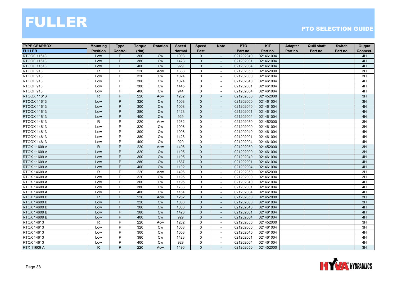| <b>TYPE GEARBOX</b> | <b>Mounting</b> | <b>Type</b>    | <b>Torque</b> | <b>Rotation</b> | <b>Speed</b>  | <b>Speed</b>   | <b>Note</b>              | <b>PTO</b> | <b>KIT</b> | Adapter  | <b>Quill shaft</b> | <b>Switch</b> | Output   |
|---------------------|-----------------|----------------|---------------|-----------------|---------------|----------------|--------------------------|------------|------------|----------|--------------------|---------------|----------|
| <b>FULLER</b>       | <b>Position</b> | <b>Control</b> | (Nm)          |                 | <b>Normal</b> | Fast           |                          | Part no.   | Part no.   | Part no. | Part no.           | Part no.      | Connect. |
| <b>RTOOF 11613</b>  | Low             | P              | 300           | <b>Cw</b>       | 1008          | $\Omega$       | $\overline{\phantom{a}}$ | 021202040  | 021461004  |          |                    |               | 4H       |
| <b>RTOOF 11613</b>  | Low             | P              | 380           | <b>Cw</b>       | 1423          | $\mathbf{0}$   |                          | 021202001  | 021461004  |          |                    |               | 4H       |
| <b>RTOOF 11613</b>  | Low             | P              | 400           | Cw              | 929           | $\mathbf 0$    |                          | 021202004  | 021461004  |          |                    |               | 4H       |
| RTOOF 913           | R               | P              | 220           | Acw             | 1338          | $\mathbf 0$    | $\sim$                   | 021202050  | 021452000  |          |                    |               | 3H       |
| RTOOF 913           | Low             | P              | 320           | <b>Cw</b>       | 1024          | $\mathbf 0$    |                          | 021202000  | 021461004  |          |                    |               | 3H       |
| RTOOF 913           | Low             | P              | 300           | Cw              | 1024          | 0              | $\overline{\phantom{a}}$ | 021202040  | 021461004  |          |                    |               | 4H       |
| RTOOF 913           | Low             | P              | 380           | <b>Cw</b>       | 1445          | $\Omega$       | $\sim$                   | 021202001  | 021461004  |          |                    |               | 4H       |
| RTOOF 913           | Low             | P              | 400           | <b>Cw</b>       | 944           | 0              |                          | 021202004  | 021461004  |          |                    |               | 4H       |
| RTOOX 11613         | ${\sf R}$       | P              | 220           | Acw             | 1262          | $\mathbf 0$    |                          | 021202050  | 021452000  |          |                    |               | 3H       |
| RTOOX 11613         | Low             | P              | 320           | <b>Cw</b>       | 1008          | $\mathbf{0}$   | $\blacksquare$           | 021202000  | 021461004  |          |                    |               | 3H       |
| RTOOX 11613         | Low             | P              | 300           | <b>Cw</b>       | 1008          | $\mathbf 0$    | $\overline{\phantom{a}}$ | 021202040  | 021461004  |          |                    |               | 4H       |
| <b>RTOOX 11613</b>  | Low             | P              | 380           | <b>Cw</b>       | 1423          | $\mathbf{0}$   | $\overline{\phantom{a}}$ | 021202001  | 021461004  |          |                    |               | 4H       |
| <b>RTOOX 11613</b>  | Low             | P              | 400           | Cw              | 929           | $\mathbf{0}$   | $\overline{\phantom{a}}$ | 021202004  | 021461004  |          |                    |               | 4H       |
| RTOOX 14613         | $\mathsf{R}$    | P              | 220           | Acw             | 1262          | 0              | $\sim$                   | 021202050  | 021452000  |          |                    |               | 3H       |
| RTOOX 14613         | Low             | P              | 320           | Cw              | 1008          | $\mathsf{O}$   |                          | 021202000  | 021461004  |          |                    |               | 3H       |
| RTOOX 14613         | Low             | P              | 300           | Cw              | 1008          | $\mathbf 0$    | $\sim$                   | 021202040  | 021461004  |          |                    |               | 4H       |
| RTOOX 14613         | Low             | P              | 380           | <b>Cw</b>       | 1423          | $\mathbf 0$    | $\overline{\phantom{a}}$ | 021202001  | 021461004  |          |                    |               | 4H       |
| RTOOX 14613         | Low             | P              | 400           | <b>Cw</b>       | 929           | 0              | $\sim$                   | 021202004  | 021461004  |          |                    |               | 4H       |
| <b>RTOX 11609 A</b> | $\mathsf{R}$    | P              | 220           | Acw             | 1496          | $\mathbf{0}$   | $\overline{\phantom{a}}$ | 021202050  | 021452000  |          |                    |               | 3H       |
| <b>RTOX 11609 A</b> | Low             | P              | 320           | Cw              | 1195          | $\mathbf 0$    |                          | 021202000  | 021461004  |          |                    |               | 3H       |
| <b>RTOX 11609 A</b> | Low             | P              | 300           | Cw              | 1195          | $\mathbf{0}$   | $\overline{\phantom{a}}$ | 021202040  | 021461004  |          |                    |               | 4H       |
| <b>RTOX 11609 A</b> | Low             | P              | 380           | Cw              | 1687          | $\mathbf{0}$   | $\overline{\phantom{a}}$ | 021202001  | 021461004  |          |                    |               | 4H       |
| <b>RTOX 11609 A</b> | Low             | P              | 400           | Cw              | 1102          | $\mathbf 0$    | $\sim$                   | 021202004  | 021461004  |          |                    |               | 4H       |
| <b>RTOX 14609 A</b> | R               | P              | 220           | Acw             | 1496          | $\mathbf 0$    | $\overline{\phantom{a}}$ | 021202050  | 021452000  |          |                    |               | 3H       |
| <b>RTOX 14609 A</b> | Low             | P              | 320           | <b>Cw</b>       | 1195          | 0              | $\sim$                   | 021202000  | 021461004  |          |                    |               | 3H       |
| RTOX 14609 A        | Low             | P              | 300           | Cw              | 1195          | $\mathbf 0$    | $\sim$                   | 021202040  | 021461004  |          |                    |               | 4H       |
| <b>RTOX 14609 A</b> | Low             | P              | 380           | <b>Cw</b>       | 1783          | 0              |                          | 021202001  | 021461004  |          |                    |               | 4H       |
| <b>RTOX 14609 A</b> | Low             | P              | 400           | Cw              | 1164          | 0              |                          | 021202004  | 021461004  |          |                    |               | 4H       |
| <b>RTOX 14609 B</b> | $\mathsf{R}$    | P              | 220           | Acw             | 1262          | $\mathbf{0}$   | $\sim$                   | 021202050  | 021452000  |          |                    |               | 3H       |
| <b>RTOX 14609 B</b> | Low             | P              | 320           | Cw              | 1008          | $\mathbf{0}$   | $\overline{\phantom{a}}$ | 021202000  | 021461004  |          |                    |               | 3H       |
| <b>RTOX 14609 B</b> | Low             | P              | 300           | <b>Cw</b>       | 1008          | $\mathbf{0}$   | $\overline{\phantom{a}}$ | 021202040  | 021461004  |          |                    |               | 4H       |
| <b>RTOX 14609 B</b> | Low             | P              | 380           | Cw              | 1423          | $\mathbf{0}$   |                          | 021202001  | 021461004  |          |                    |               | 4H       |
| <b>RTOX 14609 B</b> | Low             | P              | 400           | Cw              | 929           | $\mathbf 0$    | $\overline{\phantom{a}}$ | 021202004  | 021461004  |          |                    |               | 4H       |
| RTOX 14613          | R               | P              | 220           | Acw             | 1262          | 0              | $\blacksquare$           | 021202050  | 021452000  |          |                    |               | 3H       |
| <b>RTOX 14613</b>   | Low             | P              | 320           | Cw              | 1008          | $\mathbf 0$    | $\sim$                   | 021202000  | 021461004  |          |                    |               | 3H       |
| RTOX 14613          | Low             | P              | 300           | Cw              | 1008          | 0              | $\overline{\phantom{a}}$ | 021202040  | 021461004  |          |                    |               | 4H       |
| RTOX 14613          | Low             | P              | 380           | Cw              | 1423          | 0              | $\overline{\phantom{a}}$ | 021202001  | 021461004  |          |                    |               | 4H       |
| RTOX 14613          | Low             | P              | 400           | <b>Cw</b>       | 929           | $\mathbf 0$    |                          | 021202004  | 021461004  |          |                    |               | 4H       |
| RTX 11609 A         | $\mathsf{R}$    | P              | 220           | Acw             | 1496          | $\overline{0}$ | $\overline{\phantom{a}}$ | 021202050  | 021452000  |          |                    |               | 3H       |

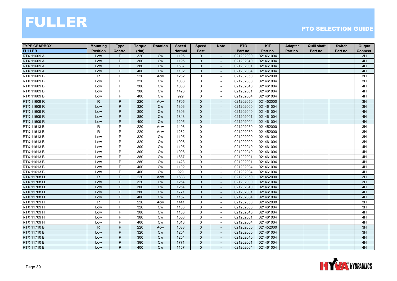| <b>TYPE GEARBOX</b> | <b>Mounting</b> | <b>Type</b>    | <b>Torque</b> | <b>Rotation</b> | <b>Speed</b>     | <b>Speed</b> | <b>Note</b>              | <b>PTO</b> | <b>KIT</b> | <b>Adapter</b> | <b>Quill shaft</b> | <b>Switch</b> | Output   |
|---------------------|-----------------|----------------|---------------|-----------------|------------------|--------------|--------------------------|------------|------------|----------------|--------------------|---------------|----------|
| <b>FULLER</b>       | <b>Position</b> | <b>Control</b> | (Nm)          |                 | <b>Normal</b>    | Fast         |                          | Part no.   | Part no.   | Part no.       | Part no.           | Part no.      | Connect. |
| <b>RTX 11609 A</b>  | Low             | P              | 320           | <b>Cw</b>       | 1195             | $\Omega$     | $\overline{\phantom{a}}$ | 021202000  | 021461004  |                |                    |               | 3H       |
| <b>RTX 11609 A</b>  | Low             | P              | 300           | <b>Cw</b>       | 1195             | $\mathbf{0}$ |                          | 021202040  | 021461004  |                |                    |               | 4H       |
| <b>RTX 11609 A</b>  | Low             | P              | 380           | <b>Cw</b>       | 1687             | $\mathbf 0$  |                          | 021202001  | 021461004  |                |                    |               | 4H       |
| <b>RTX 11609 A</b>  | Low             | P              | 400           | Cw              | $\frac{1102}{ }$ | $\mathbf{0}$ | $\sim$                   | 021202004  | 021461004  |                |                    |               | 4H       |
| RTX 11609 B         | $\mathsf{R}$    | P              | 220           | Acw             | 1262             | $\mathbf 0$  | $\overline{\phantom{a}}$ | 021202050  | 021452000  |                |                    |               | 3H       |
| RTX 11609 B         | Low             | P              | 320           | <b>Cw</b>       | 1008             | 0            | $\blacksquare$           | 021202000  | 021461004  |                |                    |               | 3H       |
| RTX 11609 B         | Low             | P              | 300           | <b>Cw</b>       | 1008             | $\Omega$     | $\sim$                   | 021202040  | 021461004  |                |                    |               | 4H       |
| RTX 11609 B         | Low             | P              | 380           | Cw              | 1423             | 0            | $\overline{\phantom{a}}$ | 021202001  | 021461004  |                |                    |               | 4H       |
| RTX 11609 B         | Low             | P              | 400           | Cw              | 929              | $\mathbf 0$  |                          | 021202004  | 021461004  |                |                    |               | 4H       |
| RTX 11609 R         | R.              | P              | 220           | Acw             | 1705             | $\mathbf{0}$ | $\overline{a}$           | 021202050  | 021452000  |                |                    |               | 3H       |
| <b>RTX 11609 R</b>  | Low             | P              | 320           | <b>Cw</b>       | 1306             | $\mathbf{0}$ | $\overline{\phantom{a}}$ | 021202000  | 021461004  |                |                    |               | 3H       |
| <b>RTX 11609 R</b>  | Low             | P              | 300           | <b>Cw</b>       | 1306             | $\mathbf 0$  | $\overline{\phantom{a}}$ | 021202040  | 021461004  |                |                    |               | 4H       |
| RTX 11609 R         | Low             | P              | 380           | Cw              | 1843             | $\mathbf{0}$ | $\overline{\phantom{a}}$ | 021202001  | 021461004  |                |                    |               | 4H       |
| RTX 11609 R         | Low             | P              | 400           | Cw              | 1205             | $\mathbf 0$  |                          | 021202004  | 021461004  |                |                    |               | 4H       |
| RTX 11613 B         | $\mathsf{R}$    | P              | 220           | Acw             | 1496             | $\mathbf 0$  |                          | 021202050  | 021452000  |                |                    |               | 3H       |
| RTX 11613 B         | R               | P              | 220           | Acw             | 1262             | $\Omega$     | $\sim$                   | 021202050  | 021452000  |                |                    |               | 3H       |
| RTX 11613 B         | Low             | P              | 320           | <b>Cw</b>       | 1195             | $\mathbf 0$  | $\overline{\phantom{a}}$ | 021202000  | 021461004  |                |                    |               | 3H       |
| RTX 11613 B         | Low             | P              | 320           | <b>Cw</b>       | 1008             | 0            | $\frac{1}{2}$            | 021202000  | 021461004  |                |                    |               | 3H       |
| RTX 11613 B         | Low             | P              | 300           | Cw              | 1195             | $\mathbf 0$  | $\blacksquare$           | 021202040  | 021461004  |                |                    |               | 4H       |
| RTX 11613 B         | Low             | P              | 300           | Cw              | 1008             | $\mathbf 0$  | ÷.                       | 021202040  | 021461004  |                |                    |               | 4H       |
| RTX 11613 B         | Low             | P              | 380           | <b>Cw</b>       | 1687             | $\mathbf 0$  |                          | 021202001  | 021461004  |                |                    |               | 4H       |
| RTX 11613 B         | Low             | P              | 380           | <b>Cw</b>       | 1423             | $\mathbf 0$  | $\overline{a}$           | 021202001  | 021461004  |                |                    |               | 4H       |
| <b>RTX 11613 B</b>  | Low             | P              | 400           | <b>Cw</b>       | 1102             | $\mathbf 0$  | ÷.                       | 021202004  | 021461004  |                |                    |               | 4H       |
| <b>RTX 11613 B</b>  | Low             | P              | 400           | <b>Cw</b>       | 929              | 0            | $\overline{\phantom{a}}$ | 021202004  | 021461004  |                |                    |               | 4H       |
| <b>RTX 11708 LL</b> | R               | P              | 220           | Acw             | 1638             | $\mathbf 0$  | $\overline{\phantom{a}}$ | 021202050  | 021452000  |                |                    |               | 3H       |
| <b>RTX 11708 LL</b> | Low             | P              | 320           | <b>Cw</b>       | 1254             | $\mathbf{0}$ |                          | 021202000  | 021461004  |                |                    |               | 3H       |
| <b>RTX 11708 LL</b> | Low             | P              | 300           | <b>Cw</b>       | 1254             | $\mathbf{0}$ | $\overline{a}$           | 021202040  | 021461004  |                |                    |               | 4H       |
| <b>RTX 11708 LL</b> | Low             | P              | 380           | Cw              | 1771             | $\mathbf{0}$ | $\overline{\phantom{a}}$ | 021202001  | 021461004  |                |                    |               | 4H       |
| <b>RTX 11708 LL</b> | Low             | P              | 400           | Cw              | 1157             | $\mathbf{0}$ | $\overline{\phantom{a}}$ | 021202004  | 021461004  |                |                    |               | 4H       |
| <b>RTX 11709 H</b>  | $\mathsf{R}$    | P              | 220           | Acw             | 1441             | $\mathbf 0$  | $\overline{\phantom{a}}$ | 021202050  | 021452000  |                |                    |               | 3H       |
| RTX 11709 H         | Low             | P              | 320           | <b>Cw</b>       | 1103             | 0            | $\overline{\phantom{a}}$ | 021202000  | 021461004  |                |                    |               | 3H       |
| RTX 11709 H         | Low             | P              | 300           | <b>Cw</b>       | 1103             | $\mathbf 0$  |                          | 021202040  | 021461004  |                |                    |               | 4H       |
| RTX 11709 H         | Low             | P              | 380           | Cw              | 1558             | 0            | $\overline{\phantom{a}}$ | 021202001  | 021461004  |                |                    |               | 4H       |
| RTX 11709 H         | Low             | P              | 400           | Cw              | 1018             | $\mathbf 0$  |                          | 021202004  | 021461004  |                |                    |               | 4H       |
| <b>RTX 11710 B</b>  | $\mathsf{R}$    | P              | 220           | Acw             | 1638             | $\mathbf{0}$ | $\sim$                   | 021202050  | 021452000  |                |                    |               | 3H       |
| <b>RTX 11710 B</b>  | Low             | P              | 320           | <b>Cw</b>       | 1254             | $\mathbf{0}$ | $\sim$                   | 021202000  | 021461004  |                |                    |               | 3H       |
| <b>RTX 11710 B</b>  | Low             | P              | 300           | <b>Cw</b>       | 1254             | $\mathbf{0}$ | $\overline{\phantom{a}}$ | 021202040  | 021461004  |                |                    |               | 4H       |
| <b>RTX 11710 B</b>  | Low             | P              | 380           | <b>Cw</b>       | 1771             | $\Omega$     |                          | 021202001  | 021461004  |                |                    |               | 4H       |
| <b>RTX 11710 B</b>  | Low             | P              | 400           | <b>Cw</b>       | 1157             | $\mathbf{0}$ | $\overline{\phantom{a}}$ | 021202004  | 021461004  |                |                    |               | 4H       |

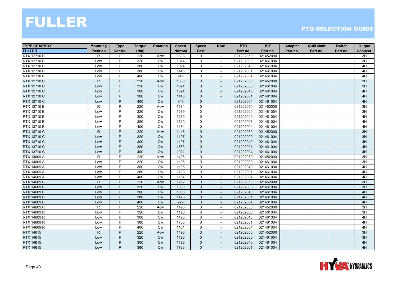| <b>TYPE GEARBOX</b> | <b>Mounting</b> | <b>Type</b>    | <b>Torque</b> | <b>Rotation</b> | <b>Speed</b>  | <b>Speed</b>   | <b>Note</b>              | <b>PTO</b> | <b>KIT</b> | Adapter  | <b>Quill shaft</b> | <b>Switch</b> | Output          |
|---------------------|-----------------|----------------|---------------|-----------------|---------------|----------------|--------------------------|------------|------------|----------|--------------------|---------------|-----------------|
| <b>FULLER</b>       | <b>Position</b> | <b>Control</b> | (Nm)          |                 | <b>Normal</b> | Fast           |                          | Part no.   | Part no.   | Part no. | Part no.           | Part no.      | Connect.        |
| <b>RTX 12710 B</b>  | R               | P              | 220           | Acw             | 1338          | 0              | $\sim$                   | 021202050  | 021452000  |          |                    |               | 3H              |
| RTX 12710 B         | Low             | P              | 320           | <b>Cw</b>       | 1024          | $\mathbf 0$    |                          | 021202000  | 021461004  |          |                    |               | 3H              |
| RTX 12710 B         | Low             | P              | 300           | Cw              | 1024          | 0              |                          | 021202040  | 021461004  |          |                    |               | 4H              |
| <b>RTX 12710 B</b>  | Low             | P              | 380           | Cw              | 1446          | 0              | $\sim$                   | 021202001  | 021461004  |          |                    |               | 4H              |
| <b>RTX 12710 B</b>  | Low             | P              | 400           | Cw              | 945           | $\mathbf 0$    | $\sim$                   | 021202004  | 021461004  |          |                    |               | 4H              |
| RTX 12710 C         | $\mathsf{R}$    | P              | 220           | Acw             | 1338          | $\mathbf{0}$   | $\sim$                   | 021202050  | 021452000  |          |                    |               | 3H              |
| RTX 12710 C         | Low             | P              | 320           | <b>Cw</b>       | 1024          | $\mathbf{0}$   | $\sim$                   | 021202000  | 021461004  |          |                    |               | 3H              |
| RTX 12710 C         | Low             | P              | 300           | Cw              | 1024          | $\mathbf{0}$   |                          | 021202040  | 021461004  |          |                    |               | 4H              |
| RTX 12710 C         | Low             | P              | 380           | Cw              | 1446          | $\mathbf 0$    |                          | 021202001  | 021461004  |          |                    |               | 4H              |
| <b>RTX 12710 C</b>  | Low             | P              | 400           | Cw              | 945           | $\mathbf 0$    | $\sim$                   | 021202004  | 021461004  |          |                    |               | 4H              |
| <b>RTX 13710 B</b>  | $\mathsf{R}$    | P              | 220           | Acw             | 1684          | 0              | $\sim$                   | 021202050  | 021452000  |          |                    |               | $\overline{3H}$ |
| RTX 13710 B         | Low             | P              | 320           | <b>Cw</b>       | 1289          | 0              | $\sim$                   | 021202000  | 021461004  |          |                    |               | 3H              |
| RTX 13710 B         | Low             | P              | 300           | Cw              | 1289          | $\mathbf 0$    | $\overline{\phantom{a}}$ | 021202040  | 021461004  |          |                    |               | 4H              |
| RTX 13710 B         | Low             | P              | 380           | <b>Cw</b>       | 1820          | $\mathbf 0$    | $\blacksquare$           | 021202001  | 021461004  |          |                    |               | 4H              |
| RTX 13710 B         | Low             | P              | 400           | Cw              | 1184          | 0              | $\sim$                   | 021202004  | 021461004  |          |                    |               | 4H              |
| RTX 13710 C         | $\mathsf{R}$    | P              | 220           | Acw             | 1446          | $\mathbf 0$    | $\sim$                   | 021202050  | 021452000  |          |                    |               | 3H              |
| RTX 13710 C         | Low             | P              | 320           | Cw              | 1107          | $\mathbf{0}$   | $\sim$                   | 021202000  | 021461004  |          |                    |               | 3H              |
| RTX 13710 C         | Low             | P              | 300           | <b>Cw</b>       | 1107          | $\mathbf 0$    | $\sim$                   | 021202040  | 021461004  |          |                    |               | 4H              |
| RTX 13710 C         | Low             | P              | 380           | <b>Cw</b>       | 1563          | $\mathbf{0}$   | $\sim$                   | 021202001  | 021461004  |          |                    |               | 4H              |
| RTX 13710 C         | Low             | P              | 400           | Cw              | 1021          | $\mathbf{0}$   |                          | 021202004  | 021461004  |          |                    |               | 4H              |
| RTX 14609 A         | R               | P              | 220           | Acw             | 1496          | 0              | $\sim$                   | 021202050  | 021452000  |          |                    |               | 3H              |
| RTX 14609 A         | Low             | P              | 320           | Cw              | 1195          | 0              | $\sim$                   | 021202000  | 021461004  |          |                    |               | $\overline{3H}$ |
| RTX 14609 A         | Low             | P              | 300           | Cw              | 1195          | 0              | $\sim$                   | 021202040  | 021461004  |          |                    |               | 4H              |
| RTX 14609 A         | Low             | P              | 380           | <b>Cw</b>       | 1783          | 0              | $\sim$                   | 021202001  | 021461004  |          |                    |               | 4H              |
| RTX 14609 A         | Low             | P              | 400           | <b>Cw</b>       | 1164          | $\mathbf 0$    | $\overline{\phantom{a}}$ | 021202004  | 021461004  |          |                    |               | 4H              |
| <b>RTX 14609 B</b>  | $\mathsf{R}$    | P              | 220           | Acw             | 1262          | $\mathbf{0}$   |                          | 021202050  | 021452000  |          |                    |               | 3H              |
| <b>RTX 14609 B</b>  | Low             | P              | 320           | Cw              | 1008          | $\mathbf 0$    | $\overline{\phantom{a}}$ | 021202000  | 021461004  |          |                    |               | 3H              |
| <b>RTX 14609 B</b>  | Low             | P              | 300           | Cw              | 1008          | $\mathbf{0}$   |                          | 021202040  | 021461004  |          |                    |               | 4H              |
| <b>RTX 14609 B</b>  | Low             | P              | 380           | Cw              | 1423          | $\mathbf{0}$   | $\sim$                   | 021202001  | 021461004  |          |                    |               | 4H              |
| <b>RTX 14609 B</b>  | Low             | P              | 400           | <b>Cw</b>       | 929           | $\mathbf{0}$   | $\overline{\phantom{a}}$ | 021202004  | 021461004  |          |                    |               | 4H              |
| RTX 14609 R         | R               | P              | 220           | Acw             | 1496          | 0              | $\overline{\phantom{a}}$ | 021202050  | 021452000  |          |                    |               | 3H              |
| RTX 14609 R         | Low             | P              | 320           | Cw              | 1195          | $\mathbf{0}$   |                          | 021202000  | 021461004  |          |                    |               | 3H              |
| RTX 14609 R         | Low             | P              | 300           | Cw              | 1195          | 0              | $\overline{\phantom{a}}$ | 021202040  | 021461004  |          |                    |               | 4H              |
| RTX 14609 R         | Low             | P              | 380           | Cw              | 1783          | 0              |                          | 021202001  | 021461004  |          |                    |               | 4H              |
| RTX 14609 R         | Low             | P              | 400           | <b>Cw</b>       | 1164          | $\mathbf 0$    | $\sim$                   | 021202004  | 021461004  |          |                    |               | 4H              |
| RTX 14615           | $\mathsf{R}$    | P              | 220           | Acw             | 1496          | $\mathbf{0}$   | $\overline{\phantom{a}}$ | 021202050  | 021452000  |          |                    |               | 3H              |
| <b>RTX 14615</b>    | Low             | P              | 320           | <b>Cw</b>       | 1195          | $\mathbf{0}$   | $\overline{\phantom{a}}$ | 021202000  | 021461004  |          |                    |               | 3H              |
| <b>RTX 14615</b>    | Low             | P              | 300           | Cw              | 1195          | $\mathbf{0}$   |                          | 021202040  | 021461004  |          |                    |               | 4H              |
| RTX 14615           | Low             | P              | 380           | <b>Cw</b>       | 1783          | $\overline{0}$ | $\overline{\phantom{a}}$ | 021202001  | 021461004  |          |                    |               | 4H              |

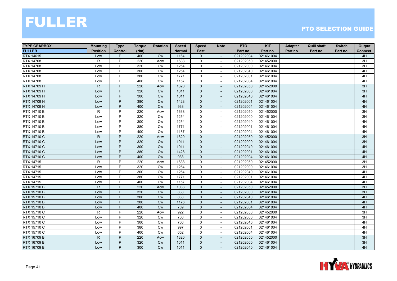| <b>TYPE GEARBOX</b> | <b>Mounting</b> | <b>Type</b>    | <b>Torque</b> | <b>Rotation</b> | <b>Speed</b>  | <b>Speed</b>   | <b>Note</b>              | <b>PTO</b> | <b>KIT</b> | Adapter  | <b>Quill shaft</b> | <b>Switch</b> | Output   |
|---------------------|-----------------|----------------|---------------|-----------------|---------------|----------------|--------------------------|------------|------------|----------|--------------------|---------------|----------|
| <b>FULLER</b>       | <b>Position</b> | <b>Control</b> | (Nm)          |                 | <b>Normal</b> | Fast           |                          | Part no.   | Part no.   | Part no. | Part no.           | Part no.      | Connect. |
| <b>RTX 14615</b>    | Low             | P              | 400           | <b>Cw</b>       | 1164          | $\mathbf{0}$   | $\overline{\phantom{a}}$ | 021202004  | 021461004  |          |                    |               | 4H       |
| <b>RTX 14708</b>    | R               | P              | 220           | Acw             | 1638          | 0              | $\overline{\phantom{a}}$ | 021202050  | 021452000  |          |                    |               | 3H       |
| <b>RTX 14708</b>    | Low             | P              | 320           | <b>Cw</b>       | 1254          | $\mathsf{O}$   |                          | 021202000  | 021461004  |          |                    |               | 3H       |
| <b>RTX 14708</b>    | Low             | P              | 300           | Cw              | 1254          | $\mathbf 0$    | $\sim$                   | 021202040  | 021461004  |          |                    |               | 4H       |
| <b>RTX 14708</b>    | Low             | P              | 380           | <b>Cw</b>       | 1771          | $\mathbf 0$    |                          | 021202001  | 021461004  |          |                    |               | 4H       |
| <b>RTX 14708</b>    | Low             | P              | 400           | <b>Cw</b>       | 1157          | 0              | $\overline{\phantom{a}}$ | 021202004  | 021461004  |          |                    |               | 4H       |
| RTX 14709 H         | $\mathsf{R}$    | P              | 220           | Acw             | 1320          | $\Omega$       | $\overline{\phantom{a}}$ | 021202050  | 021452000  |          |                    |               | 3H       |
| RTX 14709 H         | Low             | P              | 320           | <b>Cw</b>       | 1011          | $\mathbf 0$    |                          | 021202000  | 021461004  |          |                    |               | 3H       |
| RTX 14709 H         | Low             | P              | 300           | Cw              | 1011          | $\mathbf 0$    |                          | 021202040  | 021461004  |          |                    |               | 4H       |
| RTX 14709 H         | Low             | P              | 380           | Cw              | 1428          | $\mathbf{0}$   | $\blacksquare$           | 021202001  | 021461004  |          |                    |               | 4H       |
| RTX 14709 H         | Low             | P              | 400           | <b>Cw</b>       | 933           | $\mathbf 0$    | $\overline{\phantom{a}}$ | 021202004  | 021461004  |          |                    |               | 4H       |
| <b>RTX 14710 B</b>  | R               | P              | 220           | Acw             | 1638          | 0              | $\blacksquare$           | 021202050  | 021452000  |          |                    |               | 3H       |
| <b>RTX 14710 B</b>  | Low             | P              | 320           | Cw              | 1254          | $\mathbf 0$    | $\overline{\phantom{a}}$ | 021202000  | 021461004  |          |                    |               | 3H       |
| <b>RTX 14710 B</b>  | Low             | P              | 300           | Cw              | 1254          | 0              | $\sim$                   | 021202040  | 021461004  |          |                    |               | 4H       |
| <b>RTX 14710 B</b>  | Low             | P              | 380           | Cw              | 1771          | 0              |                          | 021202001  | 021461004  |          |                    |               | 4H       |
| <b>RTX 14710 B</b>  | Low             | P              | 400           | Cw              | 1157          | $\mathbf 0$    | $\sim$                   | 021202004  | 021461004  |          |                    |               | 4H       |
| <b>RTX 14710 C</b>  | $\mathsf{R}$    | P              | 220           | Acw             | 1320          | $\mathbf{0}$   |                          | 021202050  | 021452000  |          |                    |               | 3H       |
| <b>RTX 14710 C</b>  | Low             | P              | 320           | <b>Cw</b>       | 1011          | $\mathbf 0$    | $\overline{\phantom{a}}$ | 021202000  | 021461004  |          |                    |               | 3H       |
| <b>RTX 14710 C</b>  | Low             | P              | 300           | Cw              | 1011          | $\mathbf{0}$   | $\overline{\phantom{a}}$ | 021202040  | 021461004  |          |                    |               | 4H       |
| <b>RTX 14710 C</b>  | Low             | P              | 380           | <b>Cw</b>       | 1428          | $\mathbf{0}$   |                          | 021202001  | 021461004  |          |                    |               | 4H       |
| <b>RTX 14710 C</b>  | Low             | P              | 400           | <b>Cw</b>       | 933           | $\mathbf{0}$   | $\overline{\phantom{a}}$ | 021202004  | 021461004  |          |                    |               | 4H       |
| <b>RTX 14715</b>    | R               | P              | 220           | Acw             | 1638          | $\mathbf 0$    | $\sim$                   | 021202050  | 021452000  |          |                    |               | 3H       |
| <b>RTX 14715</b>    | Low             | P              | 320           | <b>Cw</b>       | 1254          | 0              | $\sim$                   | 021202000  | 021461004  |          |                    |               | 3H       |
| <b>RTX 14715</b>    | Low             | P              | 300           | Cw              | 1254          | $\mathbf 0$    | $\blacksquare$           | 021202040  | 021461004  |          |                    |               | 4H       |
| RTX 14715           | Low             | P              | 380           | Cw              | 1771          | 0              | $\overline{\phantom{a}}$ | 021202001  | 021461004  |          |                    |               | 4H       |
| RTX 14715           | Low             | P              | 400           | <b>Cw</b>       | 1157          | $\mathbf 0$    | $\sim$                   | 021202004  | 021461004  |          |                    |               | 4H       |
| <b>RTX 15710 B</b>  | $\mathsf{R}$    | P              | 220           | Acw             | 1088          | $\mathbf{0}$   |                          | 021202050  | 021452000  |          |                    |               | 3H       |
| <b>RTX 15710 B</b>  | Low             | P              | 320           | Cw              | 833           | $\mathbf 0$    | $\blacksquare$           | 021202000  | 021461004  |          |                    |               | 3H       |
| <b>RTX 15710 B</b>  | Low             | P              | 300           | Cw              | 833           | $\mathbf{0}$   | $\sim$                   | 021202040  | 021461004  |          |                    |               | 4H       |
| <b>RTX 15710 B</b>  | Low             | P              | 380           | Cw              | 1176          | $\mathbf{0}$   | $\overline{\phantom{a}}$ | 021202001  | 021461004  |          |                    |               | 4H       |
| <b>RTX 15710 B</b>  | Low             | P              | 400           | <b>Cw</b>       | 769           | $\mathbf{0}$   | $\overline{\phantom{a}}$ | 021202004  | 021461004  |          |                    |               | 4H       |
| RTX 15710 C         | $\mathsf{R}$    | P              | 220           | Acw             | 922           | $\mathbf 0$    |                          | 021202050  | 021452000  |          |                    |               | 3H       |
| RTX 15710 C         | Low             | P              | 320           | <b>Cw</b>       | 706           | 0              | $\overline{\phantom{a}}$ | 021202000  | 021461004  |          |                    |               | 3H       |
| RTX 15710 C         | Low             | P              | 300           | Cw              | 706           | 0              |                          | 021202040  | 021461004  |          |                    |               | 4H       |
| <b>RTX 15710 C</b>  | Low             | $\overline{P}$ | 380           | Cw              | 997           | $\mathbf{0}$   | $\sim$                   | 021202001  | 021461004  |          |                    |               | 4H       |
| RTX 15710 C         | Low             | P              | 400           | <b>Cw</b>       | 652           | 0              | $\overline{\phantom{a}}$ | 021202004  | 021461004  |          |                    |               | 4H       |
| <b>RTX 16709 B</b>  | $\mathsf{R}$    | P              | 220           | Acw             | 1320          | $\mathbf{0}$   | $\overline{\phantom{a}}$ | 021202050  | 021452000  |          |                    |               | 3H       |
| <b>RTX 16709 B</b>  | Low             | P              | 320           | <b>Cw</b>       | 1011          | $\Omega$       |                          | 021202000  | 021461004  |          |                    |               | 3H       |
| RTX 16709 B         | Low             | P              | 300           | <b>Cw</b>       | 1011          | $\overline{0}$ | $\overline{\phantom{a}}$ | 021202040  | 021461004  |          |                    |               | 4H       |

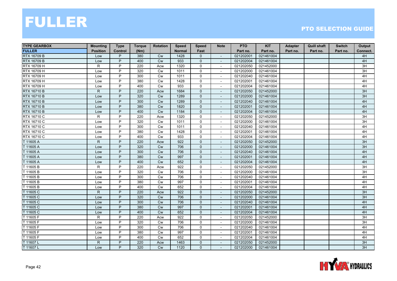| <b>TYPE GEARBOX</b> | <b>Mounting</b> | <b>Type</b>    | <b>Torque</b> | <b>Rotation</b> | <b>Speed</b>  | <b>Speed</b>   | <b>Note</b>              | <b>PTO</b> | <b>KIT</b> | Adapter  | <b>Quill shaft</b> | <b>Switch</b> | Output   |
|---------------------|-----------------|----------------|---------------|-----------------|---------------|----------------|--------------------------|------------|------------|----------|--------------------|---------------|----------|
| <b>FULLER</b>       | <b>Position</b> | <b>Control</b> | (Nm)          |                 | <b>Normal</b> | Fast           |                          | Part no.   | Part no.   | Part no. | Part no.           | Part no.      | Connect. |
| <b>RTX 16709 B</b>  | Low             | P              | 380           | <b>Cw</b>       | 1428          | $\mathbf{0}$   | $\overline{\phantom{a}}$ | 021202001  | 021461004  |          |                    |               | 4H       |
| <b>RTX 16709 B</b>  | Low             | P              | 400           | <b>Cw</b>       | 933           | $\mathbf{0}$   |                          | 021202004  | 021461004  |          |                    |               | 4H       |
| RTX 16709 H         | $\mathsf R$     | P              | 220           | Acw             | 1320          | $\mathsf{O}$   |                          | 021202050  | 021452000  |          |                    |               | 3H       |
| RTX 16709 H         | Low             | P              | 320           | Cw              | 1011          | $\mathbf 0$    | $\sim$                   | 021202000  | 021461004  |          |                    |               | 3H       |
| RTX 16709 H         | Low             | P              | 300           | <b>Cw</b>       | 1011          | 0              |                          | 021202040  | 021461004  |          |                    |               | 4H       |
| RTX 16709 H         | Low             | P              | 380           | Cw              | 1428          | 0              | $\overline{\phantom{a}}$ | 021202001  | 021461004  |          |                    |               | 4H       |
| RTX 16709 H         | Low             | P              | 400           | <b>Cw</b>       | 933           | $\Omega$       | $\blacksquare$           | 021202004  | 021461004  |          |                    |               | 4H       |
| <b>RTX 16710 B</b>  | $\mathsf{R}$    | P              | 220           | Acw             | 1684          | $\mathbf 0$    |                          | 021202050  | 021452000  |          |                    |               | 3H       |
| <b>RTX 16710 B</b>  | Low             | P              | 320           | Cw              | 1289          | $\mathbf 0$    |                          | 021202000  | 021461004  |          |                    |               | 3H       |
| <b>RTX 16710 B</b>  | Low             | P              | 300           | Cw              | 1289          | $\mathbf{0}$   | $\blacksquare$           | 021202040  | 021461004  |          |                    |               | 4H       |
| <b>RTX 16710 B</b>  | Low             | P              | 380           | <b>Cw</b>       | 1820          | $\mathbf 0$    | $\overline{\phantom{a}}$ | 021202001  | 021461004  |          |                    |               | 4H       |
| <b>RTX 16710 B</b>  | Low             | P              | 400           | <b>Cw</b>       | 1184          | $\mathbf{0}$   | $\overline{\phantom{a}}$ | 021202004  | 021461004  |          |                    |               | 4H       |
| RTX 16710 C         | R               | P              | 220           | Acw             | 1320          | 0              | $\overline{\phantom{a}}$ | 021202050  | 021452000  |          |                    |               | 3H       |
| RTX 16710 C         | Low             | P              | 320           | <b>Cw</b>       | 1011          | 0              | $\blacksquare$           | 021202000  | 021461004  |          |                    |               | 3H       |
| RTX 16710 C         | Low             | P              | 300           | Cw              | 1011          | 0              |                          | 021202040  | 021461004  |          |                    |               | 4H       |
| RTX 16710 C         | Low             | P              | 380           | Cw              | 1428          | $\mathbf 0$    | $\sim$                   | 021202001  | 021461004  |          |                    |               | 4H       |
| RTX 16710 C         | Low             | P              | 400           | <b>Cw</b>       | 933           | $\mathbf 0$    | $\overline{\phantom{a}}$ | 021202004  | 021461004  |          |                    |               | 4H       |
| T 11605 A           | $\mathsf{R}$    | P              | 220           | Acw             | 922           | $\mathbf 0$    | $\overline{\phantom{a}}$ | 021202050  | 021452000  |          |                    |               | 3H       |
| T 11605 A           | Low             | P              | 320           | Cw              | 706           | $\mathbf{0}$   | $\overline{\phantom{a}}$ | 021202000  | 021461004  |          |                    |               | 3H       |
| T 11605 A           | Low             | P              | 300           | <b>Cw</b>       | 706           | $\mathbf{0}$   |                          | 021202040  | 021461004  |          |                    |               | 4H       |
| T 11605 A           | Low             | P              | 380           | <b>Cw</b>       | 997           | $\mathbf{0}$   | $\overline{\phantom{a}}$ | 021202001  | 021461004  |          |                    |               | 4H       |
| T 11605 A           | Low             | P              | 400           | <b>Cw</b>       | 652           | $\mathbf{0}$   | $\sim$                   | 021202004  | 021461004  |          |                    |               | 4H       |
| T 11605 B           | $\mathsf R$     | P              | 220           | Acw             | 922           | 0              | $\sim$                   | 021202050  | 021452000  |          |                    |               | 3H       |
| T 11605 B           | Low             | P              | 320           | Cw              | 706           | $\mathbf 0$    | $\overline{\phantom{a}}$ | 021202000  | 021461004  |          |                    |               | 3H       |
| T 11605 B           | Low             | P              | 300           | Cw              | 706           | 0              | $\sim$                   | 021202040  | 021461004  |          |                    |               | 4H       |
| T 11605 B           | Low             | P              | 380           | <b>Cw</b>       | 997           | $\mathbf 0$    | $\sim$                   | 021202001  | 021461004  |          |                    |               | 4H       |
| T 11605 B           | Low             | P              | 400           | <b>Cw</b>       | 652           | 0              |                          | 021202004  | 021461004  |          |                    |               | 4H       |
| T 11605 C           | $\mathsf{R}$    | P              | 220           | Acw             | 922           | $\mathbf 0$    | $\sim$                   | 021202050  | 021452000  |          |                    |               | 3H       |
| T 11605 C           | Low             | P              | 320           | Cw              | 706           | $\mathbf{0}$   | $\sim$                   | 021202000  | 021461004  |          |                    |               | 3H       |
| T 11605 C           | Low             | P              | 300           | Cw              | 706           | 0              | $\overline{\phantom{a}}$ | 021202040  | 021461004  |          |                    |               | 4H       |
| T 11605 C           | Low             | P              | 380           | <b>Cw</b>       | 997           | $\mathbf{0}$   | $\overline{\phantom{a}}$ | 021202001  | 021461004  |          |                    |               | 4H       |
| T 11605 C           | Low             | P              | 400           | Cw              | 652           | $\mathbf{0}$   |                          | 021202004  | 021461004  |          |                    |               | 4H       |
| T 11605 F           | R               | P              | 220           | Acw             | 922           | 0              | $\overline{\phantom{a}}$ | 021202050  | 021452000  |          |                    |               | 3H       |
| T 11605 F           | Low             | P              | 320           | Cw              | 706           | 0              |                          | 021202000  | 021461004  |          |                    |               | 3H       |
| T 11605 F           | Low             | $\overline{P}$ | 300           | Cw              | 706           | $\mathbf{0}$   | $\sim$                   | 021202040  | 021461004  |          |                    |               | 4H       |
| T 11605 F           | Low             | P              | 380           | <b>Cw</b>       | 997           | 0              | $\overline{\phantom{a}}$ | 021202001  | 021461004  |          |                    |               | 4H       |
| T 11605 F           | Low             | P              | 400           | <b>Cw</b>       | 652           | 0              | $\overline{\phantom{a}}$ | 021202004  | 021461004  |          |                    |               | 4H       |
| T 11607L            | $\mathsf{R}$    | P              | 220           | Acw             | 1463          | $\mathbf{0}$   |                          | 021202050  | 021452000  |          |                    |               | 3H       |
| T 11607L            | Low             | P              | 320           | <b>Cw</b>       | 1120          | $\overline{0}$ | $\overline{\phantom{a}}$ | 021202000  | 021461004  |          |                    |               | 3H       |

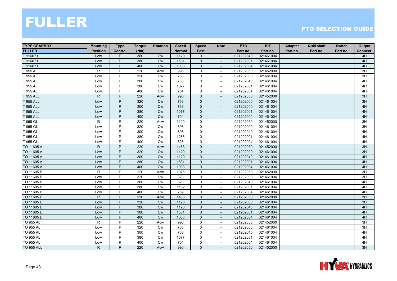| <b>TYPE GEARBOX</b> | <b>Mounting</b> | <b>Type</b>    | <b>Torque</b> | Rotation  | <b>Speed</b>  | <b>Speed</b>   | <b>Note</b>              | <b>PTO</b> | <b>KIT</b> | Adapter  | <b>Quill shaft</b> | <b>Switch</b> | Output   |
|---------------------|-----------------|----------------|---------------|-----------|---------------|----------------|--------------------------|------------|------------|----------|--------------------|---------------|----------|
| <b>FULLER</b>       | <b>Position</b> | <b>Control</b> | (Nm)          |           | <b>Normal</b> | Fast           |                          | Part no.   | Part no.   | Part no. | Part no.           | Part no.      | Connect. |
| T 11607L            | Low             | P              | 300           | <b>Cw</b> | 1120          | $\mathbf{0}$   | $\overline{\phantom{a}}$ | 021202040  | 021461004  |          |                    |               | 4H       |
| T 11607L            | Low             | P              | 380           | <b>Cw</b> | 1581          | $\mathbf{0}$   |                          | 021202001  | 021461004  |          |                    |               | 4H       |
| T 11607L            | Low             | P              | 400           | Cw        | 1033          | $\mathbf 0$    |                          | 021202004  | 021461004  |          |                    |               | 4H       |
| T 955 AL            | R               | P              | 220           | Acw       | 996           | $\mathbf 0$    | $\sim$                   | 021202050  | 021452000  |          |                    |               | 3H       |
| T 955 AL            | Low             | P              | 320           | <b>Cw</b> | 763           | 0              |                          | 021202000  | 021461004  |          |                    |               | 3H       |
| T 955 AL            | Low             | P              | 300           | Cw        | 763           | 0              | $\overline{\phantom{a}}$ | 021202040  | 021461004  |          |                    |               | 4H       |
| T 955 AL            | Low             | P              | 380           | <b>Cw</b> | 1077          | $\Omega$       | $\blacksquare$           | 021202001  | 021461004  |          |                    |               | 4H       |
| T 955 AL            | Low             | P              | 400           | Cw        | 704           | 0              |                          | 021202004  | 021461004  |          |                    |               | 4H       |
| <b>T 955 ALL</b>    | ${\sf R}$       | P              | 220           | Acw       | 996           | $\mathbf 0$    |                          | 021202050  | 021452000  |          |                    |               | 3H       |
| <b>T 955 ALL</b>    | Low             | P              | 320           | <b>Cw</b> | 763           | $\mathbf{0}$   | $\sim$                   | 021202000  | 021461004  |          |                    |               | 3H       |
| <b>T 955 ALL</b>    | Low             | P              | 300           | Cw        | 763           | $\mathbf 0$    | $\overline{\phantom{a}}$ | 021202040  | 021461004  |          |                    |               | 4H       |
| <b>T 955 ALL</b>    | Low             | P              | 380           | <b>Cw</b> | 1077          | $\mathbf{0}$   | $\overline{\phantom{a}}$ | 021202001  | 021461004  |          |                    |               | 4H       |
| <b>T 955 ALL</b>    | Low             | P              | 400           | Cw        | 704           | $\mathbf{0}$   | $\overline{\phantom{a}}$ | 021202004  | 021461004  |          |                    |               | 4H       |
| T 955 GL            | $\mathsf{R}$    | P              | 220           | Acw       | 1120          | 0              | $\blacksquare$           | 021202050  | 021452000  |          |                    |               | 3H       |
| T 955 GL            | Low             | P              | 320           | Cw        | 896           | 0              |                          | 021202000  | 021461004  |          |                    |               | 3H       |
| T 955 GL            | Low             | P              | 300           | <b>Cw</b> | 896           | $\mathbf 0$    | $\sim$                   | 021202040  | 021461004  |          |                    |               | 4H       |
| T 955 GL            | Low             | P              | 380           | <b>Cw</b> | 1265          | 0              | $\overline{\phantom{a}}$ | 021202001  | 021461004  |          |                    |               | 4H       |
| T 955 GL            | Low             | P              | 400           | <b>Cw</b> | 826           | 0              | $\blacksquare$           | 021202004  | 021461004  |          |                    |               | 4H       |
| TO 11605 A          | $\mathsf{R}$    | P              | 220           | Acw       | 1463          | $\mathbf{0}$   | $\overline{\phantom{a}}$ | 021202050  | 021452000  |          |                    |               | 3H       |
| TO 11605 A          | Low             | P              | 320           | Cw        | 1120          | $\mathbf 0$    |                          | 021202000  | 021461004  |          |                    |               | 3H       |
| TO 11605 A          | Low             | P              | 300           | Cw        | 1120          | $\mathbf{0}$   | $\overline{\phantom{a}}$ | 021202040  | 021461004  |          |                    |               | 4H       |
| TO 11605 A          | Low             | P              | 380           | Cw        | 1581          | $\mathbf{0}$   | $\overline{a}$           | 021202001  | 021461004  |          |                    |               | 4H       |
| TO 11605 A          | Low             | P              | 400           | Cw        | 1033          | $\mathbf 0$    | $\sim$                   | 021202004  | 021461004  |          |                    |               | 4H       |
| TO 11605 B          | R               | P              | 220           | Acw       | 1075          | 0              | $\overline{\phantom{a}}$ | 021202050  | 021452000  |          |                    |               | 3H       |
| TO 11605 B          | Low             | P              | 320           | <b>Cw</b> | 823           | 0              | $\overline{\phantom{a}}$ | 021202000  | 021461004  |          |                    |               | 3H       |
| TO 11605 B          | Low             | P              | 300           | <b>Cw</b> | 823           | $\mathbf 0$    | $\sim$                   | 021202040  | 021461004  |          |                    |               | 4H       |
| TO 11605 B          | Low             | P              | 380           | <b>Cw</b> | 1162          | 0              |                          | 021202001  | 021461004  |          |                    |               | 4H       |
| TO 11605 B          | Low             | P              | 400           | Cw        | 759           | 0              |                          | 021202004  | 021461004  |          |                    |               | 4H       |
| TO 11605 D          | $\mathsf{R}$    | P              | 220           | Acw       | 1463          | $\mathbf{0}$   | $\sim$                   | 021202050  | 021452000  |          |                    |               | 3H       |
| TO 11605 D          | Low             | P              | 320           | Cw        | 1120          | $\mathbf 0$    | $\overline{\phantom{a}}$ | 021202000  | 021461004  |          |                    |               | 3H       |
| TO 11605 D          | Low             | P              | 300           | <b>Cw</b> | 1120          | $\mathbf{0}$   | $\overline{\phantom{a}}$ | 021202040  | 021461004  |          |                    |               | 4H       |
| TO 11605 D          | Low             | P              | 380           | Cw        | 1581          | $\mathbf{0}$   |                          | 021202001  | 021461004  |          |                    |               | 4H       |
| TO 11605 D          | Low             | P              | 400           | Cw        | 1033          | $\mathbf 0$    | $\overline{\phantom{a}}$ | 021202004  | 021461004  |          |                    |               | 4H       |
| <b>TO 955 AL</b>    | R               | P              | 220           | Acw       | 996           | 0              | $\blacksquare$           | 021202050  | 021452000  |          |                    |               | 3H       |
| <b>TO 955 AL</b>    | Low             | $\overline{P}$ | 320           | <b>Cw</b> | 763           | $\mathsf{O}$   | $\sim$                   | 021202000  | 021461004  |          |                    |               | 3H       |
| <b>TO 955 AL</b>    | Low             | P              | 300           | <b>Cw</b> | 763           | 0              | $\overline{\phantom{a}}$ | 021202040  | 021461004  |          |                    |               | 4H       |
| <b>TO 955 AL</b>    | Low             | P              | 380           | Cw        | 1077          | 0              | $\overline{\phantom{a}}$ | 021202001  | 021461004  |          |                    |               | 4H       |
| <b>TO 955 AL</b>    | Low             | P              | 400           | <b>Cw</b> | 704           | $\mathbf 0$    |                          | 021202004  | 021461004  |          |                    |               | 4H       |
| <b>TO 955 ALL</b>   | $\mathsf{R}$    | P              | 220           | Acw       | 996           | $\overline{0}$ | $\overline{\phantom{a}}$ | 021202050  | 021452000  |          |                    |               | 3H       |

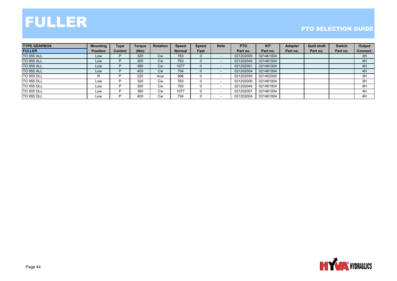

| <b>TYPE GEARBOX</b> | <b>Mounting</b> | <b>Type</b>    | <b>Torque</b> | <b>Rotation</b> | <b>Speed</b>  | <b>Speed</b> | <b>Note</b>              | <b>PTO</b> | <b>KIT</b> | <b>Adapter</b> | <b>Quill shaft</b> | <b>Switch</b> | Output   |
|---------------------|-----------------|----------------|---------------|-----------------|---------------|--------------|--------------------------|------------|------------|----------------|--------------------|---------------|----------|
| <b>FULLER</b>       | <b>Position</b> | <b>Control</b> | (Nm)          |                 | <b>Normal</b> | Fast         |                          | Part no.   | Part no.   | Part no.       | Part no.           | Part no.      | Connect. |
| <b>TO 955 ALL</b>   | Low             |                | 320           | <b>Cw</b>       | 763           |              |                          | 021202000  | 021461004  |                |                    |               | 3H       |
| <b>TO 955 ALL</b>   | Low             |                | 300           | <b>Cw</b>       | 763           |              |                          | 021202040  | 021461004  |                |                    |               | 4H       |
| <b>TO 955 ALL</b>   | Low             |                | 380           | <b>Cw</b>       | 1077          |              | $\overline{\phantom{a}}$ | 021202001  | 021461004  |                |                    |               | 4H       |
| <b>TO 955 ALL</b>   | Low             |                | 400           | <b>Cw</b>       | 704           |              |                          | 021202004  | 021461004  |                |                    |               | 4H       |
| <b>TO 955 DLL</b>   | R               |                | 220           | Acw             | 996           |              |                          | 021202050  | 021452000  |                |                    |               | 3H       |
| <b>TO 955 DLL</b>   | Low             |                | 320           | <b>Cw</b>       | 763           |              |                          | 021202000  | 021461004  |                |                    |               | 3H       |
| <b>TO 955 DLL</b>   | Low             |                | 300           | <b>Cw</b>       | 763           |              |                          | 021202040  | 021461004  |                |                    |               | 4H       |
| <b>TO 955 DLL</b>   | Low             |                | 380           | Cw              | 1077          |              |                          | 021202001  | 021461004  |                |                    |               | 4H       |
| <b>TO 955 DLL</b>   | Low             |                | 400           | Cw              | 704           |              |                          | 021202004  | 021461004  |                |                    |               | 4H       |

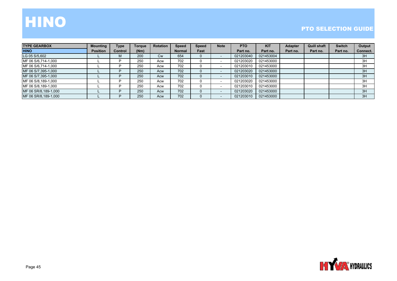# HINO

| <b>TYPE GEARBOX</b>  | <b>Mounting</b> | Type    | Torgue | <b>Rotation</b> | <b>Speed</b>  | <b>Speed</b> | <b>Note</b>              | <b>PTO</b> | <b>KIT</b> | <b>Adapter</b> | <b>Quill shaft</b> | <b>Switch</b> | Output   |
|----------------------|-----------------|---------|--------|-----------------|---------------|--------------|--------------------------|------------|------------|----------------|--------------------|---------------|----------|
| <b>HINO</b>          | <b>Position</b> | Control | (Nm)   |                 | <b>Normal</b> | Fast         |                          | Part no.   | Part no.   | Part no.       | Part no.           | Part no.      | Connect. |
| LG 05 S/5,602        |                 | м       | 200    | <b>Cw</b>       | 654           |              |                          | 021203040  | 021453004  |                |                    |               | 3H       |
| MF 06 S/6,714-1,000  |                 |         | 250    | Acw             | 702           |              |                          | 021203020  | 021453000  |                |                    |               | 3H       |
| MF 06 S/6,714-1,000  |                 |         | 250    | Acw             | 702           |              |                          | 021203010  | 021453000  |                |                    |               | 3H       |
| MF 06 S/7,395-1,000  |                 |         | 250    | Acw             | 702           |              | $\overline{\phantom{a}}$ | 021203020  | 021453000  |                |                    |               | 3H       |
| MF 06 S/7,395-1,000  |                 |         | 250    | Acw             | 702           |              | $\overline{\phantom{a}}$ | 021203010  | 021453000  |                |                    |               | 3H       |
| MF 06 S/8,189-1,000  |                 |         | 250    | Acw             | 702           |              | $\overline{\phantom{0}}$ | 021203020  | 021453000  |                |                    |               | 3H       |
| MF 06 S/8,189-1,000  |                 |         | 250    | Acw             | 702           |              |                          | 021203010  | 021453000  |                |                    |               | 3H       |
| MF 06 SR/8,189-1,000 |                 |         | 250    | Acw             | 702           |              | $\overline{\phantom{a}}$ | 021203020  | 021453000  |                |                    |               | 3H       |
| MF 06 SR/8,189-1,000 |                 |         | 250    | Acw             | 702           |              |                          | 021203010  | 021453000  |                |                    |               | 3H       |

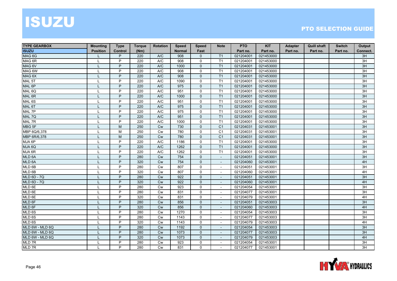# ISUZU

| <b>TYPE GEARBOX</b> | <b>Mounting</b> | <b>Type</b>    | <b>Torque</b> | <b>Rotation</b> | <b>Speed</b>  | <b>Speed</b> | <b>Note</b>              | <b>PTO</b> | <b>KIT</b> | Adapter  | <b>Quill shaft</b> | <b>Switch</b> | Output   |
|---------------------|-----------------|----------------|---------------|-----------------|---------------|--------------|--------------------------|------------|------------|----------|--------------------|---------------|----------|
| <b>ISUZU</b>        | <b>Position</b> | <b>Control</b> | (Nm)          |                 | <b>Normal</b> | Fast         |                          | Part no.   | Part no.   | Part no. | Part no.           | Part no.      | Connect. |
| MAG <sub>6G</sub>   |                 | P              | 220           | A/C             | 908           | $\mathbf{0}$ | T <sub>1</sub>           | 021204001  | 021453000  |          |                    |               | 3H       |
| MAG 6R              | $\mathbf{I}$    | P              | 220           | A/C             | 908           | 0            | T1                       | 021204001  | 021453000  |          |                    |               | 3H       |
| MAG 6V              |                 | P              | 220           | A/C             | 1000          | $\mathbf{0}$ | T1                       | 021204001  | 021453000  |          |                    |               | 3H       |
| MAG 6W              | $\mathsf{L}$    | P              | 220           | A/C             | 908           | $\mathbf 0$  | T1                       | 021204001  | 021453000  |          |                    |               | 3H       |
| MAG 6X              |                 | P              | 220           | A/C             | 908           | $\mathbf{0}$ | T <sub>1</sub>           | 021204001  | 021453000  |          |                    |               | 3H       |
| MAL <sub>5T</sub>   |                 | P              | 220           | A/C             | 1090          | 0            | T1                       | 021204001  | 021453000  |          |                    |               | 3H       |
| MAL 6P              |                 | P              | 220           | AVC             | 975           | $\mathbf{0}$ | T1                       | 021204001  | 021453000  |          |                    |               | 3H       |
| MAL <sub>6Q</sub>   | L               | P              | 220           | A/C             | 951           | $\mathbf 0$  | T1                       | 021204001  | 021453000  |          |                    |               | 3H       |
| MAL 6R              |                 | P              | 220           | A/C             | 1000          | $\mathbf{0}$ | T1                       | 021204001  | 021453000  |          |                    |               | 3H       |
| MAL <sub>6S</sub>   |                 | P              | 220           | A/C             | 951           | $\mathbf 0$  | T1                       | 021204001  | 021453000  |          |                    |               | 3H       |
| MAL 6T              |                 | P              | 220           | A/C             | 975           | $\mathbf{0}$ | T <sub>1</sub>           | 021204001  | 021453000  |          |                    |               | 3H       |
| MAL 7P              |                 | P              | 220           | A/C             | 975           | $\mathbf 0$  | T1                       | 021204001  | 021453000  |          |                    |               | 3H       |
| MAL 7Q              |                 | P              | 220           | A/C             | 951           | $\mathbf{0}$ | T1                       | 021204001  | 021453000  |          |                    |               | 3H       |
| MAL 7R              | L               | P              | 220           | A/C             | 1000          | $\mathbf 0$  | T1                       | 021204001  | 021453000  |          |                    |               | 3H       |
| MBG 5F              |                 | M              | 250           | Cw              | 730           | $\mathbf{0}$ | C <sub>1</sub>           | 021204031  | 021453001  |          |                    |               | 3H       |
| MBP 6Q/6,378        |                 | M              | 250           | Cw              | 780           | $\mathbf 0$  | C <sub>1</sub>           | 021204031  | 021453001  |          |                    |               | 3H       |
| MBP 6R/6,378        |                 | M              | 250           | <b>Cw</b>       | 780           | $\mathbf{0}$ | C <sub>1</sub>           | 021204031  | 021453001  |          |                    |               | 3H       |
| MJA 6P              |                 | P              | 220           | A/C             | 1186          | $\mathbf 0$  | T <sub>1</sub>           | 021204001  | 021453000  |          |                    |               | 3H       |
| MJA 6Q              |                 | P              | 220           | A/C             | 1262          | $\mathbf{0}$ | T1                       | 021204001  | 021453000  |          |                    |               | 3H       |
| MJA 6R              | T               | P              | 220           | A/C             | 1262          | $\mathbf 0$  | T1                       | 021204001  | 021453000  |          |                    |               | 3H       |
| MLD 6A              |                 | P              | 280           | Cw              | 754           | $\mathbf{0}$ | $\blacksquare$           | 021204051  | 021453001  |          |                    |               | 3H       |
| MLD 6A              |                 | P              | 320           | Cw              | 754           | $\mathbf 0$  | $\overline{\phantom{a}}$ | 021204060  | 021453001  |          |                    |               | 4H       |
| MLD 6B              | $\mathbf{I}$    | P              | 280           | Cw              | 807           | 0            | $\sim$                   | 021204051  | 021453001  |          |                    |               | 3H       |
| MLD 6B              |                 | P              | 320           | Cw              | 807           | $\mathbf{0}$ | $\mathbf{r}$             | 021204060  | 021453001  |          |                    |               | 4H       |
| <b>MLD 6D - 7Q</b>  |                 | P              | 280           | <b>Cw</b>       | 922           | $\mathbf{0}$ | $\blacksquare$           | 021204051  | 021453001  |          |                    |               | 3H       |
| <b>MLD 6D - 7Q</b>  |                 | P              | 320           | <b>Cw</b>       | 922           | $\mathbf{0}$ | $\overline{\phantom{a}}$ | 021204060  | 021453001  |          |                    |               | 4H       |
| MLD 6E              | $\mathbf{I}$    | P              | 280           | <b>Cw</b>       | 923           | $\mathbf 0$  |                          | 021204054  | 021453001  |          |                    |               | 3H       |
| MLD 6E              |                 | P              | 280           | <b>Cw</b>       | 831           | 0            | $\overline{\phantom{a}}$ | 021204077  | 021453001  |          |                    |               | 3H       |
| MLD 6E              | $\mathbf{I}$    | P              | 320           | <b>Cw</b>       | 831           | $\mathbf 0$  |                          | 021204079  | 021453001  |          |                    |               | 4H       |
| MLD 6F              |                 | P              | 280           | <b>Cw</b>       | 856           | $\mathbf{0}$ | $\sim$                   | 021204051  | 021453003  |          |                    |               | 3H       |
| MLD 6F              |                 | P              | 320           | Cw              | 856           | $\mathbf{0}$ | $\blacksquare$           | 021204060  | 021453003  |          |                    |               | 4H       |
| MLD 6S              |                 | P              | 280           | Cw              | 1270          | 0            | $\sim$                   | 021204054  | 021453003  |          |                    |               | 3H       |
| $MLD$ 6S            |                 | P              | 280           | Cw              | 1143          | $\mathbf{0}$ | $\sim$                   | 021204077  | 021453003  |          |                    |               | 3H       |
| MLD 6S              |                 | P              | 320           | <b>Cw</b>       | 1143          | 0            | $\sim$                   | 021204079  | 021453003  |          |                    |               | 4H       |
| MLD 6W - MLD 6Q     |                 | P              | 280           | <b>Cw</b>       | 1192          | $\mathbf{0}$ | $\sim$                   | 021204054  | 021453003  |          |                    |               | 3H       |
| MLD 6W - MLD 6Q     |                 | P              | 280           | <b>Cw</b>       | 1073          | $\mathbf{0}$ | $\sim$                   | 021204077  | 021453003  |          |                    |               | 3H       |
| MLD 6W - MLD 6Q     |                 | P              | 320           | <b>Cw</b>       | 1073          | $\mathbf{0}$ | $\overline{\phantom{a}}$ | 021204079  | 021453003  |          |                    |               | 4H       |
| MLD 7R              | L               | P              | 280           | <b>Cw</b>       | 923           | $\Omega$     | $\sim$                   | 021204054  | 021453001  |          |                    |               | 3H       |
| MLD 7R              |                 | P              | 280           | <b>Cw</b>       | 831           | $\Omega$     |                          | 021204077  | 021453001  |          |                    |               | 3H       |

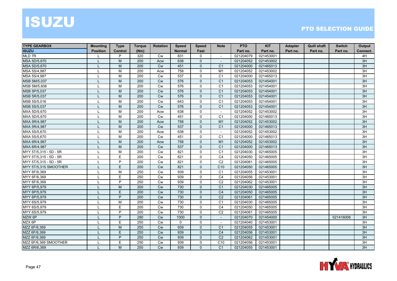# ISUZU

| <b>TYPE GEARBOX</b>    | <b>Mounting</b> | <b>Type</b>    | <b>Torque</b> | <b>Rotation</b> | <b>Speed</b>  | <b>Speed</b>   | <b>Note</b>              | <b>PTO</b> | <b>KIT</b> | Adapter  | <b>Quill shaft</b> | <b>Switch</b> | Output   |
|------------------------|-----------------|----------------|---------------|-----------------|---------------|----------------|--------------------------|------------|------------|----------|--------------------|---------------|----------|
| <b>ISUZU</b>           | <b>Position</b> | Control        | (Nm)          |                 | <b>Normal</b> | Fast           |                          | Part no.   | Part no.   | Part no. | Part no.           | Part no.      | Connect. |
| MLD 7R                 |                 | P              | 320           | <b>Cw</b>       | 831           | 0              | $\blacksquare$           | 021204079  | 021453001  |          |                    |               | 4H       |
| MSA 5D/5,670           | $\mathbf{I}$    | M              | 200           | Acw             | 638           | $\Omega$       |                          | 021204052  | 021453002  |          |                    |               | 3H       |
| MSA 5D/5,670           | T               | M              | 200           | Cw              | 451           | $\mathbf{0}$   | C <sub>1</sub>           | 021204000  | 021465013  |          |                    |               | 3H       |
| MSA 5S/4,987           | $\mathbf{I}$    | М              | 200           | Acw             | 758           | $\mathbf 0$    | M1                       | 021204052  | 021453002  |          |                    |               | 3H       |
| MSA 5S/4,987           | $\mathbf{I}$    | M              | 200           | <b>Cw</b>       | 537           | $\mathbf 0$    | C <sub>1</sub>           | 021204000  | 021465013  |          |                    |               | 3H       |
| MSB 5M/5,037           | T               | M              | 200           | <b>Cw</b>       | 576           | 0              | C <sub>1</sub>           | 021204053  | 021454001  |          |                    |               | 3H       |
| MSB 5M/5,608           | $\mathbf{I}$    | M              | 200           | <b>Cw</b>       | 576           | $\Omega$       | C <sub>1</sub>           | 021204053  | 021454001  |          |                    |               | 3H       |
| MSB 5P/5,037           | T               | M              | 200           | <b>Cw</b>       | 576           | $\Omega$       | C <sub>1</sub>           | 021204053  | 021454001  |          |                    |               | 3H       |
| MSB 5R/5,037           | T               | M              | 200           | Cw              | 576           | $\mathbf{0}$   | C <sub>1</sub>           | 021204053  | 021454001  |          |                    |               | 3H       |
| MSB 5S/5,016           | $\mathbf{I}$    | M              | 200           | Cw              | 643           | $\mathbf 0$    | C <sub>1</sub>           | 021204053  | 021454001  |          |                    |               | 3H       |
| MSB 5S/5,037           |                 | M              | 200           | Cw              | 576           | 0              | C <sub>1</sub>           | 021204053  | 021454001  |          |                    |               | 3H       |
| MXA 5D/5,670           | L               | М              | 200           | Acw             | 638           | 0              | $\sim$                   | 021204052  | 021453002  |          |                    |               | 3H       |
| MXA 5D/5,670           | $\mathbf{I}$    | M              | 200           | <b>Cw</b>       | 451           | $\Omega$       | C <sub>1</sub>           | 021204000  | 021465013  |          |                    |               | 3H       |
| MXA 5R/4,987           | L               | M              | 200           | Acw             | 758           | $\Omega$       | M1                       | 021204052  | 021453002  |          |                    |               | 3H       |
| MXA 5R/4,987           | T               | M              | 200           | <b>Cw</b>       | 537           | $\mathbf{0}$   | C <sub>1</sub>           | 021204000  | 021465013  |          |                    |               | 3H       |
| MXA 5S/5,670           | $\mathbf{I}$    | М              | 200           | Acw             | 638           | $\mathbf 0$    | $\sim$                   | 021204052  | 021453002  |          |                    |               | 3H       |
| MXA 5S/5,670           | $\mathbf{I}$    | M              | 200           | <b>Cw</b>       | 451           | $\mathbf 0$    | C <sub>1</sub>           | 021204000  | 021465013  |          |                    |               | 3H       |
| MXA 6R/4,987           |                 | M              | 200           | Acw             | 758           | 0              | M1                       | 021204052  | 021453002  |          |                    |               | 3H       |
| MXA 6R/4,987           |                 | M              | 200           | <b>Cw</b>       | 537           | $\Omega$       | C <sub>1</sub>           | 021204000  | 021465013  |          |                    |               | 3H       |
| MYY 5T/5,315 - 5D - 5R | L               | м              | 200           | <b>Cw</b>       | 821           | 0              | C <sub>1</sub>           | 021204030  | 021465005  |          |                    |               | 3H       |
| MYY 5T/5,315 - 5D - 5R | L               | E              | 200           | Cw              | 821           | $\mathbf 0$    | C <sub>4</sub>           | 021204050  | 021465005  |          |                    |               | 3H       |
| MYY 5T/5,315 - 5D - 5R | $\mathbf{I}$    | $\overline{P}$ | 200           | Cw              | 821           | $\mathbf 0$    | C <sub>2</sub>           | 021204061  | 021465005  |          |                    |               | 3H       |
| MYY 5T/5,315 SMOOTHER  |                 | E.             | 200           | Cw              | 821           | $\overline{0}$ | C <sub>10</sub>          | 021204050  | 021465005  |          |                    |               | 3H       |
| MYY 6F/6,369           | L               | М              | 250           | Cw              | 939           | 0              | C <sub>1</sub>           | 021204055  | 021453001  |          |                    |               | 3H       |
| MYY 6F/6,369           | L               | E              | 250           | Cw              | 939           | 0              | C <sub>4</sub>           | 021204056  | 021453001  |          |                    |               | 3H       |
| MYY 6F/6,369           | L               | P              | 250           | <b>Cw</b>       | 939           | $\Omega$       | C <sub>2</sub>           | 021204062  | 021453001  |          |                    |               | 3H       |
| MYY 6P/5,979           | L               | M              | 200           | Cw              | 730           | $\mathbf{0}$   | C <sub>1</sub>           | 021204030  | 021465005  |          |                    |               | 3H       |
| MYY 6P/5,979           | $\mathbf{I}$    | E.             | 200           | Cw              | 730           | $\mathbf{0}$   | C <sub>4</sub>           | 021204050  | 021465005  |          |                    |               | 3H       |
| MYY 6P/5,979           | T               | P              | 200           | Cw              | 730           | 0              | C <sub>2</sub>           | 021204061  | 021465005  |          |                    |               | 3H       |
| MYY 6S/5,979           | L               | М              | 200           | <b>Cw</b>       | 730           | 0              | C <sub>1</sub>           | 021204030  | 021465005  |          |                    |               | 3H       |
| MYY 6S/5,979           | L               | E              | 200           | <b>Cw</b>       | 730           | $\Omega$       | C <sub>4</sub>           | 021204050  | 021465005  |          |                    |               | 3H       |
| MYY 6S/5,979           | L               | P              | 200           | <b>Cw</b>       | 730           | $\Omega$       | C <sub>2</sub>           | 021204061  | 021465005  |          |                    |               | 3H       |
| MZW 6P                 | T               | P              | 280           | Cw              | 1000          | $\mathbf{0}$   | $\blacksquare$           | 021204070  | 021454000  |          |                    | 021416006     | 3H       |
| MZX 6P                 | $\mathbf{I}$    | E              | 250           | Cw              | $\mathbf 0$   | $\mathbf 0$    | $\overline{\phantom{a}}$ | 021204040  | 021453001  |          |                    |               | 3H       |
| MZZ 6F/6,369           |                 | M              | 250           | Cw              | 939           | $\mathbf{0}$   | C <sub>1</sub>           | 021204055  | 021453001  |          |                    |               | 3H       |
| MZZ 6F/6,369           |                 | E.             | 250           | Cw              | 939           | 0              | C <sub>4</sub>           | 021204056  | 021453001  |          |                    |               | 3H       |
| MZZ 6F/6,369           |                 | P              | 250           | <b>Cw</b>       | 939           | $\Omega$       | C <sub>2</sub>           | 021204062  | 021453001  |          |                    |               | 3H       |
| MZZ 6F/6.369 SMOOTHER  | L               | E              | 250           | <b>Cw</b>       | 939           | $\Omega$       | C <sub>10</sub>          | 021204056  | 021453001  |          |                    |               | 3H       |
| MZZ 6R/6,369           |                 | M              | 250           | Cw              | 939           | $\overline{0}$ | C <sub>1</sub>           | 021204055  | 021453001  |          |                    |               | 3H       |

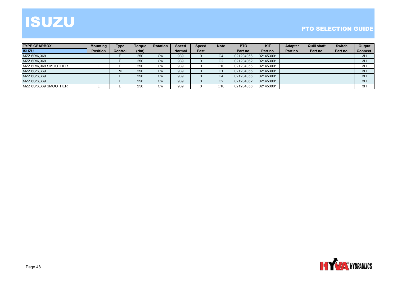## ISUZU

| <b>TYPE GEARBOX</b>   | <b>Mounting</b> | <b>Type</b>    | <b>Torgue</b> | <b>Rotation</b> | <b>Speed</b>  | <b>Speed</b> | <b>Note</b>     | <b>PTO</b> | <b>KIT</b> | <b>Adapter</b> | <b>Quill shaft</b> | <b>Switch</b> | Output   |
|-----------------------|-----------------|----------------|---------------|-----------------|---------------|--------------|-----------------|------------|------------|----------------|--------------------|---------------|----------|
| <b>ISUZU</b>          | <b>Position</b> | <b>Control</b> | (Nm)          |                 | <b>Normal</b> | Fast         |                 | Part no.   | Part no.   | Part no.       | Part no.           | Part no.      | Connect. |
| MZZ 6R/6,369          |                 |                | 250           | Cw              | 939           |              | C4              | 021204056  | 021453001  |                |                    |               | 3H       |
| MZZ 6R/6,369          |                 |                | 250           | Cw              | 939           |              | C <sub>2</sub>  | 021204062  | 021453001  |                |                    |               | 3H       |
| MZZ 6R/6.369 SMOOTHER |                 |                | 250           | Cw              | 939           |              | C10             | 021204056  | 021453001  |                |                    |               | 3H       |
| MZZ 6S/6,369          |                 |                | 250           | <b>Cw</b>       | 939           |              | C1              | 021204055  | 021453001  |                |                    |               | 3H       |
| MZZ 6S/6,369          |                 |                | 250           | <b>Cw</b>       | 939           |              | C4              | 021204056  | 021453001  |                |                    |               | 3H       |
| MZZ 6S/6,369          |                 |                | 250           | Cw              | 939           |              | C <sub>2</sub>  | 021204062  | 021453001  |                |                    |               | 3H       |
| MZZ 6S/6,369 SMOOTHER |                 |                | 250           | Cw              | 939           |              | C <sub>10</sub> | 021204056  | 021453001  |                |                    |               | 3H       |

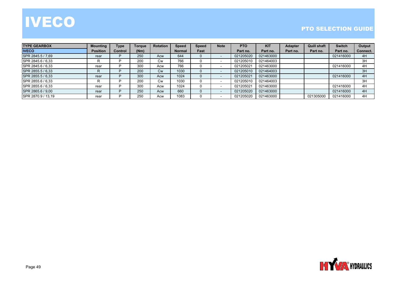# **IVECO**

| <b>ITYPE GEARBOX</b> | <b>Mounting</b> | <b>Type</b> | <b>Torque</b> | <b>Rotation</b> | <b>Speed</b>  | <b>Speed</b> | <b>Note</b>              | PTO       | <b>KIT</b> | <b>Adapter</b> | <b>Quill shaft</b> | <b>Switch</b> | Output   |
|----------------------|-----------------|-------------|---------------|-----------------|---------------|--------------|--------------------------|-----------|------------|----------------|--------------------|---------------|----------|
| <b>IVECO</b>         | <b>Position</b> | Control     | (Nm)          |                 | <b>Normal</b> | Fast         |                          | Part no.  | Part no.   | Part no.       | Part no.           | Part no.      | Connect. |
| SPR 2845.5 / 7,69    | rear            |             | 250           | Acw             | 644           |              |                          | 021205020 | 021463000  |                |                    | 021416000     | 4H       |
| SPR 2845.6 / 6,33    | R               |             | 200           | <b>Cw</b>       | 766           |              |                          | 021205010 | 021464003  |                |                    |               | 3H       |
| SPR 2845.6 / 6,33    | rear            |             | 300           | Acw             | 766           |              |                          | 021205021 | 021463000  |                |                    | 021416000     | 4H       |
| SPR 2855.5 / 6,33    | R               |             | 200           | <b>Cw</b>       | 1030          |              | $\overline{\phantom{a}}$ | 021205010 | 021464003  |                |                    |               | 3H       |
| SPR 2855.5 / 6.33    | rear            |             | 300           | Acw             | 1024          |              |                          | 021205021 | 021463000  |                |                    | 021416000     | 4H       |
| SPR 2855.6 / 6,33    | R               |             | 200           | Cw              | 1030          |              |                          | 021205010 | 021464003  |                |                    |               | 3H       |
| SPR 2855.6 / 6.33    | rear            |             | 300           | Acw             | 1024          |              |                          | 021205021 | 021463000  |                |                    | 021416000     | 4H       |
| SPR 2865.6 / 9.00    | rear            |             | 250           | Acw             | 660           |              |                          | 021205020 | 021463000  |                |                    | 021416000     | 4H       |
| SPR 2870.9 / 13,19   | rear            |             | 250           | Acw             | 1083          |              |                          | 021205020 | 021463000  |                | 021305000          | 021416000     | 4H       |

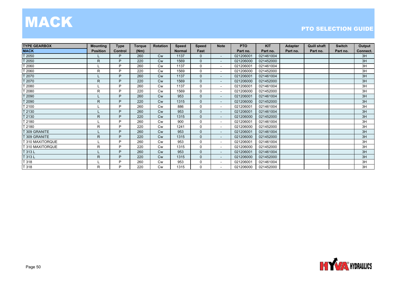### MAC K

| <b>TYPE GEARBOX</b> | <b>Mounting</b> | <b>Type</b> | <b>Torque</b> | Rotation  | <b>Speed</b>  | <b>Speed</b> | <b>Note</b>              | <b>PTO</b> | <b>KIT</b> | <b>Adapter</b> | <b>Quill shaft</b> | <b>Switch</b> | Output   |
|---------------------|-----------------|-------------|---------------|-----------|---------------|--------------|--------------------------|------------|------------|----------------|--------------------|---------------|----------|
| <b>MACK</b>         | <b>Position</b> | Control     | (Nm)          |           | <b>Normal</b> | Fast         |                          | Part no.   | Part no.   | Part no.       | Part no.           | Part no.      | Connect. |
| T 2050              |                 | P.          | 260           | <b>Cw</b> | 1137          | $\Omega$     | $\overline{\phantom{a}}$ | 021206001  | 021461004  |                |                    |               | 3H       |
| T 2050              | R               | P           | 220           | <b>Cw</b> | 1569          | $\mathbf{0}$ | $\sim$                   | 021206000  | 021452000  |                |                    |               | 3H       |
| T 2060              |                 | P           | 260           | <b>Cw</b> | 1137          | $\Omega$     | $\overline{\phantom{a}}$ | 021206001  | 021461004  |                |                    |               | 3H       |
| T 2060              | R               | P           | 220           | <b>Cw</b> | 1569          | $\mathbf 0$  | $\sim$                   | 021206000  | 021452000  |                |                    |               | 3H       |
| T 2070              |                 | P           | 260           | <b>Cw</b> | 1137          | $\Omega$     | $\overline{\phantom{a}}$ | 021206001  | 021461004  |                |                    |               | 3H       |
| T 2070              | R               | P           | 220           | <b>Cw</b> | 1569          | $\Omega$     | $\sim$                   | 021206000  | 021452000  |                |                    |               | 3H       |
| T 2080              |                 | D           | 260           | <b>Cw</b> | 1137          | $\Omega$     | $\overline{\phantom{a}}$ | 021206001  | 021461004  |                |                    |               | 3H       |
| T 2080              | R               | P           | 220           | <b>Cw</b> | 1569          | $\Omega$     | $\sim$                   | 021206000  | 021452000  |                |                    |               | 3H       |
| T 2090              |                 | P           | 260           | <b>Cw</b> | 953           | $\Omega$     | $\overline{\phantom{a}}$ | 021206001  | 021461004  |                |                    |               | 3H       |
| T 2090              | R.              | P           | 220           | <b>Cw</b> | 1315          | $\Omega$     | $\overline{\phantom{a}}$ | 021206000  | 021452000  |                |                    |               | 3H       |
| T 2100              |                 | P           | 260           | Cw        | 886           | 0            | $\overline{\phantom{a}}$ | 021206001  | 021461004  |                |                    |               | 3H       |
| T 2130              |                 | P           | 260           | <b>Cw</b> | 953           | $\Omega$     | $\sim$                   | 021206001  | 021461004  |                |                    |               | 3H       |
| T 2130              | R.              | P           | 220           | <b>Cw</b> | 1315          | $\mathbf{0}$ | $\overline{\phantom{a}}$ | 021206000  | 021452000  |                |                    |               | 3H       |
| T 2180              |                 | P           | 260           | Cw        | 900           | $\Omega$     | $\overline{\phantom{a}}$ | 021206001  | 021461004  |                |                    |               | 3H       |
| T 2180              | R               | D           | 220           | <b>Cw</b> | 1241          | $\Omega$     | $\overline{\phantom{a}}$ | 021206000  | 021452000  |                |                    |               | 3H       |
| T 309 GRANITE       |                 | D           | 260           | <b>Cw</b> | 953           | $\mathbf{0}$ | $\overline{\phantom{a}}$ | 021206001  | 021461004  |                |                    |               | 3H       |
| T 309 GRANITE       | R.              | P           | 220           | <b>Cw</b> | 1315          | $\mathbf{0}$ | $\overline{\phantom{a}}$ | 021206000  | 021452000  |                |                    |               | 3H       |
| T 310 MAXITORQUE    |                 | D           | 260           | <b>Cw</b> | 953           | 0            | $\blacksquare$           | 021206001  | 021461004  |                |                    |               | 3H       |
| T 310 MAXITORQUE    | R               | P           | 220           | <b>Cw</b> | 1315          | 0            | $\overline{\phantom{a}}$ | 021206000  | 021452000  |                |                    |               | 3H       |
| T 313 L             |                 | P           | 260           | <b>Cw</b> | 953           | $\Omega$     | $\overline{\phantom{a}}$ | 021206001  | 021461004  |                |                    |               | 3H       |
| T 313L              | R.              | P           | 220           | <b>Cw</b> | 1315          | $\mathbf{0}$ | $\overline{\phantom{a}}$ | 021206000  | 021452000  |                |                    |               | 3H       |
| T 318               |                 | P           | 260           | <b>Cw</b> | 953           | 0            | $\overline{\phantom{a}}$ | 021206001  | 021461004  |                |                    |               | 3H       |
| T 318               | R               | P           | 220           | <b>Cw</b> | 1315          | $\Omega$     | $\overline{\phantom{a}}$ | 021206000  | 021452000  |                |                    |               | 3H       |

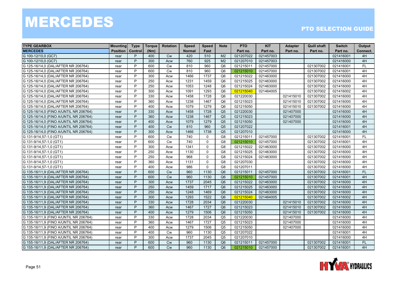| <b>TYPE GEARBOX</b>                    | <b>Mounting</b> | <b>Type</b> | <b>Torque</b> | <b>Rotation</b> | <b>Speed</b>  | <b>Speed</b> | <b>Note</b>    | <b>PTO</b> | <b>KIT</b> | <b>Adapter</b> | <b>Quill shaft</b> | <b>Switch</b> | Output    |
|----------------------------------------|-----------------|-------------|---------------|-----------------|---------------|--------------|----------------|------------|------------|----------------|--------------------|---------------|-----------|
| <b>MERCEDES</b>                        | <b>Position</b> | Control     | (Nm)          |                 | <b>Normal</b> | Fast         |                | Part no.   | Part no.   | Part no.       | Part no.           | Part no.      | Connect.  |
| G 100-12/10,0 (GC7)                    | rear            | P           | 400           | <b>Cw</b>       | 420           | 510          | M <sub>2</sub> | 021207022  | 021457003  |                |                    | 021416001     | 4H        |
| G 100-12/10,0 (GC7)                    | rear            | P           | 300           | Acw             | 760           | 925          | M <sub>2</sub> | 021207010  | 021457003  |                |                    | 021416000     | 4H        |
| G 125-16/14,0 (DAL/AFTER NR 206764)    | rear            | P           | 600           | Cw              | 810           | 960          | Q <sub>6</sub> | 021215011  | 021457000  |                | 021307002          | 021416001     | <b>FL</b> |
| G 125-16/14,0 (DAL/AFTER NR 206764)    | rear            | P           | 600           | <b>Cw</b>       | 810           | 960          | Q <sub>6</sub> | 021215010  | 021457000  |                | 021307002          | 021416001     | 4H        |
| G 125-16/14,0 (DAL/AFTER NR 206764)    | rear            | P           | 300           | Acw             | 1466          | 1737         | Q <sub>6</sub> | 021215022  | 021463000  |                | 021307002          | 021416000     | 4H        |
| G 125-16/14,0 (DAL/AFTER NR 206764)    | rear            | P           | 250           | Acw             | 1231          | 1459         | Q <sub>6</sub> | 021215025  | 021463000  |                | 021307002          | 021416000     | 4H        |
| G 125-16/14,0 (DAL/AFTER NR 206764)    | rear            | P           | 250           | Acw             | 1053          | 1248         | Q <sub>6</sub> | 021215024  | 021463000  |                | 021307002          | 021416000     | 4H        |
| G 125-16/14,0 (DAL/AFTER NR 206764)    | rear            | P           | 300           | Acw             | 1091          | 1293         | Q <sub>6</sub> | 021215040  | 021464005  |                | 021307002          | 021416002     | 4H        |
| G 125-16/14,0 (DAL/AFTER NR 206764)    | rear            | P           | 330           | Acw             | 1458          | 1728         | Q <sub>6</sub> | 021220030  |            | 021415010      | 021307002          | 021416000     | 4H        |
| G 125-16/14,0 (DAL/AFTER NR 206764)    | rear            | P           | 360           | Acw             | 1238          | 1467         | Q <sub>6</sub> | 021215023  |            | 021415010      | 021307002          | 021416000     | 4H        |
| G 125-16/14,0 (DAL/AFTER NR 206764)    | rear            | P           | 400           | Acw             | 1079          | 1279         | Q <sub>6</sub> | 021215050  |            | 021415010      | 021307002          | 021416000     | 4H        |
| G 125-16/14,0 (FINO A/UNTIL NR 206764) | rear            | P           | 330           | Acw             | 1458          | 1728         | Q <sub>5</sub> | 021220030  |            | 021407000      |                    | 021416000     | 4H        |
| G 125-16/14,0 (FINO A/UNTIL NR 206764) | rear            | P           | 360           | Acw             | 1238          | 1467         | Q <sub>5</sub> | 021215023  |            | 021407000      |                    | 021416000     | 4H        |
| G 125-16/14,0 (FINO A/UNTIL NR 206764) | rear            | P           | 400           | Acw             | 1079          | 1279         | Q <sub>5</sub> | 021215050  |            | 021407000      |                    | 021416000     | 4H        |
| G 125-16/14,0 (FINO A/UNTIL NR 206764) | rear            | P           | 400           | Cw              | 810           | 960          | Q <sub>5</sub> | 021207022  |            |                |                    | 021416001     | 4H        |
| G 125-16/14,0 (FINO A/UNTIL NR 206764) | rear            | P           | 300           | Acw             | 1466          | 1738         | Q <sub>5</sub> | 021207010  |            |                |                    | 021416000     | 4H        |
| G 131-9/14,57-1,0 (GT1)                | rear            | P           | 600           | <b>Cw</b>       | 740           | $\Omega$     | G <sub>8</sub> | 021215011  | 021457000  |                | 021307002          | 021416001     | <b>FL</b> |
| G 131-9/14,57-1,0 (GT1)                | rear            | P           | 600           | Cw              | 740           | $\Omega$     | G8             | 021215010  | 021457000  |                | 021307002          | 021416001     | 4H        |
| G 131-9/14,57-1,0 (GT1)                | rear            | P           | 300           | Acw             | 1341          | $\Omega$     | G <sub>8</sub> | 021215022  | 021463000  |                | 021307002          | 021416000     | 4H        |
| G 131-9/14,57-1,0 (GT1)                | rear            | P           | 250           | Acw             | 1130          | $\Omega$     | G <sub>8</sub> | 021215025  | 021463000  |                | 021307002          | 021416000     | 4H        |
| G 131-9/14,57-1,0 (GT1)                | rear            | P           | 250           | Acw             | 968           | $\Omega$     | G <sub>8</sub> | 021215024  | 021463000  |                | 021307002          | 021416000     | 4H        |
| G 131-9/14,57-1,0 (GT1)                | rear            | P           | 360           | Acw             | 1131          | $\Omega$     | G <sub>8</sub> | 021207030  |            |                | 021307002          | 021416000     | 4H        |
| G 131-9/14,57-1,0 (GT1)                | rear            | P           | 400           | Acw             | 986           | $\Omega$     | G <sub>8</sub> | 021207011  |            |                | 021307002          | 021416000     | 4H        |
| G 135-16/11,9 (DAL/AFTER NR 206764)    | rear            | P           | 600           | <b>Cw</b>       | 960           | 1130         | Q <sub>6</sub> | 021215011  | 021457000  |                | 021307002          | 021416001     | <b>FL</b> |
| G 135-16/11,9 (DAL/AFTER NR 206764)    | rear            | P           | 600           | <b>Cw</b>       | 960           | 1130         | Q <sub>6</sub> | 021215010  | 021457000  |                | 021307002          | 021416001     | 4H        |
| G 135-16/11,9 (DAL/AFTER NR 206764)    | rear            | P           | 300           | Acw             | 1737          | 2045         | Q <sub>6</sub> | 021215022  | 021463000  |                | 021307002          | 021416000     | 4H        |
| G 135-16/11,9 (DAL/AFTER NR 206764)    | rear            | P           | 250           | Acw             | 1459          | 1717         | Q <sub>6</sub> | 021215025  | 021463000  |                | 021307002          | 021416000     | 4H        |
| G 135-16/11,9 (DAL/AFTER NR 206764)    | rear            | P           | 250           | Acw             | 1248          | 1469         | Q <sub>6</sub> | 021215024  | 021463000  |                | 021307002          | 021416000     | 4H        |
| G 135-16/11,9 (DAL/AFTER NR 206764)    | rear            | P           | 300           | Acw             | 1293          | 1522         | Q <sub>6</sub> | 021215040  | 021464005  |                | 021307002          | 021416002     | 4H        |
| G 135-16/11,9 (DAL/AFTER NR 206764)    | rear            | P           | 330           | Acw             | 1728          | 2034         | Q <sub>6</sub> | 021220030  |            | 021415010      | 021307002          | 021416000     | 4H        |
| G 135-16/11,9 (DAL/AFTER NR 206764)    | rear            | P           | 360           | Acw             | 1467          | 1727         | Q6             | 021215023  |            | 021415010      | 021307002          | 021416000     | 4H        |
| G 135-16/11,9 (DAL/AFTER NR 206764)    | rear            | P           | 400           | Acw             | 1279          | 1506         | Q <sub>6</sub> | 021215050  |            | 021415010      | 021307002          | 021416000     | 4H        |
| G 135-16/11,9 (FINO A/UNTIL NR 206764) | rear            | P           | 330           | Acw             | 1728          | 2034         | Q <sub>5</sub> | 021220030  |            | 021407000      |                    | 021416000     | 4H        |
| G 135-16/11,9 (FINO A/UNTIL NR 206764) | rear            | P           | 360           | Acw             | 1467          | 1727         | Q <sub>5</sub> | 021215023  |            | 021407000      |                    | 021416000     | 4H        |
| G 135-16/11,9 (FINO A/UNTIL NR 206764) | rear            | P           | 400           | Acw             | 1279          | 1506         | Q <sub>5</sub> | 021215050  |            | 021407000      |                    | 021416000     | 4H        |
| G 135-16/11,9 (FINO A/UNTIL NR 206764) | rear            | P           | 400           | Cw              | 960           | 1130         | Q <sub>5</sub> | 021207022  |            |                |                    | 021416001     | 4H        |
| G 135-16/11,9 (FINO A/UNTIL NR 206764) | rear            | P           | 300           | Acw             | 1737          | 2045         | Q <sub>5</sub> | 021207010  |            |                |                    | 021416000     | 4H        |
| G 155-16/11,9 (DAL/AFTER NR 206764)    | rear            | P           | 600           | <b>Cw</b>       | 960           | 1130         | Q <sub>6</sub> | 021215011  | 021457000  |                | 021307002          | 021416001     | <b>FL</b> |
| G 155-16/11,9 (DAL/AFTER NR 206764)    | rear            | P           | 600           | <b>Cw</b>       | 960           | 1130         | Q <sub>6</sub> | 021215010  | 021457000  |                | 021307002          | 021416001     | 4H        |

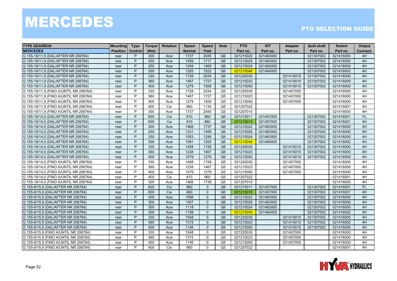| <b>TYPE GEARBOX</b>                    | <b>Mounting</b> | <b>Type</b> | <b>Torque</b> | <b>Rotation</b> | <b>Speed</b>  | <b>Speed</b> | <b>Note</b>    | <b>PTO</b> | <b>KIT</b> | <b>Adapter</b> | <b>Quill shaft</b> | <b>Switch</b> | Output    |
|----------------------------------------|-----------------|-------------|---------------|-----------------|---------------|--------------|----------------|------------|------------|----------------|--------------------|---------------|-----------|
| <b>MERCEDES</b>                        | <b>Position</b> | Control     | (Nm)          |                 | <b>Normal</b> | Fast         |                | Part no.   | Part no.   | Part no.       | Part no.           | Part no.      | Connect.  |
| G 155-16/11,9 (DAL/AFTER NR 206764)    | rear            | P           | 300           | Acw             | 1737          | 2045         | Q <sub>6</sub> | 021215022  | 021463000  |                | 021307002          | 021416000     | 4H        |
| G 155-16/11,9 (DAL/AFTER NR 206764)    | rear            | P           | 250           | Acw             | 1459          | 1717         | Q <sub>6</sub> | 021215025  | 021463000  |                | 021307002          | 021416000     | 4H        |
| G 155-16/11,9 (DAL/AFTER NR 206764)    | rear            | P           | 250           | Acw             | 1248          | 1469         | Q <sub>6</sub> | 021215024  | 021463000  |                | 021307002          | 021416000     | 4H        |
| G 155-16/11,9 (DAL/AFTER NR 206764)    | rear            | P           | 300           | Acw             | 1293          | 1522         | Q <sub>6</sub> | 021215040  | 021464005  |                | 021307002          | 021416002     | 4H        |
| G 155-16/11,9 (DAL/AFTER NR 206764)    | rear            | P           | 330           | Acw             | 1728          | 2034         | Q <sub>6</sub> | 021220030  |            | 021415010      | 021307002          | 021416000     | 4H        |
| G 155-16/11,9 (DAL/AFTER NR 206764)    | rear            | P           | 360           | Acw             | 1467          | 1727         | Q <sub>6</sub> | 021215023  |            | 021415010      | 021307002          | 021416000     | 4H        |
| G 155-16/11,9 (DAL/AFTER NR 206764)    | rear            | P           | 400           | Acw             | 1279          | 1506         | Q <sub>6</sub> | 021215050  |            | 021415010      | 021307002          | 021416000     | 4H        |
| G 155-16/11,9 (FINO A/UNTIL NR 206764) | rear            | P           | 330           | Acw             | 1728          | 2034         | Q <sub>5</sub> | 021220030  |            | 021407000      |                    | 021416000     | 4H        |
| G 155-16/11,9 (FINO A/UNTIL NR 206764) | rear            | P           | 360           | Acw             | 1467          | 1727         | Q <sub>5</sub> | 021215023  |            | 021407000      |                    | 021416000     | 4H        |
| G 155-16/11,9 (FINO A/UNTIL NR 206764) | rear            | P           | 400           | Acw             | 1279          | 1506         | Q <sub>5</sub> | 021215050  |            | 021407000      |                    | 021416000     | 4H        |
| G 155-16/11,9 (FINO A/UNTIL NR 206764) | rear            | P           | 400           | <b>Cw</b>       | 960           | 1130         | Q <sub>5</sub> | 021207022  |            |                |                    | 021416001     | 4H        |
| G 155-16/11,9 (FINO A/UNTIL NR 206764) | rear            | P           | 300           | Acw             | 1737          | 2045         | Q <sub>5</sub> | 021207010  |            |                |                    | 021416000     | 4H        |
| G 155-16/14,0 (DAL/AFTER NR 206764)    | rear            | P           | 600           | <b>Cw</b>       | 810           | 960          | Q <sub>6</sub> | 021215011  | 021457000  |                | 021307002          | 021416001     | <b>FL</b> |
| G 155-16/14,0 (DAL/AFTER NR 206764)    | rear            | P           | 600           | <b>Cw</b>       | 810           | 960          | Q <sub>6</sub> | 021215010  | 021457000  |                | 021307002          | 021416001     | 4H        |
| G 155-16/14,0 (DAL/AFTER NR 206764)    | rear            | P           | 300           | Acw             | 1466          | 1737         | Q <sub>6</sub> | 021215022  | 021463000  |                | 021307002          | 021416000     | 4H        |
| G 155-16/14,0 (DAL/AFTER NR 206764)    | rear            | P           | 250           | Acw             | 1231          | 1459         | Q <sub>6</sub> | 021215025  | 021463000  |                | 021307002          | 021416000     | 4H        |
| G 155-16/14,0 (DAL/AFTER NR 206764)    | rear            | P           | 250           | Acw             | 1053          | 1248         | Q <sub>6</sub> | 021215024  | 021463000  |                | 021307002          | 021416000     | 4H        |
| G 155-16/14,0 (DAL/AFTER NR 206764)    | rear            | P           | 300           | Acw             | 1091          | 1293         | Q <sub>6</sub> | 021215040  | 021464005  |                | 021307002          | 021416002     | 4H        |
| G 155-16/14,0 (DAL/AFTER NR 206764)    | rear            | P           | 330           | Acw             | 1458          | 1728         | Q <sub>6</sub> | 021220030  |            | 021415010      | 021307002          | 021416000     | 4H        |
| G 155-16/14,0 (DAL/AFTER NR 206764)    | rear            | P           | 360           | Acw             | 1238          | 1467         | Q <sub>6</sub> | 021215023  |            | 021415010      | 021307002          | 021416000     | 4H        |
| G 155-16/14,0 (DAL/AFTER NR 206764)    | rear            | P           | 400           | Acw             | 1079          | 1279         | Q <sub>6</sub> | 021215050  |            | 021415010      | 021307002          | 021416000     | 4H        |
| G 155-16/14,0 (FINO A/UNTIL NR 206764) | rear            | P           | 330           | Acw             | 1458          | 1728         | Q <sub>5</sub> | 021220030  |            | 021407000      |                    | 021416000     | 4H        |
| G 155-16/14,0 (FINO A/UNTIL NR 206764) | rear            | P           | 360           | Acw             | 1238          | 1467         | Q <sub>5</sub> | 021215023  |            | 021407000      |                    | 021416000     | 4H        |
| G 155-16/14,0 (FINO A/UNTIL NR 206764) | rear            | P           | 400           | Acw             | 1079          | 1279         | Q <sub>5</sub> | 021215050  |            | 021407000      |                    | 021416000     | 4H        |
| G 155-16/14,0 (FINO A/UNTIL NR 206764) | rear            | P           | 400           | <b>Cw</b>       | 810           | 960          | Q <sub>5</sub> | 021207022  |            |                |                    | 021416001     | 4H        |
| G 155-16/14,0 (FINO A/UNTIL NR 206764) | rear            | P           | 300           | Acw             | 1466          | 1738         | Q <sub>5</sub> | 021207010  |            |                |                    | 021416000     | 4H        |
| G 155-9/15,9 (DAL/AFTER NR 206764)     | rear            | P           | 600           | <b>Cw</b>       | 860           | $\mathbf{0}$ | Q <sub>6</sub> | 021215011  | 021457000  |                | 021307002          | 021416001     | FL        |
| G 155-9/15,9 (DAL/AFTER NR 206764)     | rear            | P           | 600           | <b>Cw</b>       | 860           | $\Omega$     | Q <sub>6</sub> | 021215010  | 021457000  |                | 021307002          | 021416001     | 4H        |
| G 155-9/15.9 (DAL/AFTER NR 206764)     | rear            | P           | 300           | Acw             | 1556          | $\mathbf{0}$ | Q <sub>6</sub> | 021215022  | 021463000  |                | 021307002          | 021416000     | 4H        |
| G 155-9/15.9 (DAL/AFTER NR 206764)     | rear            | P           | 300           | Acw             | 1307          | $\mathbf{0}$ | O6             | 021215025  | 021463000  |                | 021307002          | 021416000     | 4H        |
| G 155-9/15,9 (DAL/AFTER NR 206764)     | rear            | P           | 300           | Acw             | 1118          | $\mathbf{0}$ | Q <sub>6</sub> | 021215024  | 021463000  |                | 021307002          | 021416000     | 4H        |
| G 155-9/15,9 (DAL/AFTER NR 206764)     | rear            | P           | 300           | Acw             | 1158          | $\mathbf{0}$ | Q <sub>6</sub> | 021215040  | 021464005  |                | 021307002          | 021416002     | 4H        |
| G 155-9/15,9 (DAL/AFTER NR 206764)     | rear            | P           | 330           | Acw             | 1548          | $\Omega$     | Q <sub>6</sub> | 021220030  |            | 021415010      | 021307002          | 021416000     | 4H        |
| G 155-9/15.9 (DAL/AFTER NR 206764)     | rear            | P           | 360           | Acw             | 1315          | $\Omega$     | Q <sub>6</sub> | 021215023  |            | 021415010      | 021307002          | 021416000     | 4H        |
| G 155-9/15,9 (DAL/AFTER NR 206764)     | rear            | P           | 400           | Acw             | 1146          | $\mathbf 0$  | Q <sub>6</sub> | 021215050  |            | 021415010      | 021307002          | 021416000     | 4H        |
| G 155-9/15,9 (FINO A/UNTIL NR 206764)  | rear            | P           | 330           | Acw             | 1548          | $\mathbf 0$  | Q <sub>5</sub> | 021220030  |            | 021407000      |                    | 021416000     | 4H        |
| G 155-9/15,9 (FINO A/UNTIL NR 206764)  | rear            | P           | 360           | Acw             | 1315          | $\mathbf{0}$ | Q <sub>5</sub> | 021215023  |            | 021407000      |                    | 021416000     | 4H        |
| G 155-9/15,9 (FINO A/UNTIL NR 206764)  | rear            | P           | 400           | Acw             | 1146          | $\Omega$     | Q <sub>5</sub> | 021215050  |            | 021407000      |                    | 021416000     | 4H        |
| G 155-9/15,9 (FINO A/UNTIL NR 206764)  | rear            | P           | 400           | Cw              | 860           | $\mathbf{0}$ | Q <sub>5</sub> | 021207022  |            |                |                    | 021416001     | 4H        |

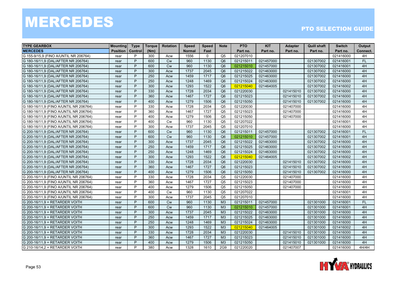| <b>TYPE GEARBOX</b>                    | <b>Mounting</b> | <b>Type</b> | <b>Torque</b> | <b>Rotation</b> | <b>Speed</b>  | <b>Speed</b> | <b>Note</b>    | <b>PTO</b> | <b>KIT</b> | <b>Adapter</b> | <b>Quill shaft</b> | <b>Switch</b> | Output    |
|----------------------------------------|-----------------|-------------|---------------|-----------------|---------------|--------------|----------------|------------|------------|----------------|--------------------|---------------|-----------|
| <b>MERCEDES</b>                        | <b>Position</b> | Control     | (Nm)          |                 | <b>Normal</b> | Fast         |                | Part no.   | Part no.   | Part no.       | Part no.           | Part no.      | Connect.  |
| G 155-9/15,9 (FINO A/UNTIL NR 206764)  | rear            | P           | 300           | Acw             | 1556          | $\mathbf{0}$ | Q <sub>5</sub> | 021207010  |            |                |                    | 021416000     | 4H        |
| G 180-16/11,9 (DAL/AFTER NR 206764)    | rear            | P           | 600           | <b>Cw</b>       | 960           | 1130         | Q <sub>6</sub> | 021215011  | 021457000  |                | 021307002          | 021416001     | FL        |
| G 180-16/11,9 (DAL/AFTER NR 206764)    | rear            | P           | 600           | Cw              | 960           | 1130         | Q <sub>6</sub> | 021215010  | 021457000  |                | 021307002          | 021416001     | 4H        |
| G 180-16/11,9 (DAL/AFTER NR 206764)    | rear            | P           | 300           | Acw             | 1737          | 2045         | Q <sub>6</sub> | 021215022  | 021463000  |                | 021307002          | 021416000     | 4H        |
| G 180-16/11,9 (DAL/AFTER NR 206764)    | rear            | P           | 250           | Acw             | 1459          | 1717         | Q <sub>6</sub> | 021215025  | 021463000  |                | 021307002          | 021416000     | 4H        |
| G 180-16/11,9 (DAL/AFTER NR 206764)    | rear            | P           | 250           | Acw             | 1248          | 1469         | Q <sub>6</sub> | 021215024  | 021463000  |                | 021307002          | 021416000     | 4H        |
| G 180-16/11,9 (DAL/AFTER NR 206764)    | rear            | P           | 300           | Acw             | 1293          | 1522         | Q <sub>6</sub> | 021215040  | 021464005  |                | 021307002          | 021416002     | 4H        |
| G 180-16/11,9 (DAL/AFTER NR 206764)    | rear            | P           | 330           | Acw             | 1728          | 2034         | Q <sub>6</sub> | 021220030  |            | 021415010      | 021307002          | 021416000     | 4H        |
| G 180-16/11,9 (DAL/AFTER NR 206764)    | rear            | P           | 360           | Acw             | 1467          | 1727         | Q <sub>6</sub> | 021215023  |            | 021415010      | 021307002          | 021416000     | 4H        |
| G 180-16/11,9 (DAL/AFTER NR 206764)    | rear            | P           | 400           | Acw             | 1279          | 1506         | Q <sub>6</sub> | 021215050  |            | 021415010      | 021307002          | 021416000     | 4H        |
| G 180-16/11,9 (FINO A/UNTIL NR 206764) | rear            | P           | 330           | Acw             | 1728          | 2034         | Q <sub>5</sub> | 021220030  |            | 021407000      |                    | 021416000     | 4H        |
| G 180-16/11,9 (FINO A/UNTIL NR 206764) | rear            | P           | 360           | Acw             | 1467          | 1727         | Q <sub>5</sub> | 021215023  |            | 021407000      |                    | 021416000     | 4H        |
| G 180-16/11,9 (FINO A/UNTIL NR 206764) | rear            | P           | 400           | Acw             | 1279          | 1506         | Q <sub>5</sub> | 021215050  |            | 021407000      |                    | 021416000     | 4H        |
| G 180-16/11,9 (FINO A/UNTIL NR 206764) | rear            | P           | 400           | Cw              | 960           | 1130         | Q <sub>5</sub> | 021207022  |            |                |                    | 021416001     | 4H        |
| G 180-16/11,9 (FINO A/UNTIL NR 206764) | rear            | P           | 300           | Acw             | 1737          | 2045         | Q <sub>5</sub> | 021207010  |            |                |                    | 021416000     | 4H        |
| G 200-16/11,9 (DAL/AFTER NR 206764)    | rear            | P           | 600           | <b>Cw</b>       | 960           | 1130         | Q <sub>6</sub> | 021215011  | 021457000  |                | 021307002          | 021416001     | <b>FL</b> |
| G 200-16/11,9 (DAL/AFTER NR 206764)    | rear            | P           | 600           | <b>Cw</b>       | 960           | 1130         | Q <sub>6</sub> | 021215010  | 021457000  |                | 021307002          | 021416001     | 4H        |
| G 200-16/11,9 (DAL/AFTER NR 206764)    | rear            | P           | 300           | Acw             | 1737          | 2045         | Q <sub>6</sub> | 021215022  | 021463000  |                | 021307002          | 021416000     | 4H        |
| G 200-16/11,9 (DAL/AFTER NR 206764)    | rear            | P           | 250           | Acw             | 1459          | 1717         | Q <sub>6</sub> | 021215025  | 021463000  |                | 021307002          | 021416000     | 4H        |
| G 200-16/11,9 (DAL/AFTER NR 206764)    | rear            | P           | 250           | Acw             | 1248          | 1469         | Q <sub>6</sub> | 021215024  | 021463000  |                | 021307002          | 021416000     | 4H        |
| G 200-16/11,9 (DAL/AFTER NR 206764)    | rear            | P           | 300           | Acw             | 1293          | 1522         | Q <sub>6</sub> | 021215040  | 021464005  |                | 021307002          | 021416002     | 4H        |
| G 200-16/11,9 (DAL/AFTER NR 206764)    | rear            | P           | 330           | Acw             | 1728          | 2034         | Q <sub>6</sub> | 021220030  |            | 021415010      | 021307002          | 021416000     | 4H        |
| G 200-16/11,9 (DAL/AFTER NR 206764)    | rear            | P           | 360           | Acw             | 1467          | 1727         | Q <sub>6</sub> | 021215023  |            | 021415010      | 021307002          | 021416000     | 4H        |
| G 200-16/11,9 (DAL/AFTER NR 206764)    | rear            | P           | 400           | Acw             | 1279          | 1506         | Q <sub>6</sub> | 021215050  |            | 021415010      | 021307002          | 021416000     | 4H        |
| G 200-16/11,9 (FINO A/UNTIL NR 206764) | rear            | P           | 330           | Acw             | 1728          | 2034         | Q <sub>5</sub> | 021220030  |            | 021407000      |                    | 021416000     | 4H        |
| G 200-16/11,9 (FINO A/UNTIL NR 206764) | rear            | P           | 360           | Acw             | 1467          | 1727         | Q <sub>5</sub> | 021215023  |            | 021407000      |                    | 021416000     | 4H        |
| G 200-16/11,9 (FINO A/UNTIL NR 206764) | rear            | P           | 400           | Acw             | 1279          | 1506         | Q <sub>5</sub> | 021215050  |            | 021407000      |                    | 021416000     | 4H        |
| G 200-16/11,9 (FINO A/UNTIL NR 206764) | rear            | P           | 400           | Cw              | 960           | 1130         | Q <sub>5</sub> | 021207022  |            |                |                    | 021416001     | 4H        |
| G 200-16/11,9 (FINO A/UNTIL NR 206764) | rear            | P           | 300           | Acw             | 1737          | 2045         | Q <sub>5</sub> | 021207010  |            |                |                    | 021416000     | 4H        |
| G 200-16/11,9 + RETARDER VOITH         | rear            | P           | 600           | <b>Cw</b>       | 960           | 1130         | M <sub>3</sub> | 021215011  | 021457000  |                | 021301000          | 021416001     | <b>FL</b> |
| G 200-16/11,9 + RETARDER VOITH         | rear            | P           | 600           | <b>Cw</b>       | 960           | 1130         | M <sub>3</sub> | 021215010  | 021457000  |                | 021301000          | 021416001     | 4H        |
| G 200-16/11,9 + RETARDER VOITH         | rear            | P           | 300           | Acw             | 1737          | 2045         | M <sub>3</sub> | 021215022  | 021463000  |                | 021301000          | 021416000     | 4H        |
| G 200-16/11,9 + RETARDER VOITH         | rear            | P           | 250           | Acw             | 1459          | 1717         | M <sub>3</sub> | 021215025  | 021463000  |                | 021301000          | 021416000     | 4H        |
| G 200-16/11,9 + RETARDER VOITH         | rear            | P           | 250           | Acw             | 1248          | 1469         | M <sub>3</sub> | 021215024  | 021463000  |                | 021301000          | 021416000     | 4H        |
| G 200-16/11,9 + RETARDER VOITH         | rear            | P           | 300           | Acw             | 1293          | 1522         | M3             | 021215040  | 021464005  |                | 021301000          | 021416002     | 4H        |
| G 200-16/11,9 + RETARDER VOITH         | rear            | P           | 330           | Acw             | 1728          | 2034         | M <sub>3</sub> | 021220030  |            | 021415010      | 021301000          | 021416000     | 4H        |
| G 200-16/11,9 + RETARDER VOITH         | rear            | P           | 360           | Acw             | 1467          | 1727         | M <sub>3</sub> | 021215023  |            | 021415010      | 021301000          | 021416000     | 4H        |
| G 200-16/11,9 + RETARDER VOITH         | rear            | P           | 400           | Acw             | 1279          | 1506         | M <sub>3</sub> | 021215050  |            | 021415010      | 021301000          | 021416000     | 4H        |
| G 210-16/14,2 + RETARDER VOITH         | rear            | P           | 380           | Acw             | 1328          | 1610         | 2G9            | 021220020  |            | 021407007      |                    | 021416000     | 4H/4H     |

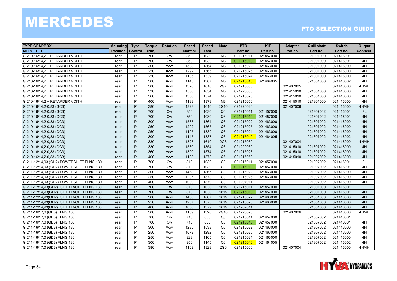| <b>TYPE GEARBOX</b>                      | <b>Mounting</b> | <b>Type</b> | Torque | <b>Rotation</b> | <b>Speed</b>  | <b>Speed</b> | <b>Note</b>     | <b>PTO</b> | <b>KIT</b> | <b>Adapter</b> | <b>Quill shaft</b> | <b>Switch</b> | Output    |
|------------------------------------------|-----------------|-------------|--------|-----------------|---------------|--------------|-----------------|------------|------------|----------------|--------------------|---------------|-----------|
| <b>MERCEDES</b>                          | <b>Position</b> | Control     | (Nm)   |                 | <b>Normal</b> | Fast         |                 | Part no.   | Part no.   | Part no.       | Part no.           | Part no.      | Connect.  |
| G 210-16/14,2 + RETARDER VOITH           | rear            | P           | 700    | Cw              | 850           | 1030         | M <sub>3</sub>  | 021215011  | 021457000  |                | 021301000          | 021416001     | FL        |
| G 210-16/14,2 + RETARDER VOITH           | rear            | P           | 700    | <b>Cw</b>       | 850           | 1030         | M3              | 021215010  | 021457000  |                | 021301000          | 021416001     | 4H        |
| G 210-16/14,2 + RETARDER VOITH           | rear            | P           | 300    | Acw             | 1538          | 1864         | M <sub>3</sub>  | 021215022  | 021463000  |                | 021301000          | 021416000     | 4H        |
| G 210-16/14,2 + RETARDER VOITH           | rear            | P           | 250    | Acw             | 1292          | 1565         | M <sub>3</sub>  | 021215025  | 021463000  |                | 021301000          | 021416000     | 4H        |
| G 210-16/14,2 + RETARDER VOITH           | rear            | P           | 250    | Acw             | 1105          | 1339         | M3              | 021215024  | 021463000  |                | 021301000          | 021416000     | 4H        |
| G 210-16/14,2 + RETARDER VOITH           | rear            | P           | 300    | Acw             | 1145          | 1387         | M <sub>3</sub>  | 021215040  | 021464005  |                | 021301000          | 021416002     | 4H        |
| G 210-16/14,2 + RETARDER VOITH           | rear            | P           | 380    | Acw             | 1328          | 1610         | 2G7             | 021215060  |            | 021407005      |                    | 021416000     | 4H/4H     |
| G 210-16/14,2 + RETARDER VOITH           | rear            | P           | 330    | Acw             | 1530          | 1854         | M <sub>3</sub>  | 021220030  |            | 021415010      | 021301000          | 021416000     | 4H        |
| G 210-16/14,2 + RETARDER VOITH           | rear            | P           | 360    | Acw             | 1300          | 1574         | M <sub>3</sub>  | 021215023  |            | 021415010      | 021301000          | 021416000     | 4H        |
| G 210-16/14,2 + RETARDER VOITH           | rear            | P           | 400    | Acw             | 1133          | 1373         | M3              | 021215050  |            | 021415010      | 021301000          | 021416000     | 4H        |
| G 210-16/14, 2-0, 83 (GC3)               | rear            | P           | 380    | Acw             | 1328          | 1610         | 2G10            | 021220020  |            | 021407006      |                    | 021416000     | 4H/4H     |
| G 210-16/14, 2-0, 83 (GC3)               | rear            | P           | 700    | Cw              | 850           | 1030         | Q <sub>6</sub>  | 021215011  | 021457000  |                | 021307002          | 021416001     | FL        |
| G 210-16/14, 2-0, 83 (GC3)               | rear            | P           | 700    | <b>Cw</b>       | 850           | 1030         | Q <sub>6</sub>  | 021215010  | 021457000  |                | 021307002          | 021416001     | 4H        |
| G 210-16/14, 2-0, 83 (GC3)               | rear            | P           | 300    | Acw             | 1538          | 1864         | Q <sub>6</sub>  | 021215022  | 021463000  |                | 021307002          | 021416000     | 4H        |
| G 210-16/14, 2-0, 83 (GC3)               | rear            | P           | 250    | Acw             | 1292          | 1565         | Q <sub>6</sub>  | 021215025  | 021463000  |                | 021307002          | 021416000     | 4H        |
| G 210-16/14, 2-0, 83 (GC3)               | rear            | P           | 250    | Acw             | 1105          | 1339         | Q <sub>6</sub>  | 021215024  | 021463000  |                | 021307002          | 021416000     | 4H        |
| G 210-16/14, 2-0, 83 (GC3)               | rear            | P           | 300    | Acw             | 1145          | 1387         | Q <sub>6</sub>  | 021215040  | 021464005  |                | 021307002          | 021416002     | 4H        |
| G 210-16/14, 2-0, 83 (GC3)               | rear            | P           | 380    | Acw             | 1328          | 1610         | <b>2G6</b>      | 021215060  |            | 021407004      |                    | 021416000     | 4H/4H     |
| G 210-16/14, 2-0, 83 (GC3)               | rear            | P           | 330    | Acw             | 1530          | 1854         | Q <sub>6</sub>  | 021220030  |            | 021415010      | 021307002          | 021416000     | 4H        |
| G 210-16/14, 2-0, 83 (GC3)               | rear            | P           | 360    | Acw             | 1300          | 1574         | Q <sub>6</sub>  | 021215023  |            | 021415010      | 021307002          | 021416000     | 4H        |
| G 210-16/14, 2-0, 83 (GC3)               | rear            | P           | 400    | Acw             | 1133          | 1373         | Q <sub>6</sub>  | 021215050  |            | 021415010      | 021307002          | 021416000     | 4H        |
| G 211-12/14,93 (GH2) POWERSHIFT FLNG.180 | rear            | P           | 700    | Cw              | 810           | 1030         | G <sub>8</sub>  | 021215011  | 021457000  |                | 021307002          | 021416001     | <b>FL</b> |
| G 211-12/14,93 (GH2) POWERSHIFT FLNG.180 | rear            | P           | 700    | <b>Cw</b>       | 810           | 1030         | G <sub>8</sub>  | 021215010  | 021457000  |                | 021307002          | 021416001     | 4H        |
| G 211-12/14,93 (GH2) POWERSHIFT FLNG.180 | rear            | P           | 300    | Acw             | 1468          | 1867         | G <sub>8</sub>  | 021215022  | 021463000  |                | 021307002          | 021416000     | 4H        |
| G 211-12/14,93 (GH2) POWERSHIFT FLNG.180 | rear            | P           | 250    | Acw             | 1237          | 1573         | G8              | 021215025  | 021463000  |                | 021307002          | 021416000     | 4H        |
| G 211-12/14,93 (GH2) POWERSHIFT FLNG.180 | rear            | P           | 400    | Acw             | 1080          | 1379         | G <sub>8</sub>  | 021207011  |            |                | 021307002          | 021416000     | 4H        |
| G 211-12/14,93(GH2)PSHIFT+VOITH FLNG.180 | rear            | P           | 700    | <b>Cw</b>       | 810           | 1030         | 1619            | 021215011  | 021457000  |                | 021301000          | 021416001     | <b>FL</b> |
| G 211-12/14,93(GH2)PSHIFT+VOITH FLNG.180 | rear            | P           | 700    | <b>Cw</b>       | 810           | 1030         | 1619            | 021215010  | 021457000  |                | 021301000          | 021416001     | 4H        |
| G 211-12/14,93(GH2)PSHIFT+VOITH FLNG.180 | rear            | P           | 300    | Acw             | 1468          | 1867         | 1619            | 021215022  | 021463000  |                | 021301000          | 021416000     | 4H        |
| G 211-12/14,93(GH2)PSHIFT+VOITH FLNG.180 | rear            | P           | 250    | Acw             | 1237          | 1573         | 1619            | 021215025  | 021463000  |                | 021301000          | 021416000     | 4H        |
| G 211-12/14,93(GH2)PSHIFT+VOITH FLNG.180 | rear            | P           | 400    | Acw             | 1080          | 1379         | 1619            | 021207011  |            |                | 021301000          | 021416000     | 4H        |
| G 211-16/17,0 (GD3) FLNG.180             | rear            | P           | 380    | Acw             | 1109          | 1328         | 2G10            | 021220020  |            | 021407006      |                    | 021416000     | 4H/4H     |
| G 211-16/17,0 (GD3) FLNG.180             | rear            | P           | 700    | <b>Cw</b>       | 710           | 850          | Q <sub>6</sub>  | 021215011  | 021457000  |                | 021307002          | 021416001     | <b>FL</b> |
| G 211-16/17,0 (GD3) FLNG.180             | rear            | P           | 700    | Cw              | 710           | 850          | Q <sub>6</sub>  | 021215010  | 021457000  |                | 021307002          | 021416001     | 4H        |
| G 211-16/17,0 (GD3) FLNG.180             | rear            | P           | 300    | Acw             | 1285          | 1538         | Q <sub>6</sub>  | 021215022  | 021463000  |                | 021307002          | 021416000     | 4H        |
| G 211-16/17,0 (GD3) FLNG.180             | rear            | P           | 250    | Acw             | 1079          | 1292         | Q <sub>6</sub>  | 021215025  | 021463000  |                | 021307002          | 021416000     | 4H        |
| G 211-16/17,0 (GD3) FLNG.180             | rear            | P           | 250    | Acw             | 923           | 1105         | Q <sub>6</sub>  | 021215024  | 021463000  |                | 021307002          | 021416000     | 4H        |
| G 211-16/17,0 (GD3) FLNG.180             | rear            | P           | 300    | Acw             | 956           | 1145         | Q <sub>6</sub>  | 021215040  | 021464005  |                | 021307002          | 021416002     | 4H        |
| G 211-16/17,0 (GD3) FLNG.180             | rear            | P           | 380    | Acw             | 1109          | 1328         | 2G <sub>6</sub> | 021215060  |            | 021407004      |                    | 021416000     | 4H/4H     |

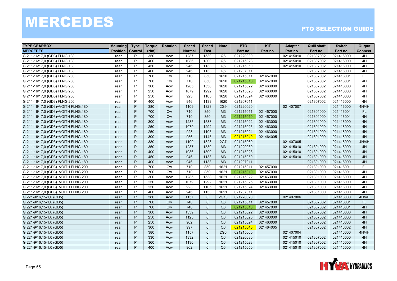| <b>TYPE GEARBOX</b>                | <b>Mounting</b> | <b>Type</b>    | <b>Torque</b> | <b>Rotation</b> | <b>Speed</b>  | <b>Speed</b> | <b>Note</b>    | <b>PTO</b> | <b>KIT</b> | Adapter   | <b>Quill shaft</b> | <b>Switch</b> | Output    |
|------------------------------------|-----------------|----------------|---------------|-----------------|---------------|--------------|----------------|------------|------------|-----------|--------------------|---------------|-----------|
| <b>MERCEDES</b>                    | <b>Position</b> | <b>Control</b> | (Nm)          |                 | <b>Normal</b> | Fast         |                | Part no.   | Part no.   | Part no.  | Part no.           | Part no.      | Connect.  |
| G 211-16/17,0 (GD3) FLNG.180       | rear            | P              | 350           | Acw             | 1287          | 1530         | Q <sub>6</sub> | 021220030  |            | 021415010 | 021307002          | 021416000     | 4H        |
| G 211-16/17,0 (GD3) FLNG.180       | rear            | P              | 400           | Acw             | 1086          | 1300         | O6             | 021215023  |            | 021415010 | 021307002          | 021416000     | 4H        |
| G 211-16/17,0 (GD3) FLNG.180       | rear            | P              | 450           | Acw             | 946           | 1133         | Q <sub>6</sub> | 021215050  |            | 021415010 | 021307002          | 021416000     | 4H        |
| G 211-16/17,0 (GD3) FLNG.180       | rear            | P              | 400           | Acw             | 946           | 1133         | Q <sub>6</sub> | 021207011  |            |           | 021307002          | 021416000     | 4H        |
| G 211-16/17,0 (GD3) FLNG.200       | rear            | P              | 700           | <b>Cw</b>       | 710           | 850          | 1620           | 021215011  | 021457000  |           | 021307002          | 021416001     | <b>FL</b> |
| G 211-16/17,0 (GD3) FLNG.200       | rear            | P              | 700           | <b>Cw</b>       | 710           | 850          | 1620           | 021215010  | 021457000  |           | 021307002          | 021416001     | 4H        |
| G 211-16/17,0 (GD3) FLNG.200       | rear            | P              | 300           | Acw             | 1285          | 1538         | 1620           | 021215022  | 021463000  |           | 021307002          | 021416000     | 4H        |
| G 211-16/17,0 (GD3) FLNG.200       | rear            | P              | 250           | Acw             | 1079          | 1292         | 1620           | 021215025  | 021463000  |           | 021307002          | 021416000     | 4H        |
| G 211-16/17,0 (GD3) FLNG.200       | rear            | P              | 250           | Acw             | 923           | 1105         | 1620           | 021215024  | 021463000  |           | 021307002          | 021416000     | 4H        |
| G 211-16/17,0 (GD3) FLNG.200       | rear            | P              | 400           | Acw             | 946           | 1133         | 1620           | 021207011  |            |           | 021307002          | 021416000     | 4H        |
| G 211-16/17.0 (GD3)+VOITH FLNG.180 | rear            | P              | 380           | Acw             | 1109          | 1328         | 2G9            | 021220020  |            | 021407007 |                    | 021416000     | 4H/4H     |
| G 211-16/17,0 (GD3)+VOITH FLNG.180 | rear            | P              | 700           | <b>Cw</b>       | 710           | 850          | M <sub>3</sub> | 021215011  | 021457000  |           | 021301000          | 021416001     | FL        |
| G 211-16/17,0 (GD3)+VOITH FLNG.180 | rear            | P              | 700           | Cw              | 710           | 850          | M3             | 021215010  | 021457000  |           | 021301000          | 021416001     | 4H        |
| G 211-16/17,0 (GD3)+VOITH FLNG.180 | rear            | P              | 300           | Acw             | 1285          | 1538         | M3             | 021215022  | 021463000  |           | 021301000          | 021416000     | 4H        |
| G 211-16/17,0 (GD3)+VOITH FLNG.180 | rear            | P              | 250           | Acw             | 1079          | 1292         | M3             | 021215025  | 021463000  |           | 021301000          | 021416000     | 4H        |
| G 211-16/17,0 (GD3)+VOITH FLNG.180 | rear            | P              | 250           | Acw             | 923           | 1105         | M3             | 021215024  | 021463000  |           | 021301000          | 021416000     | 4H        |
| G 211-16/17.0 (GD3)+VOITH FLNG.180 | rear            | P              | 300           | Acw             | 956           | 1145         | M <sub>3</sub> | 021215040  | 021464005  |           | 021301000          | 021416002     | 4H        |
| G 211-16/17,0 (GD3)+VOITH FLNG.180 | rear            | P              | 380           | Acw             | 1109          | 1328         | <b>2G7</b>     | 021215060  |            | 021407005 |                    | 021416000     | 4H/4H     |
| G 211-16/17,0 (GD3)+VOITH FLNG.180 | rear            | P              | 350           | Acw             | 1287          | 1530         | M3             | 021220030  |            | 021415010 | 021301000          | 021416000     | 4H        |
| G 211-16/17.0 (GD3)+VOITH FLNG.180 | rear            | P              | 400           | Acw             | 1086          | 1300         | M <sub>3</sub> | 021215023  |            | 021415010 | 021301000          | 021416000     | 4H        |
| G 211-16/17,0 (GD3)+VOITH FLNG.180 | rear            | P              | 450           | Acw             | 946           | 1133         | M3             | 021215050  |            | 021415010 | 021301000          | 021416000     | 4H        |
| G 211-16/17,0 (GD3)+VOITH FLNG.180 | rear            | P              | 400           | Acw             | 946           | 1133         | M3             | 021207011  |            |           | 021301000          | 021416000     | 4H        |
| G 211-16/17,0 (GD3)+VOITH FLNG.200 | rear            | P              | 700           | Cw              | 710           | 850          | 1621           | 021215011  | 021457000  |           | 021301000          | 021416001     | FL        |
| G 211-16/17,0 (GD3)+VOITH FLNG.200 | rear            | P              | 700           | <b>Cw</b>       | 710           | 850          | 1621           | 021215010  | 021457000  |           | 021301000          | 021416001     | 4H        |
| G 211-16/17,0 (GD3)+VOITH FLNG.200 | rear            | P              | 300           | Acw             | 1285          | 1538         | 1621           | 021215022  | 021463000  |           | 021301000          | 021416000     | 4H        |
| G 211-16/17.0 (GD3)+VOITH FLNG.200 | rear            | P              | 250           | Acw             | 1079          | 1292         | 1621           | 021215025  | 021463000  |           | 021301000          | 021416000     | 4H        |
| G 211-16/17,0 (GD3)+VOITH FLNG.200 | rear            | P              | 250           | Acw             | 923           | 1105         | 1621           | 021215024  | 021463000  |           | 021301000          | 021416000     | 4H        |
| G 211-16/17,0 (GD3)+VOITH FLNG.200 | rear            | P              | 400           | Acw             | 946           | 1133         | 1621           | 021207011  |            |           | 021301000          | 021416000     | 4H        |
| G 221-9/16, 15-1, 0 (GD5)          | rear            | P              | 380           | Acw             | 1157          | $\mathbf 0$  | 2G10           | 021220020  |            | 021407006 |                    | 021416000     | 4H/4H     |
| G 221-9/16, 15-1, 0 (GD5)          | rear            | P              | 700           | <b>Cw</b>       | 740           | $\mathbf{0}$ | Q <sub>6</sub> | 021215011  | 021457000  |           | 021307002          | 021416001     | FL        |
| G 221-9/16, 15-1, 0 (GD5)          | rear            | P              | 700           | Cw              | 740           | $\Omega$     | Q <sub>6</sub> | 021215010  | 021457000  |           | 021307002          | 021416001     | 4H        |
| G 221-9/16, 15-1, 0 (GD5)          | rear            | P              | 300           | Acw             | 1339          | $\Omega$     | Q <sub>6</sub> | 021215022  | 021463000  |           | 021307002          | 021416000     | 4H        |
| G 221-9/16, 15-1, 0 (GD5)          | rear            | P              | 250           | Acw             | 1125          | $\mathbf 0$  | Q <sub>6</sub> | 021215025  | 021463000  |           | 021307002          | 021416000     | 4H        |
| G 221-9/16, 15-1, 0 (GD5)          | rear            | P              | 250           | Acw             | 962           | $\Omega$     | Q <sub>6</sub> | 021215024  | 021463000  |           | 021307002          | 021416000     | 4H        |
| G 221-9/16, 15-1, 0 (GD5)          | rear            | P              | 300           | Acw             | 997           | $\Omega$     | Q <sub>6</sub> | 021215040  | 021464005  |           | 021307002          | 021416002     | 4H        |
| G 221-9/16,15-1,0 (GD5)            | rear            | P              | 380           | Acw             | 1157          | $\mathbf{0}$ | <b>2G6</b>     | 021215060  |            | 021407004 |                    | 021416000     | 4H/4H     |
| G 221-9/16, 15-1, 0 (GD5)          | rear            | P              | 330           | Acw             | 1332          | $\Omega$     | Q <sub>6</sub> | 021220030  |            | 021415010 | 021307002          | 021416000     | 4H        |
| G 221-9/16, 15-1, 0 (GD5)          | rear            | P              | 360           | Acw             | 1130          | $\Omega$     | Q <sub>6</sub> | 021215023  |            | 021415010 | 021307002          | 021416000     | 4H        |
| G 221-9/16,15-1,0 (GD5)            | rear            | P              | 400           | Acw             | 962           | $\Omega$     | Q <sub>6</sub> | 021215050  |            | 021415010 | 021307002          | 021416000     | 4H        |

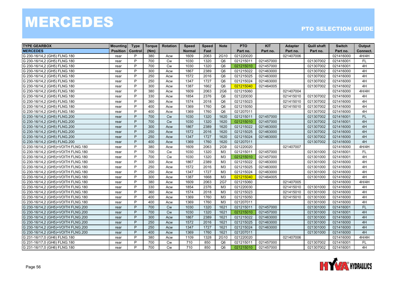| <b>TYPE GEARBOX</b>                | <b>Mounting</b> | <b>Type</b> | <b>Torque</b> | <b>Rotation</b> | <b>Speed</b>  | <b>Speed</b> | <b>Note</b>    | <b>PTO</b> | <b>KIT</b> | <b>Adapter</b> | <b>Quill shaft</b> | <b>Switch</b> | Output    |
|------------------------------------|-----------------|-------------|---------------|-----------------|---------------|--------------|----------------|------------|------------|----------------|--------------------|---------------|-----------|
| <b>MERCEDES</b>                    | <b>Position</b> | Control     | (Nm)          |                 | <b>Normal</b> | Fast         |                | Part no.   | Part no.   | Part no.       | Part no.           | Part no.      | Connect.  |
| G 230-16/14,2 (GH5) FLNG.180       | rear            | P           | 380           | Acw             | 1609          | 2063         | 2G10           | 021220020  |            | 021407006      |                    | 021416000     | 4H/4H     |
| G 230-16/14,2 (GH5) FLNG.180       | rear            | P           | 700           | <b>Cw</b>       | 1030          | 1320         | O6             | 021215011  | 021457000  |                | 021307002          | 021416001     | FL.       |
| G 230-16/14,2 (GH5) FLNG.180       | rear            | P           | 700           | Cw              | 1030          | 1320         | Q <sub>6</sub> | 021215010  | 021457000  |                | 021307002          | 021416001     | 4H        |
| G 230-16/14,2 (GH5) FLNG.180       | rear            | P           | 300           | Acw             | 1867          | 2389         | Q <sub>6</sub> | 021215022  | 021463000  |                | 021307002          | 021416000     | 4H        |
| G 230-16/14,2 (GH5) FLNG.180       | rear            | P           | 250           | Acw             | 1572          | 2016         | Q <sub>6</sub> | 021215025  | 021463000  |                | 021307002          | 021416000     | 4H        |
| G 230-16/14,2 (GH5) FLNG.180       | rear            | P           | 250           | Acw             | 1347          | 1727         | Q <sub>6</sub> | 021215024  | 021463000  |                | 021307002          | 021416000     | 4H        |
| G 230-16/14,2 (GH5) FLNG.180       | rear            | P           | 300           | Acw             | 1387          | 1662         | Q <sub>6</sub> | 021215040  | 021464005  |                | 021307002          | 021416002     | 4H        |
| G 230-16/14,2 (GH5) FLNG.180       | rear            | P           | 380           | Acw             | 1609          | 2063         | <b>2G6</b>     | 021215060  |            | 021407004      |                    | 021416000     | 4H/4H     |
| G 230-16/14,2 (GH5) FLNG.180       | rear            | P           | 330           | Acw             | 1854          | 2376         | Q <sub>6</sub> | 021220030  |            | 021415010      | 021307002          | 021416000     | 4H        |
| G 230-16/14,2 (GH5) FLNG.180       | rear            | P           | 360           | Acw             | 1574          | 2018         | Q6             | 021215023  |            | 021415010      | 021307002          | 021416000     | 4H        |
| G 230-16/14,2 (GH5) FLNG.180       | rear            | P           | 400           | Acw             | 1369          | 1760         | Q <sub>6</sub> | 021215050  |            | 021415010      | 021307002          | 021416000     | 4H        |
| G 230-16/14,2 (GH5) FLNG.180       | rear            | P           | 400           | Acw             | 1369          | 1760         | Q <sub>6</sub> | 021207011  |            |                | 021307002          | 021416000     | 4H        |
| G 230-16/14,2 (GH5) FLNG.200       | rear            | P           | 700           | Cw              | 1030          | 1320         | 1620           | 021215011  | 021457000  |                | 021307002          | 021416001     | <b>FL</b> |
| G 230-16/14,2 (GH5) FLNG.200       | rear            | P           | 700           | Cw              | 1030          | 1320         | 1620           | 021215010  | 021457000  |                | 021307002          | 021416001     | 4H        |
| G 230-16/14,2 (GH5) FLNG.200       | rear            | P           | 300           | Acw             | 1867          | 2389         | 1620           | 021215022  | 021463000  |                | 021307002          | 021416000     | 4H        |
| G 230-16/14,2 (GH5) FLNG.200       | rear            | P           | 250           | Acw             | 1572          | 2016         | 1620           | 021215025  | 021463000  |                | 021307002          | 021416000     | 4H        |
| G 230-16/14,2 (GH5) FLNG.200       | rear            | P           | 250           | Acw             | 1347          | 1727         | 1620           | 021215024  | 021463000  |                | 021307002          | 021416000     | 4H        |
| G 230-16/14,2 (GH5) FLNG.200       | rear            | P           | 400           | Acw             | 1369          | 1760         | 1620           | 021207011  |            |                | 021307002          | 021416000     | 4H        |
| G 230-16/14,2 (GH5)+VOITH FLNG.180 | rear            | P           | 380           | Acw             | 1609          | 2063         | <b>2G9</b>     | 021220020  |            | 021407007      |                    | 021416000     | 4H/4H     |
| G 230-16/14,2 (GH5)+VOITH FLNG.180 | rear            | P           | 700           | <b>Cw</b>       | 1030          | 1320         | M3             | 021215011  | 021457000  |                | 021301000          | 021416001     | FL.       |
| G 230-16/14,2 (GH5)+VOITH FLNG.180 | rear            | P           | 700           | <b>Cw</b>       | 1030          | 1320         | M3             | 021215010  | 021457000  |                | 021301000          | 021416001     | 4H        |
| G 230-16/14,2 (GH5)+VOITH FLNG.180 | rear            | P           | 300           | Acw             | 1867          | 2389         | M <sub>3</sub> | 021215022  | 021463000  |                | 021301000          | 021416000     | 4H        |
| G 230-16/14,2 (GH5)+VOITH FLNG.180 | rear            | P           | 250           | Acw             | 1572          | 2016         | M3             | 021215025  | 021463000  |                | 021301000          | 021416000     | 4H        |
| G 230-16/14,2 (GH5)+VOITH FLNG.180 | rear            | P           | 250           | Acw             | 1347          | 1727         | M <sub>3</sub> | 021215024  | 021463000  |                | 021301000          | 021416000     | 4H        |
| G 230-16/14,2 (GH5)+VOITH FLNG.180 | rear            | P           | 300           | Acw             | 1387          | 1668         | M <sub>3</sub> | 021215040  | 021464005  |                | 021301000          | 021416002     | 4H        |
| G 230-16/14,2 (GH5)+VOITH FLNG.180 | rear            | P           | 380           | Acw             | 1609          | 2063         | 2G7            | 021215060  |            | 021407005      |                    | 021416000     | 4H/4H     |
| G 230-16/14,2 (GH5)+VOITH FLNG.180 | rear            | P           | 330           | Acw             | 1854          | 2376         | M <sub>3</sub> | 021220030  |            | 021415010      | 021301000          | 021416000     | 4H        |
| G 230-16/14,2 (GH5)+VOITH FLNG.180 | rear            | P           | 360           | Acw             | 1574          | 2018         | M <sub>3</sub> | 021215023  |            | 021415010      | 021301000          | 021416000     | 4H        |
| G 230-16/14,2 (GH5)+VOITH FLNG.180 | rear            | P           | 400           | Acw             | 1369          | 1760         | M3             | 021215050  |            | 021415010      | 021301000          | 021416000     | 4H        |
| G 230-16/14,2 (GH5)+VOITH FLNG.180 | rear            | P           | 400           | Acw             | 1369          | 1760         | M3             | 021207011  |            |                | 021301000          | 021416000     | 4H        |
| G 230-16/14,2 (GH5)+VOITH FLNG.200 | rear            | P           | 700           | <b>Cw</b>       | 1030          | 1320         | 1621           | 021215011  | 021457000  |                | 021301000          | 021416001     | FL.       |
| G 230-16/14,2 (GH5)+VOITH FLNG.200 | rear            | P           | 700           | <b>Cw</b>       | 1030          | 1320         | 1621           | 021215010  | 021457000  |                | 021301000          | 021416001     | 4H        |
| G 230-16/14,2 (GH5)+VOITH FLNG.200 | rear            | P           | 300           | Acw             | 1867          | 2389         | 1621           | 021215022  | 021463000  |                | 021301000          | 021416000     | 4H        |
| G 230-16/14,2 (GH5)+VOITH FLNG.200 | rear            | P           | 250           | Acw             | 1572          | 2016         | 1621           | 021215025  | 021463000  |                | 021301000          | 021416000     | 4H        |
| G 230-16/14,2 (GH5)+VOITH FLNG.200 | rear            | P           | 250           | Acw             | 1347          | 1727         | 1621           | 021215024  | 021463000  |                | 021301000          | 021416000     | 4H        |
| G 230-16/14,2 (GH5)+VOITH FLNG.200 | rear            | P           | 400           | Acw             | 1369          | 1760         | 1621           | 021207011  |            |                | 021301000          | 021416000     | 4H        |
| G 231-16/17,0 (GH6) FLNG.180       | rear            | P           | 380           | Acw             | 1109          | 1328         | 2G10           | 021220020  |            | 021407006      |                    | 021416000     | 4H/4H     |
| G 231-16/17,0 (GH6) FLNG.180       | rear            | P           | 700           | <b>Cw</b>       | 710           | 850          | Q <sub>6</sub> | 021215011  | 021457000  |                | 021307002          | 021416001     | FL.       |
| G 231-16/17,0 (GH6) FLNG.180       | rear            | P           | 700           | <b>Cw</b>       | 710           | 850          | Q <sub>6</sub> | 021215010  | 021457000  |                | 021307002          | 021416001     | 4H        |

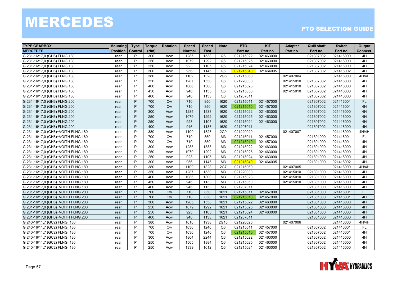| <b>TYPE GEARBOX</b>                | <b>Mounting</b> | <b>Type</b>    | <b>Torque</b> | <b>Rotation</b> | <b>Speed</b>  | <b>Speed</b> | <b>Note</b>     | <b>PTO</b> | <b>KIT</b> | <b>Adapter</b> | <b>Quill shaft</b> | <b>Switch</b> | Output    |
|------------------------------------|-----------------|----------------|---------------|-----------------|---------------|--------------|-----------------|------------|------------|----------------|--------------------|---------------|-----------|
| <b>MERCEDES</b>                    | <b>Position</b> | <b>Control</b> | (Nm)          |                 | <b>Normal</b> | Fast         |                 | Part no.   | Part no.   | Part no.       | Part no.           | Part no.      | Connect.  |
| G 231-16/17,0 (GH6) FLNG.180       | rear            | P              | 300           | Acw             | 1285          | 1538         | Q <sub>6</sub>  | 021215022  | 021463000  |                | 021307002          | 021416000     | 4H        |
| G 231-16/17,0 (GH6) FLNG.180       | rear            | P              | 250           | Acw             | 1079          | 1292         | Q <sub>6</sub>  | 021215025  | 021463000  |                | 021307002          | 021416000     | 4H        |
| G 231-16/17,0 (GH6) FLNG.180       | rear            | P              | 250           | Acw             | 923           | 1105         | Q <sub>6</sub>  | 021215024  | 021463000  |                | 021307002          | 021416000     | 4H        |
| G 231-16/17,0 (GH6) FLNG.180       | rear            | P              | 300           | Acw             | 956           | 1145         | Q <sub>6</sub>  | 021215040  | 021464005  |                | 021307002          | 021416002     | 4H        |
| G 231-16/17,0 (GH6) FLNG.180       | rear            | P              | 380           | Acw             | 1109          | 1328         | 2G <sub>6</sub> | 021215060  |            | 021407004      |                    | 021416000     | 4H/4H     |
| G 231-16/17,0 (GH6) FLNG.180       | rear            | P              | 350           | Acw             | 1287          | 1530         | Q <sub>6</sub>  | 021220030  |            | 021415010      | 021307002          | 021416000     | 4H        |
| G 231-16/17,0 (GH6) FLNG.180       | rear            | P              | 400           | Acw             | 1086          | 1300         | Q <sub>6</sub>  | 021215023  |            | 021415010      | 021307002          | 021416000     | 4H        |
| G 231-16/17,0 (GH6) FLNG.180       | rear            | P              | 450           | Acw             | 946           | 1133         | Q <sub>6</sub>  | 021215050  |            | 021415010      | 021307002          | 021416000     | 4H        |
| G 231-16/17,0 (GH6) FLNG.180       | rear            | P              | 400           | Acw             | 946           | 1133         | Q <sub>6</sub>  | 021207011  |            |                | 021307002          | 021416000     | 4H        |
| G 231-16/17,0 (GH6) FLNG.200       | rear            | P              | 700           | <b>Cw</b>       | 710           | 850          | 1620            | 021215011  | 021457000  |                | 021307002          | 021416001     | <b>FL</b> |
| G 231-16/17,0 (GH6) FLNG.200       | rear            | P              | 700           | Cw              | 710           | 850          | 1620            | 021215010  | 021457000  |                | 021307002          | 021416001     | 4H        |
| G 231-16/17,0 (GH6) FLNG.200       | rear            | P              | 300           | Acw             | 1285          | 1538         | 1620            | 021215022  | 021463000  |                | 021307002          | 021416000     | 4H        |
| G 231-16/17,0 (GH6) FLNG.200       | rear            | P              | 250           | Acw             | 1079          | 1292         | 1620            | 021215025  | 021463000  |                | 021307002          | 021416000     | 4H        |
| G 231-16/17,0 (GH6) FLNG.200       | rear            | P              | 250           | Acw             | 923           | 1105         | 1620            | 021215024  | 021463000  |                | 021307002          | 021416000     | 4H        |
| G 231-16/17,0 (GH6) FLNG.200       | rear            | P              | 400           | Acw             | 946           | 1133         | 1620            | 021207011  |            |                | 021307002          | 021416000     | 4H        |
| G 231-16/17,0 (GH6)+VOITH FLNG.180 | rear            | P              | 380           | Acw             | 1109          | 1328         | 2G9             | 021220020  |            | 021407007      |                    | 021416000     | 4H/4H     |
| G 231-16/17,0 (GH6)+VOITH FLNG.180 | rear            | P              | 700           | <b>Cw</b>       | 710           | 850          | M3              | 021215011  | 021457000  |                | 021301000          | 021416001     | <b>FL</b> |
| G 231-16/17,0 (GH6)+VOITH FLNG.180 | rear            | P              | 700           | <b>Cw</b>       | 710           | 850          | M <sub>3</sub>  | 021215010  | 021457000  |                | 021301000          | 021416001     | 4H        |
| G 231-16/17,0 (GH6)+VOITH FLNG.180 | rear            | P              | 300           | Acw             | 1285          | 1538         | M3              | 021215022  | 021463000  |                | 021301000          | 021416000     | 4H        |
| G 231-16/17,0 (GH6)+VOITH FLNG.180 | rear            | P              | 250           | Acw             | 1079          | 1292         | M <sub>3</sub>  | 021215025  | 021463000  |                | 021301000          | 021416000     | 4H        |
| G 231-16/17,0 (GH6)+VOITH FLNG.180 | rear            | P              | 250           | Acw             | 923           | 1105         | M3              | 021215024  | 021463000  |                | 021301000          | 021416000     | 4H        |
| G 231-16/17,0 (GH6)+VOITH FLNG.180 | rear            | P              | 300           | Acw             | 956           | 1145         | M3              | 021215040  | 021464005  |                | 021301000          | 021416002     | 4H        |
| G 231-16/17,0 (GH6)+VOITH FLNG.180 | rear            | P              | 380           | Acw             | 1109          | 1328         | 2G7             | 021215060  |            | 021407005      |                    | 021416000     | 4H/4H     |
| G 231-16/17,0 (GH6)+VOITH FLNG.180 | rear            | P              | 350           | Acw             | 1287          | 1530         | M <sub>3</sub>  | 021220030  |            | 021415010      | 021301000          | 021416000     | 4H        |
| G 231-16/17,0 (GH6)+VOITH FLNG.180 | rear            | P              | 400           | Acw             | 1086          | 1300         | M <sub>3</sub>  | 021215023  |            | 021415010      | 021301000          | 021416000     | 4H        |
| G 231-16/17,0 (GH6)+VOITH FLNG.180 | rear            | P              | 450           | Acw             | 946           | 1133         | M <sub>3</sub>  | 021215050  |            | 021415010      | 021301000          | 021416000     | 4H        |
| G 231-16/17,0 (GH6)+VOITH FLNG.180 | rear            | P              | 400           | Acw             | 946           | 1133         | M <sub>3</sub>  | 021207011  |            |                | 021301000          | 021416000     | 4H        |
| G 231-16/17,0 (GH6)+VOITH FLNG.200 | rear            | P              | 700           | <b>Cw</b>       | 710           | 850          | 1621            | 021215011  | 021457000  |                | 021301000          | 021416001     | <b>FL</b> |
| G 231-16/17,0 (GH6)+VOITH FLNG.200 | rear            | P              | 700           | Cw              | 710           | 850          | 1621            | 021215010  | 021457000  |                | 021301000          | 021416001     | 4H        |
| G 231-16/17,0 (GH6)+VOITH FLNG.200 | rear            | P              | 300           | Acw             | 1285          | 1538         | 1621            | 021215022  | 021463000  |                | 021301000          | 021416000     | 4H        |
| G 231-16/17,0 (GH6)+VOITH FLNG.200 | rear            | P              | 250           | Acw             | 1079          | 1292         | 1621            | 021215025  | 021463000  |                | 021301000          | 021416000     | 4H        |
| G 231-16/17,0 (GH6)+VOITH FLNG.200 | rear            | P              | 250           | Acw             | 923           | 1105         | 1621            | 021215024  | 021463000  |                | 021301000          | 021416000     | 4H        |
| G 231-16/17,0 (GH6)+VOITH FLNG.200 | rear            | P              | 400           | Acw             | 946           | 1133         | 1621            | 021207011  |            |                | 021301000          | 021416000     | 4H        |
| G 240-16/11,7 (GC2) FLNG. 180      | rear            | P              | 380           | Acw             | 1610          | 1938         | 2G10            | 021220020  |            | 021407006      |                    | 021416000     | 4H/4H     |
| G 240-16/11,7 (GC2) FLNG. 180      | rear            | P              | 700           | Cw              | 1030          | 1240         | Q <sub>6</sub>  | 021215011  | 021457000  |                | 021307002          | 021416001     | <b>FL</b> |
| G 240-16/11,7 (GC2) FLNG. 180      | rear            | P              | 700           | Cw              | 1030          | 1240         | Q <sub>6</sub>  | 021215010  | 021457000  |                | 021307002          | 021416001     | 4H        |
| G 240-16/11,7 (GC2) FLNG. 180      | rear            | P              | 300           | Acw             | 1864          | 2244         | Q <sub>6</sub>  | 021215022  | 021463000  |                | 021307002          | 021416000     | 4H        |
| G 240-16/11,7 (GC2) FLNG. 180      | rear            | P              | 250           | Acw             | 1565          | 1884         | Q <sub>6</sub>  | 021215025  | 021463000  |                | 021307002          | 021416000     | 4H        |
| G 240-16/11,7 (GC2) FLNG. 180      | rear            | P              | 250           | Acw             | 1339          | 1612         | Q <sub>6</sub>  | 021215024  | 021463000  |                | 021307002          | 021416000     | 4H        |

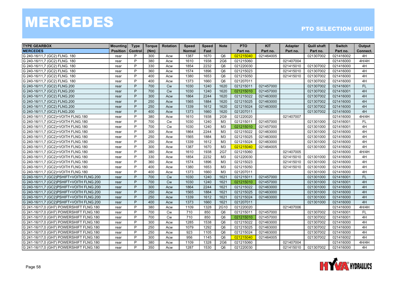| <b>TYPE GEARBOX</b>                      | <b>Mounting</b> | <b>Type</b>    | <b>Torque</b> | <b>Rotation</b> | <b>Speed</b>  | <b>Speed</b> | <b>Note</b>     | <b>PTO</b> | <b>KIT</b> | <b>Adapter</b> | <b>Quill shaft</b> | <b>Switch</b> | Output    |
|------------------------------------------|-----------------|----------------|---------------|-----------------|---------------|--------------|-----------------|------------|------------|----------------|--------------------|---------------|-----------|
| <b>MERCEDES</b>                          | <b>Position</b> | <b>Control</b> | (Nm)          |                 | <b>Normal</b> | Fast         |                 | Part no.   | Part no.   | Part no.       | Part no.           | Part no.      | Connect.  |
| G 240-16/11,7 (GC2) FLNG. 180            | rear            | P              | 300           | Acw             | 1387          | 1670         | Q <sub>6</sub>  | 021215040  | 021464005  |                | 021307002          | 021416002     | 4H        |
| G 240-16/11,7 (GC2) FLNG. 180            | rear            | P              | 380           | Acw             | 1610          | 1938         | 2G <sub>6</sub> | 021215060  |            | 021407004      |                    | 021416000     | 4H/4H     |
| G 240-16/11,7 (GC2) FLNG. 180            | rear            | P              | 330           | Acw             | 1854          | 2232         | Q <sub>6</sub>  | 021220030  |            | 021415010      | 021307002          | 021416000     | 4H        |
| G 240-16/11,7 (GC2) FLNG. 180            | rear            | P              | 360           | Acw             | 1574          | 1896         | Q <sub>6</sub>  | 021215023  |            | 021415010      | 021307002          | 021416000     | 4H        |
| G 240-16/11,7 (GC2) FLNG. 180            | rear            | P              | 400           | Acw             | 1380          | 1653         | Q <sub>6</sub>  | 021215050  |            | 021415010      | 021307002          | 021416000     | 4H        |
| G 240-16/11,7 (GC2) FLNG. 180            | rear            | P              | 400           | Acw             | 1373          | 1660         | Q <sub>6</sub>  | 021207011  |            |                | 021307002          | 021416000     | 4H        |
| G 240-16/11,7 (GC2) FLNG.200             | rear            | P              | 700           | <b>Cw</b>       | 1030          | 1240         | 1620            | 021215011  | 021457000  |                | 021307002          | 021416001     | <b>FL</b> |
| G 240-16/11,7 (GC2) FLNG.200             | rear            | P              | 700           | <b>Cw</b>       | 1030          | 1240         | 1620            | 021215010  | 021457000  |                | 021307002          | 021416001     | 4H        |
| G 240-16/11,7 (GC2) FLNG.200             | rear            | P              | 300           | Acw             | 1864          | 2244         | 1620            | 021215022  | 021463000  |                | 021307002          | 021416000     | 4H        |
| G 240-16/11,7 (GC2) FLNG.200             | rear            | P              | 250           | Acw             | 1565          | 1884         | 1620            | 021215025  | 021463000  |                | 021307002          | 021416000     | 4H        |
| G 240-16/11,7 (GC2) FLNG.200             | rear            | P              | 250           | Acw             | 1339          | 1612         | 1620            | 021215024  | 021463000  |                | 021307002          | 021416000     | 4H        |
| G 240-16/11,7 (GC2) FLNG.200             | rear            | P              | 400           | Acw             | 1373          | 1660         | 1620            | 021207011  |            |                | 021307002          | 021416000     | 4H        |
| G 240-16/11,7 (GC2)+VOITH FLNG.180       | rear            | P              | 380           | Acw             | 1610          | 1938         | 2G9             | 021220020  |            | 021407007      |                    | 021416000     | 4H/4H     |
| G 240-16/11,7 (GC2)+VOITH FLNG.180       | rear            | P              | 700           | Cw              | 1030          | 1240         | ΜЗ              | 021215011  | 021457000  |                | 021301000          | 021416001     | <b>FL</b> |
| G 240-16/11,7 (GC2)+VOITH FLNG.180       | rear            | P              | 700           | <b>Cw</b>       | 1030          | 1240         | M <sub>3</sub>  | 021215010  | 021457000  |                | 021301000          | 021416001     | 4H        |
| G 240-16/11,7 (GC2)+VOITH FLNG.180       | rear            | P              | 300           | Acw             | 1864          | 2244         | M3              | 021215022  | 021463000  |                | 021301000          | 021416000     | 4H        |
| G 240-16/11,7 (GC2)+VOITH FLNG.180       | rear            | P              | 250           | Acw             | 1565          | 1884         | M3              | 021215025  | 021463000  |                | 021301000          | 021416000     | 4H        |
| G 240-16/11,7 (GC2)+VOITH FLNG.180       | rear            | P              | 250           | Acw             | 1339          | 1612         | M3              | 021215024  | 021463000  |                | 021301000          | 021416000     | 4H        |
| G 240-16/11,7 (GC2)+VOITH FLNG.180       | rear            | P              | 300           | Acw             | 1387          | 1670         | M3              | 021215040  | 021464005  |                | 021301000          | 021416002     | 4H        |
| G 240-16/11,7 (GC2)+VOITH FLNG.180       | rear            | P              | 380           | Acw             | 1610          | 1938         | 2G7             | 021215060  |            | 021407005      |                    | 021416000     | 4H/4H     |
| G 240-16/11,7 (GC2)+VOITH FLNG.180       | rear            | P              | 330           | Acw             | 1854          | 2232         | M3              | 021220030  |            | 021415010      | 021301000          | 021416000     | 4H        |
| G 240-16/11,7 (GC2)+VOITH FLNG.180       | rear            | P              | 360           | Acw             | 1574          | 1896         | M3              | 021215023  |            | 021415010      | 021301000          | 021416000     | 4H        |
| G 240-16/11,7 (GC2)+VOITH FLNG.180       | rear            | P              | 400           | Acw             | 1380          | 1653         | M3              | 021215050  |            | 021415010      | 021301000          | 021416000     | 4H        |
| G 240-16/11,7 (GC2)+VOITH FLNG.180       | rear            | P              | 400           | Acw             | 1373          | 1660         | M3              | 021207011  |            |                | 021301000          | 021416000     | 4H        |
| G 240-16/11,7 (GC2)PSHIFT+VOITH FLNG.200 | rear            | P              | 700           | <b>Cw</b>       | 1030          | 1240         | 1621            | 021215011  | 021457000  |                | 021301000          | 021416001     | FL        |
| G 240-16/11.7 (GC2)PSHIFT+VOITH FLNG.200 | rear            | P              | 700           | <b>Cw</b>       | 1030          | 1240         | 1621            | 021215010  | 021457000  |                | 021301000          | 021416001     | 4H        |
| G 240-16/11,7 (GC2)PSHIFT+VOITH FLNG.200 | rear            | P              | 300           | Acw             | 1864          | 2244         | 1621            | 021215022  | 021463000  |                | 021301000          | 021416000     | 4H        |
| G 240-16/11,7 (GC2)PSHIFT+VOITH FLNG.200 | rear            | P              | 250           | Acw             | 1565          | 1884         | 1621            | 021215025  | 021463000  |                | 021301000          | 021416000     | 4H        |
| G 240-16/11,7 (GC2)PSHIFT+VOITH FLNG.200 | rear            | P              | 250           | Acw             | 1339          | 1612         | 1621            | 021215024  | 021463000  |                | 021301000          | 021416000     | 4H        |
| G 240-16/11,7 (GC2)PSHIFT+VOITH FLNG.200 | rear            | P              | 400           | Acw             | 1373          | 1660         | 1621            | 021207011  |            |                | 021301000          | 021416000     | 4H        |
| G 241-16/17,0 (GH7) POWERSHIFT FLNG.180  | rear            | P              | 380           | Acw             | 1109          | 1328         | 2G10            | 021220020  |            | 021407006      |                    | 021416000     | 4H/4H     |
| G 241-16/17,0 (GH7) POWERSHIFT FLNG.180  | rear            | P              | 700           | <b>Cw</b>       | 710           | 850          | Q6              | 021215011  | 021457000  |                | 021307002          | 021416001     | FL        |
| G 241-16/17,0 (GH7) POWERSHIFT FLNG.180  | rear            | P              | 700           | <b>Cw</b>       | 710           | 850          | Q <sub>6</sub>  | 021215010  | 021457000  |                | 021307002          | 021416001     | 4H        |
| G 241-16/17,0 (GH7) POWERSHIFT FLNG.180  | rear            | P              | 300           | Acw             | 1285          | 1538         | Q <sub>6</sub>  | 021215022  | 021463000  |                | 021307002          | 021416000     | 4H        |
| G 241-16/17,0 (GH7) POWERSHIFT FLNG.180  | rear            | P              | 250           | Acw             | 1079          | 1292         | Q <sub>6</sub>  | 021215025  | 021463000  |                | 021307002          | 021416000     | 4H        |
| G 241-16/17,0 (GH7) POWERSHIFT FLNG.180  | rear            | P              | 250           | Acw             | 923           | 1105         | Q <sub>6</sub>  | 021215024  | 021463000  |                | 021307002          | 021416000     | 4H        |
| G 241-16/17,0 (GH7) POWERSHIFT FLNG.180  | rear            | P              | 300           | Acw             | 956           | 1145         | Q <sub>6</sub>  | 021215040  | 021464005  |                | 021307002          | 021416002     | 4H        |
| G 241-16/17,0 (GH7) POWERSHIFT FLNG.180  | rear            | P              | 380           | Acw             | 1109          | 1328         | 2G <sub>6</sub> | 021215060  |            | 021407004      |                    | 021416000     | 4H/4H     |
| G 241-16/17,0 (GH7) POWERSHIFT FLNG.180  | rear            | P              | 350           | Acw             | 1287          | 1530         | Q <sub>6</sub>  | 021220030  |            | 021415010      | 021307002          | 021416000     | 4H        |

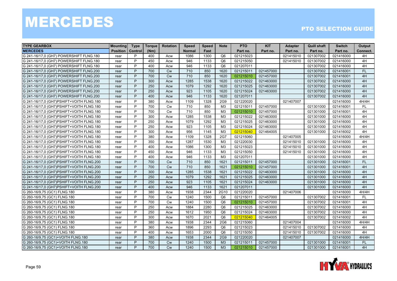| <b>TYPE GEARBOX</b>                      | <b>Mounting</b> | <b>Type</b> | Torque | <b>Rotation</b> | <b>Speed</b>  | <b>Speed</b> | <b>Note</b>     | <b>PTO</b> | <b>KIT</b> | <b>Adapter</b> | <b>Quill shaft</b> | <b>Switch</b> | Output    |
|------------------------------------------|-----------------|-------------|--------|-----------------|---------------|--------------|-----------------|------------|------------|----------------|--------------------|---------------|-----------|
| <b>MERCEDES</b>                          | <b>Position</b> | Control     | (Nm)   |                 | <b>Normal</b> | Fast         |                 | Part no.   | Part no.   | Part no.       | Part no.           | Part no.      | Connect.  |
| G 241-16/17.0 (GH7) POWERSHIFT FLNG.180  | rear            | P           | 400    | Acw             | 1086          | 1300         | Q <sub>6</sub>  | 021215023  |            | 021415010      | 021307002          | 021416000     | 4H        |
| G 241-16/17,0 (GH7) POWERSHIFT FLNG.180  | rear            | P           | 450    | Acw             | 946           | 1133         | Q <sub>6</sub>  | 021215050  |            | 021415010      | 021307002          | 021416000     | 4H        |
| G 241-16/17,0 (GH7) POWERSHIFT FLNG.180  | rear            | P           | 400    | Acw             | 946           | 1133         | Q <sub>6</sub>  | 021207011  |            |                | 021307002          | 021416000     | 4H        |
| G 241-16/17,0 (GH7) POWERSHIFT FLNG.200  | rear            | P           | 700    | <b>Cw</b>       | 710           | 850          | 1620            | 021215011  | 021457000  |                | 021307002          | 021416001     | <b>FL</b> |
| G 241-16/17,0 (GH7) POWERSHIFT FLNG.200  | rear            | P           | 700    | <b>Cw</b>       | 710           | 850          | 1620            | 021215010  | 021457000  |                | 021307002          | 021416001     | 4H        |
| G 241-16/17,0 (GH7) POWERSHIFT FLNG.200  | rear            | P           | 300    | Acw             | 1285          | 1538         | 1620            | 021215022  | 021463000  |                | 021307002          | 021416000     | 4H        |
| G 241-16/17,0 (GH7) POWERSHIFT FLNG.200  | rear            | P           | 250    | Acw             | 1079          | 1292         | 1620            | 021215025  | 021463000  |                | 021307002          | 021416000     | 4H        |
| G 241-16/17,0 (GH7) POWERSHIFT FLNG.200  | rear            | P           | 250    | Acw             | 923           | 1105         | 1620            | 021215024  | 021463000  |                | 021307002          | 021416000     | 4H        |
| G 241-16/17,0 (GH7) POWERSHIFT FLNG.200  | rear            | P           | 400    | Acw             | 946           | 1133         | 1620            | 021207011  |            |                | 021307002          | 021416000     | 4H        |
| G 241-16/17,0 (GH7)PSHIFT+VOITH FLNG.180 | rear            | P           | 380    | Acw             | 1109          | 1328         | 2G9             | 021220020  |            | 021407007      |                    | 021416000     | 4H/4H     |
| G 241-16/17,0 (GH7)PSHIFT+VOITH FLNG.180 | rear            | P           | 700    | Cw              | 710           | 850          | M3              | 021215011  | 021457000  |                | 021301000          | 021416001     | <b>FL</b> |
| G 241-16/17,0 (GH7)PSHIFT+VOITH FLNG.180 | rear            | P           | 700    | Cw              | 710           | 850          | M3              | 021215010  | 021457000  |                | 021301000          | 021416001     | 4H        |
| G 241-16/17,0 (GH7)PSHIFT+VOITH FLNG.180 | rear            | P           | 300    | Acw             | 1285          | 1538         | M <sub>3</sub>  | 021215022  | 021463000  |                | 021301000          | 021416000     | 4H        |
| G 241-16/17,0 (GH7)PSHIFT+VOITH FLNG.180 | rear            | P           | 250    | Acw             | 1079          | 1292         | M <sub>3</sub>  | 021215025  | 021463000  |                | 021301000          | 021416000     | 4H        |
| G 241-16/17,0 (GH7)PSHIFT+VOITH FLNG.180 | rear            | P           | 250    | Acw             | 923           | 1105         | M <sub>3</sub>  | 021215024  | 021463000  |                | 021301000          | 021416000     | 4H        |
| G 241-16/17,0 (GH7)PSHIFT+VOITH FLNG.180 | rear            | P           | 300    | Acw             | 956           | 1145         | M <sub>3</sub>  | 021215040  | 021464005  |                | 021301000          | 021416002     | 4H        |
| G 241-16/17,0 (GH7)PSHIFT+VOITH FLNG.180 | rear            | P           | 380    | Acw             | 1109          | 1328         | 2G7             | 021215060  |            | 021407005      |                    | 021416000     | 4H/4H     |
| G 241-16/17,0 (GH7)PSHIFT+VOITH FLNG.180 | rear            | P           | 350    | Acw             | 1287          | 1530         | M3              | 021220030  |            | 021415010      | 021301000          | 021416000     | 4H        |
| G 241-16/17,0 (GH7)PSHIFT+VOITH FLNG.180 | rear            | P           | 400    | Acw             | 1086          | 1300         | M3              | 021215023  |            | 021415010      | 021301000          | 021416000     | 4H        |
| G 241-16/17,0 (GH7)PSHIFT+VOITH FLNG.180 | rear            | P           | 450    | Acw             | 946           | 1133         | M <sub>3</sub>  | 021215050  |            | 021415010      | 021301000          | 021416000     | 4H        |
| G 241-16/17,0 (GH7)PSHIFT+VOITH FLNG.180 | rear            | P           | 400    | Acw             | 946           | 1133         | M <sub>3</sub>  | 021207011  |            |                | 021301000          | 021416000     | 4H        |
| G 241-16/17,0 (GH7)PSHIFT+VOITH FLNG.200 | rear            | P           | 700    | <b>Cw</b>       | 710           | 850          | 1621            | 021215011  | 021457000  |                | 021301000          | 021416001     | <b>FL</b> |
| G 241-16/17,0 (GH7)PSHIFT+VOITH FLNG.200 | rear            | P           | 700    | Cw              | 710           | 850          | 1621            | 021215010  | 021457000  |                | 021301000          | 021416001     | 4H        |
| G 241-16/17,0 (GH7)PSHIFT+VOITH FLNG.200 | rear            | P           | 300    | Acw             | 1285          | 1538         | 1621            | 021215022  | 021463000  |                | 021301000          | 021416000     | 4H        |
| G 241-16/17,0 (GH7)PSHIFT+VOITH FLNG.200 | rear            | P           | 250    | Acw             | 1079          | 1292         | 1621            | 021215025  | 021463000  |                | 021301000          | 021416000     | 4H        |
| G 241-16/17,0 (GH7)PSHIFT+VOITH FLNG.200 | rear            | P           | 250    | Acw             | 923           | 1105         | 1621            | 021215024  | 021463000  |                | 021301000          | 021416000     | 4H        |
| G 241-16/17,0 (GH7)PSHIFT+VOITH FLNG.200 | rear            | P           | 400    | Acw             | 946           | 1133         | 1621            | 021207011  |            |                | 021301000          | 021416000     | 4H        |
| G 260-16/9,75 (GC1) FLNG.180             | rear            | P           | 380    | Acw             | 1938          | 2344         | 2G10            | 021220020  |            | 021407006      |                    | 021416000     | 4H/4H     |
| G 260-16/9,75 (GC1) FLNG.180             | rear            | P           | 700    | <b>Cw</b>       | 1240          | 1500         | Q <sub>6</sub>  | 021215011  | 021457000  |                | 021307002          | 021416001     | <b>FL</b> |
| G 260-16/9,75 (GC1) FLNG.180             | rear            | P           | 700    | <b>Cw</b>       | 1240          | 1500         | Q <sub>6</sub>  | 021215010  | 021457000  |                | 021307002          | 021416001     | 4H        |
| G 260-16/9,75 (GC1) FLNG.180             | rear            | P           | 250    | Acw             | 1884          | 2280         | Q <sub>6</sub>  | 021215025  | 021463000  |                | 021307002          | 021416000     | 4H        |
| G 260-16/9,75 (GC1) FLNG.180             | rear            | P           | 250    | Acw             | 1612          | 1950         | Q <sub>6</sub>  | 021215024  | 021463000  |                | 021307002          | 021416000     | 4H        |
| G 260-16/9,75 (GC1) FLNG.180             | rear            | P           | 300    | Acw             | 1670          | 2021         | Q <sub>6</sub>  | 021215040  | 021464005  |                | 021307002          | 021416002     | 4H        |
| G 260-16/9,75 (GC1) FLNG.180             | rear            | P           | 380    | Acw             | 1938          | 2344         | 2G <sub>6</sub> | 021215060  |            | 021407004      |                    | 021416000     | 4H/4H     |
| G 260-16/9,75 (GC1) FLNG.180             | rear            | P           | 360    | Acw             | 1896          | 2293         | Q <sub>6</sub>  | 021215023  |            | 021415010      | 021307002          | 021416000     | 4H        |
| G 260-16/9,75 (GC1) FLNG.180             | rear            | P           | 400    | Acw             | 1653          | 2000         | Q <sub>6</sub>  | 021215050  |            | 021415010      | 021307002          | 021416000     | 4H        |
| G 260-16/9,75 (GC1)+VOITH FLNG.180       | rear            | P           | 380    | Acw             | 1938          | 2344         | <b>2G9</b>      | 021220020  |            | 021407007      |                    | 021416000     | 4H/4H     |
| G 260-16/9.75 (GC1)+VOITH FLNG.180       | rear            | P           | 700    | <b>Cw</b>       | 1240          | 1500         | M <sub>3</sub>  | 021215011  | 021457000  |                | 021301000          | 021416001     | <b>FL</b> |
| G 260-16/9,75 (GC1)+VOITH FLNG.180       | rear            | P           | 700    | Cw              | 1240          | 1500         | M <sub>3</sub>  | 021215010  | 021457000  |                | 021301000          | 021416001     | 4H        |

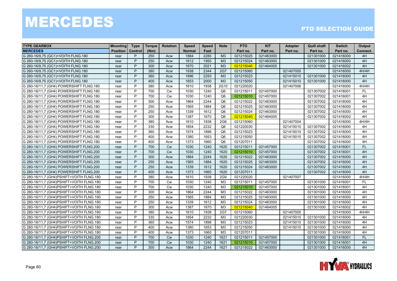| <b>TYPE GEARBOX</b>                      | <b>Mounting</b> | <b>Type</b>    | Torque | <b>Rotation</b> | <b>Speed</b>  | <b>Speed</b> | <b>Note</b>     | <b>PTO</b> | <b>KIT</b> | <b>Adapter</b> | <b>Quill shaft</b> | <b>Switch</b> | Output    |
|------------------------------------------|-----------------|----------------|--------|-----------------|---------------|--------------|-----------------|------------|------------|----------------|--------------------|---------------|-----------|
| <b>MERCEDES</b>                          | <b>Position</b> | <b>Control</b> | (Nm)   |                 | <b>Normal</b> | Fast         |                 | Part no.   | Part no.   | Part no.       | Part no.           | Part no.      | Connect.  |
| G 260-16/9,75 (GC1)+VOITH FLNG.180       | rear            | P              | 250    | Acw             | 1884          | 2280         | M <sub>3</sub>  | 021215025  | 021463000  |                | 021301000          | 021416000     | 4H        |
| G 260-16/9.75 (GC1)+VOITH FLNG.180       | rear            | P              | 250    | Acw             | 1612          | 1950         | M3              | 021215024  | 021463000  |                | 021301000          | 021416000     | 4H        |
| G 260-16/9.75 (GC1)+VOITH FLNG.180       | rear            | P              | 300    | Acw             | 1670          | 2021         | M <sub>3</sub>  | 021215040  | 021464005  |                | 021301000          | 021416002     | 4H        |
| G 260-16/9,75 (GC1)+VOITH FLNG.180       | rear            | P              | 380    | Acw             | 1938          | 2344         | <b>2G7</b>      | 021215060  |            | 021407005      |                    | 021416000     | 4H/4H     |
| G 260-16/9,75 (GC1)+VOITH FLNG.180       | rear            | P              | 360    | Acw             | 1896          | 2293         | M <sub>3</sub>  | 021215023  |            | 021415010      | 021301000          | 021416000     | 4H        |
| G 260-16/9,75 (GC1)+VOITH FLNG.180       | rear            | P              | 400    | Acw             | 1653          | 2000         | M <sub>3</sub>  | 021215050  |            | 021415010      | 021301000          | 021416000     | 4H        |
| G 280-16/11,7 (GH4) POWERSHIFT FLNG.180  | rear            | P              | 380    | Acw             | 1610          | 1938         | 2G10            | 021220020  |            | 021407006      |                    | 021416000     | 4H/4H     |
| G 280-16/11,7 (GH4) POWERSHIFT FLNG.180  | rear            | P              | 700    | <b>Cw</b>       | 1030          | 1240         | Q <sub>6</sub>  | 021215011  | 021457000  |                | 021307002          | 021416001     | FL.       |
| G 280-16/11,7 (GH4) POWERSHIFT FLNG.180  | rear            | P              | 700    | Cw              | 1030          | 1240         | Q <sub>6</sub>  | 021215010  | 021457000  |                | 021307002          | 021416001     | 4H        |
| G 280-16/11,7 (GH4) POWERSHIFT FLNG.180  | rear            | P              | 300    | Acw             | 1864          | 2244         | Q <sub>6</sub>  | 021215022  | 021463000  |                | 021307002          | 021416000     | 4H        |
| G 280-16/11,7 (GH4) POWERSHIFT FLNG.180  | rear            | P              | 250    | Acw             | 1565          | 1884         | Q <sub>6</sub>  | 021215025  | 021463000  |                | 021307002          | 021416000     | 4H        |
| G 280-16/11,7 (GH4) POWERSHIFT FLNG.180  | rear            | P              | 250    | Acw             | 1339          | 1612         | Q <sub>6</sub>  | 021215024  | 021463000  |                | 021307002          | 021416000     | 4H        |
| G 280-16/11,7 (GH4) POWERSHIFT FLNG.180  | rear            | P              | 300    | Acw             | 1387          | 1670         | Q <sub>6</sub>  | 021215040  | 021464005  |                | 021307002          | 021416002     | 4H        |
| G 280-16/11,7 (GH4) POWERSHIFT FLNG.180  | rear            | P              | 380    | Acw             | 1610          | 1938         | 2G <sub>6</sub> | 021215060  |            | 021407004      |                    | 021416000     | 4H/4H     |
| G 280-16/11,7 (GH4) POWERSHIFT FLNG.180  | rear            | P              | 330    | Acw             | 1854          | 2232         | Q <sub>6</sub>  | 021220030  |            | 021415010      | 021307002          | 021416000     | 4H        |
| G 280-16/11,7 (GH4) POWERSHIFT FLNG.180  | rear            | P              | 360    | Acw             | 1574          | 1896         | Q <sub>6</sub>  | 021215023  |            | 021415010      | 021307002          | 021416000     | 4H        |
| G 280-16/11,7 (GH4) POWERSHIFT FLNG.180  | rear            | P              | 400    | Acw             | 1380          | 1653         | Q <sub>6</sub>  | 021215050  |            | 021415010      | 021307002          | 021416000     | 4H        |
| G 280-16/11,7 (GH4) POWERSHIFT FLNG.180  | rear            | P              | 400    | Acw             | 1373          | 1660         | Q <sub>6</sub>  | 021207011  |            |                | 021307002          | 021416000     | 4H        |
| G 280-16/11,7 (GH4) POWERSHIFT FLNG.200  | rear            | P              | 700    | <b>Cw</b>       | 1030          | 1240         | 1620            | 021215011  | 021457000  |                | 021307002          | 021416001     | <b>FL</b> |
| G 280-16/11,7 (GH4) POWERSHIFT FLNG.200  | rear            | P              | 700    | <b>Cw</b>       | 1030          | 1240         | 1620            | 021215010  | 021457000  |                | 021307002          | 021416001     | 4H        |
| G 280-16/11,7 (GH4) POWERSHIFT FLNG.200  | rear            | P              | 300    | Acw             | 1864          | 2244         | 1620            | 021215022  | 021463000  |                | 021307002          | 021416000     | 4H        |
| G 280-16/11,7 (GH4) POWERSHIFT FLNG.200  | rear            | P              | 250    | Acw             | 1565          | 1884         | 1620            | 021215025  | 021463000  |                | 021307002          | 021416000     | 4H        |
| G 280-16/11,7 (GH4) POWERSHIFT FLNG.200  | rear            | P              | 250    | Acw             | 1339          | 1612         | 1620            | 021215024  | 021463000  |                | 021307002          | 021416000     | 4H        |
| G 280-16/11,7 (GH4) POWERSHIFT FLNG.200  | rear            | P              | 400    | Acw             | 1373          | 1660         | 1620            | 021207011  |            |                | 021307002          | 021416000     | 4H        |
| G 280-16/11,7 (GH4)PSHIFT+VOITH FLNG.180 | rear            | P              | 380    | Acw             | 1610          | 1938         | 2G9             | 021220020  |            | 021407007      |                    | 021416000     | 4H/4H     |
| G 280-16/11,7 (GH4)PSHIFT+VOITH FLNG.180 | rear            | P              | 700    | Cw              | 1030          | 1240         | M <sub>3</sub>  | 021215011  | 021457000  |                | 021301000          | 021416001     | <b>FL</b> |
| G 280-16/11,7 (GH4)PSHIFT+VOITH FLNG.180 | rear            | P              | 700    | <b>Cw</b>       | 1030          | 1240         | M <sub>3</sub>  | 021215010  | 021457000  |                | 021301000          | 021416001     | 4H        |
| G 280-16/11,7 (GH4)PSHIFT+VOITH FLNG.180 | rear            | P              | 300    | Acw             | 1864          | 2244         | M3              | 021215022  | 021463000  |                | 021301000          | 021416000     | 4H        |
| G 280-16/11,7 (GH4)PSHIFT+VOITH FLNG.180 | rear            | P              | 250    | Acw             | 1565          | 1884         | M <sub>3</sub>  | 021215025  | 021463000  |                | 021301000          | 021416000     | 4H        |
| G 280-16/11,7 (GH4)PSHIFT+VOITH FLNG.180 | rear            | P              | 250    | Acw             | 1339          | 1612         | M <sub>3</sub>  | 021215024  | 021463000  |                | 021301000          | 021416000     | 4H        |
| G 280-16/11,7 (GH4)PSHIFT+VOITH FLNG.180 | rear            | P              | 300    | Acw             | 1387          | 1670         | M3              | 021215040  | 021464005  |                | 021301000          | 021416002     | 4H        |
| G 280-16/11,7 (GH4)PSHIFT+VOITH FLNG.180 | rear            | P              | 380    | Acw             | 1610          | 1938         | <b>2G7</b>      | 021215060  |            | 021407005      |                    | 021416000     | 4H/4H     |
| G 280-16/11,7 (GH4)PSHIFT+VOITH FLNG.180 | rear            | P              | 330    | Acw             | 1854          | 2232         | M <sub>3</sub>  | 021220030  |            | 021415010      | 021301000          | 021416000     | 4H        |
| G 280-16/11,7 (GH4)PSHIFT+VOITH FLNG.180 | rear            | P              | 360    | Acw             | 1574          | 1896         | M <sub>3</sub>  | 021215023  |            | 021415010      | 021301000          | 021416000     | 4H        |
| G 280-16/11,7 (GH4)PSHIFT+VOITH FLNG.180 | rear            | P              | 400    | Acw             | 1380          | 1653         | M3              | 021215050  |            | 021415010      | 021301000          | 021416000     | 4H        |
| G 280-16/11,7 (GH4)PSHIFT+VOITH FLNG.180 | rear            | P              | 400    | Acw             | 1373          | 1660         | M <sub>3</sub>  | 021207011  |            |                | 021301000          | 021416000     | 4H        |
| G 280-16/11,7 (GH4)PSHIFT+VOITH FLNG.200 | rear            | P              | 700    | Cw              | 1030          | 1240         | 1621            | 021215011  | 021457000  |                | 021301000          | 021416001     | FL        |
| G 280-16/11.7 (GH4)PSHIFT+VOITH FLNG.200 | rear            | P              | 700    | <b>Cw</b>       | 1030          | 1240         | 1621            | 021215010  | 021457000  |                | 021301000          | 021416001     | 4H        |
| G 280-16/11,7 (GH4)PSHIFT+VOITH FLNG.200 | rear            | P              | 300    | Acw             | 1864          | 2244         | 1621            | 021215022  | 021463000  |                | 021301000          | 021416000     | 4H        |

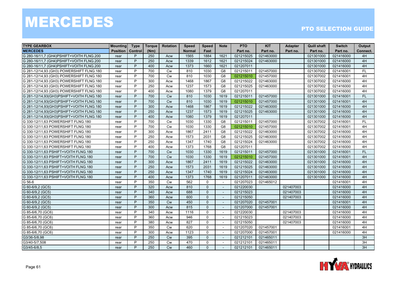| <b>TYPE GEARBOX</b>                      | <b>Mounting</b> | <b>Type</b> | <b>Torque</b> | <b>Rotation</b> | <b>Speed</b>  | <b>Speed</b> | <b>Note</b>              | <b>PTO</b> | <b>KIT</b> | <b>Adapter</b> | <b>Quill shaft</b> | <b>Switch</b> | Output    |
|------------------------------------------|-----------------|-------------|---------------|-----------------|---------------|--------------|--------------------------|------------|------------|----------------|--------------------|---------------|-----------|
| <b>MERCEDES</b>                          | <b>Position</b> | Control     | (Nm)          |                 | <b>Normal</b> | Fast         |                          | Part no.   | Part no.   | Part no.       | Part no.           | Part no.      | Connect.  |
| G 280-16/11,7 (GH4)PSHIFT+VOITH FLNG.200 | rear            | P           | 250           | Acw             | 1565          | 1884         | 1621                     | 021215025  | 021463000  |                | 021301000          | 021416000     | 4H        |
| G 280-16/11,7 (GH4)PSHIFT+VOITH FLNG.200 | rear            | P           | 250           | Acw             | 1339          | 1612         | 1621                     | 021215024  | 021463000  |                | 021301000          | 021416000     | 4H        |
| G 280-16/11.7 (GH4)PSHIFT+VOITH FLNG.200 | rear            | P           | 400           | Acw             | 1373          | 1660         | 1621                     | 021207011  |            |                | 021301000          | 021416000     | 4H        |
| G 281-12/14,93 (GH3) POWERSHIFT FLNG.180 | rear            | P           | 700           | <b>Cw</b>       | 810           | 1030         | G8                       | 021215011  | 021457000  |                | 021307002          | 021416001     | <b>FL</b> |
| G 281-12/14,93 (GH3) POWERSHIFT FLNG.180 | rear            | P           | 700           | Cw              | 810           | 1030         | G <sub>8</sub>           | 021215010  | 021457000  |                | 021307002          | 021416001     | 4H        |
| G 281-12/14,93 (GH3) POWERSHIFT FLNG.180 | rear            | P           | 300           | Acw             | 1468          | 1867         | G <sub>8</sub>           | 021215022  | 021463000  |                | 021307002          | 021416000     | 4H        |
| G 281-12/14,93 (GH3) POWERSHIFT FLNG.180 | rear            | P           | 250           | Acw             | 1237          | 1573         | G <sub>8</sub>           | 021215025  | 021463000  |                | 021307002          | 021416000     | 4H        |
| G 281-12/14,93 (GH3) POWERSHIFT FLNG.180 | rear            | P           | 400           | Acw             | 1080          | 1379         | G <sub>8</sub>           | 021207011  |            |                | 021307002          | 021416000     | 4H        |
| G 281-12/14,93(GH3)PSHIFT+VOITH FLNG.180 | rear            | P           | 700           | <b>Cw</b>       | 810           | 1030         | 1619                     | 021215011  | 021457000  |                | 021301000          | 021416001     | <b>FL</b> |
| G 281-12/14,93(GH3)PSHIFT+VOITH FLNG.180 | rear            | P           | 700           | <b>Cw</b>       | 810           | 1030         | 1619                     | 021215010  | 021457000  |                | 021301000          | 021416001     | 4H        |
| G 281-12/14,93(GH3)PSHIFT+VOITH FLNG.180 | rear            | P           | 300           | Acw             | 1468          | 1867         | 1619                     | 021215022  | 021463000  |                | 021301000          | 021416000     | 4H        |
| G 281-12/14,93(GH3)PSHIFT+VOITH FLNG.180 | rear            | P           | 250           | Acw             | 1237          | 1573         | 1619                     | 021215025  | 021463000  |                | 021301000          | 021416000     | 4H        |
| G 281-12/14,93(GH3)PSHIFT+VOITH FLNG.180 | rear            | P           | 400           | Acw             | 1080          | 1379         | 1619                     | 021207011  |            |                | 021301000          | 021416000     | 4H        |
| G 330-12/11,63 POWERSHIFT FLNG.180       | rear            | P           | 700           | <b>Cw</b>       | 1030          | 1330         | G <sub>8</sub>           | 021215011  | 021457000  |                | 021307002          | 021416001     | FL.       |
| G 330-12/11,63 POWERSHIFT FLNG.180       | rear            | P           | 700           | Cw              | 1030          | 1330         | G8                       | 021215010  | 021457000  |                | 021307002          | 021416001     | 4H        |
| G 330-12/11,63 POWERSHIFT FLNG.180       | rear            | P           | 300           | Acw             | 1867          | 2411         | G <sub>8</sub>           | 021215022  | 021463000  |                | 021307002          | 021416000     | 4H        |
| G 330-12/11.63 POWERSHIFT FLNG.180       | rear            | P           | 250           | Acw             | 1573          | 2031         | G <sub>8</sub>           | 021215025  | 021463000  |                | 021307002          | 021416000     | 4H        |
| G 330-12/11,63 POWERSHIFT FLNG.180       | rear            | P           | 250           | Acw             | 1347          | 1740         | G8                       | 021215024  | 021463000  |                | 021307002          | 021416000     | 4H        |
| G 330-12/11,63 POWERSHIFT FLNG.180       | rear            | P           | 400           | Acw             | 1373          | 1768         | G <sub>8</sub>           | 021207011  |            |                | 021307002          | 021416000     | 4H        |
| G 330-12/11,63 PSHIFT+VOITH FLNG.180     | rear            | P           | 700           | <b>Cw</b>       | 1030          | 1330         | 1619                     | 021215011  | 021457000  |                | 021301000          | 021416001     | <b>FL</b> |
| G 330-12/11,63 PSHIFT+VOITH FLNG.180     | rear            | P           | 700           | Cw              | 1030          | 1330         | 1619                     | 021215010  | 021457000  |                | 021301000          | 021416001     | 4H        |
| G 330-12/11,63 PSHIFT+VOITH FLNG.180     | rear            | P           | 300           | Acw             | 1867          | 2411         | 1619                     | 021215022  | 021463000  |                | 021301000          | 021416000     | 4H        |
| G 330-12/11,63 PSHIFT+VOITH FLNG.180     | rear            | P           | 250           | Acw             | 1573          | 2031         | 1619                     | 021215025  | 021463000  |                | 021301000          | 021416000     | 4H        |
| G 330-12/11,63 PSHIFT+VOITH FLNG.180     | rear            | P           | 250           | Acw             | 1347          | 1740         | 1619                     | 021215024  | 021463000  |                | 021301000          | 021416000     | 4H        |
| G 330-12/11.63 PSHIFT+VOITH FLNG.180     | rear            | P           | 400           | Acw             | 1373          | 1768         | 1619                     | 021207011  | 021463000  |                | 021301000          | 021416000     | 4H        |
| G 56-6                                   | rear            | P           | 350           | <b>Cw</b>       | 562           | $\Omega$     | $\sim$                   | 021207023  | 021465012  |                |                    | 021416001     | 4H        |
| G 60-6/9,2 (GC5)                         | rear            | P           | 320           | Acw             | 810           | $\mathbf{0}$ |                          | 021220030  |            | 021407003      |                    | 021416000     | 4H        |
| G 60-6/9,2 (GC5)                         | rear            | P           | 340           | Acw             | 688           | $\Omega$     | $\sim$                   | 021215023  |            | 021407003      |                    | 021416000     | 4H        |
| G 60-6/9,2 (GC5)                         | rear            | P           | 360           | Acw             | 600           | $\Omega$     | $\sim$                   | 021215050  |            | 021407003      |                    | 021416000     | 4H        |
| G 60-6/9,2 (GC5)                         | rear            | P           | 350           | <b>Cw</b>       | 450           | $\Omega$     | $\sim$                   | 021207020  | 021457001  |                |                    | 021416001     | 4H        |
| G 60-6/9,2 (GC5)                         | rear            | P           | 300           | Acw             | 815           | $\Omega$     | $\sim$                   | 021207000  | 021457001  |                |                    | 021416000     | 4H        |
| G 85-6/6,70 (GC6)                        | rear            | P           | 340           | Acw             | 1116          | $\mathbf{0}$ | $\sim$                   | 021220030  |            | 021407003      |                    | 021416000     | 4H        |
| G 85-6/6,70 (GC6)                        | rear            | P           | 360           | Acw             | 946           | $\Omega$     | $\sim$                   | 021215023  |            | 021407003      |                    | 021416000     | 4H        |
| G 85-6/6,70 (GC6)                        | rear            | P           | 380           | Acw             | 827           | $\mathbf{0}$ | $\overline{a}$           | 021215050  |            | 021407003      |                    | 021416000     | 4H        |
| G 85-6/6,70 (GC6)                        | rear            | P           | 350           | <b>Cw</b>       | 620           | $\Omega$     |                          | 021207020  | 021457001  |                |                    | 021416001     | 4H        |
| G 85-6/6,70 (GC6)                        | rear            | P           | 300           | Acw             | 1123          | $\Omega$     | $\sim$                   | 021207000  | 021457001  |                |                    | 021416000     | 4H        |
| G3/36-5/8,98                             | rear            | P           | 250           | <b>Cw</b>       | 395           | $\Omega$     | $\overline{\phantom{a}}$ | 021212101  | 021465011  |                |                    |               | 3H        |
| G3/40-5/7,508                            | rear            | P           | 250           | <b>Cw</b>       | 470           | $\Omega$     | $\sim$                   | 021212101  | 021465011  |                |                    |               | 3H        |
| G3/45-6/8,5                              | rear            | P           | 250           | <b>Cw</b>       | 460           | $\Omega$     |                          | 021212101  | 021465011  |                |                    |               | 3H        |

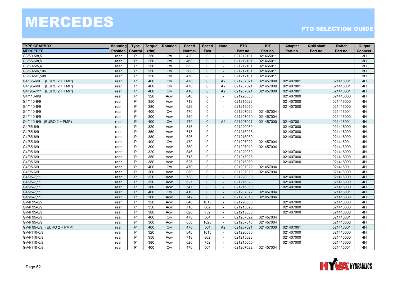| <b>TYPE GEARBOX</b>            | <b>Mounting</b> | <b>Type</b>    | <b>Torque</b> | <b>Rotation</b> | <b>Speed</b>  | <b>Speed</b> | <b>Note</b>              | <b>PTO</b> | <b>KIT</b> | <b>Adapter</b> | <b>Quill shaft</b> | <b>Switch</b> | Output   |
|--------------------------------|-----------------|----------------|---------------|-----------------|---------------|--------------|--------------------------|------------|------------|----------------|--------------------|---------------|----------|
| <b>MERCEDES</b>                | <b>Position</b> | Control        | (Nm)          |                 | <b>Normal</b> | Fast         |                          | Part no.   | Part no.   | Part no.       | Part no.           | Part no.      | Connect. |
| G3/50-5/8,5                    | rear            | P              | 250           | <b>Cw</b>       | 420           | $\Omega$     | $\sim$                   | 021212101  | 021465011  |                |                    |               | 3H       |
| G3/55-6/8,5                    | rear            | P              | 250           | <b>Cw</b>       | 460           | $\mathbf{0}$ |                          | 021212101  | 021465011  |                |                    |               | 3H       |
| G3/60-5/5,4                    | rear            | P              | 250           | Cw              | 653           | $\mathbf 0$  |                          | 021212101  | 021465011  |                |                    |               | 3H       |
| G3/60-5/6,106                  | rear            | P              | 250           | <b>Cw</b>       | 580           | $\Omega$     | $\overline{a}$           | 021212101  | 021465011  |                |                    |               | 3H       |
| G3/60-5/7,508                  | rear            | P              | 250           | <b>Cw</b>       | 470           | $\Omega$     |                          | 021212101  | 021465011  |                |                    |               | 3H       |
| $(EURO 2 + PMP)$<br>G4/65-6/9  | rear            | P              | 400           | <b>Cw</b>       | 470           | $\Omega$     | A2                       | 021207021  | 021457000  | 021407001      |                    | 021416001     | 4H       |
| G4/95-6/9<br>$(EURO 2 + PMP)$  | rear            | P              | 400           | <b>Cw</b>       | 470           | $\Omega$     | A2                       | 021207021  | 021457000  | 021407001      |                    | 021416001     | 4H       |
| G4/95-7/11<br>$(EURO 2 + PMP)$ | rear            | P              | 400           | Cw              | 410           | $\mathbf{0}$ | A2                       | 021207021  | 021457000  | 021407001      |                    | 021416001     | 4H       |
| G4/110-6/9                     | rear            | P              | 320           | Acw             | 846           | $\mathbf 0$  |                          | 021220030  |            | 021407000      |                    | 021416000     | 4H       |
| G4/110-6/9                     | rear            | P              | 350           | Acw             | 718           | $\mathbf 0$  | $\overline{a}$           | 021215023  |            | 021407000      |                    | 021416000     | 4H       |
| G4/110-6/9                     | rear            | P              | 380           | Acw             | 626           | $\Omega$     | $\sim$                   | 021215050  |            | 021407000      |                    | 021416000     | 4H       |
| G4/110-6/9                     | rear            | P              | 400           | <b>Cw</b>       | 470           | $\Omega$     | $\sim$                   | 021207022  | 021457004  |                |                    | 021416001     | 4H       |
| G4/110-6/9                     | rear            | P              | 300           | Acw             | 850           | $\mathbf 0$  | $\overline{\phantom{a}}$ | 021207010  | 021457004  |                |                    | 021416000     | 4H       |
| G4/110-6/9<br>$(EURO 2 + PMP)$ | rear            | P              | 400           | Cw              | 470           | $\mathbf 0$  | A2                       | 021207021  | 021457000  | 021407001      |                    | 021416001     | 4H       |
| G4/65-6/9                      | rear            | P              | 320           | Acw             | 846           | $\Omega$     |                          | 021220030  |            | 021407000      |                    | 021416000     | 4H       |
| G4/65-6/9                      | rear            | P              | 350           | Acw             | 718           | $\mathbf 0$  | $\overline{\phantom{a}}$ | 021215023  |            | 021407000      |                    | 021416000     | 4H       |
| G4/65-6/9                      | rear            | P              | 380           | Acw             | 626           | $\Omega$     |                          | 021215050  |            | 021407000      |                    | 021416000     | 4H       |
| G4/65-6/9                      | rear            | P              | 400           | Cw              | 470           | $\mathbf 0$  | $\sim$                   | 021207022  | 021457004  |                |                    | 021416001     | 4H       |
| G4/65-6/9                      | rear            | P              | 300           | Acw             | 850           | $\mathbf 0$  | ÷,                       | 021207010  | 021457004  |                |                    | 021416000     | 4H       |
| G4/95-6/9                      | rear            | P              | 320           | Acw             | 846           | $\mathbf{0}$ |                          | 021220030  |            | 021407000      |                    | 021416000     | 4H       |
| G4/95-6/9                      | rear            | P              | 350           | Acw             | 718           | $\Omega$     | $\overline{\phantom{a}}$ | 021215023  |            | 021407000      |                    | 021416000     | 4H       |
| G4/95-6/9                      | rear            | P              | 380           | Acw             | 626           | $\Omega$     | ÷.                       | 021215050  |            | 021407000      |                    | 021416000     | 4H       |
| G4/95-6/9                      | rear            | P              | 400           | Cw              | 470           | $\mathbf 0$  | $\overline{a}$           | 021207022  | 021457004  |                |                    | 021416001     | 4H       |
| G4/95-6/9                      | rear            | P              | 300           | Acw             | 850           | $\Omega$     | $\sim$                   | 021207010  | 021457004  |                |                    | 021416000     | 4H       |
| G4/95-7,11                     | rear            | P              | 320           | Acw             | 738           | $\Omega$     | $\sim$                   | 021220030  |            | 021407000      |                    | 021416000     | 4H       |
| G4/95-7,11                     | rear            | P              | 350           | Acw             | 627           | $\Omega$     |                          | 021215023  |            | 021407000      |                    | 021416000     | 4H       |
| G4/95-7,11                     | rear            | P              | 380           | Acw             | 547           | $\Omega$     |                          | 021215050  |            | 021407000      |                    | 021416000     | 4H       |
| G4/95-7,11                     | rear            | P              | 400           | <b>Cw</b>       | 410           | $\Omega$     |                          | 021207022  | 021457004  |                |                    | 021416001     | 4H       |
| G4/95-7,11                     | rear            | P              | 300           | Acw             | 742           | $\mathbf{0}$ | $\overline{a}$           | 021207010  | 021457004  |                |                    | 021416000     | 4H       |
| GV4/95-6/9                     | rear            | P              | 320           | Acw             | 846           | 1015         | $\overline{\phantom{a}}$ | 021220030  |            | 021407000      |                    | 021416000     | 4H       |
| GV4/95-6/9                     | rear            | P              | 350           | Acw             | 718           | 862          | $\sim$                   | 021215023  |            | 021407000      |                    | 021416000     | 4H       |
| GV4/95-6/9                     | rear            | P              | 380           | Acw             | 626           | 752          | $\sim$                   | 021215050  |            | 021407000      |                    | 021416000     | 4H       |
| GV4/95-6/9                     | rear            | P              | 400           | Cw              | 470           | 564          | $\overline{\phantom{a}}$ | 021207022  | 021457004  |                |                    | 021416001     | 4H       |
| GV4/95-6/9                     | rear            | P              | 300           | Acw             | 850           | 1020         |                          | 021207010  | 021457004  |                |                    | 021416000     | 4H       |
| GV4/ 95-6/9 (EURO 2 + PMP)     | rear            | $\overline{P}$ | 400           | Cw              | 470           | 564          | A2                       | 021207021  | 021457000  | 021407001      |                    | 021416001     | 4H       |
| GV4/110-6/9                    | rear            | P              | 320           | Acw             | 846           | 1015         | $\sim$                   | 021220030  |            | 021407000      |                    | 021416000     | 4H       |
| GV4/110-6/9                    | rear            | P              | 350           | Acw             | 718           | 862          | $\sim$                   | 021215023  |            | 021407000      |                    | 021416000     | 4H       |
| GV4/110-6/9                    | rear            | P              | 380           | Acw             | 626           | 752          | $\sim$                   | 021215050  |            | 021407000      |                    | 021416000     | 4H       |
| GV4/110-6/9                    | rear            | P              | 400           | Cw              | 470           | 564          | $\overline{a}$           | 021207022  | 021457004  |                |                    | 021416001     | 4H       |

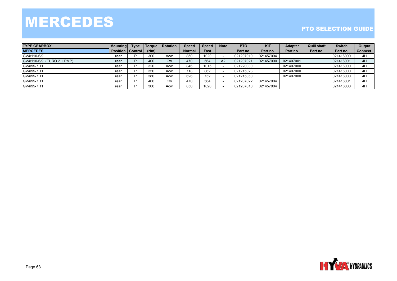| <b>TYPE GEARBOX</b>        | Mounting                    | <b>Type</b> | Γoraue⊦ | Rotation | <b>Speed</b> | Speed | <b>Note</b> | <b>PTO</b> | <b>KIT</b> | <b>Adapter</b> | <b>Quill shaft</b> | <b>Switch</b> | Output   |
|----------------------------|-----------------------------|-------------|---------|----------|--------------|-------|-------------|------------|------------|----------------|--------------------|---------------|----------|
| <b>MERCEDES</b>            | <b>Position   Control  </b> |             | (Nm)    |          | Normal       | Fast  |             | Part no.   | Part no.   | Part no.       | Part no.           | Part no.      | Connect. |
| GV4/110-6/9                | rear                        |             | 300     | Acw      | 850          | 1020  |             | 021207010  | 021457004  |                |                    | 021416000     | 4H       |
| GV4/110-6/9 (EURO 2 + PMP) | rear                        |             | 400     | Сw       | 470          | 564   | A2          | 021207021  | 021457000  | 021407001      |                    | 021416001     | 4H       |
| GV4/95-7.11                | rea                         |             | 320     | Acw      | 846          | 1015  |             | 021220030  |            | 021407000      |                    | 021416000     | 4H       |
| GV4/95-7,11                | rea                         |             | 350     | Acw      | 718          | 862   |             | 021215023  |            | 021407000      |                    | 021416000     | 4H       |
| GV4/95-7,11                | rea                         |             | 380     | Acw      | 626          | 752   |             | 021215050  |            | 021407000      |                    | 021416000     | 4H       |
| GV4/95-7,11                | rea                         |             | 400     | Cw       | 470          | 564   |             | 021207022  | 021457004  |                |                    | 021416001     | 4H       |
| GV4/95-7.11                | rea                         |             | 300     | Acw      | 850          | 1020  |             | 021207010  | 021457004  |                |                    | 021416000     | 4H       |

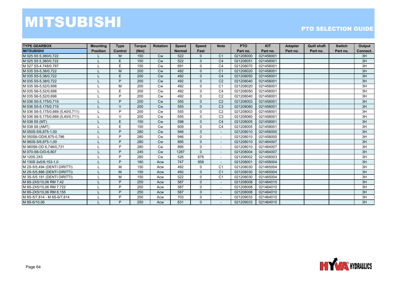### MITSUBISHI

| <b>TYPE GEARBOX</b>               | <b>Mounting</b> | <b>Type</b>    | <b>Torque</b> | <b>Rotation</b> | <b>Speed</b>  | <b>Speed</b>   | <b>Note</b>              | <b>PTO</b> | <b>KIT</b> | <b>Adapter</b> | <b>Quill shaft</b> | <b>Switch</b> | Output   |
|-----------------------------------|-----------------|----------------|---------------|-----------------|---------------|----------------|--------------------------|------------|------------|----------------|--------------------|---------------|----------|
| <b>MITSUBISHI</b>                 | <b>Position</b> | <b>Control</b> | (Nm)          |                 | <b>Normal</b> | Fast           |                          | Part no.   | Part no.   | Part no.       | Part no.           | Part no.      | Connect. |
| M 025 S5 5.380/0.722              |                 | M              | 150           | Cw              | 522           | 0              | C <sub>1</sub>           | 021208000  | 021458001  |                |                    |               | 3H       |
| M 025 S5 5,380/0,722              |                 | E.             | 150           | Cw              | 522           | 0              | C <sub>4</sub>           | 021208051  | 021458001  |                |                    |               | 3H       |
| M 027 S5-4,748/0,787              |                 | E.             | 150           | <b>Cw</b>       | 691           | $\Omega$       | C <sub>4</sub>           | 021208070  | 021458001  |                |                    |               | 3H       |
| M 035 S5-5.38/0.722               |                 | M              | 200           | <b>Cw</b>       | 492           | $\Omega$       | C <sub>1</sub>           | 021208020  | 021458001  |                |                    |               | 3H       |
| M 035 S5-5,38/0,722               |                 | E              | 200           | <b>Cw</b>       | 492           | $\overline{0}$ | C <sub>4</sub>           | 021208050  | 021458001  |                |                    |               | 3H       |
| M 035 S5-5,38/0,722               |                 | P              | 200           | <b>Cw</b>       | 492           | 0              | C <sub>2</sub>           | 021208040  | 021458001  |                |                    |               | 3H       |
| M 035 S6-5,52/0,698               |                 | м              | 200           | <b>Cw</b>       | 492           | 0              | C <sub>1</sub>           | 021208020  | 021458001  |                |                    |               | 3H       |
| M 035 S6-5.52/0.698               |                 | E              | 200           | <b>Cw</b>       | 492           | 0              | C <sub>4</sub>           | 021208050  | 021458001  |                |                    |               | 3H       |
| M 035 S6-5.52/0.698               |                 | P              | 200           | <b>Cw</b>       | 492           | 0              | C <sub>2</sub>           | 021208040  | 021458001  |                |                    |               | 3H       |
| M 036 S5-5,175/0,715              |                 | <b>D</b>       | 200           | <b>Cw</b>       | 555           | $\Omega$       | C <sub>2</sub>           | 021208003  | 021458001  |                |                    |               | 3H       |
| M 036 S5-5.175/0.715              |                 | $\mathcal{U}$  | 200           | <b>Cw</b>       | 555           | $\Omega$       | C <sub>3</sub>           | 021208060  | 021458001  |                |                    |               | 3H       |
| M 036 S6-5,175/0,669 (5,40/0,711) |                 | P              | 200           | <b>Cw</b>       | 555           | 0              | C <sub>2</sub>           | 021208003  | 021458001  |                |                    |               | 3H       |
| M 036 S6-5,175/0,669 (5,40/0,711) |                 | $\mathsf{V}$   | 200           | <b>Cw</b>       | 555           | 0              | C <sub>3</sub>           | 021208060  | 021458001  |                |                    |               | 3H       |
| M 038 S5 (MT)                     |                 | E.             | 150           | <b>Cw</b>       | 598           | $\Omega$       | C <sub>4</sub>           | 021208005  | 021458001  |                |                    |               | 3H       |
| M 038 S6 (AMT)                    |                 | E.             | 150           | <b>Cw</b>       | 609           | $\Omega$       | C <sub>4</sub>           | 021208005  | 021458001  |                |                    |               | 3H       |
| M 050S-5/6,875-1,00               |                 | D              | 280           | <b>Cw</b>       | 946           | 0              | $\overline{\phantom{a}}$ | 021208010  | 021458000  |                |                    |               | 3H       |
| M 050S6-OD/6,875-0,786            |                 | P              | 280           | Cw              | 946           | 0              | $\overline{\phantom{a}}$ | 021208010  | 021458000  |                |                    |               | 3H       |
| M 060S-5/6,875-1,00               |                 | P              | 280           | <b>Cw</b>       | 895           | $\Omega$       | $\blacksquare$           | 021208010  | 021464007  |                |                    |               | 3H       |
| M 060S6-OD 6.748/0.731            |                 | D              | 280           | <b>Cw</b>       | 895           | 0              | $\sim$                   | 021208010  | 021464007  |                |                    |               | 3H       |
| M 070-S6-O/D-6,807                |                 | P              | 245           | <b>Cw</b>       | 1287          | 0              |                          | 021208004  | 021464007  |                |                    |               | 3H       |
| M 120S 2X5                        |                 | P              | 280           | <b>Cw</b>       | 526           | 676            | $\overline{\phantom{a}}$ | 021208002  | 021458003  |                |                    |               | 3H       |
| M 130S 2x5/9.153-1.0              |                 | <b>D</b>       | 180           | Acw             | 747           | 958            | $\sim$                   | 021208001  | 021458004  |                |                    |               | 3H       |
| M 2S-5/5,494 (DENTI DIRITTI)      |                 | м              | 150           | Acw             | 492           | 0              | C <sub>1</sub>           | 021208030  | 021465004  |                |                    |               | 3H       |
| M 2S-5/5,886 (DENTI DIRITTI)      |                 | M              | 150           | Acw             | 492           | $\Omega$       | C <sub>1</sub>           | 021208030  | 021465004  |                |                    |               | 3H       |
| M 3S-5/5,181 (DENTI DIRITTI)      |                 | M              | 150           | Acw             | 522           | $\Omega$       | C <sub>1</sub>           | 021208030  | 021465004  |                |                    |               | 3H       |
| M 8S-2X5/10.06 RM 7.42            |                 | P              | 250           | Acw             | 587           | 0              |                          | 021208008  | 021464010  |                |                    |               | 3H       |
| M 8S-2X5/10,06 RM 7,722           |                 | P              | 250           | Acw             | 587           | $\Omega$       | $\overline{\phantom{a}}$ | 021208008  | 021464010  |                |                    |               | 3H       |
| M 8S-2X5/10,06 RM 8,155           |                 | P              | 250           | Acw             | 587           | 0              | $\overline{\phantom{a}}$ | 021208008  | 021464010  |                |                    |               | 3H       |
| M 8S-5/7.814 - M 8S-6/7.814       |                 | P              | 250           | Acw             | 703           | 0              |                          | 021209033  | 021464010  |                |                    |               | 3H       |
| M 8S-6/10,06                      |                 | P              | 250           | Acw             | 631           | $\overline{0}$ |                          | 021209033  | 021464010  |                |                    |               | 3H       |

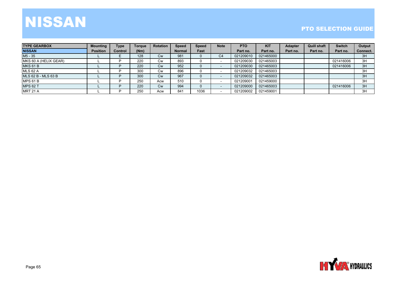# NISSAN

| <b>TYPE GEARBOX</b>   | <b>Mounting</b> | <b>Type</b>    | <b>Toraue</b> | <b>Rotation</b> | <b>Speed</b>  | <b>Speed</b> | <b>Note</b> | <b>PTO</b> | <b>KIT</b> | <b>Adapter</b> | <b>Quill shaft</b> | <b>Switch</b> | Output   |
|-----------------------|-----------------|----------------|---------------|-----------------|---------------|--------------|-------------|------------|------------|----------------|--------------------|---------------|----------|
| <b>NISSAN</b>         | <b>Position</b> | <b>Control</b> | (Nm)          |                 | <b>Normal</b> | Fast         |             | Part no.   | Part no.   | Part no.       | Part no.           | Part no.      | Connect. |
| M5 - 35               |                 |                | 128           | <b>Cw</b>       | 981           |              | C4          | 021209010  | 021465000  |                |                    |               | 3H       |
| MKS 60 A (HELIX GEAR) |                 |                | 220           | <b>Cw</b>       | 893           |              |             | 021209030  | 021465003  |                |                    | 021416006     | 3H       |
| <b>MKS 61 B</b>       |                 |                | 220           | <b>Cw</b>       | 952           |              |             | 021209030  | 021465003  |                |                    | 021416006     | 3H       |
| <b>MLS 62 A</b>       |                 |                | 300           | Cw              | 896           |              |             | 021209032  | 021465003  |                |                    |               | 3H       |
| MLS 62 B - MLS 63 B   |                 |                | 300           | Cw              | 967           |              |             | 021209032  | 021465003  |                |                    |               | 3H       |
| <b>MPS 61 B</b>       |                 |                | 250           | Acw             | 510           |              |             | 021209001  | 021459000  |                |                    |               | 3H       |
| <b>MPS 62 T</b>       |                 |                | 220           | <b>Cw</b>       | 994           |              |             | 021209000  | 021465003  |                |                    | 021416006     | 3H       |
| <b>MRT 21 A</b>       |                 |                | 250           | Acw             | 841           | 1036         |             | 021209002  | 021459001  |                |                    |               | 3H       |

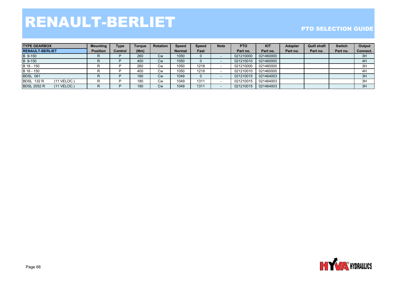# RENAULT-BERLIET

| <b>ITYPE GEARBOX</b>                | <b>Mounting</b> | Type           | <b>Toraue</b> | <b>Rotation</b> | <b>Speed</b>  | <b>Speed</b> | <b>Note</b> | <b>PTO</b> | <b>KIT</b> | <b>Adapter</b> | <b>Quill shaft</b> | <b>Switch</b> | Output   |
|-------------------------------------|-----------------|----------------|---------------|-----------------|---------------|--------------|-------------|------------|------------|----------------|--------------------|---------------|----------|
| <b>RENAULT-BERLIET</b>              | <b>Position</b> | <b>Control</b> | (Nm)          |                 | <b>Normal</b> | Fast         |             | Part no.   | Part no.   | Part no.       | Part no.           | Part no.      | Connect. |
| B 9-150                             | R.              |                | 260           | <b>Cw</b>       | 1050          |              |             | 021210000  | 021460000  |                |                    |               | 3H       |
| B 9-150                             | ĸ               |                | 400           | <b>Cw</b>       | 1050          |              |             | 021210010  | 021460000  |                |                    |               | 4H       |
| B 18 - 150                          |                 |                | 260           | Cw              | 1050          | 1218         |             | 021210000  | 021460000  |                |                    |               | 3H       |
| B 18 - 150                          |                 |                | 400           | Cw              | 1050          | 1218         |             | 021210010  | 021460000  |                |                    |               | 4H       |
| <b>BDSL 061</b>                     | ĸ               |                | 180           | <b>Cw</b>       | 1049          |              |             | 021210015  | 021464003  |                |                    |               | 3H       |
| <b>BDSL 132 R</b><br>$(11$ VELOC.)  | в.              |                | 180           | Cw              | 1049          | 1311         |             | 021210015  | 021464003  |                |                    |               | 3H       |
| <b>BDSL 2052 R</b><br>$(11$ VELOC.) | R.              |                | 180           | Cw              | 1049          | 1311         |             | 021210015  | 021464003  |                |                    |               | 3H       |

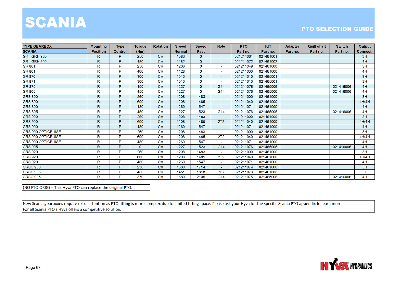### SCANIA

#### **PTO SELECTION GUIDE**

| <b>TYPE GEARBOX</b>        | <b>Mounting</b> | <b>Type</b> | <b>Torque</b> | <b>Rotation</b>         | <b>Speed</b>  | <b>Speed</b> | <b>Note</b>                 | <b>PTO</b> | <b>KIT</b> | <b>Adapter</b> | <b>Quill shaft</b> | <b>Switch</b> | Output   |
|----------------------------|-----------------|-------------|---------------|-------------------------|---------------|--------------|-----------------------------|------------|------------|----------------|--------------------|---------------|----------|
| <b>SCANIA</b>              | <b>Position</b> | Control     | (Nm)          |                         | <b>Normal</b> | Fast         |                             | Part no.   | Part no.   | Part no.       | Part no.           | Part no.      | Connect. |
| <b>GR - GRH 900</b>        | $\mathsf R$     | Þ           | 250           | Cw                      | 1083          | $\mathbf{0}$ | $\sim$                      | 021211061  | 021461001  |                |                    |               | 3H       |
| <b>GR - GRH 900</b>        | $\mathsf{R}$    | D.          | 480           | <b>Cw</b>               | 1182          | $\mathbf{0}$ | $\sim$                      | 021211072  | 021461002  |                |                    |               | 4H       |
| <b>IGR 801</b>             | R               | P.          | 250           | $\mathsf{C} \mathsf{w}$ | 1206          | 0            | $\sim$                      | 021211049  | 021461000  |                |                    |               | 3H       |
| GR 801                     | $\mathsf{R}$    | Þ           | 400           | C <sub>W</sub>          | 1128          | 0            | $\sim$                      | 021211030  | 021461000  |                |                    |               | 4H       |
| GR 870                     | $\mathsf{R}$    | P.          | 300           | C <sub>W</sub>          | 1010          | $\mathbf{0}$ | $\overline{\phantom{0}}$    | 021211010  | 021465001  |                |                    |               | 3H       |
| GR 871                     | $\mathsf{R}$    | D           | 300           | <b>Cw</b>               | 1010          | 0            | $\sim$                      | 021211010  | 021465001  |                |                    |               | 3H       |
| GR 875                     | $\mathsf{R}$    | P           | 450           | Cw                      | 1227          | $\Omega$     | G14                         | 021211076  | 021465006  |                |                    | 021416006     | 4H       |
| <b>GR 905</b>              | R               | P           | 450           | <b>Cw</b>               | 1227          | 0            | G <sub>14</sub>             | 021211076  | 021465006  |                |                    | 021416006     | 4H       |
| <b>GRS 890</b>             | $\mathsf{R}$    | P           | 260           | Cw                      | 1208          | 1483         | $\sim$                      | 021211000  | 021461000  |                |                    |               | 3H       |
| <b>GRS 890</b>             | $\mathsf{R}$    | P           | 600           | Cw                      | 1208          | 1485         | $\sim$                      | 021211040  | 021461000  |                |                    |               | 4H/4H    |
| <b>GRS 890</b>             | $\mathsf{R}$    | P.          | 480           | Cw                      | 1260          | 1547         | $\sim$                      | 021211071  | 021461000  |                |                    |               | 4H       |
| <b>GRS 895</b>             | $\mathsf{R}$    | P           | 450           | Cw                      | 1227          | 1523         | G <sub>14</sub>             | 021211076  | 021465006  |                |                    | 021416006     | 4H       |
| <b>GRS 900</b>             | $\mathsf{R}$    | Þ           | 260           | Cw                      | 1208          | 1483         | $\sim$ .                    | 021211000  | 021461000  |                |                    |               | 3H       |
| <b>GRS 900</b>             | $\mathsf{R}$    | Þ           | 600           | Cw                      | 1208          | 1485         | 2T2                         | 021211040  | 021461000  |                |                    |               | 4H/4H    |
| <b>GRS 900</b>             | $\mathsf{R}$    | D.          | 480           | Cw                      | 1260          | 1547         | $\sim$                      | 021211071  | 021461000  |                |                    |               | 4H       |
| <b>GRS 900 OPTICRUISE</b>  | $\mathsf{R}$    | P           | 260           | Cw                      | 1208          | 1483         | $\mathcal{L}_{\mathcal{A}}$ | 021211000  | 021461000  |                |                    |               | 3H       |
| <b>IGRS 900 OPTICRUISE</b> | $\mathsf{R}$    | Þ           | 600           | Cw                      | 1208          | 1485         | 2T <sub>2</sub>             | 021211040  | 021461000  |                |                    |               | 4H/4H    |
| <b>IGRS 900 OPTICRUISE</b> | $\mathsf{R}$    | D.          | 480           | $\mathsf{C}\mathsf{w}$  | 1260          | 1547         | $\sim$                      | 021211071  | 021461000  |                |                    |               | 4H       |
| <b>GRS 905</b>             | $\mathsf{R}$    | D.          | 0             | Cw                      | 1227          | 1523         | G14                         | 021211076  | 021465006  |                |                    | 021416006     | 4H       |
| <b>GRS 920</b>             | $\mathsf{R}$    | <b>D</b>    | 260           | C <sub>W</sub>          | 1208          | 1483         | $\sim$                      | 021211000  | 021461000  |                |                    |               | 3H       |
| <b>IGRS 920</b>            | R               | P.          | 600           | <b>Cw</b>               | 1208          | 1485         | <b>2T2</b>                  | 021211040  | 021461000  |                |                    |               | 4H/4H    |
| <b>GRS 920</b>             | $\mathsf{R}$    | P           | 480           | $\mathsf{C}\mathsf{w}$  | 1260          | 1547         | $\sim$                      | 021211071  | 021461000  |                |                    |               | 4H       |
| <b>GRSO 900</b>            | $\mathsf{R}$    | P           | 250           | C <sub>W</sub>          | 1380          | 1714         | $\sim$                      | 021211074  | 021461000  |                |                    |               | 3H       |
| <b>GRSO 905</b>            | $\mathsf{R}$    | Þ           | 450           | <b>Cw</b>               | 1451          | 1818         | M <sub>6</sub>              | 021211073  | 021461003  |                |                    |               | FL.      |
| <b>GRSO 905</b>            | R               | P           | 370           | <b>Cw</b>               | 1680          | 2105         | G <sub>14</sub>             | 021211075  | 021465006  |                |                    | 021416006     | 4H       |

 $(NO PTO ORIG) = This Hyva PTO can replace the original PTO.$ 

New Scania gearboxes require extra attention as PTO fitting is more complex due to limited fitting space. Please ask your Hyva for the specific Scania PTO appendix to learn more. For all Scania PTO's Hyva offers a competitive solution.

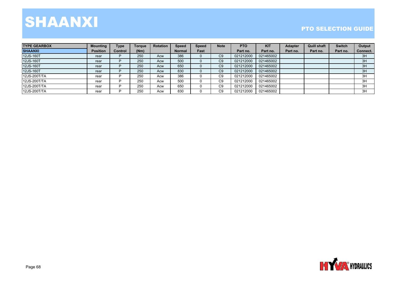# SHAANXI

| <b>ITYPE GEARBOX</b> | <b>Mounting</b> | <b>Type</b> | <b>Torgue</b> | Rotation | Speed         | <b>Speed</b> | <b>Note</b> | <b>PTO</b> | <b>KIT</b> | <b>Adapter</b> | <b>Quill shaft</b> | <b>Switch</b> | Output   |
|----------------------|-----------------|-------------|---------------|----------|---------------|--------------|-------------|------------|------------|----------------|--------------------|---------------|----------|
| <b>SHAANXI</b>       | <b>Position</b> | Control     | (Nm)          |          | <b>Normal</b> | Fast         |             | Part no.   | Part no.   | Part no.       | Part no.           | Part no.      | Connect. |
| 12JS-160T            | rear            |             | 250           | Acw      | 386           |              | C9          | 021212000  | 021465002  |                |                    |               | 3H       |
| 12JS-160T            | rear            |             | 250           | Acw      | 500           |              | C9          | 021212000  | 021465002  |                |                    |               | 3H       |
| 12JS-160T            | rear            |             | 250           | Acw      | 650           |              | C9          | 021212000  | 021465002  |                |                    |               | 3H       |
| 12JS-160T            | rear            |             | 250           | Acw      | 830           |              | C9          | 021212000  | 021465002  |                |                    |               | 3H       |
| 12JS-200T/TA         | rear            |             | 250           | Acw      | 386           |              | C9          | 021212000  | 021465002  |                |                    |               | 3H       |
| 12JS-200T/TA         | rear            |             | 250           | Acw      | 500           |              | C9          | 021212000  | 021465002  |                |                    |               | 3H       |
| 12JS-200T/TA         | rear            |             | 250           | Acw      | 650           |              | C9          | 021212000  | 021465002  |                |                    |               | 3H       |
| 12JS-200T/TA         | rear            |             | 250           | Acw      | 830           |              | C9          | 021212000  | 021465002  |                |                    |               | 3H       |

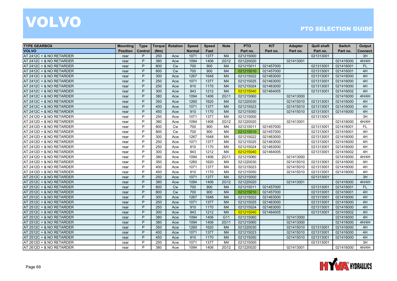| <b>TYPE GEARBOX</b>      | <b>Mounting</b> | <b>Type</b> | <b>Torque</b> | Rotation  | <b>Speed</b>  | <b>Speed</b> | <b>Note</b>    | <b>PTO</b> | <b>KIT</b> | <b>Adapter</b> | <b>Quill shaft</b> | <b>Switch</b> | Output    |
|--------------------------|-----------------|-------------|---------------|-----------|---------------|--------------|----------------|------------|------------|----------------|--------------------|---------------|-----------|
| <b>VOLVO</b>             | <b>Position</b> | Control     | (Nm)          |           | <b>Normal</b> | Fast         |                | Part no.   | Part no.   | Part no.       | Part no.           | Part no.      | Connect.  |
| AT 2412C + & NO RETARDER | rear            | P           | 250           | Acw       | 1071          | 1377         | M <sub>4</sub> | 021215000  |            |                | 021313001          |               | 3H        |
| AT 2412C + & NO RETARDER | rear            | P           | 380           | Acw       | 1094          | 1406         | 2G12           | 021220020  |            | 021413001      |                    | 021416000     | 4H/4H     |
| AT 2412C + & NO RETARDER | rear            | P           | 800           | Cw        | 700           | 900          | M <sub>4</sub> | 021215011  | 021457000  |                | 021313001          | 021416001     | FL.       |
| AT 2412C + & NO RETARDER | rear            | P           | 800           | <b>Cw</b> | 700           | 900          | M <sub>4</sub> | 021215010  | 021457000  |                | 021313001          | 021416001     | 4H        |
| AT 2412C + & NO RETARDER | rear            | P           | 300           | Acw       | 1267          | 1648         | M <sub>4</sub> | 021215022  | 021463000  |                | 021313001          | 021416000     | 4H        |
| AT 2412C + & NO RETARDER | rear            | P           | 250           | Acw       | 1071          | 1377         | M <sub>4</sub> | 021215025  | 021463000  |                | 021313001          | 021416000     | 4H        |
| AT 2412C + & NO RETARDER | rear            | P           | 250           | Acw       | 910           | 1170         | M <sub>4</sub> | 021215024  | 021463000  |                | 021313001          | 021416000     | 4H        |
| AT 2412C + & NO RETARDER | rear            | P           | 300           | Acw       | 943           | 1212         | M <sub>4</sub> | 021215040  | 021464005  |                | 021313001          | 021416002     | 4H        |
| AT 2412C + & NO RETARDER | rear            | P           | 380           | Acw       | 1094          | 1406         | 2G11           | 021215060  |            | 021413000      |                    | 021416000     | 4H/4H     |
| AT 2412C + & NO RETARDER | rear            | P           | 350           | Acw       | 1260          | 1620         | M <sub>4</sub> | 021220030  |            | 021415010      | 021313001          | 021416000     | 4H        |
| AT 2412C + & NO RETARDER | rear            | P           | 400           | Acw       | 1071          | 1377         | M <sub>4</sub> | 021215023  |            | 021415010      | 021313001          | 021416000     | 4H        |
| AT 2412C + & NO RETARDER | rear            | P           | 450           | Acw       | 910           | 1170         | M <sub>4</sub> | 021215050  |            | 021415010      | 021313001          | 021416000     | 4H        |
| AT 2412D + & NO RETARDER | rear            | P           | 250           | Acw       | 1071          | 1377         | M4             | 021215000  |            |                | 021313001          |               | 3H        |
| AT 2412D + & NO RETARDER | rear            | P           | 380           | Acw       | 1094          | 1406         | 2G12           | 021220020  |            | 021413001      |                    | 021416000     | 4H/4H     |
| AT 2412D + & NO RETARDER | rear            | P           | 800           | <b>Cw</b> | 700           | 900          | M4             | 021215011  | 021457000  |                | 021313001          | 021416001     | <b>FL</b> |
| AT 2412D + & NO RETARDER | rear            | P           | 800           | <b>Cw</b> | 700           | 900          | M4             | 021215010  | 021457000  |                | 021313001          | 021416001     | 4H        |
| AT 2412D + & NO RETARDER | rear            | P           | 300           | Acw       | 1267          | 1648         | M4             | 021215022  | 021463000  |                | 021313001          | 021416000     | 4H        |
| AT 2412D + & NO RETARDER | rear            | P           | 250           | Acw       | 1071          | 1377         | M <sub>4</sub> | 021215025  | 021463000  |                | 021313001          | 021416000     | 4H        |
| AT 2412D + & NO RETARDER | rear            | P           | 250           | Acw       | 910           | 1170         | M4             | 021215024  | 021463000  |                | 021313001          | 021416000     | 4H        |
| AT 2412D + & NO RETARDER | rear            | P           | 300           | Acw       | 943           | 1212         | M <sub>4</sub> | 021215040  | 021464005  |                | 021313001          | 021416002     | 4H        |
| AT 2412D + & NO RETARDER | rear            | P           | 380           | Acw       | 1094          | 1406         | 2G11           | 021215060  |            | 021413000      |                    | 021416000     | 4H/4H     |
| AT 2412D + & NO RETARDER | rear            | P           | 350           | Acw       | 1260          | 1620         | M4             | 021220030  |            | 021415010      | 021313001          | 021416000     | 4H        |
| AT 2412D + & NO RETARDER | rear            | P           | 400           | Acw       | 1071          | 1377         | M4             | 021215023  |            | 021415010      | 021313001          | 021416000     | 4H        |
| AT 2412D + & NO RETARDER | rear            | P           | 450           | Acw       | 910           | 1170         | M4             | 021215050  |            | 021415010      | 021313001          | 021416000     | 4H        |
| AT 2512C + & NO RETARDER | rear            | P           | 250           | Acw       | 1071          | 1377         | M <sub>4</sub> | 021215000  |            |                | 021313001          |               | 3H        |
| AT 2512C + & NO RETARDER | rear            | P           | 380           | Acw       | 1094          | 1406         | 2G12           | 021220020  |            | 021413001      |                    | 021416000     | 4H/4H     |
| AT 2512C + & NO RETARDER | rear            | P           | 800           | <b>Cw</b> | 700           | 900          | M <sub>4</sub> | 021215011  | 021457000  |                | 021313001          | 021416001     | FL.       |
| AT 2512C + & NO RETARDER | rear            | P           | 800           | Cw        | 700           | 900          | M <sub>4</sub> | 021215010  | 021457000  |                | 021313001          | 021416001     | 4H        |
| AT 2512C + & NO RETARDER | rear            | P           | 300           | Acw       | 1267          | 1648         | M <sub>4</sub> | 021215022  | 021463000  |                | 021313001          | 021416000     | 4H        |
| AT 2512C + & NO RETARDER | rear            | P           | 250           | Acw       | 1071          | 1377         | M <sub>4</sub> | 021215025  | 021463000  |                | 021313001          | 021416000     | 4H        |
| AT 2512C + & NO RETARDER | rear            | P           | 250           | Acw       | 910           | 1170         | M <sub>4</sub> | 021215024  | 021463000  |                | 021313001          | 021416000     | 4H        |
| AT 2512C + & NO RETARDER | rear            | P           | 300           | Acw       | 943           | 1212         | M <sub>4</sub> | 021215040  | 021464005  |                | 021313001          | 021416002     | 4H        |
| AT 2512C + & NO RETARDER | rear            | P           | 380           | Acw       | 1094          | 1406         | G11            | 021215060  |            | 021413000      |                    | 021416000     | 4H        |
| AT 2512C + & NO RETARDER | rear            | P           | 380           | Acw       | 1094          | 1406         | 2G11           | 021215060  |            | 021413000      |                    | 021416000     | 4H/4H     |
| AT 2512C + & NO RETARDER | rear            | P           | 350           | Acw       | 1260          | 1620         | M <sub>4</sub> | 021220030  |            | 021415010      | 021313001          | 021416000     | 4H        |
| AT 2512C + & NO RETARDER | rear            | P           | 400           | Acw       | 1071          | 1377         | M <sub>4</sub> | 021215023  |            | 021415010      | 021313001          | 021416000     | 4H        |
| AT 2512C + & NO RETARDER | rear            | P           | 450           | Acw       | 910           | 1170         | M <sub>4</sub> | 021215050  |            | 021415010      | 021313001          | 021416000     | 4H        |
| AT 2612D + & NO RETARDER | rear            | P           | 250           | Acw       | 1071          | 1377         | M <sub>4</sub> | 021215000  |            |                | 021313001          |               | 3H        |
| AT 2612D + & NO RETARDER | rear            | P           | 380           | Acw       | 1094          | 1406         | 2G12           | 021220020  |            | 021413001      |                    | 021416000     | 4H/4H     |

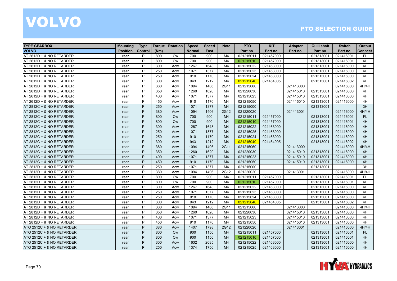| <b>TYPE GEARBOX</b>       | <b>Mounting</b> | <b>Type</b> | <b>Torque</b> | Rotation  | <b>Speed</b>  | <b>Speed</b> | <b>Note</b>    | <b>PTO</b> | <b>KIT</b> | <b>Adapter</b> | <b>Quill shaft</b> | <b>Switch</b> | Output    |
|---------------------------|-----------------|-------------|---------------|-----------|---------------|--------------|----------------|------------|------------|----------------|--------------------|---------------|-----------|
| <b>VOLVO</b>              | <b>Position</b> | Control     | (Nm)          |           | <b>Normal</b> | Fast         |                | Part no.   | Part no.   | Part no.       | Part no.           | Part no.      | Connect.  |
| AT 2612D + & NO RETARDER  | rear            | P           | 800           | <b>Cw</b> | 700           | 900          | M4             | 021215011  | 021457000  |                | 021313001          | 021416001     | <b>FL</b> |
| AT 2612D + & NO RETARDER  | rear            | P           | 800           | Cw        | 700           | 900          | M <sub>4</sub> | 021215010  | 021457000  |                | 021313001          | 021416001     | 4H        |
| AT 2612D + & NO RETARDER  | rear            | P           | 300           | Acw       | 1267          | 1648         | M4             | 021215022  | 021463000  |                | 021313001          | 021416000     | 4H        |
| AT 2612D + & NO RETARDER  | rear            | P           | 250           | Acw       | 1071          | 1377         | M4             | 021215025  | 021463000  |                | 021313001          | 021416000     | 4H        |
| AT 2612D + & NO RETARDER  | rear            | P           | 250           | Acw       | 910           | 1170         | M <sub>4</sub> | 021215024  | 021463000  |                | 021313001          | 021416000     | 4H        |
| AT 2612D + & NO RETARDER  | rear            | P           | 300           | Acw       | 943           | 1212         | M4             | 021215040  | 021464005  |                | 021313001          | 021416002     | 4H        |
| AT 2612D + & NO RETARDER  | rear            | P           | 380           | Acw       | 1094          | 1406         | 2G11           | 021215060  |            | 021413000      |                    | 021416000     | 4H/4H     |
| AT 2612D + & NO RETARDER  | rear            | P           | 350           | Acw       | 1260          | 1620         | M4             | 021220030  |            | 021415010      | 021313001          | 021416000     | 4H        |
| AT 2612D + & NO RETARDER  | rear            | P           | 400           | Acw       | 1071          | 1377         | M4             | 021215023  |            | 021415010      | 021313001          | 021416000     | 4H        |
| AT 2612D + & NO RETARDER  | rear            | P           | 450           | Acw       | 910           | 1170         | M <sub>4</sub> | 021215050  |            | 021415010      | 021313001          | 021416000     | 4H        |
| AT 2812C + & NO RETARDER  | rear            | P           | 250           | Acw       | 1071          | 1377         | M <sub>4</sub> | 021215000  |            |                | 021313001          |               | 3H        |
| AT 2812C + & NO RETARDER  | rear            | P           | 380           | Acw       | 1094          | 1406         | 2G12           | 021220020  |            | 021413001      |                    | 021416000     | 4H/4H     |
| AT 2812C + & NO RETARDER  | rear            | P           | 800           | <b>Cw</b> | 700           | 900          | M <sub>4</sub> | 021215011  | 021457000  |                | 021313001          | 021416001     | <b>FL</b> |
| AT 2812C + & NO RETARDER  | rear            | P           | 800           | Cw        | 700           | 900          | M <sub>4</sub> | 021215010  | 021457000  |                | 021313001          | 021416001     | 4H        |
| AT 2812C + & NO RETARDER  | rear            | P           | 300           | Acw       | 1267          | 1648         | M <sub>4</sub> | 021215022  | 021463000  |                | 021313001          | 021416000     | 4H        |
| AT 2812C + & NO RETARDER  | rear            | P           | 250           | Acw       | 1071          | 1377         | M <sub>4</sub> | 021215025  | 021463000  |                | 021313001          | 021416000     | 4H        |
| AT 2812C + & NO RETARDER  | rear            | P           | 250           | Acw       | 910           | 1170         | M <sub>4</sub> | 021215024  | 021463000  |                | 021313001          | 021416000     | 4H        |
| AT 2812C + & NO RETARDER  | rear            | P           | 300           | Acw       | 943           | 1212         | M <sub>4</sub> | 021215040  | 021464005  |                | 021313001          | 021416002     | 4H        |
| AT 2812C + & NO RETARDER  | rear            | P           | 380           | Acw       | 1094          | 1406         | 2G11           | 021215060  |            | 021413000      |                    | 021416000     | 4H/4H     |
| AT 2812C + & NO RETARDER  | rear            | P           | 350           | Acw       | 1260          | 1620         | M <sub>4</sub> | 021220030  |            | 021415010      | 021313001          | 021416000     | 4H        |
| AT 2812C + & NO RETARDER  | rear            | P           | 400           | Acw       | 1071          | 1377         | M <sub>4</sub> | 021215023  |            | 021415010      | 021313001          | 021416000     | 4H        |
| AT 2812C + & NO RETARDER  | rear            | P           | 450           | Acw       | 910           | 1170         | M <sub>4</sub> | 021215050  |            | 021415010      | 021313001          | 021416000     | 4H        |
| AT 2812D + & NO RETARDER  | rear            | P           | 250           | Acw       | 1071          | 1377         | M4             | 021215000  |            |                | 021313001          |               | 3H        |
| AT 2812D + & NO RETARDER  | rear            | P           | 380           | Acw       | 1094          | 1406         | 2G12           | 021220020  |            | 021413001      |                    | 021416000     | 4H/4H     |
| AT 2812D + & NO RETARDER  | rear            | P           | 800           | <b>Cw</b> | 700           | 900          | M <sub>4</sub> | 021215011  | 021457000  |                | 021313001          | 021416001     | <b>FL</b> |
| AT 2812D + & NO RETARDER  | rear            | P           | 800           | <b>Cw</b> | 700           | 900          | M4             | 021215010  | 021457000  |                | 021313001          | 021416001     | 4H        |
| AT 2812D + & NO RETARDER  | rear            | P           | 300           | Acw       | 1267          | 1648         | M4             | 021215022  | 021463000  |                | 021313001          | 021416000     | 4H        |
| AT 2812D + & NO RETARDER  | rear            | P           | 250           | Acw       | 1071          | 1377         | M <sub>4</sub> | 021215025  | 021463000  |                | 021313001          | 021416000     | 4H        |
| AT 2812D + & NO RETARDER  | rear            | P           | 250           | Acw       | 910           | 1170         | M4             | 021215024  | 021463000  |                | 021313001          | 021416000     | 4H        |
| AT 2812D + & NO RETARDER  | rear            | P           | 300           | Acw       | 943           | 1212         | M4             | 021215040  | 021464005  |                | 021313001          | 021416002     | 4H        |
| AT 2812D + & NO RETARDER  | rear            | P           | 380           | Acw       | 1094          | 1406         | 2G11           | 021215060  |            | 021413000      |                    | 021416000     | 4H/4H     |
| AT 2812D + & NO RETARDER  | rear            | P           | 350           | Acw       | 1260          | 1620         | M4             | 021220030  |            | 021415010      | 021313001          | 021416000     | 4H        |
| AT 2812D + & NO RETARDER  | rear            | P           | 400           | Acw       | 1071          | 1377         | M <sub>4</sub> | 021215023  |            | 021415010      | 021313001          | 021416000     | 4H        |
| AT 2812D + & NO RETARDER  | rear            | P           | 450           | Acw       | 910           | 1170         | M4             | 021215050  |            | 021415010      | 021313001          | 021416000     | 4H        |
| ATO 2512C + & NO RETARDER | rear            | P           | 380           | Acw       | 1407          | 1798         | 2G12           | 021220020  |            | 021413001      |                    | 021416000     | 4H/4H     |
| ATO 2512C + & NO RETARDER | rear            | P           | 800           | Cw        | 900           | 1150         | M <sub>4</sub> | 021215011  | 021457000  |                | 021313001          | 021416001     | FL.       |
| ATO 2512C + & NO RETARDER | rear            | P           | 800           | <b>Cw</b> | 900           | 1150         | M <sub>4</sub> | 021215010  | 021457000  |                | 021313001          | 021416001     | 4H        |
| ATO 2512C + & NO RETARDER | rear            | P           | 300           | Acw       | 1632          | 2085         | M <sub>4</sub> | 021215022  | 021463000  |                | 021313001          | 021416000     | 4H        |
| ATO 2512C + & NO RETARDER | rear            | P           | 250           | Acw       | 1374          | 1756         | M <sub>4</sub> | 021215025  | 021463000  |                | 021313001          | 021416000     | 4H        |

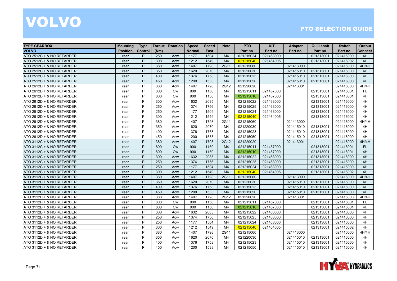| <b>TYPE GEARBOX</b>       | <b>Mounting</b> | <b>Type</b> | Torque | Rotation  | <b>Speed</b>  | <b>Speed</b> | <b>Note</b>    | <b>PTO</b> | <b>KIT</b> | <b>Adapter</b> | <b>Quill shaft</b> | <b>Switch</b> | Output    |
|---------------------------|-----------------|-------------|--------|-----------|---------------|--------------|----------------|------------|------------|----------------|--------------------|---------------|-----------|
| <b>VOLVO</b>              | <b>Position</b> | Control     | (Nm)   |           | <b>Normal</b> | Fast         |                | Part no.   | Part no.   | Part no.       | Part no.           | Part no.      | Connect.  |
| ATO 2512C + & NO RETARDER | rear            | P           | 250    | Acw       | 1177          | 1504         | M <sub>4</sub> | 021215024  | 021463000  |                | 021313001          | 021416000     | 4H        |
| ATO 2512C + & NO RETARDER | rear            | P           | 300    | Acw       | 1212          | 1549         | M <sub>4</sub> | 021215040  | 021464005  |                | 021313001          | 021416002     | 4H        |
| ATO 2512C + & NO RETARDER | rear            | P           | 380    | Acw       | 1407          | 1798         | 2G11           | 021215060  |            | 021413000      |                    | 021416000     | 4H/4H     |
| ATO 2512C + & NO RETARDER | rear            | P           | 350    | Acw       | 1620          | 2070         | M <sub>4</sub> | 021220030  |            | 021415010      | 021313001          | 021416000     | 4H        |
| ATO 2512C + & NO RETARDER | rear            | P           | 400    | Acw       | 1376          | 1758         | M <sub>4</sub> | 021215023  |            | 021415010      | 021313001          | 021416000     | 4H        |
| ATO 2512C + & NO RETARDER | rear            | P           | 450    | Acw       | 1200          | 1533         | M <sub>4</sub> | 021215050  |            | 021415010      | 021313001          | 021416000     | 4H        |
| ATO 2612D + & NO RETARDER | rear            | P           | 380    | Acw       | 1407          | 1798         | 2G12           | 021220020  |            | 021413001      |                    | 021416000     | 4H/4H     |
| ATO 2612D + & NO RETARDER | rear            | P           | 800    | <b>Cw</b> | 900           | 1150         | M4             | 021215011  | 021457000  |                | 021313001          | 021416001     | <b>FL</b> |
| ATO 2612D + & NO RETARDER | rear            | P           | 800    | <b>Cw</b> | 900           | 1150         | M4             | 021215010  | 021457000  |                | 021313001          | 021416001     | 4H        |
| ATO 2612D + & NO RETARDER | rear            | P           | 300    | Acw       | 1632          | 2085         | M4             | 021215022  | 021463000  |                | 021313001          | 021416000     | 4H        |
| ATO 2612D + & NO RETARDER | rear            | P           | 250    | Acw       | 1374          | 1756         | M4             | 021215025  | 021463000  |                | 021313001          | 021416000     | 4H        |
| ATO 2612D + & NO RETARDER | rear            | P           | 250    | Acw       | 1177          | 1504         | M4             | 021215024  | 021463000  |                | 021313001          | 021416000     | 4H        |
| ATO 2612D + & NO RETARDER | rear            | P           | 300    | Acw       | 1212          | 1549         | M <sub>4</sub> | 021215040  | 021464005  |                | 021313001          | 021416002     | 4H        |
| ATO 2612D + & NO RETARDER | rear            | P           | 380    | Acw       | 1407          | 1798         | 2G11           | 021215060  |            | 021413000      |                    | 021416000     | 4H/4H     |
| ATO 2612D + & NO RETARDER | rear            | P           | 350    | Acw       | 1620          | 2070         | M4             | 021220030  |            | 021415010      | 021313001          | 021416000     | 4H        |
| ATO 2612D + & NO RETARDER | rear            | P           | 400    | Acw       | 1376          | 1758         | M4             | 021215023  |            | 021415010      | 021313001          | 021416000     | 4H        |
| ATO 2612D + & NO RETARDER | rear            | P           | 450    | Acw       | 1200          | 1533         | M <sub>4</sub> | 021215050  |            | 021415010      | 021313001          | 021416000     | 4H        |
| ATO 3112C + & NO RETARDER | rear            | P           | 380    | Acw       | 1407          | 1798         | 2G12           | 021220020  |            | 021413001      |                    | 021416000     | 4H/4H     |
| ATO 3112C + & NO RETARDER | rear            | P           | 800    | <b>Cw</b> | 900           | 1150         | M <sub>4</sub> | 021215011  | 021457000  |                | 021313001          | 021416001     | <b>FL</b> |
| ATO 3112C + & NO RETARDER | rear            | P           | 800    | <b>Cw</b> | 900           | 1150         | M <sub>4</sub> | 021215010  | 021457000  |                | 021313001          | 021416001     | 4H        |
| ATO 3112C + & NO RETARDER | rear            | P           | 300    | Acw       | 1632          | 2085         | M <sub>4</sub> | 021215022  | 021463000  |                | 021313001          | 021416000     | 4H        |
| ATO 3112C + & NO RETARDER | rear            | P           | 250    | Acw       | 1374          | 1756         | M <sub>4</sub> | 021215025  | 021463000  |                | 021313001          | 021416000     | 4H        |
| ATO 3112C + & NO RETARDER | rear            | P           | 250    | Acw       | 1177          | 1504         | M <sub>4</sub> | 021215024  | 021463000  |                | 021313001          | 021416000     | 4H        |
| ATO 3112C + & NO RETARDER | rear            | P           | 300    | Acw       | 1212          | 1549         | M <sub>4</sub> | 021215040  | 021464005  |                | 021313001          | 021416002     | 4H        |
| ATO 3112C + & NO RETARDER | rear            | P           | 380    | Acw       | 1407          | 1798         | 2G11           | 021215060  |            | 021413000      |                    | 021416000     | 4H/4H     |
| ATO 3112C + & NO RETARDER | rear            | P           | 350    | Acw       | 1620          | 2070         | M <sub>4</sub> | 021220030  |            | 021415010      | 021313001          | 021416000     | 4H        |
| ATO 3112C + & NO RETARDER | rear            | P           | 400    | Acw       | 1376          | 1758         | M <sub>4</sub> | 021215023  |            | 021415010      | 021313001          | 021416000     | 4H        |
| ATO 3112C + & NO RETARDER | rear            | P           | 450    | Acw       | 1200          | 1533         | M <sub>4</sub> | 021215050  |            | 021415010      | 021313001          | 021416000     | 4H        |
| ATO 3112D + & NO RETARDER | rear            | P           | 380    | Acw       | 1407          | 1798         | 2G12           | 021220020  |            | 021413001      |                    | 021416000     | 4H/4H     |
| ATO 3112D + & NO RETARDER | rear            | P           | 800    | <b>Cw</b> | 900           | 1150         | M <sub>4</sub> | 021215011  | 021457000  |                | 021313001          | 021416001     | <b>FL</b> |
| ATO 3112D + & NO RETARDER | rear            | P           | 800    | <b>Cw</b> | 900           | 1150         | M4             | 021215010  | 021457000  |                | 021313001          | 021416001     | 4H        |
| ATO 3112D + & NO RETARDER | rear            | P           | 300    | Acw       | 1632          | 2085         | M4             | 021215022  | 021463000  |                | 021313001          | 021416000     | 4H        |
| ATO 3112D + & NO RETARDER | rear            | P           | 250    | Acw       | 1374          | 1756         | M4             | 021215025  | 021463000  |                | 021313001          | 021416000     | 4H        |
| ATO 3112D + & NO RETARDER | rear            | P           | 250    | Acw       | 1177          | 1504         | M4             | 021215024  | 021463000  |                | 021313001          | 021416000     | 4H        |
| ATO 3112D + & NO RETARDER | rear            | P           | 300    | Acw       | 1212          | 1549         | M <sub>4</sub> | 021215040  | 021464005  |                | 021313001          | 021416002     | 4H        |
| ATO 3112D + & NO RETARDER | rear            | P           | 380    | Acw       | 1407          | 1798         | 2G11           | 021215060  |            | 021413000      |                    | 021416000     | 4H/4H     |
| ATO 3112D + & NO RETARDER | rear            | P           | 350    | Acw       | 1620          | 2070         | M4             | 021220030  |            | 021415010      | 021313001          | 021416000     | 4H        |
| ATO 3112D + & NO RETARDER | rear            | P           | 400    | Acw       | 1376          | 1758         | M <sub>4</sub> | 021215023  |            | 021415010      | 021313001          | 021416000     | 4H        |
| ATO 3112D + & NO RETARDER | rear            | P           | 450    | Acw       | 1200          | 1533         | M <sub>4</sub> | 021215050  |            | 021415010      | 021313001          | 021416000     | 4H        |

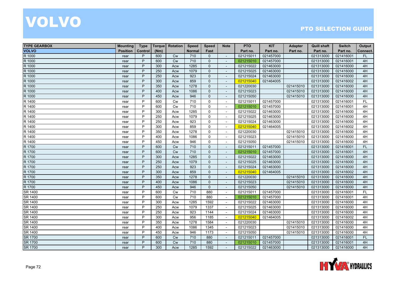| <b>TYPE GEARBOX</b> | <b>Mounting</b> | <b>Type</b> | <b>Torque</b> | Rotation  | Speed  | <b>Speed</b> | <b>Note</b>              | <b>PTO</b> | <b>KIT</b> | <b>Adapter</b> | <b>Quill shaft</b> | <b>Switch</b> | Output    |
|---------------------|-----------------|-------------|---------------|-----------|--------|--------------|--------------------------|------------|------------|----------------|--------------------|---------------|-----------|
| <b>VOLVO</b>        | <b>Position</b> | Control     | (Nm)          |           | Normal | Fast         |                          | Part no.   | Part no.   | Part no.       | Part no.           | Part no.      | Connect.  |
| R 1000              | rear            | P           | 600           | Cw        | 710    | $\Omega$     | $\mathbf{r}$             | 021215011  | 021457000  |                | 021313000          | 021416001     | FL.       |
| R 1000              | rear            | P           | 600           | Cw        | 710    | $\mathbf 0$  | $\overline{\phantom{a}}$ | 021215010  | 021457000  |                | 021313000          | 021416001     | 4H        |
| R 1000              | rear            | P           | 300           | Acw       | 1285   | $\mathbf 0$  |                          | 021215022  | 021463000  |                | 021313000          | 021416000     | 4H        |
| R 1000              | rear            | P           | 250           | Acw       | 1079   | $\mathbf{0}$ | $\blacksquare$           | 021215025  | 021463000  |                | 021313000          | 021416000     | 4H        |
| R 1000              | rear            | P           | 250           | Acw       | 923    | $\Omega$     | $\sim$                   | 021215024  | 021463000  |                | 021313000          | 021416000     | 4H        |
| R 1000              | rear            | P           | 300           | Acw       | 859    | $\mathbf 0$  | $\sim$                   | 021215040  | 021464005  |                | 021313000          | 021416002     | 4H        |
| R 1000              | rear            | P           | 350           | Acw       | 1278   | $\Omega$     | $\mathbf{r}$             | 021220030  |            | 021415010      | 021313000          | 021416000     | 4H        |
| R 1000              | rear            | P           | 400           | Acw       | 1086   | $\Omega$     | $\sim$                   | 021215023  |            | 021415010      | 021313000          | 021416000     | 4H        |
| R 1000              | rear            | P           | 450           | Acw       | 946    | $\Omega$     |                          | 021215050  |            | 021415010      | 021313000          | 021416000     | 4H        |
| R 1400              | rear            | P           | 600           | <b>Cw</b> | 710    | $\mathbf 0$  | $\sim$                   | 021215011  | 021457000  |                | 021313000          | 021416001     | <b>FL</b> |
| R 1400              | rear            | P           | 600           | Cw        | 710    | $\mathbf 0$  | $\blacksquare$           | 021215010  | 021457000  |                | 021313000          | 021416001     | 4H        |
| R 1400              | rear            | P           | 300           | Acw       | 1285   | $\Omega$     | $\sim$                   | 021215022  | 021463000  |                | 021313000          | 021416000     | 4H        |
| R 1400              | rear            | P           | 250           | Acw       | 1079   | $\Omega$     | $\sim$                   | 021215025  | 021463000  |                | 021313000          | 021416000     | 4H        |
| R 1400              | rear            | P           | 250           | Acw       | 923    | $\mathbf 0$  | $\sim$                   | 021215024  | 021463000  |                | 021313000          | 021416000     | 4H        |
| R 1400              | rear            | P           | 300           | Acw       | 859    | $\mathbf 0$  |                          | 021215040  | 021464005  |                | 021313000          | 021416002     | 4H        |
| R 1400              | rear            | P           | 350           | Acw       | 1278   | $\mathbf 0$  | $\overline{a}$           | 021220030  |            | 021415010      | 021313000          | 021416000     | 4H        |
| R 1400              | rear            | P           | 400           | Acw       | 1086   | $\Omega$     | $\blacksquare$           | 021215023  |            | 021415010      | 021313000          | 021416000     | 4H        |
| R 1400              | rear            | P           | 450           | Acw       | 946    | $\Omega$     | $\sim$                   | 021215050  |            | 021415010      | 021313000          | 021416000     | 4H        |
| R 1700              | rear            | P           | 600           | Cw        | 710    | $\mathbf 0$  | $\blacksquare$           | 021215011  | 021457000  |                | 021313000          | 021416001     | <b>FL</b> |
| R 1700              | rear            | P           | 600           | Cw        | 710    | $\Omega$     | $\overline{\phantom{a}}$ | 021215010  | 021457000  |                | 021313000          | 021416001     | 4H        |
| R 1700              | rear            | P           | 300           | Acw       | 1285   | $\Omega$     | $\blacksquare$           | 021215022  | 021463000  |                | 021313000          | 021416000     | 4H        |
| R 1700              | rear            | P           | 250           | Acw       | 1079   | $\mathbf{0}$ | $\sim$                   | 021215025  | 021463000  |                | 021313000          | 021416000     | 4H        |
| R 1700              | rear            | P           | 250           | Acw       | 923    | $\Omega$     | $\mathbf{r}$             | 021215024  | 021463000  |                | 021313000          | 021416000     | 4H        |
| R 1700              | rear            | P           | 300           | Acw       | 859    | $\mathbf{0}$ | $\blacksquare$           | 021215040  | 021464005  |                | 021313000          | 021416002     | 4H        |
| R 1700              | rear            | P           | 350           | Acw       | 1278   | $\Omega$     | $\sim$                   | 021220030  |            | 021415010      | 021313000          | 021416000     | 4H        |
| R 1700              | rear            | P           | 400           | Acw       | 1086   | $\Omega$     | $\overline{\phantom{a}}$ | 021215023  |            | 021415010      | 021313000          | 021416000     | 4H        |
| R 1700              | rear            | P           | 450           | Acw       | 946    | $\mathbf{0}$ | $\blacksquare$           | 021215050  |            | 021415010      | 021313000          | 021416000     | 4H        |
| <b>SR 1400</b>      | rear            | P           | 600           | Cw        | 710    | 880          | $\sim$                   | 021215011  | 021457000  |                | 021313000          | 021416001     | FL        |
| SR 1400             | rear            | P           | 600           | <b>Cw</b> | 710    | 880          | $\sim$                   | 021215010  | 021457000  |                | 021313000          | 021416001     | 4H        |
| SR 1400             | rear            | P           | 300           | Acw       | 1285   | 1592         | $\overline{\phantom{a}}$ | 021215022  | 021463000  |                | 021313000          | 021416000     | 4H        |
| SR 1400             | rear            | P           | 250           | Acw       | 1079   | 1337         | $\overline{\phantom{a}}$ | 021215025  | 021463000  |                | 021313000          | 021416000     | 4H        |
| SR 1400             | rear            | P           | 250           | Acw       | 923    | 1144         | $\sim$                   | 021215024  | 021463000  |                | 021313000          | 021416000     | 4H        |
| SR 1400             | rear            | P           | 300           | Acw       | 956    | 1185         | $\sim$                   | 021215040  | 021464005  |                | 021313000          | 021416002     | 4H        |
| SR 1400             | rear            | P           | 350           | Acw       | 1278   | 1584         | $\overline{\phantom{a}}$ | 021220030  |            | 021415010      | 021313000          | 021416000     | 4H        |
| <b>SR 1400</b>      | rear            | P           | 400           | Acw       | 1086   | 1345         | $\sim$                   | 021215023  |            | 021415010      | 021313000          | 021416000     | 4H        |
| SR 1400             | rear            | P           | 450           | Acw       | 946    | 1173         | $\bar{\phantom{a}}$      | 021215050  |            | 021415010      | 021313000          | 021416000     | 4H        |
| SR 1700             | rear            | P           | 600           | Cw        | 710    | 880          | $\sim$                   | 021215011  | 021457000  |                | 021313000          | 021416001     | <b>FL</b> |
| <b>SR 1700</b>      | rear            | P           | 600           | <b>Cw</b> | 710    | 880          |                          | 021215010  | 021457000  |                | 021313000          | 021416001     | 4H        |
| <b>SR 1700</b>      | rear            | P           | 300           | Acw       | 1285   | 1592         | $\sim$                   | 021215022  | 021463000  |                | 021313000          | 021416000     | 4H        |

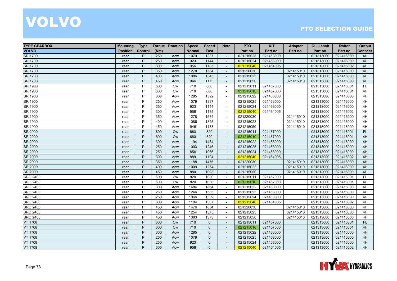| <b>TYPE GEARBOX</b> | <b>Mounting</b> | <b>Type</b> | Torque | Rotation  | <b>Speed</b>  | <b>Speed</b> | <b>Note</b>                 | <b>PTO</b> | <b>KIT</b> | <b>Adapter</b> | <b>Quill shaft</b> | <b>Switch</b> | Output    |
|---------------------|-----------------|-------------|--------|-----------|---------------|--------------|-----------------------------|------------|------------|----------------|--------------------|---------------|-----------|
| <b>VOLVO</b>        | <b>Position</b> | Control     | (Nm)   |           | <b>Normal</b> | Fast         |                             | Part no.   | Part no.   | Part no.       | Part no.           | Part no.      | Connect.  |
| <b>SR 1700</b>      | rear            | P           | 250    | Acw       | 1079          | 1337         | $\sim$                      | 021215025  | 021463000  |                | 021313000          | 021416000     | 4H        |
| <b>SR 1700</b>      | rear            | P           | 250    | Acw       | 923           | 1144         | $\overline{\phantom{a}}$    | 021215024  | 021463000  |                | 021313000          | 021416000     | 4H        |
| <b>SR 1700</b>      | rear            | P           | 300    | Acw       | 956           | 1185         | $\overline{\phantom{a}}$    | 021215040  | 021464005  |                | 021313000          | 021416002     | 4H        |
| <b>SR 1700</b>      | rear            | P           | 350    | Acw       | 1278          | 1584         | $\sim$                      | 021220030  |            | 021415010      | 021313000          | 021416000     | 4H        |
| <b>SR 1700</b>      | rear            | P           | 400    | Acw       | 1086          | 1345         | $\blacksquare$              | 021215023  |            | 021415010      | 021313000          | 021416000     | 4H        |
| <b>SR 1700</b>      | rear            | P           | 450    | Acw       | 946           | 1173         | $\blacksquare$              | 021215050  |            | 021415010      | 021313000          | 021416000     | 4H        |
| SR 1900             | rear            | P           | 600    | Cw        | 710           | 880          | $\sim$                      | 021215011  | 021457000  |                | 021313000          | 021416001     | FL        |
| SR 1900             | rear            | P           | 600    | <b>Cw</b> | 710           | 880          | $\blacksquare$              | 021215010  | 021457000  |                | 021313000          | 021416001     | 4H        |
| SR 1900             | rear            | P           | 300    | Acw       | 1285          | 1592         | $\sim$                      | 021215022  | 021463000  |                | 021313000          | 021416000     | 4H        |
| SR 1900             | rear            | P           | 250    | Acw       | 1079          | 1337         | $\sim$                      | 021215025  | 021463000  |                | 021313000          | 021416000     | 4H        |
| SR 1900             | rear            | P           | 250    | Acw       | 923           | 1144         | $\sim$                      | 021215024  | 021463000  |                | 021313000          | 021416000     | 4H        |
| SR 1900             | rear            | P           | 300    | Acw       | 956           | 1185         | $\sim$                      | 021215040  | 021464005  |                | 021313000          | 021416002     | 4H        |
| SR 1900             | rear            | P           | 350    | Acw       | 1278          | 1584         | $\blacksquare$              | 021220030  |            | 021415010      | 021313000          | 021416000     | 4H        |
| SR 1900             | rear            | P           | 400    | Acw       | 1086          | 1345         | $\blacksquare$              | 021215023  |            | 021415010      | 021313000          | 021416000     | 4H        |
| SR 1900             | rear            | P           | 450    | Acw       | 946           | 1173         | $\blacksquare$              | 021215050  |            | 021415010      | 021313000          | 021416000     | 4H        |
| <b>SR 2000</b>      | rear            | P           | 600    | <b>Cw</b> | 660           | 820          | $\overline{\phantom{a}}$    | 021215011  | 021457000  |                | 021313000          | 021416001     | <b>FL</b> |
| SR 2000             | rear            | P           | 600    | Cw        | 660           | 820          | $\sim$                      | 021215010  | 021457000  |                | 021313000          | 021416001     | 4H        |
| SR 2000             | rear            | P           | 300    | Acw       | 1194          | 1484         | $\mathbf{r}$                | 021215022  | 021463000  |                | 021313000          | 021416000     | 4H        |
| <b>SR 2000</b>      | rear            | P           | 250    | Acw       | 1003          | 1246         | $\mathcal{L}_{\mathcal{A}}$ | 021215025  | 021463000  |                | 021313000          | 021416000     | 4H        |
| SR 2000             | rear            | P           | 250    | Acw       | 858           | 1066         | $\overline{\phantom{a}}$    | 021215024  | 021463000  |                | 021313000          | 021416000     | 4H        |
| SR 2000             | rear            | P           | 300    | Acw       | 889           | 1104         | $\sim$                      | 021215040  | 021464005  |                | 021313000          | 021416002     | 4H        |
| SR 2000             | rear            | P           | 350    | Acw       | 1188          | 1476         | $\overline{a}$              | 021220030  |            | 021415010      | 021313000          | 021416000     | 4H        |
| SR 2000             | rear            | P           | 400    | Acw       | 1009          | 1254         | $\sim$                      | 021215023  |            | 021415010      | 021313000          | 021416000     | 4H        |
| <b>SR 2000</b>      | rear            | P           | 450    | Acw       | 880           | 1093         | $\blacksquare$              | 021215050  |            | 021415010      | 021313000          | 021416000     | 4H        |
| <b>SRO 2400</b>     | rear            | P           | 600    | Cw        | 820           | 1030         | $\overline{\phantom{a}}$    | 021215011  | 021457000  |                | 021313000          | 021416001     | FL        |
| <b>SRO 2400</b>     | rear            | P           | 600    | <b>Cw</b> | 820           | 1030         | $\blacksquare$              | 021215010  | 021457000  |                | 021313000          | 021416001     | 4H        |
| <b>SRO 2400</b>     | rear            | P           | 300    | Acw       | 1484          | 1864         | $\sim$                      | 021215022  | 021463000  |                | 021313000          | 021416000     | 4H        |
| <b>SRO 2400</b>     | rear            | P           | 250    | Acw       | 1246          | 1565         | $\sim$                      | 021215025  | 021463000  |                | 021313000          | 021416000     | 4H        |
| <b>SRO 2400</b>     | rear            | P           | 250    | Acw       | 1066          | 1339         | $\sim$                      | 021215024  | 021463000  |                | 021313000          | 021416000     | 4H        |
| <b>SRO 2400</b>     | rear            | P           | 300    | Acw       | 1104          | 1387         | $\sim$                      | 021215040  | 021464005  |                | 021313000          | 021416002     | 4H        |
| <b>SRO 2400</b>     | rear            | P           | 450    | Acw       | 1476          | 1854         | $\overline{\phantom{a}}$    | 021220030  |            | 021415010      | 021313000          | 021416000     | 4H        |
| <b>SRO 2400</b>     | rear            | P           | 450    | Acw       | 1254          | 1575         | $\sim$                      | 021215023  |            | 021415010      | 021313000          | 021416000     | 4H        |
| <b>SRO 2400</b>     | rear            | P           | 450    | Acw       | 1083          | 1373         | $\sim$                      | 021215050  |            | 021415010      | 021313000          | 021416000     | 4H        |
| <b>VT 1708</b>      | rear            | P           | 600    | Cw        | 710           | $\Omega$     | $\sim$                      | 021215011  | 021457000  |                | 021313000          | 021416001     | FL.       |
| <b>VT 1708</b>      | rear            | P           | 600    | Cw        | 710           | $\mathbf 0$  | $\mathbf{r}$                | 021215010  | 021457000  |                | 021313000          | 021416001     | 4H        |
| <b>VT 1708</b>      | rear            | P           | 300    | Acw       | 1285          | $\mathbf 0$  | $\blacksquare$              | 021215022  | 021463000  |                | 021313000          | 021416000     | 4H        |
| <b>VT 1708</b>      | rear            | P           | 250    | Acw       | 1079          | $\Omega$     | $\blacksquare$              | 021215025  | 021463000  |                | 021313000          | 021416000     | 4H        |
| <b>VT 1708</b>      | rear            | P           | 250    | Acw       | 923           | $\Omega$     |                             | 021215024  | 021463000  |                | 021313000          | 021416000     | 4H        |
| <b>VT 1708</b>      | rear            | P           | 300    | Acw       | 956           | $\Omega$     | $\sim$                      | 021215040  | 021464005  |                | 021313000          | 021416002     | 4H        |

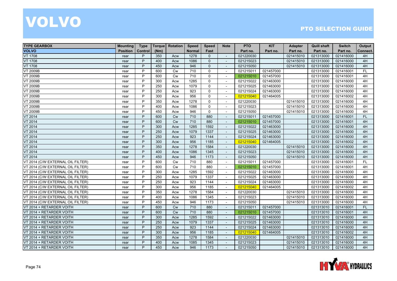| <b>TYPE GEARBOX</b>               | <b>Mounting</b> | <b>Type</b> | <b>Torque</b> | Rotation  | <b>Speed</b>  | <b>Speed</b> | <b>Note</b>              | <b>PTO</b> | <b>KIT</b> | <b>Adapter</b> | <b>Quill shaft</b> | <b>Switch</b> | Output    |
|-----------------------------------|-----------------|-------------|---------------|-----------|---------------|--------------|--------------------------|------------|------------|----------------|--------------------|---------------|-----------|
| <b>VOLVO</b>                      | <b>Position</b> | Control     | (Nm)          |           | <b>Normal</b> | Fast         |                          | Part no.   | Part no.   | Part no.       | Part no.           | Part no.      | Connect.  |
| <b>VT 1708</b>                    | rear            | P           | 350           | Acw       | 1278          | $\Omega$     | $\mathbf{v}$             | 021220030  |            | 021415010      | 021313000          | 021416000     | 4H        |
| <b>VT 1708</b>                    | rear            | P           | 400           | Acw       | 1086          | $\mathbf{0}$ | $\overline{\phantom{a}}$ | 021215023  |            | 021415010      | 021313000          | 021416000     | 4H        |
| <b>VT 1708</b>                    | rear            | P           | 450           | Acw       | 946           | $\mathbf{0}$ |                          | 021215050  |            | 021415010      | 021313000          | 021416000     | 4H        |
| <b>VT 2009B</b>                   | rear            | P           | 600           | <b>Cw</b> | 710           | $\Omega$     | $\sim$                   | 021215011  | 021457000  |                | 021313000          | 021416001     | <b>FL</b> |
| <b>VT 2009B</b>                   | rear            | P           | 600           | <b>Cw</b> | 710           | $\Omega$     | $\sim$                   | 021215010  | 021457000  |                | 021313000          | 021416001     | 4H        |
| <b>VT 2009B</b>                   | rear            | P           | 300           | Acw       | 1285          | $\Omega$     | $\sim$                   | 021215022  | 021463000  |                | 021313000          | 021416000     | 4H        |
| <b>VT 2009B</b>                   | rear            | P           | 250           | Acw       | 1079          | $\Omega$     | $\sim$                   | 021215025  | 021463000  |                | 021313000          | 021416000     | 4H        |
| <b>VT 2009B</b>                   | rear            | P           | 250           | Acw       | 923           | $\Omega$     | $\blacksquare$           | 021215024  | 021463000  |                | 021313000          | 021416000     | 4H        |
| VT 2009B                          | rear            | P           | 300           | Acw       | 956           | $\mathbf 0$  |                          | 021215040  | 021464005  |                | 021313000          | 021416002     | 4H        |
| VT 2009B                          | rear            | P           | 350           | Acw       | 1278          | $\Omega$     | $\sim$                   | 021220030  |            | 021415010      | 021313000          | 021416000     | 4H        |
| <b>VT 2009B</b>                   | rear            | P           | 400           | Acw       | 1086          | $\mathbf 0$  | $\overline{\phantom{a}}$ | 021215023  |            | 021415010      | 021313000          | 021416000     | 4H        |
| <b>VT 2009B</b>                   | rear            | P           | 450           | Acw       | 946           | $\mathbf 0$  | $\sim$                   | 021215050  |            | 021415010      | 021313000          | 021416000     | 4H        |
| <b>VT 2014</b>                    | rear            | P           | 600           | <b>Cw</b> | 710           | 880          | $\mathbf{r}$             | 021215011  | 021457000  |                | 021313000          | 021416001     | <b>FL</b> |
| <b>VT 2014</b>                    | rear            | P           | 600           | <b>Cw</b> | 710           | 880          | $\overline{\phantom{a}}$ | 021215010  | 021457000  |                | 021313000          | 021416001     | 4H        |
| <b>VT 2014</b>                    | rear            | P           | 300           | Acw       | 1285          | 1592         |                          | 021215022  | 021463000  |                | 021313000          | 021416000     | 4H        |
| VT 2014                           | rear            | P           | 250           | Acw       | 1079          | 1337         | $\sim$                   | 021215025  | 021463000  |                | 021313000          | 021416000     | 4H        |
| <b>VT 2014</b>                    | rear            | P           | 250           | Acw       | 923           | 1144         | $\sim$                   | 021215024  | 021463000  |                | 021313000          | 021416000     | 4H        |
| <b>VT 2014</b>                    | rear            | P           | 300           | Acw       | 956           | 1185         | $\mathbb{Z}^2$           | 021215040  | 021464005  |                | 021313000          | 021416002     | 4H        |
| <b>VT 2014</b>                    | rear            | P           | 350           | Acw       | 1278          | 1584         | $\sim$                   | 021220030  |            | 021415010      | 021313000          | 021416000     | 4H        |
| VT 2014                           | rear            | P           | 400           | Acw       | 1086          | 1345         | $\overline{\phantom{a}}$ | 021215023  |            | 021415010      | 021313000          | 021416000     | 4H        |
| <b>VT 2014</b>                    | rear            | P           | 450           | Acw       | 946           | 1173         |                          | 021215050  |            | 021415010      | 021313000          | 021416000     | 4H        |
| VT 2014 (C/W EXTERNAL OIL FILTER) | rear            | P           | 600           | Cw        | 710           | 880          | $\sim$                   | 021215011  | 021457000  |                | 021313000          | 021416001     | <b>FL</b> |
| VT 2014 (C/W EXTERNAL OIL FILTER) | rear            | P           | 600           | <b>Cw</b> | 710           | 880          | $\sim$                   | 021215010  | 021457000  |                | 021313000          | 021416001     | 4H        |
| VT 2014 (C/W EXTERNAL OIL FILTER) | rear            | P           | 300           | Acw       | 1285          | 1592         | $\sim$                   | 021215022  | 021463000  |                | 021313000          | 021416000     | 4H        |
| VT 2014 (C/W EXTERNAL OIL FILTER) | rear            | P           | 250           | Acw       | 1079          | 1337         | $\blacksquare$           | 021215025  | 021463000  |                | 021313000          | 021416000     | 4H        |
| VT 2014 (C/W EXTERNAL OIL FILTER) | rear            | P           | 250           | Acw       | 923           | 1144         | $\blacksquare$           | 021215024  | 021463000  |                | 021313000          | 021416000     | 4H        |
| VT 2014 (C/W EXTERNAL OIL FILTER) | rear            | P           | 300           | Acw       | 956           | 1185         | $\sim$                   | 021215040  | 021464005  |                | 021313000          | 021416002     | 4H        |
| VT 2014 (C/W EXTERNAL OIL FILTER) | rear            | P           | 350           | Acw       | 1278          | 1584         | $\sim$                   | 021220030  |            | 021415010      | 021313000          | 021416000     | 4H        |
| VT 2014 (C/W EXTERNAL OIL FILTER) | rear            | P           | 400           | Acw       | 1086          | 1345         | $\sim$                   | 021215023  |            | 021415010      | 021313000          | 021416000     | 4H        |
| VT 2014 (C/W EXTERNAL OIL FILTER) | rear            | P           | 450           | Acw       | 946           | 1173         | $\sim$                   | 021215050  |            | 021415010      | 021313000          | 021416000     | 4H        |
| VT 2014 + RETARDER VOITH          | rear            | P           | 600           | Cw        | 710           | 880          | $\omega$                 | 021215011  | 021457000  |                | 021313010          | 021416001     | FL        |
| VT 2014 + RETARDER VOITH          | rear            | P           | 600           | <b>Cw</b> | 710           | 880          | $\overline{\phantom{a}}$ | 021215010  | 021457000  |                | 021313010          | 021416001     | 4H        |
| VT 2014 + RETARDER VOITH          | rear            | P           | 300           | Acw       | 1285          | 1592         |                          | 021215022  | 021463000  |                | 021313010          | 021416000     | 4H        |
| VT 2014 + RETARDER VOITH          | rear            | P           | 250           | Acw       | 1079          | 1337         | $\sim$                   | 021215025  | 021463000  |                | 021313010          | 021416000     | 4H        |
| VT 2014 + RETARDER VOITH          | rear            | P           | 250           | Acw       | 923           | 1144         | $\blacksquare$           | 021215024  | 021463000  |                | 021313010          | 021416000     | 4H        |
| VT 2014 + RETARDER VOITH          | rear            | P           | 300           | Acw       | 956           | 1185         | $\mathbf{v}$             | 021215040  | 021464005  |                | 021313010          | 021416002     | 4H        |
| VT 2014 + RETARDER VOITH          | rear            | D           | 350           | Acw       | 1278          | 1584         | $\sim$                   | 021220030  |            | 021415010      | 021313010          | 021416000     | 4H        |
| VT 2014 + RETARDER VOITH          | rear            | P           | 400           | Acw       | 1085          | 1345         |                          | 021215023  |            | 021415010      | 021313010          | 021416000     | 4H        |
| VT 2014 + RETARDER VOITH          | rear            | P           | 450           | Acw       | 946           | 1173         | $\sim$                   | 021215050  |            | 021415010      | 021313010          | 021416000     | 4H        |

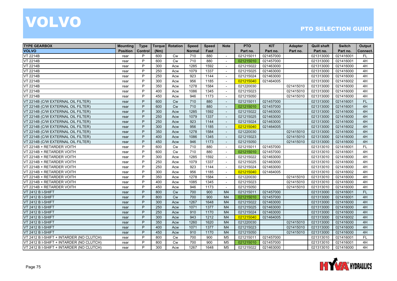| <b>TYPE GEARBOX</b>                      | <b>Mounting</b> | <b>Type</b> | <b>Torque</b> | Rotation  | <b>Speed</b>  | <b>Speed</b> | <b>Note</b>              | <b>PTO</b> | <b>KIT</b> | <b>Adapter</b> | <b>Quill shaft</b> | <b>Switch</b> | Output    |
|------------------------------------------|-----------------|-------------|---------------|-----------|---------------|--------------|--------------------------|------------|------------|----------------|--------------------|---------------|-----------|
| <b>VOLVO</b>                             | <b>Position</b> | Control     | (Nm)          |           | <b>Normal</b> | Fast         |                          | Part no.   | Part no.   | Part no.       | Part no.           | Part no.      | Connect.  |
| <b>VT 2214B</b>                          | rear            | P           | 600           | <b>Cw</b> | 710           | 880          | $\sim$                   | 021215011  | 021457000  |                | 021313000          | 021416001     | <b>FL</b> |
| <b>VT 2214B</b>                          | rear            | P           | 600           | Cw        | 710           | 880          | $\blacksquare$           | 021215010  | 021457000  |                | 021313000          | 021416001     | 4H        |
| <b>VT 2214B</b>                          | rear            | P           | 300           | Acw       | 1285          | 1592         | $\sim$                   | 021215022  | 021463000  |                | 021313000          | 021416000     | 4H        |
| <b>VT 2214B</b>                          | rear            | P           | 250           | Acw       | 1079          | 1337         | $\sim$                   | 021215025  | 021463000  |                | 021313000          | 021416000     | 4H        |
| <b>VT 2214B</b>                          | rear            | P           | 250           | Acw       | 923           | 1144         | $\sim$                   | 021215024  | 021463000  |                | 021313000          | 021416000     | 4H        |
| <b>VT 2214B</b>                          | rear            | P           | 300           | Acw       | 956           | 1185         | $\sim$                   | 021215040  | 021464005  |                | 021313000          | 021416002     | 4H        |
| <b>VT 2214B</b>                          | rear            | P           | 350           | Acw       | 1278          | 1584         | $\sim$                   | 021220030  |            | 021415010      | 021313000          | 021416000     | 4H        |
| <b>VT 2214B</b>                          | rear            | P           | 400           | Acw       | 1086          | 1345         | $\sim$                   | 021215023  |            | 021415010      | 021313000          | 021416000     | 4H        |
| <b>VT 2214B</b>                          | rear            | P           | 450           | Acw       | 946           | 1173         |                          | 021215050  |            | 021415010      | 021313000          | 021416000     | 4H        |
| VT 2214B (C/W EXTERNAL OIL FILTER)       | rear            | P           | 600           | Cw        | 710           | 880          | $\sim$                   | 021215011  | 021457000  |                | 021313000          | 021416001     | FL        |
| VT 2214B (C/W EXTERNAL OIL FILTER)       | rear            | P           | 600           | <b>Cw</b> | 710           | 880          | $\sim$                   | 021215010  | 021457000  |                | 021313000          | 021416001     | 4H        |
| VT 2214B (C/W EXTERNAL OIL FILTER)       | rear            | P           | 300           | Acw       | 1285          | 1592         | $\sim$                   | 021215022  | 021463000  |                | 021313000          | 021416000     | 4H        |
| VT 2214B (C/W EXTERNAL OIL FILTER)       | rear            | P           | 250           | Acw       | 1079          | 1337         | $\mathbf{r}$             | 021215025  | 021463000  |                | 021313000          | 021416000     | 4H        |
| VT 2214B (C/W EXTERNAL OIL FILTER)       | rear            | P           | 250           | Acw       | 923           | 1144         | $\overline{\phantom{a}}$ | 021215024  | 021463000  |                | 021313000          | 021416000     | 4H        |
| VT 2214B (C/W EXTERNAL OIL FILTER)       | rear            | P           | 300           | Acw       | 956           | 1185         |                          | 021215040  | 021464005  |                | 021313000          | 021416002     | 4H        |
| VT 2214B (C/W EXTERNAL OIL FILTER)       | rear            | P           | 350           | Acw       | 1278          | 1584         | $\sim$                   | 021220030  |            | 021415010      | 021313000          | 021416000     | 4H        |
| VT 2214B (C/W EXTERNAL OIL FILTER)       | rear            | P           | 400           | Acw       | 1086          | 1345         | $\sim$                   | 021215023  |            | 021415010      | 021313000          | 021416000     | 4H        |
| VT 2214B (C/W EXTERNAL OIL FILTER)       | rear            | P           | 450           | Acw       | 946           | 1173         | $\omega$                 | 021215050  |            | 021415010      | 021313000          | 021416000     | 4H        |
| VT 2214B + RETARDER VOITH                | rear            | P           | 600           | <b>Cw</b> | 710           | 880          | $\blacksquare$           | 021215011  | 021457000  |                | 021313010          | 021416001     | <b>FL</b> |
| VT 2214B + RETARDER VOITH                | rear            | P           | 600           | Cw        | 710           | 880          | $\sim$                   | 021215010  | 021457000  |                | 021313010          | 021416001     | 4H        |
| VT 2214B + RETARDER VOITH                | rear            | P           | 300           | Acw       | 1285          | 1592         | $\sim$                   | 021215022  | 021463000  |                | 021313010          | 021416000     | 4H        |
| VT 2214B + RETARDER VOITH                | rear            | P           | 250           | Acw       | 1079          | 1337         | $\sim$                   | 021215025  | 021463000  |                | 021313010          | 021416000     | 4H        |
| VT 2214B + RETARDER VOITH                | rear            | P           | 250           | Acw       | 923           | 1144         | $\sim$                   | 021215024  | 021463000  |                | 021313010          | 021416000     | 4H        |
| VT 2214B + RETARDER VOITH                | rear            | P           | 300           | Acw       | 956           | 1185         | $\sim$                   | 021215040  | 021464005  |                | 021313010          | 021416002     | 4H        |
| VT 2214B + RETARDER VOITH                | rear            | P           | 350           | Acw       | 1278          | 1584         | $\blacksquare$           | 021220030  |            | 021415010      | 021313010          | 021416000     | 4H        |
| VT 2214B + RETARDER VOITH                | rear            | P           | 400           | Acw       | 1085          | 1345         | $\blacksquare$           | 021215023  |            | 021415010      | 021313010          | 021416000     | 4H        |
| VT 2214B + RETARDER VOITH                | rear            | P           | 450           | Acw       | 946           | 1173         | $\overline{\phantom{a}}$ | 021215050  |            | 021415010      | 021313010          | 021416000     | 4H        |
| VT 2412 B I-SHIFT                        | rear            | P           | 800           | Cw        | 700           | 900          | M <sub>4</sub>           | 021215011  | 021457000  |                | 021313000          | 021416001     | FL        |
| VT 2412 B I-SHIFT                        | rear            | P           | 800           | Cw        | 700           | 900          | M <sub>4</sub>           | 021215010  | 021457000  |                | 021313000          | 021416001     | 4H        |
| VT 2412 B I-SHIFT                        | rear            | P           | 300           | Acw       | 1267          | 1648         | M <sub>4</sub>           | 021215022  | 021463000  |                | 021313000          | 021416000     | 4H        |
| VT 2412 B I-SHIFT                        | rear            | P           | 250           | Acw       | 1071          | 1377         | M <sub>4</sub>           | 021215025  | 021463000  |                | 021313000          | 021416000     | 4H        |
| VT 2412 B I-SHIFT                        | rear            | P           | 250           | Acw       | 910           | 1170         | M <sub>4</sub>           | 021215024  | 021463000  |                | 021313000          | 021416000     | 4H        |
| VT 2412 B I-SHIFT                        | rear            | P           | 300           | Acw       | 943           | 1212         | M <sub>4</sub>           | 021215040  | 021464005  |                | 021313000          | 021416002     | 4H        |
| VT 2412 B I-SHIFT                        | rear            | P           | 350           | Acw       | 1260          | 1620         | M <sub>4</sub>           | 021220030  |            | 021415010      | 021313000          | 021416000     | 4H        |
| VT 2412 B I-SHIFT                        | rear            | P           | 400           | Acw       | 1071          | 1377         | M <sub>4</sub>           | 021215023  |            | 021415010      | 021313000          | 021416000     | 4H        |
| VT 2412 B I-SHIFT                        | rear            | P           | 450           | Acw       | 910           | 1170         | M <sub>4</sub>           | 021215050  |            | 021415010      | 021313000          | 021416000     | 4H        |
| VT 2412 B I-SHIFT + INTARDER (NO CLUTCH) | rear            | P           | 800           | Cw        | 700           | 900          | M <sub>5</sub>           | 021215011  | 021457000  |                | 021313010          | 021416001     | FL        |
| VT 2412 B I-SHIFT + INTARDER (NO CLUTCH) | rear            | P           | 800           | <b>Cw</b> | 700           | 900          | M <sub>5</sub>           | 021215010  | 021457000  |                | 021313010          | 021416001     | 4H        |
| VT 2412 B I-SHIFT + INTARDER (NO CLUTCH) | rear            | P           | 300           | Acw       | 1267          | 1648         | M <sub>5</sub>           | 021215022  | 021463000  |                | 021313010          | 021416000     | 4H        |

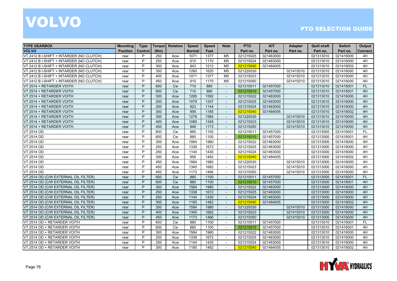| <b>TYPE GEARBOX</b>                      | <b>Mounting</b> | <b>Type</b> | <b>Torque</b> | <b>Rotation</b> | <b>Speed</b>  | <b>Speed</b> | <b>Note</b>              | <b>PTO</b> | <b>KIT</b> | <b>Adapter</b> | <b>Quill shaft</b> | <b>Switch</b> | Output    |
|------------------------------------------|-----------------|-------------|---------------|-----------------|---------------|--------------|--------------------------|------------|------------|----------------|--------------------|---------------|-----------|
| <b>VOLVO</b>                             | <b>Position</b> | Control     | (Nm)          |                 | <b>Normal</b> | Fast         |                          | Part no.   | Part no.   | Part no.       | Part no.           | Part no.      | Connect.  |
| VT 2412 B I-SHIFT + INTARDER (NO CLUTCH) | rear            | P           | 250           | Acw             | 1071          | 1377         | M <sub>5</sub>           | 021215025  | 021463000  |                | 021313010          | 021416000     | 4H        |
| VT 2412 B I-SHIFT + INTARDER (NO CLUTCH) | rear            | P           | 250           | Acw             | 910           | 1170         | M <sub>5</sub>           | 021215024  | 021463000  |                | 021313010          | 021416000     | 4H        |
| VT 2412 B I-SHIFT + INTARDER (NO CLUTCH) | rear            | P           | 300           | Acw             | 943           | 1212         | M <sub>5</sub>           | 021215040  | 021464005  |                | 021313010          | 021416002     | 4H        |
| VT 2412 B I-SHIFT + INTARDER (NO CLUTCH) | rear            | P           | 350           | Acw             | 1260          | 1620         | M <sub>5</sub>           | 021220030  |            | 021415010      | 021313010          | 021416000     | 4H        |
| VT 2412 B I-SHIFT + INTARDER (NO CLUTCH) | rear            | P           | 400           | Acw             | 1071          | 1377         | M <sub>5</sub>           | 021215023  |            | 021415010      | 021313010          | 021416000     | 4H        |
| VT 2412 B I-SHIFT + INTARDER (NO CLUTCH) | rear            | P           | 450           | Acw             | 910           | 1170         | M <sub>5</sub>           | 021215050  |            | 021415010      | 021313010          | 021416000     | 4H        |
| VT 2514 + RETARDER VOITH                 | rear            | P           | 600           | Cw              | 710           | 880          | $\overline{\phantom{a}}$ | 021215011  | 021457000  |                | 021313010          | 021416001     | <b>FL</b> |
| VT 2514 + RETARDER VOITH                 | rear            | P           | 600           | <b>Cw</b>       | 710           | 880          | $\sim$                   | 021215010  | 021457000  |                | 021313010          | 021416001     | 4H        |
| VT 2514 + RETARDER VOITH                 | rear            | P           | 300           | Acw             | 1285          | 1592         | $\blacksquare$           | 021215022  | 021463000  |                | 021313010          | 021416000     | 4H        |
| VT 2514 + RETARDER VOITH                 | rear            | P           | 250           | Acw             | 1079          | 1337         | $\sim$                   | 021215025  | 021463000  |                | 021313010          | 021416000     | 4H        |
| VT 2514 + RETARDER VOITH                 | rear            | P           | 250           | Acw             | 923           | 1144         | $\sim$                   | 021215024  | 021463000  |                | 021313010          | 021416000     | 4H        |
| VT 2514 + RETARDER VOITH                 | rear            | P           | 300           | Acw             | 956           | 1185         | $\sim$                   | 021215040  | 021464005  |                | 021313010          | 021416002     | 4H        |
| VT 2514 + RETARDER VOITH                 | rear            | P           | 350           | Acw             | 1278          | 1584         | $\overline{\phantom{a}}$ | 021220030  |            | 021415010      | 021313010          | 021416000     | 4H        |
| VT 2514 + RETARDER VOITH                 | rear            | P           | 400           | Acw             | 1085          | 1345         | $\overline{\phantom{a}}$ | 021215023  |            | 021415010      | 021313010          | 021416000     | 4H        |
| VT 2514 + RETARDER VOITH                 | rear            | P           | 450           | Acw             | 946           | 1173         |                          | 021215050  |            | 021415010      | 021313010          | 021416000     | 4H        |
| VT 2514 OD                               | rear            | P           | 600           | <b>Cw</b>       | 880           | 1100         | $\sim$                   | 021215011  | 021457000  |                | 021313000          | 021416001     | <b>FL</b> |
| VT 2514 OD                               | rear            | P           | 600           | Cw              | 880           | 1100         | $\blacksquare$           | 021215010  | 021457000  |                | 021313000          | 021416001     | 4H        |
| VT 2514 OD                               | rear            | P           | 300           | Acw             | 1584          | 1980         | $\sim$                   | 021215022  | 021463000  |                | 021313000          | 021416000     | 4H        |
| VT 2514 OD                               | rear            | P           | 250           | Acw             | 1338          | 1672         | $\sim$                   | 021215025  | 021463000  |                | 021313000          | 021416000     | 4H        |
| VT 2514 OD                               | rear            | P           | 250           | Acw             | 1144          | 1430         | $\sim$                   | 021215024  | 021463000  |                | 021313000          | 021416000     | 4H        |
| VT 2514 OD                               | rear            | P           | 300           | Acw             | 956           | 1482         |                          | 021215040  | 021464005  |                | 021313000          | 021416002     | 4H        |
| <b>VT 2514 OD</b>                        | rear            | P           | 450           | Acw             | 1584          | 1980         | $\sim$                   | 021220030  |            | 021415010      | 021313000          | 021416000     | 4H        |
| <b>VT 2514 OD</b>                        | rear            | P           | 450           | Acw             | 1345          | 1682         | $\overline{\phantom{a}}$ | 021215023  |            | 021415010      | 021313000          | 021416000     | 4H        |
| VT 2514 OD                               | rear            | P           | 450           | Acw             | 1173          | 1466         | $\sim$                   | 021215050  |            | 021415010      | 021313000          | 021416000     | 4H        |
| VT 2514 OD (C/W EXTERNAL OIL FILTER)     | rear            | P           | 600           | Cw              | 880           | 1100         | $\sim$                   | 021215011  | 021457000  |                | 021313000          | 021416001     | <b>FL</b> |
| VT 2514 OD (C/W EXTERNAL OIL FILTER)     | rear            | P           | 600           | <b>Cw</b>       | 880           | 1100         | $\overline{\phantom{a}}$ | 021215010  | 021457000  |                | 021313000          | 021416001     | 4H        |
| VT 2514 OD (C/W EXTERNAL OIL FILTER)     | rear            | P           | 300           | Acw             | 1584          | 1980         | $\sim$                   | 021215022  | 021463000  |                | 021313000          | 021416000     | 4H        |
| VT 2514 OD (C/W EXTERNAL OIL FILTER)     | rear            | P           | 250           | Acw             | 1338          | 1672         | $\sim$                   | 021215025  | 021463000  |                | 021313000          | 021416000     | 4H        |
| VT 2514 OD (C/W EXTERNAL OIL FILTER)     | rear            | P           | 250           | Acw             | 1144          | 1430         | $\sim$                   | 021215024  | 021463000  |                | 021313000          | 021416000     | 4H        |
| VT 2514 OD (C/W EXTERNAL OIL FILTER)     | rear            | P           | 300           | Acw             | 1185          | 1482         | $\blacksquare$           | 021215040  | 021464005  |                | 021313000          | 021416002     | 4H        |
| VT 2514 OD (C/W EXTERNAL OIL FILTER)     | rear            | P           | 350           | Acw             | 1584          | 1980         | $\overline{\phantom{a}}$ | 021220030  |            | 021415010      | 021313000          | 021416000     | 4H        |
| VT 2514 OD (C/W EXTERNAL OIL FILTER)     | rear            | P           | 400           | Acw             | 1345          | 1682         | $\sim$                   | 021215023  |            | 021415010      | 021313000          | 021416000     | 4H        |
| VT 2514 OD (C/W EXTERNAL OIL FILTER)     | rear            | P           | 450           | Acw             | 1173          | 1466         | $\sim$                   | 021215050  |            | 021415010      | 021313000          | 021416000     | 4H        |
| VT 2514 OD + RETARDER VOITH              | rear            | P           | 600           | <b>Cw</b>       | 880           | 1100         | $\sim$                   | 021215011  | 021457000  |                | 021313010          | 021416001     | <b>FL</b> |
| VT 2514 OD + RETARDER VOITH              | rear            | P           | 600           | Cw              | 880           | 1100         | $\sim$                   | 021215010  | 021457000  |                | 021313010          | 021416001     | 4H        |
| VT 2514 OD + RETARDER VOITH              | rear            | P           | 300           | Acw             | 1584          | 1980         | $\overline{\phantom{a}}$ | 021215022  | 021463000  |                | 021313010          | 021416000     | 4H        |
| VT 2514 OD + RETARDER VOITH              | rear            | P           | 250           | Acw             | 1338          | 1672         | $\overline{\phantom{a}}$ | 021215025  | 021463000  |                | 021313010          | 021416000     | 4H        |
| VT 2514 OD + RETARDER VOITH              | rear            | P           | 250           | Acw             | 1144          | 1430         |                          | 021215024  | 021463000  |                | 021313010          | 021416000     | 4H        |
| VT 2514 OD + RETARDER VOITH              | rear            | P           | 300           | Acw             | 1185          | 1482         | $\sim$                   | 021215040  | 021464005  |                | 021313010          | 021416002     | 4H        |

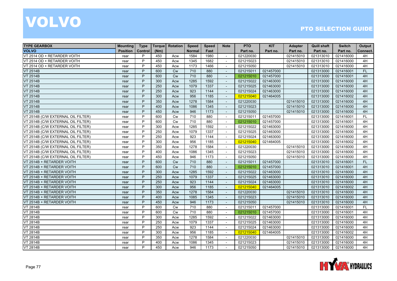| <b>TYPE GEARBOX</b>                | <b>Mounting</b> | <b>Type</b> | <b>Torque</b> | Rotation  | Speed         | <b>Speed</b> | <b>Note</b>              | <b>PTO</b> | <b>KIT</b> | <b>Adapter</b> | <b>Quill shaft</b> | <b>Switch</b> | Output    |
|------------------------------------|-----------------|-------------|---------------|-----------|---------------|--------------|--------------------------|------------|------------|----------------|--------------------|---------------|-----------|
| <b>VOLVO</b>                       | <b>Position</b> | Control     | (Nm)          |           | <b>Normal</b> | Fast         |                          | Part no.   | Part no.   | Part no.       | Part no.           | Part no.      | Connect.  |
| VT 2514 OD + RETARDER VOITH        | rear            | P           | 450           | Acw       | 1584          | 1980         | $\sim$                   | 021220030  |            | 021415010      | 021313010          | 021416000     | 4H        |
| VT 2514 OD + RETARDER VOITH        | rear            | P           | 450           | Acw       | 1345          | 1682         | $\blacksquare$           | 021215023  |            | 021415010      | 021313010          | 021416000     | 4H        |
| VT 2514 OD + RETARDER VOITH        | rear            | P           | 450           | Acw       | 1173          | 1466         |                          | 021215050  |            | 021415010      | 021313010          | 021416000     | 4H        |
| <b>VT 2514B</b>                    | rear            | P           | 600           | <b>Cw</b> | 710           | 880          | $\sim$                   | 021215011  | 021457000  |                | 021313000          | 021416001     | <b>FL</b> |
| <b>VT 2514B</b>                    | rear            | P           | 600           | <b>Cw</b> | 710           | 880          | $\sim$                   | 021215010  | 021457000  |                | 021313000          | 021416001     | 4H        |
| <b>VT 2514B</b>                    | rear            | P           | 300           | Acw       | 1285          | 1592         | $\sim$                   | 021215022  | 021463000  |                | 021313000          | 021416000     | 4H        |
| <b>VT 2514B</b>                    | rear            | P           | 250           | Acw       | 1079          | 1337         | $\mathbf{r}$             | 021215025  | 021463000  |                | 021313000          | 021416000     | 4H        |
| <b>VT 2514B</b>                    | rear            | P           | 250           | Acw       | 923           | 1144         | $\sim$                   | 021215024  | 021463000  |                | 021313000          | 021416000     | 4H        |
| <b>VT 2514B</b>                    | rear            | P           | 300           | Acw       | 956           | 1185         |                          | 021215040  | 021464005  |                | 021313000          | 021416002     | 4H        |
| VT 2514B                           | rear            | P           | 350           | Acw       | 1278          | 1584         | $\sim$                   | 021220030  |            | 021415010      | 021313000          | 021416000     | 4H        |
| <b>VT 2514B</b>                    | rear            | P           | 400           | Acw       | 1086          | 1345         | $\sim$                   | 021215023  |            | 021415010      | 021313000          | 021416000     | 4H        |
| <b>VT 2514B</b>                    | rear            | P           | 450           | Acw       | 946           | 1173         | $\omega$                 | 021215050  |            | 021415010      | 021313000          | 021416000     | 4H        |
| VT 2514B (C/W EXTERNAL OIL FILTER) | rear            | P           | 600           | <b>Cw</b> | 710           | 880          | $\sim$                   | 021215011  | 021457000  |                | 021313000          | 021416001     | <b>FL</b> |
| VT 2514B (C/W EXTERNAL OIL FILTER) | rear            | P           | 600           | Cw        | 710           | 880          | $\sim$                   | 021215010  | 021457000  |                | 021313000          | 021416001     | 4H        |
| VT 2514B (C/W EXTERNAL OIL FILTER) | rear            | P           | 300           | Acw       | 1285          | 1592         |                          | 021215022  | 021463000  |                | 021313000          | 021416000     | 4H        |
| VT 2514B (C/W EXTERNAL OIL FILTER) | rear            | P           | 250           | Acw       | 1079          | 1337         | $\sim$                   | 021215025  | 021463000  |                | 021313000          | 021416000     | 4H        |
| VT 2514B (C/W EXTERNAL OIL FILTER) | rear            | P           | 250           | Acw       | 923           | 1144         | $\overline{\phantom{a}}$ | 021215024  | 021463000  |                | 021313000          | 021416000     | 4H        |
| VT 2514B (C/W EXTERNAL OIL FILTER) | rear            | P           | 300           | Acw       | 956           | 1185         | $\sim$                   | 021215040  | 021464005  |                | 021313000          | 021416002     | 4H        |
| VT 2514B (C/W EXTERNAL OIL FILTER) | rear            | P           | 350           | Acw       | 1278          | 1584         | $\sim$                   | 021220030  |            | 021415010      | 021313000          | 021416000     | 4H        |
| VT 2514B (C/W EXTERNAL OIL FILTER) | rear            | P           | 400           | Acw       | 1086          | 1345         | $\sim$                   | 021215023  |            | 021415010      | 021313000          | 021416000     | 4H        |
| VT 2514B (C/W EXTERNAL OIL FILTER) | rear            | P           | 450           | Acw       | 946           | 1173         | $\overline{\phantom{a}}$ | 021215050  |            | 021415010      | 021313000          | 021416000     | 4H        |
| VT 2514B + RETARDER VOITH          | rear            | P           | 600           | <b>Cw</b> | 710           | 880          | $\sim$                   | 021215011  | 021457000  |                | 021313010          | 021416001     | <b>FL</b> |
| VT 2514B + RETARDER VOITH          | rear            | P           | 600           | Cw        | 710           | 880          | $\sim$                   | 021215010  | 021457000  |                | 021313010          | 021416001     | 4H        |
| VT 2514B + RETARDER VOITH          | rear            | P           | 300           | Acw       | 1285          | 1592         | $\blacksquare$           | 021215022  | 021463000  |                | 021313010          | 021416000     | 4H        |
| VT 2514B + RETARDER VOITH          | rear            | P           | 250           | Acw       | 1079          | 1337         | $\sim$                   | 021215025  | 021463000  |                | 021313010          | 021416000     | 4H        |
| VT 2514B + RETARDER VOITH          | rear            | P           | 250           | Acw       | 923           | 1144         |                          | 021215024  | 021463000  |                | 021313010          | 021416000     | 4H        |
| VT 2514B + RETARDER VOITH          | rear            | P           | 300           | Acw       | 956           | 1185         | $\sim$                   | 021215040  | 021464005  |                | 021313010          | 021416002     | 4H        |
| VT 2514B + RETARDER VOITH          | rear            | P           | 350           | Acw       | 1278          | 1584         | $\sim$                   | 021220030  |            | 021415010      | 021313010          | 021416000     | 4H        |
| VT 2514B + RETARDER VOITH          | rear            | P           | 400           | Acw       | 1085          | 1345         | $\blacksquare$           | 021215023  |            | 021415010      | 021313010          | 021416000     | 4H        |
| VT 2514B + RETARDER VOITH          | rear            | P           | 450           | Acw       | 946           | 1173         | $\blacksquare$           | 021215050  |            | 021415010      | 021313010          | 021416000     | 4H        |
| <b>VT 2814B</b>                    | rear            | P           | 600           | <b>Cw</b> | 710           | 880          | $\blacksquare$           | 021215011  | 021457000  |                | 021313000          | 021416001     | <b>FL</b> |
| <b>VT 2814B</b>                    | rear            | P           | 600           | Cw        | 710           | 880          | $\sim$                   | 021215010  | 021457000  |                | 021313000          | 021416001     | 4H        |
| <b>VT 2814B</b>                    | rear            | P           | 300           | Acw       | 1285          | 1592         | $\sim$                   | 021215022  | 021463000  |                | 021313000          | 021416000     | 4H        |
| <b>VT 2814B</b>                    | rear            | P           | 250           | Acw       | 1079          | 1337         | $\overline{\phantom{a}}$ | 021215025  | 021463000  |                | 021313000          | 021416000     | 4H        |
| <b>VT 2814B</b>                    | rear            | P           | 250           | Acw       | 923           | 1144         | $\sim$                   | 021215024  | 021463000  |                | 021313000          | 021416000     | 4H        |
| <b>VT 2814B</b>                    | rear            | P           | 300           | Acw       | 956           | 1185         | $\mathbf{r}$             | 021215040  | 021464005  |                | 021313000          | 021416002     | 4H        |
| <b>VT 2814B</b>                    | rear            | P           | 350           | Acw       | 1278          | 1584         | $\overline{\phantom{a}}$ | 021220030  |            | 021415010      | 021313000          | 021416000     | 4H        |
| <b>VT 2814B</b>                    | rear            | P           | 400           | Acw       | 1086          | 1345         |                          | 021215023  |            | 021415010      | 021313000          | 021416000     | 4H        |
| <b>VT 2814B</b>                    | rear            | P           | 450           | Acw       | 946           | 1173         | $\sim$                   | 021215050  |            | 021415010      | 021313000          | 021416000     | 4H        |

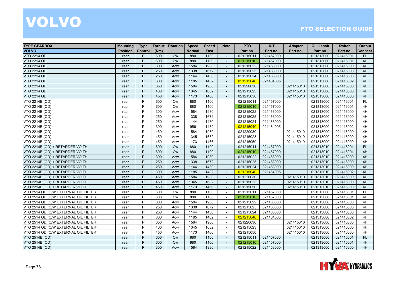| <b>TYPE GEARBOX</b>                   | <b>Mounting</b> | <b>Type</b> | <b>Torque</b> | Rotation  | Speed         | <b>Speed</b> | <b>Note</b>              | <b>PTO</b> | <b>KIT</b> | <b>Adapter</b> | <b>Quill shaft</b> | <b>Switch</b> | Output    |
|---------------------------------------|-----------------|-------------|---------------|-----------|---------------|--------------|--------------------------|------------|------------|----------------|--------------------|---------------|-----------|
| <b>VOLVO</b>                          | <b>Position</b> | Control     | (Nm)          |           | <b>Normal</b> | Fast         |                          | Part no.   | Part no.   | Part no.       | Part no.           | Part no.      | Connect.  |
| <b>VTO 2214 OD</b>                    | rear            | P           | 600           | <b>Cw</b> | 880           | 1100         | $\mathbf{r}$             | 021215011  | 021457000  |                | 021313000          | 021416001     | <b>FL</b> |
| <b>VTO 2214 OD</b>                    | rear            | P           | 600           | Cw        | 880           | 1100         | $\overline{\phantom{a}}$ | 021215010  | 021457000  |                | 021313000          | 021416001     | 4H        |
| <b>VTO 2214 OD</b>                    | rear            | P           | 300           | Acw       | 1584          | 1980         |                          | 021215022  | 021463000  |                | 021313000          | 021416000     | 4H        |
| <b>VTO 2214 OD</b>                    | rear            | P           | 250           | Acw       | 1338          | 1672         | $\blacksquare$           | 021215025  | 021463000  |                | 021313000          | 021416000     | 4H        |
| <b>VTO 2214 OD</b>                    | rear            | P           | 250           | Acw       | 1144          | 1430         | $\sim$                   | 021215024  | 021463000  |                | 021313000          | 021416000     | 4H        |
| <b>VTO 2214 OD</b>                    | rear            | P           | 300           | Acw       | 1185          | 1482         | $\sim$                   | 021215040  | 021464005  |                | 021313000          | 021416002     | 4H        |
| <b>VTO 2214 OD</b>                    | rear            | P           | 350           | Acw       | 1584          | 1980         | $\mathbf{r}$             | 021220030  |            | 021415010      | 021313000          | 021416000     | 4H        |
| <b>VTO 2214 OD</b>                    | rear            | P           | 400           | Acw       | 1345          | 1682         | $\sim$                   | 021215023  |            | 021415010      | 021313000          | 021416000     | 4H        |
| <b>VTO 2214 OD</b>                    | rear            | P           | 450           | Acw       | 1173          | 1466         |                          | 021215050  |            | 021415010      | 021313000          | 021416000     | 4H        |
| VTO 2214B (OD)                        | rear            | P           | 600           | Cw        | 880           | 1100         | $\sim$                   | 021215011  | 021457000  |                | 021313000          | 021416001     | <b>FL</b> |
| VTO 2214B (OD)                        | rear            | P           | 600           | <b>Cw</b> | 880           | 1100         | $\overline{\phantom{a}}$ | 021215010  | 021457000  |                | 021313000          | 021416001     | 4H        |
| VTO 2214B (OD)                        | rear            | P           | 300           | Acw       | 1584          | 1980         | $\sim$                   | 021215022  | 021463000  |                | 021313000          | 021416000     | 4H        |
| VTO 2214B (OD)                        | rear            | P           | 250           | Acw       | 1338          | 1672         | $\sim$                   | 021215025  | 021463000  |                | 021313000          | 021416000     | 4H        |
| VTO 2214B (OD)                        | rear            | P           | 250           | Acw       | 1144          | 1430         | $\sim$                   | 021215024  | 021463000  |                | 021313000          | 021416000     | 4H        |
| VTO 2214B (OD)                        | rear            | P           | 300           | Acw       | 956           | 1482         |                          | 021215040  | 021464005  |                | 021313000          | 021416002     | 4H        |
| VTO 2214B (OD)                        | rear            | P           | 450           | Acw       | 1584          | 1980         | $\sim$                   | 021220030  |            | 021415010      | 021313000          | 021416000     | 4H        |
| VTO 2214B (OD)                        | rear            | P           | 450           | Acw       | 1345          | 1682         | $\overline{\phantom{a}}$ | 021215023  |            | 021415010      | 021313000          | 021416000     | 4H        |
| VTO 2214B (OD)                        | rear            | P           | 450           | Acw       | 1173          | 1466         | $\sim$                   | 021215050  |            | 021415010      | 021313000          | 021416000     | 4H        |
| VTO 2214B (OD) + RETARDER VOITH       | rear            | P           | 600           | Cw        | 880           | 1100         | $\blacksquare$           | 021215011  | 021457000  |                | 021313010          | 021416001     | FL        |
| VTO 2214B (OD) + RETARDER VOITH       | rear            | P           | 600           | <b>Cw</b> | 880           | 1100         | $\overline{\phantom{a}}$ | 021215010  | 021457000  |                | 021313010          | 021416001     | 4H        |
| VTO 2214B (OD) + RETARDER VOITH       | rear            | P           | 300           | Acw       | 1584          | 1980         | $\sim$                   | 021215022  | 021463000  |                | 021313010          | 021416000     | 4H        |
| VTO 2214B (OD) + RETARDER VOITH       | rear            | P           | 250           | Acw       | 1338          | 1672         | $\sim$                   | 021215025  | 021463000  |                | 021313010          | 021416000     | 4H        |
| VTO 2214B (OD) + RETARDER VOITH       | rear            | P           | 250           | Acw       | 1144          | 1430         | $\sim$                   | 021215024  | 021463000  |                | 021313010          | 021416000     | 4H        |
| VTO 2214B (OD) + RETARDER VOITH       | rear            | P           | 300           | Acw       | 1185          | 1482         | $\mathbf{r}$             | 021215040  | 021464005  |                | 021313010          | 021416002     | 4H        |
| VTO 2214B (OD) + RETARDER VOITH       | rear            | P           | 450           | Acw       | 1584          | 1980         | $\mathbf{r}$             | 021220030  |            | 021415010      | 021313010          | 021416000     | 4H        |
| VTO 2214B (OD) + RETARDER VOITH       | rear            | P           | 450           | Acw       | 1345          | 1682         |                          | 021215023  |            | 021415010      | 021313010          | 021416000     | 4H        |
| VTO 2214B (OD) + RETARDER VOITH       | rear            | P           | 450           | Acw       | 1173          | 1466         | $\sim$                   | 021215050  |            | 021415010      | 021313010          | 021416000     | 4H        |
| VTO 2514 OD (C/W EXTERNAL OIL FILTER) | rear            | P           | 600           | <b>Cw</b> | 880           | 1100         | $\sim$                   | 021215011  | 021457000  |                | 021313000          | 021416001     | FL        |
| VTO 2514 OD (C/W EXTERNAL OIL FILTER) | rear            | P           | 600           | <b>Cw</b> | 880           | 1100         | $\sim$                   | 021215010  | 021457000  |                | 021313000          | 021416001     | 4H        |
| VTO 2514 OD (C/W EXTERNAL OIL FILTER) | rear            | P           | 300           | Acw       | 1584          | 1980         | $\blacksquare$           | 021215022  | 021463000  |                | 021313000          | 021416000     | 4H        |
| VTO 2514 OD (C/W EXTERNAL OIL FILTER) | rear            | P           | 250           | Acw       | 1338          | 1672         | $\blacksquare$           | 021215025  | 021463000  |                | 021313000          | 021416000     | 4H        |
| VTO 2514 OD (C/W EXTERNAL OIL FILTER) | rear            | P           | 250           | Acw       | 1144          | 1430         | $\sim$                   | 021215024  | 021463000  |                | 021313000          | 021416000     | 4H        |
| VTO 2514 OD (C/W EXTERNAL OIL FILTER) | rear            | P           | 300           | Acw       | 1185          | 1482         | $\sim$                   | 021215040  | 021464005  |                | 021313000          | 021416002     | 4H        |
| VTO 2514 OD (C/W EXTERNAL OIL FILTER) | rear            | P           | 350           | Acw       | 1584          | 1980         | $\overline{\phantom{a}}$ | 021220030  |            | 021415010      | 021313000          | 021416000     | 4H        |
| VTO 2514 OD (C/W EXTERNAL OIL FILTER) | rear            | P           | 400           | Acw       | 1345          | 1682         | $\sim$                   | 021215023  |            | 021415010      | 021313000          | 021416000     | 4H        |
| VTO 2514 OD (C/W EXTERNAL OIL FILTER) | rear            | P           | 450           | Acw       | 1173          | 1466         | $\mathbf{r}$             | 021215050  |            | 021415010      | 021313000          | 021416000     | 4H        |
| VTO 2514B (OD)                        | rear            | P           | 600           | Cw        | 880           | 1100         | $\sim$                   | 021215011  | 021457000  |                | 021313000          | 021416001     | <b>FL</b> |
| VTO 2514B (OD)                        | rear            | P           | 600           | <b>Cw</b> | 880           | 1100         |                          | 021215010  | 021457000  |                | 021313000          | 021416001     | 4H        |
| VTO 2514B (OD)                        | rear            | P           | 300           | Acw       | 1584          | 1980         | $\sim$                   | 021215022  | 021463000  |                | 021313000          | 021416000     | 4H        |

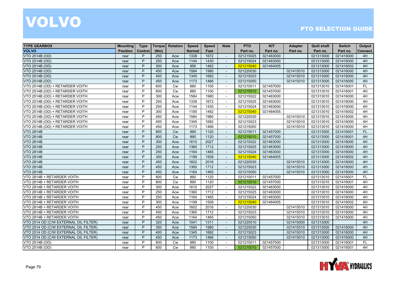| <b>TYPE GEARBOX</b>                   | <b>Mounting</b> | <b>Type</b> | <b>Torque</b> | Rotation  | <b>Speed</b>  | <b>Speed</b> | <b>Note</b>              | <b>PTO</b> | <b>KIT</b> | <b>Adapter</b> | <b>Quill shaft</b> | <b>Switch</b> | Output    |
|---------------------------------------|-----------------|-------------|---------------|-----------|---------------|--------------|--------------------------|------------|------------|----------------|--------------------|---------------|-----------|
| <b>VOLVO</b>                          | <b>Position</b> | Control     | (Nm)          |           | <b>Normal</b> | Fast         |                          | Part no.   | Part no.   | Part no.       | Part no.           | Part no.      | Connect.  |
| VTO 2514B (OD)                        | rear            | P           | 250           | Acw       | 1338          | 1672         | $\sim$                   | 021215025  | 021463000  |                | 021313000          | 021416000     | 4H        |
| VTO 2514B (OD)                        | rear            | P           | 250           | Acw       | 1144          | 1430         | $\overline{\phantom{a}}$ | 021215024  | 021463000  |                | 021313000          | 021416000     | 4H        |
| VTO 2514B (OD)                        | rear            | P           | 300           | Acw       | 956           | 1482         |                          | 021215040  | 021464005  |                | 021313000          | 021416002     | 4H        |
| VTO 2514B (OD)                        | rear            | P           | 450           | Acw       | 1584          | 1980         | $\overline{a}$           | 021220030  |            | 021415010      | 021313000          | 021416000     | 4H        |
| VTO 2514B (OD)                        | rear            | P           | 450           | Acw       | 1345          | 1682         | $\sim$                   | 021215023  |            | 021415010      | 021313000          | 021416000     | 4H        |
| VTO 2514B (OD)                        | rear            | P           | 450           | Acw       | 1173          | 1466         | $\sim$                   | 021215050  |            | 021415010      | 021313000          | 021416000     | 4H        |
| VTO 2514B (OD) + RETARDER VOITH       | rear            | P           | 600           | Cw        | 880           | 1100         | $\blacksquare$           | 021215011  | 021457000  |                | 021313010          | 021416001     | <b>FL</b> |
| VTO 2514B (OD) + RETARDER VOITH       | rear            | P           | 600           | <b>Cw</b> | 880           | 1100         | $\blacksquare$           | 021215010  | 021457000  |                | 021313010          | 021416001     | 4H        |
| VTO 2514B (OD) + RETARDER VOITH       | rear            | P           | 300           | Acw       | 1584          | 1980         |                          | 021215022  | 021463000  |                | 021313010          | 021416000     | 4H        |
| VTO 2514B (OD) + RETARDER VOITH       | rear            | P           | 250           | Acw       | 1338          | 1672         | $\sim$                   | 021215025  | 021463000  |                | 021313010          | 021416000     | 4H        |
| VTO 2514B (OD) + RETARDER VOITH       | rear            | P           | 250           | Acw       | 1144          | 1430         | $\overline{\phantom{a}}$ | 021215024  | 021463000  |                | 021313010          | 021416000     | 4H        |
| VTO 2514B (OD) + RETARDER VOITH       | rear            | P           | 300           | Acw       | 1185          | 1482         | $\sim$                   | 021215040  | 021464005  |                | 021313010          | 021416002     | 4H        |
| VTO 2514B (OD) + RETARDER VOITH       | rear            | P           | 450           | Acw       | 1584          | 1980         | $\blacksquare$           | 021220030  |            | 021415010      | 021313010          | 021416000     | 4H        |
| VTO 2514B (OD) + RETARDER VOITH       | rear            | P           | 450           | Acw       | 1345          | 1682         | $\overline{\phantom{a}}$ | 021215023  |            | 021415010      | 021313010          | 021416000     | 4H        |
| VTO 2514B (OD) + RETARDER VOITH       | rear            | P           | 450           | Acw       | 1173          | 1466         | $\sim$                   | 021215050  |            | 021415010      | 021313010          | 021416000     | 4H        |
| <b>VTO 2814B</b>                      | rear            | P           | 800           | Cw        | 890           | 1120         | $\sim$                   | 021215011  | 021457000  |                | 021313000          | 021416001     | FL        |
| <b>VTO 2814B</b>                      | rear            | P           | 800           | <b>Cw</b> | 890           | 1120         | $\overline{\phantom{a}}$ | 021215010  | 021457000  |                | 021313000          | 021416001     | 4H        |
| <b>VTO 2814B</b>                      | rear            | P           | 300           | Acw       | 1610          | 2027         | $\blacksquare$           | 021215022  | 021463000  |                | 021313000          | 021416000     | 4H        |
| <b>VTO 2814B</b>                      | rear            | P           | 250           | Acw       | 1360          | 1712         | $\blacksquare$           | 021215025  | 021463000  |                | 021313000          | 021416000     | 4H        |
| <b>VTO 2814B</b>                      | rear            | P           | 250           | Acw       | 1164          | 1465         | $\overline{\phantom{a}}$ | 021215024  | 021463000  |                | 021313000          | 021416000     | 4H        |
| <b>VTO 2814B</b>                      | rear            | P           | 300           | Acw       | 1199          | 1508         | $\sim$                   | 021215040  | 021464005  |                | 021313000          | 021416002     | 4H        |
| <b>VTO 2814B</b>                      | rear            | P           | 450           | Acw       | 1602          | 2016         | $\sim$                   | 021220030  |            | 021415010      | 021313000          | 021416000     | 4H        |
| <b>VTO 2814B</b>                      | rear            | P           | 450           | Acw       | 1360          | 1712         | $\sim$                   | 021215023  |            | 021415010      | 021313000          | 021416000     | 4H        |
| <b>VTO 2814B</b>                      | rear            | P           | 450           | Acw       | 1164          | 1465         | $\sim$                   | 021215050  |            | 021415010      | 021313000          | 021416000     | 4H        |
| VTO 2814B + RETARDER VOITH            | rear            | P           | 800           | Cw        | 890           | 1120         | $\blacksquare$           | 021215011  | 021457000  |                | 021313010          | 021416001     | <b>FL</b> |
| VTO 2814B + RETARDER VOITH            | rear            | P           | 800           | Cw        | 890           | 1120         |                          | 021215010  | 021457000  |                | 021313010          | 021416001     | 4H        |
| VTO 2814B + RETARDER VOITH            | rear            | P           | 300           | Acw       | 1610          | 2027         | $\sim$                   | 021215022  | 021463000  |                | 021313010          | 021416000     | 4H        |
| VTO 2814B + RETARDER VOITH            | rear            | P           | 250           | Acw       | 1360          | 1712         | $\sim$                   | 021215025  | 021463000  |                | 021313010          | 021416000     | 4H        |
| VTO 2814B + RETARDER VOITH            | rear            | P           | 250           | Acw       | 1164          | 1465         | $\sim$                   | 021215024  | 021463000  |                | 021313010          | 021416000     | 4H        |
| VTO 2814B + RETARDER VOITH            | rear            | P           | 300           | Acw       | 1199          | 1508         | $\sim$                   | 021215040  | 021464005  |                | 021313010          | 021416002     | 4H        |
| VTO 2814B + RETARDER VOITH            | rear            | P           | 450           | Acw       | 1602          | 2016         | $\blacksquare$           | 021220030  |            | 021415010      | 021313010          | 021416000     | 4H        |
| VTO 2814B + RETARDER VOITH            | rear            | P           | 450           | Acw       | 1360          | 1712         |                          | 021215023  |            | 021415010      | 021313010          | 021416000     | 4H        |
| VTO 2814B + RETARDER VOITH            | rear            | P           | 450           | Acw       | 1164          | 1465         | $\sim$                   | 021215050  |            | 021415010      | 021313010          | 021416000     | 4H        |
| VTO 2514 OD (C/W EXTERNAL OIL FILTER) | rear            | P           | 320           | Acw       | 1041          | 1311         | $\sim$                   | 021220010  |            | 021415000      | 021313000          |               | 4H        |
| VTO 2514 OD (C/W EXTERNAL OIL FILTER) | rear            | P           | 350           | Acw       | 1584          | 1980         | $\sim$                   | 021220030  |            | 021415010      | 021313000          | 021416000     | 4H        |
| VTO 2514 OD (C/W EXTERNAL OIL FILTER) | rear            | P           | 400           | Acw       | 1345          | 1682         | $\mathbf{r}$             | 021215023  |            | 021415010      | 021313000          | 021416000     | 4H        |
| VTO 2514 OD (C/W EXTERNAL OIL FILTER) | rear            | P           | 450           | Acw       | 1173          | 1466         | $\sim$                   | 021215050  |            | 021415010      | 021313000          | 021416000     | 4H        |
| VTO 2514B (OD)                        | rear            | P           | 600           | <b>Cw</b> | 880           | 1100         |                          | 021215011  | 021457000  |                | 021313000          | 021416001     | <b>FL</b> |
| VTO 2514B (OD)                        | rear            | P           | 600           | Cw        | 880           | 1100         | $\sim$                   | 021215010  | 021457000  |                | 021313000          | 021416001     | 4H        |

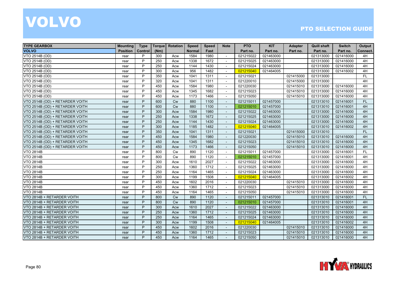| <b>TYPE GEARBOX</b>             | <b>Mounting</b> | <b>Type</b> | <b>Torque</b> | Rotation  | Speed         | <b>Speed</b> | <b>Note</b>              | <b>PTO</b> | <b>KIT</b> | <b>Adapter</b> | <b>Quill shaft</b> | <b>Switch</b> | Output    |
|---------------------------------|-----------------|-------------|---------------|-----------|---------------|--------------|--------------------------|------------|------------|----------------|--------------------|---------------|-----------|
| <b>VOLVO</b>                    | <b>Position</b> | Control     | (Nm)          |           | <b>Normal</b> | Fast         |                          | Part no.   | Part no.   | Part no.       | Part no.           | Part no.      | Connect.  |
| VTO 2514B (OD)                  | rear            | P           | 300           | Acw       | 1584          | 1980         |                          | 021215022  | 021463000  |                | 021313000          | 021416000     | 4H        |
| VTO 2514B (OD)                  | rear            | P           | 250           | Acw       | 1338          | 1672         | $\sim$                   | 021215025  | 021463000  |                | 021313000          | 021416000     | 4H        |
| VTO 2514B (OD)                  | rear            | D           | 250           | Acw       | 1144          | 1430         | $\sim$                   | 021215024  | 021463000  |                | 021313000          | 021416000     | 4H        |
| VTO 2514B (OD)                  | rear            | P           | 300           | Acw       | 956           | 1482         | $\sim$                   | 021215040  | 021464005  |                | 021313000          | 021416002     | 4H        |
| VTO 2514B (OD)                  | rear            | P           | 350           | Acw       | 1041          | 1311         | $\blacksquare$           | 021215021  |            | 021415000      | 021313000          |               | <b>FL</b> |
| VTO 2514B (OD)                  | rear            | P           | 320           | Acw       | 1041          | 1311         | $\overline{\phantom{a}}$ | 021220010  |            | 021415000      | 021313000          |               | 4H        |
| VTO 2514B (OD)                  | rear            | P           | 450           | Acw       | 1584          | 1980         | $\overline{\phantom{a}}$ | 021220030  |            | 021415010      | 021313000          | 021416000     | 4H        |
| VTO 2514B (OD)                  | rear            | P           | 450           | Acw       | 1345          | 1682         |                          | 021215023  |            | 021415010      | 021313000          | 021416000     | 4H        |
| VTO 2514B (OD)                  | rear            | P           | 450           | Acw       | 1173          | 1466         |                          | 021215050  |            | 021415010      | 021313000          | 021416000     | 4H        |
| VTO 2514B (OD) + RETARDER VOITH | rear            | P           | 600           | Cw        | 880           | 1100         |                          | 021215011  | 021457000  |                | 021313010          | 021416001     | FL        |
| VTO 2514B (OD) + RETARDER VOITH | rear            | P           | 600           | Cw        | 880           | 1100         | $\sim$                   | 021215010  | 021457000  |                | 021313010          | 021416001     | 4H        |
| VTO 2514B (OD) + RETARDER VOITH | rear            | P           | 300           | Acw       | 1584          | 1980         | $\sim$                   | 021215022  | 021463000  |                | 021313000          | 021416000     | 4H        |
| VTO 2514B (OD) + RETARDER VOITH | rear            | P           | 250           | Acw       | 1338          | 1672         | $\sim$                   | 021215025  | 021463000  |                | 021313000          | 021416000     | 4H        |
| VTO 2514B (OD) + RETARDER VOITH | rear            | P           | 250           | Acw       | 1144          | 1430         | $\overline{a}$           | 021215024  | 021463000  |                | 021313000          | 021416000     | 4H        |
| VTO 2514B (OD) + RETARDER VOITH | rear            | P           | 300           | Acw       | 1185          | 1482         | $\overline{a}$           | 021215040  | 021464005  |                | 021313010          | 021416002     | 4H        |
| VTO 2514B (OD) + RETARDER VOITH | rear            | P           | 350           | Acw       | 1041          | 1311         | $\blacksquare$           | 021215021  |            | 021415000      | 021313010          |               | FL        |
| VTO 2514B (OD) + RETARDER VOITH | rear            | P           | 450           | Acw       | 1584          | 1980         | $\overline{\phantom{a}}$ | 021220030  |            | 021415010      | 021313010          | 021416000     | 4H        |
| VTO 2514B (OD) + RETARDER VOITH | rear            | P           | 450           | Acw       | 1345          | 1682         | $\overline{\phantom{a}}$ | 021215023  |            | 021415010      | 021313010          | 021416000     | 4H        |
| VTO 2514B (OD) + RETARDER VOITH | rear            | P           | 450           | Acw       | 1173          | 1466         | $\sim$                   | 021215050  |            | 021415010      | 021313010          | 021416000     | 4H        |
| <b>VTO 2814B</b>                | rear            | P           | 800           | <b>Cw</b> | 890           | 1120         |                          | 021215011  | 021457000  |                | 021313000          | 021416001     | <b>FL</b> |
| <b>VTO 2814B</b>                | rear            | P           | 800           | <b>Cw</b> | 890           | 1120         | $\overline{\phantom{a}}$ | 021215010  | 021457000  |                | 021313000          | 021416001     | 4H        |
| <b>VTO 2814B</b>                | rear            | P           | 300           | Acw       | 1610          | 2027         | $\sim$                   | 021215022  | 021463000  |                | 021313000          | 021416000     | 4H        |
| <b>VTO 2814B</b>                | rear            | P           | 250           | Acw       | 1360          | 1712         | $\sim$                   | 021215025  | 021463000  |                | 021313000          | 021416000     | 4H        |
| <b>VTO 2814B</b>                | rear            | P           | 250           | Acw       | 1164          | 1465         | $\overline{\phantom{a}}$ | 021215024  | 021463000  |                | 021313000          | 021416000     | 4H        |
| <b>VTO 2814B</b>                | rear            | P           | 300           | Acw       | 1199          | 1508         | $\sim$                   | 021215040  | 021464005  |                | 021313000          | 021416002     | 4H        |
| <b>VTO 2814B</b>                | rear            | P           | 450           | Acw       | 1602          | 2016         | $\sim$                   | 021220030  |            | 021415010      | 021313000          | 021416000     | 4H        |
| <b>VTO 2814B</b>                | rear            | D           | 450           | Acw       | 1360          | 1712         | $\sim$                   | 021215023  |            | 021415010      | 021313000          | 021416000     | 4H        |
| <b>VTO 2814B</b>                | rear            | P           | 450           | Acw       | 1164          | 1465         | $\sim$                   | 021215050  |            | 021415010      | 021313000          | 021416000     | 4H        |
| VTO 2814B + RETARDER VOITH      | rear            | P           | 800           | Cw        | 890           | 1120         | $\sim$                   | 021215011  | 021457000  |                | 021313010          | 021416001     | <b>FL</b> |
| VTO 2814B + RETARDER VOITH      | rear            | P           | 800           | <b>Cw</b> | 890           | 1120         | $\overline{\phantom{a}}$ | 021215010  | 021457000  |                | 021313010          | 021416001     | 4H        |
| VTO 2814B + RETARDER VOITH      | rear            | P           | 300           | Acw       | 1610          | 2027         |                          | 021215022  | 021463000  |                | 021313010          | 021416000     | 4H        |
| VTO 2814B + RETARDER VOITH      | rear            | P           | 250           | Acw       | 1360          | 1712         |                          | 021215025  | 021463000  |                | 021313010          | 021416000     | 4H        |
| VTO 2814B + RETARDER VOITH      | rear            | P           | 250           | Acw       | 1164          | 1465         |                          | 021215024  | 021463000  |                | 021313010          | 021416000     | 4H        |
| VTO 2814B + RETARDER VOITH      | rear            | P           | 300           | Acw       | 1199          | 1508         |                          | 021215040  | 021464005  |                | 021313010          | 021416002     | 4H        |
| VTO 2814B + RETARDER VOITH      | rear            | P           | 450           | Acw       | 1602          | 2016         | $\sim$                   | 021220030  |            | 021415010      | 021313010          | 021416000     | 4H        |
| VTO 2814B + RETARDER VOITH      | rear            | P           | 450           | Acw       | 1360          | 1712         | $\sim$                   | 021215023  |            | 021415010      | 021313010          | 021416000     | 4H        |
| VTO 2814B + RETARDER VOITH      | rear            | P           | 450           | Acw       | 1164          | 1465         |                          | 021215050  |            | 021415010      | 021313010          | 021416000     | 4H        |

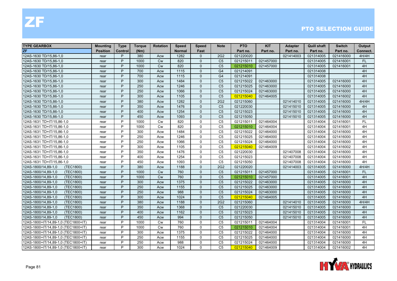| <b>TYPE GEARBOX</b>                 | <b>Mounting</b> | <b>Type</b> | <b>Torque</b> | <b>Rotation</b> | <b>Speed</b>  | <b>Speed</b> | <b>Note</b>     | <b>PTO</b> | <b>KIT</b> | Adapter   | <b>Quill shaft</b> | <b>Switch</b> | Output    |
|-------------------------------------|-----------------|-------------|---------------|-----------------|---------------|--------------|-----------------|------------|------------|-----------|--------------------|---------------|-----------|
| <b>ZF</b>                           | <b>Position</b> | Control     | (Nm)          |                 | <b>Normal</b> | Fast         |                 | Part no.   | Part no.   | Part no.  | Part no.           | Part no.      | Connect.  |
| 12AS-1630 TD/15,86-1,0              | rear            | P           | 380           | Acw             | 1282          | $\Omega$     | 2G2             | 021220020  |            | 021414003 | 021314005          | 021416000     | 4H/4H     |
| 12AS-1630 TD/15,86-1,0              | rear            | P           | 1000          | <b>Cw</b>       | 820           | $\Omega$     | C <sub>5</sub>  | 021215011  | 021457000  |           | 021314005          | 021416001     | <b>FL</b> |
| 12AS-1630 TD/15,86-1,0              | rear            | P           | 1000          | Cw              | 820           | $\Omega$     | C <sub>5</sub>  | 021215010  | 021457000  |           | 021314005          | 021416001     | 4H        |
| 12AS-1630 TD/15,86-1,0              | rear            | P           | 700           | Acw             | 1115          | $\Omega$     | G <sub>4</sub>  | 021214091  |            |           | 021314008          |               | 4H        |
| 12AS-1630 TD/15,86-1,0              | rear            | P           | 700           | Acw             | 1115          | $\Omega$     | G <sub>4</sub>  | 021214091  |            |           | 021314008          |               | 4H        |
| 12AS-1630 TD/15,86-1,0              | rear            | P           | 300           | Acw             | 1484          | $\Omega$     | C <sub>5</sub>  | 021215022  | 021463000  |           | 021314005          | 021416000     | 4H        |
| 12AS-1630 TD/15,86-1,0              | rear            | P           | 250           | Acw             | 1246          | $\mathbf{0}$ | C <sub>5</sub>  | 021215025  | 021463000  |           | 021314005          | 021416000     | 4H        |
| 12AS-1630 TD/15,86-1,0              | rear            | P           | 250           | Acw             | 1066          | $\Omega$     | C <sub>5</sub>  | 021215024  | 021463000  |           | 021314005          | 021416000     | 4H        |
| 12AS-1630 TD/15,86-1,0              | rear            | P           | 300           | Acw             | 1105          | $\Omega$     | C <sub>5</sub>  | 021215040  | 021464005  |           | 021314005          | 021416002     | 4H        |
| 12AS-1630 TD/15,86-1,0              | rear            | P           | 380           | Acw             | 1282          | $\Omega$     | 2G2             | 021215060  |            | 021414010 | 021314005          | 021416000     | 4H/4H     |
| 12AS-1630 TD/15,86-1,0              | rear            | P           | 350           | Acw             | 1476          | $\mathbf{0}$ | C <sub>5</sub>  | 021220030  |            | 021415010 | 021314005          | 021416000     | 4H        |
| 12AS-1630 TD/15,86-1,0              | rear            | P           | 400           | Acw             | 1254          | $\mathbf{0}$ | C <sub>5</sub>  | 021215023  |            | 021415010 | 021314005          | 021416000     | 4H        |
| 12AS-1630 TD/15,86-1,0              | rear            | P           | 450           | Acw             | 1093          | $\Omega$     | C <sub>5</sub>  | 021215050  |            | 021415010 | 021314005          | 021416000     | 4H        |
| 12AS-1631 TD+IT/15,86-1,0           | rear            | P           | 1000          | <b>Cw</b>       | 820           | $\Omega$     | C <sub>5</sub>  | 021215011  | 021464004  |           | 021314004          | 021416001     | FL        |
| 12AS-1631 TD+IT/15,86-1,0           | rear            | P           | 1000          | <b>Cw</b>       | 820           | $\Omega$     | C <sub>5</sub>  | 021215010  | 021464004  |           | 021314004          | 021416001     | 4H        |
| 12AS-1631 TD+IT/15,86-1,0           | rear            | P           | 300           | Acw             | 1484          | $\mathbf{0}$ | C <sub>5</sub>  | 021215022  | 021464000  |           | 021314004          | 021416000     | 4H        |
| 12AS-1631 TD+IT/15,86-1,0           | rear            | P           | 250           | Acw             | 1246          | $\mathbf{0}$ | C <sub>5</sub>  | 021215025  | 021464000  |           | 021314004          | 021416000     | 4H        |
| 12AS-1631 TD+IT/15,86-1,0           | rear            | P           | 250           | Acw             | 1066          | $\Omega$     | C <sub>5</sub>  | 021215024  | 021464000  |           | 021314004          | 021416000     | 4H        |
| 12AS-1631 TD+IT/15,86-1,0           | rear            | P           | 300           | Acw             | 1105          | $\Omega$     | C <sub>5</sub>  | 021215040  | 021464009  |           | 021314004          | 021416002     | 4H        |
| 12AS-1631 TD+IT/15,86-1,0           | rear            | P           | 350           | Acw             | 1476          | $\mathbf 0$  | C <sub>5</sub>  | 021220030  |            | 021407008 | 021314004          | 021416000     | 4H        |
| 12AS-1631 TD+IT/15,86-1,0           | rear            | P           | 400           | Acw             | 1254          | $\mathbf{0}$ | C <sub>5</sub>  | 021215023  |            | 021407008 | 021314004          | 021416000     | 4H        |
| 12AS-1631 TD+IT/15,86-1,0           | rear            | P           | 450           | Acw             | 1093          | $\Omega$     | C <sub>5</sub>  | 021215050  |            | 021407008 | 021314004          | 021416000     | 4H        |
| (TEC1800)<br>12AS-1800/14,89-1,0    | rear            | P           | 380           | Acw             | 1188          | $\Omega$     | 2G <sub>2</sub> | 021220020  |            | 021414003 | 021314005          | 021416000     | 4H/4H     |
| 12AS-1800/14,89-1,0<br>(TEC1800)    | rear            | P           | 1000          | <b>Cw</b>       | 760           | $\Omega$     | C <sub>5</sub>  | 021215011  | 021457000  |           | 021314005          | 021416001     | <b>FL</b> |
| 12AS-1800/14,89-1,0<br>(TEC1800)    | rear            | P           | 1000          | Cw              | 760           | $\Omega$     | C <sub>5</sub>  | 021215010  | 021457000  |           | 021314005          | 021416001     | 4H        |
| 12AS-1800/14,89-1,0<br>(TEC1800)    | rear            | P           | 300           | Acw             | 1375          | $\Omega$     | C <sub>5</sub>  | 021215022  | 021463000  |           | 021314005          | 021416000     | 4H        |
| (TEC1800)<br>12AS-1800/14,89-1,0    | rear            | P           | 250           | Acw             | 1155          | $\Omega$     | C <sub>5</sub>  | 021215025  | 021463000  |           | 021314005          | 021416000     | 4H        |
| 12AS-1800/14,89-1,0<br>(TEC1800)    | rear            | P           | 250           | Acw             | 988           | $\Omega$     | C <sub>5</sub>  | 021215024  | 021463000  |           | 021314005          | 021416000     | 4H        |
| 12AS-1800/14,89-1,0<br>(TEC1800)    | rear            | P           | 300           | Acw             | 1024          | $\mathbf{0}$ | C <sub>5</sub>  | 021215040  | 021464005  |           | 021314005          | 021416002     | 4H        |
| 12AS-1800/14,89-1,0<br>(TEC1800)    | rear            | P           | 380           | Acw             | 1188          | $\Omega$     | 2G <sub>2</sub> | 021215060  |            | 021414010 | 021314005          | 021416000     | 4H/4H     |
| 12AS-1800/14,89-1,0<br>(TEC1800)    | rear            | P           | 350           | Acw             | 1368          | $\Omega$     | C <sub>5</sub>  | 021220030  |            | 021415010 | 021314005          | 021416000     | 4H        |
| 12AS-1800/14,89-1,0<br>(TEC1800)    | rear            | P           | 400           | Acw             | 1162          | $\Omega$     | C <sub>5</sub>  | 021215023  |            | 021415010 | 021314005          | 021416000     | 4H        |
| 12AS-1800/14,89-1,0<br>(TEC1800)    | rear            | P           | 450           | Acw             | 994           | $\Omega$     | C <sub>5</sub>  | 021215050  |            | 021415010 | 021314005          | 021416000     | 4H        |
| 12AS-1800+IT/14,89-1,0 (TEC1800+IT) | rear            | P           | 1000          | Cw              | 760           | $\mathbf 0$  | C <sub>5</sub>  | 021215011  | 021464004  |           | 021314004          | 021416001     | <b>FL</b> |
| 12AS-1800+IT/14,89-1,0 (TEC1800+IT) | rear            | P           | 1000          | Cw              | 760           | $\mathbf 0$  | C <sub>5</sub>  | 021215010  | 021464004  |           | 021314004          | 021416001     | 4H        |
| 12AS-1800+IT/14,89-1,0 (TEC1800+IT) | rear            | P           | 300           | Acw             | 1375          | $\mathbf{0}$ | C <sub>5</sub>  | 021215022  | 021464000  |           | 021314004          | 021416000     | 4H        |
| 12AS-1800+IT/14,89-1,0 (TEC1800+IT) | rear            | P           | 250           | Acw             | 1155          | $\Omega$     | C <sub>5</sub>  | 021215025  | 021464000  |           | 021314004          | 021416000     | 4H        |
| 12AS-1800+IT/14,89-1,0 (TEC1800+IT) | rear            | P           | 250           | Acw             | 988           | $\Omega$     | C <sub>5</sub>  | 021215024  | 021464000  |           | 021314004          | 021416000     | 4H        |
| 12AS-1800+IT/14,89-1,0 (TEC1800+IT) | rear            | P           | 300           | Acw             | 1024          | $\Omega$     | C <sub>5</sub>  | 021215040  | 021464009  |           | 021314004          | 021416002     | 4H        |

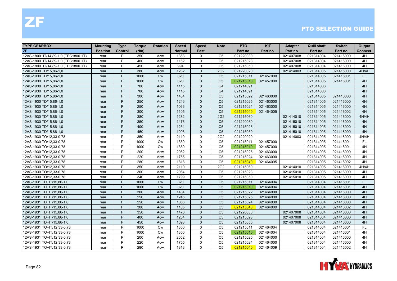| <b>TYPE GEARBOX</b>                 | <b>Mounting</b> | <b>Type</b> | <b>Torque</b> | <b>Rotation</b> | <b>Speed</b>  | <b>Speed</b> | <b>Note</b>    | <b>PTO</b> | <b>KIT</b> | <b>Adapter</b> | <b>Quill shaft</b> | <b>Switch</b> | Output    |
|-------------------------------------|-----------------|-------------|---------------|-----------------|---------------|--------------|----------------|------------|------------|----------------|--------------------|---------------|-----------|
| <b>ZF</b>                           | <b>Position</b> | Control     | (Nm)          |                 | <b>Normal</b> | Fast         |                | Part no.   | Part no.   | Part no.       | Part no.           | Part no.      | Connect.  |
| 12AS-1800+IT/14,89-1,0 (TEC1800+IT) | rear            | P           | 350           | Acw             | 1368          | $\Omega$     | C <sub>5</sub> | 021220030  |            | 021407008      | 021314004          | 021416000     | 4H        |
| 12AS-1800+IT/14,89-1,0 (TEC1800+IT) | rear            | P           | 400           | Acw             | 1162          | $\Omega$     | C <sub>5</sub> | 021215023  |            | 021407008      | 021314004          | 021416000     | 4H        |
| 12AS-1800+IT/14,89-1,0 (TEC1800+IT) | rear            | P           | 450           | Acw             | 994           | $\mathbf{0}$ | C <sub>5</sub> | 021215050  |            | 021407008      | 021314004          | 021416000     | 4H        |
| 12AS-1930 TD/15,86-1,0              | rear            | P           | 380           | Acw             | 1282          | $\Omega$     | 2G2            | 021220020  |            | 021414003      | 021314005          | 021416000     | 4H/4H     |
| 12AS-1930 TD/15,86-1,0              | rear            | P           | 1000          | <b>Cw</b>       | 820           | $\Omega$     | C <sub>5</sub> | 021215011  | 021457000  |                | 021314005          | 021416001     | FL.       |
| 12AS-1930 TD/15,86-1,0              | rear            | P           | 1000          | <b>Cw</b>       | 820           | $\Omega$     | C <sub>5</sub> | 021215010  | 021457000  |                | 021314005          | 021416001     | 4H        |
| 12AS-1930 TD/15,86-1,0              | rear            | P           | 700           | Acw             | 1115          | $\mathbf{0}$ | G <sub>4</sub> | 021214091  |            |                | 021314008          |               | 4H        |
| 12AS-1930 TD/15,86-1,0              | rear            | P           | 700           | Acw             | 1115          | $\Omega$     | G <sub>4</sub> | 021214091  |            |                | 021314008          |               | 4H        |
| 12AS-1930 TD/15,86-1,0              | rear            | P           | 300           | Acw             | 1484          | $\Omega$     | C <sub>5</sub> | 021215022  | 021463000  |                | 021314005          | 021416000     | 4H        |
| 12AS-1930 TD/15,86-1,0              | rear            | P           | 250           | Acw             | 1246          | $\Omega$     | C <sub>5</sub> | 021215025  | 021463000  |                | 021314005          | 021416000     | 4H        |
| 12AS-1930 TD/15,86-1,0              | rear            | P           | 250           | Acw             | 1066          | $\mathbf{0}$ | C <sub>5</sub> | 021215024  | 021463000  |                | 021314005          | 021416000     | 4H        |
| 12AS-1930 TD/15,86-1,0              | rear            | P           | 300           | Acw             | 1105          | $\mathbf{0}$ | C <sub>5</sub> | 021215040  | 021464005  |                | 021314005          | 021416002     | 4H        |
| 12AS-1930 TD/15,86-1,0              | rear            | P           | 380           | Acw             | 1282          | $\Omega$     | 2G2            | 021215060  |            | 021414010      | 021314005          | 021416000     | 4H/4H     |
| 12AS-1930 TD/15,86-1,0              | rear            | P           | 350           | Acw             | 1476          | $\Omega$     | C <sub>5</sub> | 021220030  |            | 021415010      | 021314005          | 021416000     | 4H        |
| 12AS-1930 TD/15,86-1,0              | rear            | P           | 400           | Acw             | 1254          | $\Omega$     | C <sub>5</sub> | 021215023  |            | 021415010      | 021314005          | 021416000     | 4H        |
| 12AS-1930 TD/15,86-1,0              | rear            | P           | 450           | Acw             | 1093          | $\Omega$     | C <sub>5</sub> | 021215050  |            | 021415010      | 021314005          | 021416000     | 4H        |
| 12AS-1930 TO/12,33-0,78             | rear            | P           | 350           | Acw             | 2110          | $\mathbf{0}$ | 2G2            | 021220020  |            | 021414003      | 021314005          | 021416000     | 4H/4H     |
| 12AS-1930 TO/12,33-0,78             | rear            | P           | 1000          | <b>Cw</b>       | 1350          | $\Omega$     | C <sub>5</sub> | 021215011  | 021457000  |                | 021314005          | 021416001     | <b>FL</b> |
| 12AS-1930 TO/12,33-0,78             | rear            | P           | 1000          | <b>Cw</b>       | 1350          | $\Omega$     | C <sub>5</sub> | 021215010  | 021457000  |                | 021314005          | 021416001     | 4H        |
| 12AS-1930 TO/12,33-0,78             | rear            | P           | 200           | Acw             | 2052          | $\mathbf 0$  | C <sub>5</sub> | 021215025  | 021463000  |                | 021314005          | 021416000     | 4H        |
| 12AS-1930 TO/12,33-0,78             | rear            | P           | 220           | Acw             | 1755          | $\mathbf{0}$ | C <sub>5</sub> | 021215024  | 021463000  |                | 021314005          | 021416000     | 4H        |
| 12AS-1930 TO/12,33-0,78             | rear            | P           | 280           | Acw             | 1818          | $\Omega$     | C <sub>5</sub> | 021215040  | 021464005  |                | 021314005          | 021416002     | 4H        |
| 12AS-1930 TO/12,33-0,78             | rear            | P           | 350           | Acw             | 2110          | $\mathbf{0}$ | 2G2            | 021215060  |            | 021414010      | 021314005          | 021416000     | 4H/4H     |
| 12AS-1930 TO/12,33-0,78             | rear            | P           | 300           | Acw             | 2064          | $\Omega$     | C <sub>5</sub> | 021215023  |            | 021415010      | 021314005          | 021416000     | 4H        |
| 12AS-1930 TO/12,33-0,78             | rear            | P           | 340           | Acw             | 1799          | $\Omega$     | C <sub>5</sub> | 021215050  |            | 021415010      | 021314005          | 021416000     | 4H        |
| 12AS-1931 TD+IT/15,86-1,0           | rear            | P           | 1000          | <b>Cw</b>       | 820           | $\Omega$     | C <sub>5</sub> | 021215011  | 021464004  |                | 021314004          | 021416001     | <b>FL</b> |
| 12AS-1931 TD+IT/15,86-1,0           | rear            | P           | 1000          | <b>Cw</b>       | 820           | $\Omega$     | C <sub>5</sub> | 021215010  | 021464004  |                | 021314004          | 021416001     | 4H        |
| 12AS-1931 TD+IT/15,86-1,0           | rear            | P           | 300           | Acw             | 1484          | $\Omega$     | C <sub>5</sub> | 021215022  | 021464000  |                | 021314004          | 021416000     | 4H        |
| 12AS-1931 TD+IT/15,86-1,0           | rear            | P           | 250           | Acw             | 1246          | $\mathbf{0}$ | C <sub>5</sub> | 021215025  | 021464000  |                | 021314004          | 021416000     | 4H        |
| 12AS-1931 TD+IT/15,86-1,0           | rear            | P           | 250           | Acw             | 1066          | $\Omega$     | C <sub>5</sub> | 021215024  | 021464000  |                | 021314004          | 021416000     | 4H        |
| 12AS-1931 TD+IT/15,86-1,0           | rear            | P           | 300           | Acw             | 1105          | $\Omega$     | C <sub>5</sub> | 021215040  | 021464009  |                | 021314004          | 021416002     | 4H        |
| 12AS-1931 TD+IT/15,86-1,0           | rear            | P           | 350           | Acw             | 1476          | $\Omega$     | C <sub>5</sub> | 021220030  |            | 021407008      | 021314004          | 021416000     | 4H        |
| 12AS-1931 TD+IT/15,86-1,0           | rear            | P           | 400           | Acw             | 1254          | $\Omega$     | C <sub>5</sub> | 021215023  |            | 021407008      | 021314004          | 021416000     | 4H        |
| 12AS-1931 TD+IT/15,86-1,0           | rear            | P           | 450           | Acw             | 1093          | $\mathbf{0}$ | C <sub>5</sub> | 021215050  |            | 021407008      | 021314004          | 021416000     | 4H        |
| 12AS-1931 TO+IT/12,33-0,78          | rear            | P           | 1000          | Cw              | 1350          | $\mathbf 0$  | C <sub>5</sub> | 021215011  | 021464004  |                | 021314004          | 021416001     | <b>FL</b> |
| 12AS-1931 TO+IT/12,33-0,78          | rear            | P           | 1000          | <b>Cw</b>       | 1350          | $\mathbf{0}$ | C <sub>5</sub> | 021215010  | 021464004  |                | 021314004          | 021416001     | 4H        |
| 12AS-1931 TO+IT/12,33-0,78          | rear            | P           | 200           | Acw             | 2052          | $\Omega$     | C <sub>5</sub> | 021215025  | 021464000  |                | 021314004          | 021416000     | 4H        |
| 12AS-1931 TO+IT/12,33-0,78          | rear            | P           | 220           | Acw             | 1755          | $\Omega$     | C <sub>5</sub> | 021215024  | 021464000  |                | 021314004          | 021416000     | 4H        |
| 12AS-1931 TO+IT/12,33-0,78          | rear            | P           | 280           | Acw             | 1818          | $\Omega$     | C <sub>5</sub> | 021215040  | 021464009  |                | 021314004          | 021416002     | 4H        |

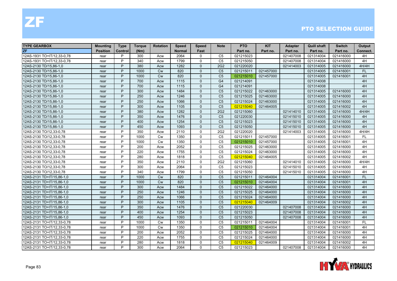| <b>TYPE GEARBOX</b>        | Mounting        | <b>Type</b> | <b>Torque</b> | <b>Rotation</b> | <b>Speed</b>  | <b>Speed</b> | <b>Note</b>     | <b>PTO</b> | <b>KIT</b> | <b>Adapter</b> | <b>Quill shaft</b> | <b>Switch</b> | Output    |
|----------------------------|-----------------|-------------|---------------|-----------------|---------------|--------------|-----------------|------------|------------|----------------|--------------------|---------------|-----------|
| <b>ZF</b>                  | <b>Position</b> | Control     | (Nm)          |                 | <b>Normal</b> | Fast         |                 | Part no.   | Part no.   | Part no.       | Part no.           | Part no.      | Connect.  |
| 12AS-1931 TO+IT/12,33-0,78 | rear            | P           | 300           | Acw             | 2064          | $\Omega$     | C <sub>5</sub>  | 021215023  |            | 021407008      | 021314004          | 021416000     | 4H        |
| 12AS-1931 TO+IT/12,33-0,78 | rear            | P           | 340           | Acw             | 1799          | $\Omega$     | C <sub>5</sub>  | 021215050  |            | 021407008      | 021314004          | 021416000     | 4H        |
| 12AS-2130 TD/15,86-1,0     | rear            | P           | 380           | Acw             | 1282          | $\Omega$     | 2G2             | 021220020  |            | 021414003      | 021314005          | 021416000     | 4H/4H     |
| 12AS-2130 TD/15,86-1,0     | rear            | P           | 1000          | Cw              | 820           | $\Omega$     | C <sub>5</sub>  | 021215011  | 021457000  |                | 021314005          | 021416001     | FL.       |
| 12AS-2130 TD/15,86-1,0     | rear            | P           | 1000          | <b>Cw</b>       | 820           | $\Omega$     | C <sub>5</sub>  | 021215010  | 021457000  |                | 021314005          | 021416001     | 4H        |
| 12AS-2130 TD/15,86-1,0     | rear            | P           | 700           | Acw             | 1115          | $\Omega$     | G <sub>4</sub>  | 021214091  |            |                | 021314008          |               | 4H        |
| 12AS-2130 TD/15,86-1,0     | rear            | P           | 700           | Acw             | 1115          | $\Omega$     | G <sub>4</sub>  | 021214091  |            |                | 021314008          |               | 4H        |
| 12AS-2130 TD/15,86-1,0     | rear            | P           | 300           | Acw             | 1484          | $\Omega$     | C <sub>5</sub>  | 021215022  | 021463000  |                | 021314005          | 021416000     | 4H        |
| 12AS-2130 TD/15,86-1,0     | rear            | P           | 250           | Acw             | 1246          | $\Omega$     | C <sub>5</sub>  | 021215025  | 021463000  |                | 021314005          | 021416000     | 4H        |
| 12AS-2130 TD/15,86-1,0     | rear            | P           | 250           | Acw             | 1066          | $\Omega$     | C <sub>5</sub>  | 021215024  | 021463000  |                | 021314005          | 021416000     | 4H        |
| 12AS-2130 TD/15,86-1,0     | rear            | P           | 300           | Acw             | 1105          | $\mathbf{0}$ | C <sub>5</sub>  | 021215040  | 021464005  |                | 021314005          | 021416002     | 4H        |
| 12AS-2130 TD/15,86-1,0     | rear            | P           | 380           | Acw             | 1282          | $\Omega$     | 2G2             | 021215060  |            | 021414010      | 021314005          | 021416000     | 4H/4H     |
| 12AS-2130 TD/15,86-1,0     | rear            | P           | 350           | Acw             | 1476          | $\Omega$     | C <sub>5</sub>  | 021220030  |            | 021415010      | 021314005          | 021416000     | 4H        |
| 12AS-2130 TD/15,86-1,0     | rear            | P           | 400           | Acw             | 1254          | $\Omega$     | C <sub>5</sub>  | 021215023  |            | 021415010      | 021314005          | 021416000     | 4H        |
| 12AS-2130 TD/15,86-1,0     | rear            | P           | 450           | Acw             | 1093          | $\Omega$     | C <sub>5</sub>  | 021215050  |            | 021415010      | 021314005          | 021416000     | 4H        |
| 12AS-2130 TO/12,33-0,78    | rear            | P           | 350           | Acw             | 2110          | $\Omega$     | 2G <sub>2</sub> | 021220020  |            | 021414003      | 021314005          | 021416000     | 4H/4H     |
| 12AS-2130 TO/12,33-0,78    | rear            | P           | 1000          | <b>Cw</b>       | 1350          | $\mathbf{0}$ | C <sub>5</sub>  | 021215011  | 021457000  |                | 021314005          | 021416001     | <b>FL</b> |
| 12AS-2130 TO/12,33-0,78    | rear            | P           | 1000          | <b>Cw</b>       | 1350          | $\Omega$     | C <sub>5</sub>  | 021215010  | 021457000  |                | 021314005          | 021416001     | 4H        |
| 12AS-2130 TO/12,33-0,78    | rear            | P           | 200           | Acw             | 2052          | $\Omega$     | C <sub>5</sub>  | 021215025  | 021463000  |                | 021314005          | 021416000     | 4H        |
| 12AS-2130 TO/12,33-0,78    | rear            | P           | 220           | Acw             | 1755          | $\mathbf 0$  | C <sub>5</sub>  | 021215024  | 021463000  |                | 021314005          | 021416000     | 4H        |
| 12AS-2130 TO/12,33-0,78    | rear            | P           | 280           | Acw             | 1818          | $\mathbf{0}$ | C <sub>5</sub>  | 021215040  | 021464005  |                | 021314005          | 021416002     | 4H        |
| 12AS-2130 TO/12,33-0,78    | rear            | P           | 350           | Acw             | 2110          | $\mathbf{0}$ | 2G <sub>2</sub> | 021215060  |            | 021414010      | 021314005          | 021416000     | 4H/4H     |
| 12AS-2130 TO/12,33-0,78    | rear            | P           | 300           | Acw             | 2064          | $\Omega$     | C <sub>5</sub>  | 021215023  |            | 021415010      | 021314005          | 021416000     | 4H        |
| 12AS-2130 TO/12,33-0,78    | rear            | P           | 340           | Acw             | 1799          | $\Omega$     | C <sub>5</sub>  | 021215050  |            | 021415010      | 021314005          | 021416000     | 4H        |
| 12AS-2131 TD+IT/15,86-1,0  | rear            | P           | 1000          | <b>Cw</b>       | 820           | $\Omega$     | C <sub>5</sub>  | 021215011  | 021464004  |                | 021314004          | 021416001     | <b>FL</b> |
| 12AS-2131 TD+IT/15,86-1,0  | rear            | P           | 1000          | Cw              | 820           | $\Omega$     | C <sub>5</sub>  | 021215010  | 021464004  |                | 021314004          | 021416001     | 4H        |
| 12AS-2131 TD+IT/15,86-1,0  | rear            | P           | 300           | Acw             | 1484          | $\Omega$     | C <sub>5</sub>  | 021215022  | 021464000  |                | 021314004          | 021416000     | 4H        |
| 12AS-2131 TD+IT/15,86-1,0  | rear            | P           | 250           | Acw             | 1246          | $\Omega$     | C <sub>5</sub>  | 021215025  | 021464000  |                | 021314004          | 021416000     | 4H        |
| 12AS-2131 TD+IT/15,86-1,0  | rear            | P           | 250           | Acw             | 1066          | $\Omega$     | C <sub>5</sub>  | 021215024  | 021464000  |                | 021314004          | 021416000     | 4H        |
| 12AS-2131 TD+IT/15,86-1,0  | rear            | P           | 300           | Acw             | 1105          | $\Omega$     | C <sub>5</sub>  | 021215040  | 021464009  |                | 021314004          | 021416002     | 4H        |
| 12AS-2131 TD+IT/15,86-1,0  | rear            | P           | 350           | Acw             | 1476          | $\Omega$     | C <sub>5</sub>  | 021220030  |            | 021407008      | 021314004          | 021416000     | 4H        |
| 12AS-2131 TD+IT/15,86-1,0  | rear            | P           | 400           | Acw             | 1254          | $\Omega$     | C <sub>5</sub>  | 021215023  |            | 021407008      | 021314004          | 021416000     | 4H        |
| 12AS-2131 TD+IT/15,86-1,0  | rear            | P           | 450           | Acw             | 1093          | $\Omega$     | C <sub>5</sub>  | 021215050  |            | 021407008      | 021314004          | 021416000     | 4H        |
| 12AS-2131 TO+IT/12,33-0,78 | rear            | P           | 1000          | <b>Cw</b>       | 1350          | $\mathbf 0$  | C <sub>5</sub>  | 021215011  | 021464004  |                | 021314004          | 021416001     | <b>FL</b> |
| 12AS-2131 TO+IT/12,33-0,78 | rear            | P           | 1000          | Cw              | 1350          | $\Omega$     | C <sub>5</sub>  | 021215010  | 021464004  |                | 021314004          | 021416001     | 4H        |
| 12AS-2131 TO+IT/12,33-0,78 | rear            | P           | 200           | Acw             | 2052          | $\mathbf{0}$ | C <sub>5</sub>  | 021215025  | 021464000  |                | 021314004          | 021416000     | 4H        |
| 12AS-2131 TO+IT/12,33-0,78 | rear            | P           | 220           | Acw             | 1755          | $\Omega$     | C <sub>5</sub>  | 021215024  | 021464000  |                | 021314004          | 021416000     | 4H        |
| 12AS-2131 TO+IT/12,33-0,78 | rear            | P           | 280           | Acw             | 1818          | $\Omega$     | C <sub>5</sub>  | 021215040  | 021464009  |                | 021314004          | 021416002     | 4H        |
| 12AS-2131 TO+IT/12,33-0,78 | rear            | P           | 300           | Acw             | 2064          | $\Omega$     | C <sub>5</sub>  | 021215023  |            | 021407008      | 021314004          | 021416000     | 4H        |

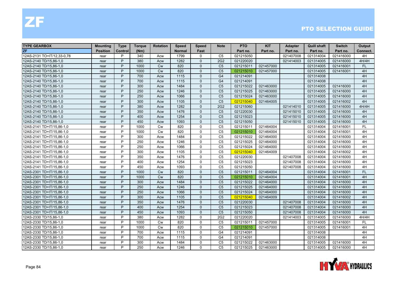| <b>TYPE GEARBOX</b>        | <b>Mounting</b> | <b>Type</b> | <b>Torque</b> | <b>Rotation</b> | <b>Speed</b>  | <b>Speed</b> | <b>Note</b>     | <b>PTO</b> | <b>KIT</b> | <b>Adapter</b> | <b>Quill shaft</b> | <b>Switch</b> | Output    |
|----------------------------|-----------------|-------------|---------------|-----------------|---------------|--------------|-----------------|------------|------------|----------------|--------------------|---------------|-----------|
| <b>ZF</b>                  | <b>Position</b> | Control     | (Nm)          |                 | <b>Normal</b> | Fast         |                 | Part no.   | Part no.   | Part no.       | Part no.           | Part no.      | Connect.  |
| 12AS-2131 TO+IT/12.33-0.78 | rear            | P           | 340           | Acw             | 1799          | $\Omega$     | C <sub>5</sub>  | 021215050  |            | 021407008      | 021314004          | 021416000     | 4H        |
| 12AS-2140 TD/15.86-1.0     | rear            | P           | 380           | Acw             | 1282          | $\Omega$     | 2G2             | 021220020  |            | 021414003      | 021314005          | 021416000     | 4H/4H     |
| 12AS-2140 TD/15,86-1,0     | rear            | P           | 1000          | <b>Cw</b>       | 820           | $\Omega$     | C <sub>5</sub>  | 021215011  | 021457000  |                | 021314005          | 021416001     | <b>FL</b> |
| 12AS-2140 TD/15,86-1,0     | rear            | P           | 1000          | Cw              | 820           | $\Omega$     | C <sub>5</sub>  | 021215010  | 021457000  |                | 021314005          | 021416001     | 4H        |
| 12AS-2140 TD/15,86-1,0     | rear            | P           | 700           | Acw             | 1115          | $\Omega$     | G <sub>4</sub>  | 021214091  |            |                | 021314008          |               | 4H        |
| 12AS-2140 TD/15,86-1,0     | rear            | P           | 700           | Acw             | 1115          | $\Omega$     | G <sub>4</sub>  | 021214091  |            |                | 021314008          |               | 4H        |
| 12AS-2140 TD/15,86-1,0     | rear            | P           | 300           | Acw             | 1484          | $\Omega$     | C <sub>5</sub>  | 021215022  | 021463000  |                | 021314005          | 021416000     | 4H        |
| 12AS-2140 TD/15,86-1,0     | rear            | P           | 250           | Acw             | 1246          | $\Omega$     | C <sub>5</sub>  | 021215025  | 021463000  |                | 021314005          | 021416000     | 4H        |
| 12AS-2140 TD/15,86-1,0     | rear            | P           | 250           | Acw             | 1066          | $\Omega$     | C <sub>5</sub>  | 021215024  | 021463000  |                | 021314005          | 021416000     | 4H        |
| 12AS-2140 TD/15,86-1,0     | rear            | P           | 300           | Acw             | 1105          | $\Omega$     | C <sub>5</sub>  | 021215040  | 021464005  |                | 021314005          | 021416002     | 4H        |
| 12AS-2140 TD/15,86-1,0     | rear            | P           | 380           | Acw             | 1282          | $\Omega$     | 2G <sub>2</sub> | 021215060  |            | 021414010      | 021314005          | 021416000     | 4H/4H     |
| 12AS-2140 TD/15,86-1,0     | rear            | P           | 350           | Acw             | 1476          | $\Omega$     | C <sub>5</sub>  | 021220030  |            | 021415010      | 021314005          | 021416000     | 4H        |
| 12AS-2140 TD/15,86-1,0     | rear            | P           | 400           | Acw             | 1254          | $\Omega$     | C <sub>5</sub>  | 021215023  |            | 021415010      | 021314005          | 021416000     | 4H        |
| 12AS-2140 TD/15,86-1,0     | rear            | P           | 450           | Acw             | 1093          | $\Omega$     | C <sub>5</sub>  | 021215050  |            | 021415010      | 021314005          | 021416000     | 4H        |
| 12AS-2141 TD+IT/15,86-1,0  | rear            | P           | 1000          | <b>Cw</b>       | 820           | $\mathbf{0}$ | C <sub>5</sub>  | 021215011  | 021464004  |                | 021314004          | 021416001     | <b>FL</b> |
| 12AS-2141 TD+IT/15,86-1,0  | rear            | P           | 1000          | <b>Cw</b>       | 820           | $\Omega$     | C <sub>5</sub>  | 021215010  | 021464004  |                | 021314004          | 021416001     | 4H        |
| 12AS-2141 TD+IT/15,86-1,0  | rear            | P           | 300           | Acw             | 1484          | $\mathbf{0}$ | C <sub>5</sub>  | 021215022  | 021464000  |                | 021314004          | 021416000     | 4H        |
| 12AS-2141 TD+IT/15,86-1,0  | rear            | P           | 250           | Acw             | 1246          | $\Omega$     | C <sub>5</sub>  | 021215025  | 021464000  |                | 021314004          | 021416000     | 4H        |
| 12AS-2141 TD+IT/15,86-1,0  | rear            | P           | 250           | Acw             | 1066          | $\Omega$     | C <sub>5</sub>  | 021215024  | 021464000  |                | 021314004          | 021416000     | 4H        |
| 12AS-2141 TD+IT/15,86-1,0  | rear            | P           | 300           | Acw             | 1105          | $\mathbf{0}$ | C <sub>5</sub>  | 021215040  | 021464009  |                | 021314004          | 021416002     | 4H        |
| 12AS-2141 TD+IT/15,86-1,0  | rear            | P           | 350           | Acw             | 1476          | $\Omega$     | C <sub>5</sub>  | 021220030  |            | 021407008      | 021314004          | 021416000     | 4H        |
| 12AS-2141 TD+IT/15,86-1,0  | rear            | P           | 400           | Acw             | 1254          | $\Omega$     | C <sub>5</sub>  | 021215023  |            | 021407008      | 021314004          | 021416000     | 4H        |
| 12AS-2141 TD+IT/15,86-1,0  | rear            | P           | 450           | Acw             | 1093          | $\mathbf{0}$ | C <sub>5</sub>  | 021215050  |            | 021407008      | 021314004          | 021416000     | 4H        |
| 12AS-2301 TD+IT/15,86-1,0  | rear            | P           | 1000          | <b>Cw</b>       | 820           | $\Omega$     | C <sub>5</sub>  | 021215011  | 021464004  |                | 021314004          | 021416001     | <b>FL</b> |
| 12AS-2301 TD+IT/15,86-1,0  | rear            | P           | 1000          | Cw              | 820           | $\Omega$     | C <sub>5</sub>  | 021215010  | 021464004  |                | 021314004          | 021416001     | 4H        |
| 12AS-2301 TD+IT/15,86-1,0  | rear            | P           | 300           | Acw             | 1484          | $\Omega$     | C <sub>5</sub>  | 021215022  | 021464000  |                | 021314004          | 021416000     | 4H        |
| 12AS-2301 TD+IT/15,86-1,0  | rear            | P           | 250           | Acw             | 1246          | $\Omega$     | C <sub>5</sub>  | 021215025  | 021464000  |                | 021314004          | 021416000     | 4H        |
| 12AS-2301 TD+IT/15,86-1,0  | rear            | P           | 250           | Acw             | 1066          | $\Omega$     | C <sub>5</sub>  | 021215024  | 021464000  |                | 021314004          | 021416000     | 4H        |
| 12AS-2301 TD+IT/15,86-1,0  | rear            | P           | 300           | Acw             | 1105          | $\Omega$     | C <sub>5</sub>  | 021215040  | 021464009  |                | 021314004          | 021416002     | 4H        |
| 12AS-2301 TD+IT/15,86-1,0  | rear            | P           | 350           | Acw             | 1476          | $\Omega$     | C <sub>5</sub>  | 021220030  |            | 021407008      | 021314004          | 021416000     | 4H        |
| 12AS-2301 TD+IT/15,86-1,0  | rear            | P           | 400           | Acw             | 1254          | $\Omega$     | C <sub>5</sub>  | 021215023  |            | 021407008      | 021314004          | 021416000     | 4H        |
| 12AS-2301 TD+IT/15,86-1,0  | rear            | P           | 450           | Acw             | 1093          | $\Omega$     | C <sub>5</sub>  | 021215050  |            | 021407008      | 021314004          | 021416000     | 4H        |
| 12AS-2330 TD/15,86-1,0     | rear            | P           | 380           | Acw             | 1282          | $\mathbf 0$  | 2G <sub>2</sub> | 021220020  |            | 021414003      | 021314005          | 021416000     | 4H/4H     |
| 12AS-2330 TD/15,86-1,0     | rear            | P           | 1000          | Cw              | 820           | $\mathbf{0}$ | C <sub>5</sub>  | 021215011  | 021457000  |                | 021314005          | 021416001     | <b>FL</b> |
| 12AS-2330 TD/15,86-1,0     | rear            | P           | 1000          | Cw              | 820           | $\mathbf{0}$ | C <sub>5</sub>  | 021215010  | 021457000  |                | 021314005          | 021416001     | 4H        |
| 12AS-2330 TD/15,86-1,0     | rear            | P           | 700           | Acw             | 1115          | $\Omega$     | G4              | 021214091  |            |                | 021314008          |               | 4H        |
| 12AS-2330 TD/15,86-1,0     | rear            | P           | 700           | Acw             | 1115          | $\Omega$     | G4              | 021214091  |            |                | 021314008          |               | 4H        |
| 12AS-2330 TD/15,86-1,0     | rear            | P           | 300           | Acw             | 1484          | $\Omega$     | C <sub>5</sub>  | 021215022  | 021463000  |                | 021314005          | 021416000     | 4H        |
| 12AS-2330 TD/15,86-1,0     | rear            | P           | 250           | Acw             | 1246          | $\Omega$     | C <sub>5</sub>  | 021215025  | 021463000  |                | 021314005          | 021416000     | 4H        |

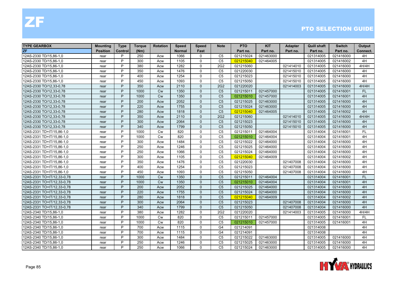| <b>TYPE GEARBOX</b>        | <b>Mounting</b> | <b>Type</b> | <b>Torque</b> | <b>Rotation</b> | <b>Speed</b>  | <b>Speed</b> | <b>Note</b>    | <b>PTO</b> | <b>KIT</b> | <b>Adapter</b> | <b>Quill shaft</b> | <b>Switch</b> | Output    |
|----------------------------|-----------------|-------------|---------------|-----------------|---------------|--------------|----------------|------------|------------|----------------|--------------------|---------------|-----------|
| <b>ZF</b>                  | <b>Position</b> | Control     | (Nm)          |                 | <b>Normal</b> | Fast         |                | Part no.   | Part no.   | Part no.       | Part no.           | Part no.      | Connect.  |
| 12AS-2330 TD/15,86-1,0     | rear            | P           | 250           | Acw             | 1066          | $\Omega$     | C <sub>5</sub> | 021215024  | 021463000  |                | 021314005          | 021416000     | 4H        |
| 12AS-2330 TD/15,86-1,0     | rear            | P           | 300           | Acw             | 1105          | $\Omega$     | C <sub>5</sub> | 021215040  | 021464005  |                | 021314005          | 021416002     | 4H        |
| 12AS-2330 TD/15,86-1,0     | rear            | P           | 380           | Acw             | 1282          | $\mathbf{0}$ | 2G2            | 021215060  |            | 021414010      | 021314005          | 021416000     | 4H/4H     |
| 12AS-2330 TD/15,86-1,0     | rear            | P           | 350           | Acw             | 1476          | $\mathbf{0}$ | C <sub>5</sub> | 021220030  |            | 021415010      | 021314005          | 021416000     | 4H        |
| 12AS-2330 TD/15,86-1,0     | rear            | P           | 400           | Acw             | 1254          | $\Omega$     | C <sub>5</sub> | 021215023  |            | 021415010      | 021314005          | 021416000     | 4H        |
| 12AS-2330 TD/15,86-1,0     | rear            | P           | 450           | Acw             | 1093          | $\Omega$     | C <sub>5</sub> | 021215050  |            | 021415010      | 021314005          | 021416000     | 4H        |
| 12AS-2330 TO/12,33-0,78    | rear            | P           | 350           | Acw             | 2110          | $\Omega$     | <b>2G2</b>     | 021220020  |            | 021414003      | 021314005          | 021416000     | 4H/4H     |
| 12AS-2330 TO/12,33-0,78    | rear            | P           | 1000          | Cw              | 1350          | $\Omega$     | C <sub>5</sub> | 021215011  | 021457000  |                | 021314005          | 021416001     | FL.       |
| 12AS-2330 TO/12,33-0,78    | rear            | P           | 1000          | Cw              | 1350          | $\Omega$     | C <sub>5</sub> | 021215010  | 021457000  |                | 021314005          | 021416001     | 4H        |
| 12AS-2330 TO/12,33-0,78    | rear            | P           | 200           | Acw             | 2052          | $\Omega$     | C <sub>5</sub> | 021215025  | 021463000  |                | 021314005          | 021416000     | 4H        |
| 12AS-2330 TO/12,33-0,78    | rear            | P           | 220           | Acw             | 1755          | $\mathbf{0}$ | C <sub>5</sub> | 021215024  | 021463000  |                | 021314005          | 021416000     | 4H        |
| 12AS-2330 TO/12,33-0,78    | rear            | P           | 280           | Acw             | 1818          | $\mathbf{0}$ | C <sub>5</sub> | 021215040  | 021464005  |                | 021314005          | 021416002     | 4H        |
| 12AS-2330 TO/12,33-0,78    | rear            | P           | 350           | Acw             | 2110          | $\Omega$     | 2G2            | 021215060  |            | 021414010      | 021314005          | 021416000     | 4H/4H     |
| 12AS-2330 TO/12,33-0,78    | rear            | P           | 300           | Acw             | 2064          | $\Omega$     | C <sub>5</sub> | 021215023  |            | 021415010      | 021314005          | 021416000     | 4H        |
| 12AS-2330 TO/12,33-0,78    | rear            | P           | 340           | Acw             | 1799          | $\Omega$     | C <sub>5</sub> | 021215050  |            | 021415010      | 021314005          | 021416000     | 4H        |
| 12AS-2331 TD+IT/15,86-1,0  | rear            | P           | 1000          | Cw              | 820           | $\mathbf{0}$ | C <sub>5</sub> | 021215011  | 021464004  |                | 021314004          | 021416001     | <b>FL</b> |
| 12AS-2331 TD+IT/15,86-1,0  | rear            | P           | 1000          | <b>Cw</b>       | 820           | $\mathbf{0}$ | C <sub>5</sub> | 021215010  | 021464004  |                | 021314004          | 021416001     | 4H        |
| 12AS-2331 TD+IT/15,86-1,0  | rear            | P           | 300           | Acw             | 1484          | $\Omega$     | C <sub>5</sub> | 021215022  | 021464000  |                | 021314004          | 021416000     | 4H        |
| 12AS-2331 TD+IT/15,86-1,0  | rear            | P           | 250           | Acw             | 1246          | $\Omega$     | C <sub>5</sub> | 021215025  | 021464000  |                | 021314004          | 021416000     | 4H        |
| 12AS-2331 TD+IT/15,86-1,0  | rear            | P           | 250           | Acw             | 1066          | $\mathbf 0$  | C <sub>5</sub> | 021215024  | 021464000  |                | 021314004          | 021416000     | 4H        |
| 12AS-2331 TD+IT/15,86-1,0  | rear            | P           | 300           | Acw             | 1105          | $\mathbf 0$  | C <sub>5</sub> | 021215040  | 021464009  |                | 021314004          | 021416002     | 4H        |
| 12AS-2331 TD+IT/15,86-1,0  | rear            | P           | 350           | Acw             | 1476          | $\Omega$     | C <sub>5</sub> | 021220030  |            | 021407008      | 021314004          | 021416000     | 4H        |
| 12AS-2331 TD+IT/15,86-1,0  | rear            | P           | 400           | Acw             | 1254          | $\mathbf{0}$ | C <sub>5</sub> | 021215023  |            | 021407008      | 021314004          | 021416000     | 4H        |
| 12AS-2331 TD+IT/15,86-1,0  | rear            | P           | 450           | Acw             | 1093          | $\Omega$     | C <sub>5</sub> | 021215050  |            | 021407008      | 021314004          | 021416000     | 4H        |
| 12AS-2331 TO+IT/12,33-0,78 | rear            | P           | 1000          | Cw              | 1350          | $\Omega$     | C <sub>5</sub> | 021215011  | 021464004  |                | 021314004          | 021416001     | <b>FL</b> |
| 12AS-2331 TO+IT/12,33-0,78 | rear            | P           | 1000          | <b>Cw</b>       | 1350          | $\Omega$     | C <sub>5</sub> | 021215010  | 021464004  |                | 021314004          | 021416001     | 4H        |
| 12AS-2331 TO+IT/12,33-0,78 | rear            | P           | 200           | Acw             | 2052          | $\Omega$     | C <sub>5</sub> | 021215025  | 021464000  |                | 021314004          | 021416000     | 4H        |
| 12AS-2331 TO+IT/12,33-0,78 | rear            | P           | 220           | Acw             | 1755          | $\Omega$     | C <sub>5</sub> | 021215024  | 021464000  |                | 021314004          | 021416000     | 4H        |
| 12AS-2331 TO+IT/12,33-0,78 | rear            | P           | 280           | Acw             | 1818          | $\mathbf{0}$ | C <sub>5</sub> | 021215040  | 021464009  |                | 021314004          | 021416002     | 4H        |
| 12AS-2331 TO+IT/12,33-0,78 | rear            | P           | 300           | Acw             | 2064          | $\Omega$     | C <sub>5</sub> | 021215023  |            | 021407008      | 021314004          | 021416000     | 4H        |
| 12AS-2331 TO+IT/12,33-0,78 | rear            | P           | 340           | Acw             | 1799          | $\Omega$     | C <sub>5</sub> | 021215050  |            | 021407008      | 021314004          | 021416000     | 4H        |
| 12AS-2340 TD/15,86-1,0     | rear            | P           | 380           | Acw             | 1282          | $\mathbf{0}$ | 2G2            | 021220020  |            | 021414003      | 021314005          | 021416000     | 4H/4H     |
| 12AS-2340 TD/15,86-1,0     | rear            | P           | 1000          | <b>Cw</b>       | 820           | $\Omega$     | C <sub>5</sub> | 021215011  | 021457000  |                | 021314005          | 021416001     | FL        |
| 12AS-2340 TD/15,86-1,0     | rear            | P           | 1000          | Cw              | 820           | $\mathbf 0$  | C <sub>5</sub> | 021215010  | 021457000  |                | 021314005          | 021416001     | 4H        |
| 12AS-2340 TD/15,86-1,0     | rear            | P           | 700           | Acw             | 1115          | $\mathbf 0$  | G4             | 021214091  |            |                | 021314008          |               | 4H        |
| 12AS-2340 TD/15,86-1,0     | rear            | P           | 700           | Acw             | 1115          | $\mathbf{0}$ | G4             | 021214091  |            |                | 021314008          |               | 4H        |
| 12AS-2340 TD/15,86-1,0     | rear            | P           | 300           | Acw             | 1484          | $\Omega$     | C <sub>5</sub> | 021215022  | 021463000  |                | 021314005          | 021416000     | 4H        |
| 12AS-2340 TD/15,86-1,0     | rear            | P           | 250           | Acw             | 1246          | $\Omega$     | C <sub>5</sub> | 021215025  | 021463000  |                | 021314005          | 021416000     | 4H        |
| 12AS-2340 TD/15,86-1,0     | rear            | P           | 250           | Acw             | 1066          | $\Omega$     | C <sub>5</sub> | 021215024  | 021463000  |                | 021314005          | 021416000     | 4H        |

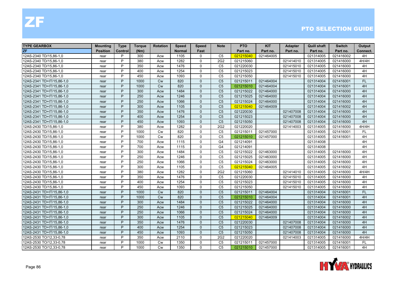| <b>TYPE GEARBOX</b>       | Mounting        | <b>Type</b> | <b>Torque</b> | <b>Rotation</b> | <b>Speed</b>  | <b>Speed</b> | <b>Note</b>     | <b>PTO</b> | <b>KIT</b> | <b>Adapter</b> | <b>Quill shaft</b> | <b>Switch</b> | Output    |
|---------------------------|-----------------|-------------|---------------|-----------------|---------------|--------------|-----------------|------------|------------|----------------|--------------------|---------------|-----------|
| <b>ZF</b>                 | <b>Position</b> | Control     | (Nm)          |                 | <b>Normal</b> | Fast         |                 | Part no.   | Part no.   | Part no.       | Part no.           | Part no.      | Connect.  |
| 12AS-2340 TD/15.86-1.0    | rear            | P           | 300           | Acw             | 1105          | $\Omega$     | C <sub>5</sub>  | 021215040  | 021464005  |                | 021314005          | 021416002     | 4H        |
| 12AS-2340 TD/15,86-1,0    | rear            | P           | 380           | Acw             | 1282          | $\Omega$     | 2G2             | 021215060  |            | 021414010      | 021314005          | 021416000     | 4H/4H     |
| 12AS-2340 TD/15,86-1,0    | rear            | P           | 350           | Acw             | 1476          | $\Omega$     | C <sub>5</sub>  | 021220030  |            | 021415010      | 021314005          | 021416000     | 4H        |
| 12AS-2340 TD/15,86-1,0    | rear            | P           | 400           | Acw             | 1254          | $\Omega$     | C <sub>5</sub>  | 021215023  |            | 021415010      | 021314005          | 021416000     | 4H        |
| 12AS-2340 TD/15,86-1,0    | rear            | P           | 450           | Acw             | 1093          | $\Omega$     | C <sub>5</sub>  | 021215050  |            | 021415010      | 021314005          | 021416000     | 4H        |
| 12AS-2341 TD+IT/15,86-1,0 | rear            | P           | 1000          | <b>Cw</b>       | 820           | $\Omega$     | C <sub>5</sub>  | 021215011  | 021464004  |                | 021314004          | 021416001     | <b>FL</b> |
| 12AS-2341 TD+IT/15,86-1,0 | rear            | P           | 1000          | Cw              | 820           | $\Omega$     | C <sub>5</sub>  | 021215010  | 021464004  |                | 021314004          | 021416001     | 4H        |
| 12AS-2341 TD+IT/15,86-1,0 | rear            | P           | 300           | Acw             | 1484          | $\Omega$     | C <sub>5</sub>  | 021215022  | 021464000  |                | 021314004          | 021416000     | 4H        |
| 12AS-2341 TD+IT/15,86-1,0 | rear            | P           | 250           | Acw             | 1246          | $\Omega$     | C <sub>5</sub>  | 021215025  | 021464000  |                | 021314004          | 021416000     | 4H        |
| 12AS-2341 TD+IT/15,86-1,0 | rear            | P           | 250           | Acw             | 1066          | $\Omega$     | C <sub>5</sub>  | 021215024  | 021464000  |                | 021314004          | 021416000     | 4H        |
| 12AS-2341 TD+IT/15,86-1,0 | rear            | P           | 300           | Acw             | 1105          | $\Omega$     | C <sub>5</sub>  | 021215040  | 021464009  |                | 021314004          | 021416002     | 4H        |
| 12AS-2341 TD+IT/15,86-1,0 | rear            | P           | 350           | Acw             | 1476          | $\Omega$     | C <sub>5</sub>  | 021220030  |            | 021407008      | 021314004          | 021416000     | 4H        |
| 12AS-2341 TD+IT/15,86-1,0 | rear            | P           | 400           | Acw             | 1254          | $\Omega$     | C <sub>5</sub>  | 021215023  |            | 021407008      | 021314004          | 021416000     | 4H        |
| 12AS-2341 TD+IT/15,86-1,0 | rear            | P           | 450           | Acw             | 1093          | $\Omega$     | C <sub>5</sub>  | 021215050  |            | 021407008      | 021314004          | 021416000     | 4H        |
| 12AS-2430 TD/15,86-1,0    | rear            | P           | 380           | Acw             | 1282          | $\mathbf{0}$ | 2G <sub>2</sub> | 021220020  |            | 021414003      | 021314005          | 021416000     | 4H/4H     |
| 12AS-2430 TD/15,86-1,0    | rear            | P           | 1000          | <b>Cw</b>       | 820           | $\Omega$     | C <sub>5</sub>  | 021215011  | 021457000  |                | 021314005          | 021416001     | FL.       |
| 12AS-2430 TD/15,86-1,0    | rear            | P           | 1000          | <b>Cw</b>       | 820           | $\mathbf{0}$ | C <sub>5</sub>  | 021215010  | 021457000  |                | 021314005          | 021416001     | 4H        |
| 12AS-2430 TD/15,86-1,0    | rear            | P           | 700           | Acw             | 1115          | $\Omega$     | G <sub>4</sub>  | 021214091  |            |                | 021314008          |               | 4H        |
| 12AS-2430 TD/15,86-1,0    | rear            | P           | 700           | Acw             | 1115          | $\Omega$     | G4              | 021214091  |            |                | 021314008          |               | 4H        |
| 12AS-2430 TD/15,86-1,0    | rear            | P           | 300           | Acw             | 1484          | $\mathbf{0}$ | C <sub>5</sub>  | 021215022  | 021463000  |                | 021314005          | 021416000     | 4H        |
| 12AS-2430 TD/15,86-1,0    | rear            | P           | 250           | Acw             | 1246          | $\Omega$     | C <sub>5</sub>  | 021215025  | 021463000  |                | 021314005          | 021416000     | 4H        |
| 12AS-2430 TD/15,86-1,0    | rear            | P           | 250           | Acw             | 1066          | $\Omega$     | C <sub>5</sub>  | 021215024  | 021463000  |                | 021314005          | 021416000     | 4H        |
| 12AS-2430 TD/15,86-1,0    | rear            | P           | 300           | Acw             | 1105          | $\mathbf 0$  | C <sub>5</sub>  | 021215040  | 021464005  |                | 021314005          | 021416002     | 4H        |
| 12AS-2430 TD/15,86-1,0    | rear            | P           | 380           | Acw             | 1282          | $\Omega$     | 2G2             | 021215060  |            | 021414010      | 021314005          | 021416000     | 4H/4H     |
| 12AS-2430 TD/15,86-1,0    | rear            | P           | 350           | Acw             | 1476          | $\Omega$     | C <sub>5</sub>  | 021220030  |            | 021415010      | 021314005          | 021416000     | 4H        |
| 12AS-2430 TD/15,86-1,0    | rear            | P           | 400           | Acw             | 1254          | $\Omega$     | C <sub>5</sub>  | 021215023  |            | 021415010      | 021314005          | 021416000     | 4H        |
| 12AS-2430 TD/15,86-1,0    | rear            | P           | 450           | Acw             | 1093          | $\Omega$     | C <sub>5</sub>  | 021215050  |            | 021415010      | 021314005          | 021416000     | 4H        |
| 12AS-2431 TD+IT/15,86-1,0 | rear            | P           | 1000          | Cw              | 820           | $\Omega$     | C <sub>5</sub>  | 021215011  | 021464004  |                | 021314004          | 021416001     | FL.       |
| 12AS-2431 TD+IT/15,86-1,0 | rear            | P           | 1000          | Cw              | 820           | $\Omega$     | C <sub>5</sub>  | 021215010  | 021464004  |                | 021314004          | 021416001     | 4H        |
| 12AS-2431 TD+IT/15,86-1,0 | rear            | P           | 300           | Acw             | 1484          | $\Omega$     | C <sub>5</sub>  | 021215022  | 021464000  |                | 021314004          | 021416000     | 4H        |
| 12AS-2431 TD+IT/15,86-1,0 | rear            | P           | 250           | Acw             | 1246          | $\Omega$     | C <sub>5</sub>  | 021215025  | 021464000  |                | 021314004          | 021416000     | 4H        |
| 12AS-2431 TD+IT/15,86-1,0 | rear            | P           | 250           | Acw             | 1066          | $\Omega$     | C <sub>5</sub>  | 021215024  | 021464000  |                | 021314004          | 021416000     | 4H        |
| 12AS-2431 TD+IT/15,86-1,0 | rear            | P           | 300           | Acw             | 1105          | $\mathbf{0}$ | C <sub>5</sub>  | 021215040  | 021464009  |                | 021314004          | 021416002     | 4H        |
| 12AS-2431 TD+IT/15,86-1,0 | rear            | P           | 350           | Acw             | 1476          | $\mathbf{0}$ | C <sub>5</sub>  | 021220030  |            | 021407008      | 021314004          | 021416000     | 4H        |
| 12AS-2431 TD+IT/15,86-1,0 | rear            | P           | 400           | Acw             | 1254          | $\Omega$     | C <sub>5</sub>  | 021215023  |            | 021407008      | 021314004          | 021416000     | 4H        |
| 12AS-2431 TD+IT/15,86-1,0 | rear            | P           | 450           | Acw             | 1093          | $\Omega$     | C <sub>5</sub>  | 021215050  |            | 021407008      | 021314004          | 021416000     | 4H        |
| 12AS-2530 TO/12,33-0,78   | rear            | P           | 350           | Acw             | 2110          | $\Omega$     | 2G <sub>2</sub> | 021220020  |            | 021414003      | 021314005          | 021416000     | 4H/4H     |
| 12AS-2530 TO/12,33-0,78   | rear            | P           | 1000          | <b>Cw</b>       | 1350          | $\Omega$     | C <sub>5</sub>  | 021215011  | 021457000  |                | 021314005          | 021416001     | <b>FL</b> |
| 12AS-2530 TO/12,33-0,78   | rear            | P           | 1000          | Cw              | 1350          | $\Omega$     | C <sub>5</sub>  | 021215010  | 021457000  |                | 021314005          | 021416001     | 4H        |

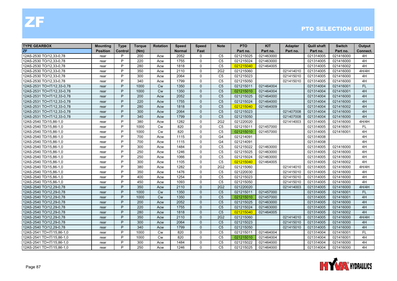| <b>TYPE GEARBOX</b>        | Mounting        | <b>Type</b> | <b>Torque</b> | <b>Rotation</b> | <b>Speed</b>  | <b>Speed</b> | <b>Note</b>     | <b>PTO</b> | <b>KIT</b> | <b>Adapter</b> | <b>Quill shaft</b> | <b>Switch</b> | Output    |
|----------------------------|-----------------|-------------|---------------|-----------------|---------------|--------------|-----------------|------------|------------|----------------|--------------------|---------------|-----------|
| <b>ZF</b>                  | <b>Position</b> | Control     | (Nm)          |                 | <b>Normal</b> | Fast         |                 | Part no.   | Part no.   | Part no.       | Part no.           | Part no.      | Connect.  |
| 12AS-2530 TO/12.33-0.78    | rear            | P           | 200           | Acw             | 2052          | $\Omega$     | C <sub>5</sub>  | 021215025  | 021463000  |                | 021314005          | 021416000     | 4H        |
| 12AS-2530 TO/12,33-0,78    | rear            | P           | 220           | Acw             | 1755          | $\Omega$     | C <sub>5</sub>  | 021215024  | 021463000  |                | 021314005          | 021416000     | 4H        |
| 12AS-2530 TO/12,33-0,78    | rear            | P           | 280           | Acw             | 1818          | $\Omega$     | C <sub>5</sub>  | 021215040  | 021464005  |                | 021314005          | 021416002     | 4H        |
| 12AS-2530 TO/12,33-0,78    | rear            | P           | 350           | Acw             | 2110          | $\mathbf{0}$ | 2G <sub>2</sub> | 021215060  |            | 021414010      | 021314005          | 021416000     | 4H/4H     |
| 12AS-2530 TO/12,33-0,78    | rear            | P           | 300           | Acw             | 2064          | $\Omega$     | C <sub>5</sub>  | 021215023  |            | 021415010      | 021314005          | 021416000     | 4H        |
| 12AS-2530 TO/12,33-0,78    | rear            | P           | 340           | Acw             | 1799          | $\Omega$     | C <sub>5</sub>  | 021215050  |            | 021415010      | 021314005          | 021416000     | 4H        |
| 12AS-2531 TO+IT/12,33-0,78 | rear            | P           | 1000          | Cw              | 1350          | $\Omega$     | C <sub>5</sub>  | 021215011  | 021464004  |                | 021314004          | 021416001     | <b>FL</b> |
| 12AS-2531 TO+IT/12,33-0,78 | rear            | P           | 1000          | Cw              | 1350          | $\Omega$     | C <sub>5</sub>  | 021215010  | 021464004  |                | 021314004          | 021416001     | 4H        |
| 12AS-2531 TO+IT/12,33-0,78 | rear            | P           | 200           | Acw             | 2052          | $\Omega$     | C <sub>5</sub>  | 021215025  | 021464000  |                | 021314004          | 021416000     | 4H        |
| 12AS-2531 TO+IT/12,33-0,78 | rear            | P           | 220           | Acw             | 1755          | $\Omega$     | C <sub>5</sub>  | 021215024  | 021464000  |                | 021314004          | 021416000     | 4H        |
| 12AS-2531 TO+IT/12,33-0,78 | rear            | P           | 280           | Acw             | 1818          | $\Omega$     | C <sub>5</sub>  | 021215040  | 021464009  |                | 021314004          | 021416002     | 4H        |
| 12AS-2531 TO+IT/12,33-0,78 | rear            | P           | 300           | Acw             | 2064          | $\Omega$     | C <sub>5</sub>  | 021215023  |            | 021407008      | 021314004          | 021416000     | 4H        |
| 12AS-2531 TO+IT/12,33-0,78 | rear            | P           | 340           | Acw             | 1799          | $\Omega$     | C <sub>5</sub>  | 021215050  |            | 021407008      | 021314004          | 021416000     | 4H        |
| 12AS-2540 TD/15,86-1,0     | rear            | P           | 380           | Acw             | 1282          | $\mathbf{0}$ | 2G <sub>2</sub> | 021220020  |            | 021414003      | 021314005          | 021416000     | 4H/4H     |
| 12AS-2540 TD/15,86-1,0     | rear            | P           | 1000          | Cw              | 820           | $\mathbf{0}$ | C <sub>5</sub>  | 021215011  | 021457000  |                | 021314005          | 021416001     | <b>FL</b> |
| 12AS-2540 TD/15,86-1,0     | rear            | P           | 1000          | <b>Cw</b>       | 820           | $\Omega$     | C <sub>5</sub>  | 021215010  | 021457000  |                | 021314005          | 021416001     | 4H        |
| 12AS-2540 TD/15,86-1,0     | rear            | P           | 700           | Acw             | 1115          | $\mathbf{0}$ | G <sub>4</sub>  | 021214091  |            |                | 021314008          |               | 4H        |
| 12AS-2540 TD/15,86-1,0     | rear            | P           | 700           | Acw             | 1115          | $\Omega$     | G <sub>4</sub>  | 021214091  |            |                | 021314008          |               | 4H        |
| 12AS-2540 TD/15,86-1,0     | rear            | P           | 300           | Acw             | 1484          | $\mathbf{0}$ | C <sub>5</sub>  | 021215022  | 021463000  |                | 021314005          | 021416000     | 4H        |
| 12AS-2540 TD/15,86-1,0     | rear            | P           | 250           | Acw             | 1246          | $\mathbf{0}$ | C <sub>5</sub>  | 021215025  | 021463000  |                | 021314005          | 021416000     | 4H        |
| 12AS-2540 TD/15,86-1,0     | rear            | P           | 250           | Acw             | 1066          | $\Omega$     | C <sub>5</sub>  | 021215024  | 021463000  |                | 021314005          | 021416000     | 4H        |
| 12AS-2540 TD/15,86-1,0     | rear            | P           | 300           | Acw             | 1105          | $\Omega$     | C <sub>5</sub>  | 021215040  | 021464005  |                | 021314005          | 021416002     | 4H        |
| 12AS-2540 TD/15,86-1,0     | rear            | P           | 380           | Acw             | 1282          | $\mathbf{0}$ | 2G <sub>2</sub> | 021215060  |            | 021414010      | 021314005          | 021416000     | 4H/4H     |
| 12AS-2540 TD/15,86-1,0     | rear            | P           | 350           | Acw             | 1476          | $\mathbf{0}$ | C <sub>5</sub>  | 021220030  |            | 021415010      | 021314005          | 021416000     | 4H        |
| 12AS-2540 TD/15,86-1,0     | rear            | P           | 400           | Acw             | 1254          | $\Omega$     | C <sub>5</sub>  | 021215023  |            | 021415010      | 021314005          | 021416000     | 4H        |
| 12AS-2540 TD/15,86-1,0     | rear            | P           | 450           | Acw             | 1093          | $\Omega$     | C <sub>5</sub>  | 021215050  |            | 021415010      | 021314005          | 021416000     | 4H        |
| 12AS-2540 TO/12,29-0,78    | rear            | P           | 350           | Acw             | 2110          | $\Omega$     | 2G2             | 021220020  |            | 021414003      | 021314005          | 021416000     | 4H/4H     |
| 12AS-2540 TO/12,29-0,78    | rear            | P           | 1000          | Cw              | 1350          | $\Omega$     | C <sub>5</sub>  | 021215011  | 021457000  |                | 021314005          | 021416001     | FL        |
| 12AS-2540 TO/12,29-0,78    | rear            | P           | 1000          | Cw              | 1350          | $\Omega$     | C <sub>5</sub>  | 021215010  | 021457000  |                | 021314005          | 021416001     | 4H        |
| 12AS-2540 TO/12,29-0,78    | rear            | P           | 200           | Acw             | 2052          | $\Omega$     | C <sub>5</sub>  | 021215025  | 021463000  |                | 021314005          | 021416000     | 4H        |
| 12AS-2540 TO/12,29-0,78    | rear            | P           | 220           | Acw             | 1755          | $\Omega$     | C <sub>5</sub>  | 021215024  | 021463000  |                | 021314005          | 021416000     | 4H        |
| 12AS-2540 TO/12,29-0,78    | rear            | P           | 280           | Acw             | 1818          | $\Omega$     | C <sub>5</sub>  | 021215040  | 021464005  |                | 021314005          | 021416002     | 4H        |
| 12AS-2540 TO/12,29-0,78    | rear            | P           | 350           | Acw             | 2110          | $\mathbf{0}$ | <b>2G2</b>      | 021215060  |            | 021414010      | 021314005          | 021416000     | 4H/4H     |
| 12AS-2540 TO/12,29-0,78    | rear            | P           | 300           | Acw             | 2064          | $\Omega$     | C <sub>5</sub>  | 021215023  |            | 021415010      | 021314005          | 021416000     | 4H        |
| 12AS-2540 TO/12,29-0,78    | rear            | P           | 340           | Acw             | 1799          | $\Omega$     | C <sub>5</sub>  | 021215050  |            | 021415010      | 021314005          | 021416000     | 4H        |
| 12AS-2541 TD+IT/15,86-1,0  | rear            | P           | 1000          | <b>Cw</b>       | 820           | $\Omega$     | C <sub>5</sub>  | 021215011  | 021464004  |                | 021314004          | 021416001     | <b>FL</b> |
| 12AS-2541 TD+IT/15,86-1,0  | rear            | P           | 1000          | <b>Cw</b>       | 820           | $\Omega$     | C <sub>5</sub>  | 021215010  | 021464004  |                | 021314004          | 021416001     | 4H        |
| 12AS-2541 TD+IT/15,86-1,0  | rear            | P           | 300           | Acw             | 1484          | $\Omega$     | C <sub>5</sub>  | 021215022  | 021464000  |                | 021314004          | 021416000     | 4H        |
| 12AS-2541 TD+IT/15,86-1,0  | rear            | P           | 250           | Acw             | 1246          | $\Omega$     | C <sub>5</sub>  | 021215025  | 021464000  |                | 021314004          | 021416000     | 4H        |

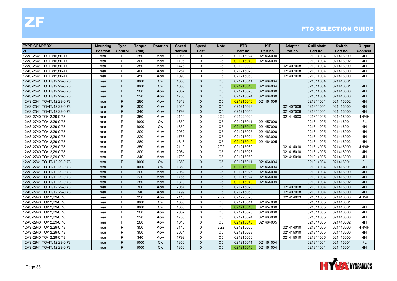| <b>TYPE GEARBOX</b>        | Mounting        | <b>Type</b> | Torque | <b>Rotation</b> | <b>Speed</b>  | <b>Speed</b> | <b>Note</b>     | <b>PTO</b> | <b>KIT</b> | <b>Adapter</b> | Quill shaft | <b>Switch</b> | Output    |
|----------------------------|-----------------|-------------|--------|-----------------|---------------|--------------|-----------------|------------|------------|----------------|-------------|---------------|-----------|
| <b>ZF</b>                  | <b>Position</b> | Control     | (Nm)   |                 | <b>Normal</b> | Fast         |                 | Part no.   | Part no.   | Part no.       | Part no.    | Part no.      | Connect.  |
| 12AS-2541 TD+IT/15.86-1.0  | rear            | P           | 250    | Acw             | 1066          | $\mathbf{0}$ | C <sub>5</sub>  | 021215024  | 021464000  |                | 021314004   | 021416000     | 4H        |
| 12AS-2541 TD+IT/15,86-1,0  | rear            | P           | 300    | Acw             | 1105          | $\mathbf{0}$ | C <sub>5</sub>  | 021215040  | 021464009  |                | 021314004   | 021416002     | 4H        |
| 12AS-2541 TD+IT/15,86-1,0  | rear            | P           | 350    | Acw             | 1476          | $\mathbf{0}$ | C <sub>5</sub>  | 021220030  |            | 021407008      | 021314004   | 021416000     | 4H        |
| 12AS-2541 TD+IT/15,86-1,0  | rear            | P           | 400    | Acw             | 1254          | $\Omega$     | C <sub>5</sub>  | 021215023  |            | 021407008      | 021314004   | 021416000     | 4H        |
| 12AS-2541 TD+IT/15,86-1,0  | rear            | P           | 450    | Acw             | 1093          | $\mathbf{0}$ | C <sub>5</sub>  | 021215050  |            | 021407008      | 021314004   | 021416000     | 4H        |
| 12AS-2541 TO+IT/12,29-0,78 | rear            | P           | 1000   | <b>Cw</b>       | 1350          | $\Omega$     | C <sub>5</sub>  | 021215011  | 021464004  |                | 021314004   | 021416001     | <b>FL</b> |
| 12AS-2541 TO+IT/12,29-0,78 | rear            | P           | 1000   | Cw              | 1350          | $\Omega$     | C <sub>5</sub>  | 021215010  | 021464004  |                | 021314004   | 021416001     | 4H        |
| 12AS-2541 TO+IT/12,29-0,78 | rear            | P           | 200    | Acw             | 2052          | $\Omega$     | C <sub>5</sub>  | 021215025  | 021464000  |                | 021314004   | 021416000     | 4H        |
| 12AS-2541 TO+IT/12,29-0,78 | rear            | P           | 220    | Acw             | 1755          | $\Omega$     | C <sub>5</sub>  | 021215024  | 021464000  |                | 021314004   | 021416000     | 4H        |
| 12AS-2541 TO+IT/12,29-0,78 | rear            | P           | 280    | Acw             | 1818          | $\Omega$     | C <sub>5</sub>  | 021215040  | 021464009  |                | 021314004   | 021416002     | 4H        |
| 12AS-2541 TO+IT/12,29-0,78 | rear            | P           | 300    | Acw             | 2064          | $\Omega$     | C <sub>5</sub>  | 021215023  |            | 021407008      | 021314004   | 021416000     | 4H        |
| 12AS-2541 TO+IT/12,29-0,78 | rear            | P           | 340    | Acw             | 1799          | $\Omega$     | C <sub>5</sub>  | 021215050  |            | 021407008      | 021314004   | 021416000     | 4H        |
| 12AS-2740 TO/12,29-0,78    | rear            | P           | 350    | Acw             | 2110          | $\Omega$     | 2G2             | 021220020  |            | 021414003      | 021314005   | 021416000     | 4H/4H     |
| 12AS-2740 TO/12,29-0,78    | rear            | P           | 1000   | <b>Cw</b>       | 1350          | $\Omega$     | C <sub>5</sub>  | 021215011  | 021457000  |                | 021314005   | 021416001     | FL.       |
| 12AS-2740 TO/12,29-0,78    | rear            | P           | 1000   | <b>Cw</b>       | 1350          | $\Omega$     | C <sub>5</sub>  | 021215010  | 021457000  |                | 021314005   | 021416001     | 4H        |
| 12AS-2740 TO/12,29-0,78    | rear            | P           | 200    | Acw             | 2052          | $\mathbf{0}$ | C <sub>5</sub>  | 021215025  | 021463000  |                | 021314005   | 021416000     | 4H        |
| 12AS-2740 TO/12,29-0,78    | rear            | P           | 220    | Acw             | 1755          | $\Omega$     | C <sub>5</sub>  | 021215024  | 021463000  |                | 021314005   | 021416000     | 4H        |
| 12AS-2740 TO/12,29-0,78    | rear            | P           | 280    | Acw             | 1818          | $\Omega$     | C <sub>5</sub>  | 021215040  | 021464005  |                | 021314005   | 021416002     | 4H        |
| 12AS-2740 TO/12,29-0,78    | rear            | P           | 350    | Acw             | 2110          | $\Omega$     | 2G <sub>2</sub> | 021215060  |            | 021414010      | 021314005   | 021416000     | 4H/4H     |
| 12AS-2740 TO/12,29-0,78    | rear            | P           | 300    | Acw             | 2064          | $\mathbf{0}$ | C <sub>5</sub>  | 021215023  |            | 021415010      | 021314005   | 021416000     | 4H        |
| 12AS-2740 TO/12,29-0,78    | rear            | P           | 340    | Acw             | 1799          | $\Omega$     | C <sub>5</sub>  | 021215050  |            | 021415010      | 021314005   | 021416000     | 4H        |
| 12AS-2741 TO+IT/12,29-0,78 | rear            | P           | 1000   | <b>Cw</b>       | 1350          | $\Omega$     | C <sub>5</sub>  | 021215011  | 021464004  |                | 021314004   | 021416001     | <b>FL</b> |
| 12AS-2741 TO+IT/12,29-0,78 | rear            | P           | 1000   | Cw              | 1350          | $\Omega$     | C <sub>5</sub>  | 021215010  | 021464004  |                | 021314004   | 021416001     | 4H        |
| 12AS-2741 TO+IT/12,29-0,78 | rear            | P           | 200    | Acw             | 2052          | $\Omega$     | C <sub>5</sub>  | 021215025  | 021464000  |                | 021314004   | 021416000     | 4H        |
| 12AS-2741 TO+IT/12,29-0,78 | rear            | P           | 220    | Acw             | 1755          | $\Omega$     | C <sub>5</sub>  | 021215024  | 021464000  |                | 021314004   | 021416000     | 4H        |
| 12AS-2741 TO+IT/12,29-0,78 | rear            | P           | 280    | Acw             | 1818          | $\Omega$     | C <sub>5</sub>  | 021215040  | 021464009  |                | 021314004   | 021416002     | 4H        |
| 12AS-2741 TO+IT/12,29-0,78 | rear            | P           | 300    | Acw             | 2064          | $\Omega$     | C <sub>5</sub>  | 021215023  |            | 021407008      | 021314004   | 021416000     | 4H        |
| 12AS-2741 TO+IT/12,29-0,78 | rear            | P           | 340    | Acw             | 1799          | $\Omega$     | C <sub>5</sub>  | 021215050  |            | 021407008      | 021314004   | 021416000     | 4H        |
| 12AS-2940 TO/12,29-0,78    | rear            | P           | 350    | Acw             | 2110          | 0            | 2G <sub>2</sub> | 021220020  |            | 021414003      | 021314005   | 021416000     | 4H/4H     |
| 12AS-2940 TO/12,29-0,78    | rear            | P           | 1000   | <b>Cw</b>       | 1350          | $\mathbf{0}$ | C <sub>5</sub>  | 021215011  | 021457000  |                | 021314005   | 021416001     | FL.       |
| 12AS-2940 TO/12,29-0,78    | rear            | P           | 1000   | <b>Cw</b>       | 1350          | $\mathbf{0}$ | C <sub>5</sub>  | 021215010  | 021457000  |                | 021314005   | 021416001     | 4H        |
| 12AS-2940 TO/12,29-0,78    | rear            | P           | 200    | Acw             | 2052          | $\Omega$     | C <sub>5</sub>  | 021215025  | 021463000  |                | 021314005   | 021416000     | 4H        |
| 12AS-2940 TO/12,29-0,78    | rear            | P           | 220    | Acw             | 1755          | $\Omega$     | C <sub>5</sub>  | 021215024  | 021463000  |                | 021314005   | 021416000     | 4H        |
| 12AS-2940 TO/12,29-0,78    | rear            | P           | 280    | Acw             | 1818          | $\Omega$     | C <sub>5</sub>  | 021215040  | 021464005  |                | 021314005   | 021416002     | 4H        |
| 12AS-2940 TO/12,29-0,78    | rear            | P           | 350    | Acw             | 2110          | $\mathbf{0}$ | 2G2             | 021215060  |            | 021414010      | 021314005   | 021416000     | 4H/4H     |
| 12AS-2940 TO/12,29-0,78    | rear            | P           | 300    | Acw             | 2064          | $\Omega$     | C <sub>5</sub>  | 021215023  |            | 021415010      | 021314005   | 021416000     | 4H        |
| 12AS-2940 TO/12,29-0,78    | rear            | P           | 340    | Acw             | 1799          | $\Omega$     | C <sub>5</sub>  | 021215050  |            | 021415010      | 021314005   | 021416000     | 4H        |
| 12AS-2941 TO+IT/12,29-0,78 | rear            | P           | 1000   | <b>Cw</b>       | 1350          | $\Omega$     | C <sub>5</sub>  | 021215011  | 021464004  |                | 021314004   | 021416001     | <b>FL</b> |
| 12AS-2941 TO+IT/12,29-0,78 | rear            | P           | 1000   | Cw              | 1350          | $\Omega$     | C <sub>5</sub>  | 021215010  | 021464004  |                | 021314004   | 021416001     | 4H        |

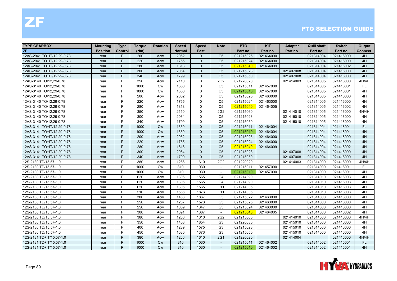| <b>TYPE GEARBOX</b>        | Mounting        | <b>Type</b> | Torque | <b>Rotation</b> | <b>Speed</b>  | <b>Speed</b> | <b>Note</b>              | <b>PTO</b> | <b>KIT</b> | <b>Adapter</b> | Quill shaft | <b>Switch</b> | Output    |
|----------------------------|-----------------|-------------|--------|-----------------|---------------|--------------|--------------------------|------------|------------|----------------|-------------|---------------|-----------|
| <b>ZF</b>                  | <b>Position</b> | Control     | (Nm)   |                 | <b>Normal</b> | Fast         |                          | Part no.   | Part no.   | Part no.       | Part no.    | Part no.      | Connect.  |
| 12AS-2941 TO+IT/12.29-0.78 | rear            | P           | 200    | Acw             | 2052          | $\Omega$     | C <sub>5</sub>           | 021215025  | 021464000  |                | 021314004   | 021416000     | 4H        |
| 12AS-2941 TO+IT/12.29-0.78 | rear            | P           | 220    | Acw             | 1755          | $\Omega$     | C <sub>5</sub>           | 021215024  | 021464000  |                | 021314004   | 021416000     | 4H        |
| 12AS-2941 TO+IT/12,29-0,78 | rear            | P           | 280    | Acw             | 1818          | $\Omega$     | C <sub>5</sub>           | 021215040  | 021464009  |                | 021314004   | 021416002     | 4H        |
| 12AS-2941 TO+IT/12,29-0,78 | rear            | P           | 300    | Acw             | 2064          | $\Omega$     | C <sub>5</sub>           | 021215023  |            | 021407008      | 021314004   | 021416000     | 4H        |
| 12AS-2941 TO+IT/12,29-0,78 | rear            | P           | 340    | Acw             | 1799          | $\Omega$     | C <sub>5</sub>           | 021215050  |            | 021407008      | 021314004   | 021416000     | 4H        |
| 12AS-3140 TO/12,29-0,78    | rear            | P           | 350    | Acw             | 2110          | $\Omega$     | 2G <sub>2</sub>          | 021220020  |            | 021414003      | 021314005   | 021416000     | 4H/4H     |
| 12AS-3140 TO/12,29-0,78    | rear            | P           | 1000   | <b>Cw</b>       | 1350          | $\Omega$     | C <sub>5</sub>           | 021215011  | 021457000  |                | 021314005   | 021416001     | FL.       |
| 12AS-3140 TO/12,29-0,78    | rear            | P           | 1000   | <b>Cw</b>       | 1350          | $\mathbf{0}$ | C <sub>5</sub>           | 021215010  | 021457000  |                | 021314005   | 021416001     | 4H        |
| 12AS-3140 TO/12,29-0,78    | rear            | P           | 200    | Acw             | 2052          | $\Omega$     | C <sub>5</sub>           | 021215025  | 021463000  |                | 021314005   | 021416000     | 4H        |
| 12AS-3140 TO/12,29-0,78    | rear            | P           | 220    | Acw             | 1755          | $\Omega$     | C <sub>5</sub>           | 021215024  | 021463000  |                | 021314005   | 021416000     | 4H        |
| 12AS-3140 TO/12,29-0,78    | rear            | P           | 280    | Acw             | 1818          | $\mathbf{0}$ | C <sub>5</sub>           | 021215040  | 021464005  |                | 021314005   | 021416002     | 4H        |
| 12AS-3140 TO/12,29-0,78    | rear            | P           | 350    | Acw             | 2110          | $\mathbf{0}$ | 2G2                      | 021215060  |            | 021414010      | 021314005   | 021416000     | 4H/4H     |
| 12AS-3140 TO/12,29-0,78    | rear            | P           | 300    | Acw             | 2064          | $\Omega$     | C <sub>5</sub>           | 021215023  |            | 021415010      | 021314005   | 021416000     | 4H        |
| 12AS-3140 TO/12,29-0,78    | rear            | P           | 340    | Acw             | 1799          | $\mathbf{0}$ | C <sub>5</sub>           | 021215050  |            | 021415010      | 021314005   | 021416000     | 4H        |
| 12AS-3141 TO+IT/12,29-0,78 | rear            | P           | 1000   | <b>Cw</b>       | 1350          | $\Omega$     | C <sub>5</sub>           | 021215011  | 021464004  |                | 021314004   | 021416001     | <b>FL</b> |
| 12AS-3141 TO+IT/12,29-0,78 | rear            | P           | 1000   | Cw              | 1350          | $\Omega$     | C <sub>5</sub>           | 021215010  | 021464004  |                | 021314004   | 021416001     | 4H        |
| 12AS-3141 TO+IT/12,29-0,78 | rear            | P           | 200    | Acw             | 2052          | $\Omega$     | C <sub>5</sub>           | 021215025  | 021464000  |                | 021314004   | 021416000     | 4H        |
| 12AS-3141 TO+IT/12,29-0,78 | rear            | P           | 220    | Acw             | 1755          | $\Omega$     | C <sub>5</sub>           | 021215024  | 021464000  |                | 021314004   | 021416000     | 4H        |
| 12AS-3141 TO+IT/12,29-0,78 | rear            | P           | 280    | Acw             | 1818          | $\Omega$     | C <sub>5</sub>           | 021215040  | 021464009  |                | 021314004   | 021416002     | 4H        |
| 12AS-3141 TO+IT/12,29-0,78 | rear            | P           | 300    | Acw             | 2064          | $\Omega$     | C <sub>5</sub>           | 021215023  |            | 021407008      | 021314004   | 021416000     | 4H        |
| 12AS-3141 TO+IT/12,29-0,78 | rear            | P           | 340    | Acw             | 1799          | $\Omega$     | C <sub>5</sub>           | 021215050  |            | 021407008      | 021314004   | 021416000     | 4H        |
| 12S-2130 TD/15,57-1,0      | rear            | P           | 380    | Acw             | 1266          | 1610         | 2G2                      | 021220020  |            | 021414003      | 021314000   | 021416000     | 4H/4H     |
| 12S-2130 TD/15,57-1,0      | rear            | P           | 1000   | Cw              | 810           | 1030         | $\sim$                   | 021215011  | 021457000  |                | 021314000   | 021416001     | <b>FL</b> |
| 12S-2130 TD/15,57-1,0      | rear            | P           | 1000   | Cw              | 810           | 1030         | $\overline{\phantom{a}}$ | 021215010  | 021457000  |                | 021314000   | 021416001     | 4H        |
| 12S-2130 TD/15,57-1,0      | rear            | P           | 620    | Acw             | 1306          | 1565         | G <sub>4</sub>           | 021214090  |            |                | 021314010   | 021416003     | 4H        |
| 12S-2130 TD/15,57-1,0      | rear            | P           | 620    | Acw             | 1306          | 1565         | G4                       | 021214090  |            |                | 021314010   | 021416003     | 4H        |
| 12S-2130 TD/15,57-1,0      | rear            | P           | 620    | Acw             | 1306          | 1565         | C <sub>11</sub>          | 021214035  |            |                | 021314010   | 021416003     | 4H        |
| 12S-2130 TD/15,57-1,0      | rear            | P           | 510    | Acw             | 1566          | 1876         | C <sub>11</sub>          | 021214035  |            |                | 021314010   | 021416003     | 4H        |
| 12S-2130 TD/15,57-1,0      | rear            | P           | 300    | Acw             | 1468          | 1867         | G <sub>3</sub>           | 021215022  | 021463000  |                | 021314000   | 021416000     | 4H        |
| 12S-2130 TD/15,57-1,0      | rear            | P           | 250    | Acw             | 1237          | 1573         | G <sub>3</sub>           | 021215025  | 021463000  |                | 021314000   | 021416000     | 4H        |
| 12S-2130 TD/15,57-1,0      | rear            | P           | 250    | Acw             | 1059          | 1347         | G <sub>3</sub>           | 021215024  | 021463000  |                | 021314000   | 021416000     | 4H        |
| 12S-2130 TD/15,57-1,0      | rear            | P           | 300    | Acw             | 1091          | 1387         |                          | 021215040  | 021464005  |                | 021314000   | 021416002     | 4H        |
| 12S-2130 TD/15,57-1,0      | rear            | P           | 380    | Acw             | 1266          | 1610         | 2G2                      | 021215060  |            | 021414010      | 021314000   | 021416000     | 4H/4H     |
| 12S-2130 TD/15,57-1,0      | rear            | P           | 350    | Acw             | 1458          | 1854         | G <sub>3</sub>           | 021220030  |            | 021415010      | 021314000   | 021416000     | 4H        |
| 12S-2130 TD/15,57-1,0      | rear            | P           | 400    | Acw             | 1239          | 1575         | G <sub>3</sub>           | 021215023  |            | 021415010      | 021314000   | 021416000     | 4H        |
| 12S-2130 TD/15,57-1,0      | rear            | P           | 450    | Acw             | 1080          | 1373         | G <sub>3</sub>           | 021215050  |            | 021415010      | 021314000   | 021416000     | 4H        |
| 12S-2131 TD+IT/15,57-1,0   | rear            | P           | 380    | Acw             | 1266          | 1610         | <b>2G1</b>               | 021220020  |            | 021414004      |             | 021416000     | 4H/4H     |
| 12S-2131 TD+IT/15,57-1,0   | rear            | P           | 1000   | Cw              | 810           | 1030         |                          | 021215011  | 021464002  |                | 021314002   | 021416001     | FL.       |
| 12S-2131 TD+IT/15,57-1,0   | rear            | P           | 1000   | <b>Cw</b>       | 810           | 1030         | $\overline{\phantom{a}}$ | 021215010  | 021464002  |                | 021314002   | 021416001     | 4H        |

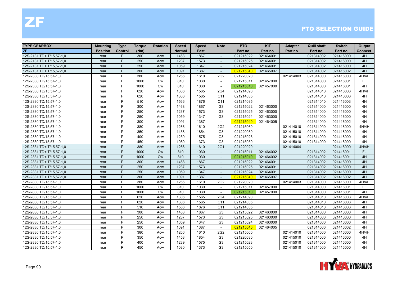| <b>TYPE GEARBOX</b>      | <b>Mounting</b> | <b>Type</b> | <b>Torque</b> | <b>Rotation</b> | Speed         | <b>Speed</b> | <b>Note</b>              | <b>PTO</b> | <b>KIT</b> | <b>Adapter</b> | <b>Quill shaft</b> | <b>Switch</b> | Output    |
|--------------------------|-----------------|-------------|---------------|-----------------|---------------|--------------|--------------------------|------------|------------|----------------|--------------------|---------------|-----------|
| ZF                       | <b>Position</b> | Control     | (Nm)          |                 | <b>Normal</b> | Fast         |                          | Part no.   | Part no.   | Part no.       | Part no.           | Part no.      | Connect.  |
| 12S-2131 TD+IT/15,57-1,0 | rear            | P           | 300           | Acw             | 1468          | 1867         | $\sim$                   | 021215022  | 021464001  |                | 021314002          | 021416000     | 4H        |
| 12S-2131 TD+IT/15,57-1,0 | rear            | P           | 250           | Acw             | 1237          | 1573         | $\overline{\phantom{a}}$ | 021215025  | 021464001  |                | 021314002          | 021416000     | 4H        |
| 12S-2131 TD+IT/15,57-1,0 | rear            | P           | 250           | Acw             | 1059          | 1347         |                          | 021215024  | 021464001  |                | 021314002          | 021416000     | 4H        |
| 12S-2131 TD+IT/15,57-1,0 | rear            | P           | 300           | Acw             | 1091          | 1387         | $\sim$                   | 021215040  | 021465007  |                | 021314002          | 021416002     | 4H        |
| 12S-2330 TD/15,57-1,0    | rear            | P           | 380           | Acw             | 1266          | 1610         | 2G <sub>2</sub>          | 021220020  |            | 021414003      | 021314000          | 021416000     | 4H/4H     |
| 12S-2330 TD/15,57-1,0    | rear            | P           | 1000          | <b>Cw</b>       | 810           | 1030         | $\sim$                   | 021215011  | 021457000  |                | 021314000          | 021416001     | <b>FL</b> |
| 12S-2330 TD/15,57-1,0    | rear            | P           | 1000          | <b>Cw</b>       | 810           | 1030         | $\sim$                   | 021215010  | 021457000  |                | 021314000          | 021416001     | 4H        |
| 12S-2330 TD/15,57-1,0    | rear            | P           | 620           | Acw             | 1306          | 1565         | 2G4                      | 021214090  |            |                | 021314010          | 021416003     | 4H/4H     |
| 12S-2330 TD/15,57-1,0    | rear            | P           | 620           | Acw             | 1306          | 1565         | C <sub>11</sub>          | 021214035  |            |                | 021314010          | 021416003     | 4H        |
| 12S-2330 TD/15,57-1,0    | rear            | P           | 510           | Acw             | 1566          | 1876         | C11                      | 021214035  |            |                | 021314010          | 021416003     | 4H        |
| 12S-2330 TD/15,57-1,0    | rear            | P           | 300           | Acw             | 1468          | 1867         | G <sub>3</sub>           | 021215022  | 021463000  |                | 021314000          | 021416000     | 4H        |
| 12S-2330 TD/15,57-1,0    | rear            | P           | 250           | Acw             | 1237          | 1573         | G <sub>3</sub>           | 021215025  | 021463000  |                | 021314000          | 021416000     | 4H        |
| 12S-2330 TD/15,57-1,0    | rear            | P           | 250           | Acw             | 1059          | 1347         | G <sub>3</sub>           | 021215024  | 021463000  |                | 021314000          | 021416000     | 4H        |
| 12S-2330 TD/15,57-1,0    | rear            | P           | 300           | Acw             | 1091          | 1387         | $\overline{\phantom{a}}$ | 021215040  | 021464005  |                | 021314000          | 021416002     | 4H        |
| 12S-2330 TD/15,57-1,0    | rear            | P           | 380           | Acw             | 1266          | 1610         | 2G <sub>2</sub>          | 021215060  |            | 021414010      | 021314000          | 021416000     | 4H/4H     |
| 12S-2330 TD/15,57-1,0    | rear            | P           | 350           | Acw             | 1458          | 1854         | G <sub>3</sub>           | 021220030  |            | 021415010      | 021314000          | 021416000     | 4H        |
| 12S-2330 TD/15,57-1,0    | rear            | P           | 400           | Acw             | 1239          | 1575         | G <sub>3</sub>           | 021215023  |            | 021415010      | 021314000          | 021416000     | 4H        |
| 12S-2330 TD/15,57-1,0    | rear            | P           | 450           | Acw             | 1080          | 1373         | G <sub>3</sub>           | 021215050  |            | 021415010      | 021314000          | 021416000     | 4H        |
| 12S-2331 TD+IT/15,57-1,0 | rear            | P           | 380           | Acw             | 1266          | 1610         | 2G1                      | 021220020  |            | 021414004      |                    | 021416000     | 4H/4H     |
| 12S-2331 TD+IT/15,57-1,0 | rear            | P           | 1000          | <b>Cw</b>       | 810           | 1030         | $\sim$                   | 021215011  | 021464002  |                | 021314002          | 021416001     | <b>FL</b> |
| 12S-2331 TD+IT/15,57-1,0 | rear            | P           | 1000          | <b>Cw</b>       | 810           | 1030         | $\blacksquare$           | 021215010  | 021464002  |                | 021314002          | 021416001     | 4H        |
| 12S-2331 TD+IT/15,57-1,0 | rear            | P           | 300           | Acw             | 1468          | 1867         | $\sim$                   | 021215022  | 021464001  |                | 021314002          | 021416000     | 4H        |
| 12S-2331 TD+IT/15,57-1,0 | rear            | P           | 250           | Acw             | 1237          | 1573         | $\overline{\phantom{a}}$ | 021215025  | 021464001  |                | 021314002          | 021416000     | 4H        |
| 12S-2331 TD+IT/15,57-1,0 | rear            | P           | 250           | Acw             | 1059          | 1347         | $\overline{\phantom{a}}$ | 021215024  | 021464001  |                | 021314002          | 021416000     | 4H        |
| 12S-2331 TD+IT/15,57-1,0 | rear            | P           | 300           | Acw             | 1091          | 1387         | $\sim$                   | 021215040  | 021465007  |                | 021314002          | 021416002     | 4H        |
| 12S-2830 TD/15,57-1,0    | rear            | P           | 380           | Acw             | 1266          | 1610         | 2G <sub>2</sub>          | 021220020  |            | 021414003      | 021314000          | 021416000     | 4H/4H     |
| 12S-2830 TD/15,57-1,0    | rear            | P           | 1000          | <b>Cw</b>       | 810           | 1030         | $\overline{a}$           | 021215011  | 021457000  |                | 021314000          | 021416001     | FL        |
| 12S-2830 TD/15,57-1,0    | rear            | P           | 1000          | <b>Cw</b>       | 810           | 1030         | $\overline{\phantom{a}}$ | 021215010  | 021457000  |                | 021314000          | 021416001     | 4H        |
| 12S-2830 TD/15,57-1,0    | rear            | P           | 620           | Acw             | 1306          | 1565         | 2G4                      | 021214090  |            |                | 021314010          | 021416003     | 4H/4H     |
| 12S-2830 TD/15,57-1,0    | rear            | P           | 620           | Acw             | 1306          | 1565         | C11                      | 021214035  |            |                | 021314010          | 021416003     | 4H        |
| 12S-2830 TD/15,57-1,0    | rear            | P           | 510           | Acw             | 1566          | 1876         | C11                      | 021214035  |            |                | 021314010          | 021416003     | 4H        |
| 12S-2830 TD/15,57-1,0    | rear            | P           | 300           | Acw             | 1468          | 1867         | G <sub>3</sub>           | 021215022  | 021463000  |                | 021314000          | 021416000     | 4H        |
| 12S-2830 TD/15,57-1,0    | rear            | P           | 250           | Acw             | 1237          | 1573         | G <sub>3</sub>           | 021215025  | 021463000  |                | 021314000          | 021416000     | 4H        |
| 12S-2830 TD/15,57-1,0    | rear            | P           | 250           | Acw             | 1059          | 1347         | G <sub>3</sub>           | 021215024  | 021463000  |                | 021314000          | 021416000     | 4H        |
| 12S-2830 TD/15,57-1,0    | rear            | P           | 300           | Acw             | 1091          | 1387         | $\sim$                   | 021215040  | 021464005  |                | 021314000          | 021416002     | 4H        |
| 12S-2830 TD/15,57-1,0    | rear            | P           | 380           | Acw             | 1266          | 1610         | 2G <sub>2</sub>          | 021215060  |            | 021414010      | 021314000          | 021416000     | 4H/4H     |
| 12S-2830 TD/15,57-1,0    | rear            | P           | 350           | Acw             | 1458          | 1854         | G <sub>3</sub>           | 021220030  |            | 021415010      | 021314000          | 021416000     | 4H        |
| 12S-2830 TD/15,57-1,0    | rear            | P           | 400           | Acw             | 1239          | 1575         | G <sub>3</sub>           | 021215023  |            | 021415010      | 021314000          | 021416000     | 4H        |
| 12S-2830 TD/15,57-1,0    | rear            | P           | 450           | Acw             | 1080          | 1373         | G <sub>3</sub>           | 021215050  |            | 021415010      | 021314000          | 021416000     | 4H        |

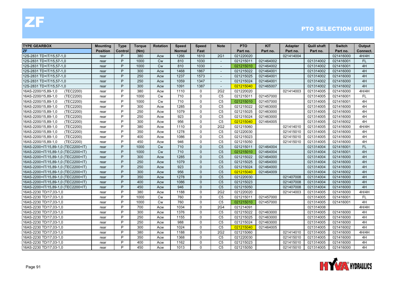| <b>TYPE GEARBOX</b>                 | <b>Mounting</b> | <b>Type</b> | <b>Torque</b> | <b>Rotation</b> | Speed         | <b>Speed</b> | <b>Note</b>              | <b>PTO</b> | <b>KIT</b> | <b>Adapter</b> | <b>Quill shaft</b> | <b>Switch</b> | Output    |
|-------------------------------------|-----------------|-------------|---------------|-----------------|---------------|--------------|--------------------------|------------|------------|----------------|--------------------|---------------|-----------|
| <b>ZF</b>                           | <b>Position</b> | Control     | (Nm)          |                 | <b>Normal</b> | Fast         |                          | Part no.   | Part no.   | Part no.       | Part no.           | Part no.      | Connect.  |
| 12S-2831 TD+IT/15,57-1,0            | rear            | P           | 380           | Acw             | 1266          | 1610         | <b>2G1</b>               | 021220020  |            | 021414004      |                    | 021416000     | 4H/4H     |
| 12S-2831 TD+IT/15,57-1,0            | rear            | P           | 1000          | <b>Cw</b>       | 810           | 1030         | $\overline{\phantom{a}}$ | 021215011  | 021464002  |                | 021314002          | 021416001     | FL        |
| 12S-2831 TD+IT/15,57-1,0            | rear            | P           | 1000          | <b>Cw</b>       | 810           | 1030         |                          | 021215010  | 021464002  |                | 021314002          | 021416001     | 4H        |
| 12S-2831 TD+IT/15.57-1.0            | rear            | P           | 300           | Acw             | 1468          | 1867         | $\overline{a}$           | 021215022  | 021464001  |                | 021314002          | 021416000     | 4H        |
| 12S-2831 TD+IT/15,57-1,0            | rear            | P           | 250           | Acw             | 1237          | 1573         | $\overline{\phantom{a}}$ | 021215025  | 021464001  |                | 021314002          | 021416000     | 4H        |
| 12S-2831 TD+IT/15,57-1,0            | rear            | P           | 250           | Acw             | 1059          | 1347         | $\overline{\phantom{a}}$ | 021215024  | 021464001  |                | 021314002          | 021416000     | 4H        |
| 12S-2831 TD+IT/15,57-1,0            | rear            | P           | 300           | Acw             | 1091          | 1387         | $\sim$                   | 021215040  | 021465007  |                | 021314002          | 021416002     | 4H        |
| 16AS-2200/15,89-1,0<br>(TEC2200)    | rear            | P           | 380           | Acw             | 1110          | $\mathbf{0}$ | 2G <sub>2</sub>          | 021220020  |            | 021414003      | 021314005          | 021416000     | 4H/4H     |
| (TEC2200)<br>16AS-2200/15,89-1,0    | rear            | P           | 1000          | <b>Cw</b>       | 710           | $\mathbf{0}$ | C <sub>5</sub>           | 021215011  | 021457000  |                | 021314005          | 021416001     | <b>FL</b> |
| (TEC2200)<br>16AS-2200/15,89-1,0    | rear            | P           | 1000          | <b>Cw</b>       | 710           | 0            | C <sub>5</sub>           | 021215010  | 021457000  |                | 021314005          | 021416001     | 4H        |
| 16AS-2200/15,89-1,0<br>(TEC2200)    | rear            | P           | 300           | Acw             | 1285          | $\Omega$     | C <sub>5</sub>           | 021215022  | 021463000  |                | 021314005          | 021416000     | 4H        |
| 16AS-2200/15,89-1,0<br>(TEC2200)    | rear            | P           | 250           | Acw             | 1079          | $\mathbf{0}$ | C <sub>5</sub>           | 021215025  | 021463000  |                | 021314005          | 021416000     | 4H        |
| 16AS-2200/15,89-1,0<br>(TEC2200)    | rear            | P           | 250           | Acw             | 923           | $\mathbf{0}$ | C <sub>5</sub>           | 021215024  | 021463000  |                | 021314005          | 021416000     | 4H        |
| 16AS-2200/15,89-1,0<br>(TEC2200)    | rear            | P           | 300           | Acw             | 956           | $\Omega$     | C <sub>5</sub>           | 021215040  | 021464005  |                | 021314005          | 021416002     | 4H        |
| (TEC2200)<br>16AS-2200/15,89-1,0    | rear            | P           | 380           | Acw             | 1110          | $\Omega$     | 2G <sub>2</sub>          | 021215060  |            | 021414010      | 021314005          | 021416000     | 4H/4H     |
| (TEC2200)<br>16AS-2200/15,89-1,0    | rear            | P           | 350           | Acw             | 1278          | $\Omega$     | C <sub>5</sub>           | 021220030  |            | 021415010      | 021314005          | 021416000     | 4H        |
| 16AS-2200/15,89-1,0<br>(TEC2200)    | rear            | P           | 400           | Acw             | 1086          | $\Omega$     | C <sub>5</sub>           | 021215023  |            | 021415010      | 021314005          | 021416000     | 4H        |
| 16AS-2200/15,89-1,0<br>(TEC2200)    | rear            | P           | 450           | Acw             | 946           | $\mathbf{0}$ | C <sub>5</sub>           | 021215050  |            | 021415010      | 021314005          | 021416000     | 4H        |
| 16AS-2200+IT/15,89-1,0 (TEC2200+IT) | rear            | P           | 1000          | <b>Cw</b>       | 710           | $\Omega$     | C <sub>5</sub>           | 021215011  | 021464004  |                | 021314004          | 021416001     | <b>FL</b> |
| 16AS-2200+IT/15,89-1,0 (TEC2200+IT) | rear            | P           | 1000          | <b>Cw</b>       | 710           | $\Omega$     | C <sub>5</sub>           | 021215010  | 021464004  |                | 021314004          | 021416001     | 4H        |
| 16AS-2200+IT/15,89-1,0 (TEC2200+IT) | rear            | P           | 300           | Acw             | 1285          | $\Omega$     | C <sub>5</sub>           | 021215022  | 021464000  |                | 021314004          | 021416000     | 4H        |
| 16AS-2200+IT/15,89-1,0 (TEC2200+IT) | rear            | P           | 250           | Acw             | 1079          | $\Omega$     | C <sub>5</sub>           | 021215025  | 021464000  |                | 021314004          | 021416000     | 4H        |
| 16AS-2200+IT/15,89-1,0 (TEC2200+IT) | rear            | P           | 250           | Acw             | 923           | $\Omega$     | C <sub>5</sub>           | 021215024  | 021464000  |                | 021314004          | 021416000     | 4H        |
| 16AS-2200+IT/15,89-1,0 (TEC2200+IT) | rear            | P           | 300           | Acw             | 956           | $\Omega$     | C <sub>5</sub>           | 021215040  | 021464009  |                | 021314004          | 021416002     | 4H        |
| 16AS-2200+IT/15,89-1,0 (TEC2200+IT) | rear            | P           | 350           | Acw             | 1278          | $\Omega$     | C <sub>5</sub>           | 021220030  |            | 021407008      | 021314004          | 021416000     | 4H        |
| 16AS-2200+IT/15,89-1,0 (TEC2200+IT) | rear            | P           | 400           | Acw             | 1086          | $\Omega$     | C <sub>5</sub>           | 021215023  |            | 021407008      | 021314004          | 021416000     | 4H        |
| 16AS-2200+IT/15,89-1,0 (TEC2200+IT) | rear            | P           | 450           | Acw             | 946           | $\Omega$     | C <sub>5</sub>           | 021215050  |            | 021407008      | 021314004          | 021416000     | 4H        |
| 16AS-2230 TD/17,03-1,0              | rear            | P           | 380           | Acw             | 1188          | $\Omega$     | 2G <sub>2</sub>          | 021220020  |            | 021414003      | 021314005          | 021416000     | 4H/4H     |
| 16AS-2230 TD/17,03-1,0              | rear            | P           | 1000          | <b>Cw</b>       | 760           | $\Omega$     | C <sub>5</sub>           | 021215011  | 021457000  |                | 021314005          | 021416001     | <b>FL</b> |
| 16AS-2230 TD/17,03-1,0              | rear            | P           | 1000          | <b>Cw</b>       | 760           | $\mathbf{0}$ | C <sub>5</sub>           | 021215010  | 021457000  |                | 021314005          | 021416001     | 4H        |
| 16AS-2230 TD/17,03-1,0              | rear            | P           | 700           | Acw             | 1034          | $\Omega$     | <b>2G4</b>               | 021214091  |            |                | 021314008          |               | 4H/4H     |
| 16AS-2230 TD/17,03-1,0              | rear            | P           | 300           | Acw             | 1376          | $\mathbf{0}$ | C <sub>5</sub>           | 021215022  | 021463000  |                | 021314005          | 021416000     | 4H        |
| 16AS-2230 TD/17,03-1,0              | rear            | P           | 250           | Acw             | 1155          | $\Omega$     | C <sub>5</sub>           | 021215025  | 021463000  |                | 021314005          | 021416000     | 4H        |
| 16AS-2230 TD/17,03-1,0              | rear            | P           | 250           | Acw             | 988           | $\Omega$     | C <sub>5</sub>           | 021215024  | 021463000  |                | 021314005          | 021416000     | 4H        |
| 16AS-2230 TD/17,03-1,0              | rear            | P           | 300           | Acw             | 1024          | $\mathbf 0$  | C <sub>5</sub>           | 021215040  | 021464005  |                | 021314005          | 021416002     | 4H        |
| 16AS-2230 TD/17,03-1,0              | rear            | P           | 380           | Acw             | 1188          | $\Omega$     | 2G <sub>2</sub>          | 021215060  |            | 021414010      | 021314005          | 021416000     | 4H/4H     |
| 16AS-2230 TD/17,03-1,0              | rear            | P           | 350           | Acw             | 1368          | $\Omega$     | C <sub>5</sub>           | 021220030  |            | 021415010      | 021314005          | 021416000     | 4H        |
| 16AS-2230 TD/17,03-1,0              | rear            | P           | 400           | Acw             | 1162          | $\Omega$     | C <sub>5</sub>           | 021215023  |            | 021415010      | 021314005          | 021416000     | 4H        |
| 16AS-2230 TD/17,03-1,0              | rear            | P           | 450           | Acw             | 1013          | $\mathbf{0}$ | C <sub>5</sub>           | 021215050  |            | 021415010      | 021314005          | 021416000     | 4H        |

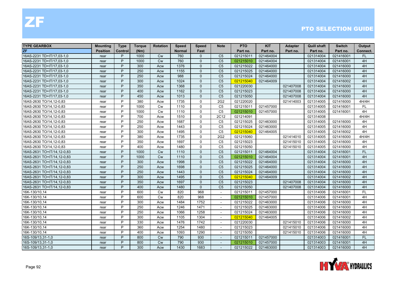| <b>TYPE GEARBOX</b>        | <b>Mounting</b> | <b>Type</b> | <b>Torque</b> | <b>Rotation</b> | <b>Speed</b>  | <b>Speed</b> | <b>Note</b>              | <b>PTO</b> | <b>KIT</b> | <b>Adapter</b> | <b>Quill shaft</b> | <b>Switch</b> | Output    |
|----------------------------|-----------------|-------------|---------------|-----------------|---------------|--------------|--------------------------|------------|------------|----------------|--------------------|---------------|-----------|
| ZF                         | <b>Position</b> | Control     | (Nm)          |                 | <b>Normal</b> | Fast         |                          | Part no.   | Part no.   | Part no.       | Part no.           | Part no.      | Connect.  |
| 16AS-2231 TD+IT/17.03-1.0  | rear            | P           | 1000          | <b>Cw</b>       | 760           | $\Omega$     | C <sub>5</sub>           | 021215011  | 021464004  |                | 021314004          | 021416001     | <b>FL</b> |
| 16AS-2231 TD+IT/17,03-1,0  | rear            | P           | 1000          | <b>Cw</b>       | 760           | $\Omega$     | C <sub>5</sub>           | 021215010  | 021464004  |                | 021314004          | 021416001     | 4H        |
| 16AS-2231 TD+IT/17,03-1,0  | rear            | P           | 300           | Acw             | 1376          | $\Omega$     | C <sub>5</sub>           | 021215022  | 021464000  |                | 021314004          | 021416000     | 4H        |
| 16AS-2231 TD+IT/17,03-1,0  | rear            | P           | 250           | Acw             | 1155          | $\Omega$     | C <sub>5</sub>           | 021215025  | 021464000  |                | 021314004          | 021416000     | 4H        |
| 16AS-2231 TD+IT/17,03-1,0  | rear            | P           | 250           | Acw             | 988           | $\Omega$     | C <sub>5</sub>           | 021215024  | 021464000  |                | 021314004          | 021416000     | 4H        |
| 16AS-2231 TD+IT/17,03-1,0  | rear            | P           | 300           | Acw             | 1024          | $\Omega$     | C <sub>5</sub>           | 021215040  | 021464009  |                | 021314004          | 021416002     | 4H        |
| 16AS-2231 TD+IT/17,03-1,0  | rear            | P           | 350           | Acw             | 1368          | $\mathbf{0}$ | C <sub>5</sub>           | 021220030  |            | 021407008      | 021314004          | 021416000     | 4H        |
| 16AS-2231 TD+IT/17,03-1,0  | rear            | P           | 400           | Acw             | 1162          | $\Omega$     | C <sub>5</sub>           | 021215023  |            | 021407008      | 021314004          | 021416000     | 4H        |
| 16AS-2231 TD+IT/17,03-1,0  | rear            | P           | 450           | Acw             | 1013          | $\Omega$     | C <sub>5</sub>           | 021215050  |            | 021407008      | 021314004          | 021416000     | 4H        |
| 16AS-2630 TO/14,12-0,83    | rear            | P           | 380           | Acw             | 1735          | $\mathbf{0}$ | 2G2                      | 021220020  |            | 021414003      | 021314005          | 021416000     | 4H/4H     |
| 16AS-2630 TO/14,12-0,83    | rear            | P           | 1000          | Cw              | 1110          | $\mathbf 0$  | C <sub>5</sub>           | 021215011  | 021457000  |                | 021314005          | 021416001     | <b>FL</b> |
| 16AS-2630 TO/14,12-0,83    | rear            | P           | 1000          | Cw              | 1110          | $\mathbf 0$  | C <sub>5</sub>           | 021215010  | 021457000  |                | 021314005          | 021416001     | 4H        |
| 16AS-2630 TO/14,12-0,83    | rear            | P           | 700           | Acw             | 1510          | $\Omega$     | 2C12                     | 021214091  |            |                | 021314008          |               | 4H/4H     |
| 16AS-2630 TO/14,12-0,83    | rear            | P           | 250           | Acw             | 1687          | $\mathbf{0}$ | C <sub>5</sub>           | 021215025  | 021463000  |                | 021314005          | 021416000     | 4H        |
| 16AS-2630 TO/14,12-0,83    | rear            | P           | 250           | Acw             | 1443          | $\Omega$     | C <sub>5</sub>           | 021215024  | 021463000  |                | 021314005          | 021416000     | 4H        |
| 16AS-2630 TO/14,12-0,83    | rear            | P           | 300           | Acw             | 1495          | $\mathbf 0$  | C <sub>5</sub>           | 021215040  | 021464005  |                | 021314005          | 021416002     | 4H        |
| 16AS-2630 TO/14,12-0,83    | rear            | P           | 380           | Acw             | 1735          | $\Omega$     | 2G <sub>2</sub>          | 021215060  |            | 021414010      | 021314005          | 021416000     | 4H/4H     |
| 16AS-2630 TO/14,12-0,83    | rear            | P           | 350           | Acw             | 1697          | $\mathbf{0}$ | C <sub>5</sub>           | 021215023  |            | 021415010      | 021314005          | 021416000     | 4H        |
| 16AS-2630 TO/14,12-0,83    | rear            | P           | 400           | Acw             | 1480          | $\Omega$     | C <sub>5</sub>           | 021215050  |            | 021415010      | 021314005          | 021416000     | 4H        |
| 16AS-2631 TO+IT/14,12-0,83 | rear            | P           | 1000          | <b>Cw</b>       | 1110          | $\Omega$     | C <sub>5</sub>           | 021215011  | 021464004  |                | 021314004          | 021416001     | <b>FL</b> |
| 16AS-2631 TO+IT/14,12-0,83 | rear            | P           | 1000          | Cw              | 1110          | $\mathbf{0}$ | C <sub>5</sub>           | 021215010  | 021464004  |                | 021314004          | 021416001     | 4H        |
| 16AS-2631 TO+IT/14,12-0,83 | rear            | P           | 300           | Acw             | 1998          | $\Omega$     | C <sub>5</sub>           | 021215022  | 021464000  |                | 021314004          | 021416000     | 4H        |
| 16AS-2631 TO+IT/14,12-0,83 | rear            | P           | 250           | Acw             | 1698          | $\Omega$     | C <sub>5</sub>           | 021215025  | 021464000  |                | 021314004          | 021416000     | 4H        |
| 16AS-2631 TO+IT/14,12-0,83 | rear            | P           | 250           | Acw             | 1443          | $\Omega$     | C <sub>5</sub>           | 021215024  | 021464000  |                | 021314004          | 021416000     | 4H        |
| 16AS-2631 TO+IT/14,12-0,83 | rear            | P           | 300           | Acw             | 1495          | $\Omega$     | C <sub>5</sub>           | 021215040  | 021464009  |                | 021314004          | 021416002     | 4H        |
| 16AS-2631 TO+IT/14,12-0,83 | rear            | P           | 350           | Acw             | 1697          | $\Omega$     | C <sub>5</sub>           | 021215023  |            | 021407008      | 021314004          | 021416000     | 4H        |
| 16AS-2631 TO+IT/14,12-0,83 | rear            | P           | 400           | Acw             | 1480          | $\Omega$     | C <sub>5</sub>           | 021215050  |            | 021407008      | 021314004          | 021416000     | 4H        |
| 16K-130/10,14              | rear            | P           | 600           | Cw              | 820           | 968          | $\sim$                   | 021215011  | 021457000  |                | 021314006          | 021416001     | <b>FL</b> |
| 16K-130/10,14              | rear            | P           | 600           | <b>Cw</b>       | 820           | 968          | $\sim$                   | 021215010  | 021457000  |                | 021314006          | 021416001     | 4H        |
| 16K-130/10,14              | rear            | P           | 300           | Acw             | 1484          | 1752         | $\overline{\phantom{a}}$ | 021215022  | 021463000  |                | 021314006          | 021416000     | 4H        |
| 16K-130/10,14              | rear            | P           | 250           | Acw             | 1246          | 1471         | $\sim$                   | 021215025  | 021463000  |                | 021314006          | 021416000     | 4H        |
| 16K-130/10,14              | rear            | P           | 250           | Acw             | 1066          | 1258         |                          | 021215024  | 021463000  |                | 021314006          | 021416000     | 4H        |
| 16K-130/10,14              | rear            | P           | 300           | Acw             | 1105          | 1304         | $\overline{\phantom{a}}$ | 021215040  | 021464005  |                | 021314006          | 021416002     | 4H        |
| 16K-130/10,14              | rear            | P           | 330           | Acw             | 1476          | 1742         | $\overline{\phantom{a}}$ | 021220030  |            | 021415010      | 021314006          | 021416000     | 4H        |
| 16K-130/10,14              | rear            | P           | 360           | Acw             | 1254          | 1480         | $\sim$                   | 021215023  |            | 021415010      | 021314006          | 021416000     | 4H        |
| 16K-130/10,14              | rear            | P           | 400           | Acw             | 1093          | 1290         | $\overline{\phantom{a}}$ | 021215050  |            | 021415010      | 021314006          | 021416000     | 4H        |
| 16S-109/13,31-1,0          | rear            | P           | 800           | <b>Cw</b>       | 790           | 930          | $\overline{\phantom{a}}$ | 021215011  | 021457000  |                | 021314003          | 021416001     | FL        |
| 16S-109/13,31-1,0          | rear            | P           | 800           | Cw              | 790           | 930          |                          | 021215010  | 021457000  |                | 021314003          | 021416001     | 4H        |
| 16S-109/13,31-1,0          | rear            | P           | 300           | Acw             | 1430          | 1683         | $\overline{\phantom{a}}$ | 021215022  | 021463000  |                | 021314003          | 021416000     | 4H        |

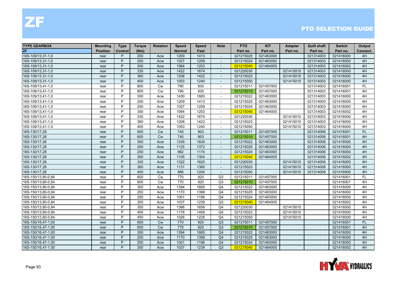| <b>TYPE GEARBOX</b> | Mounting        | <b>Type</b> | <b>Torque</b> | <b>Rotation</b> | <b>Speed</b>  | <b>Speed</b> | <b>Note</b>              | <b>PTO</b> | <b>KIT</b> | <b>Adapter</b> | <b>Quill shaft</b> | <b>Switch</b> | Output    |
|---------------------|-----------------|-------------|---------------|-----------------|---------------|--------------|--------------------------|------------|------------|----------------|--------------------|---------------|-----------|
| <b>ZF</b>           | <b>Position</b> | Control     | (Nm)          |                 | <b>Normal</b> | Fast         |                          | Part no.   | Part no.   | Part no.       | Part no.           | Part no.      | Connect.  |
| 16S-109/13,31-1,0   | rear            | P           | 250           | Acw             | 1209          | 1413         | $\blacksquare$           | 021215025  | 021463000  |                | 021314003          | 021416000     | 4H        |
| 16S-109/13,31-1,0   | rear            | P           | 250           | Acw             | 1027          | 1209         |                          | 021215024  | 021463000  |                | 021314003          | 021416000     | 4H        |
| 16S-109/13,31-1,0   | rear            | P           | 300           | Acw             | 1064          | 1253         |                          | 021215040  | 021464005  |                | 021314003          | 021416002     | 4H        |
| 16S-109/13,31-1,0   | rear            | P           | 330           | Acw             | 1422          | 1674         | $\overline{a}$           | 021220030  |            | 021415010      | 021314003          | 021416000     | 4H        |
| 16S-109/13,31-1,0   | rear            | P           | 360           | Acw             | 1208          | 1422         | $\overline{\phantom{a}}$ | 021215023  |            | 021415010      | 021314003          | 021416000     | 4H        |
| 16S-109/13,31-1,0   | rear            | P           | 400           | Acw             | 1053          | 1240         | $\overline{\phantom{a}}$ | 021215050  |            | 021415010      | 021314003          | 021416000     | 4H        |
| 16S-109/13,41-1,0   | rear            | P           | 800           | <b>Cw</b>       | 790           | 930          | $\overline{\phantom{a}}$ | 021215011  | 021457000  |                | 021314003          | 021416001     | <b>FL</b> |
| 16S-109/13,41-1,0   | rear            | P           | 800           | Cw              | 790           | 930          | $\overline{\phantom{a}}$ | 021215010  | 021457000  |                | 021314003          | 021416001     | 4H        |
| 16S-109/13,41-1,0   | rear            | P           | 300           | Acw             | 1430          | 1683         |                          | 021215022  | 021463000  |                | 021314003          | 021416000     | 4H        |
| 16S-109/13,41-1,0   | rear            | P           | 250           | Acw             | 1209          | 1413         | $\sim$                   | 021215025  | 021463000  |                | 021314003          | 021416000     | 4H        |
| 16S-109/13,41-1,0   | rear            | P           | 250           | Acw             | 1027          | 1209         | $\overline{\phantom{a}}$ | 021215024  | 021463000  |                | 021314003          | 021416000     | 4H        |
| 16S-109/13,41-1,0   | rear            | P           | 300           | Acw             | 1064          | 1253         | $\overline{\phantom{a}}$ | 021215040  | 021464005  |                | 021314003          | 021416002     | 4H        |
| 16S-109/13,41-1,0   | rear            | P           | 330           | Acw             | 1422          | 1674         | $\overline{\phantom{a}}$ | 021220030  |            | 021415010      | 021314003          | 021416000     | 4H        |
| 16S-109/13,41-1,0   | rear            | P           | 360           | Acw             | 1208          | 1422         |                          | 021215023  |            | 021415010      | 021314003          | 021416000     | 4H        |
| 16S-109/13,41-1,0   | rear            | P           | 400           | Acw             | 1053          | 1240         | $\overline{a}$           | 021215050  |            | 021415010      | 021314003          | 021416000     | 4H        |
| 16S-130/17,28       | rear            | P           | 600           | Cw              | 740           | 903          | $\overline{a}$           | 021215011  | 021457000  |                | 021314006          | 021416001     | <b>FL</b> |
| 16S-130/17,28       | rear            | P           | 600           | Cw              | 740           | 903          | $\overline{\phantom{a}}$ | 021215010  | 021457000  |                | 021314006          | 021416001     | 4H        |
| 16S-130/17,28       | rear            | P           | 300           | Acw             | 1339          | 1634         | $\overline{\phantom{a}}$ | 021215022  | 021463000  |                | 021314006          | 021416000     | 4H        |
| 16S-130/17,28       | rear            | P           | 250           | Acw             | 1125          | 1372         | $\blacksquare$           | 021215025  | 021463000  |                | 021314006          | 021416000     | 4H        |
| 16S-130/17,28       | rear            | P           | 250           | Acw             | 962           | 1174         |                          | 021215024  | 021463000  |                | 021314006          | 021416000     | 4H        |
| 16S-130/17,28       | rear            | P           | 300           | Acw             | 1105          | 1304         | $\overline{\phantom{a}}$ | 021215040  | 021464005  |                | 021314006          | 021416002     | 4H        |
| 16S-130/17,28       | rear            | P           | 330           | Acw             | 1322          | 1625         | $\overline{a}$           | 021220030  |            | 021415010      | 021314006          | 021416000     | 4H        |
| 16S-130/17,28       | rear            | P           | 360           | Acw             | 1131          | 1380         | $\sim$                   | 021215023  |            | 021415010      | 021314006          | 021416000     | 4H        |
| 16S-130/17,28       | rear            | P           | 400           | Acw             | 986           | 1204         | $\overline{\phantom{a}}$ | 021215050  |            | 021415010      | 021314006          | 021416000     | 4H        |
| 16S-150/13,80-0,84  | rear            | P           | 600           | Cw              | 770           | 920          | Q3                       | 021215011  | 021457000  |                |                    | 021416001     | <b>FL</b> |
| 16S-150/13,80-0,84  | rear            | P           | 600           | Cw              | 770           | 920          | Q3                       | 021215010  | 021457000  |                |                    | 021416001     | 4H        |
| 16S-150/13,80-0,84  | rear            | P           | 300           | Acw             | 1394          | 1665         | Q <sub>4</sub>           | 021215022  | 021463000  |                |                    | 021416000     | 4H        |
| 16S-150/13,80-0,84  | rear            | P           | 250           | Acw             | 1170          | 1398         | Q <sub>4</sub>           | 021215025  | 021463000  |                |                    | 021416000     | 4H        |
| 16S-150/13,80-0,84  | rear            | P           | 250           | Acw             | 1001          | 1196         | Q <sub>4</sub>           | 021215024  | 021463000  |                |                    | 021416000     | 4H        |
| 16S-150/13,80-0,84  | rear            | P           | 300           | Acw             | 1037          | 1239         | Q3                       | 021215040  | 021464005  |                |                    | 021416002     | 4H        |
| 16S-150/13,80-0,84  | rear            | P           | 350           | Acw             | 1386          | 1656         | Q <sub>4</sub>           | 021220030  |            | 021415010      |                    | 021416000     | 4H        |
| 16S-150/13,80-0,84  | rear            | P           | 400           | Acw             | 1178          | 1406         | Q <sub>4</sub>           | 021215023  |            | 021415010      |                    | 021416000     | 4H        |
| 16S-150/13,80-0,84  | rear            | P           | 450           | Acw             | 1026          | 1226         | Q <sub>4</sub>           | 021215050  |            | 021415010      |                    | 021416000     | 4H        |
| 16S-150/16,47-1,00  | rear            | P           | 600           | Cw              | 770           | 920          | Q3                       | 021215011  | 021457000  |                |                    | 021416001     | <b>FL</b> |
| 16S-150/16,47-1,00  | rear            | P           | 600           | Cw              | 770           | 920          | Q3                       | 021215010  | 021457000  |                |                    | 021416001     | 4H        |
| 16S-150/16,47-1,00  | rear            | P           | 300           | Acw             | 1394          | 1665         | Q <sub>4</sub>           | 021215022  | 021463000  |                |                    | 021416000     | 4H        |
| 16S-150/16,47-1,00  | rear            | P           | 250           | Acw             | 1170          | 1398         | Q <sub>4</sub>           | 021215025  | 021463000  |                |                    | 021416000     | 4H        |
| 16S-150/16,47-1,00  | rear            | P           | 250           | Acw             | 1001          | 1196         | Q <sub>4</sub>           | 021215024  | 021463000  |                |                    | 021416000     | 4H        |
| 16S-150/16,47-1,00  | rear            | P           | 300           | Acw             | 1037          | 1239         | Q3                       | 021215040  | 021464005  |                |                    | 021416002     | 4H        |

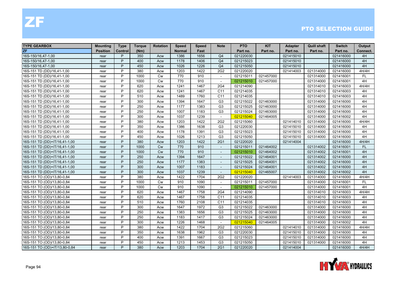| <b>TYPE GEARBOX</b>           | Mounting        | <b>Type</b> | <b>Torque</b> | <b>Rotation</b> | Speed         | <b>Speed</b> | <b>Note</b>              | <b>PTO</b> | <b>KIT</b> | <b>Adapter</b> | Quill shaft | <b>Switch</b> | Output    |
|-------------------------------|-----------------|-------------|---------------|-----------------|---------------|--------------|--------------------------|------------|------------|----------------|-------------|---------------|-----------|
| <b>ZF</b>                     | <b>Position</b> | Control     | (Nm)          |                 | <b>Normal</b> | Fast         |                          | Part no.   | Part no.   | Part no.       | Part no.    | Part no.      | Connect.  |
| 16S-150/16,47-1,00            | rear            | P           | 350           | Acw             | 1386          | 1656         | Q <sub>4</sub>           | 021220030  |            | 021415010      |             | 021416000     | 4H        |
| 16S-150/16,47-1,00            | rear            | P           | 400           | Acw             | 1178          | 1406         | Q <sub>4</sub>           | 021215023  |            | 021415010      |             | 021416000     | 4H        |
| 16S-150/16,47-1,00            | rear            | P           | 450           | Acw             | 1026          | 1226         | Q <sub>4</sub>           | 021215050  |            | 021415010      |             | 021416000     | 4H        |
| 16S-151 TD (DD)/16,41-1,00    | rear            | P           | 380           | Acw             | 1203          | 1422         | 2G2                      | 021220020  |            | 021414003      | 021314000   | 021416000     | 4H/4H     |
| 16S-151 TD (DD)/16,41-1,00    | rear            | P           | 1000          | <b>Cw</b>       | 770           | 910          | $\sim$                   | 021215011  | 021457000  |                | 021314000   | 021416001     | FL        |
| 16S-151 TD (DD)/16,41-1,00    | rear            | P           | 1000          | Cw              | 770           | 910          | $\overline{\phantom{a}}$ | 021215010  | 021457000  |                | 021314000   | 021416001     | 4H        |
| 16S-151 TD (DD)/16,41-1,00    | rear            | P           | 620           | Acw             | 1241          | 1467         | 2G4                      | 021214090  |            |                | 021314010   | 021416003     | 4H/4H     |
| 16S-151 TD (DD)/16,41-1,00    | rear            | P           | 620           | Acw             | 1241          | 1467         | C <sub>11</sub>          | 021214035  |            |                | 021314010   | 021416003     | 4H        |
| 16S-151 TD (DD)/16,41-1,00    | rear            | P           | 510           | Acw             | 1489          | 1760         | C11                      | 021214035  |            |                | 021314010   | 021416003     | 4H        |
| 16S-151 TD (DD)/16,41-1,00    | rear            | P           | 300           | Acw             | 1394          | 1647         | G <sub>3</sub>           | 021215022  | 021463000  |                | 021314000   | 021416000     | 4H        |
| 16S-151 TD (DD)/16,41-1,00    | rear            | P           | 250           | Acw             | 1177          | 1383         | G <sub>3</sub>           | 021215025  | 021463000  |                | 021314000   | 021416000     | 4H        |
| 16S-151 TD (DD)/16,41-1,00    | rear            | P           | 250           | Acw             | 1007          | 1183         | G <sub>3</sub>           | 021215024  | 021463000  |                | 021314000   | 021416000     | 4H        |
| 16S-151 TD (DD)/16,41-1,00    | rear            | P           | 300           | Acw             | 1037          | 1239         | $\sim$                   | 021215040  | 021464005  |                | 021314000   | 021416002     | 4H        |
| 16S-151 TD (DD)/16,41-1,00    | rear            | P           | 380           | Acw             | 1203          | 1422         | 2G2                      | 021215060  |            | 021414010      | 021314000   | 021416000     | 4H/4H     |
| 16S-151 TD (DD)/16,41-1,00    | rear            | P           | 350           | Acw             | 1386          | 1638         | G <sub>3</sub>           | 021220030  |            | 021415010      | 021314000   | 021416000     | 4H        |
| 16S-151 TD (DD)/16,41-1,00    | rear            | P           | 400           | Acw             | 1178          | 1391         | G <sub>3</sub>           | 021215023  |            | 021415010      | 021314000   | 021416000     | 4H        |
| 16S-151 TD (DD)/16,41-1,00    | rear            | P           | 450           | Acw             | 1026          | 1213         | G <sub>3</sub>           | 021215050  |            | 021415010      | 021314000   | 021416000     | 4H        |
| 16S-151 TD (DD)+IT/16,41-1,00 | rear            | P           | 380           | Acw             | 1203          | 1422         | <b>2G1</b>               | 021220020  |            | 021414004      |             | 021416000     | 4H/4H     |
| 16S-151 TD (DD)+IT/16,41-1,00 | rear            | P           | 1000          | <b>Cw</b>       | 770           | 910          | $\blacksquare$           | 021215011  | 021464002  |                | 021314002   | 021416001     | <b>FL</b> |
| 16S-151 TD (DD)+IT/16,41-1,00 | rear            | P           | 1000          | <b>Cw</b>       | 770           | 910          |                          | 021215010  | 021464002  |                | 021314002   | 021416001     | 4H        |
| 16S-151 TD (DD)+IT/16,41-1,00 | rear            | P           | 250           | Acw             | 1394          | 1647         | $\overline{\phantom{a}}$ | 021215022  | 021464001  |                | 021314002   | 021416000     | 4H        |
| 16S-151 TD (DD)+IT/16,41-1,00 | rear            | P           | 250           | Acw             | 1177          | 1383         | $\overline{a}$           | 021215025  | 021464001  |                | 021314002   | 021416000     | 4H        |
| 16S-151 TD (DD)+IT/16,41-1,00 | rear            | P           | 300           | Acw             | 1007          | 1183         | $\sim$                   | 021215024  | 021464001  |                | 021314002   | 021416000     | 4H        |
| 16S-151 TD (DD)+IT/16,41-1,00 | rear            | P           | 300           | Acw             | 1037          | 1239         | $\sim$                   | 021215040  | 021465007  |                | 021314002   | 021416002     | 4H        |
| 16S-151 TO (OD)/13,80-0,84    | rear            | P           | 380           | Acw             | 1422          | 1704         | 2G <sub>2</sub>          | 021220020  |            | 021414003      | 021314000   | 021416000     | 4H/4H     |
| 16S-151 TO (OD)/13,80-0,84    | rear            | P           | 1000          | <b>Cw</b>       | 910           | 1090         | $\overline{a}$           | 021215011  | 021457000  |                | 021314000   | 021416001     | <b>FL</b> |
| 16S-151 TO (OD)/13,80-0,84    | rear            | P           | 1000          | <b>Cw</b>       | 910           | 1090         | $\overline{a}$           | 021215010  | 021457000  |                | 021314000   | 021416001     | 4H        |
| 16S-151 TO (OD)/13,80-0,84    | rear            | P           | 620           | Acw             | 1467          | 1758         | 2G4                      | 021214090  |            |                | 021314010   | 021416003     | 4H/4H     |
| 16S-151 TO (OD)/13,80-0,84    | rear            | P           | 620           | Acw             | 1467          | 1758         | C11                      | 021214035  |            |                | 021314010   | 021416003     | 4H        |
| 16S-151 TO (OD)/13,80-0,84    | rear            | P           | 510           | Acw             | 1760          | 2108         | C11                      | 021214035  |            |                | 021314010   | 021416003     | 4H        |
| 16S-151 TO (OD)/13,80-0,84    | rear            | P           | 300           | Acw             | 1647          | 1972         | G <sub>3</sub>           | 021215022  | 021463000  |                | 021314000   | 021416000     | 4H        |
| 16S-151 TO (OD)/13,80-0,84    | rear            | P           | 250           | Acw             | 1383          | 1656         | G <sub>3</sub>           | 021215025  | 021463000  |                | 021314000   | 021416000     | 4H        |
| 16S-151 TO (OD)/13,80-0,84    | rear            | P           | 250           | Acw             | 1183          | 1417         | G <sub>3</sub>           | 021215024  | 021463000  |                | 021314000   | 021416000     | 4H        |
| 16S-151 TO (OD)/13,80-0,84    | rear            | P           | 300           | Acw             | 1226          | 1468         | $\overline{\phantom{a}}$ | 021215040  | 021464005  |                | 021314000   | 021416002     | 4H        |
| 16S-151 TO (OD)/13,80-0,84    | rear            | P           | 380           | Acw             | 1422          | 1704         | 2G <sub>2</sub>          | 021215060  |            | 021414010      | 021314000   | 021416000     | 4H/4H     |
| 16S-151 TO (OD)/13,80-0,84    | rear            | P           | 350           | Acw             | 1638          | 1962         | G <sub>3</sub>           | 021220030  |            | 021415010      | 021314000   | 021416000     | 4H        |
| 16S-151 TO (OD)/13,80-0,84    | rear            | P           | 400           | Acw             | 1391          | 1667         | G <sub>3</sub>           | 021215023  |            | 021415010      | 021314000   | 021416000     | 4H        |
| 16S-151 TO (OD)/13,80-0,84    | rear            | P           | 450           | Acw             | 1213          | 1453         | G <sub>3</sub>           | 021215050  |            | 021415010      | 021314000   | 021416000     | 4H        |
| 16S-151 TO (OD)+IT/13,80-0,84 | rear            | P           | 380           | Acw             | 1203          | 1704         | <b>2G1</b>               | 021220020  |            | 021414004      |             | 021416000     | 4H/4H     |

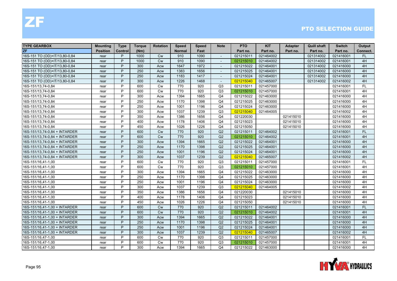| <b>TYPE GEARBOX</b>           | <b>Mounting</b> | <b>Type</b> | Torque | <b>Rotation</b> | <b>Speed</b>  | <b>Speed</b> | <b>Note</b>    | <b>PTO</b> | <b>KIT</b> | <b>Adapter</b> | <b>Quill shaft</b> | <b>Switch</b> | Output    |
|-------------------------------|-----------------|-------------|--------|-----------------|---------------|--------------|----------------|------------|------------|----------------|--------------------|---------------|-----------|
| ZF                            | <b>Position</b> | Control     | (Nm)   |                 | <b>Normal</b> | Fast         |                | Part no.   | Part no.   | Part no.       | Part no.           | Part no.      | Connect.  |
| 16S-151 TO (OD)+IT/13,80-0,84 | rear            | P           | 1000   | <b>Cw</b>       | 910           | 1090         | $\sim$         | 021215011  | 021464002  |                | 021314002          | 021416001     | <b>FL</b> |
| 16S-151 TO (OD)+IT/13,80-0,84 | rear            | P           | 1000   | Cw              | 910           | 1090         | $\sim$         | 021215010  | 021464002  |                | 021314002          | 021416001     | 4H        |
| 16S-151 TO (OD)+IT/13,80-0,84 | rear            | P           | 300    | Acw             | 1647          | 1972         |                | 021215022  | 021464001  |                | 021314002          | 021416000     | 4H        |
| 16S-151 TO (OD)+IT/13,80-0,84 | rear            | P           | 250    | Acw             | 1383          | 1656         | $\sim$         | 021215025  | 021464001  |                | 021314002          | 021416000     | 4H        |
| 16S-151 TO (OD)+IT/13,80-0,84 | rear            | P           | 250    | Acw             | 1183          | 1417         | $\sim$         | 021215024  | 021464001  |                | 021314002          | 021416000     | 4H        |
| 16S-151 TO (OD)+IT/13,80-0,84 | rear            | P           | 300    | Acw             | 1226          | 1468         | $\sim$         | 021215040  | 021465007  |                | 021314002          | 021416002     | 4H        |
| 16S-151/13,74-0,84            | rear            | P           | 600    | <b>Cw</b>       | 770           | 920          | Q <sub>3</sub> | 021215011  | 021457000  |                |                    | 021416001     | <b>FL</b> |
| 16S-151/13,74-0,84            | rear            | P           | 600    | <b>Cw</b>       | 770           | 920          | Q3             | 021215010  | 021457000  |                |                    | 021416001     | 4H        |
| 16S-151/13,74-0,84            | rear            | P           | 300    | Acw             | 1394          | 1665         | Q <sub>4</sub> | 021215022  | 021463000  |                |                    | 021416000     | 4H        |
| 16S-151/13,74-0,84            | rear            | P           | 250    | Acw             | 1170          | 1398         | Q <sub>4</sub> | 021215025  | 021463000  |                |                    | 021416000     | 4H        |
| 16S-151/13,74-0,84            | rear            | P           | 250    | Acw             | 1001          | 1196         | Q <sub>4</sub> | 021215024  | 021463000  |                |                    | 021416000     | 4H        |
| 16S-151/13,74-0,84            | rear            | P           | 300    | Acw             | 1037          | 1239         | Q3             | 021215040  | 021464005  |                |                    | 021416002     | 4H        |
| 16S-151/13,74-0,84            | rear            | P           | 350    | Acw             | 1386          | 1656         | Q <sub>4</sub> | 021220030  |            | 021415010      |                    | 021416000     | 4H        |
| 16S-151/13,74-0,84            | rear            | P           | 400    | Acw             | 1178          | 1406         | Q <sub>4</sub> | 021215023  |            | 021415010      |                    | 021416000     | 4H        |
| 16S-151/13,74-0,84            | rear            | P           | 450    | Acw             | 1026          | 1226         | Q <sub>4</sub> | 021215050  |            | 021415010      |                    | 021416000     | 4H        |
| 16S-151/13,74-0,84 + INTARDER | rear            | P           | 600    | Cw              | 770           | 920          | Q2             | 021215011  | 021464002  |                |                    | 021416001     | <b>FL</b> |
| 16S-151/13,74-0,84 + INTARDER | rear            | P           | 600    | <b>Cw</b>       | 770           | 920          | Q2             | 021215010  | 021464002  |                |                    | 021416001     | 4H        |
| 16S-151/13,74-0,84 + INTARDER | rear            | P           | 300    | Acw             | 1394          | 1665         | Q2             | 021215022  | 021464001  |                |                    | 021416000     | 4H        |
| 16S-151/13,74-0,84 + INTARDER | rear            | P           | 250    | Acw             | 1170          | 1398         | Q2             | 021215025  | 021464001  |                |                    | 021416000     | 4H        |
| 16S-151/13,74-0,84 + INTARDER | rear            | P           | 250    | Acw             | 1001          | 1196         | Q2             | 021215024  | 021464001  |                |                    | 021416000     | 4H        |
| 16S-151/13,74-0,84 + INTARDER | rear            | P           | 300    | Acw             | 1037          | 1239         | Q2             | 021215040  | 021465007  |                |                    | 021416002     | 4H        |
| 16S-151/16,41-1,00            | rear            | P           | 600    | <b>Cw</b>       | 770           | 920          | Q3             | 021215011  | 021457000  |                |                    | 021416001     | FL.       |
| 16S-151/16,41-1,00            | rear            | P           | 600    | Cw              | 770           | 920          | Q3             | 021215010  | 021457000  |                |                    | 021416001     | 4H        |
| 16S-151/16,41-1,00            | rear            | P           | 300    | Acw             | 1394          | 1665         | Q <sub>4</sub> | 021215022  | 021463000  |                |                    | 021416000     | 4H        |
| 16S-151/16,41-1,00            | rear            | P           | 250    | Acw             | 1170          | 1398         | Q <sub>4</sub> | 021215025  | 021463000  |                |                    | 021416000     | 4H        |
| 16S-151/16,41-1,00            | rear            | P           | 250    | Acw             | 1001          | 1196         | Q <sub>4</sub> | 021215024  | 021463000  |                |                    | 021416000     | 4H        |
| 16S-151/16,41-1,00            | rear            | P           | 300    | Acw             | 1037          | 1239         | Q3             | 021215040  | 021464005  |                |                    | 021416002     | 4H        |
| 16S-151/16,41-1,00            | rear            | P           | 350    | Acw             | 1386          | 1656         | Q4             | 021220030  |            | 021415010      |                    | 021416000     | 4H        |
| 16S-151/16,41-1,00            | rear            | P           | 400    | Acw             | 1178          | 1406         | Q <sub>4</sub> | 021215023  |            | 021415010      |                    | 021416000     | 4H        |
| 16S-151/16,41-1,00            | rear            | P           | 450    | Acw             | 1026          | 1226         | Q <sub>4</sub> | 021215050  |            | 021415010      |                    | 021416000     | 4H        |
| 16S-151/16,41-1,00 + INTARDER | rear            | P           | 600    | Cw              | 770           | 920          | Q2             | 021215011  | 021464002  |                |                    | 021416001     | FL        |
| 16S-151/16,41-1,00 + INTARDER | rear            | P           | 600    | Cw              | 770           | 920          | Q2             | 021215010  | 021464002  |                |                    | 021416001     | 4H        |
| 16S-151/16,41-1,00 + INTARDER | rear            | P           | 300    | Acw             | 1394          | 1665         | Q2             | 021215022  | 021464001  |                |                    | 021416000     | 4H        |
| 16S-151/16,41-1,00 + INTARDER | rear            | P           | 250    | Acw             | 1170          | 1398         | Q2             | 021215025  | 021464001  |                |                    | 021416000     | 4H        |
| 16S-151/16,41-1,00 + INTARDER | rear            | P           | 250    | Acw             | 1001          | 1196         | Q2             | 021215024  | 021464001  |                |                    | 021416000     | 4H        |
| 16S-151/16,41-1,00 + INTARDER | rear            | P           | 300    | Acw             | 1037          | 1239         | Q2             | 021215040  | 021465007  |                |                    | 021416002     | 4H        |
| 16S-151/16,47-1,00            | rear            | P           | 600    | Cw              | 770           | 920          | Q3             | 021215011  | 021457000  |                |                    | 021416001     | FL        |
| 16S-151/16,47-1,00            | rear            | P           | 600    | <b>Cw</b>       | 770           | 920          | Q3             | 021215010  | 021457000  |                |                    | 021416001     | 4H        |
| 16S-151/16,47-1,00            | rear            | P           | 300    | Acw             | 1394          | 1665         | Q4             | 021215022  | 021463000  |                |                    | 021416000     | 4H        |

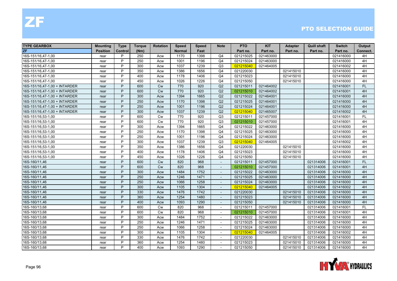| <b>TYPE GEARBOX</b>           | <b>Mounting</b> | <b>Type</b>    | <b>Torque</b> | <b>Rotation</b> | <b>Speed</b>  | <b>Speed</b> | <b>Note</b>              | <b>PTO</b> | <b>KIT</b> | <b>Adapter</b> | <b>Quill shaft</b> | <b>Switch</b> | Output    |
|-------------------------------|-----------------|----------------|---------------|-----------------|---------------|--------------|--------------------------|------------|------------|----------------|--------------------|---------------|-----------|
| ZF                            | <b>Position</b> | <b>Control</b> | (Nm)          |                 | <b>Normal</b> | Fast         |                          | Part no.   | Part no.   | Part no.       | Part no.           | Part no.      | Connect.  |
| 16S-151/16,47-1,00            | rear            | P              | 250           | Acw             | 1170          | 1398         | Q <sub>4</sub>           | 021215025  | 021463000  |                |                    | 021416000     | 4H        |
| 16S-151/16,47-1,00            | rear            | P              | 250           | Acw             | 1001          | 1196         | Q <sub>4</sub>           | 021215024  | 021463000  |                |                    | 021416000     | 4H        |
| 16S-151/16,47-1,00            | rear            | P              | 300           | Acw             | 1037          | 1239         | Q <sub>3</sub>           | 021215040  | 021464005  |                |                    | 021416002     | 4H        |
| 16S-151/16,47-1,00            | rear            | P              | 350           | Acw             | 1386          | 1656         | Q <sub>4</sub>           | 021220030  |            | 021415010      |                    | 021416000     | 4H        |
| 16S-151/16,47-1,00            | rear            | P              | 400           | Acw             | 1178          | 1406         | Q <sub>4</sub>           | 021215023  |            | 021415010      |                    | 021416000     | 4H        |
| 16S-151/16,47-1,00            | rear            | P              | 450           | Acw             | 1026          | 1226         | Q <sub>4</sub>           | 021215050  |            | 021415010      |                    | 021416000     | 4H        |
| 16S-151/16,47-1,00 + INTARDER | rear            | P              | 600           | <b>Cw</b>       | 770           | 920          | Q2                       | 021215011  | 021464002  |                |                    | 021416001     | <b>FL</b> |
| 16S-151/16,47-1,00 + INTARDER | rear            | P              | 600           | Cw              | 770           | 920          | Q2                       | 021215010  | 021464002  |                |                    | 021416001     | 4H        |
| 16S-151/16,47-1,00 + INTARDER | rear            | P              | 300           | Acw             | 1394          | 1665         | Q2                       | 021215022  | 021464001  |                |                    | 021416000     | 4H        |
| 16S-151/16,47-1,00 + INTARDER | rear            | P              | 250           | Acw             | 1170          | 1398         | Q2                       | 021215025  | 021464001  |                |                    | 021416000     | 4H        |
| 16S-151/16,47-1,00 + INTARDER | rear            | P              | 250           | Acw             | 1001          | 1196         | Q2                       | 021215024  | 021464001  |                |                    | 021416000     | 4H        |
| 16S-151/16,47-1,00 + INTARDER | rear            | P              | 300           | Acw             | 1037          | 1239         | Q2                       | 021215040  | 021465007  |                |                    | 021416002     | 4H        |
| 16S-151/16,53-1,00            | rear            | P              | 600           | Cw              | 770           | 920          | Q <sub>3</sub>           | 021215011  | 021457000  |                |                    | 021416001     | <b>FL</b> |
| 16S-151/16,53-1,00            | rear            | P              | 600           | Cw              | 770           | 920          | Q3                       | 021215010  | 021457000  |                |                    | 021416001     | 4H        |
| 16S-151/16,53-1,00            | rear            | P              | 300           | Acw             | 1394          | 1665         | Q <sub>4</sub>           | 021215022  | 021463000  |                |                    | 021416000     | 4H        |
| 16S-151/16,53-1,00            | rear            | P              | 250           | Acw             | 1170          | 1398         | Q <sub>4</sub>           | 021215025  | 021463000  |                |                    | 021416000     | 4H        |
| 16S-151/16,53-1,00            | rear            | P              | 250           | Acw             | 1001          | 1196         | Q <sub>4</sub>           | 021215024  | 021463000  |                |                    | 021416000     | 4H        |
| 16S-151/16,53-1,00            | rear            | P              | 300           | Acw             | 1037          | 1239         | Q3                       | 021215040  | 021464005  |                |                    | 021416002     | 4H        |
| 16S-151/16,53-1,00            | rear            | P              | 350           | Acw             | 1386          | 1656         | Q <sub>4</sub>           | 021220030  |            | 021415010      |                    | 021416000     | 4H        |
| 16S-151/16,53-1,00            | rear            | P              | 400           | Acw             | 1178          | 1406         | Q <sub>4</sub>           | 021215023  |            | 021415010      |                    | 021416000     | 4H        |
| 16S-151/16,53-1,00            | rear            | P              | 450           | Acw             | 1026          | 1226         | Q4                       | 021215050  |            | 021415010      |                    | 021416000     | 4H        |
| 16S-160/11,46                 | rear            | P              | 600           | <b>Cw</b>       | 820           | 968          | $\sim$                   | 021215011  | 021457000  |                | 021314006          | 021416001     | <b>FL</b> |
| 16S-160/11,46                 | rear            | P              | 600           | <b>Cw</b>       | 820           | 968          | $\blacksquare$           | 021215010  | 021457000  |                | 021314006          | 021416001     | 4H        |
| 16S-160/11,46                 | rear            | P              | 300           | Acw             | 1484          | 1752         | $\sim$                   | 021215022  | 021463000  |                | 021314006          | 021416000     | 4H        |
| 16S-160/11,46                 | rear            | P              | 250           | Acw             | 1246          | 1471         | $\sim$                   | 021215025  | 021463000  |                | 021314006          | 021416000     | 4H        |
| 16S-160/11,46                 | rear            | P              | 250           | Acw             | 1066          | 1258         | $\overline{\phantom{a}}$ | 021215024  | 021463000  |                | 021314006          | 021416000     | 4H        |
| 16S-160/11,46                 | rear            | P              | 300           | Acw             | 1105          | 1304         | $\overline{a}$           | 021215040  | 021464005  |                | 021314006          | 021416002     | 4H        |
| 16S-160/11,46                 | rear            | P              | 330           | Acw             | 1476          | 1742         | $\sim$                   | 021220030  |            | 021415010      | 021314006          | 021416000     | 4H        |
| 16S-160/11,46                 | rear            | P              | 360           | Acw             | 1254          | 1480         | $\overline{\phantom{a}}$ | 021215023  |            | 021415010      | 021314006          | 021416000     | 4H        |
| 16S-160/11,46                 | rear            | P              | 400           | Acw             | 1093          | 1290         | $\blacksquare$           | 021215050  |            | 021415010      | 021314006          | 021416000     | 4H        |
| 16S-160/13,68                 | rear            | P              | 600           | <b>Cw</b>       | 820           | 968          | $\overline{\phantom{a}}$ | 021215011  | 021457000  |                | 021314006          | 021416001     | <b>FL</b> |
| 16S-160/13,68                 | rear            | P              | 600           | <b>Cw</b>       | 820           | 968          | $\overline{\phantom{a}}$ | 021215010  | 021457000  |                | 021314006          | 021416001     | 4H        |
| 16S-160/13,68                 | rear            | P              | 300           | Acw             | 1484          | 1752         | $\sim$                   | 021215022  | 021463000  |                | 021314006          | 021416000     | 4H        |
| 16S-160/13,68                 | rear            | P              | 250           | Acw             | 1246          | 1471         | $\overline{\phantom{a}}$ | 021215025  | 021463000  |                | 021314006          | 021416000     | 4H        |
| 16S-160/13,68                 | rear            | P              | 250           | Acw             | 1066          | 1258         | $\sim$                   | 021215024  | 021463000  |                | 021314006          | 021416000     | 4H        |
| 16S-160/13,68                 | rear            | P              | 300           | Acw             | 1105          | 1304         | $\sim$                   | 021215040  | 021464005  |                | 021314006          | 021416002     | 4H        |
| 16S-160/13,68                 | rear            | P              | 330           | Acw             | 1476          | 1742         | $\overline{\phantom{a}}$ | 021220030  |            | 021415010      | 021314006          | 021416000     | 4H        |
| 16S-160/13,68                 | rear            | P              | 360           | Acw             | 1254          | 1480         |                          | 021215023  |            | 021415010      | 021314006          | 021416000     | 4H        |
| 16S-160/13,68                 | rear            | P              | 400           | Acw             | 1093          | 1290         | $\overline{\phantom{a}}$ | 021215050  |            | 021415010      | 021314006          | 021416000     | 4H        |

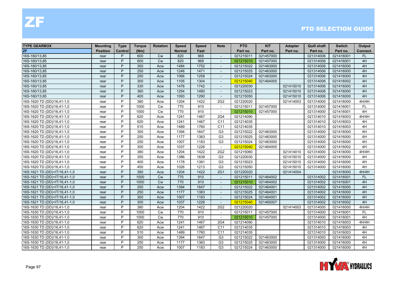| <b>TYPE GEARBOX</b>           | <b>Mounting</b> | <b>Type</b> | <b>Torque</b> | <b>Rotation</b> | <b>Speed</b>  | <b>Speed</b> | <b>Note</b>              | <b>PTO</b> | <b>KIT</b> | <b>Adapter</b> | <b>Quill shaft</b> | <b>Switch</b> | Output    |
|-------------------------------|-----------------|-------------|---------------|-----------------|---------------|--------------|--------------------------|------------|------------|----------------|--------------------|---------------|-----------|
| <b>ZF</b>                     | <b>Position</b> | Control     | (Nm)          |                 | <b>Normal</b> | Fast         |                          | Part no.   | Part no.   | Part no.       | Part no.           | Part no.      | Connect.  |
| 16S-160/13,85                 | rear            | P           | 600           | <b>Cw</b>       | 820           | 968          | $\overline{\phantom{a}}$ | 021215011  | 021457000  |                | 021314006          | 021416001     | <b>FL</b> |
| 16S-160/13,85                 | rear            | P           | 600           | <b>Cw</b>       | 820           | 968          |                          | 021215010  | 021457000  |                | 021314006          | 021416001     | 4H        |
| 16S-160/13,85                 | rear            | P           | 300           | Acw             | 1484          | 1752         |                          | 021215022  | 021463000  |                | 021314006          | 021416000     | 4H        |
| 16S-160/13,85                 | rear            | P           | 250           | Acw             | 1246          | 1471         | $\sim$                   | 021215025  | 021463000  |                | 021314006          | 021416000     | 4H        |
| 16S-160/13,85                 | rear            | P           | 250           | Acw             | 1066          | 1258         | $\overline{\phantom{a}}$ | 021215024  | 021463000  |                | 021314006          | 021416000     | 4H        |
| 16S-160/13,85                 | rear            | P           | 300           | Acw             | 1105          | 1304         | $\blacksquare$           | 021215040  | 021464005  |                | 021314006          | 021416002     | 4H        |
| 16S-160/13,85                 | rear            | P           | 330           | Acw             | 1476          | 1742         | $\sim$                   | 021220030  |            | 021415010      | 021314006          | 021416000     | 4H        |
| 16S-160/13,85                 | rear            | P           | 360           | Acw             | 1254          | 1480         |                          | 021215023  |            | 021415010      | 021314006          | 021416000     | 4H        |
| 16S-160/13,85                 | rear            | P           | 400           | Acw             | 1093          | 1290         |                          | 021215050  |            | 021415010      | 021314006          | 021416000     | 4H        |
| 16S-1620 TD (DD)/16,41-1,0    | rear            | P           | 380           | Acw             | 1204          | 1422         | 2G <sub>2</sub>          | 021220020  |            | 021414003      | 021314000          | 021416000     | 4H/4H     |
| 16S-1620 TD (DD)/16,41-1,0    | rear            | P           | 1000          | <b>Cw</b>       | 770           | 910          | $\sim$                   | 021215011  | 021457000  |                | 021314000          | 021416001     | <b>FL</b> |
| 16S-1620 TD (DD)/16,41-1,0    | rear            | P           | 1000          | <b>Cw</b>       | 770           | 910          | $\overline{\phantom{a}}$ | 021215010  | 021457000  |                | 021314000          | 021416001     | 4H        |
| 16S-1620 TD (DD)/16,41-1,0    | rear            | P           | 620           | Acw             | 1241          | 1467         | 2G4                      | 021214090  |            |                | 021314010          | 021416003     | 4H/4H     |
| 16S-1620 TD (DD)/16,41-1,0    | rear            | P           | 620           | Acw             | 1241          | 1467         | C <sub>11</sub>          | 021214035  |            |                | 021314010          | 021416003     | 4H        |
| 16S-1620 TD (DD)/16,41-1,0    | rear            | P           | 510           | Acw             | 1489          | 1760         | C <sub>11</sub>          | 021214035  |            |                | 021314010          | 021416003     | 4H        |
| 16S-1620 TD (DD)/16,41-1,0    | rear            | P           | 300           | Acw             | 1394          | 1647         | G <sub>3</sub>           | 021215022  | 021463000  |                | 021314000          | 021416000     | 4H        |
| 16S-1620 TD (DD)/16,41-1,0    | rear            | P           | 250           | Acw             | 1177          | 1383         | G <sub>3</sub>           | 021215025  | 021463000  |                | 021314000          | 021416000     | 4H        |
| 16S-1620 TD (DD)/16,41-1,0    | rear            | P           | 250           | Acw             | 1007          | 1183         | G <sub>3</sub>           | 021215024  | 021463000  |                | 021314000          | 021416000     | 4H        |
| 16S-1620 TD (DD)/16,41-1,0    | rear            | P           | 300           | Acw             | 1037          | 1226         | $\sim$                   | 021215040  | 021464005  |                | 021314000          | 021416002     | 4H        |
| 16S-1620 TD (DD)/16,41-1,0    | rear            | P           | 380           | Acw             | 1204          | 1422         | 2G <sub>2</sub>          | 021215060  |            | 021414010      | 021314000          | 021416000     | 4H/4H     |
| 16S-1620 TD (DD)/16,41-1,0    | rear            | P           | 350           | Acw             | 1386          | 1638         | G <sub>3</sub>           | 021220030  |            | 021415010      | 021314000          | 021416000     | 4H        |
| 16S-1620 TD (DD)/16,41-1,0    | rear            | P           | 400           | Acw             | 1178          | 1391         | G <sub>3</sub>           | 021215023  |            | 021415010      | 021314000          | 021416000     | 4H        |
| 16S-1620 TD (DD)/16,41-1,0    | rear            | P           | 450           | Acw             | 1026          | 1213         | G <sub>3</sub>           | 021215050  |            | 021415010      | 021314000          | 021416000     | 4H        |
| 16S-1621 TD (DD)+IT/16,41-1,0 | rear            | P           | 380           | Acw             | 1204          | 1422         | 2G1                      | 021220020  |            | 021414004      |                    | 021416000     | 4H/4H     |
| 16S-1621 TD (DD)+IT/16,41-1,0 | rear            | P           | 1000          | Cw              | 770           | 910          | $\sim$                   | 021215011  | 021464002  |                | 021314002          | 021416001     | FL.       |
| 16S-1621 TD (DD)+IT/16,41-1,0 | rear            | P           | 1000          | <b>Cw</b>       | 770           | 910          |                          | 021215010  | 021464002  |                | 021314002          | 021416001     | 4H        |
| 16S-1621 TD (DD)+IT/16,41-1,0 | rear            | P           | 250           | Acw             | 1394          | 1647         | $\overline{a}$           | 021215022  | 021464001  |                | 021314002          | 021416000     | 4H        |
| 16S-1621 TD (DD)+IT/16,41-1,0 | rear            | P           | 250           | Acw             | 1177          | 1383         | $\blacksquare$           | 021215025  | 021464001  |                | 021314002          | 021416000     | 4H        |
| 16S-1621 TD (DD)+IT/16,41-1,0 | rear            | P           | 300           | Acw             | 1007          | 1183         | $\blacksquare$           | 021215024  | 021464001  |                | 021314002          | 021416000     | 4H        |
| 16S-1621 TD (DD)+IT/16,41-1,0 | rear            | P           | 300           | Acw             | 1037          | 1226         | $\sim$                   | 021215040  | 021465007  |                | 021314002          | 021416002     | 4H        |
| 16S-1630 TD (DD)/16,41-1,0    | rear            | P           | 380           | Acw             | 1204          | 1422         | 2G <sub>2</sub>          | 021220020  |            | 021414003      | 021314000          | 021416000     | 4H/4H     |
| 16S-1630 TD (DD)/16,41-1,0    | rear            | P           | 1000          | <b>Cw</b>       | 770           | 910          |                          | 021215011  | 021457000  |                | 021314000          | 021416001     | <b>FL</b> |
| 16S-1630 TD (DD)/16,41-1,0    | rear            | P           | 1000          | Cw              | 770           | 910          | $\overline{\phantom{a}}$ | 021215010  | 021457000  |                | 021314000          | 021416001     | 4H        |
| 16S-1630 TD (DD)/16,41-1,0    | rear            | P           | 620           | Acw             | 1241          | 1467         | 2G4                      | 021214090  |            |                | 021314010          | 021416003     | 4H/4H     |
| 16S-1630 TD (DD)/16,41-1,0    | rear            | P           | 620           | Acw             | 1241          | 1467         | C <sub>11</sub>          | 021214035  |            |                | 021314010          | 021416003     | 4H        |
| 16S-1630 TD (DD)/16,41-1,0    | rear            | P           | 510           | Acw             | 1489          | 1760         | C <sub>11</sub>          | 021214035  |            |                | 021314010          | 021416003     | 4H        |
| 16S-1630 TD (DD)/16,41-1,0    | rear            | P           | 300           | Acw             | 1394          | 1647         | G <sub>3</sub>           | 021215022  | 021463000  |                | 021314000          | 021416000     | 4H        |
| 16S-1630 TD (DD)/16,41-1,0    | rear            | P           | 250           | Acw             | 1177          | 1383         | G <sub>3</sub>           | 021215025  | 021463000  |                | 021314000          | 021416000     | 4H        |
| 16S-1630 TD (DD)/16,41-1,0    | rear            | P           | 250           | Acw             | 1007          | 1183         | G <sub>3</sub>           | 021215024  | 021463000  |                | 021314000          | 021416000     | 4H        |

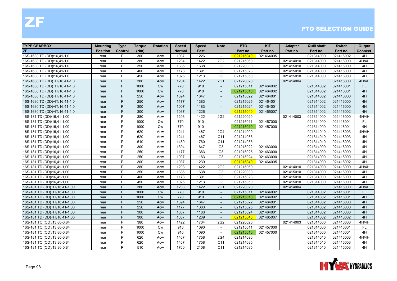| <b>TYPE GEARBOX</b>           | <b>Mounting</b> | <b>Type</b> | <b>Torque</b> | <b>Rotation</b> | Speed         | <b>Speed</b> | <b>Note</b>              | <b>PTO</b> | <b>KIT</b> | <b>Adapter</b> | <b>Quill shaft</b> | <b>Switch</b> | Output    |
|-------------------------------|-----------------|-------------|---------------|-----------------|---------------|--------------|--------------------------|------------|------------|----------------|--------------------|---------------|-----------|
| <b>ZF</b>                     | <b>Position</b> | Control     | (Nm)          |                 | <b>Normal</b> | Fast         |                          | Part no.   | Part no.   | Part no.       | Part no.           | Part no.      | Connect.  |
| 16S-1630 TD (DD)/16,41-1,0    | rear            | P           | 300           | Acw             | 1037          | 1226         | $\sim$                   | 021215040  | 021464005  |                | 021314000          | 021416002     | 4H        |
| 16S-1630 TD (DD)/16,41-1,0    | rear            | P           | 380           | Acw             | 1204          | 1422         | 2G2                      | 021215060  |            | 021414010      | 021314000          | 021416000     | 4H/4H     |
| 16S-1630 TD (DD)/16,41-1,0    | rear            | P           | 350           | Acw             | 1386          | 1638         | G <sub>3</sub>           | 021220030  |            | 021415010      | 021314000          | 021416000     | 4H        |
| 16S-1630 TD (DD)/16,41-1,0    | rear            | P           | 400           | Acw             | 1178          | 1391         | G <sub>3</sub>           | 021215023  |            | 021415010      | 021314000          | 021416000     | 4H        |
| 16S-1630 TD (DD)/16,41-1,0    | rear            | P           | 450           | Acw             | 1026          | 1213         | G <sub>3</sub>           | 021215050  |            | 021415010      | 021314000          | 021416000     | 4H        |
| 16S-1630 TD (DD)+IT/16,41-1,0 | rear            | P           | 380           | Acw             | 1204          | 1422         | 2G1                      | 021220020  |            | 021414004      |                    | 021416000     | 4H/4H     |
| 16S-1630 TD (DD)+IT/16,41-1,0 | rear            | P           | 1000          | <b>Cw</b>       | 770           | 910          | $\sim$                   | 021215011  | 021464002  |                | 021314002          | 021416001     | <b>FL</b> |
| 16S-1630 TD (DD)+IT/16,41-1,0 | rear            | P           | 1000          | <b>Cw</b>       | 770           | 910          | $\overline{\phantom{a}}$ | 021215010  | 021464002  |                | 021314002          | 021416001     | 4H        |
| 16S-1630 TD (DD)+IT/16,41-1,0 | rear            | P           | 250           | Acw             | 1394          | 1647         |                          | 021215022  | 021464001  |                | 021314002          | 021416000     | 4H        |
| 16S-1630 TD (DD)+IT/16,41-1,0 | rear            | P           | 250           | Acw             | 1177          | 1383         | $\sim$                   | 021215025  | 021464001  |                | 021314002          | 021416000     | 4H        |
| 16S-1630 TD (DD)+IT/16,41-1,0 | rear            | P           | 300           | Acw             | 1007          | 1183         | $\overline{\phantom{a}}$ | 021215024  | 021464001  |                | 021314002          | 021416000     | 4H        |
| 16S-1630 TD (DD)+IT/16,41-1,0 | rear            | P           | 300           | Acw             | 1037          | 1226         | $\sim$                   | 021215040  | 021465007  |                | 021314002          | 021416002     | 4H        |
| 16S-181 TD (DD)/16,41-1,00    | rear            | P           | 380           | Acw             | 1203          | 1422         | 2G2                      | 021220020  |            | 021414003      | 021314000          | 021416000     | 4H/4H     |
| 16S-181 TD (DD)/16,41-1,00    | rear            | P           | 1000          | Cw              | 770           | 910          | $\overline{\phantom{a}}$ | 021215011  | 021457000  |                | 021314000          | 021416001     | <b>FL</b> |
| 16S-181 TD (DD)/16,41-1,00    | rear            | P           | 1000          | Cw              | 770           | 910          | $\sim$                   | 021215010  | 021457000  |                | 021314000          | 021416001     | 4H        |
| 16S-181 TD (DD)/16,41-1,00    | rear            | P           | 620           | Acw             | 1241          | 1467         | 2G4                      | 021214090  |            |                | 021314010          | 021416003     | 4H/4H     |
| 16S-181 TD (DD)/16,41-1,00    | rear            | P           | 620           | Acw             | 1241          | 1467         | C <sub>11</sub>          | 021214035  |            |                | 021314010          | 021416003     | 4H        |
| 16S-181 TD (DD)/16,41-1,00    | rear            | P           | 510           | Acw             | 1489          | 1760         | C11                      | 021214035  |            |                | 021314010          | 021416003     | 4H        |
| 16S-181 TD (DD)/16,41-1,00    | rear            | P           | 300           | Acw             | 1394          | 1647         | G <sub>3</sub>           | 021215022  | 021463000  |                | 021314000          | 021416000     | 4H        |
| 16S-181 TD (DD)/16,41-1,00    | rear            | P           | 250           | Acw             | 1177          | 1383         | G <sub>3</sub>           | 021215025  | 021463000  |                | 021314000          | 021416000     | 4H        |
| 16S-181 TD (DD)/16,41-1,00    | rear            | P           | 250           | Acw             | 1007          | 1183         | G <sub>3</sub>           | 021215024  | 021463000  |                | 021314000          | 021416000     | 4H        |
| 16S-181 TD (DD)/16,41-1,00    | rear            | P           | 300           | Acw             | 1037          | 1239         | $\sim$                   | 021215040  | 021464005  |                | 021314000          | 021416002     | 4H        |
| 16S-181 TD (DD)/16,41-1,00    | rear            | P           | 380           | Acw             | 1203          | 1422         | 2G2                      | 021215060  |            | 021414010      | 021314000          | 021416000     | 4H/4H     |
| 16S-181 TD (DD)/16,41-1,00    | rear            | P           | 350           | Acw             | 1386          | 1638         | G <sub>3</sub>           | 021220030  |            | 021415010      | 021314000          | 021416000     | 4H        |
| 16S-181 TD (DD)/16,41-1,00    | rear            | P           | 400           | Acw             | 1178          | 1391         | G <sub>3</sub>           | 021215023  |            | 021415010      | 021314000          | 021416000     | 4H        |
| 16S-181 TD (DD)/16,41-1,00    | rear            | P           | 450           | Acw             | 1026          | 1213         | G <sub>3</sub>           | 021215050  |            | 021415010      | 021314000          | 021416000     | 4H        |
| 16S-181 TD (DD)+IT/16,41-1,00 | rear            | P           | 380           | Acw             | 1203          | 1422         | <b>2G1</b>               | 021220020  |            | 021414004      |                    | 021416000     | 4H/4H     |
| 16S-181 TD (DD)+IT/16,41-1,00 | rear            | P           | 1000          | <b>Cw</b>       | 770           | 910          | $\overline{\phantom{a}}$ | 021215011  | 021464002  |                | 021314002          | 021416001     | <b>FL</b> |
| 16S-181 TD (DD)+IT/16,41-1,00 | rear            | P           | 1000          | <b>Cw</b>       | 770           | 910          | $\overline{\phantom{a}}$ | 021215010  | 021464002  |                | 021314002          | 021416001     | 4H        |
| 16S-181 TD (DD)+IT/16,41-1,00 | rear            | P           | 250           | Acw             | 1394          | 1647         | $\overline{\phantom{a}}$ | 021215022  | 021464001  |                | 021314002          | 021416000     | 4H        |
| 16S-181 TD (DD)+IT/16,41-1,00 | rear            | P           | 250           | Acw             | 1177          | 1383         | $\sim$                   | 021215025  | 021464001  |                | 021314002          | 021416000     | 4H        |
| 16S-181 TD (DD)+IT/16,41-1,00 | rear            | P           | 300           | Acw             | 1007          | 1183         | $\overline{\phantom{a}}$ | 021215024  | 021464001  |                | 021314002          | 021416000     | 4H        |
| 16S-181 TD (DD)+IT/16,41-1,00 | rear            | P           | 300           | Acw             | 1037          | 1239         | $\overline{\phantom{a}}$ | 021215040  | 021465007  |                | 021314002          | 021416002     | 4H        |
| 16S-181 TO (OD)/13,80-0,84    | rear            | P           | 380           | Acw             | 1422          | 1704         | 2G2                      | 021220020  |            | 021414003      | 021314000          | 021416000     | 4H/4H     |
| 16S-181 TO (OD)/13,80-0,84    | rear            | P           | 1000          | Cw              | 910           | 1090         | $\sim$                   | 021215011  | 021457000  |                | 021314000          | 021416001     | <b>FL</b> |
| 16S-181 TO (OD)/13,80-0,84    | rear            | P           | 1000          | <b>Cw</b>       | 910           | 1090         | $\sim$                   | 021215010  | 021457000  |                | 021314000          | 021416001     | 4H        |
| 16S-181 TO (OD)/13,80-0,84    | rear            | P           | 620           | Acw             | 1467          | 1758         | 2G4                      | 021214090  |            |                | 021314010          | 021416003     | 4H/4H     |
| 16S-181 TO (OD)/13,80-0,84    | rear            | P           | 620           | Acw             | 1467          | 1758         | C <sub>11</sub>          | 021214035  |            |                | 021314010          | 021416003     | 4H        |
| 16S-181 TO (OD)/13,80-0,84    | rear            | P           | 510           | Acw             | 1760          | 2108         | C <sub>11</sub>          | 021214035  |            |                | 021314010          | 021416003     | 4H        |

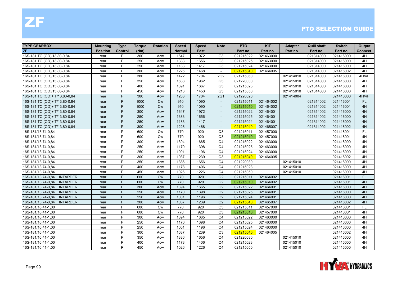| <b>TYPE GEARBOX</b>           | <b>Mounting</b> | <b>Type</b> | <b>Torque</b> | <b>Rotation</b> | <b>Speed</b>  | <b>Speed</b> | <b>Note</b>              | <b>PTO</b> | <b>KIT</b> | <b>Adapter</b> | <b>Quill shaft</b> | <b>Switch</b> | Output    |
|-------------------------------|-----------------|-------------|---------------|-----------------|---------------|--------------|--------------------------|------------|------------|----------------|--------------------|---------------|-----------|
| ZF                            | <b>Position</b> | Control     | (Nm)          |                 | <b>Normal</b> | Fast         |                          | Part no.   | Part no.   | Part no.       | Part no.           | Part no.      | Connect.  |
| 16S-181 TO (OD)/13,80-0,84    | rear            | P           | 300           | Acw             | 1647          | 1972         | G <sub>3</sub>           | 021215022  | 021463000  |                | 021314000          | 021416000     | 4H        |
| 16S-181 TO (OD)/13,80-0,84    | rear            | P           | 250           | Acw             | 1383          | 1656         | G <sub>3</sub>           | 021215025  | 021463000  |                | 021314000          | 021416000     | 4H        |
| 16S-181 TO (OD)/13,80-0,84    | rear            | P           | 250           | Acw             | 1183          | 1417         | G <sub>3</sub>           | 021215024  | 021463000  |                | 021314000          | 021416000     | 4H        |
| 16S-181 TO (OD)/13,80-0,84    | rear            | P           | 300           | Acw             | 1226          | 1468         | $\overline{\phantom{a}}$ | 021215040  | 021464005  |                | 021314000          | 021416002     | 4H        |
| 16S-181 TO (OD)/13,80-0,84    | rear            | P           | 380           | Acw             | 1422          | 1704         | 2G <sub>2</sub>          | 021215060  |            | 021414010      | 021314000          | 021416000     | 4H/4H     |
| 16S-181 TO (OD)/13,80-0,84    | rear            | P           | 350           | Acw             | 1638          | 1962         | G <sub>3</sub>           | 021220030  |            | 021415010      | 021314000          | 021416000     | 4H        |
| 16S-181 TO (OD)/13,80-0,84    | rear            | P           | 400           | Acw             | 1391          | 1667         | G <sub>3</sub>           | 021215023  |            | 021415010      | 021314000          | 021416000     | 4H        |
| 16S-181 TO (OD)/13,80-0,84    | rear            | P           | 450           | Acw             | 1213          | 1453         | G <sub>3</sub>           | 021215050  |            | 021415010      | 021314000          | 021416000     | 4H        |
| 16S-181 TO (OD)+IT/13,80-0,84 | rear            | P           | 380           | Acw             | 1203          | 1704         | <b>2G1</b>               | 021220020  |            | 021414004      |                    | 021416000     | 4H/4H     |
| 16S-181 TO (OD)+IT/13,80-0,84 | rear            | P           | 1000          | <b>Cw</b>       | 910           | 1090         | $\sim$                   | 021215011  | 021464002  |                | 021314002          | 021416001     | FL.       |
| 16S-181 TO (OD)+IT/13,80-0,84 | rear            | P           | 1000          | Cw              | 910           | 1090         | $\overline{\phantom{a}}$ | 021215010  | 021464002  |                | 021314002          | 021416001     | 4H        |
| 16S-181 TO (OD)+IT/13,80-0,84 | rear            | P           | 300           | Acw             | 1647          | 1972         | $\sim$                   | 021215022  | 021464001  |                | 021314002          | 021416000     | 4H        |
| 16S-181 TO (OD)+IT/13,80-0,84 | rear            | P           | 250           | Acw             | 1383          | 1656         | $\overline{\phantom{a}}$ | 021215025  | 021464001  |                | 021314002          | 021416000     | 4H        |
| 16S-181 TO (OD)+IT/13,80-0,84 | rear            | P           | 250           | Acw             | 1183          | 1417         | $\overline{\phantom{a}}$ | 021215024  | 021464001  |                | 021314002          | 021416000     | 4H        |
| 16S-181 TO (OD)+IT/13,80-0,84 | rear            | P           | 300           | Acw             | 1226          | 1468         |                          | 021215040  | 021465007  |                | 021314002          | 021416002     | 4H        |
| 16S-181/13,74-0,84            | rear            | P           | 600           | Cw              | 770           | 920          | Q3                       | 021215011  | 021457000  |                |                    | 021416001     | <b>FL</b> |
| 16S-181/13,74-0,84            | rear            | P           | 600           | <b>Cw</b>       | 770           | 920          | Q3                       | 021215010  | 021457000  |                |                    | 021416001     | 4H        |
| 16S-181/13,74-0,84            | rear            | P           | 300           | Acw             | 1394          | 1665         | Q4                       | 021215022  | 021463000  |                |                    | 021416000     | 4H        |
| 16S-181/13,74-0,84            | rear            | P           | 250           | Acw             | 1170          | 1398         | Q <sub>4</sub>           | 021215025  | 021463000  |                |                    | 021416000     | 4H        |
| 16S-181/13,74-0,84            | rear            | P           | 250           | Acw             | 1001          | 1196         | Q <sub>4</sub>           | 021215024  | 021463000  |                |                    | 021416000     | 4H        |
| 16S-181/13,74-0,84            | rear            | P           | 300           | Acw             | 1037          | 1239         | Q3                       | 021215040  | 021464005  |                |                    | 021416002     | 4H        |
| 16S-181/13,74-0,84            | rear            | P           | 350           | Acw             | 1386          | 1656         | Q4                       | 021220030  |            | 021415010      |                    | 021416000     | 4H        |
| 16S-181/13,74-0,84            | rear            | P           | 400           | Acw             | 1178          | 1406         | Q <sub>4</sub>           | 021215023  |            | 021415010      |                    | 021416000     | 4H        |
| 16S-181/13,74-0,84            | rear            | P           | 450           | Acw             | 1026          | 1226         | Q <sub>4</sub>           | 021215050  |            | 021415010      |                    | 021416000     | 4H        |
| 16S-181/13,74-0,84 + INTARDER | rear            | P           | 600           | Cw              | 770           | 920          | Q2                       | 021215011  | 021464002  |                |                    | 021416001     | <b>FL</b> |
| 16S-181/13,74-0,84 + INTARDER | rear            | P           | 600           | Cw              | 770           | 920          | Q2                       | 021215010  | 021464002  |                |                    | 021416001     | 4H        |
| 16S-181/13,74-0,84 + INTARDER | rear            | P           | 300           | Acw             | 1394          | 1665         | Q2                       | 021215022  | 021464001  |                |                    | 021416000     | 4H        |
| 16S-181/13,74-0,84 + INTARDER | rear            | P           | 250           | Acw             | 1170          | 1398         | Q2                       | 021215025  | 021464001  |                |                    | 021416000     | 4H        |
| 16S-181/13,74-0,84 + INTARDER | rear            | P           | 250           | Acw             | 1001          | 1196         | Q2                       | 021215024  | 021464001  |                |                    | 021416000     | 4H        |
| 16S-181/13,74-0,84 + INTARDER | rear            | P           | 300           | Acw             | 1037          | 1239         | Q2                       | 021215040  | 021465007  |                |                    | 021416002     | 4H        |
| 16S-181/16,41-1,00            | rear            | P           | 600           | Cw              | 770           | 920          | Q3                       | 021215011  | 021457000  |                |                    | 021416001     | FL        |
| 16S-181/16,41-1,00            | rear            | P           | 600           | Cw              | 770           | 920          | Q3                       | 021215010  | 021457000  |                |                    | 021416001     | 4H        |
| 16S-181/16,41-1,00            | rear            | P           | 300           | Acw             | 1394          | 1665         | Q <sub>4</sub>           | 021215022  | 021463000  |                |                    | 021416000     | 4H        |
| 16S-181/16,41-1,00            | rear            | P           | 250           | Acw             | 1170          | 1398         | Q <sub>4</sub>           | 021215025  | 021463000  |                |                    | 021416000     | 4H        |
| 16S-181/16,41-1,00            | rear            | P           | 250           | Acw             | 1001          | 1196         | Q4                       | 021215024  | 021463000  |                |                    | 021416000     | 4H        |
| 16S-181/16,41-1,00            | rear            | P           | 300           | Acw             | 1037          | 1239         | Q <sub>3</sub>           | 021215040  | 021464005  |                |                    | 021416002     | 4H        |
| 16S-181/16,41-1,00            | rear            | P           | 350           | Acw             | 1386          | 1656         | Q4                       | 021220030  |            | 021415010      |                    | 021416000     | 4H        |
| 16S-181/16,41-1,00            | rear            | P           | 400           | Acw             | 1178          | 1406         | Q <sub>4</sub>           | 021215023  |            | 021415010      |                    | 021416000     | 4H        |
| 16S-181/16,41-1,00            | rear            | P           | 450           | Acw             | 1026          | 1226         | Q4                       | 021215050  |            | 021415010      |                    | 021416000     | 4H        |

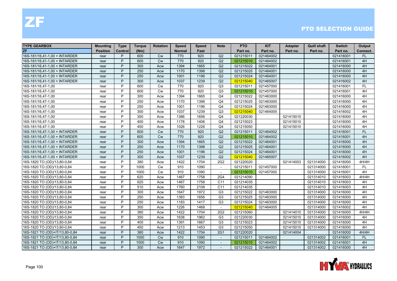| <b>TYPE GEARBOX</b>            | <b>Mounting</b> | <b>Type</b> | <b>Torque</b> | <b>Rotation</b> | <b>Speed</b>  | <b>Speed</b> | Note                     | <b>PTO</b> | <b>KIT</b> | <b>Adapter</b> | <b>Quill shaft</b> | <b>Switch</b> | Output    |
|--------------------------------|-----------------|-------------|---------------|-----------------|---------------|--------------|--------------------------|------------|------------|----------------|--------------------|---------------|-----------|
| <b>ZF</b>                      | <b>Position</b> | Control     | (Nm)          |                 | <b>Normal</b> | Fast         |                          | Part no.   | Part no.   | Part no.       | Part no.           | Part no.      | Connect.  |
| 16S-181/16,41-1,00 + INTARDER  | rear            | P           | 600           | <b>Cw</b>       | 770           | 920          | Q2                       | 021215011  | 021464002  |                |                    | 021416001     | <b>FL</b> |
| 16S-181/16,41-1,00 + INTARDER  | rear            | P           | 600           | <b>Cw</b>       | 770           | 920          | Q2                       | 021215010  | 021464002  |                |                    | 021416001     | 4H        |
| 16S-181/16,41-1,00 + INTARDER  | rear            | P           | 300           | Acw             | 1394          | 1665         | Q2                       | 021215022  | 021464001  |                |                    | 021416000     | 4H        |
| 16S-181/16,41-1,00 + INTARDER  | rear            | P           | 250           | Acw             | 1170          | 1398         | Q2                       | 021215025  | 021464001  |                |                    | 021416000     | 4H        |
| 16S-181/16,41-1,00 + INTARDER  | rear            | P           | 250           | Acw             | 1001          | 1196         | Q2                       | 021215024  | 021464001  |                |                    | 021416000     | 4H        |
| 16S-181/16,41-1,00 + INTARDER  | rear            | P           | 300           | Acw             | 1037          | 1239         | Q2                       | 021215040  | 021465007  |                |                    | 021416002     | 4H        |
| 16S-181/16,47-1,00             | rear            | P           | 600           | Cw              | 770           | 920          | Q <sub>3</sub>           | 021215011  | 021457000  |                |                    | 021416001     | FL        |
| 16S-181/16,47-1,00             | rear            | P           | 600           | <b>Cw</b>       | 770           | 920          | Q <sub>3</sub>           | 021215010  | 021457000  |                |                    | 021416001     | 4H        |
| 16S-181/16,47-1,00             | rear            | P           | 300           | Acw             | 1394          | 1665         | Q <sub>4</sub>           | 021215022  | 021463000  |                |                    | 021416000     | 4H        |
| 16S-181/16,47-1,00             | rear            | P           | 250           | Acw             | 1170          | 1398         | Q4                       | 021215025  | 021463000  |                |                    | 021416000     | 4H        |
| 16S-181/16,47-1,00             | rear            | P           | 250           | Acw             | 1001          | 1196         | Q <sub>4</sub>           | 021215024  | 021463000  |                |                    | 021416000     | 4H        |
| 16S-181/16,47-1,00             | rear            | P           | 300           | Acw             | 1037          | 1239         | Q3                       | 021215040  | 021464005  |                |                    | 021416002     | 4H        |
| 16S-181/16,47-1,00             | rear            | P           | 350           | Acw             | 1386          | 1656         | Q <sub>4</sub>           | 021220030  |            | 021415010      |                    | 021416000     | 4H        |
| 16S-181/16,47-1,00             | rear            | P           | 400           | Acw             | 1178          | 1406         | Q <sub>4</sub>           | 021215023  |            | 021415010      |                    | 021416000     | 4H        |
| 16S-181/16,47-1,00             | rear            | P           | 450           | Acw             | 1026          | 1226         | Q <sub>4</sub>           | 021215050  |            | 021415010      |                    | 021416000     | 4H        |
| 16S-181/16,47-1,00 + INTARDER  | rear            | P           | 600           | <b>Cw</b>       | 770           | 920          | Q2                       | 021215011  | 021464002  |                |                    | 021416001     | <b>FL</b> |
| 16S-181/16,47-1,00 + INTARDER  | rear            | P           | 600           | <b>Cw</b>       | 770           | 920          | Q2                       | 021215010  | 021464002  |                |                    | 021416001     | 4H        |
| 16S-181/16,47-1,00 + INTARDER  | rear            | P           | 300           | Acw             | 1394          | 1665         | Q2                       | 021215022  | 021464001  |                |                    | 021416000     | 4H        |
| 16S-181/16,47-1,00 + INTARDER  | rear            | P           | 250           | Acw             | 1170          | 1398         | Q2                       | 021215025  | 021464001  |                |                    | 021416000     | 4H        |
| 16S-181/16,47-1,00 + INTARDER  | rear            | P           | 250           | Acw             | 1001          | 1196         | Q2                       | 021215024  | 021464001  |                |                    | 021416000     | 4H        |
| 16S-181/16,47-1,00 + INTARDER  | rear            | P           | 300           | Acw             | 1037          | 1239         | Q2                       | 021215040  | 021465007  |                |                    | 021416002     | 4H        |
| 16S-1820 TO (OD)/13,80-0,84    | rear            | P           | 380           | Acw             | 1422          | 1704         | 2G2                      | 021220020  |            | 021414003      | 021314000          | 021416000     | 4H/4H     |
| 16S-1820 TO (OD)/13,80-0,84    | rear            | P           | 1000          | <b>Cw</b>       | 910           | 1090         | $\sim$                   | 021215011  | 021457000  |                | 021314000          | 021416001     | <b>FL</b> |
| 16S-1820 TO (OD)/13,80-0,84    | rear            | P           | 1000          | <b>Cw</b>       | 910           | 1090         | $\overline{\phantom{a}}$ | 021215010  | 021457000  |                | 021314000          | 021416001     | 4H        |
| 16S-1820 TO (OD)/13,80-0,84    | rear            | P           | 620           | Acw             | 1467          | 1758         | 2G4                      | 021214090  |            |                | 021314010          | 021416003     | 4H/4H     |
| 16S-1820 TO (OD)/13,80-0,84    | rear            | P           | 620           | Acw             | 1467          | 1758         | C <sub>11</sub>          | 021214035  |            |                | 021314010          | 021416003     | 4H        |
| 16S-1820 TO (OD)/13,80-0,84    | rear            | P           | 510           | Acw             | 1760          | 2108         | C11                      | 021214035  |            |                | 021314010          | 021416003     | 4H        |
| 16S-1820 TO (OD)/13,80-0,84    | rear            | P           | 300           | Acw             | 1647          | 1972         | G <sub>3</sub>           | 021215022  | 021463000  |                | 021314000          | 021416000     | 4H        |
| 16S-1820 TO (OD)/13,80-0,84    | rear            | P           | 250           | Acw             | 1383          | 1656         | G <sub>3</sub>           | 021215025  | 021463000  |                | 021314000          | 021416000     | 4H        |
| 16S-1820 TO (OD)/13,80-0,84    | rear            | P           | 250           | Acw             | 1183          | 1417         | G <sub>3</sub>           | 021215024  | 021463000  |                | 021314000          | 021416000     | 4H        |
| 16S-1820 TO (OD)/13,80-0,84    | rear            | P           | 300           | Acw             | 1226          | 1468         | $\blacksquare$           | 021215040  | 021464005  |                | 021314000          | 021416002     | 4H        |
| 16S-1820 TO (OD)/13,80-0,84    | rear            | P           | 380           | Acw             | 1422          | 1704         | 2G2                      | 021215060  |            | 021414010      | 021314000          | 021416000     | 4H/4H     |
| 16S-1820 TO (OD)/13,80-0,84    | rear            | P           | 350           | Acw             | 1638          | 1962         | G <sub>3</sub>           | 021220030  |            | 021415010      | 021314000          | 021416000     | 4H        |
| 16S-1820 TO (OD)/13,80-0,84    | rear            | P           | 400           | Acw             | 1391          | 1667         | G <sub>3</sub>           | 021215023  |            | 021415010      | 021314000          | 021416000     | 4H        |
| 16S-1820 TO (OD)/13,80-0,84    | rear            | P           | 450           | Acw             | 1213          | 1453         | G <sub>3</sub>           | 021215050  |            | 021415010      | 021314000          | 021416000     | 4H        |
| 16S-1821 TO (OD)+IT/13,80-0,84 | rear            | P           | 380           | Acw             | 1422          | 1704         | 2G1                      | 021220020  |            | 021414004      |                    | 021416000     | 4H/4H     |
| 16S-1821 TO (OD)+IT/13,80-0,84 | rear            | P           | 1000          | <b>Cw</b>       | 910           | 1090         | $\overline{\phantom{a}}$ | 021215011  | 021464002  |                | 021314002          | 021416001     | <b>FL</b> |
| 16S-1821 TO (OD)+IT/13,80-0,84 | rear            | P           | 1000          | <b>Cw</b>       | 910           | 1090         |                          | 021215010  | 021464002  |                | 021314002          | 021416001     | 4H        |
| 16S-1821 TO (OD)+IT/13,80-0,84 | rear            | P           | 300           | Acw             | 1647          | 1972         | $\sim$                   | 021215022  | 021464001  |                | 021314002          | 021416000     | 4H        |

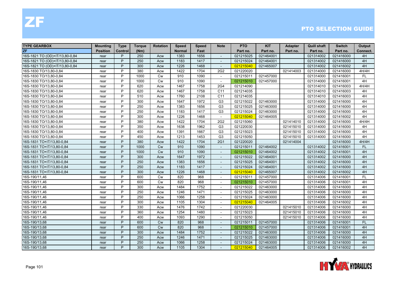| <b>TYPE GEARBOX</b>            | <b>Mounting</b> | <b>Type</b> | <b>Torque</b> | <b>Rotation</b> | <b>Speed</b>  | <b>Speed</b> | <b>Note</b>              | <b>PTO</b> | <b>KIT</b> | <b>Adapter</b> | <b>Quill shaft</b> | <b>Switch</b> | Output    |
|--------------------------------|-----------------|-------------|---------------|-----------------|---------------|--------------|--------------------------|------------|------------|----------------|--------------------|---------------|-----------|
| ZF                             | <b>Position</b> | Control     | (Nm)          |                 | <b>Normal</b> | Fast         |                          | Part no.   | Part no.   | Part no.       | Part no.           | Part no.      | Connect.  |
| 16S-1821 TO (OD)+IT/13,80-0,84 | rear            | P           | 250           | Acw             | 1383          | 1656         | $\sim$                   | 021215025  | 021464001  |                | 021314002          | 021416000     | 4H        |
| 16S-1821 TO (OD)+IT/13,80-0,84 | rear            | P           | 250           | Acw             | 1183          | 1417         | $\overline{\phantom{a}}$ | 021215024  | 021464001  |                | 021314002          | 021416000     | 4H        |
| 16S-1821 TO (OD)+IT/13,80-0,84 | rear            | P           | 300           | Acw             | 1226          | 1468         |                          | 021215040  | 021465007  |                | 021314002          | 021416002     | 4H        |
| 16S-1830 TO/13,80-0,84         | rear            | P           | 380           | Acw             | 1422          | 1704         | 2G2                      | 021220020  |            | 021414003      | 021314000          | 021416000     | 4H/4H     |
| 16S-1830 TO/13,80-0,84         | rear            | P           | 1000          | <b>Cw</b>       | 910           | 1090         | $\sim$                   | 021215011  | 021457000  |                | 021314000          | 021416001     | <b>FL</b> |
| 16S-1830 TO/13,80-0,84         | rear            | P           | 1000          | <b>Cw</b>       | 910           | 1090         | $\overline{\phantom{a}}$ | 021215010  | 021457000  |                | 021314000          | 021416001     | 4H        |
| 16S-1830 TO/13,80-0,84         | rear            | P           | 620           | Acw             | 1467          | 1758         | <b>2G4</b>               | 021214090  |            |                | 021314010          | 021416003     | 4H/4H     |
| 16S-1830 TO/13,80-0,84         | rear            | P           | 620           | Acw             | 1467          | 1758         | C <sub>11</sub>          | 021214035  |            |                | 021314010          | 021416003     | 4H        |
| 16S-1830 TO/13,80-0,84         | rear            | P           | 510           | Acw             | 1760          | 2108         | C <sub>11</sub>          | 021214035  |            |                | 021314010          | 021416003     | 4H        |
| 16S-1830 TO/13,80-0,84         | rear            | P           | 300           | Acw             | 1647          | 1972         | G <sub>3</sub>           | 021215022  | 021463000  |                | 021314000          | 021416000     | 4H        |
| 16S-1830 TO/13,80-0,84         | rear            | P           | 250           | Acw             | 1383          | 1656         | G <sub>3</sub>           | 021215025  | 021463000  |                | 021314000          | 021416000     | 4H        |
| 16S-1830 TO/13,80-0,84         | rear            | P           | 250           | Acw             | 1183          | 1417         | G <sub>3</sub>           | 021215024  | 021463000  |                | 021314000          | 021416000     | 4H        |
| 16S-1830 TO/13,80-0,84         | rear            | P           | 300           | Acw             | 1226          | 1468         | $\sim$                   | 021215040  | 021464005  |                | 021314000          | 021416002     | 4H        |
| 16S-1830 TO/13,80-0,84         | rear            | P           | 380           | Acw             | 1422          | 1704         | 2G2                      | 021215060  |            | 021414010      | 021314000          | 021416000     | 4H/4H     |
| 16S-1830 TO/13,80-0,84         | rear            | P           | 350           | Acw             | 1638          | 1962         | G <sub>3</sub>           | 021220030  |            | 021415010      | 021314000          | 021416000     | 4H        |
| 16S-1830 TO/13,80-0,84         | rear            | P           | 400           | Acw             | 1391          | 1667         | G <sub>3</sub>           | 021215023  |            | 021415010      | 021314000          | 021416000     | 4H        |
| 16S-1830 TO/13,80-0,84         | rear            | P           | 450           | Acw             | 1213          | 1453         | G <sub>3</sub>           | 021215050  |            | 021415010      | 021314000          | 021416000     | 4H        |
| 16S-1831 TO+IT/13,80-0,84      | rear            | P           | 380           | Acw             | 1422          | 1704         | 2G1                      | 021220020  |            | 021414004      |                    | 021416000     | 4H/4H     |
| 16S-1831 TO+IT/13,80-0,84      | rear            | P           | 1000          | Cw              | 910           | 1090         | $\blacksquare$           | 021215011  | 021464002  |                | 021314002          | 021416001     | <b>FL</b> |
| 16S-1831 TO+IT/13,80-0,84      | rear            | P           | 1000          | <b>Cw</b>       | 910           | 1090         |                          | 021215010  | 021464002  |                | 021314002          | 021416001     | 4H        |
| 16S-1831 TO+IT/13,80-0,84      | rear            | P           | 300           | Acw             | 1647          | 1972         | $\overline{\phantom{a}}$ | 021215022  | 021464001  |                | 021314002          | 021416000     | 4H        |
| 16S-1831 TO+IT/13,80-0,84      | rear            | P           | 250           | Acw             | 1383          | 1656         | $\overline{\phantom{a}}$ | 021215025  | 021464001  |                | 021314002          | 021416000     | 4H        |
| 16S-1831 TO+IT/13,80-0,84      | rear            | P           | 250           | Acw             | 1183          | 1417         | $\blacksquare$           | 021215024  | 021464001  |                | 021314002          | 021416000     | 4H        |
| 16S-1831 TO+IT/13,80-0,84      | rear            | P           | 300           | Acw             | 1226          | 1468         | $\overline{\phantom{a}}$ | 021215040  | 021465007  |                | 021314002          | 021416002     | 4H        |
| 16S-190/11,46                  | rear            | P           | 600           | <b>Cw</b>       | 820           | 968          | $\overline{\phantom{a}}$ | 021215011  | 021457000  |                | 021314006          | 021416001     | FL.       |
| 16S-190/11,46                  | rear            | P           | 600           | <b>Cw</b>       | 820           | 968          |                          | 021215010  | 021457000  |                | 021314006          | 021416001     | 4H        |
| 16S-190/11,46                  | rear            | P           | 300           | Acw             | 1484          | 1752         | $\overline{\phantom{a}}$ | 021215022  | 021463000  |                | 021314006          | 021416000     | 4H        |
| 16S-190/11,46                  | rear            | P           | 250           | Acw             | 1246          | 1471         |                          | 021215025  | 021463000  |                | 021314006          | 021416000     | 4H        |
| 16S-190/11,46                  | rear            | P           | 250           | Acw             | 1066          | 1258         | $\sim$                   | 021215024  | 021463000  |                | 021314006          | 021416000     | 4H        |
| 16S-190/11,46                  | rear            | P           | 300           | Acw             | 1105          | 1304         | $\overline{\phantom{a}}$ | 021215040  | 021464005  |                | 021314006          | 021416002     | 4H        |
| 16S-190/11,46                  | rear            | P           | 330           | Acw             | 1476          | 1742         | $\overline{\phantom{a}}$ | 021220030  |            | 021415010      | 021314006          | 021416000     | 4H        |
| 16S-190/11,46                  | rear            | P           | 360           | Acw             | 1254          | 1480         |                          | 021215023  |            | 021415010      | 021314006          | 021416000     | 4H        |
| 16S-190/11,46                  | rear            | P           | 400           | Acw             | 1093          | 1290         | $\overline{\phantom{a}}$ | 021215050  |            | 021415010      | 021314006          | 021416000     | 4H        |
| 16S-190/13,68                  | rear            | P           | 600           | <b>Cw</b>       | 820           | 968          | $\overline{\phantom{a}}$ | 021215011  | 021457000  |                | 021314006          | 021416001     | <b>FL</b> |
| 16S-190/13,68                  | rear            | P           | 600           | <b>Cw</b>       | 820           | 968          | $\sim$                   | 021215010  | 021457000  |                | 021314006          | 021416001     | 4H        |
| 16S-190/13,68                  | rear            | P           | 300           | Acw             | 1484          | 1752         | $\overline{\phantom{a}}$ | 021215022  | 021463000  |                | 021314006          | 021416000     | 4H        |
| 16S-190/13,68                  | rear            | P           | 250           | Acw             | 1246          | 1471         | $\overline{\phantom{a}}$ | 021215025  | 021463000  |                | 021314006          | 021416000     | 4H        |
| 16S-190/13,68                  | rear            | P           | 250           | Acw             | 1066          | 1258         |                          | 021215024  | 021463000  |                | 021314006          | 021416000     | 4H        |
| 16S-190/13,68                  | rear            | P           | 300           | Acw             | 1105          | 1304         | $\sim$                   | 021215040  | 021464005  |                | 021314006          | 021416002     | 4H        |

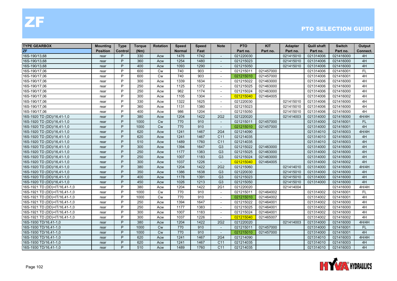| <b>TYPE GEARBOX</b>           | Mounting        | <b>Type</b> | <b>Torque</b> | <b>Rotation</b> | <b>Speed</b>  | <b>Speed</b> | <b>Note</b>              | <b>PTO</b> | <b>KIT</b> | <b>Adapter</b> | <b>Quill shaft</b> | <b>Switch</b> | Output    |
|-------------------------------|-----------------|-------------|---------------|-----------------|---------------|--------------|--------------------------|------------|------------|----------------|--------------------|---------------|-----------|
| <b>ZF</b>                     | <b>Position</b> | Control     | (Nm)          |                 | <b>Normal</b> | Fast         |                          | Part no.   | Part no.   | Part no.       | Part no.           | Part no.      | Connect.  |
| 16S-190/13,68                 | rear            | P           | 330           | Acw             | 1476          | 1742         | $\sim$                   | 021220030  |            | 021415010      | 021314006          | 021416000     | 4H        |
| 16S-190/13.68                 | rear            | P           | 360           | Acw             | 1254          | 1480         | $\overline{\phantom{a}}$ | 021215023  |            | 021415010      | 021314006          | 021416000     | 4H        |
| 16S-190/13,68                 | rear            | P           | 400           | Acw             | 1093          | 1290         |                          | 021215050  |            | 021415010      | 021314006          | 021416000     | 4H        |
| 16S-190/17,06                 | rear            | P           | 600           | Cw              | 740           | 903          | $\overline{\phantom{a}}$ | 021215011  | 021457000  |                | 021314006          | 021416001     | <b>FL</b> |
| 16S-190/17,06                 | rear            | P           | 600           | <b>Cw</b>       | 740           | 903          | $\sim$                   | 021215010  | 021457000  |                | 021314006          | 021416001     | 4H        |
| 16S-190/17,06                 | rear            | P           | 300           | Acw             | 1339          | 1634         | $\overline{\phantom{a}}$ | 021215022  | 021463000  |                | 021314006          | 021416000     | 4H        |
| 16S-190/17,06                 | rear            | P           | 250           | Acw             | 1125          | 1372         | $\overline{\phantom{a}}$ | 021215025  | 021463000  |                | 021314006          | 021416000     | 4H        |
| 16S-190/17,06                 | rear            | P           | 250           | Acw             | 962           | 1174         | $\overline{\phantom{a}}$ | 021215024  | 021463000  |                | 021314006          | 021416000     | 4H        |
| 16S-190/17,06                 | rear            | P           | 300           | Acw             | 1105          | 1304         | $\sim$                   | 021215040  | 021464005  |                | 021314006          | 021416002     | 4H        |
| 16S-190/17,06                 | rear            | P           | 330           | Acw             | 1322          | 1625         | $\overline{\phantom{a}}$ | 021220030  |            | 021415010      | 021314006          | 021416000     | 4H        |
| 16S-190/17,06                 | rear            | P           | 360           | Acw             | 1131          | 1380         | $\overline{\phantom{a}}$ | 021215023  |            | 021415010      | 021314006          | 021416000     | 4H        |
| 16S-190/17,06                 | rear            | P           | 400           | Acw             | 986           | 1204         | $\sim$                   | 021215050  |            | 021415010      | 021314006          | 021416000     | 4H        |
| 16S-1920 TD (DD)/16,41-1,0    | rear            | P           | 380           | Acw             | 1204          | 1422         | 2G <sub>2</sub>          | 021220020  |            | 021414003      | 021314000          | 021416000     | 4H/4H     |
| 16S-1920 TD (DD)/16,41-1,0    | rear            | P           | 1000          | Cw              | 770           | 910          | $\blacksquare$           | 021215011  | 021457000  |                | 021314000          | 021416001     | <b>FL</b> |
| 16S-1920 TD (DD)/16,41-1,0    | rear            | P           | 1000          | Cw              | 770           | 910          |                          | 021215010  | 021457000  |                | 021314000          | 021416001     | 4H        |
| 16S-1920 TD (DD)/16,41-1,0    | rear            | P           | 620           | Acw             | 1241          | 1467         | 2G4                      | 021214090  |            |                | 021314010          | 021416003     | 4H/4H     |
| 16S-1920 TD (DD)/16,41-1,0    | rear            | P           | 620           | Acw             | 1241          | 1467         | C <sub>11</sub>          | 021214035  |            |                | 021314010          | 021416003     | 4H        |
| 16S-1920 TD (DD)/16,41-1,0    | rear            | P           | 510           | Acw             | 1489          | 1760         | C <sub>11</sub>          | 021214035  |            |                | 021314010          | 021416003     | 4H        |
| 16S-1920 TD (DD)/16,41-1,0    | rear            | P           | 300           | Acw             | 1394          | 1647         | G <sub>3</sub>           | 021215022  | 021463000  |                | 021314000          | 021416000     | 4H        |
| 16S-1920 TD (DD)/16,41-1,0    | rear            | P           | 250           | Acw             | 1177          | 1383         | G <sub>3</sub>           | 021215025  | 021463000  |                | 021314000          | 021416000     | 4H        |
| 16S-1920 TD (DD)/16,41-1,0    | rear            | P           | 250           | Acw             | 1007          | 1183         | G <sub>3</sub>           | 021215024  | 021463000  |                | 021314000          | 021416000     | 4H        |
| 16S-1920 TD (DD)/16,41-1,0    | rear            | P           | 300           | Acw             | 1037          | 1226         | $\sim$                   | 021215040  | 021464005  |                | 021314000          | 021416002     | 4H        |
| 16S-1920 TD (DD)/16,41-1,0    | rear            | P           | 380           | Acw             | 1204          | 1422         | 2G <sub>2</sub>          | 021215060  |            | 021414010      | 021314000          | 021416000     | 4H/4H     |
| 16S-1920 TD (DD)/16,41-1,0    | rear            | P           | 350           | Acw             | 1386          | 1638         | G <sub>3</sub>           | 021220030  |            | 021415010      | 021314000          | 021416000     | 4H        |
| 16S-1920 TD (DD)/16,41-1,0    | rear            | P           | 400           | Acw             | 1178          | 1391         | G <sub>3</sub>           | 021215023  |            | 021415010      | 021314000          | 021416000     | 4H        |
| 16S-1920 TD (DD)/16,41-1,0    | rear            | P           | 450           | Acw             | 1026          | 1213         | G <sub>3</sub>           | 021215050  |            | 021415010      | 021314000          | 021416000     | 4H        |
| 16S-1921 TD (DD)+IT/16,41-1,0 | rear            | P           | 380           | Acw             | 1204          | 1422         | 2G1                      | 021220020  |            | 021414004      |                    | 021416000     | 4H/4H     |
| 16S-1921 TD (DD)+IT/16,41-1,0 | rear            | P           | 1000          | <b>Cw</b>       | 770           | 910          | $\overline{\phantom{a}}$ | 021215011  | 021464002  |                | 021314002          | 021416001     | <b>FL</b> |
| 16S-1921 TD (DD)+IT/16,41-1,0 | rear            | P           | 1000          | <b>Cw</b>       | 770           | 910          | $\sim$                   | 021215010  | 021464002  |                | 021314002          | 021416001     | 4H        |
| 16S-1921 TD (DD)+IT/16,41-1,0 | rear            | P           | 250           | Acw             | 1394          | 1647         | $\sim$                   | 021215022  | 021464001  |                | 021314002          | 021416000     | 4H        |
| 16S-1921 TD (DD)+IT/16,41-1,0 | rear            | P           | 250           | Acw             | 1177          | 1383         | $\overline{\phantom{a}}$ | 021215025  | 021464001  |                | 021314002          | 021416000     | 4H        |
| 16S-1921 TD (DD)+IT/16,41-1,0 | rear            | P           | 300           | Acw             | 1007          | 1183         | $\overline{\phantom{a}}$ | 021215024  | 021464001  |                | 021314002          | 021416000     | 4H        |
| 16S-1921 TD (DD)+IT/16,41-1,0 | rear            | P           | 300           | Acw             | 1037          | 1226         | $\overline{\phantom{a}}$ | 021215040  | 021465007  |                | 021314002          | 021416002     | 4H        |
| 16S-1930 TD/16,41-1,0         | rear            | P           | 380           | Acw             | 1204          | 1422         | 2G <sub>2</sub>          | 021220020  |            | 021414003      | 021314000          | 021416000     | 4H/4H     |
| 16S-1930 TD/16,41-1,0         | rear            | P           | 1000          | Cw              | 770           | 910          | $\mathbf{r}$             | 021215011  | 021457000  |                | 021314000          | 021416001     | FL        |
| 16S-1930 TD/16,41-1,0         | rear            | P           | 1000          | Cw              | 770           | 910          | $\overline{\phantom{a}}$ | 021215010  | 021457000  |                | 021314000          | 021416001     | 4H        |
| 16S-1930 TD/16,41-1,0         | rear            | P           | 620           | Acw             | 1241          | 1467         | 2G4                      | 021214090  |            |                | 021314010          | 021416003     | 4H/4H     |
| 16S-1930 TD/16,41-1,0         | rear            | P           | 620           | Acw             | 1241          | 1467         | C <sub>11</sub>          | 021214035  |            |                | 021314010          | 021416003     | 4H        |
| 16S-1930 TD/16,41-1,0         | rear            | P           | 510           | Acw             | 1489          | 1760         | C <sub>11</sub>          | 021214035  |            |                | 021314010          | 021416003     | 4H        |

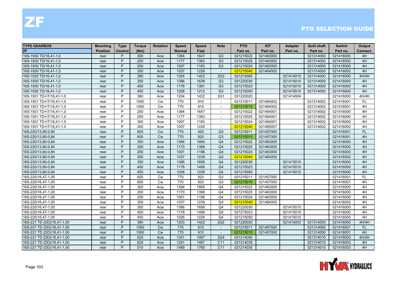| <b>TYPE GEARBOX</b>        | <b>Mounting</b> | <b>Type</b> | <b>Torque</b> | <b>Rotation</b> | <b>Speed</b>  | <b>Speed</b> | <b>Note</b>              | <b>PTO</b> | <b>KIT</b> | <b>Adapter</b> | <b>Quill shaft</b> | <b>Switch</b> | Output    |
|----------------------------|-----------------|-------------|---------------|-----------------|---------------|--------------|--------------------------|------------|------------|----------------|--------------------|---------------|-----------|
| <b>ZF</b>                  | <b>Position</b> | Control     | (Nm)          |                 | <b>Normal</b> | Fast         |                          | Part no.   | Part no.   | Part no.       | Part no.           | Part no.      | Connect.  |
| 16S-1930 TD/16.41-1.0      | rear            | P           | 300           | Acw             | 1394          | 1647         | G <sub>3</sub>           | 021215022  | 021463000  |                | 021314000          | 021416000     | 4H        |
| 16S-1930 TD/16,41-1,0      | rear            | P           | 250           | Acw             | 1177          | 1383         | G <sub>3</sub>           | 021215025  | 021463000  |                | 021314000          | 021416000     | 4H        |
| 16S-1930 TD/16,41-1,0      | rear            | P           | 250           | Acw             | 1007          | 1183         | G <sub>3</sub>           | 021215024  | 021463000  |                | 021314000          | 021416000     | 4H        |
| 16S-1930 TD/16,41-1,0      | rear            | P           | 300           | Acw             | 1037          | 1226         | $\sim$                   | 021215040  | 021464005  |                | 021314000          | 021416002     | 4H        |
| 16S-1930 TD/16,41-1,0      | rear            | P           | 380           | Acw             | 1204          | 1422         | 2G <sub>2</sub>          | 021215060  |            | 021414010      | 021314000          | 021416000     | 4H/4H     |
| 16S-1930 TD/16,41-1,0      | rear            | P           | 350           | Acw             | 1386          | 1638         | G <sub>3</sub>           | 021220030  |            | 021415010      | 021314000          | 021416000     | 4H        |
| 16S-1930 TD/16,41-1,0      | rear            | P           | 400           | Acw             | 1178          | 1391         | G <sub>3</sub>           | 021215023  |            | 021415010      | 021314000          | 021416000     | 4H        |
| 16S-1930 TD/16,41-1,0      | rear            | P           | 450           | Acw             | 1026          | 1213         | G <sub>3</sub>           | 021215050  |            | 021415010      | 021314000          | 021416000     | 4H        |
| 16S-1931 TD+IT/16,41-1,0   | rear            | P           | 380           | Acw             | 1204          | 1422         | <b>2G1</b>               | 021220020  |            | 021414004      |                    | 021416000     | 4H/4H     |
| 16S-1931 TD+IT/16,41-1,0   | rear            | P           | 1000          | <b>Cw</b>       | 770           | 910          | $\overline{\phantom{a}}$ | 021215011  | 021464002  |                | 021314002          | 021416001     | FL.       |
| 16S-1931 TD+IT/16,41-1,0   | rear            | P           | 1000          | <b>Cw</b>       | 770           | 910          | $\overline{\phantom{a}}$ | 021215010  | 021464002  |                | 021314002          | 021416001     | 4H        |
| 16S-1931 TD+IT/16,41-1,0   | rear            | P           | 250           | Acw             | 1394          | 1647         | $\overline{\phantom{a}}$ | 021215022  | 021464001  |                | 021314002          | 021416000     | 4H        |
| 16S-1931 TD+IT/16,41-1,0   | rear            | P           | 250           | Acw             | 1177          | 1383         | $\sim$                   | 021215025  | 021464001  |                | 021314002          | 021416000     | 4H        |
| 16S-1931 TD+IT/16,41-1,0   | rear            | P           | 300           | Acw             | 1007          | 1183         |                          | 021215024  | 021464001  |                | 021314002          | 021416000     | 4H        |
| 16S-1931 TD+IT/16,41-1,0   | rear            | P           | 300           | Acw             | 1037          | 1226         | $\sim$                   | 021215040  | 021465007  |                | 021314002          | 021416002     | 4H        |
| 16S-220/13,80-0,84         | rear            | P           | 600           | <b>Cw</b>       | 770           | 920          | Q3                       | 021215011  | 021457000  |                |                    | 021416001     | <b>FL</b> |
| 16S-220/13,80-0,84         | rear            | P           | 600           | <b>Cw</b>       | 770           | 920          | Q3                       | 021215010  | 021457000  |                |                    | 021416001     | 4H        |
| 16S-220/13,80-0,84         | rear            | P           | 300           | Acw             | 1394          | 1665         | Q <sub>4</sub>           | 021215022  | 021463000  |                |                    | 021416000     | 4H        |
| 16S-220/13,80-0,84         | rear            | P           | 250           | Acw             | 1170          | 1398         | Q <sub>4</sub>           | 021215025  | 021463000  |                |                    | 021416000     | 4H        |
| 16S-220/13,80-0,84         | rear            | P           | 250           | Acw             | 1001          | 1196         | Q <sub>4</sub>           | 021215024  | 021463000  |                |                    | 021416000     | 4H        |
| 16S-220/13,80-0,84         | rear            | P           | 300           | Acw             | 1037          | 1239         | Q3                       | 021215040  | 021464005  |                |                    | 021416002     | 4H        |
| 16S-220/13,80-0,84         | rear            | P           | 350           | Acw             | 1386          | 1656         | Q <sub>4</sub>           | 021220030  |            | 021415010      |                    | 021416000     | 4H        |
| 16S-220/13,80-0,84         | rear            | P           | 400           | Acw             | 1178          | 1406         | Q <sub>4</sub>           | 021215023  |            | 021415010      |                    | 021416000     | 4H        |
| 16S-220/13,80-0,84         | rear            | P           | 450           | Acw             | 1026          | 1226         | Q <sub>4</sub>           | 021215050  |            | 021415010      |                    | 021416000     | 4H        |
| 16S-220/16,47-1,00         | rear            | P           | 600           | <b>Cw</b>       | 770           | 920          | Q3                       | 021215011  | 021457000  |                |                    | 021416001     | FL.       |
| 16S-220/16,47-1,00         | rear            | P           | 600           | <b>Cw</b>       | 770           | 920          | Q3                       | 021215010  | 021457000  |                |                    | 021416001     | 4H        |
| 16S-220/16,47-1,00         | rear            | P           | 300           | Acw             | 1394          | 1665         | Q <sub>4</sub>           | 021215022  | 021463000  |                |                    | 021416000     | 4H        |
| 16S-220/16,47-1,00         | rear            | P           | 250           | Acw             | 1170          | 1398         | Q <sub>4</sub>           | 021215025  | 021463000  |                |                    | 021416000     | 4H        |
| 16S-220/16,47-1,00         | rear            | P           | 250           | Acw             | 1001          | 1196         | Q <sub>4</sub>           | 021215024  | 021463000  |                |                    | 021416000     | 4H        |
| 16S-220/16,47-1,00         | rear            | P           | 300           | Acw             | 1037          | 1239         | Q <sub>3</sub>           | 021215040  | 021464005  |                |                    | 021416002     | 4H        |
| 16S-220/16,47-1,00         | rear            | P           | 350           | Acw             | 1386          | 1656         | Q4                       | 021220030  |            | 021415010      |                    | 021416000     | 4H        |
| 16S-220/16,47-1,00         | rear            | P           | 400           | Acw             | 1178          | 1406         | Q <sub>4</sub>           | 021215023  |            | 021415010      |                    | 021416000     | 4H        |
| 16S-220/16,47-1,00         | rear            | P           | 450           | Acw             | 1026          | 1226         | Q <sub>4</sub>           | 021215050  |            | 021415010      |                    | 021416000     | 4H        |
| 16S-221 TD (DD)/16,41-1,00 | rear            | P           | 380           | Acw             | 1203          | 1422         | 2G <sub>2</sub>          | 021220020  |            | 021414003      | 021314000          | 021416000     | 4H/4H     |
| 16S-221 TD (DD)/16,41-1,00 | rear            | P           | 1000          | Cw              | 770           | 910          | $\sim$                   | 021215011  | 021457000  |                | 021314000          | 021416001     | FL        |
| 16S-221 TD (DD)/16,41-1,00 | rear            | P           | 1000          | <b>Cw</b>       | 770           | 910          | $\sim$                   | 021215010  | 021457000  |                | 021314000          | 021416001     | 4H        |
| 16S-221 TD (DD)/16,41-1,00 | rear            | P           | 620           | Acw             | 1241          | 1467         | 2G4                      | 021214090  |            |                | 021314010          | 021416003     | 4H/4H     |
| 16S-221 TD (DD)/16,41-1,00 | rear            | P           | 620           | Acw             | 1241          | 1467         | C <sub>11</sub>          | 021214035  |            |                | 021314010          | 021416003     | 4H        |
| 16S-221 TD (DD)/16,41-1,00 | rear            | P           | 510           | Acw             | 1489          | 1760         | C <sub>11</sub>          | 021214035  |            |                | 021314010          | 021416003     | 4H        |

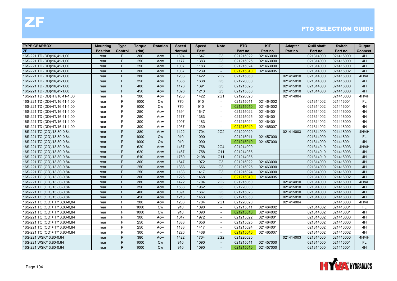| <b>TYPE GEARBOX</b>           | Mounting        | <b>Type</b> | Torque | <b>Rotation</b> | <b>Speed</b>  | <b>Speed</b> | <b>Note</b>              | <b>PTO</b> | <b>KIT</b> | <b>Adapter</b> | Quill shaft | <b>Switch</b> | Output    |
|-------------------------------|-----------------|-------------|--------|-----------------|---------------|--------------|--------------------------|------------|------------|----------------|-------------|---------------|-----------|
| <b>ZF</b>                     | <b>Position</b> | Control     | (Nm)   |                 | <b>Normal</b> | Fast         |                          | Part no.   | Part no.   | Part no.       | Part no.    | Part no.      | Connect.  |
| 16S-221 TD (DD)/16,41-1,00    | rear            | P           | 300    | Acw             | 1394          | 1647         | G <sub>3</sub>           | 021215022  | 021463000  |                | 021314000   | 021416000     | 4H        |
| 16S-221 TD (DD)/16,41-1,00    | rear            | P           | 250    | Acw             | 1177          | 1383         | G <sub>3</sub>           | 021215025  | 021463000  |                | 021314000   | 021416000     | 4H        |
| 16S-221 TD (DD)/16,41-1,00    | rear            | P           | 250    | Acw             | 1007          | 1183         | G <sub>3</sub>           | 021215024  | 021463000  |                | 021314000   | 021416000     | 4H        |
| 16S-221 TD (DD)/16,41-1,00    | rear            | P           | 300    | Acw             | 1037          | 1239         | $\sim$                   | 021215040  | 021464005  |                | 021314000   | 021416002     | 4H        |
| 16S-221 TD (DD)/16,41-1,00    | rear            | P           | 380    | Acw             | 1203          | 1422         | 2G2                      | 021215060  |            | 021414010      | 021314000   | 021416000     | 4H/4H     |
| 16S-221 TD (DD)/16,41-1,00    | rear            | P           | 350    | Acw             | 1386          | 1638         | G <sub>3</sub>           | 021220030  |            | 021415010      | 021314000   | 021416000     | 4H        |
| 16S-221 TD (DD)/16,41-1,00    | rear            | P           | 400    | Acw             | 1178          | 1391         | G <sub>3</sub>           | 021215023  |            | 021415010      | 021314000   | 021416000     | 4H        |
| 16S-221 TD (DD)/16,41-1,00    | rear            | P           | 450    | Acw             | 1026          | 1213         | G <sub>3</sub>           | 021215050  |            | 021415010      | 021314000   | 021416000     | 4H        |
| 16S-221 TD (DD)+IT/16,41-1,00 | rear            | P           | 380    | Acw             | 1203          | 1422         | 2G1                      | 021220020  |            | 021414004      |             | 021416000     | 4H/4H     |
| 16S-221 TD (DD)+IT/16,41-1,00 | rear            | P           | 1000   | Cw              | 770           | 910          | $\overline{\phantom{a}}$ | 021215011  | 021464002  |                | 021314002   | 021416001     | FL        |
| 16S-221 TD (DD)+IT/16,41-1,00 | rear            | P           | 1000   | Cw              | 770           | 910          | $\sim$                   | 021215010  | 021464002  |                | 021314002   | 021416001     | 4H        |
| 16S-221 TD (DD)+IT/16,41-1,00 | rear            | P           | 250    | Acw             | 1394          | 1647         | $\overline{\phantom{a}}$ | 021215022  | 021464001  |                | 021314002   | 021416000     | 4H        |
| 16S-221 TD (DD)+IT/16,41-1,00 | rear            | P           | 250    | Acw             | 1177          | 1383         | $\overline{\phantom{a}}$ | 021215025  | 021464001  |                | 021314002   | 021416000     | 4H        |
| 16S-221 TD (DD)+IT/16,41-1,00 | rear            | P           | 300    | Acw             | 1007          | 1183         |                          | 021215024  | 021464001  |                | 021314002   | 021416000     | 4H        |
| 16S-221 TD (DD)+IT/16,41-1,00 | rear            | P           | 300    | Acw             | 1037          | 1239         | $\overline{\phantom{a}}$ | 021215040  | 021465007  |                | 021314002   | 021416002     | 4H        |
| 16S-221 TO (OD)/13,80-0,84    | rear            | P           | 380    | Acw             | 1422          | 1704         | 2G <sub>2</sub>          | 021220020  |            | 021414003      | 021314000   | 021416000     | 4H/4H     |
| 16S-221 TO (OD)/13,80-0,84    | rear            | P           | 1000   | Cw              | 910           | 1090         | $\overline{a}$           | 021215011  | 021457000  |                | 021314000   | 021416001     | <b>FL</b> |
| 16S-221 TO (OD)/13,80-0,84    | rear            | P           | 1000   | <b>Cw</b>       | 910           | 1090         | $\sim$                   | 021215010  | 021457000  |                | 021314000   | 021416001     | 4H        |
| 16S-221 TO (OD)/13,80-0,84    | rear            | P           | 620    | Acw             | 1467          | 1758         | <b>2G4</b>               | 021214090  |            |                | 021314010   | 021416003     | 4H/4H     |
| 16S-221 TO (OD)/13,80-0,84    | rear            | P           | 620    | Acw             | 1467          | 1758         | C <sub>11</sub>          | 021214035  |            |                | 021314010   | 021416003     | 4H        |
| 16S-221 TO (OD)/13,80-0,84    | rear            | P           | 510    | Acw             | 1760          | 2108         | C <sub>11</sub>          | 021214035  |            |                | 021314010   | 021416003     | 4H        |
| 16S-221 TO (OD)/13,80-0,84    | rear            | P           | 300    | Acw             | 1647          | 1972         | G <sub>3</sub>           | 021215022  | 021463000  |                | 021314000   | 021416000     | 4H        |
| 16S-221 TO (OD)/13,80-0,84    | rear            | P           | 250    | Acw             | 1383          | 1656         | G <sub>3</sub>           | 021215025  | 021463000  |                | 021314000   | 021416000     | 4H        |
| 16S-221 TO (OD)/13,80-0,84    | rear            | P           | 250    | Acw             | 1183          | 1417         | G <sub>3</sub>           | 021215024  | 021463000  |                | 021314000   | 021416000     | 4H        |
| 16S-221 TO (OD)/13,80-0,84    | rear            | P           | 300    | Acw             | 1226          | 1468         | $\sim$                   | 021215040  | 021464005  |                | 021314000   | 021416002     | 4H        |
| 16S-221 TO (OD)/13,80-0,84    | rear            | P           | 380    | Acw             | 1422          | 1704         | <b>2G2</b>               | 021215060  |            | 021414010      | 021314000   | 021416000     | 4H/4H     |
| 16S-221 TO (OD)/13,80-0,84    | rear            | P           | 350    | Acw             | 1638          | 1962         | G <sub>3</sub>           | 021220030  |            | 021415010      | 021314000   | 021416000     | 4H        |
| 16S-221 TO (OD)/13,80-0,84    | rear            | P           | 400    | Acw             | 1391          | 1667         | G <sub>3</sub>           | 021215023  |            | 021415010      | 021314000   | 021416000     | 4H        |
| 16S-221 TO (OD)/13,80-0,84    | rear            | P           | 450    | Acw             | 1213          | 1453         | G <sub>3</sub>           | 021215050  |            | 021415010      | 021314000   | 021416000     | 4H        |
| 16S-221 TO (OD)+IT/13,80-0,84 | rear            | P           | 380    | Acw             | 1203          | 1704         | 2G1                      | 021220020  |            | 021414004      |             | 021416000     | 4H/4H     |
| 16S-221 TO (OD)+IT/13,80-0,84 | rear            | P           | 1000   | <b>Cw</b>       | 910           | 1090         | $\sim$                   | 021215011  | 021464002  |                | 021314002   | 021416001     | <b>FL</b> |
| 16S-221 TO (OD)+IT/13,80-0,84 | rear            | P           | 1000   | Cw              | 910           | 1090         |                          | 021215010  | 021464002  |                | 021314002   | 021416001     | 4H        |
| 16S-221 TO (OD)+IT/13,80-0,84 | rear            | P           | 300    | Acw             | 1647          | 1972         | $\sim$                   | 021215022  | 021464001  |                | 021314002   | 021416000     | 4H        |
| 16S-221 TO (OD)+IT/13,80-0,84 | rear            | P           | 250    | Acw             | 1383          | 1656         | $\sim$                   | 021215025  | 021464001  |                | 021314002   | 021416000     | 4H        |
| 16S-221 TO (OD)+IT/13,80-0,84 | rear            | P           | 250    | Acw             | 1183          | 1417         | $\sim$                   | 021215024  | 021464001  |                | 021314002   | 021416000     | 4H        |
| 16S-221 TO (OD)+IT/13,80-0,84 | rear            | P           | 300    | Acw             | 1226          | 1468         | $\sim$                   | 021215040  | 021465007  |                | 021314002   | 021416002     | 4H        |
| 16S-221 WSK/13,80-0,84        | rear            | P           | 380    | Acw             | 1422          | 1704         | 2G <sub>2</sub>          | 021220020  |            | 021414003      | 021314000   | 021416000     | 4H/4H     |
| 16S-221 WSK/13,80-0,84        | rear            | P           | 1000   | <b>Cw</b>       | 910           | 1090         | $\blacksquare$           | 021215011  | 021457000  |                | 021314000   | 021416001     | <b>FL</b> |
| 16S-221 WSK/13,80-0,84        | rear            | P           | 1000   | <b>Cw</b>       | 910           | 1090         |                          | 021215010  | 021457000  |                | 021314000   | 021416001     | 4H        |

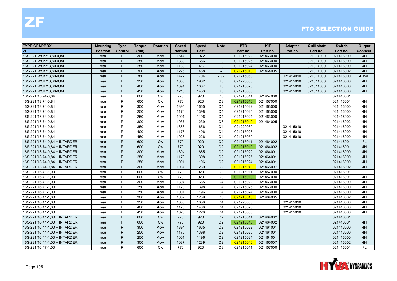| <b>TYPE GEARBOX</b>           | <b>Mounting</b> | <b>Type</b> | <b>Torque</b> | <b>Rotation</b> | <b>Speed</b>  | <b>Speed</b> | <b>Note</b>     | <b>PTO</b> | <b>KIT</b> | <b>Adapter</b> | <b>Quill shaft</b> | <b>Switch</b> | Output    |
|-------------------------------|-----------------|-------------|---------------|-----------------|---------------|--------------|-----------------|------------|------------|----------------|--------------------|---------------|-----------|
| ZF                            | <b>Position</b> | Control     | (Nm)          |                 | <b>Normal</b> | Fast         |                 | Part no.   | Part no.   | Part no.       | Part no.           | Part no.      | Connect.  |
| 16S-221 WSK/13,80-0,84        | rear            | P           | 300           | Acw             | 1647          | 1972         | G <sub>3</sub>  | 021215022  | 021463000  |                | 021314000          | 021416000     | 4H        |
| 16S-221 WSK/13,80-0,84        | rear            | P           | 250           | Acw             | 1383          | 1656         | G <sub>3</sub>  | 021215025  | 021463000  |                | 021314000          | 021416000     | 4H        |
| 16S-221 WSK/13,80-0,84        | rear            | P           | 250           | Acw             | 1183          | 1417         | G <sub>3</sub>  | 021215024  | 021463000  |                | 021314000          | 021416000     | 4H        |
| 16S-221 WSK/13,80-0,84        | rear            | P           | 300           | Acw             | 1226          | 1468         | $\sim$          | 021215040  | 021464005  |                | 021314000          | 021416002     | 4H        |
| 16S-221 WSK/13,80-0,84        | rear            | P           | 380           | Acw             | 1422          | 1704         | 2G <sub>2</sub> | 021215060  |            | 021414010      | 021314000          | 021416000     | 4H/4H     |
| 16S-221 WSK/13,80-0,84        | rear            | P           | 350           | Acw             | 1638          | 1962         | G <sub>3</sub>  | 021220030  |            | 021415010      | 021314000          | 021416000     | 4H        |
| 16S-221 WSK/13,80-0,84        | rear            | P           | 400           | Acw             | 1391          | 1667         | G <sub>3</sub>  | 021215023  |            | 021415010      | 021314000          | 021416000     | 4H        |
| 16S-221 WSK/13,80-0,84        | rear            | P           | 450           | Acw             | 1213          | 1453         | G <sub>3</sub>  | 021215050  |            | 021415010      | 021314000          | 021416000     | 4H        |
| 16S-221/13,74-0,84            | rear            | P           | 600           | Cw              | 770           | 920          | Q3              | 021215011  | 021457000  |                |                    | 021416001     | FL.       |
| 16S-221/13,74-0,84            | rear            | P           | 600           | <b>Cw</b>       | 770           | 920          | Q3              | 021215010  | 021457000  |                |                    | 021416001     | 4H        |
| 16S-221/13,74-0,84            | rear            | P           | 300           | Acw             | 1394          | 1665         | Q <sub>4</sub>  | 021215022  | 021463000  |                |                    | 021416000     | 4H        |
| 16S-221/13,74-0,84            | rear            | P           | 250           | Acw             | 1170          | 1398         | Q <sub>4</sub>  | 021215025  | 021463000  |                |                    | 021416000     | 4H        |
| 16S-221/13,74-0,84            | rear            | P           | 250           | Acw             | 1001          | 1196         | Q4              | 021215024  | 021463000  |                |                    | 021416000     | 4H        |
| 16S-221/13,74-0,84            | rear            | P           | 300           | Acw             | 1037          | 1239         | Q3              | 021215040  | 021464005  |                |                    | 021416002     | 4H        |
| 16S-221/13,74-0,84            | rear            | P           | 350           | Acw             | 1386          | 1656         | Q <sub>4</sub>  | 021220030  |            | 021415010      |                    | 021416000     | 4H        |
| 16S-221/13,74-0,84            | rear            | P           | 400           | Acw             | 1178          | 1406         | Q <sub>4</sub>  | 021215023  |            | 021415010      |                    | 021416000     | 4H        |
| 16S-221/13,74-0,84            | rear            | P           | 450           | Acw             | 1026          | 1226         | Q <sub>4</sub>  | 021215050  |            | 021415010      |                    | 021416000     | 4H        |
| 16S-221/13,74-0,84 + INTARDER | rear            | P           | 600           | <b>Cw</b>       | 770           | 920          | Q2              | 021215011  | 021464002  |                |                    | 021416001     | <b>FL</b> |
| 16S-221/13,74-0,84 + INTARDER | rear            | P           | 600           | <b>Cw</b>       | 770           | 920          | Q2              | 021215010  | 021464002  |                |                    | 021416001     | 4H        |
| 16S-221/13,74-0,84 + INTARDER | rear            | P           | 300           | Acw             | 1394          | 1665         | Q2              | 021215022  | 021464001  |                |                    | 021416000     | 4H        |
| 16S-221/13,74-0,84 + INTARDER | rear            | P           | 250           | Acw             | 1170          | 1398         | Q2              | 021215025  | 021464001  |                |                    | 021416000     | 4H        |
| 16S-221/13,74-0,84 + INTARDER | rear            | P           | 250           | Acw             | 1001          | 1196         | Q2              | 021215024  | 021464001  |                |                    | 021416000     | 4H        |
| 16S-221/13,74-0,84 + INTARDER | rear            | P           | 300           | Acw             | 1037          | 1239         | Q2              | 021215040  | 021465007  |                |                    | 021416002     | 4H        |
| 16S-221/16,41-1,00            | rear            | P           | 600           | <b>Cw</b>       | 770           | 920          | Q3              | 021215011  | 021457000  |                |                    | 021416001     | <b>FL</b> |
| 16S-221/16,41-1,00            | rear            | P           | 600           | <b>Cw</b>       | 770           | 920          | Q3              | 021215010  | 021457000  |                |                    | 021416001     | 4H        |
| 16S-221/16,41-1,00            | rear            | P           | 300           | Acw             | 1394          | 1665         | Q4              | 021215022  | 021463000  |                |                    | 021416000     | 4H        |
| 16S-221/16,41-1,00            | rear            | P           | 250           | Acw             | 1170          | 1398         | Q4              | 021215025  | 021463000  |                |                    | 021416000     | 4H        |
| 16S-221/16,41-1,00            | rear            | P           | 250           | Acw             | 1001          | 1196         | Q <sub>4</sub>  | 021215024  | 021463000  |                |                    | 021416000     | 4H        |
| 16S-221/16,41-1,00            | rear            | P           | 300           | Acw             | 1037          | 1239         | Q3              | 021215040  | 021464005  |                |                    | 021416002     | 4H        |
| 16S-221/16,41-1,00            | rear            | P           | 350           | Acw             | 1386          | 1656         | Q <sub>4</sub>  | 021220030  |            | 021415010      |                    | 021416000     | 4H        |
| 16S-221/16,41-1,00            | rear            | P           | 400           | Acw             | 1178          | 1406         | Q <sub>4</sub>  | 021215023  |            | 021415010      |                    | 021416000     | 4H        |
| 16S-221/16,41-1,00            | rear            | P           | 450           | Acw             | 1026          | 1226         | Q <sub>4</sub>  | 021215050  |            | 021415010      |                    | 021416000     | 4H        |
| 16S-221/16,41-1,00 + INTARDER | rear            | P           | 600           | <b>Cw</b>       | 770           | 920          | Q2              | 021215011  | 021464002  |                |                    | 021416001     | FL.       |
| 16S-221/16,41-1,00 + INTARDER | rear            | P           | 600           | Cw              | 770           | 920          | Q2              | 021215010  | 021464002  |                |                    | 021416001     | 4H        |
| 16S-221/16,41-1,00 + INTARDER | rear            | P           | 300           | Acw             | 1394          | 1665         | Q2              | 021215022  | 021464001  |                |                    | 021416000     | 4H        |
| 16S-221/16,41-1,00 + INTARDER | rear            | P           | 250           | Acw             | 1170          | 1398         | Q2              | 021215025  | 021464001  |                |                    | 021416000     | 4H        |
| 16S-221/16,41-1,00 + INTARDER | rear            | P           | 250           | Acw             | 1001          | 1196         | Q2              | 021215024  | 021464001  |                |                    | 021416000     | 4H        |
| 16S-221/16,41-1,00 + INTARDER | rear            | P           | 300           | Acw             | 1037          | 1239         | Q2              | 021215040  | 021465007  |                |                    | 021416002     | 4H        |
| 16S-221/16,47-1,00            | rear            | P           | 600           | Cw              | 770           | 920          | Q <sub>3</sub>  | 021215011  | 021457000  |                |                    | 021416001     | FL.       |

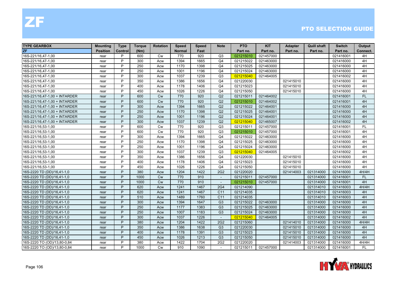| <b>TYPE GEARBOX</b>           | <b>Mounting</b> | <b>Type</b> | <b>Torque</b> | <b>Rotation</b> | Speed         | <b>Speed</b> | <b>Note</b>              | <b>PTO</b> | <b>KIT</b> | <b>Adapter</b> | <b>Quill shaft</b> | <b>Switch</b> | Output    |
|-------------------------------|-----------------|-------------|---------------|-----------------|---------------|--------------|--------------------------|------------|------------|----------------|--------------------|---------------|-----------|
| <b>ZF</b>                     | <b>Position</b> | Control     | (Nm)          |                 | <b>Normal</b> | Fast         |                          | Part no.   | Part no.   | Part no.       | Part no.           | Part no.      | Connect.  |
| 16S-221/16,47-1,00            | rear            | P           | 600           | <b>Cw</b>       | 770           | 920          | Q <sub>3</sub>           | 021215010  | 021457000  |                |                    | 021416001     | 4H        |
| 16S-221/16,47-1,00            | rear            | P           | 300           | Acw             | 1394          | 1665         | Q <sub>4</sub>           | 021215022  | 021463000  |                |                    | 021416000     | 4H        |
| 16S-221/16,47-1,00            | rear            | P           | 250           | Acw             | 1170          | 1398         | Q <sub>4</sub>           | 021215025  | 021463000  |                |                    | 021416000     | 4H        |
| 16S-221/16,47-1,00            | rear            | P           | 250           | Acw             | 1001          | 1196         | Q <sub>4</sub>           | 021215024  | 021463000  |                |                    | 021416000     | 4H        |
| 16S-221/16,47-1,00            | rear            | P           | 300           | Acw             | 1037          | 1239         | Q <sub>3</sub>           | 021215040  | 021464005  |                |                    | 021416002     | 4H        |
| 16S-221/16,47-1,00            | rear            | P           | 350           | Acw             | 1386          | 1656         | Q <sub>4</sub>           | 021220030  |            | 021415010      |                    | 021416000     | 4H        |
| 16S-221/16,47-1,00            | rear            | P           | 400           | Acw             | 1178          | 1406         | Q <sub>4</sub>           | 021215023  |            | 021415010      |                    | 021416000     | 4H        |
| 16S-221/16,47-1,00            | rear            | P           | 450           | Acw             | 1026          | 1226         | Q <sub>4</sub>           | 021215050  |            | 021415010      |                    | 021416000     | 4H        |
| 16S-221/16,47-1,00 + INTARDER | rear            | P           | 600           | <b>Cw</b>       | 770           | 920          | Q2                       | 021215011  | 021464002  |                |                    | 021416001     | <b>FL</b> |
| 16S-221/16,47-1,00 + INTARDER | rear            | P           | 600           | <b>Cw</b>       | 770           | 920          | Q2                       | 021215010  | 021464002  |                |                    | 021416001     | 4H        |
| 16S-221/16,47-1,00 + INTARDER | rear            | P           | 300           | Acw             | 1394          | 1665         | Q2                       | 021215022  | 021464001  |                |                    | 021416000     | 4H        |
| 16S-221/16,47-1,00 + INTARDER | rear            | P           | 250           | Acw             | 1170          | 1398         | Q2                       | 021215025  | 021464001  |                |                    | 021416000     | 4H        |
| 16S-221/16,47-1,00 + INTARDER | rear            | P           | 250           | Acw             | 1001          | 1196         | Q2                       | 021215024  | 021464001  |                |                    | 021416000     | 4H        |
| 16S-221/16,47-1,00 + INTARDER | rear            | P           | 300           | Acw             | 1037          | 1239         | Q2                       | 021215040  | 021465007  |                |                    | 021416002     | 4H        |
| 16S-221/16,53-1,00            | rear            | P           | 600           | <b>Cw</b>       | 770           | 920          | Q3                       | 021215011  | 021457000  |                |                    | 021416001     | <b>FL</b> |
| 16S-221/16,53-1,00            | rear            | P           | 600           | Cw              | 770           | 920          | Q3                       | 021215010  | 021457000  |                |                    | 021416001     | 4H        |
| 16S-221/16,53-1,00            | rear            | P           | 300           | Acw             | 1394          | 1665         | Q <sub>4</sub>           | 021215022  | 021463000  |                |                    | 021416000     | 4H        |
| 16S-221/16,53-1,00            | rear            | P           | 250           | Acw             | 1170          | 1398         | Q <sub>4</sub>           | 021215025  | 021463000  |                |                    | 021416000     | 4H        |
| 16S-221/16,53-1,00            | rear            | P           | 250           | Acw             | 1001          | 1196         | Q <sub>4</sub>           | 021215024  | 021463000  |                |                    | 021416000     | 4H        |
| 16S-221/16,53-1,00            | rear            | P           | 300           | Acw             | 1037          | 1239         | Q3                       | 021215040  | 021464005  |                |                    | 021416002     | 4H        |
| 16S-221/16,53-1,00            | rear            | P           | 350           | Acw             | 1386          | 1656         | Q <sub>4</sub>           | 021220030  |            | 021415010      |                    | 021416000     | 4H        |
| 16S-221/16,53-1,00            | rear            | P           | 400           | Acw             | 1178          | 1406         | Q <sub>4</sub>           | 021215023  |            | 021415010      |                    | 021416000     | 4H        |
| 16S-221/16,53-1,00            | rear            | P           | 450           | Acw             | 1026          | 1226         | Q <sub>4</sub>           | 021215050  |            | 021415010      |                    | 021416000     | 4H        |
| 16S-2220 TD (DD)/16,41-1,0    | rear            | P           | 380           | Acw             | 1204          | 1422         | 2G2                      | 021220020  |            | 021414003      | 021314000          | 021416000     | 4H/4H     |
| 16S-2220 TD (DD)/16,41-1,0    | rear            | P           | 1000          | <b>Cw</b>       | 770           | 910          | $\sim$                   | 021215011  | 021457000  |                | 021314000          | 021416001     | <b>FL</b> |
| 16S-2220 TD (DD)/16,41-1,0    | rear            | P           | 1000          | <b>Cw</b>       | 770           | 910          | $\overline{\phantom{a}}$ | 021215010  | 021457000  |                | 021314000          | 021416001     | 4H        |
| 16S-2220 TD (DD)/16,41-1,0    | rear            | P           | 620           | Acw             | 1241          | 1467         | <b>2G4</b>               | 021214090  |            |                | 021314010          | 021416003     | 4H/4H     |
| 16S-2220 TD (DD)/16,41-1,0    | rear            | P           | 620           | Acw             | 1241          | 1467         | C <sub>11</sub>          | 021214035  |            |                | 021314010          | 021416003     | 4H        |
| 16S-2220 TD (DD)/16,41-1,0    | rear            | P           | 510           | Acw             | 1489          | 1760         | C <sub>11</sub>          | 021214035  |            |                | 021314010          | 021416003     | 4H        |
| 16S-2220 TD (DD)/16,41-1,0    | rear            | P           | 300           | Acw             | 1394          | 1647         | G <sub>3</sub>           | 021215022  | 021463000  |                | 021314000          | 021416000     | 4H        |
| 16S-2220 TD (DD)/16,41-1,0    | rear            | P           | 250           | Acw             | 1177          | 1383         | G <sub>3</sub>           | 021215025  | 021463000  |                | 021314000          | 021416000     | 4H        |
| 16S-2220 TD (DD)/16,41-1,0    | rear            | P           | 250           | Acw             | 1007          | 1183         | G <sub>3</sub>           | 021215024  | 021463000  |                | 021314000          | 021416000     | 4H        |
| 16S-2220 TD (DD)/16,41-1,0    | rear            | P           | 300           | Acw             | 1037          | 1226         | $\overline{\phantom{a}}$ | 021215040  | 021464005  |                | 021314000          | 021416002     | 4H        |
| 16S-2220 TD (DD)/16,41-1,0    | rear            | P           | 380           | Acw             | 1204          | 1422         | 2G2                      | 021215060  |            | 021414010      | 021314000          | 021416000     | 4H/4H     |
| 16S-2220 TD (DD)/16,41-1,0    | rear            | P           | 350           | Acw             | 1386          | 1638         | G <sub>3</sub>           | 021220030  |            | 021415010      | 021314000          | 021416000     | 4H        |
| 16S-2220 TD (DD)/16,41-1,0    | rear            | P           | 400           | Acw             | 1178          | 1391         | G <sub>3</sub>           | 021215023  |            | 021415010      | 021314000          | 021416000     | 4H        |
| 16S-2220 TD (DD)/16,41-1,0    | rear            | P           | 450           | Acw             | 1026          | 1213         | G <sub>3</sub>           | 021215050  |            | 021415010      | 021314000          | 021416000     | 4H        |
| 16S-2220 TO (OD)/13,80-0,84   | rear            | P           | 380           | Acw             | 1422          | 1704         | 2G <sub>2</sub>          | 021220020  |            | 021414003      | 021314000          | 021416000     | 4H/4H     |
| 16S-2220 TO (OD)/13,80-0,84   | rear            | P           | 1000          | <b>Cw</b>       | 910           | 1090         | $\sim$                   | 021215011  | 021457000  |                | 021314000          | 021416001     | FL        |

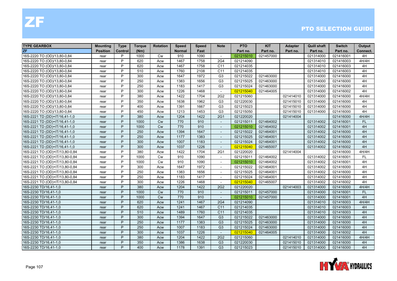| <b>TYPE GEARBOX</b>            | <b>Mounting</b> | <b>Type</b> | <b>Torque</b> | <b>Rotation</b> | <b>Speed</b>  | <b>Speed</b> | <b>Note</b>              | <b>PTO</b> | <b>KIT</b> | <b>Adapter</b> | <b>Quill shaft</b> | <b>Switch</b> | Output    |
|--------------------------------|-----------------|-------------|---------------|-----------------|---------------|--------------|--------------------------|------------|------------|----------------|--------------------|---------------|-----------|
| <b>ZF</b>                      | <b>Position</b> | Control     | (Nm)          |                 | <b>Normal</b> | Fast         |                          | Part no.   | Part no.   | Part no.       | Part no.           | Part no.      | Connect.  |
| 16S-2220 TO (OD)/13,80-0,84    | rear            | P           | 1000          | Cw              | 910           | 1090         | $\overline{\phantom{a}}$ | 021215010  | 021457000  |                | 021314000          | 021416001     | 4H        |
| 16S-2220 TO (OD)/13,80-0,84    | rear            | P           | 620           | Acw             | 1467          | 1758         | 2G4                      | 021214090  |            |                | 021314010          | 021416003     | 4H/4H     |
| 16S-2220 TO (OD)/13,80-0,84    | rear            | P           | 620           | Acw             | 1467          | 1758         | C <sub>11</sub>          | 021214035  |            |                | 021314010          | 021416003     | 4H        |
| 16S-2220 TO (OD)/13,80-0,84    | rear            | P           | 510           | Acw             | 1760          | 2108         | C <sub>11</sub>          | 021214035  |            |                | 021314010          | 021416003     | 4H        |
| 16S-2220 TO (OD)/13,80-0,84    | rear            | P           | 300           | Acw             | 1647          | 1972         | G <sub>3</sub>           | 021215022  | 021463000  |                | 021314000          | 021416000     | 4H        |
| 16S-2220 TO (OD)/13,80-0,84    | rear            | P           | 250           | Acw             | 1383          | 1656         | G <sub>3</sub>           | 021215025  | 021463000  |                | 021314000          | 021416000     | 4H        |
| 16S-2220 TO (OD)/13,80-0,84    | rear            | P           | 250           | Acw             | 1183          | 1417         | G <sub>3</sub>           | 021215024  | 021463000  |                | 021314000          | 021416000     | 4H        |
| 16S-2220 TO (OD)/13,80-0,84    | rear            | P           | 300           | Acw             | 1226          | 1468         | $\sim$                   | 021215040  | 021464005  |                | 021314000          | 021416002     | 4H        |
| 16S-2220 TO (OD)/13,80-0,84    | rear            | P           | 380           | Acw             | 1422          | 1704         | 2G <sub>2</sub>          | 021215060  |            | 021414010      | 021314000          | 021416000     | 4H/4H     |
| 16S-2220 TO (OD)/13,80-0,84    | rear            | P           | 350           | Acw             | 1638          | 1962         | G <sub>3</sub>           | 021220030  |            | 021415010      | 021314000          | 021416000     | 4H        |
| 16S-2220 TO (OD)/13,80-0,84    | rear            | P           | 400           | Acw             | 1391          | 1667         | G <sub>3</sub>           | 021215023  |            | 021415010      | 021314000          | 021416000     | 4H        |
| 16S-2220 TO (OD)/13,80-0,84    | rear            | P           | 450           | Acw             | 1213          | 1453         | G <sub>3</sub>           | 021215050  |            | 021415010      | 021314000          | 021416000     | 4H        |
| 16S-2221 TD (DD)+IT/16,41-1,0  | rear            | P           | 380           | Acw             | 1204          | 1422         | <b>2G1</b>               | 021220020  |            | 021414004      |                    | 021416000     | 4H/4H     |
| 16S-2221 TD (DD)+IT/16,41-1,0  | rear            | P           | 1000          | <b>Cw</b>       | 770           | 910          | $\sim$                   | 021215011  | 021464002  |                | 021314002          | 021416001     | <b>FL</b> |
| 16S-2221 TD (DD)+IT/16,41-1,0  | rear            | P           | 1000          | Cw              | 770           | 910          |                          | 021215010  | 021464002  |                | 021314002          | 021416001     | 4H        |
| 16S-2221 TD (DD)+IT/16,41-1,0  | rear            | P           | 250           | Acw             | 1394          | 1647         | $\overline{a}$           | 021215022  | 021464001  |                | 021314002          | 021416000     | 4H        |
| 16S-2221 TD (DD)+IT/16,41-1,0  | rear            | P           | 250           | Acw             | 1177          | 1383         |                          | 021215025  | 021464001  |                | 021314002          | 021416000     | 4H        |
| 16S-2221 TD (DD)+IT/16,41-1,0  | rear            | P           | 300           | Acw             | 1007          | 1183         | $\sim$                   | 021215024  | 021464001  |                | 021314002          | 021416000     | 4H        |
| 16S-2221 TD (DD)+IT/16,41-1,0  | rear            | P           | 300           | Acw             | 1037          | 1226         | $\sim$                   | 021215040  | 021465007  |                | 021314002          | 021416002     | 4H        |
| 16S-2221 TO (OD)+IT/13,80-0,84 | rear            | P           | 380           | Acw             | 1422          | 1704         | 2G1                      | 021220020  |            | 021414004      |                    | 021416000     | 4H/4H     |
| 16S-2221 TO (OD)+IT/13,80-0,84 | rear            | P           | 1000          | <b>Cw</b>       | 910           | 1090         | $\overline{\phantom{a}}$ | 021215011  | 021464002  |                | 021314002          | 021416001     | FL.       |
| 16S-2221 TO (OD)+IT/13,80-0,84 | rear            | P           | 1000          | <b>Cw</b>       | 910           | 1090         | $\overline{\phantom{a}}$ | 021215010  | 021464002  |                | 021314002          | 021416001     | 4H        |
| 16S-2221 TO (OD)+IT/13,80-0,84 | rear            | P           | 300           | Acw             | 1647          | 1972         | $\blacksquare$           | 021215022  | 021464001  |                | 021314002          | 021416000     | 4H        |
| 16S-2221 TO (OD)+IT/13,80-0,84 | rear            | P           | 250           | Acw             | 1383          | 1656         | $\sim$                   | 021215025  | 021464001  |                | 021314002          | 021416000     | 4H        |
| 16S-2221 TO (OD)+IT/13,80-0,84 | rear            | P           | 250           | Acw             | 1183          | 1417         | $\overline{\phantom{a}}$ | 021215024  | 021464001  |                | 021314002          | 021416000     | 4H        |
| 16S-2221 TO (OD)+IT/13,80-0,84 | rear            | P           | 300           | Acw             | 1226          | 1468         |                          | 021215040  | 021465007  |                | 021314002          | 021416002     | 4H        |
| 16S-2230 TD/16,41-1,0          | rear            | P           | 380           | Acw             | 1204          | 1422         | 2G <sub>2</sub>          | 021220020  |            | 021414003      | 021314000          | 021416000     | 4H/4H     |
| 16S-2230 TD/16,41-1,0          | rear            | P           | 1000          | <b>Cw</b>       | 770           | 910          | $\overline{a}$           | 021215011  | 021457000  |                | 021314000          | 021416001     | <b>FL</b> |
| 16S-2230 TD/16,41-1,0          | rear            | P           | 1000          | <b>Cw</b>       | 770           | 910          | $\sim$                   | 021215010  | 021457000  |                | 021314000          | 021416001     | 4H        |
| 16S-2230 TD/16,41-1,0          | rear            | P           | 620           | Acw             | 1241          | 1467         | <b>2G4</b>               | 021214090  |            |                | 021314010          | 021416003     | 4H/4H     |
| 16S-2230 TD/16,41-1,0          | rear            | P           | 620           | Acw             | 1241          | 1467         | C <sub>11</sub>          | 021214035  |            |                | 021314010          | 021416003     | 4H        |
| 16S-2230 TD/16,41-1,0          | rear            | P           | 510           | Acw             | 1489          | 1760         | C <sub>11</sub>          | 021214035  |            |                | 021314010          | 021416003     | 4H        |
| 16S-2230 TD/16,41-1,0          | rear            | P           | 300           | Acw             | 1394          | 1647         | G <sub>3</sub>           | 021215022  | 021463000  |                | 021314000          | 021416000     | 4H        |
| 16S-2230 TD/16,41-1,0          | rear            | P           | 250           | Acw             | 1177          | 1383         | G <sub>3</sub>           | 021215025  | 021463000  |                | 021314000          | 021416000     | 4H        |
| 16S-2230 TD/16,41-1,0          | rear            | P           | 250           | Acw             | 1007          | 1183         | G <sub>3</sub>           | 021215024  | 021463000  |                | 021314000          | 021416000     | 4H        |
| 16S-2230 TD/16,41-1,0          | rear            | P           | 300           | Acw             | 1037          | 1226         | $\sim$                   | 021215040  | 021464005  |                | 021314000          | 021416002     | 4H        |
| 16S-2230 TD/16,41-1,0          | rear            | P           | 380           | Acw             | 1204          | 1422         | 2G <sub>2</sub>          | 021215060  |            | 021414010      | 021314000          | 021416000     | 4H/4H     |
| 16S-2230 TD/16,41-1,0          | rear            | P           | 350           | Acw             | 1386          | 1638         | G <sub>3</sub>           | 021220030  |            | 021415010      | 021314000          | 021416000     | 4H        |
| 16S-2230 TD/16,41-1,0          | rear            | P           | 400           | Acw             | 1178          | 1391         | G <sub>3</sub>           | 021215023  |            | 021415010      | 021314000          | 021416000     | 4H        |

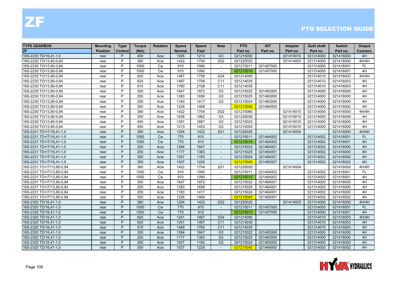| <b>TYPE GEARBOX</b>       | <b>Mounting</b> | <b>Type</b> | <b>Torque</b> | <b>Rotation</b> | <b>Speed</b>  | <b>Speed</b> | <b>Note</b>              | <b>PTO</b> | <b>KIT</b> | <b>Adapter</b> | <b>Quill shaft</b> | <b>Switch</b> | Output    |
|---------------------------|-----------------|-------------|---------------|-----------------|---------------|--------------|--------------------------|------------|------------|----------------|--------------------|---------------|-----------|
| <b>ZF</b>                 | <b>Position</b> | Control     | (Nm)          |                 | <b>Normal</b> | Fast         |                          | Part no.   | Part no.   | Part no.       | Part no.           | Part no.      | Connect.  |
| 16S-2230 TD/16,41-1,0     | rear            | P           | 450           | Acw             | 1026          | 1213         | G <sub>3</sub>           | 021215050  |            | 021415010      | 021314000          | 021416000     | 4H        |
| 16S-2230 TO/13,80-0,84    | rear            | P           | 380           | Acw             | 1422          | 1704         | 2G2                      | 021220020  |            | 021414003      | 021314000          | 021416000     | 4H/4H     |
| 16S-2230 TO/13,80-0,84    | rear            | P           | 1000          | Cw              | 910           | 1090         | $\overline{a}$           | 021215011  | 021457000  |                | 021314000          | 021416001     | FL.       |
| 16S-2230 TO/13,80-0,84    | rear            | P           | 1000          | Cw              | 910           | 1090         | $\overline{\phantom{a}}$ | 021215010  | 021457000  |                | 021314000          | 021416001     | 4H        |
| 16S-2230 TO/13,80-0,84    | rear            | P           | 620           | Acw             | 1467          | 1758         | 2G4                      | 021214090  |            |                | 021314010          | 021416003     | 4H/4H     |
| 16S-2230 TO/13,80-0,84    | rear            | P           | 620           | Acw             | 1467          | 1758         | C <sub>11</sub>          | 021214035  |            |                | 021314010          | 021416003     | 4H        |
| 16S-2230 TO/13,80-0,84    | rear            | P           | 510           | Acw             | 1760          | 2108         | C <sub>11</sub>          | 021214035  |            |                | 021314010          | 021416003     | 4H        |
| 16S-2230 TO/13,80-0,84    | rear            | P           | 300           | Acw             | 1647          | 1972         | G <sub>3</sub>           | 021215022  | 021463000  |                | 021314000          | 021416000     | 4H        |
| 16S-2230 TO/13,80-0,84    | rear            | P           | 250           | Acw             | 1383          | 1656         | G <sub>3</sub>           | 021215025  | 021463000  |                | 021314000          | 021416000     | 4H        |
| 16S-2230 TO/13,80-0,84    | rear            | P           | 250           | Acw             | 1183          | 1417         | G <sub>3</sub>           | 021215024  | 021463000  |                | 021314000          | 021416000     | 4H        |
| 16S-2230 TO/13,80-0,84    | rear            | P           | 300           | Acw             | 1226          | 1468         | $\overline{\phantom{a}}$ | 021215040  | 021464005  |                | 021314000          | 021416002     | 4H        |
| 16S-2230 TO/13,80-0,84    | rear            | P           | 380           | Acw             | 1422          | 1704         | 2G <sub>2</sub>          | 021215060  |            | 021414010      | 021314000          | 021416000     | 4H/4H     |
| 16S-2230 TO/13,80-0,84    | rear            | P           | 350           | Acw             | 1638          | 1962         | G <sub>3</sub>           | 021220030  |            | 021415010      | 021314000          | 021416000     | 4H        |
| 16S-2230 TO/13,80-0,84    | rear            | P           | 400           | Acw             | 1391          | 1667         | G <sub>3</sub>           | 021215023  |            | 021415010      | 021314000          | 021416000     | 4H        |
| 16S-2230 TO/13,80-0,84    | rear            | P           | 450           | Acw             | 1213          | 1453         | G <sub>3</sub>           | 021215050  |            | 021415010      | 021314000          | 021416000     | 4H        |
| 16S-2231 TD+IT/16,41-1,0  | rear            | P           | 380           | Acw             | 1204          | 1422         | <b>2G1</b>               | 021220020  |            | 021414004      |                    | 021416000     | 4H/4H     |
| 16S-2231 TD+IT/16,41-1,0  | rear            | P           | 1000          | <b>Cw</b>       | 770           | 910          | $\blacksquare$           | 021215011  | 021464002  |                | 021314002          | 021416001     | <b>FL</b> |
| 16S-2231 TD+IT/16,41-1,0  | rear            | P           | 1000          | <b>Cw</b>       | 770           | 910          | $\sim$                   | 021215010  | 021464002  |                | 021314002          | 021416001     | 4H        |
| 16S-2231 TD+IT/16,41-1,0  | rear            | P           | 250           | Acw             | 1394          | 1647         | $\sim$                   | 021215022  | 021464001  |                | 021314002          | 021416000     | 4H        |
| 16S-2231 TD+IT/16,41-1,0  | rear            | P           | 250           | Acw             | 1177          | 1383         |                          | 021215025  | 021464001  |                | 021314002          | 021416000     | 4H        |
| 16S-2231 TD+IT/16,41-1,0  | rear            | P           | 300           | Acw             | 1007          | 1183         | $\blacksquare$           | 021215024  | 021464001  |                | 021314002          | 021416000     | 4H        |
| 16S-2231 TD+IT/16,41-1,0  | rear            | P           | 300           | Acw             | 1037          | 1226         | $\sim$                   | 021215040  | 021465007  |                | 021314002          | 021416002     | 4H        |
| 16S-2231 TO+IT/13,80-0,84 | rear            | P           | 380           | Acw             | 1422          | 1704         | 2G1                      | 021220020  |            | 021414004      |                    | 021416000     | 4H/4H     |
| 16S-2231 TO+IT/13,80-0,84 | rear            | P           | 1000          | Cw              | 910           | 1090         | $\overline{\phantom{a}}$ | 021215011  | 021464002  |                | 021314002          | 021416001     | <b>FL</b> |
| 16S-2231 TO+IT/13,80-0,84 | rear            | P           | 1000          | Cw              | 910           | 1090         | $\sim$                   | 021215010  | 021464002  |                | 021314002          | 021416001     | 4H        |
| 16S-2231 TO+IT/13,80-0,84 | rear            | P           | 300           | Acw             | 1647          | 1972         |                          | 021215022  | 021464001  |                | 021314002          | 021416000     | 4H        |
| 16S-2231 TO+IT/13,80-0,84 | rear            | P           | 250           | Acw             | 1383          | 1656         | $\sim$                   | 021215025  | 021464001  |                | 021314002          | 021416000     | 4H        |
| 16S-2231 TO+IT/13,80-0,84 | rear            | P           | 250           | Acw             | 1183          | 1417         | $\sim$                   | 021215024  | 021464001  |                | 021314002          | 021416000     | 4H        |
| 16S-2231 TO+IT/13,80-0,84 | rear            | P           | 300           | Acw             | 1226          | 1468         | $\sim$                   | 021215040  | 021465007  |                | 021314002          | 021416002     | 4H        |
| 16S-2320 TD/16,41-1,0     | rear            | P           | 380           | Acw             | 1204          | 1422         | 2G2                      | 021220020  |            | 021414003      | 021314000          | 021416000     | 4H/4H     |
| 16S-2320 TD/16,41-1,0     | rear            | P           | 1000          | <b>Cw</b>       | 770           | 910          | $\blacksquare$           | 021215011  | 021457000  |                | 021314000          | 021416001     | <b>FL</b> |
| 16S-2320 TD/16,41-1,0     | rear            | P           | 1000          | Cw              | 770           | 910          |                          | 021215010  | 021457000  |                | 021314000          | 021416001     | 4H        |
| 16S-2320 TD/16,41-1,0     | rear            | P           | 620           | Acw             | 1241          | 1467         | <b>2G4</b>               | 021214090  |            |                | 021314010          | 021416003     | 4H/4H     |
| 16S-2320 TD/16,41-1,0     | rear            | P           | 620           | Acw             | 1241          | 1467         | C <sub>11</sub>          | 021214035  |            |                | 021314010          | 021416003     | 4H        |
| 16S-2320 TD/16,41-1,0     | rear            | P           | 510           | Acw             | 1489          | 1760         | C <sub>11</sub>          | 021214035  |            |                | 021314010          | 021416003     | 4H        |
| 16S-2320 TD/16,41-1,0     | rear            | P           | 300           | Acw             | 1394          | 1647         | G <sub>3</sub>           | 021215022  | 021463000  |                | 021314000          | 021416000     | 4H        |
| 16S-2320 TD/16,41-1,0     | rear            | P           | 250           | Acw             | 1177          | 1383         | G <sub>3</sub>           | 021215025  | 021463000  |                | 021314000          | 021416000     | 4H        |
| 16S-2320 TD/16,41-1,0     | rear            | P           | 250           | Acw             | 1007          | 1183         | G <sub>3</sub>           | 021215024  | 021463000  |                | 021314000          | 021416000     | 4H        |
| 16S-2320 TD/16,41-1,0     | rear            | P           | 300           | Acw             | 1037          | 1226         | $\sim$                   | 021215040  | 021464005  |                | 021314000          | 021416002     | 4H        |

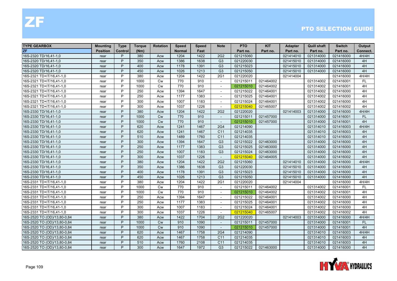| <b>TYPE GEARBOX</b>         | <b>Mounting</b> | <b>Type</b> | <b>Torque</b> | <b>Rotation</b> | <b>Speed</b>  | Speed | <b>Note</b>              | <b>PTO</b> | <b>KIT</b> | <b>Adapter</b> | <b>Quill shaft</b> | <b>Switch</b> | Output    |
|-----------------------------|-----------------|-------------|---------------|-----------------|---------------|-------|--------------------------|------------|------------|----------------|--------------------|---------------|-----------|
| <b>ZF</b>                   | <b>Position</b> | Control     | (Nm)          |                 | <b>Normal</b> | Fast  |                          | Part no.   | Part no.   | Part no.       | Part no.           | Part no.      | Connect.  |
| 16S-2320 TD/16,41-1,0       | rear            | P           | 380           | Acw             | 1204          | 1422  | 2G2                      | 021215060  |            | 021414010      | 021314000          | 021416000     | 4H/4H     |
| 16S-2320 TD/16,41-1,0       | rear            | P           | 350           | Acw             | 1386          | 1638  | G <sub>3</sub>           | 021220030  |            | 021415010      | 021314000          | 021416000     | 4H        |
| 16S-2320 TD/16,41-1,0       | rear            | P           | 400           | Acw             | 1178          | 1391  | G <sub>3</sub>           | 021215023  |            | 021415010      | 021314000          | 021416000     | 4H        |
| 16S-2320 TD/16,41-1,0       | rear            | P           | 450           | Acw             | 1026          | 1213  | G <sub>3</sub>           | 021215050  |            | 021415010      | 021314000          | 021416000     | 4H        |
| 16S-2321 TD+IT/16,41-1,0    | rear            | P           | 380           | Acw             | 1204          | 1422  | 2G1                      | 021220020  |            | 021414004      |                    | 021416000     | 4H/4H     |
| 16S-2321 TD+IT/16,41-1,0    | rear            | P           | 1000          | <b>Cw</b>       | 770           | 910   | $\sim$                   | 021215011  | 021464002  |                | 021314002          | 021416001     | <b>FL</b> |
| 16S-2321 TD+IT/16,41-1,0    | rear            | P           | 1000          | Cw              | 770           | 910   | $\sim$                   | 021215010  | 021464002  |                | 021314002          | 021416001     | 4H        |
| 16S-2321 TD+IT/16,41-1,0    | rear            | P           | 250           | Acw             | 1394          | 1647  | $\overline{\phantom{a}}$ | 021215022  | 021464001  |                | 021314002          | 021416000     | 4H        |
| 16S-2321 TD+IT/16,41-1,0    | rear            | P           | 250           | Acw             | 1177          | 1383  |                          | 021215025  | 021464001  |                | 021314002          | 021416000     | 4H        |
| 16S-2321 TD+IT/16,41-1,0    | rear            | P           | 300           | Acw             | 1007          | 1183  | $\sim$                   | 021215024  | 021464001  |                | 021314002          | 021416000     | 4H        |
| 16S-2321 TD+IT/16,41-1,0    | rear            | P           | 300           | Acw             | 1037          | 1226  |                          | 021215040  | 021465007  |                | 021314002          | 021416002     | 4H        |
| 16S-2330 TD/16,41-1,0       | rear            | P           | 380           | Acw             | 1204          | 1422  | 2G <sub>2</sub>          | 021220020  |            | 021414003      | 021314000          | 021416000     | 4H/4H     |
| 16S-2330 TD/16,41-1,0       | rear            | P           | 1000          | Cw              | 770           | 910   | $\sim$                   | 021215011  | 021457000  |                | 021314000          | 021416001     | <b>FL</b> |
| 16S-2330 TD/16,41-1,0       | rear            | P           | 1000          | <b>Cw</b>       | 770           | 910   | $\overline{\phantom{a}}$ | 021215010  | 021457000  |                | 021314000          | 021416001     | 4H        |
| 16S-2330 TD/16,41-1,0       | rear            | P           | 620           | Acw             | 1241          | 1467  | 2G4                      | 021214090  |            |                | 021314010          | 021416003     | 4H/4H     |
| 16S-2330 TD/16,41-1,0       | rear            | P           | 620           | Acw             | 1241          | 1467  | C <sub>11</sub>          | 021214035  |            |                | 021314010          | 021416003     | 4H        |
| 16S-2330 TD/16,41-1,0       | rear            | P           | 510           | Acw             | 1489          | 1760  | C <sub>11</sub>          | 021214035  |            |                | 021314010          | 021416003     | 4H        |
| 16S-2330 TD/16,41-1,0       | rear            | P           | 300           | Acw             | 1394          | 1647  | G <sub>3</sub>           | 021215022  | 021463000  |                | 021314000          | 021416000     | 4H        |
| 16S-2330 TD/16,41-1,0       | rear            | P           | 250           | Acw             | 1177          | 1383  | G <sub>3</sub>           | 021215025  | 021463000  |                | 021314000          | 021416000     | 4H        |
| 16S-2330 TD/16,41-1,0       | rear            | P           | 250           | Acw             | 1007          | 1183  | G <sub>3</sub>           | 021215024  | 021463000  |                | 021314000          | 021416000     | 4H        |
| 16S-2330 TD/16,41-1,0       | rear            | P           | 300           | Acw             | 1037          | 1226  | $\sim$                   | 021215040  | 021464005  |                | 021314000          | 021416002     | 4H        |
| 16S-2330 TD/16,41-1,0       | rear            | P           | 380           | Acw             | 1204          | 1422  | 2G2                      | 021215060  |            | 021414010      | 021314000          | 021416000     | 4H/4H     |
| 16S-2330 TD/16,41-1,0       | rear            | P           | 350           | Acw             | 1386          | 1638  | G <sub>3</sub>           | 021220030  |            | 021415010      | 021314000          | 021416000     | 4H        |
| 16S-2330 TD/16,41-1,0       | rear            | P           | 400           | Acw             | 1178          | 1391  | G <sub>3</sub>           | 021215023  |            | 021415010      | 021314000          | 021416000     | 4H        |
| 16S-2330 TD/16,41-1,0       | rear            | P           | 450           | Acw             | 1026          | 1213  | G <sub>3</sub>           | 021215050  |            | 021415010      | 021314000          | 021416000     | 4H        |
| 16S-2331 TD+IT/16,41-1,0    | rear            | P           | 380           | Acw             | 1204          | 1422  | 2G1                      | 021220020  |            | 021414004      |                    | 021416000     | 4H/4H     |
| 16S-2331 TD+IT/16,41-1,0    | rear            | P           | 1000          | <b>Cw</b>       | 770           | 910   | $\overline{a}$           | 021215011  | 021464002  |                | 021314002          | 021416001     | FL.       |
| 16S-2331 TD+IT/16,41-1,0    | rear            | P           | 1000          | Cw              | 770           | 910   | $\sim$                   | 021215010  | 021464002  |                | 021314002          | 021416001     | 4H        |
| 16S-2331 TD+IT/16,41-1,0    | rear            | P           | 250           | Acw             | 1394          | 1647  | $\sim$                   | 021215022  | 021464001  |                | 021314002          | 021416000     | 4H        |
| 16S-2331 TD+IT/16,41-1,0    | rear            | P           | 250           | Acw             | 1177          | 1383  | $\overline{\phantom{a}}$ | 021215025  | 021464001  |                | 021314002          | 021416000     | 4H        |
| 16S-2331 TD+IT/16,41-1,0    | rear            | P           | 300           | Acw             | 1007          | 1183  | $\sim$                   | 021215024  | 021464001  |                | 021314002          | 021416000     | 4H        |
| 16S-2331 TD+IT/16,41-1,0    | rear            | P           | 300           | Acw             | 1037          | 1226  |                          | 021215040  | 021465007  |                | 021314002          | 021416002     | 4H        |
| 16S-2520 TO (OD)/13,80-0,84 | rear            | P           | 380           | Acw             | 1422          | 1704  | 2G2                      | 021220020  |            | 021414003      | 021314000          | 021416000     | 4H/4H     |
| 16S-2520 TO (OD)/13,80-0,84 | rear            | P           | 1000          | Cw              | 910           | 1090  | $\blacksquare$           | 021215011  | 021457000  |                | 021314000          | 021416001     | FL.       |
| 16S-2520 TO (OD)/13,80-0,84 | rear            | P           | 1000          | <b>Cw</b>       | 910           | 1090  | $\mathbf{r}$             | 021215010  | 021457000  |                | 021314000          | 021416001     | 4H        |
| 16S-2520 TO (OD)/13,80-0,84 | rear            | P           | 620           | Acw             | 1467          | 1758  | 2G4                      | 021214090  |            |                | 021314010          | 021416003     | 4H/4H     |
| 16S-2520 TO (OD)/13,80-0,84 | rear            | P           | 620           | Acw             | 1467          | 1758  | C <sub>11</sub>          | 021214035  |            |                | 021314010          | 021416003     | 4H        |
| 16S-2520 TO (OD)/13,80-0,84 | rear            | P           | 510           | Acw             | 1760          | 2108  | C <sub>11</sub>          | 021214035  |            |                | 021314010          | 021416003     | 4H        |
| 16S-2520 TO (OD)/13,80-0,84 | rear            | P           | 300           | Acw             | 1647          | 1972  | G <sub>3</sub>           | 021215022  | 021463000  |                | 021314000          | 021416000     | 4H        |

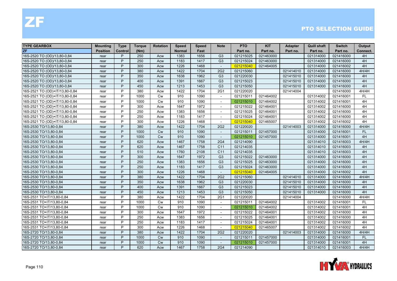| <b>TYPE GEARBOX</b>            | <b>Mounting</b> | <b>Type</b> | <b>Torque</b> | <b>Rotation</b> | <b>Speed</b>  | <b>Speed</b> | <b>Note</b>              | <b>PTO</b> | <b>KIT</b> | <b>Adapter</b> | <b>Quill shaft</b> | <b>Switch</b> | Output    |
|--------------------------------|-----------------|-------------|---------------|-----------------|---------------|--------------|--------------------------|------------|------------|----------------|--------------------|---------------|-----------|
| ZF                             | <b>Position</b> | Control     | (Nm)          |                 | <b>Normal</b> | Fast         |                          | Part no.   | Part no.   | Part no.       | Part no.           | Part no.      | Connect.  |
| 16S-2520 TO (OD)/13,80-0,84    | rear            | P           | 250           | Acw             | 1383          | 1656         | G <sub>3</sub>           | 021215025  | 021463000  |                | 021314000          | 021416000     | 4H        |
| 16S-2520 TO (OD)/13,80-0,84    | rear            | P           | 250           | Acw             | 1183          | 1417         | G <sub>3</sub>           | 021215024  | 021463000  |                | 021314000          | 021416000     | 4H        |
| 16S-2520 TO (OD)/13,80-0,84    | rear            | P           | 300           | Acw             | 1226          | 1468         |                          | 021215040  | 021464005  |                | 021314000          | 021416002     | 4H        |
| 16S-2520 TO (OD)/13,80-0,84    | rear            | P           | 380           | Acw             | 1422          | 1704         | 2G2                      | 021215060  |            | 021414010      | 021314000          | 021416000     | 4H/4H     |
| 16S-2520 TO (OD)/13,80-0,84    | rear            | P           | 350           | Acw             | 1638          | 1962         | G <sub>3</sub>           | 021220030  |            | 021415010      | 021314000          | 021416000     | 4H        |
| 16S-2520 TO (OD)/13,80-0,84    | rear            | P           | 400           | Acw             | 1391          | 1667         | G <sub>3</sub>           | 021215023  |            | 021415010      | 021314000          | 021416000     | 4H        |
| 16S-2520 TO (OD)/13,80-0,84    | rear            | P           | 450           | Acw             | 1213          | 1453         | G <sub>3</sub>           | 021215050  |            | 021415010      | 021314000          | 021416000     | 4H        |
| 16S-2521 TO (OD)+IT/13,80-0,84 | rear            | P           | 380           | Acw             | 1422          | 1704         | 2G1                      | 021220020  |            | 021414004      |                    | 021416000     | 4H/4H     |
| 16S-2521 TO (OD)+IT/13,80-0,84 | rear            | P           | 1000          | Cw              | 910           | 1090         | $\sim$                   | 021215011  | 021464002  |                | 021314002          | 021416001     | FL.       |
| 16S-2521 TO (OD)+IT/13,80-0,84 | rear            | P           | 1000          | <b>Cw</b>       | 910           | 1090         | $\overline{a}$           | 021215010  | 021464002  |                | 021314002          | 021416001     | 4H        |
| 16S-2521 TO (OD)+IT/13,80-0,84 | rear            | P           | 300           | Acw             | 1647          | 1972         |                          | 021215022  | 021464001  |                | 021314002          | 021416000     | 4H        |
| 16S-2521 TO (OD)+IT/13,80-0,84 | rear            | P           | 250           | Acw             | 1383          | 1656         | $\sim$                   | 021215025  | 021464001  |                | 021314002          | 021416000     | 4H        |
| 16S-2521 TO (OD)+IT/13,80-0,84 | rear            | P           | 250           | Acw             | 1183          | 1417         | $\sim$                   | 021215024  | 021464001  |                | 021314002          | 021416000     | 4H        |
| 16S-2521 TO (OD)+IT/13,80-0,84 | rear            | P           | 300           | Acw             | 1226          | 1468         | $\overline{\phantom{a}}$ | 021215040  | 021465007  |                | 021314002          | 021416002     | 4H        |
| 16S-2530 TO/13,80-0,84         | rear            | P           | 380           | Acw             | 1422          | 1704         | 2G <sub>2</sub>          | 021220020  |            | 021414003      | 021314000          | 021416000     | 4H/4H     |
| 16S-2530 TO/13,80-0,84         | rear            | P           | 1000          | <b>Cw</b>       | 910           | 1090         | $\sim$                   | 021215011  | 021457000  |                | 021314000          | 021416001     | <b>FL</b> |
| 16S-2530 TO/13,80-0,84         | rear            | P           | 1000          | <b>Cw</b>       | 910           | 1090         | $\blacksquare$           | 021215010  | 021457000  |                | 021314000          | 021416001     | 4H        |
| 16S-2530 TO/13,80-0,84         | rear            | P           | 620           | Acw             | 1467          | 1758         | <b>2G4</b>               | 021214090  |            |                | 021314010          | 021416003     | 4H/4H     |
| 16S-2530 TO/13,80-0,84         | rear            | P           | 620           | Acw             | 1467          | 1758         | C <sub>11</sub>          | 021214035  |            |                | 021314010          | 021416003     | 4H        |
| 16S-2530 TO/13,80-0,84         | rear            | P           | 510           | Acw             | 1760          | 2108         | C <sub>11</sub>          | 021214035  |            |                | 021314010          | 021416003     | 4H        |
| 16S-2530 TO/13,80-0,84         | rear            | P           | 300           | Acw             | 1647          | 1972         | G <sub>3</sub>           | 021215022  | 021463000  |                | 021314000          | 021416000     | 4H        |
| 16S-2530 TO/13,80-0,84         | rear            | P           | 250           | Acw             | 1383          | 1656         | G <sub>3</sub>           | 021215025  | 021463000  |                | 021314000          | 021416000     | 4H        |
| 16S-2530 TO/13,80-0,84         | rear            | P           | 250           | Acw             | 1183          | 1417         | G <sub>3</sub>           | 021215024  | 021463000  |                | 021314000          | 021416000     | 4H        |
| 16S-2530 TO/13,80-0,84         | rear            | P           | 300           | Acw             | 1226          | 1468         | $\sim$                   | 021215040  | 021464005  |                | 021314000          | 021416002     | 4H        |
| 16S-2530 TO/13,80-0,84         | rear            | P           | 380           | Acw             | 1422          | 1704         | 2G2                      | 021215060  |            | 021414010      | 021314000          | 021416000     | 4H/4H     |
| 16S-2530 TO/13,80-0,84         | rear            | P           | 350           | Acw             | 1638          | 1962         | G <sub>3</sub>           | 021220030  |            | 021415010      | 021314000          | 021416000     | 4H        |
| 16S-2530 TO/13,80-0,84         | rear            | P           | 400           | Acw             | 1391          | 1667         | G <sub>3</sub>           | 021215023  |            | 021415010      | 021314000          | 021416000     | 4H        |
| 16S-2530 TO/13,80-0,84         | rear            | P           | 450           | Acw             | 1213          | 1453         | G <sub>3</sub>           | 021215050  |            | 021415010      | 021314000          | 021416000     | 4H        |
| 16S-2531 TO+IT/13,80-0,84      | rear            | P           | 380           | Acw             | 1422          | 1704         | 2G1                      | 021220020  |            | 021414004      |                    | 021416000     | 4H/4H     |
| 16S-2531 TO+IT/13,80-0,84      | rear            | P           | 1000          | <b>Cw</b>       | 910           | 1090         | $\overline{\phantom{a}}$ | 021215011  | 021464002  |                | 021314002          | 021416001     | <b>FL</b> |
| 16S-2531 TO+IT/13,80-0,84      | rear            | P           | 1000          | <b>Cw</b>       | 910           | 1090         | $\overline{\phantom{a}}$ | 021215010  | 021464002  |                | 021314002          | 021416001     | 4H        |
| 16S-2531 TO+IT/13,80-0,84      | rear            | P           | 300           | Acw             | 1647          | 1972         |                          | 021215022  | 021464001  |                | 021314002          | 021416000     | 4H        |
| 16S-2531 TO+IT/13,80-0,84      | rear            | P           | 250           | Acw             | 1383          | 1656         | $\overline{a}$           | 021215025  | 021464001  |                | 021314002          | 021416000     | 4H        |
| 16S-2531 TO+IT/13,80-0,84      | rear            | P           | 250           | Acw             | 1183          | 1417         | $\overline{\phantom{a}}$ | 021215024  | 021464001  |                | 021314002          | 021416000     | 4H        |
| 16S-2531 TO+IT/13,80-0,84      | rear            | P           | 300           | Acw             | 1226          | 1468         | $\overline{\phantom{a}}$ | 021215040  | 021465007  |                | 021314002          | 021416002     | 4H        |
| 16S-2720 TO/13,80-0,84         | rear            | P           | 380           | Acw             | 1422          | 1704         | 2G2                      | 021220020  |            | 021414003      | 021314000          | 021416000     | 4H/4H     |
| 16S-2720 TO/13,80-0,84         | rear            | P           | 1000          | <b>Cw</b>       | 910           | 1090         | $\blacksquare$           | 021215011  | 021457000  |                | 021314000          | 021416001     | <b>FL</b> |
| 16S-2720 TO/13,80-0,84         | rear            | P           | 1000          | Cw              | 910           | 1090         |                          | 021215010  | 021457000  |                | 021314000          | 021416001     | 4H        |
| 16S-2720 TO/13,80-0,84         | rear            | P           | 620           | Acw             | 1467          | 1758         | <b>2G4</b>               | 021214090  |            |                | 021314010          | 021416003     | 4H/4H     |

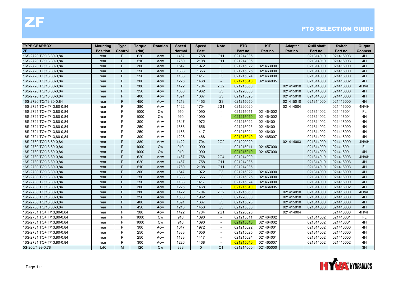| <b>TYPE GEARBOX</b>       | <b>Mounting</b> | <b>Type</b> | <b>Torque</b> | <b>Rotation</b> | <b>Speed</b>  | <b>Speed</b> | <b>Note</b>              | <b>PTO</b> | <b>KIT</b> | <b>Adapter</b> | <b>Quill shaft</b> | <b>Switch</b> | Output    |
|---------------------------|-----------------|-------------|---------------|-----------------|---------------|--------------|--------------------------|------------|------------|----------------|--------------------|---------------|-----------|
| <b>ZF</b>                 | <b>Position</b> | Control     | (Nm)          |                 | <b>Normal</b> | Fast         |                          | Part no.   | Part no.   | Part no.       | Part no.           | Part no.      | Connect.  |
| 16S-2720 TO/13.80-0.84    | rear            | P           | 620           | Acw             | 1467          | 1758         | C <sub>11</sub>          | 021214035  |            |                | 021314010          | 021416003     | 4H        |
| 16S-2720 TO/13,80-0,84    | rear            | P           | 510           | Acw             | 1760          | 2108         | C11                      | 021214035  |            |                | 021314010          | 021416003     | 4H        |
| 16S-2720 TO/13,80-0,84    | rear            | P           | 300           | Acw             | 1647          | 1972         | G <sub>3</sub>           | 021215022  | 021463000  |                | 021314000          | 021416000     | 4H        |
| 16S-2720 TO/13,80-0,84    | rear            | P           | 250           | Acw             | 1383          | 1656         | G <sub>3</sub>           | 021215025  | 021463000  |                | 021314000          | 021416000     | 4H        |
| 16S-2720 TO/13,80-0,84    | rear            | P           | 250           | Acw             | 1183          | 1417         | G <sub>3</sub>           | 021215024  | 021463000  |                | 021314000          | 021416000     | 4H        |
| 16S-2720 TO/13,80-0,84    | rear            | P           | 300           | Acw             | 1226          | 1468         | $\sim$                   | 021215040  | 021464005  |                | 021314000          | 021416002     | 4H        |
| 16S-2720 TO/13,80-0,84    | rear            | P           | 380           | Acw             | 1422          | 1704         | 2G2                      | 021215060  |            | 021414010      | 021314000          | 021416000     | 4H/4H     |
| 16S-2720 TO/13,80-0,84    | rear            | P           | 350           | Acw             | 1638          | 1962         | G <sub>3</sub>           | 021220030  |            | 021415010      | 021314000          | 021416000     | 4H        |
| 16S-2720 TO/13,80-0,84    | rear            | P           | 400           | Acw             | 1391          | 1667         | G <sub>3</sub>           | 021215023  |            | 021415010      | 021314000          | 021416000     | 4H        |
| 16S-2720 TO/13,80-0,84    | rear            | P           | 450           | Acw             | 1213          | 1453         | G <sub>3</sub>           | 021215050  |            | 021415010      | 021314000          | 021416000     | 4H        |
| 16S-2721 TO+IT/13,80-0,84 | rear            | P           | 380           | Acw             | 1422          | 1704         | <b>2G1</b>               | 021220020  |            | 021414004      |                    | 021416000     | 4H/4H     |
| 16S-2721 TO+IT/13,80-0,84 | rear            | P           | 1000          | <b>Cw</b>       | 910           | 1090         | $\sim$                   | 021215011  | 021464002  |                | 021314002          | 021416001     | FL.       |
| 16S-2721 TO+IT/13,80-0,84 | rear            | P           | 1000          | <b>Cw</b>       | 910           | 1090         | $\overline{\phantom{a}}$ | 021215010  | 021464002  |                | 021314002          | 021416001     | 4H        |
| 16S-2721 TO+IT/13,80-0,84 | rear            | P           | 300           | Acw             | 1647          | 1972         |                          | 021215022  | 021464001  |                | 021314002          | 021416000     | 4H        |
| 16S-2721 TO+IT/13,80-0,84 | rear            | P           | 250           | Acw             | 1383          | 1656         |                          | 021215025  | 021464001  |                | 021314002          | 021416000     | 4H        |
| 16S-2721 TO+IT/13,80-0,84 | rear            | P           | 250           | Acw             | 1183          | 1417         |                          | 021215024  | 021464001  |                | 021314002          | 021416000     | 4H        |
| 16S-2721 TO+IT/13,80-0,84 | rear            | P           | 300           | Acw             | 1226          | 1468         | $\overline{a}$           | 021215040  | 021465007  |                | 021314002          | 021416002     | 4H        |
| 16S-2730 TO/13,80-0,84    | rear            | P           | 380           | Acw             | 1422          | 1704         | 2G2                      | 021220020  |            | 021414003      | 021314000          | 021416000     | 4H/4H     |
| 16S-2730 TO/13,80-0,84    | rear            | P           | 1000          | <b>Cw</b>       | 910           | 1090         | $\overline{\phantom{a}}$ | 021215011  | 021457000  |                | 021314000          | 021416001     | <b>FL</b> |
| 16S-2730 TO/13,80-0,84    | rear            | P           | 1000          | Cw              | 910           | 1090         | $\overline{\phantom{a}}$ | 021215010  | 021457000  |                | 021314000          | 021416001     | 4H        |
| 16S-2730 TO/13,80-0,84    | rear            | P           | 620           | Acw             | 1467          | 1758         | <b>2G4</b>               | 021214090  |            |                | 021314010          | 021416003     | 4H/4H     |
| 16S-2730 TO/13,80-0,84    | rear            | P           | 620           | Acw             | 1467          | 1758         | C <sub>11</sub>          | 021214035  |            |                | 021314010          | 021416003     | 4H        |
| 16S-2730 TO/13,80-0,84    | rear            | P           | 510           | Acw             | 1760          | 2108         | C <sub>11</sub>          | 021214035  |            |                | 021314010          | 021416003     | 4H        |
| 16S-2730 TO/13,80-0,84    | rear            | P           | 300           | Acw             | 1647          | 1972         | G <sub>3</sub>           | 021215022  | 021463000  |                | 021314000          | 021416000     | 4H        |
| 16S-2730 TO/13,80-0,84    | rear            | P           | 250           | Acw             | 1383          | 1656         | G <sub>3</sub>           | 021215025  | 021463000  |                | 021314000          | 021416000     | 4H        |
| 16S-2730 TO/13,80-0,84    | rear            | P           | 250           | Acw             | 1183          | 1417         | G <sub>3</sub>           | 021215024  | 021463000  |                | 021314000          | 021416000     | 4H        |
| 16S-2730 TO/13,80-0,84    | rear            | P           | 300           | Acw             | 1226          | 1468         | $\overline{\phantom{a}}$ | 021215040  | 021464005  |                | 021314000          | 021416002     | 4H        |
| 16S-2730 TO/13,80-0,84    | rear            | P           | 380           | Acw             | 1422          | 1704         | 2G <sub>2</sub>          | 021215060  |            | 021414010      | 021314000          | 021416000     | 4H/4H     |
| 16S-2730 TO/13,80-0,84    | rear            | P           | 350           | Acw             | 1638          | 1962         | G <sub>3</sub>           | 021220030  |            | 021415010      | 021314000          | 021416000     | 4H        |
| 16S-2730 TO/13,80-0,84    | rear            | P           | 400           | Acw             | 1391          | 1667         | G <sub>3</sub>           | 021215023  |            | 021415010      | 021314000          | 021416000     | 4H        |
| 16S-2730 TO/13,80-0,84    | rear            | P           | 450           | Acw             | 1213          | 1453         | G <sub>3</sub>           | 021215050  |            | 021415010      | 021314000          | 021416000     | 4H        |
| 16S-2731 TO+IT/13,80-0,84 | rear            | P           | 380           | Acw             | 1422          | 1704         | <b>2G1</b>               | 021220020  |            | 021414004      |                    | 021416000     | 4H/4H     |
| 16S-2731 TO+IT/13,80-0,84 | rear            | P           | 1000          | <b>Cw</b>       | 910           | 1090         | $\sim$                   | 021215011  | 021464002  |                | 021314002          | 021416001     | FL        |
| 16S-2731 TO+IT/13,80-0,84 | rear            | P           | 1000          | <b>Cw</b>       | 910           | 1090         | $\blacksquare$           | 021215010  | 021464002  |                | 021314002          | 021416001     | 4H        |
| 16S-2731 TO+IT/13,80-0,84 | rear            | P           | 300           | Acw             | 1647          | 1972         | $\overline{\phantom{a}}$ | 021215022  | 021464001  |                | 021314002          | 021416000     | 4H        |
| 16S-2731 TO+IT/13,80-0,84 | rear            | P           | 250           | Acw             | 1383          | 1656         | $\sim$                   | 021215025  | 021464001  |                | 021314002          | 021416000     | 4H        |
| 16S-2731 TO+IT/13,80-0,84 | rear            | P           | 250           | Acw             | 1183          | 1417         |                          | 021215024  | 021464001  |                | 021314002          | 021416000     | 4H        |
| 16S-2731 TO+IT/13,80-0,84 | rear            | P           | 300           | Acw             | 1226          | 1468         |                          | 021215040  | 021465007  |                | 021314002          | 021416002     | 4H        |
| 5S-200/4,99-0,78          | L/R             | M           | 120           | <b>Cw</b>       | 838           | $\Omega$     | C <sub>1</sub>           | 021214000  | 021465000  |                |                    |               | 3H        |

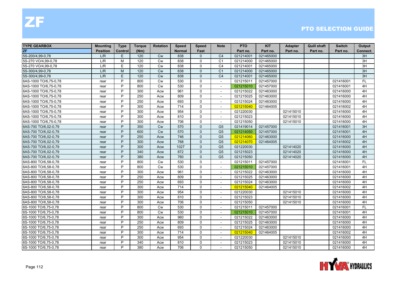| <b>TYPE GEARBOX</b>   | <b>Mounting</b> | <b>Type</b> | <b>Torque</b> | <b>Rotation</b> | <b>Speed</b>  | <b>Speed</b> | <b>Note</b>              | <b>PTO</b> | <b>KIT</b> | <b>Adapter</b> | <b>Quill shaft</b> | <b>Switch</b> | Output    |
|-----------------------|-----------------|-------------|---------------|-----------------|---------------|--------------|--------------------------|------------|------------|----------------|--------------------|---------------|-----------|
| <b>ZF</b>             | <b>Position</b> | Control     | (Nm)          |                 | <b>Normal</b> | Fast         |                          | Part no.   | Part no.   | Part no.       | Part no.           | Part no.      | Connect.  |
| 5S-200/4,99-0,78      | L/R             | E           | 120           | <b>Cw</b>       | 838           | $\Omega$     | C <sub>4</sub>           | 021214001  | 021465000  |                |                    |               | 3H        |
| 5S-270 VO/4,99-0,78   | L/R             | M           | 120           | <b>Cw</b>       | 838           | $\mathbf{0}$ | C <sub>1</sub>           | 021214000  | 021465000  |                |                    |               | 3H        |
| 5S-270 VO/4,99-0,78   | L/R             | E           | 120           | <b>Cw</b>       | 838           | $\mathbf 0$  | C <sub>4</sub>           | 021214001  | 021465000  |                |                    |               | 3H        |
| 5S-300/4,99-0,78      | L/R             | M           | 120           | Cw              | 838           | $\Omega$     | C <sub>1</sub>           | 021214000  | 021465000  |                |                    |               | 3H        |
| 5S-300/4,99-0,78      | L/R             | E           | 120           | Cw              | 838           | $\Omega$     | C <sub>4</sub>           | 021214001  | 021465000  |                |                    |               | 3H        |
| 6AS-1000 TO/6,75-0,78 | rear            | P           | 800           | <b>Cw</b>       | 530           | $\Omega$     | $\sim$                   | 021215011  | 021457000  |                |                    | 021416001     | <b>FL</b> |
| 6AS-1000 TO/6,75-0,78 | rear            | P           | 800           | <b>Cw</b>       | 530           | $\Omega$     | $\overline{\phantom{a}}$ | 021215010  | 021457000  |                |                    | 021416001     | 4H        |
| 6AS-1000 TO/6,75-0,78 | rear            | P           | 300           | Acw             | 961           | $\mathbf{0}$ | $\blacksquare$           | 021215022  | 021463000  |                |                    | 021416000     | 4H        |
| 6AS-1000 TO/6,75-0,78 | rear            | P           | 250           | Acw             | 809           | $\mathbf 0$  | $\overline{a}$           | 021215025  | 021463000  |                |                    | 021416000     | 4H        |
| 6AS-1000 TO/6,75-0,78 | rear            | P           | 250           | Acw             | 693           | $\mathbf 0$  |                          | 021215024  | 021463000  |                |                    | 021416000     | 4H        |
| 6AS-1000 TO/6,75-0,78 | rear            | P           | 300           | Acw             | 714           | $\mathbf 0$  | $\sim$                   | 021215040  | 021464005  |                |                    | 021416002     | 4H        |
| 6AS-1000 TO/6,75-0,78 | rear            | P           | 300           | Acw             | 954           | $\mathbf{0}$ | $\overline{\phantom{a}}$ | 021220030  |            | 021415010      |                    | 021416000     | 4H        |
| 6AS-1000 TO/6,75-0,78 | rear            | P           | 300           | Acw             | 810           | $\mathbf{0}$ | $\overline{\phantom{a}}$ | 021215023  |            | 021415010      |                    | 021416000     | 4H        |
| 6AS-1000 TO/6,75-0,78 | rear            | P           | 300           | Acw             | 706           | $\mathbf{0}$ |                          | 021215050  |            | 021415010      |                    | 021416000     | 4H        |
| 6AS-700 TO/6,02-0,79  | rear            | P           | 350           | Cw              | 570           | $\mathbf{0}$ | G <sub>5</sub>           | 021419014  | 021457000  |                |                    | 021416001     | 3H        |
| 6AS-700 TO/6,02-0,79  | rear            | P           | 600           | Cw              | 570           | $\Omega$     | G <sub>5</sub>           | 021214050  | 021457000  |                |                    | 021416001     | 4H        |
| 6AS-700 TO/6,02-0,79  | rear            | P           | 250           | Acw             | 746           | $\Omega$     | G <sub>5</sub>           | 021214060  | 021463000  |                |                    | 021416000     | 4H        |
| 6AS-700 TO/6,02-0,79  | rear            | P           | 300           | Acw             | 768           | $\Omega$     | G <sub>5</sub>           | 021214070  | 021464005  |                |                    | 021416002     | 4H        |
| 6AS-700 TO/6,02-0,79  | rear            | P           | 300           | Acw             | 1027          | $\Omega$     | G <sub>5</sub>           | 021220030  |            | 021414020      |                    | 021416000     | 4H        |
| 6AS-700 TO/6,02-0,79  | rear            | P           | 340           | Acw             | 872           | $\Omega$     | G <sub>5</sub>           | 021215023  |            | 021414020      |                    | 021416000     | 4H        |
| 6AS-700 TO/6,02-0,79  | rear            | P           | 380           | Acw             | 760           | $\mathbf{0}$ | G <sub>5</sub>           | 021215050  |            | 021414020      |                    | 021416000     | 4H        |
| 6AS-800 TO/6,58-0,78  | rear            | P           | 800           | Cw              | 530           | $\mathbf{0}$ | $\blacksquare$           | 021215011  | 021457000  |                |                    | 021416001     | <b>FL</b> |
| 6AS-800 TO/6,58-0,78  | rear            | P           | 800           | <b>Cw</b>       | 530           | $\Omega$     | $\mathbf{r}$             | 021215010  | 021457000  |                |                    | 021416001     | 4H        |
| 6AS-800 TO/6,58-0,78  | rear            | P           | 300           | Acw             | 961           | $\mathbf{0}$ | $\sim$                   | 021215022  | 021463000  |                |                    | 021416000     | 4H        |
| 6AS-800 TO/6,58-0,78  | rear            | P           | 250           | Acw             | 809           | $\Omega$     | $\overline{\phantom{a}}$ | 021215025  | 021463000  |                |                    | 021416000     | 4H        |
| 6AS-800 TO/6,58-0,78  | rear            | P           | 250           | Acw             | 693           | $\mathbf{0}$ |                          | 021215024  | 021463000  |                |                    | 021416000     | 4H        |
| 6AS-800 TO/6,58-0,78  | rear            | P           | 300           | Acw             | 714           | $\mathbf 0$  | $\overline{a}$           | 021215040  | 021464005  |                |                    | 021416002     | 4H        |
| 6AS-800 TO/6,58-0,78  | rear            | P           | 300           | Acw             | 954           | $\mathbf{0}$ |                          | 021220030  |            | 021415010      |                    | 021416000     | 4H        |
| 6AS-800 TO/6,58-0,78  | rear            | P           | 300           | Acw             | 810           | $\mathbf{0}$ | $\sim$                   | 021215023  |            | 021415010      |                    | 021416000     | 4H        |
| 6AS-800 TO/6,58-0,78  | rear            | P           | 300           | Acw             | 706           | $\Omega$     | $\overline{\phantom{a}}$ | 021215050  |            | 021415010      |                    | 021416000     | 4H        |
| 6S-1000 TO/6,75-0,78  | rear            | P           | 800           | <b>Cw</b>       | 530           | $\Omega$     | $\blacksquare$           | 021215011  | 021457000  |                |                    | 021416001     | <b>FL</b> |
| 6S-1000 TO/6,75-0,78  | rear            | P           | 800           | <b>Cw</b>       | 530           | $\mathbf 0$  |                          | 021215010  | 021457000  |                |                    | 021416001     | 4H        |
| 6S-1000 TO/6,75-0,78  | rear            | P           | 300           | Acw             | 960           | $\mathbf 0$  | $\overline{\phantom{a}}$ | 021215022  | 021463000  |                |                    | 021416000     | 4H        |
| 6S-1000 TO/6,75-0,78  | rear            | P           | 250           | Acw             | 809           | $\mathbf 0$  |                          | 021215025  | 021463000  |                |                    | 021416000     | 4H        |
| 6S-1000 TO/6,75-0,78  | rear            | P           | 250           | Acw             | 693           | $\mathbf{0}$ | $\sim$                   | 021215024  | 021463000  |                |                    | 021416000     | 4H        |
| 6S-1000 TO/6,75-0,78  | rear            | P           | 300           | Acw             | 714           | $\mathbf{0}$ | $\overline{\phantom{a}}$ | 021215040  | 021464005  |                |                    | 021416002     | 4H        |
| 6S-1000 TO/6,75-0,78  | rear            | P           | 300           | Acw             | 954           | $\Omega$     | $\overline{\phantom{a}}$ | 021220030  |            | 021415010      |                    | 021416000     | 4H        |
| 6S-1000 TO/6,75-0,78  | rear            | P           | 340           | Acw             | 810           | $\mathbf 0$  |                          | 021215023  |            | 021415010      |                    | 021416000     | 4H        |
| 6S-1000 TO/6,75-0,78  | rear            | P           | 380           | Acw             | 706           | $\mathbf 0$  | $\overline{\phantom{a}}$ | 021215050  |            | 021415010      |                    | 021416000     | 4H        |

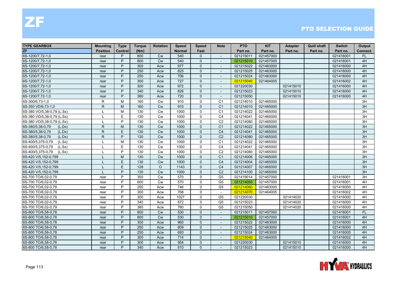| <b>TYPE GEARBOX</b>         | <b>Mounting</b> | <b>Type</b> | Torque | <b>Rotation</b> | <b>Speed</b>  | <b>Speed</b> | <b>Note</b>              | <b>PTO</b> | <b>KIT</b> | <b>Adapter</b> | <b>Quill shaft</b> | <b>Switch</b> | Output    |
|-----------------------------|-----------------|-------------|--------|-----------------|---------------|--------------|--------------------------|------------|------------|----------------|--------------------|---------------|-----------|
| ZF                          | <b>Position</b> | Control     | (Nm)   |                 | <b>Normal</b> | Fast         |                          | Part no.   | Part no.   | Part no.       | Part no.           | Part no.      | Connect.  |
| 6S-1200/7,72-1,0            | rear            | P           | 800    | <b>Cw</b>       | 540           | $\mathbf{0}$ | $\sim$                   | 021215011  | 021457000  |                |                    | 021416001     | FL.       |
| 6S-1200/7.72-1.0            | rear            | P           | 800    | <b>Cw</b>       | 540           | $\Omega$     | $\overline{\phantom{a}}$ | 021215010  | 021457000  |                |                    | 021416001     | 4H        |
| 6S-1200/7,72-1,0            | rear            | P           | 300    | Acw             | 977           | $\mathbf{0}$ |                          | 021215022  | 021463000  |                |                    | 021416000     | 4H        |
| 6S-1200/7,72-1,0            | rear            | P           | 250    | Acw             | 825           | $\mathbf{0}$ | $\overline{a}$           | 021215025  | 021463000  |                |                    | 021416000     | 4H        |
| 6S-1200/7,72-1,0            | rear            | P           | 250    | Acw             | 706           | $\mathbf{0}$ |                          | 021215024  | 021463000  |                |                    | 021416000     | 4H        |
| 6S-1200/7,72-1,0            | rear            | P           | 300    | Acw             | 727           | $\Omega$     | $\sim$                   | 021215040  | 021464005  |                |                    | 021416002     | 4H        |
| 6S-1200/7,72-1,0            | rear            | P           | 300    | Acw             | 972           | $\Omega$     | $\sim$                   | 021220030  |            | 021415010      |                    | 021416000     | 4H        |
| 6S-1200/7,72-1,0            | rear            | P           | 340    | Acw             | 826           | $\mathbf{0}$ | $\overline{\phantom{a}}$ | 021215023  |            | 021415010      |                    | 021416000     | 4H        |
| 6S-1200/7,72-1,0            | rear            | P           | 380    | Acw             | 720           | $\Omega$     |                          | 021215050  |            | 021415010      |                    | 021416000     | 4H        |
| 6S-300/6,73-1,0             | R               | M           | 160    | Cw              | 910           | $\mathbf 0$  | C <sub>1</sub>           | 021214010  | 021465000  |                |                    |               | 3H        |
| 6S-350 VD/6,73-1,0          | $\mathsf{R}$    | M           | 160    | <b>Cw</b>       | 910           | $\mathbf{0}$ | C <sub>1</sub>           | 021214010  | 021465000  |                |                    |               | 3H        |
| 6S-380 VO/5,38-0,79 (L.Sx)  |                 | M           | 130    | <b>Cw</b>       | 1000          | $\mathbf{0}$ | C <sub>1</sub>           | 021214022  | 021465000  |                |                    |               | 3H        |
| 6S-380 VO/5,38-0,79 (L.Sx)  | L               | E           | 130    | Cw              | 1000          | $\mathbf 0$  | C <sub>4</sub>           | 021214041  | 021465000  |                |                    |               | 3H        |
| 6S-380 VO/5,38-0,79 (L.Sx)  | L               | P           | 130    | Cw              | 1000          | $\mathbf 0$  | C <sub>2</sub>           | 021214080  | 021465000  |                |                    |               | 3H        |
| 6S-380/5,38-0,79<br>(L.Dx)  | $\mathsf{R}$    | M           | 130    | <b>Cw</b>       | 1000          | $\Omega$     | C <sub>1</sub>           | 021214022  | 021465000  |                |                    |               | 3H        |
| 6S-380/5,38-0,79<br>(L.Dx)  | $\mathsf{R}$    | E           | 130    | <b>Cw</b>       | 1000          | $\Omega$     | C <sub>4</sub>           | 021214041  | 021465000  |                |                    |               | 3H        |
| 6S-380/5,38-0,79<br>(L.Dx)  | $\mathsf{R}$    | P           | 130    | <b>Cw</b>       | 1000          | $\Omega$     | C <sub>2</sub>           | 021214080  | 021465000  |                |                    |               | 3H        |
| 6S-400/5,375-0,79<br>(L.Sx) |                 | M           | 130    | Cw              | 1000          | $\mathbf 0$  | C <sub>1</sub>           | 021214022  | 021465000  |                |                    |               | 3H        |
| 6S-400/5,375-0,79<br>(L.Sx) |                 | E           | 130    | Cw              | 1000          | $\mathbf 0$  | C <sub>4</sub>           | 021214041  | 021465000  |                |                    |               | 3H        |
| 6S-400/5,375-0,79<br>(L.Sx) | L               | P           | 130    | <b>Cw</b>       | 1000          | $\mathbf 0$  | C <sub>2</sub>           | 021214080  | 021465000  |                |                    |               | 3H        |
| 6S-420 V/5,152-0,799        |                 | M           | 130    | <b>Cw</b>       | 1000          | $\Omega$     | C <sub>1</sub>           | 021214006  | 021465000  |                |                    |               | 3H        |
| 6S-420 V/5,152-0,799        |                 | E           | 130    | <b>Cw</b>       | 1000          | $\Omega$     | C <sub>4</sub>           | 021214004  | 021465000  |                |                    |               | 3H        |
| 6S-420 V/5,152-0,799        |                 | E           | 128    | $\circ$         | 1143          | $\mathbf{0}$ | C <sub>4</sub>           | 021214007  | 021465000  |                |                    |               | 3H        |
| 6S-420 V/5,152-0,799        |                 | P           | 130    | <b>Cw</b>       | 1000          | $\mathbf{0}$ | C <sub>2</sub>           | 021214100  | 021465000  |                |                    |               | 3H        |
| 6S-700 TO/6,02-0,79         | rear            | P           | 350    | Cw              | 570           | $\Omega$     | G <sub>5</sub>           | 021419014  | 021457000  |                |                    | 021416001     | 3H        |
| 6S-700 TO/6,02-0,79         | rear            | P           | 600    | <b>Cw</b>       | 570           | $\Omega$     | G <sub>5</sub>           | 021214050  | 021457000  |                |                    | 021416001     | 4H        |
| 6S-700 TO/6,02-0,79         | rear            | P           | 250    | Acw             | 746           | $\mathbf{0}$ | G <sub>5</sub>           | 021214060  | 021463000  |                |                    | 021416000     | 4H        |
| 6S-700 TO/6,02-0,79         | rear            | P           | 300    | Acw             | 768           | $\mathbf 0$  | $\sim$                   | 021214070  | 021464005  |                |                    | 021416002     | 4H        |
| 6S-700 TO/6,02-0,79         | rear            | P           | 300    | Acw             | 1027          | $\mathbf 0$  | G <sub>5</sub>           | 021220030  |            | 021414020      |                    | 021416000     | 4H        |
| 6S-700 TO/6,02-0,79         | rear            | P           | 340    | Acw             | 872           | $\mathbf{0}$ | G <sub>5</sub>           | 021215023  |            | 021414020      |                    | 021416000     | 4H        |
| 6S-700 TO/6,02-0,79         | rear            | P           | 380    | Acw             | 760           | $\Omega$     | G <sub>5</sub>           | 021215050  |            | 021414020      |                    | 021416000     | 4H        |
| 6S-800 TO/6,58-0,78         | rear            | P           | 800    | <b>Cw</b>       | 530           | $\Omega$     | $\overline{\phantom{a}}$ | 021215011  | 021457000  |                |                    | 021416001     | <b>FL</b> |
| 6S-800 TO/6,58-0,78         | rear            | P           | 800    | <b>Cw</b>       | 530           | $\mathbf{0}$ | $\overline{\phantom{a}}$ | 021215010  | 021457000  |                |                    | 021416001     | 4H        |
| 6S-800 TO/6,58-0,78         | rear            | P           | 300    | Acw             | 960           | $\mathbf{0}$ | $\blacksquare$           | 021215022  | 021463000  |                |                    | 021416000     | 4H        |
| 6S-800 TO/6,58-0,78         | rear            | P           | 250    | Acw             | 809           | $\mathbf{0}$ | $\overline{a}$           | 021215025  | 021463000  |                |                    | 021416000     | 4H        |
| 6S-800 TO/6,58-0,78         | rear            | P           | 250    | Acw             | 693           | $\mathbf{0}$ | $\overline{a}$           | 021215024  | 021463000  |                |                    | 021416000     | 4H        |
| 6S-800 TO/6,58-0,78         | rear            | P           | 300    | Acw             | 714           | $\Omega$     | $\overline{\phantom{a}}$ | 021215040  | 021464005  |                |                    | 021416002     | 4H        |
| 6S-800 TO/6,58-0,78         | rear            | P           | 300    | Acw             | 954           | $\Omega$     |                          | 021220030  |            | 021415010      |                    | 021416000     | 4H        |
| 6S-800 TO/6,58-0,78         | rear            | P           | 340    | Acw             | 810           | $\mathbf{0}$ | $\sim$                   | 021215023  |            | 021415010      |                    | 021416000     | 4H        |

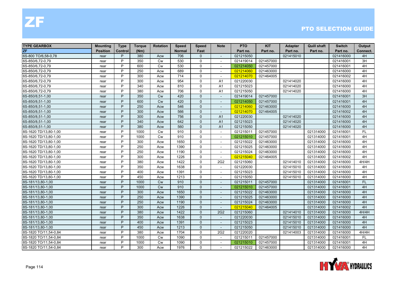| <b>TYPE GEARBOX</b>   | <b>Mounting</b> | <b>Type</b> | <b>Torque</b> | <b>Rotation</b> | <b>Speed</b>  | <b>Speed</b> | <b>Note</b>              | <b>PTO</b> | <b>KIT</b> | <b>Adapter</b> | <b>Quill shaft</b> | <b>Switch</b> | Output    |
|-----------------------|-----------------|-------------|---------------|-----------------|---------------|--------------|--------------------------|------------|------------|----------------|--------------------|---------------|-----------|
| ZF                    | <b>Position</b> | Control     | (Nm)          |                 | <b>Normal</b> | Fast         |                          | Part no.   | Part no.   | Part no.       | Part no.           | Part no.      | Connect.  |
| 6S-800 TO/6,58-0,78   | rear            | P           | 380           | Acw             | 706           | $\mathbf{0}$ | $\sim$                   | 021215050  |            | 021415010      |                    | 021416000     | 4H        |
| 6S-850/6,72-0,79      | rear            | P           | 350           | <b>Cw</b>       | 530           | $\Omega$     | $\overline{\phantom{a}}$ | 021419014  | 021457000  |                |                    | 021416001     | 3H        |
| 6S-850/6,72-0,79      | rear            | P           | 600           | <b>Cw</b>       | 530           | $\mathbf{0}$ |                          | 021214050  | 021457000  |                |                    | 021416001     | 4H        |
| 6S-850/6,72-0,79      | rear            | P           | 250           | Acw             | 689           | $\mathbf 0$  | $\overline{\phantom{a}}$ | 021214060  | 021463000  |                |                    | 021416000     | 4H        |
| 6S-850/6,72-0,79      | rear            | P           | 300           | Acw             | 714           | $\Omega$     | $\sim$                   | 021214070  | 021464005  |                |                    | 021416002     | 4H        |
| 6S-850/6,72-0,79      | rear            | P           | 300           | Acw             | 954           | $\Omega$     | A <sub>1</sub>           | 021220030  |            | 021414020      |                    | 021416000     | 4H        |
| 6S-850/6,72-0,79      | rear            | P           | 340           | Acw             | 810           | $\Omega$     | A <sub>1</sub>           | 021215023  |            | 021414020      |                    | 021416000     | 4H        |
| 6S-850/6,72-0,79      | rear            | P           | 380           | Acw             | 706           | $\Omega$     | A1                       | 021215050  |            | 021414020      |                    | 021416000     | 4H        |
| 6S-850/8,51-1,00      | rear            | P           | 350           | <b>Cw</b>       | 420           | $\Omega$     | $\overline{\phantom{a}}$ | 021419014  | 021457000  |                |                    | 021416001     | 3H        |
| 6S-850/8,51-1,00      | rear            | P           | 600           | <b>Cw</b>       | 420           | $\mathbf{0}$ | $\overline{\phantom{a}}$ | 021214050  | 021457000  |                |                    | 021416001     | 4H        |
| 6S-850/8,51-1,00      | rear            | P           | 250           | Acw             | 546           | $\Omega$     | $\sim$                   | 021214060  | 021463000  |                |                    | 021416000     | 4H        |
| 6S-850/8,51-1,00      | rear            | P           | 300           | Acw             | 566           | $\Omega$     |                          | 021214070  | 021464005  |                |                    | 021416002     | 4H        |
| 6S-850/8,51-1,00      | rear            | P           | 300           | Acw             | 756           | $\Omega$     | A <sub>1</sub>           | 021220030  |            | 021414020      |                    | 021416000     | 4H        |
| 6S-850/8,51-1,00      | rear            | P           | 340           | Acw             | 642           | $\Omega$     | A1                       | 021215023  |            | 021414020      |                    | 021416000     | 4H        |
| 6S-850/8,51-1,00      | rear            | P           | 380           | Acw             | 560           | $\Omega$     | A1                       | 021215050  |            | 021414020      |                    | 021416000     | 4H        |
| 8S-1620 TD/13,80-1,00 | rear            | P           | 1000          | <b>Cw</b>       | 910           | $\mathbf 0$  | $\overline{\phantom{a}}$ | 021215011  | 021457000  |                | 021314000          | 021416001     | <b>FL</b> |
| 8S-1620 TD/13,80-1,00 | rear            | P           | 1000          | <b>Cw</b>       | 910           | $\Omega$     | $\overline{a}$           | 021215010  | 021457000  |                | 021314000          | 021416001     | 4H        |
| 8S-1620 TD/13,80-1,00 | rear            | P           | 300           | Acw             | 1650          | $\mathbf{0}$ | $\sim$                   | 021215022  | 021463000  |                | 021314000          | 021416000     | 4H        |
| 8S-1620 TD/13,80-1,00 | rear            | P           | 250           | Acw             | 1390          | 0            | $\blacksquare$           | 021215025  | 021463000  |                | 021314000          | 021416000     | 4H        |
| 8S-1620 TD/13,80-1,00 | rear            | P           | 250           | Acw             | 1190          | $\Omega$     | $\sim$                   | 021215024  | 021463000  |                | 021314000          | 021416000     | 4H        |
| 8S-1620 TD/13,80-1,00 | rear            | P           | 300           | Acw             | 1226          | $\mathbf 0$  | $\sim$                   | 021215040  | 021464005  |                | 021314000          | 021416002     | 4H        |
| 8S-1620 TD/13,80-1,00 | rear            | P           | 380           | Acw             | 1422          | $\mathbf 0$  | 2G2                      | 021215060  |            | 021414010      | 021314000          | 021416000     | 4H/4H     |
| 8S-1620 TD/13,80-1,00 | rear            | P           | 350           | Acw             | 1638          | $\mathbf 0$  | $\overline{\phantom{a}}$ | 021220030  |            | 021415010      | 021314000          | 021416000     | 4H        |
| 8S-1620 TD/13,80-1,00 | rear            | P           | 400           | Acw             | 1391          | $\Omega$     | $\sim$                   | 021215023  |            | 021415010      | 021314000          | 021416000     | 4H        |
| 8S-1620 TD/13,80-1,00 | rear            | P           | 450           | Acw             | 1213          | $\Omega$     | $\blacksquare$           | 021215050  |            | 021415010      | 021314000          | 021416000     | 4H        |
| 8S-181/13,80-1,00     | rear            | P           | 1000          | <b>Cw</b>       | 910           | $\Omega$     | $\blacksquare$           | 021215011  | 021457000  |                | 021314000          | 021416001     | <b>FL</b> |
| 8S-181/13,80-1,00     | rear            | P           | 1000          | <b>Cw</b>       | 910           | $\Omega$     |                          | 021215010  | 021457000  |                | 021314000          | 021416001     | 4H        |
| 8S-181/13,80-1,00     | rear            | P           | 300           | Acw             | 1650          | $\mathbf 0$  | $\overline{\phantom{a}}$ | 021215022  | 021463000  |                | 021314000          | 021416000     | 4H        |
| 8S-181/13,80-1,00     | rear            | P           | 250           | Acw             | 1390          | $\Omega$     | $\overline{\phantom{a}}$ | 021215025  | 021463000  |                | 021314000          | 021416000     | 4H        |
| 8S-181/13,80-1,00     | rear            | P           | 250           | Acw             | 1190          | $\Omega$     | $\overline{a}$           | 021215024  | 021463000  |                | 021314000          | 021416000     | 4H        |
| 8S-181/13,80-1,00     | rear            | P           | 300           | Acw             | 1226          | $\Omega$     | $\overline{\phantom{a}}$ | 021215040  | 021464005  |                | 021314000          | 021416002     | 4H        |
| 8S-181/13,80-1,00     | rear            | P           | 380           | Acw             | 1422          | $\Omega$     | 2G2                      | 021215060  |            | 021414010      | 021314000          | 021416000     | 4H/4H     |
| 8S-181/13,80-1,00     | rear            | P           | 350           | Acw             | 1638          | $\mathbf{0}$ |                          | 021220030  |            | 021415010      | 021314000          | 021416000     | 4H        |
| 8S-181/13,80-1,00     | rear            | P           | 400           | Acw             | 1391          | $\mathbf 0$  | $\overline{a}$           | 021215023  |            | 021415010      | 021314000          | 021416000     | 4H        |
| 8S-181/13,80-1,00     | rear            | P           | 450           | Acw             | 1213          | $\Omega$     |                          | 021215050  |            | 021415010      | 021314000          | 021416000     | 4H        |
| 8S-1820 TO/11,54-0,84 | rear            | P           | 380           | Acw             | 1704          | $\Omega$     | 2G <sub>2</sub>          | 021220020  |            | 021414003      | 021314000          | 021416000     | 4H/4H     |
| 8S-1820 TO/11,54-0,84 | rear            | P           | 1000          | <b>Cw</b>       | 1090          | $\mathbf{0}$ | $\overline{\phantom{a}}$ | 021215011  | 021457000  |                | 021314000          | 021416001     | <b>FL</b> |
| 8S-1820 TO/11,54-0,84 | rear            | P           | 1000          | <b>Cw</b>       | 1090          | $\Omega$     | $\overline{\phantom{a}}$ | 021215010  | 021457000  |                | 021314000          | 021416001     | 4H        |
| 8S-1820 TO/11,54-0,84 | rear            | P           | 300           | Acw             | 1976          | $\Omega$     | $\sim$                   | 021215022  | 021463000  |                | 021314000          | 021416000     | 4H        |

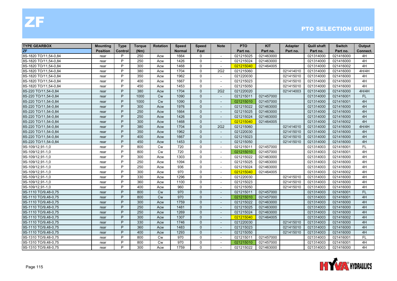| <b>TYPE GEARBOX</b>   | Mounting        | <b>Type</b> | <b>Torque</b> | <b>Rotation</b> | <b>Speed</b>  | <b>Speed</b> | <b>Note</b>              | <b>PTO</b> | <b>KIT</b> | <b>Adapter</b> | Quill shaft | <b>Switch</b> | Output    |
|-----------------------|-----------------|-------------|---------------|-----------------|---------------|--------------|--------------------------|------------|------------|----------------|-------------|---------------|-----------|
| <b>ZF</b>             | <b>Position</b> | Control     | (Nm)          |                 | <b>Normal</b> | Fast         |                          | Part no.   | Part no.   | Part no.       | Part no.    | Part no.      | Connect.  |
| 8S-1820 TO/11.54-0.84 | rear            | P           | 250           | Acw             | 1664          | $\mathbf{0}$ | $\blacksquare$           | 021215025  | 021463000  |                | 021314000   | 021416000     | 4H        |
| 8S-1820 TO/11.54-0.84 | rear            | P           | 250           | Acw             | 1426          | 0            |                          | 021215024  | 021463000  |                | 021314000   | 021416000     | 4H        |
| 8S-1820 TO/11,54-0,84 | rear            | P           | 300           | Acw             | 1468          | $\mathbf 0$  |                          | 021215040  | 021464005  |                | 021314000   | 021416002     | 4H        |
| 8S-1820 TO/11,54-0,84 | rear            | P           | 380           | Acw             | 1704          | $\Omega$     | 2G <sub>2</sub>          | 021215060  |            | 021414010      | 021314000   | 021416000     | 4H/4H     |
| 8S-1820 TO/11,54-0,84 | rear            | P           | 350           | Acw             | 1962          | $\mathbf{0}$ |                          | 021220030  |            | 021415010      | 021314000   | 021416000     | 4H        |
| 8S-1820 TO/11,54-0,84 | rear            | P           | 400           | Acw             | 1667          | 0            | $\blacksquare$           | 021215023  |            | 021415010      | 021314000   | 021416000     | 4H        |
| 8S-1820 TO/11,54-0,84 | rear            | P           | 450           | Acw             | 1453          | $\Omega$     | $\sim$                   | 021215050  |            | 021415010      | 021314000   | 021416000     | 4H        |
| 8S-220 TO/11,54-0,84  | rear            | P           | 380           | Acw             | 1704          | $\mathbf{0}$ | <b>2G2</b>               | 021220020  |            | 021414003      | 021314000   | 021416000     | 4H/4H     |
| 8S-220 TO/11,54-0,84  | rear            | P           | 1000          | <b>Cw</b>       | 1090          | $\mathbf{0}$ |                          | 021215011  | 021457000  |                | 021314000   | 021416001     | <b>FL</b> |
| 8S-220 TO/11,54-0,84  | rear            | P           | 1000          | Cw              | 1090          | $\Omega$     | $\overline{a}$           | 021215010  | 021457000  |                | 021314000   | 021416001     | 4H        |
| 8S-220 TO/11,54-0,84  | rear            | P           | 300           | Acw             | 1976          | $\Omega$     |                          | 021215022  | 021463000  |                | 021314000   | 021416000     | 4H        |
| 8S-220 TO/11,54-0,84  | rear            | P           | 250           | Acw             | 1664          | $\Omega$     | $\overline{\phantom{a}}$ | 021215025  | 021463000  |                | 021314000   | 021416000     | 4H        |
| 8S-220 TO/11,54-0,84  | rear            | P           | 250           | Acw             | 1426          | $\Omega$     | $\overline{\phantom{a}}$ | 021215024  | 021463000  |                | 021314000   | 021416000     | 4H        |
| 8S-220 TO/11,54-0,84  | rear            | P           | 300           | Acw             | 1468          | $\Omega$     |                          | 021215040  | 021464005  |                | 021314000   | 021416002     | 4H        |
| 8S-220 TO/11,54-0,84  | rear            | P           | 380           | Acw             | 1704          | $\Omega$     | 2G2                      | 021215060  |            | 021414010      | 021314000   | 021416000     | 4H/4H     |
| 8S-220 TO/11,54-0,84  | rear            | P           | 350           | Acw             | 1962          | $\Omega$     | $\overline{a}$           | 021220030  |            | 021415010      | 021314000   | 021416000     | 4H        |
| 8S-220 TO/11,54-0,84  | rear            | P           | 400           | Acw             | 1667          | $\Omega$     |                          | 021215023  |            | 021415010      | 021314000   | 021416000     | 4H        |
| 8S-220 TO/11,54-0,84  | rear            | P           | 450           | Acw             | 1453          | $\mathbf{0}$ | $\overline{\phantom{a}}$ | 021215050  |            | 021415010      | 021314000   | 021416000     | 4H        |
| 9S-109/12,91-1,0      | rear            | P           | 800           | Cw              | 720           | $\Omega$     | $\sim$                   | 021215011  | 021457000  |                | 021314003   | 021416001     | <b>FL</b> |
| 9S-109/12,91-1,0      | rear            | P           | 800           | Cw              | 720           | $\Omega$     |                          | 021215010  | 021457000  |                | 021314003   | 021416001     | 4H        |
| 9S-109/12,91-1,0      | rear            | P           | 300           | Acw             | 1303          | $\Omega$     |                          | 021215022  | 021463000  |                | 021314003   | 021416000     | 4H        |
| 9S-109/12,91-1,0      | rear            | P           | 250           | Acw             | 1094          | $\Omega$     | $\overline{\phantom{0}}$ | 021215025  | 021463000  |                | 021314003   | 021416000     | 4H        |
| 9S-109/12,91-1,0      | rear            | P           | 250           | Acw             | 936           | $\mathbf 0$  | $\sim$                   | 021215024  | 021463000  |                | 021314003   | 021416000     | 4H        |
| 9S-109/12,91-1,0      | rear            | P           | 300           | Acw             | 970           | $\Omega$     | $\sim$                   | 021215040  | 021464005  |                | 021314003   | 021416002     | 4H        |
| 9S-109/12,91-1,0      | rear            | P           | 330           | Acw             | 1296          | $\Omega$     | $\overline{\phantom{a}}$ | 021220030  |            | 021415010      | 021314003   | 021416000     | 4H        |
| 9S-109/12,91-1,0      | rear            | P           | 360           | Acw             | 1100          | $\mathbf{0}$ |                          | 021215023  |            | 021415010      | 021314003   | 021416000     | 4H        |
| 9S-109/12,91-1,0      | rear            | P           | 400           | Acw             | 960           | $\Omega$     | $\sim$                   | 021215050  |            | 021415010      | 021314003   | 021416000     | 4H        |
| 9S-1110 TO/9,48-0,75  | rear            | P           | 800           | <b>Cw</b>       | 970           | $\mathbf{0}$ |                          | 021215011  | 021457000  |                | 021314003   | 021416001     | <b>FL</b> |
| 9S-1110 TO/9,48-0,75  | rear            | P           | 800           | <b>Cw</b>       | 970           | $\mathbf{0}$ | $\overline{a}$           | 021215010  | 021457000  |                | 021314003   | 021416001     | 4H        |
| 9S-1110 TO/9,48-0,75  | rear            | P           | 300           | Acw             | 1759          | $\Omega$     | $\sim$                   | 021215022  | 021463000  |                | 021314003   | 021416000     | 4H        |
| 9S-1110 TO/9,48-0,75  | rear            | P           | 250           | Acw             | 1481          | $\Omega$     | $\blacksquare$           | 021215025  | 021463000  |                | 021314003   | 021416000     | 4H        |
| 9S-1110 TO/9,48-0,75  | rear            | P           | 250           | Acw             | 1269          | $\Omega$     |                          | 021215024  | 021463000  |                | 021314003   | 021416000     | 4H        |
| 9S-1110 TO/9,48-0,75  | rear            | P           | 300           | Acw             | 1307          | $\mathbf{0}$ | $\overline{\phantom{a}}$ | 021215040  | 021464005  |                | 021314003   | 021416002     | 4H        |
| 9S-1110 TO/9,48-0,75  | rear            | P           | 330           | Acw             | 1746          | $\mathbf{0}$ |                          | 021220030  |            | 021415010      | 021314003   | 021416000     | 4H        |
| 9S-1110 TO/9,48-0,75  | rear            | P           | 360           | Acw             | 1483          | $\Omega$     | $\overline{a}$           | 021215023  |            | 021415010      | 021314003   | 021416000     | 4H        |
| 9S-1110 TO/9,48-0,75  | rear            | P           | 400           | Acw             | 1293          | $\Omega$     | $\overline{\phantom{a}}$ | 021215050  |            | 021415010      | 021314003   | 021416000     | 4H        |
| 9S-1310 TO/9,48-0,75  | rear            | P           | 800           | Cw              | 970           | $\mathbf{0}$ |                          | 021215011  | 021457000  |                | 021314003   | 021416001     | <b>FL</b> |
| 9S-1310 TO/9,48-0,75  | rear            | P           | 800           | <b>Cw</b>       | 970           | $\Omega$     |                          | 021215010  | 021457000  |                | 021314003   | 021416001     | 4H        |
| 9S-1310 TO/9,48-0,75  | rear            | P           | 300           | Acw             | 1759          | $\Omega$     | $\overline{\phantom{a}}$ | 021215022  | 021463000  |                | 021314003   | 021416000     | 4H        |

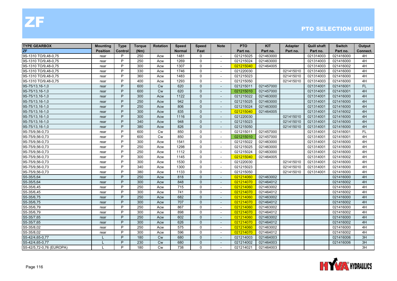| <b>TYPE GEARBOX</b>      | <b>Mounting</b> | <b>Type</b> | <b>Torque</b> | <b>Rotation</b> | <b>Speed</b>  | <b>Speed</b> | <b>Note</b>              | <b>PTO</b> | <b>KIT</b> | <b>Adapter</b> | <b>Quill shaft</b> | <b>Switch</b> | Output    |
|--------------------------|-----------------|-------------|---------------|-----------------|---------------|--------------|--------------------------|------------|------------|----------------|--------------------|---------------|-----------|
| <b>ZF</b>                | <b>Position</b> | Control     | (Nm)          |                 | <b>Normal</b> | Fast         |                          | Part no.   | Part no.   | Part no.       | Part no.           | Part no.      | Connect.  |
| 9S-1310 TO/9,48-0,75     | rear            | P           | 250           | Acw             | 1481          | $\mathbf{0}$ | $\sim$                   | 021215025  | 021463000  |                | 021314003          | 021416000     | 4H        |
| 9S-1310 TO/9,48-0,75     | rear            | P           | 250           | Acw             | 1269          | $\Omega$     |                          | 021215024  | 021463000  |                | 021314003          | 021416000     | 4H        |
| 9S-1310 TO/9,48-0,75     | rear            | P           | 300           | Acw             | 1307          | $\mathbf 0$  |                          | 021215040  | 021464005  |                | 021314003          | 021416002     | 4H        |
| 9S-1310 TO/9,48-0,75     | rear            | P           | 330           | Acw             | 1746          | $\mathbf 0$  | $\blacksquare$           | 021220030  |            | 021415010      | 021314003          | 021416000     | 4H        |
| 9S-1310 TO/9,48-0,75     | rear            | P           | 360           | Acw             | 1483          | $\mathbf 0$  |                          | 021215023  |            | 021415010      | 021314003          | 021416000     | 4H        |
| 9S-1310 TO/9,48-0,75     | rear            | P           | 400           | Acw             | 1293          | 0            | $\sim$                   | 021215050  |            | 021415010      | 021314003          | 021416000     | 4H        |
| 9S-75/13,16-1,0          | rear            | P           | 600           | Cw              | 620           | $\Omega$     | $\overline{\phantom{a}}$ | 021215011  | 021457000  |                | 021314001          | 021416001     | <b>FL</b> |
| 9S-75/13,16-1,0          | rear            | P           | 600           | Cw              | 620           | $\Omega$     |                          | 021215010  | 021457000  |                | 021314001          | 021416001     | 4H        |
| 9S-75/13,16-1,0          | rear            | P           | 300           | Acw             | 1122          | $\mathbf{0}$ |                          | 021215022  | 021463000  |                | 021314001          | 021416000     | 4H        |
| 9S-75/13,16-1,0          | rear            | P           | 250           | Acw             | 942           | $\mathbf{0}$ | $\blacksquare$           | 021215025  | 021463000  |                | 021314001          | 021416000     | 4H        |
| 9S-75/13,16-1,0          | rear            | P           | 250           | Acw             | 806           | $\mathbf 0$  | $\overline{a}$           | 021215024  | 021463000  |                | 021314001          | 021416000     | 4H        |
| 9S-75/13,16-1,0          | rear            | P           | 300           | Acw             | 835           | $\mathbf{0}$ | $\blacksquare$           | 021215040  | 021464005  |                | 021314001          | 021416002     | 4H        |
| 9S-75/13,16-1,0          | rear            | P           | 300           | Acw             | 1116          | $\Omega$     | $\blacksquare$           | 021220030  |            | 021415010      | 021314001          | 021416000     | 4H        |
| 9S-75/13,16-1,0          | rear            | P           | 340           | Acw             | 948           | $\Omega$     |                          | 021215023  |            | 021415010      | 021314001          | 021416000     | 4H        |
| 9S-75/13,16-1,0          | rear            | P           | 380           | Acw             | 826           | $\mathbf{0}$ |                          | 021215050  |            | 021415010      | 021314001          | 021416000     | 4H        |
| 9S-75/9,56-0,73          | rear            | P           | 600           | <b>Cw</b>       | 850           | $\Omega$     | $\overline{\phantom{a}}$ | 021215011  | 021457000  |                | 021314001          | 021416001     | FL        |
| 9S-75/9,56-0,73          | rear            | P           | 600           | <b>Cw</b>       | 850           | $\mathbf 0$  |                          | 021215010  | 021457000  |                | 021314001          | 021416001     | 4H        |
| 9S-75/9,56-0,73          | rear            | P           | 300           | Acw             | 1541          | 0            | $\sim$                   | 021215022  | 021463000  |                | 021314001          | 021416000     | 4H        |
| 9S-75/9,56-0,73          | rear            | P           | 250           | Acw             | 1298          | $\Omega$     | $\overline{\phantom{a}}$ | 021215025  | 021463000  |                | 021314001          | 021416000     | 4H        |
| 9S-75/9,56-0,73          | rear            | P           | 250           | Acw             | 1112          | $\Omega$     | $\overline{\phantom{a}}$ | 021215024  | 021463000  |                | 021314001          | 021416000     | 4H        |
| 9S-75/9,56-0,73          | rear            | P           | 300           | Acw             | 1145          | $\mathbf 0$  | $\blacksquare$           | 021215040  | 021464005  |                | 021314001          | 021416002     | 4H        |
| 9S-75/9,56-0,73          | rear            | P           | 300           | Acw             | 1530          | $\mathbf 0$  | $\blacksquare$           | 021220030  |            | 021415010      | 021314001          | 021416000     | 4H        |
| 9S-75/9,56-0,73          | rear            | P           | 340           | Acw             | 1300          | $\mathbf 0$  | $\overline{a}$           | 021215023  |            | 021415010      | 021314001          | 021416000     | 4H        |
| 9S-75/9,56-0,73          | rear            | P           | 380           | Acw             | 1133          | 0            | $\overline{\phantom{a}}$ | 021215050  |            | 021415010      | 021314001          | 021416000     | 4H        |
| S5-35/5,64               | rear            | P           | 250           | Acw             | 818           | $\Omega$     | $\overline{\phantom{a}}$ | 021214060  | 021463002  |                |                    | 021416000     | 4H        |
| S5-35/5,64               | rear            | P           | 300           | Acw             | 848           | $\Omega$     |                          | 021214070  | 021464012  |                |                    | 021416002     | 4H        |
| S5-35/6,45               | rear            | P           | 250           | Acw             | 715           | $\mathbf 0$  | $\blacksquare$           | 021214060  | 021463002  |                |                    | 021416000     | 4H        |
| S5-35/6,45               | rear            | P           | 300           | Acw             | 741           | $\Omega$     | $\blacksquare$           | 021214070  | 021464012  |                |                    | 021416002     | 4H        |
| S5-35/6,75               | rear            | P           | 250           | Acw             | 682           | $\mathbf{0}$ |                          | 021214060  | 021463002  |                |                    | 021416000     | 4H        |
| S5-35/6,75               | rear            | P           | 300           | Acw             | 707           | $\mathbf{0}$ | $\blacksquare$           | 021214070  | 021464012  |                |                    | 021416002     | 4H        |
| S5-35/6,79               | rear            | P           | 250           | Acw             | 867           | $\Omega$     | $\sim$                   | 021214060  | 021463002  |                |                    | 021416000     | 4H        |
| S5-35/6,79               | rear            | P           | 300           | Acw             | 898           | $\Omega$     | $\overline{\phantom{a}}$ | 021214070  | 021464012  |                |                    | 021416002     | 4H        |
| S5-35/7,65               | rear            | P           | 250           | Acw             | 602           | $\mathbf{0}$ | $\overline{\phantom{m}}$ | 021214060  | 021463002  |                |                    | 021416000     | 4H        |
| S5-35/7,65               | rear            | P           | 300           | Acw             | 626           | $\mathbf{0}$ | $\blacksquare$           | 021214070  | 021464012  |                |                    | 021416002     | 4H        |
| S5-35/8,02               | rear            | P           | 250           | Acw             | 575           | $\mathbf 0$  | $\overline{a}$           | 021214060  | 021463002  |                |                    | 021416000     | 4H        |
| S5-35/8,02               | rear            | P           | 300           | Acw             | 596           | $\Omega$     | $\sim$                   | 021214070  | 021464012  |                |                    | 021416002     | 4H        |
| S5-42/4,65-0,77          |                 | P           | 180           | <b>Cw</b>       | 680           | $\Omega$     | $\sim$                   | 021214003  | 021464003  |                |                    | 021416006     | 3H        |
| S5-42/4,65-0,77          |                 | P           | 230           | Cw              | 680           | $\Omega$     |                          | 021214002  | 021464003  |                |                    | 021416006     | 3H        |
| S5-42/5,72-0,76 (EUROPA) |                 | P           | 180           | Cw              | 738           | $\Omega$     | $\overline{\phantom{a}}$ | 021214021  | 021464003  |                |                    |               | 3H        |

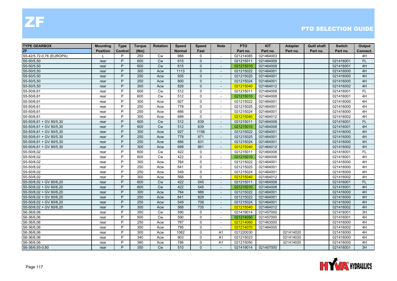| <b>TYPE GEARBOX</b>      | <b>Mounting</b> | <b>Type</b>    | Torque | <b>Rotation</b> | <b>Speed</b>  | <b>Speed</b> | <b>Note</b>              | <b>PTO</b> | <b>KIT</b> | <b>Adapter</b> | <b>Quill shaft</b> | <b>Switch</b> | Output    |
|--------------------------|-----------------|----------------|--------|-----------------|---------------|--------------|--------------------------|------------|------------|----------------|--------------------|---------------|-----------|
| ZF                       | <b>Position</b> | <b>Control</b> | (Nm)   |                 | <b>Normal</b> | Fast         |                          | Part no.   | Part no.   | Part no.       | Part no.           | Part no.      | Connect.  |
| S5-42/5,72-0,76 (EUROPA) |                 | P              | 250    | Cw              | 988           | $\Omega$     | $\overline{\phantom{a}}$ | 021214085  | 021464003  |                |                    |               | 4H        |
| S5-50/5,50               | rear            | P              | 600    | <b>Cw</b>       | 615           | $\Omega$     | $\sim$                   | 021215011  | 021464008  |                |                    | 021416001     | <b>FL</b> |
| S5-50/5,50               | rear            | P              | 600    | <b>Cw</b>       | 615           | $\mathbf{0}$ |                          | 021215010  | 021464008  |                |                    | 021416001     | 4H        |
| S5-50/5,50               | rear            | P              | 300    | Acw             | 1113          | $\mathbf{0}$ | $\overline{\phantom{a}}$ | 021215022  | 021464001  |                |                    | 021416000     | 4H        |
| S5-50/5,50               | rear            | P              | 250    | Acw             | 935           | $\Omega$     | $\blacksquare$           | 021215025  | 021464001  |                |                    | 021416000     | 4H        |
| S5-50/5,50               | rear            | P              | 250    | Acw             | 800           | $\mathbf{0}$ |                          | 021215024  | 021464001  |                |                    | 021416000     | 4H        |
| S5-50/5,50               | rear            | P              | 300    | Acw             | 828           | $\mathbf{0}$ | $\overline{a}$           | 021215040  | 021464012  |                |                    | 021416002     | 4H        |
| S5-50/6,61               | rear            | P              | 600    | <b>Cw</b>       | 512           | $\Omega$     | $\overline{\phantom{a}}$ | 021215011  | 021464008  |                |                    | 021416001     | FL.       |
| S5-50/6,61               | rear            | P              | 600    | <b>Cw</b>       | 512           | $\mathbf 0$  | $\overline{\phantom{a}}$ | 021215010  | 021464008  |                |                    | 021416001     | 4H        |
| S5-50/6,61               | rear            | P              | 300    | Acw             | 927           | $\mathbf 0$  | $\blacksquare$           | 021215022  | 021464001  |                |                    | 021416000     | 4H        |
| S5-50/6,61               | rear            | P              | 250    | Acw             | 778           | $\mathbf 0$  | $\blacksquare$           | 021215025  | 021464001  |                |                    | 021416000     | 4H        |
| S5-50/6,61               | rear            | P              | 250    | Acw             | 666           | $\mathbf 0$  | $\sim$                   | 021215024  | 021464001  |                |                    | 021416000     | 4H        |
| S5-50/6,61               | rear            | P              | 300    | Acw             | 689           | $\mathbf{0}$ | $\blacksquare$           | 021215040  | 021464012  |                |                    | 021416002     | 4H        |
| S5-50/6,61 + GV 80/5,30  | rear            | P              | 600    | <b>Cw</b>       | 512           | 639          | $\sim$                   | 021215011  | 021464008  |                |                    | 021416001     | <b>FL</b> |
| S5-50/6,61 + GV 80/5,30  | rear            | P              | 600    | Cw              | 512           | 639          |                          | 021215010  | 021464008  |                |                    | 021416001     | 4H        |
| S5-50/6,61 + GV 80/5,30  | rear            | P              | 300    | Acw             | 927           | 1156         | $\blacksquare$           | 021215022  | 021464001  |                |                    | 021416000     | 4H        |
| S5-50/6,61 + GV 80/5,30  | rear            | P              | 250    | Acw             | 778           | 971          | $\blacksquare$           | 021215025  | 021464001  |                |                    | 021416000     | 4H        |
| S5-50/6,61 + GV 80/5,30  | rear            | P              | 250    | Acw             | 666           | 831          |                          | 021215024  | 021464001  |                |                    | 021416000     | 4H        |
| S5-50/6,61 + GV 80/5,30  | rear            | P              | 300    | Acw             | 689           | 861          | $\blacksquare$           | 021215040  | 021464012  |                |                    | 021416002     | 4H        |
| S5-50/8,02               | rear            | P              | 600    | <b>Cw</b>       | 422           | $\mathbf{0}$ | $\overline{\phantom{a}}$ | 021215011  | 021464008  |                |                    | 021416001     | FL.       |
| S5-50/8,02               | rear            | P              | 600    | Cw              | 422           | $\mathbf 0$  |                          | 021215010  | 021464008  |                |                    | 021416001     | 4H        |
| S5-50/8,02               | rear            | P              | 300    | Acw             | 764           | $\mathbf 0$  | $\blacksquare$           | 021215022  | 021464001  |                |                    | 021416000     | 4H        |
| S5-50/8,02               | rear            | P              | 250    | Acw             | 641           | $\mathbf 0$  | $\blacksquare$           | 021215025  | 021464001  |                |                    | 021416000     | 4H        |
| S5-50/8,02               | rear            | P              | 250    | Acw             | 549           | $\mathbf{0}$ | $\overline{a}$           | 021215024  | 021464001  |                |                    | 021416000     | 4H        |
| S5-50/8.02               | rear            | P              | 300    | Acw             | 568           | $\mathbf{0}$ | $\overline{\phantom{a}}$ | 021215040  | 021464012  |                |                    | 021416002     | 4H        |
| S5-50/8,02 + GV 80/6,20  | rear            | P              | 600    | <b>Cw</b>       | 422           | 545          | $\overline{\phantom{a}}$ | 021215011  | 021464008  |                |                    | 021416001     | <b>FL</b> |
| S5-50/8,02 + GV 80/6,20  | rear            | P              | 600    | Cw              | 422           | 545          |                          | 021215010  | 021464008  |                |                    | 021416001     | 4H        |
| S5-50/8,02 + GV 80/6,20  | rear            | P              | 300    | Acw             | 764           | 986          | $\overline{\phantom{a}}$ | 021215022  | 021464001  |                |                    | 021416000     | 4H        |
| S5-50/8,02 + GV 80/6,20  | rear            | P              | 250    | Acw             | 641           | 828          | $\blacksquare$           | 021215022  | 021464001  |                |                    | 021416000     | 4H        |
| S5-50/8,02 + GV 80/6,20  | rear            | P              | 250    | Acw             | 549           | 708          | $\overline{a}$           | 021215024  | 021464001  |                |                    | 021416000     | 4H        |
| S5-50/8,02 + GV 80/6,20  | rear            | P              | 300    | Acw             | 568           | 735          | $\overline{\phantom{a}}$ | 021215040  | 021464012  |                |                    | 021416002     | 4H        |
| S6-36/6,06               | rear            | P              | 350    | <b>Cw</b>       | 590           | $\Omega$     | $\overline{\phantom{a}}$ | 021419014  | 021457000  |                |                    | 021416001     | 3H        |
| S6-36/6,06               | rear            | P              | 500    | Cw              | 590           | $\mathbf 0$  | $\sim$                   | 021214050  | 021457000  |                |                    | 021416001     | 4H        |
| S6-36/6,06               | rear            | P              | 250    | Acw             | 767           | $\mathbf 0$  | $\overline{a}$           | 021214060  | 021463000  |                |                    | 021416000     | 4H        |
| S6-36/6,06               | rear            | P              | 300    | Acw             | 795           | $\mathbf 0$  |                          | 021214070  | 021464005  |                |                    | 021416002     | 4H        |
| S6-36/6,06               | rear            | P              | 300    | Acw             | 1062          | $\mathbf 0$  | A <sub>1</sub>           | 021220030  |            | 021414020      |                    | 021416000     | 4H        |
| S6-36/6,06               | rear            | P              | 340    | Acw             | 903           | $\mathbf{0}$ | A <sub>1</sub>           | 021215023  |            | 021414020      |                    | 021416000     | 4H        |
| S6-36/6,06               | rear            | P              | 380    | Acw             | 786           | $\Omega$     | A <sub>1</sub>           | 021215050  |            | 021414020      |                    | 021416000     | 4H        |
| S6-36/6,93-0,80          | rear            | P              | 350    | Cw              | 510           | $\Omega$     |                          | 021419014  | 021457000  |                |                    | 021416001     | 3H        |

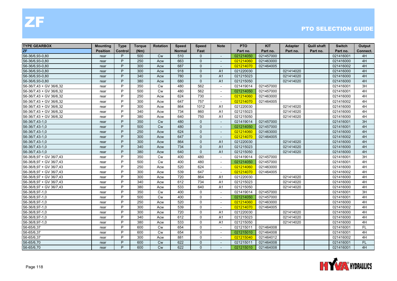| <b>TYPE GEARBOX</b>     | <b>Mounting</b> | <b>Type</b> | <b>Torque</b> | <b>Rotation</b> | <b>Speed</b>  | <b>Speed</b> | Note                     | <b>PTO</b> | <b>KIT</b> | <b>Adapter</b> | <b>Quill shaft</b> | <b>Switch</b> | Output    |
|-------------------------|-----------------|-------------|---------------|-----------------|---------------|--------------|--------------------------|------------|------------|----------------|--------------------|---------------|-----------|
| ZF                      | <b>Position</b> | Control     | (Nm)          |                 | <b>Normal</b> | Fast         |                          | Part no.   | Part no.   | Part no.       | Part no.           | Part no.      | Connect.  |
| S6-36/6,93-0,80         | rear            | P           | 500           | <b>Cw</b>       | 510           | $\mathbf{0}$ | $\sim$                   | 021214050  | 021457000  |                |                    | 021416001     | 4H        |
| S6-36/6,93-0,80         | rear            | P           | 250           | Acw             | 663           | $\Omega$     | $\overline{\phantom{a}}$ | 021214060  | 021463000  |                |                    | 021416000     | 4H        |
| S6-36/6,93-0,80         | rear            | P           | 300           | Acw             | 687           | $\Omega$     |                          | 021214070  | 021464005  |                |                    | 021416002     | 4H        |
| S6-36/6,93-0,80         | rear            | P           | 300           | Acw             | 918           | $\mathbf{0}$ | A <sub>1</sub>           | 021220030  |            | 021414020      |                    | 021416000     | 4H        |
| S6-36/6,93-0,80         | rear            | P           | 340           | Acw             | 780           | $\Omega$     | A1                       | 021215023  |            | 021414020      |                    | 021416000     | 4H        |
| S6-36/6,93-0,80         | rear            | P           | 380           | Acw             | 680           | $\Omega$     | A1                       | 021215050  |            | 021414020      |                    | 021416000     | 4H        |
| S6-36/7,43 + GV 36/6,32 | rear            | P           | 350           | <b>Cw</b>       | 480           | 562          | $\sim$                   | 021419014  | 021457000  |                |                    | 021416001     | 3H        |
| S6-36/7,43 + GV 36/6,32 | rear            | P           | 500           | <b>Cw</b>       | 480           | 562          | $\sim$                   | 021214050  | 021457000  |                |                    | 021416001     | 4H        |
| S6-36/7,43 + GV 36/6,32 | rear            | P           | 250           | Acw             | 624           | 730          |                          | 021214060  | 021463000  |                |                    | 021416000     | 4H        |
| S6-36/7,43 + GV 36/6,32 | rear            | P           | 300           | Acw             | 647           | 757          | $\sim$                   | 021214070  | 021464005  |                |                    | 021416002     | 4H        |
| S6-36/7,43 + GV 36/6,32 | rear            | P           | 300           | Acw             | 864           | 1012         | A <sub>1</sub>           | 021220030  |            | 021414020      |                    | 021416000     | 4H        |
| S6-36/7,43 + GV 36/6,32 | rear            | P           | 340           | Acw             | 734           | 860          | A <sub>1</sub>           | 021215023  |            | 021414020      |                    | 021416000     | 4H        |
| S6-36/7,43 + GV 36/6,32 | rear            | P           | 380           | Acw             | 640           | 750          | A1                       | 021215050  |            | 021414020      |                    | 021416000     | 4H        |
| S6-36/7,43-1,0          | rear            | P           | 350           | <b>Cw</b>       | 480           | $\Omega$     | $\overline{\phantom{a}}$ | 021419014  | 021457000  |                |                    | 021416001     | 3H        |
| S6-36/7,43-1,0          | rear            | P           | 500           | <b>Cw</b>       | 480           | $\Omega$     |                          | 021214050  | 021457000  |                |                    | 021416001     | 4H        |
| S6-36/7,43-1,0          | rear            | P           | 250           | Acw             | 624           | $\Omega$     | $\sim$                   | 021214060  | 021463000  |                |                    | 021416000     | 4H        |
| S6-36/7,43-1,0          | rear            | P           | 300           | Acw             | 647           | $\Omega$     |                          | 021214070  | 021464005  |                |                    | 021416002     | 4H        |
| S6-36/7,43-1,0          | rear            | P           | 300           | Acw             | 864           | $\mathbf{0}$ | A1                       | 021220030  |            | 021414020      |                    | 021416000     | 4H        |
| S6-36/7,43-1,0          | rear            | P           | 340           | Acw             | 734           | $\Omega$     | A1                       | 021215023  |            | 021414020      |                    | 021416000     | 4H        |
| S6-36/7,43-1,0          | rear            | P           | 380           | Acw             | 640           | $\Omega$     | A1                       | 021215050  |            | 021414020      |                    | 021416000     | 4H        |
| S6-36/8,97 + GV 36/7,43 | rear            | P           | 350           | <b>Cw</b>       | 400           | 480          | $\sim$                   | 021419014  | 021457000  |                |                    | 021416001     | 3H        |
| S6-36/8,97 + GV 36/7,43 | rear            | P           | 500           | <b>Cw</b>       | 400           | 480          | $\sim$                   | 021214050  | 021457000  |                |                    | 021416001     | 4H        |
| S6-36/8,97 + GV 36/7,43 | rear            | P           | 250           | Acw             | 520           | 624          | $\blacksquare$           | 021214060  | 021463000  |                |                    | 021416000     | 4H        |
| S6-36/8,97 + GV 36/7,43 | rear            | P           | 300           | Acw             | 539           | 647          | $\sim$                   | 021214070  | 021464005  |                |                    | 021416002     | 4H        |
| S6-36/8,97 + GV 36/7,43 | rear            | P           | 300           | Acw             | 720           | 864          | A <sub>1</sub>           | 021220030  |            | 021414020      |                    | 021416000     | 4H        |
| S6-36/8,97 + GV 36/7,43 | rear            | P           | 340           | Acw             | 612           | 734          | A <sub>1</sub>           | 021215023  |            | 021414020      |                    | 021416000     | 4H        |
| S6-36/8,97 + GV 36/7,43 | rear            | P           | 380           | Acw             | 533           | 640          | A1                       | 021215050  |            | 021414020      |                    | 021416000     | 4H        |
| S6-36/8,97-1,0          | rear            | P           | 350           | <b>Cw</b>       | 400           | $\mathbf 0$  | $\overline{\phantom{a}}$ | 021419014  | 021457000  |                |                    | 021416001     | 3H        |
| S6-36/8,97-1,0          | rear            | P           | 500           | <b>Cw</b>       | 400           | $\mathbf 0$  | $\sim$                   | 021214050  | 021457000  |                |                    | 021416001     | 4H        |
| S6-36/8,97-1,0          | rear            | P           | 250           | Acw             | 520           | 0            | $\sim$                   | 021214060  | 021463000  |                |                    | 021416000     | 4H        |
| S6-36/8,97-1,0          | rear            | P           | 300           | Acw             | 539           | $\mathbf{0}$ | $\sim$                   | 021214070  | 021464005  |                |                    | 021416002     | 4H        |
| S6-36/8,97-1,0          | rear            | P           | 300           | Acw             | 720           | $\Omega$     | A <sub>1</sub>           | 021220030  |            | 021414020      |                    | 021416000     | 4H        |
| S6-36/8,97-1,0          | rear            | P           | 340           | Acw             | 612           | 0            | A <sub>1</sub>           | 021215023  |            | 021414020      |                    | 021416000     | 4H        |
| S6-36/8,97-1,0          | rear            | P           | 380           | Acw             | 533           | $\mathbf 0$  | A <sub>1</sub>           | 021215050  |            | 021414020      |                    | 021416000     | 4H        |
| S6-65/6,37              | rear            | P           | 600           | <b>Cw</b>       | 654           | $\mathbf 0$  | $\blacksquare$           | 021215011  | 021464008  |                |                    | 021416001     | <b>FL</b> |
| S6-65/6,37              | rear            | P           | 600           | <b>Cw</b>       | 654           | 0            | $\sim$                   | 021215010  | 021464008  |                |                    | 021416001     | 4H        |
| S6-65/6,37              | rear            | P           | 300           | Acw             | 881           | $\Omega$     | $\sim$                   | 021215040  | 021464012  |                |                    | 021416002     | 4H        |
| S6-65/6,70              | rear            | P           | 600           | <b>Cw</b>       | 622           | $\Omega$     |                          | 021215011  | 021464008  |                |                    | 021416001     | <b>FL</b> |
| S6-65/6,70              | rear            | P           | 600           | <b>Cw</b>       | 622           | $\Omega$     | $\sim$                   | 021215010  | 021464008  |                |                    | 021416001     | 4H        |

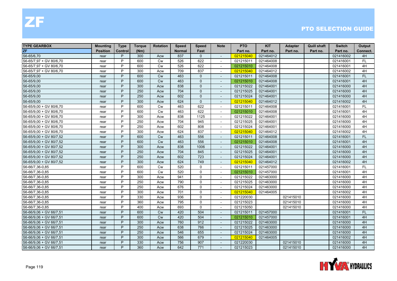| <b>TYPE GEARBOX</b>     | <b>Mounting</b> | <b>Type</b> | Torque | <b>Rotation</b> | <b>Speed</b>  | <b>Speed</b> | <b>Note</b>              | <b>PTO</b> | <b>KIT</b> | <b>Adapter</b> | <b>Quill shaft</b> | <b>Switch</b> | Output    |
|-------------------------|-----------------|-------------|--------|-----------------|---------------|--------------|--------------------------|------------|------------|----------------|--------------------|---------------|-----------|
| <b>ZF</b>               | <b>Position</b> | Control     | (Nm)   |                 | <b>Normal</b> | Fast         |                          | Part no.   | Part no.   | Part no.       | Part no.           | Part no.      | Connect.  |
| S6-65/6,70              | rear            | P           | 300    | Acw             | 837           | $\Omega$     | $\sim$                   | 021215040  | 021464012  |                |                    | 021416002     | 4H        |
| S6-65/7,97 + GV 80/6,70 | rear            | P           | 600    | Cw              | 526           | 622          | $\overline{\phantom{a}}$ | 021215011  | 021464008  |                |                    | 021416001     | <b>FL</b> |
| S6-65/7,97 + GV 80/6,70 | rear            | P           | 600    | Cw              | 526           | 622          |                          | 021215010  | 021464008  |                |                    | 021416001     | 4H        |
| S6-65/7,97 + GV 80/6,70 | rear            | P           | 300    | Acw             | 709           | 837          | $\sim$                   | 021215040  | 021464012  |                |                    | 021416002     | 4H        |
| S6-65/9,00              | rear            | P           | 600    | <b>Cw</b>       | 463           | $\Omega$     | $\sim$                   | 021215011  | 021464008  |                |                    | 021416001     | FL.       |
| S6-65/9,00              | rear            | P           | 600    | <b>Cw</b>       | 463           | $\mathbf{0}$ | $\blacksquare$           | 021215010  | 021464008  |                |                    | 021416001     | 4H        |
| S6-65/9,00              | rear            | P           | 300    | Acw             | 838           | $\mathbf{0}$ | $\sim$                   | 021215022  | 021464001  |                |                    | 021416000     | 4H        |
| S6-65/9,00              | rear            | P           | 250    | Acw             | 704           | $\Omega$     | $\overline{\phantom{a}}$ | 021215025  | 021464001  |                |                    | 021416000     | 4H        |
| S6-65/9,00              | rear            | P           | 250    | Acw             | 602           | $\Omega$     |                          | 021215024  | 021464001  |                |                    | 021416000     | 4H        |
| S6-65/9,00              | rear            | P           | 300    | Acw             | 624           | $\mathbf{0}$ | $\overline{\phantom{a}}$ | 021215040  | 021464012  |                |                    | 021416002     | 4H        |
| S6-65/9,00 + GV 80/6,70 | rear            | P           | 600    | Cw              | 463           | 622          | $\blacksquare$           | 021215011  | 021464008  |                |                    | 021416001     | FL        |
| S6-65/9,00 + GV 80/6,70 | rear            | P           | 600    | <b>Cw</b>       | 463           | 622          | $\mathbf{r}$             | 021215010  | 021464008  |                |                    | 021416001     | 4H        |
| S6-65/9,00 + GV 80/6,70 | rear            | P           | 300    | Acw             | 838           | 1125         | $\overline{\phantom{a}}$ | 021215022  | 021464001  |                |                    | 021416000     | 4H        |
| S6-65/9,00 + GV 80/6,70 | rear            | P           | 250    | Acw             | 704           | 945          | $\overline{\phantom{a}}$ | 021215025  | 021464001  |                |                    | 021416000     | 4H        |
| S6-65/9,00 + GV 80/6,70 | rear            | P           | 250    | Acw             | 602           | 808          |                          | 021215024  | 021464001  |                |                    | 021416000     | 4H        |
| S6-65/9,00 + GV 80/6,70 | rear            | P           | 300    | Acw             | 624           | 837          | $\sim$                   | 021215040  | 021464012  |                |                    | 021416002     | 4H        |
| S6-65/9,00 + GV 80/7,52 | rear            | P           | 600    | <b>Cw</b>       | 463           | 556          | $\overline{\phantom{a}}$ | 021215011  | 021464008  |                |                    | 021416001     | <b>FL</b> |
| S6-65/9,00 + GV 80/7,52 | rear            | P           | 600    | Cw              | 463           | 556          | $\blacksquare$           | 021215010  | 021464008  |                |                    | 021416001     | 4H        |
| S6-65/9,00 + GV 80/7,52 | rear            | P           | 300    | Acw             | 838           | 1006         | $\sim$                   | 021215022  | 021464001  |                |                    | 021416000     | 4H        |
| S6-65/9,00 + GV 80/7,52 | rear            | P           | 250    | Acw             | 704           | 845          | $\overline{\phantom{a}}$ | 021215025  | 021464001  |                |                    | 021416000     | 4H        |
| S6-65/9,00 + GV 80/7,52 | rear            | P           | 250    | Acw             | 602           | 723          | $\overline{a}$           | 021215024  | 021464001  |                |                    | 021416000     | 4H        |
| S6-65/9,00 + GV 80/7,52 | rear            | P           | 300    | Acw             | 624           | 749          | $\sim$                   | 021215040  | 021464012  |                |                    | 021416002     | 4H        |
| S6-66/7,36-0,85         | rear            | P           | 600    | Cw              | 520           | $\mathbf 0$  | $\sim$                   | 021215011  | 021457000  |                |                    | 021416001     | FL        |
| S6-66/7,36-0,85         | rear            | P           | 600    | Cw              | 520           | $\mathbf{0}$ | $\sim$                   | 021215010  | 021457000  |                |                    | 021416001     | 4H        |
| S6-66/7,36-0,85         | rear            | P           | 300    | Acw             | 941           | $\mathbf{0}$ | $\sim$                   | 021215022  | 021463000  |                |                    | 021416000     | 4H        |
| S6-66/7,36-0,85         | rear            | P           | 250    | Acw             | 790           | $\mathbf{0}$ |                          | 021215025  | 021463000  |                |                    | 021416000     | 4H        |
| S6-66/7,36-0,85         | rear            | P           | 250    | Acw             | 676           | $\mathbf 0$  |                          | 021215024  | 021463000  |                |                    | 021416000     | 4H        |
| S6-66/7,36-0,85         | rear            | P           | 300    | Acw             | 701           | $\Omega$     | $\sim$                   | 021215040  | 021464005  |                |                    | 021416002     | 4H        |
| S6-66/7,36-0,85         | rear            | P           | 330    | Acw             | 936           | $\mathbf{0}$ | $\sim$                   | 021220030  |            | 021415010      |                    | 021416000     | 4H        |
| S6-66/7,36-0,85         | rear            | P           | 360    | Acw             | 795           | $\Omega$     | $\overline{\phantom{a}}$ | 021215023  |            | 021415010      |                    | 021416000     | 4H        |
| S6-66/7,36-0,85         | rear            | P           | 400    | Acw             | 693           | $\mathbf{0}$ | $\blacksquare$           | 021215050  |            | 021415010      |                    | 021416000     | 4H        |
| S6-66/9,06 + GV 66/7,51 | rear            | P           | 600    | Cw              | 420           | 504          |                          | 021215011  | 021457000  |                |                    | 021416001     | FL        |
| S6-66/9,06 + GV 66/7,51 | rear            | P           | 600    | <b>Cw</b>       | 420           | 504          | $\sim$                   | 021215010  | 021457000  |                |                    | 021416001     | 4H        |
| S6-66/9,06 + GV 66/7,51 | rear            | P           | 300    | Acw             | 760           | 912          | $\overline{\phantom{a}}$ | 021215022  | 021463000  |                |                    | 021416000     | 4H        |
| S6-66/9,06 + GV 66/7,51 | rear            | P           | 250    | Acw             | 638           | 766          | $\sim$                   | 021215025  | 021463000  |                |                    | 021416000     | 4H        |
| S6-66/9,06 + GV 66/7,51 | rear            | P           | 250    | Acw             | 546           | 655          | $\blacksquare$           | 021215024  | 021463000  |                |                    | 021416000     | 4H        |
| S6-66/9,06 + GV 66/7,51 | rear            | P           | 300    | Acw             | 566           | 679          | $\overline{\phantom{a}}$ | 021215040  | 021464005  |                |                    | 021416002     | 4H        |
| S6-66/9,06 + GV 66/7,51 | rear            | P           | 330    | Acw             | 756           | 907          |                          | 021220030  |            | 021415010      |                    | 021416000     | 4H        |
| S6-66/9,06 + GV 66/7,51 | rear            | P           | 360    | Acw             | 642           | 771          | $\overline{\phantom{a}}$ | 021215023  |            | 021415010      |                    | 021416000     | 4H        |

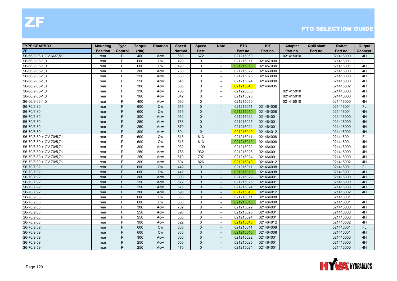| <b>TYPE GEARBOX</b>     | <b>Mounting</b> | <b>Type</b>    | Torque | <b>Rotation</b> | <b>Speed</b>  | <b>Speed</b> | <b>Note</b>              | <b>PTO</b> | <b>KIT</b> | <b>Adapter</b> | <b>Quill shaft</b> | <b>Switch</b> | Output    |
|-------------------------|-----------------|----------------|--------|-----------------|---------------|--------------|--------------------------|------------|------------|----------------|--------------------|---------------|-----------|
| ZF                      | <b>Position</b> | <b>Control</b> | (Nm)   |                 | <b>Normal</b> | Fast         |                          | Part no.   | Part no.   | Part no.       | Part no.           | Part no.      | Connect.  |
| S6-66/9,06 + GV 66/7,51 | rear            | P              | 400    | Acw             | 560           | 672          | $\sim$                   | 021215050  |            | 021415010      |                    | 021416000     | 4H        |
| S6-66/9,06-1,0          | rear            | P              | 600    | <b>Cw</b>       | 420           | $\mathbf{0}$ | $\overline{\phantom{a}}$ | 021215011  | 021457000  |                |                    | 021416001     | <b>FL</b> |
| S6-66/9,06-1,0          | rear            | P              | 600    | <b>Cw</b>       | 420           | $\mathbf 0$  |                          | 021215010  | 021457000  |                |                    | 021416001     | 4H        |
| S6-66/9,06-1,0          | rear            | P              | 300    | Acw             | 760           | $\mathbf 0$  | $\overline{\phantom{a}}$ | 021215022  | 021463000  |                |                    | 021416000     | 4H        |
| S6-66/9,06-1,0          | rear            | P              | 250    | Acw             | 638           | $\mathbf 0$  | $\blacksquare$           | 021215025  | 021463000  |                |                    | 021416000     | 4H        |
| S6-66/9,06-1,0          | rear            | P              | 250    | Acw             | 546           | $\mathbf 0$  |                          | 021215024  | 021463000  |                |                    | 021416000     | 4H        |
| S6-66/9,06-1,0          | rear            | P              | 300    | Acw             | 566           | $\mathbf 0$  | $\blacksquare$           | 021215040  | 021464005  |                |                    | 021416002     | 4H        |
| S6-66/9,06-1,0          | rear            | P              | 330    | Acw             | 756           | $\mathbf{0}$ | $\overline{\phantom{a}}$ | 021220030  |            | 021415010      |                    | 021416000     | 4H        |
| S6-66/9,06-1,0          | rear            | P              | 360    | Acw             | 642           | $\mathbf 0$  | $\overline{\phantom{a}}$ | 021215023  |            | 021415010      |                    | 021416000     | 4H        |
| S6-66/9,06-1,0          | rear            | P              | 400    | Acw             | 560           | $\mathbf 0$  | $\blacksquare$           | 021215050  |            | 021415010      |                    | 021416000     | 4H        |
| S6-70/6,80              | rear            | P              | 600    | Cw              | 515           | $\mathbf{0}$ | $\overline{a}$           | 021215011  | 021464008  |                |                    | 021416001     | FL.       |
| S6-70/6,80              | rear            | P              | 600    | <b>Cw</b>       | 515           | $\mathbf{0}$ | $\overline{a}$           | 021215010  | 021464008  |                |                    | 021416001     | 4H        |
| S6-70/6,80              | rear            | P              | 300    | Acw             | 932           | $\mathbf{0}$ | $\overline{a}$           | 021215022  | 021464001  |                |                    | 021416000     | 4H        |
| S6-70/6,80              | rear            | P              | 250    | Acw             | 783           | $\Omega$     | $\sim$                   | 021215025  | 021464001  |                |                    | 021416000     | 4H        |
| S6-70/6,80              | rear            | P              | 250    | Acw             | 670           | $\mathbf{0}$ |                          | 021215024  | 021464001  |                |                    | 021416000     | 4H        |
| S6-70/6,80              | rear            | P              | 300    | Acw             | 694           | $\mathbf{0}$ | $\blacksquare$           | 021215040  | 021464012  |                |                    | 021416002     | 4H        |
| S6-70/6,80 + GV 70/5,71 | rear            | P              | 600    | Cw              | 515           | 613          | $\overline{\phantom{a}}$ | 021215011  | 021464008  |                |                    | 021416001     | <b>FL</b> |
| S6-70/6,80 + GV 70/5,71 | rear            | P              | 600    | Cw              | 515           | 613          | $\overline{a}$           | 021215010  | 021464008  |                |                    | 021416001     | 4H        |
| S6-70/6,80 + GV 70/5,71 | rear            | P              | 300    | Acw             | 932           | 1109         | $\blacksquare$           | 021215022  | 021464001  |                |                    | 021416000     | 4H        |
| S6-70/6,80 + GV 70/5,71 | rear            | P              | 250    | Acw             | 783           | 932          | $\overline{\phantom{a}}$ | 021215025  | 021464001  |                |                    | 021416000     | 4H        |
| S6-70/6,80 + GV 70/5,71 | rear            | P              | 250    | Acw             | 670           | 797          | $\overline{\phantom{a}}$ | 021215024  | 021464001  |                |                    | 021416000     | 4H        |
| S6-70/6,80 + GV 70/5,71 | rear            | P              | 300    | Acw             | 694           | 826          | $\overline{\phantom{a}}$ | 021215040  | 021464012  |                |                    | 021416002     | 4H        |
| S6-70/7,92              | rear            | P              | 600    | Cw              | 442           | $\Omega$     | $\blacksquare$           | 021215011  | 021464008  |                |                    | 021416001     | FL        |
| S6-70/7,92              | rear            | P              | 600    | Cw              | 442           | $\Omega$     |                          | 021215010  | 021464008  |                |                    | 021416001     | 4H        |
| S6-70/7,92              | rear            | P              | 300    | Acw             | 800           | $\Omega$     | $\sim$                   | 021215022  | 021464001  |                |                    | 021416000     | 4H        |
| S6-70/7,92              | rear            | P              | 250    | Acw             | 672           | $\Omega$     | $\sim$                   | 021215025  | 021464001  |                |                    | 021416000     | 4H        |
| S6-70/7,92              | rear            | P              | 250    | Acw             | 575           | $\mathbf{0}$ |                          | 021215024  | 021464001  |                |                    | 021416000     | 4H        |
| S6-70/7,92              | rear            | P              | 300    | Acw             | 596           | $\mathbf{0}$ | $\overline{\phantom{a}}$ | 021215040  | 021464012  |                |                    | 021416002     | 4H        |
| S6-70/9,03              | rear            | P              | 600    | <b>Cw</b>       | 388           | $\mathbf 0$  | $\blacksquare$           | 021215011  | 021464008  |                |                    | 021416001     | FL        |
| S6-70/9,03              | rear            | P              | 600    | <b>Cw</b>       | 388           | $\mathbf 0$  | $\sim$                   | 021215010  | 021464008  |                |                    | 021416001     | 4H        |
| S6-70/9,03              | rear            | P              | 300    | Acw             | 702           | 0            | $\overline{\phantom{a}}$ | 021215022  | 021464001  |                |                    | 021416000     | 4H        |
| S6-70/9,03              | rear            | P              | 250    | Acw             | 590           | $\mathbf{0}$ | $\overline{\phantom{a}}$ | 021215025  | 021464001  |                |                    | 021416000     | 4H        |
| S6-70/9,03              | rear            | P              | 250    | Acw             | 505           | $\mathbf 0$  | $\overline{\phantom{a}}$ | 021215024  | 021464001  |                |                    | 021416000     | 4H        |
| S6-70/9,03              | rear            | P              | 300    | Acw             | 522           | $\mathbf 0$  | $\overline{a}$           | 021215040  | 021464012  |                |                    | 021416002     | 4H        |
| S6-70/9,59              | rear            | P              | 600    | Cw              | 365           | $\mathbf{0}$ |                          | 021215011  | 021464008  |                |                    | 021416001     | FL.       |
| S6-70/9,59              | rear            | P              | 600    | Cw              | 365           | $\mathbf{0}$ | $\overline{a}$           | 021215010  | 021464008  |                |                    | 021416001     | 4H        |
| S6-70/9,59              | rear            | P              | 300    | Acw             | 660           | $\mathbf{0}$ | $\sim$                   | 021215022  | 021464001  |                |                    | 021416000     | 4H        |
| S6-70/9,59              | rear            | P              | 250    | Acw             | 555           | $\Omega$     | $\overline{\phantom{a}}$ | 021215025  | 021464001  |                |                    | 021416000     | 4H        |
| S6-70/9,59              | rear            | P              | 250    | Acw             | 475           | $\mathbf{0}$ |                          | 021215024  | 021464001  |                |                    | 021416000     | 4H        |

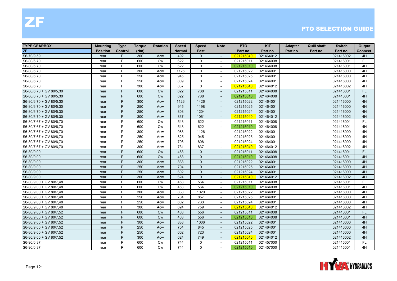| <b>TYPE GEARBOX</b>     | <b>Mounting</b> | <b>Type</b> | Torque | <b>Rotation</b> | <b>Speed</b>  | <b>Speed</b> | <b>Note</b>              | <b>PTO</b> | <b>KIT</b> | <b>Adapter</b> | <b>Quill shaft</b> | <b>Switch</b> | Output    |
|-------------------------|-----------------|-------------|--------|-----------------|---------------|--------------|--------------------------|------------|------------|----------------|--------------------|---------------|-----------|
| <b>ZF</b>               | <b>Position</b> | Control     | (Nm)   |                 | <b>Normal</b> | Fast         |                          | Part no.   | Part no.   | Part no.       | Part no.           | Part no.      | Connect.  |
| S6-70/9,59              | rear            | P           | 300    | Acw             | 492           | $\mathbf{0}$ | $\sim$                   | 021215040  | 021464012  |                |                    | 021416002     | 4H        |
| S6-80/6,70              | rear            | P           | 600    | Cw              | 622           | $\mathbf 0$  | $\overline{\phantom{a}}$ | 021215011  | 021464008  |                |                    | 021416001     | <b>FL</b> |
| S6-80/6,70              | rear            | P           | 600    | Cw              | 622           | $\mathbf 0$  |                          | 021215010  | 021464008  |                |                    | 021416001     | 4H        |
| S6-80/6,70              | rear            | P           | 300    | Acw             | 1126          | $\mathbf 0$  | $\sim$                   | 021215022  | 021464001  |                |                    | 021416000     | 4H        |
| S6-80/6,70              | rear            | P           | 250    | Acw             | 945           | $\mathbf 0$  |                          | 021215025  | 021464001  |                |                    | 021416000     | 4H        |
| S6-80/6,70              | rear            | P           | 250    | Acw             | 809           | $\mathbf{0}$ | $\sim$                   | 021215024  | 021464001  |                |                    | 021416000     | 4H        |
| S6-80/6,70              | rear            | P           | 300    | Acw             | 837           | $\mathbf 0$  | $\overline{\phantom{a}}$ | 021215040  | 021464012  |                |                    | 021416002     | 4H        |
| S6-80/6,70 + GV 80/5,30 | rear            | P           | 600    | <b>Cw</b>       | 622           | 788          | $\overline{\phantom{a}}$ | 021215011  | 021464008  |                |                    | 021416001     | FL.       |
| S6-80/6,70 + GV 80/5,30 | rear            | P           | 600    | Cw              | 622           | 788          |                          | 021215010  | 021464008  |                |                    | 021416001     | 4H        |
| S6-80/6,70 + GV 80/5,30 | rear            | P           | 300    | Acw             | 1126          | 1426         | $\sim$                   | 021215022  | 021464001  |                |                    | 021416000     | 4H        |
| S6-80/6,70 + GV 80/5,30 | rear            | P           | 250    | Acw             | 945           | 1198         | $\overline{\phantom{a}}$ | 021215025  | 021464001  |                |                    | 021416000     | 4H        |
| S6-80/6,70 + GV 80/5,30 | rear            | P           | 250    | Acw             | 808           | 1204         | $\sim$                   | 021215024  | 021464001  |                |                    | 021416000     | 4H        |
| S6-80/6,70 + GV 80/5,30 | rear            | P           | 300    | Acw             | 837           | 1061         | $\overline{\phantom{a}}$ | 021215040  | 021464012  |                |                    | 021416002     | 4H        |
| S6-80/7,67 + GV 80/6,70 | rear            | P           | 600    | <b>Cw</b>       | 543           | 622          | $\overline{\phantom{a}}$ | 021215011  | 021464008  |                |                    | 021416001     | FL        |
| S6-80/7,67 + GV 80/6,70 | rear            | P           | 600    | <b>Cw</b>       | 543           | 622          |                          | 021215010  | 021464008  |                |                    | 021416001     | 4H        |
| S6-80/7,67 + GV 80/6,70 | rear            | P           | 300    | Acw             | 983           | 1126         | $\overline{\phantom{a}}$ | 021215022  | 021464001  |                |                    | 021416000     | 4H        |
| S6-80/7,67 + GV 80/6,70 | rear            | P           | 250    | Acw             | 825           | 945          | $\blacksquare$           | 021215025  | 021464001  |                |                    | 021416000     | 4H        |
| S6-80/7,67 + GV 80/6,70 | rear            | P           | 250    | Acw             | 706           | 808          | $\sim$                   | 021215024  | 021464001  |                |                    | 021416000     | 4H        |
| S6-80/7,67 + GV 80/6,70 | rear            | P           | 300    | Acw             | 731           | 837          | $\sim$                   | 021215040  | 021464012  |                |                    | 021416002     | 4H        |
| S6-80/9,00              | rear            | P           | 600    | <b>Cw</b>       | 463           | $\mathbf{0}$ |                          | 021215011  | 021464008  |                |                    | 021416001     | <b>FL</b> |
| S6-80/9,00              | rear            | P           | 600    | Cw              | 463           | $\mathbf{0}$ | $\blacksquare$           | 021215010  | 021464008  |                |                    | 021416001     | 4H        |
| S6-80/9,00              | rear            | P           | 300    | Acw             | 838           | $\Omega$     | $\sim$                   | 021215022  | 021464001  |                |                    | 021416000     | 4H        |
| S6-80/9,00              | rear            | P           | 250    | Acw             | 704           | $\Omega$     |                          | 021215025  | 021464001  |                |                    | 021416000     | 4H        |
| S6-80/9,00              | rear            | P           | 250    | Acw             | 602           | $\Omega$     | $\blacksquare$           | 021215024  | 021464001  |                |                    | 021416000     | 4H        |
| S6-80/9,00              | rear            | P           | 300    | Acw             | 624           | $\Omega$     | $\overline{\phantom{a}}$ | 021215040  | 021464012  |                |                    | 021416002     | 4H        |
| S6-80/9,00 + GV 80/7,48 | rear            | P           | 600    | Cw              | 463           | 564          |                          | 021215011  | 021464008  |                |                    | 021416001     | FL        |
| S6-80/9,00 + GV 80/7,48 | rear            | P           | 600    | <b>Cw</b>       | 463           | 564          | $\sim$                   | 021215010  | 021464008  |                |                    | 021416001     | 4H        |
| S6-80/9,00 + GV 80/7,48 | rear            | P           | 300    | Acw             | 838           | 1020         | $\sim$                   | 021215022  | 021464001  |                |                    | 021416000     | 4H        |
| S6-80/9,00 + GV 80/7,48 | rear            | P           | 250    | Acw             | 704           | 857          | $\sim$                   | 021215025  | 021464001  |                |                    | 021416000     | 4H        |
| S6-80/9,00 + GV 80/7,48 | rear            | P           | 250    | Acw             | 602           | 733          | $\overline{\phantom{a}}$ | 021215024  | 021464001  |                |                    | 021416000     | 4H        |
| S6-80/9,00 + GV 80/7,48 | rear            | P           | 300    | Acw             | 624           | 759          | $\blacksquare$           | 021215040  | 021464012  |                |                    | 021416002     | 4H        |
| S6-80/9,00 + GV 80/7,52 | rear            | P           | 600    | <b>Cw</b>       | 463           | 556          |                          | 021215011  | 021464008  |                |                    | 021416001     | <b>FL</b> |
| S6-80/9,00 + GV 80/7,52 | rear            | P           | 600    | <b>Cw</b>       | 463           | 556          | $\sim$                   | 021215010  | 021464008  |                |                    | 021416001     | 4H        |
| S6-80/9,00 + GV 80/7,52 | rear            | P           | 300    | Acw             | 838           | 1006         | $\overline{\phantom{a}}$ | 021215022  | 021464001  |                |                    | 021416000     | 4H        |
| S6-80/9,00 + GV 80/7,52 | rear            | P           | 250    | Acw             | 704           | 845          | $\mathbf{r}$             | 021215025  | 021464001  |                |                    | 021416000     | 4H        |
| S6-80/9,00 + GV 80/7,52 | rear            | P           | 250    | Acw             | 602           | 723          | $\overline{\phantom{a}}$ | 021215024  | 021464001  |                |                    | 021416000     | 4H        |
| S6-80/9,00 + GV 80/7,52 | rear            | P           | 300    | Acw             | 624           | 749          | $\overline{\phantom{a}}$ | 021215040  | 021464012  |                |                    | 021416002     | 4H        |
| S6-90/6,37              | rear            | P           | 600    | <b>Cw</b>       | 744           | $\mathbf{0}$ |                          | 021215011  | 021457000  |                |                    | 021416001     | <b>FL</b> |
| S6-90/6,37              | rear            | P           | 600    | Cw              | 744           | $\mathbf 0$  | $\overline{\phantom{a}}$ | 021215010  | 021457000  |                |                    | 021416001     | 4H        |

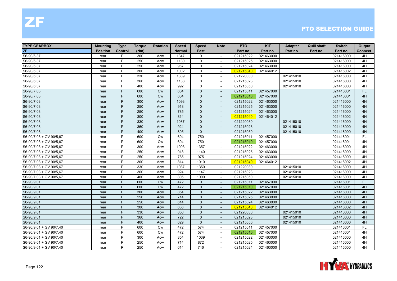| <b>TYPE GEARBOX</b>     | Mounting        | <b>Type</b> | <b>Torque</b> | <b>Rotation</b> | <b>Speed</b>  | <b>Speed</b> | <b>Note</b>              | <b>PTO</b> | <b>KIT</b> | <b>Adapter</b> | <b>Quill shaft</b> | <b>Switch</b> | Output    |
|-------------------------|-----------------|-------------|---------------|-----------------|---------------|--------------|--------------------------|------------|------------|----------------|--------------------|---------------|-----------|
| <b>ZF</b>               | <b>Position</b> | Control     | (Nm)          |                 | <b>Normal</b> | Fast         |                          | Part no.   | Part no.   | Part no.       | Part no.           | Part no.      | Connect.  |
| S6-90/6,37              | rear            | P           | 300           | Acw             | 1347          | $\Omega$     | $\blacksquare$           | 021215022  | 021463000  |                |                    | 021416000     | 4H        |
| S6-90/6,37              | rear            | P           | 250           | Acw             | 1130          | $\mathbf 0$  |                          | 021215025  | 021463000  |                |                    | 021416000     | 4H        |
| S6-90/6,37              | rear            | P           | 250           | Acw             | 967           | $\mathbf 0$  |                          | 021215024  | 021463000  |                |                    | 021416000     | 4H        |
| S6-90/6,37              | rear            | P           | 300           | Acw             | 1002          | $\mathbf 0$  | $\blacksquare$           | 021215040  | 021464012  |                |                    | 021416002     | 4H        |
| S6-90/6,37              | rear            | P           | 330           | Acw             | 1339          | $\mathbf 0$  |                          | 021220030  |            | 021415010      |                    | 021416000     | 4H        |
| S6-90/6,37              | rear            | P           | 360           | Acw             | 1138          | $\mathbf 0$  | $\overline{\phantom{a}}$ | 021215023  |            | 021415010      |                    | 021416000     | 4H        |
| S6-90/6,37              | rear            | P           | 400           | Acw             | 992           | $\mathbf{0}$ | $\overline{\phantom{a}}$ | 021215050  |            | 021415010      |                    | 021416000     | 4H        |
| S6-90/7,03              | rear            | P           | 600           | Cw              | 604           | $\mathbf{0}$ |                          | 021215011  | 021457000  |                |                    | 021416001     | FL        |
| S6-90/7,03              | rear            | P           | 600           | Cw              | 604           | $\mathbf{0}$ |                          | 021215010  | 021457000  |                |                    | 021416001     | 4H        |
| S6-90/7,03              | rear            | P           | 300           | Acw             | 1093          | $\mathbf{0}$ | $\overline{a}$           | 021215022  | 021463000  |                |                    | 021416000     | 4H        |
| S6-90/7,03              | rear            | P           | 250           | Acw             | 918           | $\mathbf{0}$ |                          | 021215025  | 021463000  |                |                    | 021416000     | 4H        |
| S6-90/7,03              | rear            | P           | 250           | Acw             | 785           | $\mathbf{0}$ | $\overline{\phantom{a}}$ | 021215024  | 021463000  |                |                    | 021416000     | 4H        |
| S6-90/7,03              | rear            | P           | 300           | Acw             | 814           | $\Omega$     | $\blacksquare$           | 021215040  | 021464012  |                |                    | 021416002     | 4H        |
| S6-90/7,03              | rear            | P           | 330           | Acw             | 1087          | $\mathbf{0}$ |                          | 021220030  |            | 021415010      |                    | 021416000     | 4H        |
| S6-90/7,03              | rear            | P           | 360           | Acw             | 924           | $\mathbf{0}$ |                          | 021215023  |            | 021415010      |                    | 021416000     | 4H        |
| S6-90/7,03              | rear            | P           | 400           | Acw             | 805           | $\Omega$     | $\sim$                   | 021215050  |            | 021415010      |                    | 021416000     | 4H        |
| S6-90/7,03 + GV 90/5,67 | rear            | P           | 600           | <b>Cw</b>       | 604           | 750          | $\sim$                   | 021215011  | 021457000  |                |                    | 021416001     | <b>FL</b> |
| S6-90/7,03 + GV 90/5,67 | rear            | P           | 600           | <b>Cw</b>       | 604           | 750          | $\overline{\phantom{a}}$ | 021215010  | 021457000  |                |                    | 021416001     | 4H        |
| S6-90/7,03 + GV 90/5,67 | rear            | P           | 300           | Acw             | 1093          | 1357         | $\overline{\phantom{a}}$ | 021215022  | 021463000  |                |                    | 021416000     | 4H        |
| S6-90/7,03 + GV 90/5,67 | rear            | P           | 250           | Acw             | 918           | 1140         | $\sim$                   | 021215025  | 021463000  |                |                    | 021416000     | 4H        |
| S6-90/7,03 + GV 90/5,67 | rear            | P           | 250           | Acw             | 785           | 975          |                          | 021215024  | 021463000  |                |                    | 021416000     | 4H        |
| S6-90/7,03 + GV 90/5,67 | rear            | P           | 300           | Acw             | 814           | 1010         | $\sim$                   | 021215040  | 021464012  |                |                    | 021416002     | 4H        |
| S6-90/7,03 + GV 90/5,67 | rear            | P           | 330           | Acw             | 1087          | 1350         | $\sim$                   | 021220030  |            | 021415010      |                    | 021416000     | 4H        |
| S6-90/7,03 + GV 90/5,67 | rear            | P           | 360           | Acw             | 924           | 1147         | $\overline{\phantom{a}}$ | 021215023  |            | 021415010      |                    | 021416000     | 4H        |
| S6-90/7,03 + GV 90/5,67 | rear            | P           | 400           | Acw             | 805           | 1000         | $\overline{\phantom{a}}$ | 021215050  |            | 021415010      |                    | 021416000     | 4H        |
| S6-90/9,01              | rear            | P           | 600           | <b>Cw</b>       | 472           | $\Omega$     |                          | 021215011  | 021457000  |                |                    | 021416001     | <b>FL</b> |
| S6-90/9,01              | rear            | P           | 600           | <b>Cw</b>       | 472           | $\Omega$     |                          | 021215010  | 021457000  |                |                    | 021416001     | 4H        |
| S6-90/9,01              | rear            | P           | 300           | Acw             | 854           | $\mathbf{0}$ |                          | 021215022  | 021463000  |                |                    | 021416000     | 4H        |
| S6-90/9,01              | rear            | P           | 250           | Acw             | 714           | $\mathbf{0}$ | $\overline{a}$           | 021215025  | 021463000  |                |                    | 021416000     | 4H        |
| S6-90/9,01              | rear            | P           | 250           | Acw             | 614           | $\mathbf{0}$ | $\overline{\phantom{a}}$ | 021215024  | 021463000  |                |                    | 021416000     | 4H        |
| S6-90/9,01              | rear            | P           | 300           | Acw             | 636           | $\Omega$     | $\overline{\phantom{a}}$ | 021215040  | 021464012  |                |                    | 021416002     | 4H        |
| S6-90/9,01              | rear            | P           | 330           | Acw             | 850           | $\Omega$     |                          | 021220030  |            | 021415010      |                    | 021416000     | 4H        |
| S6-90/9,01              | rear            | P           | 360           | Acw             | 722           | $\mathbf{0}$ | $\overline{\phantom{a}}$ | 021215023  |            | 021415010      |                    | 021416000     | 4H        |
| S6-90/9,01              | rear            | P           | 400           | Acw             | 629           | $\mathbf{0}$ | $\overline{\phantom{a}}$ | 021215050  |            | 021415010      |                    | 021416000     | 4H        |
| S6-90/9,01 + GV 90/7,40 | rear            | P           | 600           | Cw              | 472           | 574          | $\mathbf{r}$             | 021215011  | 021457000  |                |                    | 021416001     | FL        |
| S6-90/9,01 + GV 90/7,40 | rear            | P           | 600           | <b>Cw</b>       | 472           | 574          | $\overline{\phantom{a}}$ | 021215010  | 021457000  |                |                    | 021416001     | 4H        |
| S6-90/9,01 + GV 90/7,40 | rear            | P           | 300           | Acw             | 854           | 1039         | $\overline{\phantom{a}}$ | 021215022  | 021463000  |                |                    | 021416000     | 4H        |
| S6-90/9,01 + GV 90/7,40 | rear            | P           | 250           | Acw             | 714           | 872          |                          | 021215025  | 021463000  |                |                    | 021416000     | 4H        |
| S6-90/9,01 + GV 90/7,40 | rear            | P           | 250           | Acw             | 614           | 746          | $\overline{\phantom{a}}$ | 021215024  | 021463000  |                |                    | 021416000     | 4H        |

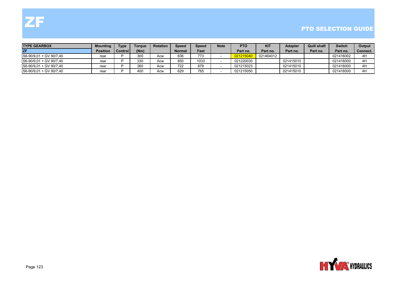| <b>TYPE GEARBOX</b>     | <b>Mounting</b> | <b>Type</b> | Torque | <b>Rotation</b> | Speed  | <b>Speed</b> | <b>Note</b> | <b>PTO</b> | <b>KIT</b> | <b>Adapter</b> | <b>Quill shaft</b> | <b>Switch</b> | Output         |
|-------------------------|-----------------|-------------|--------|-----------------|--------|--------------|-------------|------------|------------|----------------|--------------------|---------------|----------------|
| <b>ZF</b>               | <b>Position</b> | Controll    | (Nm)   |                 | Normal | Fast         |             | Part no.   | Part no.   | Part no.       | Part no.           | Part no.      | Connect. I     |
| S6-90/9,01 + GV 90/7,40 | rear            |             | 300    | Acw             | 636    | 773          |             | 021215040  | 021464012  |                |                    | 021416002     | 4H             |
| S6-90/9.01 + GV 90/7.40 | rear            |             | 330    | Acw             | 850    | 1033         |             | 021220030  |            | 021415010      |                    | 021416000     | $4+$           |
| S6-90/9,01 + GV 90/7,40 | rear            |             | 360    | Acw             | 722    | 878          |             | 021215023  |            | 021415010      |                    | 021416000     | 4 <sup>1</sup> |
| S6-90/9,01 + GV 90/7,40 | rear            |             | 400    | Acw             | 629    | 765          |             | 021215050  |            | 021415010      |                    | 021416000     | 4 <sup>F</sup> |

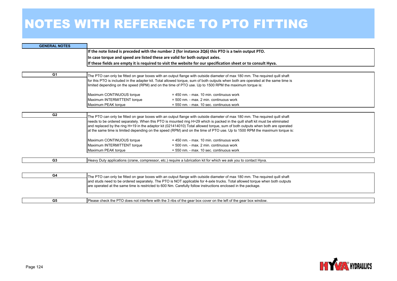| <b>GENERAL NOTES</b> |                                                                                                                                   |
|----------------------|-----------------------------------------------------------------------------------------------------------------------------------|
|                      | If the note listed is preceded with the number 2 (for instance 2Q6) this PTO is a twin output PTO.                                |
|                      | In case torque and speed are listed these are valid for both output axles.                                                        |
|                      | If these fields are empty it is required to visit the website for our specification sheet or to consult Hyva.                     |
|                      |                                                                                                                                   |
| G <sub>1</sub>       | The PTO can only be fitted on gear boxes with an output flange with outside diameter of max 180 mm. The required quill shaft      |
|                      | for this PTO is included in the adapter kit. Total allowed torque, sum of both outputs when both are operated at the same time is |
|                      | limited depending on the speed (RPM) and on the time of PTO use. Up to 1500 RPM the maximum torque is:                            |
|                      | Maximum CONTINUOUS torque<br>$= 450$ nm. - max. 10 min. continuous work                                                           |
|                      | Maximum INTERMITTENT torque<br>$=$ 500 nm. - max. 2 min. continuous work                                                          |
|                      | Maximum PEAK torque<br>= 550 nm. - max. 10 sec. continuous work                                                                   |
|                      |                                                                                                                                   |
| G <sub>2</sub>       | The PTO can only be fitted on gear boxes with an output flange with outside diameter of max 180 mm. The required quill shaft      |
|                      | needs to be ordered separately. When this PTO is mounted ring H=29 which is packed in the quill shaft kit must be eliminated      |
|                      | and replaced by the ring H=19 in the adaptor kit (021414010) Total allowed torque, sum of both outputs when both are operated     |
|                      | at the same time is limited depending on the speed (RPM) and on the time of PTO use. Up to 1500 RPM the maximum torque is:        |
|                      | Maximum CONTINUOUS torque<br>$= 450$ nm. - max. 10 min. continuous work                                                           |
|                      | Maximum INTERMITTENT torque<br>= 500 nm. - max. 2 min. continuous work                                                            |
|                      | Maximum PEAK torque<br>$=$ 550 nm. - max. 10 sec. continuous work                                                                 |
| G <sub>3</sub>       | Heavy Duty applications (crane, compressor, etc.) require a lubrication kit for which we ask you to contact Hyva.                 |
|                      |                                                                                                                                   |
|                      |                                                                                                                                   |
| G4                   | The PTO can only be fitted on gear boxes with an output flange with outside diameter of max 180 mm. The required quill shaft      |
|                      | and studs need to be ordered separately. The PTO is NOT applicable for 4-axle trucks. Total allowed torque when both outputs      |
|                      | are operated at the same time is restricted to 600 Nm. Carefully follow instructions enclosed in the package.                     |
|                      |                                                                                                                                   |
| G5                   | Please check the PTO does not interfere with the 3 ribs of the gear box cover on the left of the gear box window.                 |

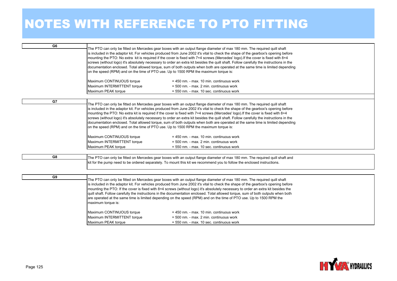| G <sub>6</sub> | The PTO can only be fitted on Mercedes gear boxes with an output flange diameter of max 180 mm. The required quill shaft<br>is included in the adaptor kit. For vehicles produced from June 2002 it's vital to check the shape of the gearbox's opening before<br>mounting the PTO: No extra kit is required if the cover is fixed with 7+4 screws (Mercedes' logo). If the cover is fixed with 8+4<br>screws (without logo) it's absolutely necessary to order an extra kit besides the quill shaft. Follow carefully the instructions in the<br>documentation enclosed. Total allowed torque, sum of both outputs when both are operated at the same time is limited depending<br>on the speed (RPM) and on the time of PTO use. Up to 1500 RPM the maximum torque is:<br>Maximum CONTINUOUS torque<br>$= 450$ nm. - max. 10 min. continuous work<br>Maximum INTERMITTENT torque<br>= 500 nm. - max. 2 min. continuous work<br>Maximum PEAK torque<br>= 550 nm. - max. 10 sec. continuous work   |
|----------------|----------------------------------------------------------------------------------------------------------------------------------------------------------------------------------------------------------------------------------------------------------------------------------------------------------------------------------------------------------------------------------------------------------------------------------------------------------------------------------------------------------------------------------------------------------------------------------------------------------------------------------------------------------------------------------------------------------------------------------------------------------------------------------------------------------------------------------------------------------------------------------------------------------------------------------------------------------------------------------------------------|
|                |                                                                                                                                                                                                                                                                                                                                                                                                                                                                                                                                                                                                                                                                                                                                                                                                                                                                                                                                                                                                    |
| G7             | The PTO can only be fitted on Mercedes gear boxes with an output flange diameter of max 180 mm. The required quill shaft<br>is included in the adaptor kit. For vehicles produced from June 2002 it's vital to check the shape of the gearbox's opening before<br>mounting the PTO: No extra kit is required if the cover is fixed with 7+4 screws (Mercedes' logo). If the cover is fixed with 8+4<br>screws (without logo) it's absolutely necessary to order an extra kit besides the quill shaft. Follow carefully the instructions in the<br>documentation enclosed. Total allowed torque, sum of both outputs when both are operated at the same time is limited depending<br>on the speed (RPM) and on the time of PTO use. Up to 1500 RPM the maximum torque is:<br>Maximum CONTINUOUS torque<br>$= 450$ nm. - max. 10 min. continuous work<br>Maximum INTERMITTENT torque<br>$= 500$ nm. - max. 2 min. continuous work<br>Maximum PEAK torque<br>= 550 nm. - max. 10 sec. continuous work |
|                |                                                                                                                                                                                                                                                                                                                                                                                                                                                                                                                                                                                                                                                                                                                                                                                                                                                                                                                                                                                                    |
| G8             | The PTO can only be fitted on Mercedes gear boxes with an output flange diameter of max 180 mm. The required quill shaft and<br>kit for the pump need to be ordered separately. To mount this kit we recommend you to follow the enclosed instructions.                                                                                                                                                                                                                                                                                                                                                                                                                                                                                                                                                                                                                                                                                                                                            |
|                |                                                                                                                                                                                                                                                                                                                                                                                                                                                                                                                                                                                                                                                                                                                                                                                                                                                                                                                                                                                                    |
| G9             | The PTO can only be fitted on Mercedes gear boxes with an output flange diameter of max 180 mm. The required quill shaft<br>is included in the adaptor kit. For vehicles produced from June 2002 it's vital to check the shape of the gearbox's opening before<br>mounting the PTO: If the cover is fixed with 8+4 screws (without logo) it's absolutely necessary to order an extra kit besides the<br>quill shaft. Follow carefully the instructions in the documentation enclosed. Total allowed torque, sum of both outputs when both<br>are operated at the same time is limited depending on the speed (RPM) and on the time of PTO use. Up to 1500 RPM the<br>maximum torque is:<br>Maximum CONTINUOUS torque<br>$= 450$ nm. - max. 10 min. continuous work                                                                                                                                                                                                                                 |
|                | Maximum INTERMITTENT torque<br>= 500 nm. - max. 2 min. continuous work                                                                                                                                                                                                                                                                                                                                                                                                                                                                                                                                                                                                                                                                                                                                                                                                                                                                                                                             |
|                | Maximum PEAK torque                                                                                                                                                                                                                                                                                                                                                                                                                                                                                                                                                                                                                                                                                                                                                                                                                                                                                                                                                                                |
|                | $= 550$ nm. - max. 10 sec. continuous work                                                                                                                                                                                                                                                                                                                                                                                                                                                                                                                                                                                                                                                                                                                                                                                                                                                                                                                                                         |

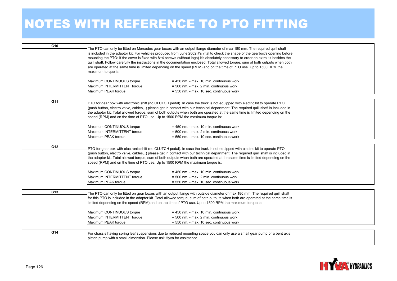| G <sub>10</sub> | The PTO can only be fitted on Mercedes gear boxes with an output flange diameter of max 180 mm. The required quill shaft<br>is included in the adaptor kit. For vehicles produced from June 2002 it's vital to check the shape of the gearbox's opening before<br>mounting the PTO: If the cover is fixed with 8+4 screws (without logo) it's absolutely necessary to order an extra kit besides the<br>quill shaft. Follow carefully the instructions in the documentation enclosed. Total allowed torque, sum of both outputs when both<br>are operated at the same time is limited depending on the speed (RPM) and on the time of PTO use. Up to 1500 RPM the<br>maximum torque is:<br>Maximum CONTINUOUS torque<br>$= 450$ nm. - max. 10 min. continuous work<br>Maximum INTERMITTENT torque<br>= 500 nm. - max. 2 min. continuous work<br>Maximum PEAK torque<br>= 550 nm. - max. 10 sec. continuous work |  |
|-----------------|-----------------------------------------------------------------------------------------------------------------------------------------------------------------------------------------------------------------------------------------------------------------------------------------------------------------------------------------------------------------------------------------------------------------------------------------------------------------------------------------------------------------------------------------------------------------------------------------------------------------------------------------------------------------------------------------------------------------------------------------------------------------------------------------------------------------------------------------------------------------------------------------------------------------|--|
| G11             |                                                                                                                                                                                                                                                                                                                                                                                                                                                                                                                                                                                                                                                                                                                                                                                                                                                                                                                 |  |
|                 | PTO for gear box with electronic shift (no CLUTCH pedal). In case the truck is not equipped with electric kit to operate PTO<br>(push button, electro valve, cables,) please get in contact with our technical department. The required quill shaft is included in<br>the adaptor kit. Total allowed torque, sum of both outputs when both are operated at the same time is limited depending on the<br>speed (RPM) and on the time of PTO use. Up to 1500 RPM the maximum torque is:                                                                                                                                                                                                                                                                                                                                                                                                                           |  |
|                 | Maximum CONTINUOUS torque<br>$= 450$ nm. - max. 10 min. continuous work                                                                                                                                                                                                                                                                                                                                                                                                                                                                                                                                                                                                                                                                                                                                                                                                                                         |  |
|                 | Maximum INTERMITTENT torque<br>= 500 nm. - max. 2 min. continuous work                                                                                                                                                                                                                                                                                                                                                                                                                                                                                                                                                                                                                                                                                                                                                                                                                                          |  |
|                 | Maximum PEAK torque<br>= 550 nm. - max. 10 sec. continuous work                                                                                                                                                                                                                                                                                                                                                                                                                                                                                                                                                                                                                                                                                                                                                                                                                                                 |  |
|                 |                                                                                                                                                                                                                                                                                                                                                                                                                                                                                                                                                                                                                                                                                                                                                                                                                                                                                                                 |  |
| G12             | PTO for gear box with electronic shift (no CLUTCH pedal). In case the truck is not equipped with electric kit to operate PTO<br>(push button, electro valve, cables,) please get in contact with our technical department. The required quill shaft is included in<br>the adaptor kit. Total allowed torque, sum of both outputs when both are operated at the same time is limited depending on the<br>speed (RPM) and on the time of PTO use. Up to 1500 RPM the maximum torque is:                                                                                                                                                                                                                                                                                                                                                                                                                           |  |
|                 | Maximum CONTINUOUS torque<br>$= 450$ nm. - max. 10 min. continuous work                                                                                                                                                                                                                                                                                                                                                                                                                                                                                                                                                                                                                                                                                                                                                                                                                                         |  |
|                 | Maximum INTERMITTENT torque<br>= 500 nm. - max. 2 min. continuous work                                                                                                                                                                                                                                                                                                                                                                                                                                                                                                                                                                                                                                                                                                                                                                                                                                          |  |
|                 | Maximum PEAK torque<br>= 550 nm. - max. 10 sec. continuous work                                                                                                                                                                                                                                                                                                                                                                                                                                                                                                                                                                                                                                                                                                                                                                                                                                                 |  |
|                 |                                                                                                                                                                                                                                                                                                                                                                                                                                                                                                                                                                                                                                                                                                                                                                                                                                                                                                                 |  |
| G13             | The PTO can only be fitted on gear boxes with an output flange with outside diameter of max 180 mm. The required quill shaft<br>for this PTO is included in the adapter kit. Total allowed torque, sum of both outputs when both are operated at the same time is<br>limited depending on the speed (RPM) and on the time of PTO use. Up to 1500 RPM the maximum torque is:                                                                                                                                                                                                                                                                                                                                                                                                                                                                                                                                     |  |
|                 | Maximum CONTINUOUS torque<br>= 450 nm. - max. 10 min. continuous work                                                                                                                                                                                                                                                                                                                                                                                                                                                                                                                                                                                                                                                                                                                                                                                                                                           |  |
|                 | Maximum INTERMITTENT torque<br>= 500 nm. - max. 2 min. continuous work                                                                                                                                                                                                                                                                                                                                                                                                                                                                                                                                                                                                                                                                                                                                                                                                                                          |  |
|                 | Maximum PEAK torque<br>= 550 nm. - max. 10 sec. continuous work                                                                                                                                                                                                                                                                                                                                                                                                                                                                                                                                                                                                                                                                                                                                                                                                                                                 |  |
|                 |                                                                                                                                                                                                                                                                                                                                                                                                                                                                                                                                                                                                                                                                                                                                                                                                                                                                                                                 |  |
| G14             | For chassis having spring leaf suspensions due to reduced mounting space you can only use a small gear pump or a bent axis                                                                                                                                                                                                                                                                                                                                                                                                                                                                                                                                                                                                                                                                                                                                                                                      |  |
|                 | piston pump with a small dimension. Please ask Hyva for assistance.                                                                                                                                                                                                                                                                                                                                                                                                                                                                                                                                                                                                                                                                                                                                                                                                                                             |  |
|                 |                                                                                                                                                                                                                                                                                                                                                                                                                                                                                                                                                                                                                                                                                                                                                                                                                                                                                                                 |  |

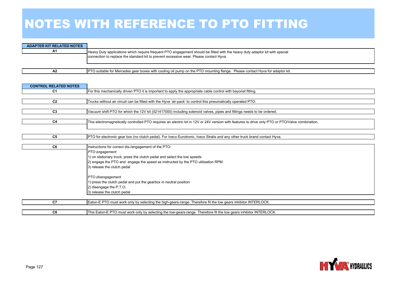| <b>ADAPTER KIT RELATED NOTES</b> |                                                                                                                                                                                                                       |
|----------------------------------|-----------------------------------------------------------------------------------------------------------------------------------------------------------------------------------------------------------------------|
| A1                               | Heavy Duty applications which require frequent PTO engagement should be fitted with the heavy duty adaptor kit with special<br>connection to replace the standard kit to prevent excessive wear. Please contact Hyva. |
|                                  |                                                                                                                                                                                                                       |

PTO suitable for Mercedes gear boxes with cooling oil pump on the PTO mounting flange. Please contact Hyva for adaptor kit.

| <b>CONTROL RELATED NOTES</b> |                                                                                                                                                  |
|------------------------------|--------------------------------------------------------------------------------------------------------------------------------------------------|
| C <sub>1</sub>               | For this mechanically driven PTO it is important to apply the appropriate cable control with bayonet fitting.                                    |
|                              |                                                                                                                                                  |
| C <sub>2</sub>               | Trucks without air circuit can be fitted with the Hyva 'air-pack' to control this pneumatically operated PTO.                                    |
|                              |                                                                                                                                                  |
| C <sub>3</sub>               | Vacuum shift PTO for which the 12V kit (021417000) including solenoid valves, pipes and fittings needs to be ordered.                            |
|                              |                                                                                                                                                  |
| C4                           | This electromagnetically controlled PTO requires an electric kit in 12V or 24V version with features to drive only PTO or PTO/Valve combination. |
|                              |                                                                                                                                                  |
| C <sub>5</sub>               | PTO for electronic gear box (no clutch pedal). For Iveco Eurotronic, Iveco Stralis and any other truck brand contact Hyva.                       |
|                              |                                                                                                                                                  |
| C6                           | Instructions for correct dis-/engagement of the PTO:                                                                                             |
|                              | PTO engagement                                                                                                                                   |
|                              | 1) on stationary truck, press the clutch pedal and select the low speeds                                                                         |
|                              | 2) engage the PTO and engage the speed as instructed by the PTO utilisation RPM.                                                                 |
|                              | 3) release the clutch pedal                                                                                                                      |
|                              |                                                                                                                                                  |
|                              | PTO disengagement                                                                                                                                |
|                              | 1) press the clutch pedal and put the gearbox in neutral position                                                                                |
|                              | 2) disengage the P.T.O.                                                                                                                          |
|                              | 3) release the clutch pedal                                                                                                                      |
| C7                           | Eaton-E PTO must work only by selecting the high-gears-range. Therefore fit the low gears inhibitor INTERLOCK.                                   |
|                              |                                                                                                                                                  |
| C8                           | This Eaton-E PTO must work only by selecting the low-gears-range. Therefore fit the low gears inhibitor INTERLOCK.                               |



**A2**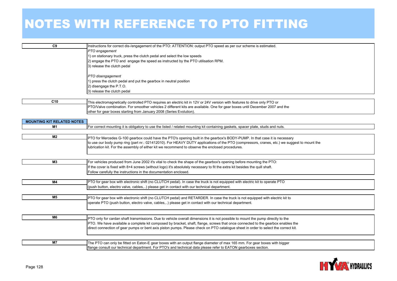| C9                                | Instructions for correct dis-/engagement of the PTO: ATTENTION: output PTO speed as per our scheme is estimated.                            |
|-----------------------------------|---------------------------------------------------------------------------------------------------------------------------------------------|
|                                   | PTO engagement                                                                                                                              |
|                                   | 1) on stationary truck, press the clutch pedal and select the low speeds                                                                    |
|                                   | 2) engage the PTO and engage the speed as instructed by the PTO utilisation RPM.                                                            |
|                                   | 3) release the clutch pedal                                                                                                                 |
|                                   |                                                                                                                                             |
|                                   | PTO disengagement                                                                                                                           |
|                                   | 1) press the clutch pedal and put the gearbox in neutral position                                                                           |
|                                   | 2) disengage the P.T.O.                                                                                                                     |
|                                   | 3) release the clutch pedal                                                                                                                 |
|                                   |                                                                                                                                             |
| C <sub>10</sub>                   | This electromagnetically controlled PTO requires an electric kit in 12V or 24V version with features to drive only PTO or                   |
|                                   | PTO/Valve combination. For smoother vehicles 2 different kits are available. One for gear boxes until December 2007 and the                 |
|                                   | other for gear boxes starting from January 2008 (Series Evolution).                                                                         |
|                                   |                                                                                                                                             |
| <b>MOUNTING KIT RELATED NOTES</b> |                                                                                                                                             |
| M1                                | For correct mounting it is obligatory to use the listed / related mounting kit containing gaskets, spacer plate, studs and nuts.            |
|                                   |                                                                                                                                             |
| M <sub>2</sub>                    | PTO for Mercedes G-100 gearbox could have the PTO's opening built in the gearbox's BODY-PUMP. In that case it is necessary                  |
|                                   | to use our body pump ring (part nr.: 021412010). For HEAVY DUTY applications of the PTO (compressors, cranes, etc.) we suggest to mount the |
|                                   | lubrication kit. For the assembly of either kit we recommend to observe the enclosed procedures.                                            |
|                                   |                                                                                                                                             |
|                                   |                                                                                                                                             |
| <b>M3</b>                         | For vehicles produced from June 2002 it's vital to check the shape of the gearbox's opening before mounting the PTO:                        |
|                                   | If the cover is fixed with 8+4 screws (without logo) it's absolutely necessary to fit the extra kit besides the quill shaft.                |
|                                   | Follow carefully the instructions in the documentation enclosed.                                                                            |
|                                   |                                                                                                                                             |
| M4                                | PTO for gear box with electronic shift (no CLUTCH pedal). In case the truck is not equipped with electric kit to operate PTO                |
|                                   | (push button, electro valve, cables,) please get in contact with our technical department.                                                  |
|                                   |                                                                                                                                             |
| M <sub>5</sub>                    | PTO for gear box with electronic shift (no CLUTCH pedal) and RETARDER. In case the truck is not equipped with electric kit to               |
|                                   | operate PTO (push button, electro valve, cables,) please get in contact with our technical department.                                      |
|                                   |                                                                                                                                             |
|                                   |                                                                                                                                             |
| M6                                | PTO only for cardan shaft transmissions. Due to vehicle overall dimensions it is not possible to mount the pump directly to the             |
|                                   | PTO. We have available a complete kit composed by bracket, shaft, flange, screws that once connected to the gearbox enables the             |
|                                   | direct connection of gear pumps or bent axis piston pumps. Please check on PTO catalogue sheet in order to select the correct kit.          |
|                                   |                                                                                                                                             |
| <b>M7</b>                         | The PTO can only be fitted on Eaton-E gear boxes with an output flange diameter of max 165 mm. For gear boxes with bigger                   |
|                                   | flange consult our technical department. For PTO's and technical data please refer to EATON gearboxes section.                              |
|                                   |                                                                                                                                             |